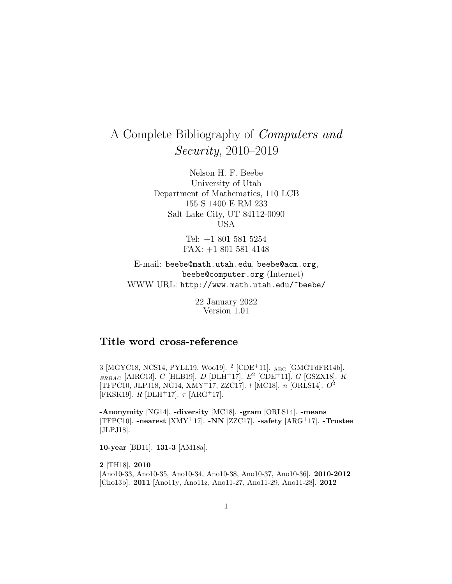# A Complete Bibliography of Computers and Security, 2010–2019

Nelson H. F. Beebe University of Utah Department of Mathematics, 110 LCB 155 S 1400 E RM 233 Salt Lake City, UT 84112-0090 USA

> Tel: +1 801 581 5254 FAX: +1 801 581 4148

E-mail: beebe@math.utah.edu, beebe@acm.org, beebe@computer.org (Internet) WWW URL: http://www.math.utah.edu/~beebe/

> 22 January 2022 Version 1.01

# **Title word cross-reference**

3 [MGYC18, NCS14, PYLL19, Woo19]. <sup>2</sup> [CDE<sup>+</sup>11]. ABC [GMGTdFR14b].  $_{ERBAC}$  [AIRC13]. C [HLB19]. D [DLH<sup>+</sup>17].  $E^2$  [CDE<sup>+</sup>11]. G [GSZX18]. K [TFPC10, JLPJ18, NG14, XMY<sup>+</sup>17, ZZC17]. l [MC18]. n [ORLS14]. O<sup>2</sup> [FKSK19].  $R$  [DLH<sup>+</sup>17].  $\tau$  [ARG<sup>+</sup>17].

**-Anonymity** [NG14]. **-diversity** [MC18]. **-gram** [ORLS14]. **-means** [TFPC10]. **-nearest** [XMY<sup>+</sup>17]. **-NN** [ZZC17]. **-safety** [ARG<sup>+</sup>17]. **-Trustee** [JLPJ18].

**10-year** [BB11]. **131-3** [AM18a].

**2** [TH18]. **2010** [Ano10-33, Ano10-35, Ano10-34, Ano10-38, Ano10-37, Ano10-36]. **2010-2012** [Cho13b]. **2011** [Ano11y, Ano11z, Ano11-27, Ano11-29, Ano11-28]. **2012**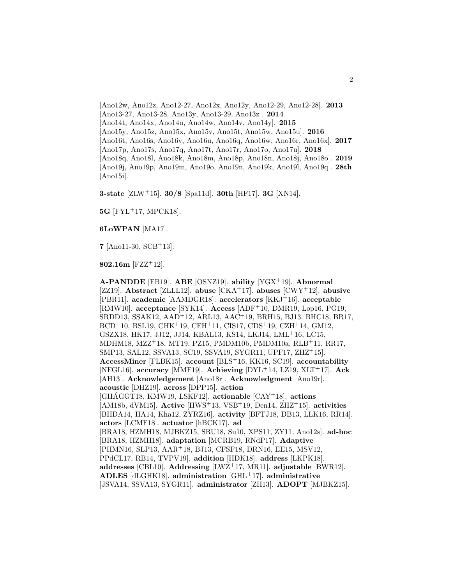[Ano12w, Ano12z, Ano12-27, Ano12x, Ano12y, Ano12-29, Ano12-28]. **2013** [Ano13-27, Ano13-28, Ano13y, Ano13-29, Ano13z]. **2014** [Ano14t, Ano14x, Ano14u, Ano14w, Ano14v, Ano14y]. **2015** [Ano15y, Ano15z, Ano15x, Ano15v, Ano15t, Ano15w, Ano15u]. **2016** [Ano16t, Ano16s, Ano16v, Ano16u, Ano16q, Ano16w, Ano16r, Ano16x]. **2017** [Ano17p, Ano17s, Ano17q, Ano17t, Ano17r, Ano17o, Ano17u]. **2018** [Ano18q, Ano18l, Ano18k, Ano18m, Ano18p, Ano18n, Ano18j, Ano18o]. **2019** [Ano19j, Ano19p, Ano19m, Ano19o, Ano19n, Ano19k, Ano19l, Ano19q]. **28th** [Ano15i].

**3-state** [ZLW<sup>+</sup>15]. **30/8** [Spa11d]. **30th** [HF17]. **3G** [XN14].

**5G** [FYL<sup>+</sup>17, MPCK18].

**6LoWPAN** [MA17].

**7** [Ano11-30, SCB<sup>+</sup>13].

**802.16m** [FZZ<sup>+</sup>12].

**A-PANDDE** [FB19]. **ABE** [OSNZ19]. **ability** [YGX<sup>+</sup>19]. **Abnormal** [ZZ19]. **Abstract** [ZLLL12]. **abuse** [CKA<sup>+</sup>17]. **abuses** [CWY<sup>+</sup>12]. **abusive** [PBR11]. **academic** [AAMDGR18]. **accelerators** [KKJ<sup>+</sup>16]. **acceptable** [RMW10]. **acceptance** [SYK14]. **Access** [ADF<sup>+</sup>10, DMR19, Lop16, PG19, SRDD13, SSAK12, AAD<sup>+</sup>12, ARL13, AAC<sup>+</sup>19, BRH15, BJ13, BHC18, BR17, BCD<sup>+</sup>10, BSL19, CHK<sup>+</sup>19, CFH<sup>+</sup>11, CIS17, CDS<sup>+</sup>19, CZH<sup>+</sup>14, GM12, GSZX18, HK17, JJ12, JJ14, KBAL13, KS14, LKJ14, LML<sup>+</sup>16, LC15, MDHM18, MZZ<sup>+</sup>18, MT19, PZ15, PMDM10b, PMDM10a, RLB<sup>+</sup>11, RR17, SMP13, SAL12, SSVA13, SC19, SSVA19, SYGR11, UPF17, ZHZ<sup>+</sup>15]. **AccessMiner** [FLBK15]. **account** [BLS<sup>+</sup>16, KK16, SC19]. **accountability** [NFGL16]. **accuracy** [MMF19]. **Achieving** [DYL<sup>+</sup>14, LZ19, XLT<sup>+</sup>17]. **Ack** [AH13]. **Acknowledgement** [Ano18r]. **Acknowledgment** [Ano19r]. **acoustic** [DHZ19]. **across** [DPP15]. **action** [GHAGGT18, KMW19, LSKF12]. actionable [CAY<sup>+</sup>18]. actions [AM18b, dVM15]. **Active** [HWS<sup>+</sup>13, VSB<sup>+</sup>19, Den14, ZHZ<sup>+</sup>15]. **activities** [BHDA14, HA14, Kha12, ZYRZ16]. **activity** [BFTJ18, DB13, LLK16, RR14]. **actors** [LCMF18]. **actuator** [hBCK17]. **ad** [BRA18, HZMH18, MJBKZ15, SRU18, Su10, XPS11, ZY11, Ano12s]. **ad-hoc** [BRA18, HZMH18]. **adaptation** [MCRB19, RNdP17]. **Adaptive** [PHMN16, SLP13, AAR<sup>+</sup>18, BJ13, CFSF18, DRN16, EE15, MSV12, PPdCL17, RB14, TVPV19]. **addition** [HDK18]. **address** [LKPK18]. **addresses** [CBL10]. **Addressing** [LWZ<sup>+</sup>17, MR11]. **adjustable** [BWR12]. **ADLES** [dLGHK18]. **administration** [GHL<sup>+</sup>17]. **administrative** [JSVA14, SSVA13, SYGR11]. **administrator** [ZH13]. **ADOPT** [MJBKZ15].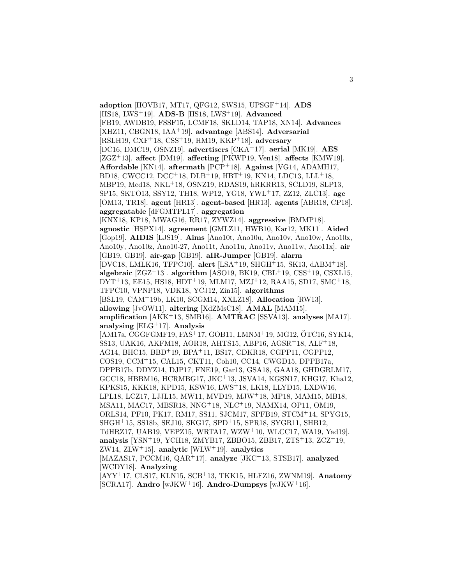**adoption** [HOVB17, MT17, QFG12, SWS15, UPSGF<sup>+</sup>14]. **ADS** [HS18, LWS<sup>+</sup>19]. **ADS-B** [HS18, LWS<sup>+</sup>19]. **Advanced** [FB19, AWDB19, FSSF15, LCMF18, SKLD14, TAP18, XN14]. **Advances** [XHZ11, CBGN18, IAA<sup>+</sup>19]. **advantage** [ABS14]. **Adversarial** [RSLH19, CXF<sup>+</sup>18, CSS<sup>+</sup>19, HM19, KKP<sup>+</sup>18]. **adversary** [DC16, DMC19, OSNZ19]. **advertisers** [CKA<sup>+</sup>17]. **aerial** [MK19]. **AES** [ZGZ<sup>+</sup>13]. **affect** [DM19]. **affecting** [PKWP19, Ven18]. **affects** [KMW19]. **Affordable** [KN14]. **aftermath** [PCP<sup>+</sup>18]. **Against** [VG14, ADAMH17, BD18, CWCC12, DCC<sup>+</sup>18, DLB<sup>+</sup>19, HBT<sup>+</sup>19, KN14, LDC13, LLL<sup>+</sup>18, MBP19, Med18, NKL<sup>+</sup>18, OSNZ19, RDAS19, hRKRR13, SCLD19, SLP13, SP15, SKTO13, SSY12, TH18, WP12, YG18, YWL<sup>+</sup>17, ZZ12, ZLC13]. **age** [OM13, TR18]. **agent** [HR13]. **agent-based** [HR13]. **agents** [ABR18, CP18]. **aggregatable** [dFGMTPL17]. **aggregation** [KNX18, KP18, MWAG16, RR17, ZYWZ14]. **aggressive** [BMMP18]. **agnostic** [HSPX14]. **agreement** [GMLZ11, HWB10, Kar12, MK11]. **Aided** [Gop19]. **AIDIS** [LJS19]. **Aims** [Ano10t, Ano10u, Ano10v, Ano10w, Ano10x, Ano10y, Ano10z, Ano10-27, Ano11t, Ano11u, Ano11v, Ano11w, Ano11x]. **air** [GB19, GB19]. **air-gap** [GB19]. **aIR-Jumper** [GB19]. **alarm** [DVC18, LMLK16, TFPC10]. **alert** [LSA<sup>+</sup>19, SHGH<sup>+</sup>15, SK13, dABM<sup>+</sup>18]. **algebraic** [ZGZ<sup>+</sup>13]. **algorithm** [ASO19, BK19, CBL<sup>+</sup>19, CSS<sup>+</sup>19, CSXL15,  $DYT+13$ , EE15, HS18, HDT+19, MLM17, MZJ+12, RAA15, SD17, SMC+18, TFPC10, VPNP18, VDK18, YCJ12, Zin15]. **algorithms** [BSL19, CAM<sup>+</sup>19b, LK10, SCGM14, XXLZ18]. **Allocation** [RW13]. **allowing** [JvOW11]. **altering** [XdZMsC18]. **AMAL** [MAM15]. **amplification** [AKK<sup>+</sup>13, SMB16]. **AMTRAC** [SSVA13]. **analyses** [MA17]. **analysing** [ELG<sup>+</sup>17]. **Analysis** [AM17a, CGGFGMF19, FAS<sup>+</sup>17, GOB11, LMNM<sup>+</sup>19, MG12, OTC16, SYK14, ¨ SS13, UAK16, AKFM18, AOR18, AHTS15, ABP16, AGSR<sup>+</sup>18, ALF<sup>+</sup>18, AG14, BHC15, BBD<sup>+</sup>19, BPA<sup>+</sup>11, BS17, CDKR18, CGPP11, CGPP12, COS19, CCM<sup>+</sup>15, CAL15, CKT11, Coh10, CC14, CWGD15, DPPB17a, DPPB17b, DDYZ14, DJP17, FNE19, Gar13, GSA18, GAA18, GHDGRLM17, GCC18, HBBM16, HCRMBG17, JKC<sup>+</sup>13, JSVA14, KGSN17, KHG17, Kha12, KPKS15, KKK18, KPD15, KSW16, LWS<sup>+</sup>18, LK18, LLYD15, LXDW16, LPL18, LCZ17, LJJL15, MW11, MVD19, MJW<sup>+</sup>18, MP18, MAM15, MB18, MSA11, MAC17, MBSR18, NNG<sup>+</sup>18, NLC<sup>+</sup>19, NAMX14, OP11, OM19, ORLS14, PF10, PK17, RM17, SS11, SJCM17, SPFB19, STCM<sup>+</sup>14, SPYG15, SHGH<sup>+</sup>15, SS18b, SEJ10, SKG17, SPD<sup>+</sup>15, SPR18, SYGR11, SHB12, TdHRZ17, UAB19, VEPZ15, WRTA17, WZW<sup>+</sup>10, WLCC17, WA19, Yad19]. **analysis** [YSN<sup>+</sup>19, YCH18, ZMYB17, ZBBO15, ZBB17, ZTS<sup>+</sup>13, ZCZ<sup>+</sup>19, ZW14, ZLW<sup>+</sup>15]. **analytic** [WLW<sup>+</sup>19]. **analytics** [MAZAS17, PCCM16, QAR<sup>+</sup>17]. **analyze** [JKC<sup>+</sup>13, STSB17]. **analyzed** [WCDY18]. **Analyzing** [AYY<sup>+</sup>17, CLS17, KLN15, SCB<sup>+</sup>13, TKK15, HLFZ16, ZWNM19]. **Anatomy** [SCRA17]. **Andro** [wJKW<sup>+</sup>16]. **Andro-Dumpsys** [wJKW<sup>+</sup>16].

3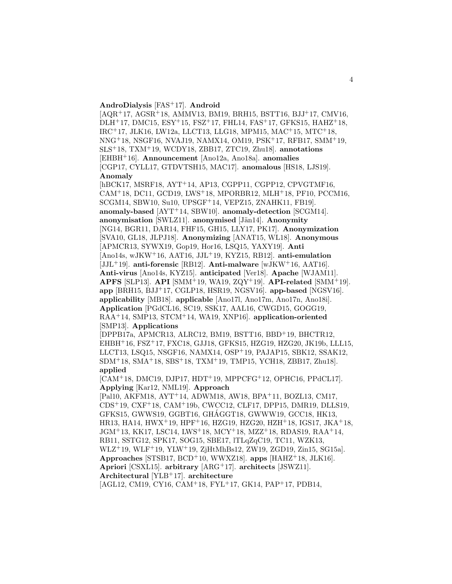## **AndroDialysis** [FAS<sup>+</sup>17]. **Android**

[AQR<sup>+</sup>17, AGSR<sup>+</sup>18, AMMV13, BM19, BRH15, BSTT16, BJJ<sup>+</sup>17, CMV16, DLH<sup>+</sup>17, DMC15, ESY<sup>+</sup>15, FSZ<sup>+</sup>17, FHL14, FAS<sup>+</sup>17, GFKS15, HAHZ<sup>+</sup>18, IRC<sup>+</sup>17, JLK16, LW12a, LLCT13, LLG18, MPM15, MAC<sup>+</sup>15, MTC<sup>+</sup>18, NNG<sup>+</sup>18, NSGF16, NVAJ19, NAMX14, OM19, PSK<sup>+</sup>17, RFB17, SMM<sup>+</sup>19, SLS<sup>+</sup>18, TXM<sup>+</sup>19, WCDY18, ZBB17, ZTC19, Zhu18]. **annotations** [EHBH<sup>+</sup>16]. **Announcement** [Ano12a, Ano18a]. **anomalies** [CGP17, CYLL17, GTDVTSH15, MAC17]. **anomalous** [HS18, LJS19]. **Anomaly**

[hBCK17, MSRF18, AYT<sup>+</sup>14, AP13, CGPP11, CGPP12, CPVGTMF16, CAM<sup>+</sup>18, DC11, GCD19, LWS<sup>+</sup>18, MPORBR12, MLH<sup>+</sup>18, PF10, PCCM16, SCGM14, SBW10, Su10, UPSGF<sup>+</sup>14, VEPZ15, ZNAHK11, FB19]. **anomaly-based** [AYT<sup>+</sup>14, SBW10]. **anomaly-detection** [SCGM14]. **anonymisation** [SWLZ11]. **anonymised** [Jän14]. **Anonymity** [NG14, BGR11, DAR14, FHF15, GH15, LLY17, PK17]. **Anonymization** [SVA10, GL18, JLPJ18]. **Anonymizing** [ANAT15, WL18]. **Anonymous** [APMCR13, SYWX19, Gop19, Hor16, LSQ15, YAXY19]. **Anti** [Ano14s, wJKW<sup>+</sup>16, AAT16, JJL<sup>+</sup>19, KYZ15, RB12]. **anti-emulation** [JJL<sup>+</sup>19]. **anti-forensic** [RB12]. **Anti-malware** [wJKW<sup>+</sup>16, AAT16]. **Anti-virus** [Ano14s, KYZ15]. **anticipated** [Ver18]. **Apache** [WJAM11]. **APFS** [SLP13]. **API** [SMM<sup>+</sup>19, WA19, ZQY<sup>+</sup>19]. **API-related** [SMM<sup>+</sup>19]. **app** [BRH15, BJJ<sup>+</sup>17, CGLP18, HSR19, NGSV16]. **app-based** [NGSV16]. **applicability** [MB18]. **applicable** [Ano17l, Ano17m, Ano17n, Ano18i]. **Application** [PGdCL16, SC19, SSK17, AAL16, CWGD15, GOGG19, RAA<sup>+</sup>14, SMP13, STCM<sup>+</sup>14, WA19, XNP16]. **application-oriented** [SMP13]. **Applications**

[DPPB17a, APMCR13, ALRC12, BM19, BSTT16, BBD<sup>+</sup>19, BHCTR12, EHBH<sup>+</sup>16, FSZ<sup>+</sup>17, FXC18, GJJ18, GFKS15, HZG19, HZG20, JK19b, LLL15, LLCT13, LSQ15, NSGF16, NAMX14, OSP<sup>+</sup>19, PAJAP15, SBK12, SSAK12, SDM<sup>+</sup>18, SMA<sup>+</sup>18, SBS<sup>+</sup>18, TXM<sup>+</sup>19, TMP15, YCH18, ZBB17, Zhu18]. **applied**

[CAM<sup>+</sup>18, DMC19, DJP17, HDT<sup>+</sup>19, MPPCFG<sup>+</sup>12, OPHC16, PPdCL17]. **Applying** [Kar12, NML19]. **Approach**

[Pal10, AKFM18, AYT<sup>+</sup>14, ADWM18, AW18, BPA<sup>+</sup>11, BOZL13, CM17, CDS<sup>+</sup>19, CXF<sup>+</sup>18, CAM<sup>+</sup>19b, CWCC12, CLF17, DPP15, DMR19, DLLS19, GFKS15, GWWS19, GGBT16, GHAGGT18, GWWW19, GCC18, HK13, ´ HR13, HA14, HWX<sup>+</sup>19, HPF<sup>+</sup>16, HZG19, HZG20, HZH<sup>+</sup>18, IGS17, JKA<sup>+</sup>18, JGM<sup>+</sup>13, KK17, LSC14, LWS<sup>+</sup>18, MCY<sup>+</sup>18, MZZ<sup>+</sup>18, RDAS19, RAA<sup>+</sup>14, RB11, SSTG12, SPK17, SOG15, SBE17, lTLqZqC19, TC11, WZK13, WLZ<sup>+</sup>19, WLF<sup>+</sup>19, YLW<sup>+</sup>19, ZjHtMhBs12, ZW19, ZGD19, Zin15, SG15a]. **Approaches** [STSB17, BCD<sup>+</sup>10, WWXZ18]. **apps** [HAHZ<sup>+</sup>18, JLK16]. **Apriori** [CSXL15]. **arbitrary** [ARG<sup>+</sup>17]. **architects** [JSWZ11]. **Architectural** [YLB<sup>+</sup>17]. **architecture** [AGL12, CM19, CY16, CAM<sup>+</sup>18, FYL<sup>+</sup>17, GK14, PAP<sup>+</sup>17, PDB14,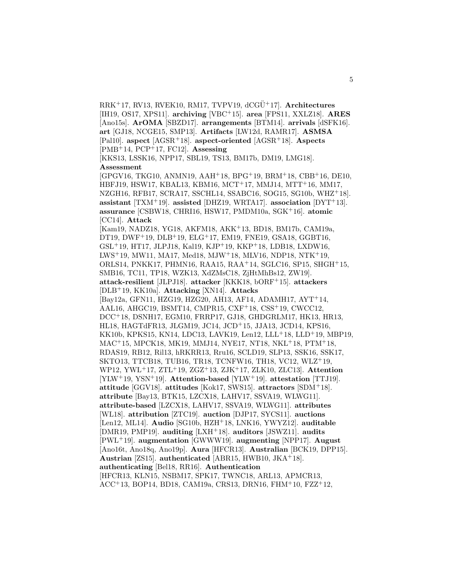RRK<sup>+</sup>17, RV13, RVEK10, RM17, TVPV19, dCGU¨ <sup>+</sup>17]. **Architectures** [IH19, OS17, XPS11]. **archiving** [VBC<sup>+</sup>15]. **area** [FPS11, XXLZ18]. **ARES** [Ano15s]. **ArOMA** [SBZD17]. **arrangements** [BTM14]. **arrivals** [dSFK16]. **art** [GJ18, NCGE15, SMP13]. **Artifacts** [LW12d, RAMR17]. **ASMSA** [Pal10]. **aspect** [AGSR<sup>+</sup>18]. **aspect-oriented** [AGSR<sup>+</sup>18]. **Aspects** [PMB<sup>+</sup>14, PCP<sup>+</sup>17, FC12]. **Assessing**

[KKS13, LSSK16, NPP17, SBL19, TS13, BM17b, DM19, LMG18]. **Assessment**

[GPGV16, TKG10, ANMN19, AAH<sup>+</sup>18, BPG<sup>+</sup>19, BRM<sup>+</sup>18, CBB<sup>+</sup>16, DE10, HBFJ19, HSW17, KBAL13, KBM16, MCT<sup>+</sup>17, MMJ14, MTT<sup>+</sup>16, MM17, NZGH16, RFB17, SCRA17, SSCHL14, SSABC16, SOG15, SG10b, WHZ<sup>+</sup>18]. **assistant** [TXM<sup>+</sup>19]. **assisted** [DHZ19, WRTA17]. **association** [DYT<sup>+</sup>13]. **assurance** [CSBW18, CHRI16, HSW17, PMDM10a, SGK<sup>+</sup>16]. **atomic** [CC14]. **Attack**

[Kam19, NADZ18, YG18, AKFM18, AKK<sup>+</sup>13, BD18, BM17b, CAM19a, DT19, DWF<sup>+</sup>19, DLB<sup>+</sup>19, ELG<sup>+</sup>17, EM19, FNE19, GSA18, GGBT16, GSL<sup>+</sup>19, HT17, JLPJ18, Kal19, KJP<sup>+</sup>19, KKP<sup>+</sup>18, LDB18, LXDW16, LWS<sup>+</sup>19, MW11, MA17, Med18, MJW<sup>+</sup>18, MLV16, NDP18, NTK<sup>+</sup>19, ORLS14, PNKK17, PHMN16, RAA15, RAA<sup>+</sup>14, SGLC16, SP15, SHGH<sup>+</sup>15, SMB16, TC11, TP18, WZK13, XdZMsC18, ZjHtMhBs12, ZW19]. **attack-resilient** [JLPJ18]. **attacker** [KKK18, bORF<sup>+</sup>15]. **attackers** [DLB<sup>+</sup>19, KK10a]. **Attacking** [XN14]. **Attacks** [Bay12a, GFN11, HZG19, HZG20, AH13, AF14, ADAMH17, AYT<sup>+</sup>14, AAL16, AHGC19, BSMT14, CMPR15, CXF<sup>+</sup>18, CSS<sup>+</sup>19, CWCC12, DCC<sup>+</sup>18, DSNH17, EGM10, FRRP17, GJ18, GHDGRLM17, HK13, HR13, HL18, HAGTdFR13, JLGM19, JC14, JCD<sup>+</sup>15, JJA13, JCD14, KPS16, KK10b, KPKS15, KN14, LDC13, LAVK19, Len12, LLL<sup>+</sup>18, LLD<sup>+</sup>19, MBP19, MAC<sup>+</sup>15, MPCK18, MK19, MMJ14, NYE17, NT18, NKL<sup>+</sup>18, PTM<sup>+</sup>18, RDAS19, RB12, Ril13, hRKRR13, Rru16, SCLD19, SLP13, SSK16, SSK17, SKTO13, TTCB18, TUB16, TR18, TCNFW16, TH18, VC12, WLZ<sup>+</sup>19, WP12, YWL<sup>+</sup>17, ZTL<sup>+</sup>19, ZGZ<sup>+</sup>13, ZJK<sup>+</sup>17, ZLK10, ZLC13]. **Attention** [YLW<sup>+</sup>19, YSN<sup>+</sup>19]. **Attention-based** [YLW<sup>+</sup>19]. **attestation** [TTJ19]. **attitude** [GGV18]. **attitudes** [Kok17, SWS15]. **attractors** [SDM<sup>+</sup>18]. **attribute** [Bay13, BTK15, LZCX18, LAHV17, SSVA19, WLWG11]. **attribute-based** [LZCX18, LAHV17, SSVA19, WLWG11]. **attributes** [WL18]. **attribution** [ZTC19]. **auction** [DJP17, SYCS11]. **auctions** [Len12, ML14]. **Audio** [SG10b, HZH<sup>+</sup>18, LNK16, YWYZ12]. **auditable** [DMR19, PMP19]. **auditing** [LXH<sup>+</sup>18]. **auditors** [JSWZ11]. **audits** [PWL<sup>+</sup>19]. **augmentation** [GWWW19]. **augmenting** [NPP17]. **August** [Ano16t, Ano18q, Ano19p]. **Aura** [HFCR13]. **Australian** [BCK19, DPP15]. **Austrian** [ZS15]. **authenticated** [ABR15, HWB10, JKA<sup>+</sup>18]. **authenticating** [Bel18, RR16]. **Authentication** [HFCR13, KLN15, NSBM17, SPK17, TWNC18, ARL13, APMCR13, ACC<sup>+</sup>13, BOP14, BD18, CAM19a, CRS13, DRN16, FHM<sup>+</sup>10, FZZ<sup>+</sup>12,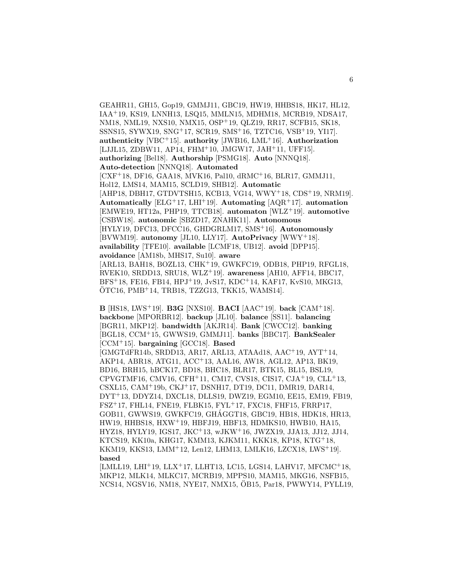GEAHR11, GH15, Gop19, GMMJ11, GBC19, HW19, HHBS18, HK17, HL12, IAA<sup>+</sup>19, KS19, LNNH13, LSQ15, MMLN15, MDHM18, MCRB19, NDSA17, NM18, NML19, NXS10, NMX15, OSP<sup>+</sup>19, QLZ19, RR17, SCFB15, SK18, SSNS15, SYWX19, SNG<sup>+</sup>17, SCR19, SMS<sup>+</sup>16, TZTC16, VSB<sup>+</sup>19, YI17]. **authenticity** [VBC<sup>+</sup>15]. **authority** [JWB16, LML<sup>+</sup>16]. **Authorization** [LJJL15, ZDBW11, AP14, FHM<sup>+</sup>10, JMGW17, JAH<sup>+</sup>11, UFF15]. **authorizing** [Bel18]. **Authorship** [PSMG18]. **Auto** [NNNQ18]. **Auto-detection** [NNNQ18]. **Automated** [CXF<sup>+</sup>18, DF16, GAA18, MVK16, Pal10, dRMC<sup>+</sup>16, BLR17, GMMJ11, Hol12, LMS14, MAM15, SCLD19, SHB12]. **Automatic** [AHP18, DBH17, GTDVTSH15, KCB13, VG14, WWY<sup>+</sup>18, CDS<sup>+</sup>19, NRM19]. **Automatically** [ELG<sup>+</sup>17, LHI<sup>+</sup>19]. **Automating** [AQR<sup>+</sup>17]. **automation** [EMWE19, HT12a, PHP19, TTCB18]. **automaton** [WLZ<sup>+</sup>19]. **automotive** [CSBW18]. **autonomic** [SBZD17, ZNAHK11]. **Autonomous** [HYLY19, DFC13, DFCC16, GHDGRLM17, SMS<sup>+</sup>16]. **Autonomously** [BVWM19]. **autonomy** [JL10, LLY17]. **AutoPrivacy** [WWY<sup>+</sup>18]. **availability** [TFE10]. **available** [LCMF18, UB12]. **avoid** [DPP15]. **avoidance** [AM18b, MHS17, Su10]. **aware** [ARL13, BAH18, BOZL13, CHK<sup>+</sup>19, GWKFC19, ODB18, PHP19, RFGL18, RVEK10, SRDD13, SRU18, WLZ<sup>+</sup>19]. **awareness** [AH10, AFF14, BBC17, BFS<sup>+</sup>18, FE16, FB14, HPJ<sup>+</sup>19, JvS17, KDC<sup>+</sup>14, KAF17, KvS10, MKG13,  $OTC16$ ,  $PMB<sup>+</sup>14$ , TRB18, TZZG13, TKK15, WAMS14.

**B** [HS18, LWS<sup>+</sup>19]. **B3G** [NXS10]. **BACI** [AAC<sup>+</sup>19]. **back** [CAM<sup>+</sup>18]. **backbone** [MPORBR12]. **backup** [JL10]. **balance** [SS11]. **balancing** [BGR11, MKP12]. **bandwidth** [AKJR14]. **Bank** [CWCC12]. **banking** [BGL18, CCM<sup>+</sup>15, GWWS19, GMMJ11]. **banks** [BBC17]. **BankSealer** [CCM<sup>+</sup>15]. **bargaining** [GCC18]. **Based** [GMGTdFR14b, SRDD13, AR17, ARL13, ATAAd18, AAC<sup>+</sup>19, AYT<sup>+</sup>14, AKP14, ABR18, ATG11, ACC<sup>+</sup>13, AAL16, AW18, AGL12, AP13, BK19, BD16, BRH15, hBCK17, BD18, BHC18, BLR17, BTK15, BL15, BSL19, CPVGTMF16, CMV16, CFH<sup>+</sup>11, CM17, CVS18, CIS17, CJA<sup>+</sup>19, CLL<sup>+</sup>13, CSXL15, CAM<sup>+</sup>19b, CKJ<sup>+</sup>17, DSNH17, DT19, DC11, DMR19, DAR14, DYT<sup>+</sup>13, DDYZ14, DXCL18, DLLS19, DWZ19, EGM10, EE15, EM19, FB19, FSZ<sup>+</sup>17, FHL14, FNE19, FLBK15, FYL<sup>+</sup>17, FXC18, FHF15, FRRP17, GOB11, GWWS19, GWKFC19, GHAGGT18, GBC19, HB18, HDK18, HR13, ´ HW19, HHBS18, HXW<sup>+</sup>19, HBFJ19, HBF13, HDMKS10, HWB10, HA15, HYZ18, HYLY19, IGS17, JKC<sup>+</sup>13, wJKW<sup>+</sup>16, JWZX19, JJA13, JJ12, JJ14, KTCS19, KK10a, KHG17, KMM13, KJKM11, KKK18, KP18, KTG<sup>+</sup>18, KKM19, KKS13, LMM<sup>+</sup>12, Len12, LHM13, LMLK16, LZCX18, LWS<sup>+</sup>19]. **based**

[LMLL19, LHI<sup>+</sup>19, LLX<sup>+</sup>17, LLHT13, LC15, LGS14, LAHV17, MFCMC<sup>+</sup>18, MKP12, MLK14, MLKC17, MCRB19, MPPS10, MAM15, MKG16, NSFB15, NCS14, NGSV16, NM18, NYE17, NMX15, OB15, Par18, PWWY14, PYLL19, ¨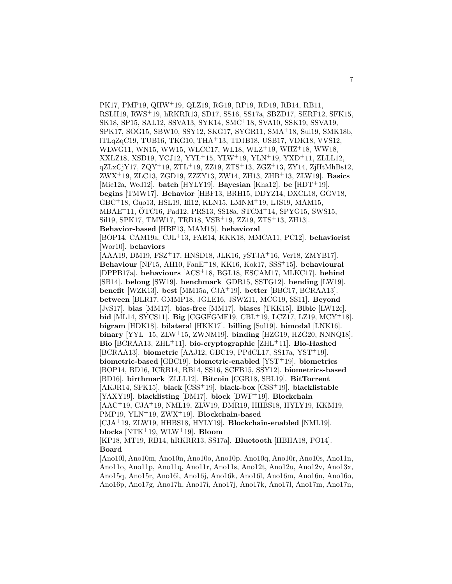PK17, PMP19, QHW<sup>+</sup>19, QLZ19, RG19, RP19, RD19, RB14, RB11, RSLH19, RWS<sup>+</sup>19, hRKRR13, SD17, SS16, SS17a, SBZD17, SERF12, SFK15, SK18, SP15, SAL12, SSVA13, SYK14, SMC<sup>+</sup>18, SVA10, SSK19, SSVA19, SPK17, SOG15, SBW10, SSY12, SKG17, SYGR11, SMA<sup>+</sup>18, Sul19, SMK18b, lTLqZqC19, TUB16, TKG10, THA<sup>+</sup>13, TDJB18, USB17, VDK18, VVS12, WLWG11, WN15, WW15, WLCC17, WL18, WLZ<sup>+</sup>19, WHZ<sup>+</sup>18, WW18, XXLZ18, XSD19, YCJ12, YYL<sup>+</sup>15, YLW<sup>+</sup>19, YLN<sup>+</sup>19, YXD<sup>+</sup>11, ZLLL12,  $qZLxCjY17, ZQY^+19, ZTL^+19, ZZ19, ZTS^+13, ZGZ^+13, ZY14, ZjHtMhBs12,$ ZWX<sup>+</sup>19, ZLC13, ZGD19, ZZZY13, ZW14, ZH13, ZHB<sup>+</sup>13, ZLW19]. **Basics** [Mic12a, Wed12]. **batch** [HYLY19]. **Bayesian** [Kha12]. **be** [HDT<sup>+</sup>19]. **begins** [TMW17]. **Behavior** [HBF13, BRH15, DDYZ14, DXCL18, GGV18, GBC<sup>+</sup>18, Guo13, HSL19, Ifi12, KLN15, LMNM<sup>+</sup>19, LJS19, MAM15, MBAE<sup>+</sup>11, OTC16, Pad12, PRS13, SS18a, STCM<sup>+</sup>14, SPYG15, SWS15, Sil19, SPK17, TMW17, TRB18, VSB<sup>+</sup>19, ZZ19, ZTS<sup>+</sup>13, ZH13]. **Behavior-based** [HBF13, MAM15]. **behavioral** [BOP14, CAM19a, CJL<sup>+</sup>13, FAE14, KKK18, MMCA11, PC12]. **behaviorist** [Wor10]. **behaviors** [AAA19, DM19, FSZ<sup>+</sup>17, HNSD18, JLK16, ySTJA<sup>+</sup>16, Ver18, ZMYB17]. **Behaviour** [NF15, AH10, FanE<sup>+</sup>18, KK16, Kok17, SSS<sup>+</sup>15]. **behavioural** [DPPB17a]. **behaviours** [ACS<sup>+</sup>18, BGL18, ESCAM17, MLKC17]. **behind** [SB14]. **belong** [SW19]. **benchmark** [GDR15, SSTG12]. **bending** [LW19]. **benefit** [WZK13]. **best** [MM15a, CJA<sup>+</sup>19]. **better** [BBC17, BCRAA13]. **between** [BLR17, GMMP18, JGLE16, JSWZ11, MCG19, SS11]. **Beyond** [JvS17]. **bias** [MM17]. **bias-free** [MM17]. **biases** [TKK15]. **Bible** [LW12e]. **bid** [ML14, SYCS11]. **Big** [CGGFGMF19, CBL<sup>+</sup>19, LCZ17, LZ19, MCY<sup>+</sup>18]. **bigram** [HDK18]. **bilateral** [HKK17]. **billing** [Sul19]. **bimodal** [LNK16]. **binary** [YYL<sup>+</sup>15, ZLW<sup>+</sup>15, ZWNM19]. **binding** [HZG19, HZG20, NNNQ18]. **Bio** [BCRAA13, ZHL<sup>+</sup>11]. **bio-cryptographic** [ZHL<sup>+</sup>11]. **Bio-Hashed** [BCRAA13]. **biometric** [AAJ12, GBC19, PPdCL17, SS17a, YST<sup>+</sup>19]. **biometric-based** [GBC19]. **biometric-enabled** [YST<sup>+</sup>19]. **biometrics** [BOP14, BD16, ICRB14, RB14, SS16, SCFB15, SSY12]. **biometrics-based** [BD16]. **birthmark** [ZLLL12]. **Bitcoin** [CGR18, SBL19]. **BitTorrent** [AKJR14, SFK15]. **black** [CSS<sup>+</sup>19]. **black-box** [CSS<sup>+</sup>19]. **blacklistable** [YAXY19]. **blacklisting** [DM17]. **block** [DWF<sup>+</sup>19]. **Blockchain** [AAC<sup>+</sup>19, CJA<sup>+</sup>19, NML19, ZLW19, DMR19, HHBS18, HYLY19, KKM19, PMP19, YLN<sup>+</sup>19, ZWX<sup>+</sup>19]. **Blockchain-based** [CJA<sup>+</sup>19, ZLW19, HHBS18, HYLY19]. **Blockchain-enabled** [NML19]. **blocks** [NTK<sup>+</sup>19, WLW<sup>+</sup>19]. **Bloom** [KP18, MT19, RB14, hRKRR13, SS17a]. **Bluetooth** [HBHA18, PO14]. **Board** [Ano10l, Ano10m, Ano10n, Ano10o, Ano10p, Ano10q, Ano10r, Ano10s, Ano11n, Ano11o, Ano11p, Ano11q, Ano11r, Ano11s, Ano12t, Ano12u, Ano12v, Ano13x,

Ano15q, Ano15r, Ano16i, Ano16j, Ano16k, Ano16l, Ano16m, Ano16n, Ano16o, Ano16p, Ano17g, Ano17h, Ano17i, Ano17j, Ano17k, Ano17l, Ano17m, Ano17n,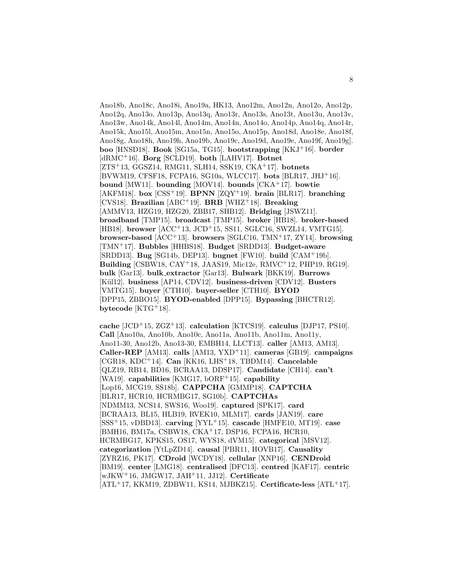Ano18b, Ano18c, Ano18i, Ano19a, HK13, Ano12m, Ano12n, Ano12o, Ano12p, Ano12q, Ano13o, Ano13p, Ano13q, Ano13r, Ano13s, Ano13t, Ano13u, Ano13v, Ano13w, Ano14k, Ano14l, Ano14m, Ano14n, Ano14o, Ano14p, Ano14q, Ano14r, Ano15k, Ano15l, Ano15m, Ano15n, Ano15o, Ano15p, Ano18d, Ano18e, Ano18f, Ano18g, Ano18h, Ano19h, Ano19b, Ano19c, Ano19d, Ano19e, Ano19f, Ano19g]. **boo** [HNSD18]. **Book** [SG15a, TG15]. **bootstrapping** [KKJ<sup>+</sup>16]. **border** [dRMC<sup>+</sup>16]. **Borg** [SCLD19]. **both** [LAHV17]. **Botnet** [ZTS<sup>+</sup>13, GGSZ14, RMG11, SLH14, SSK19, CKA<sup>+</sup>17]. **botnets** [BVWM19, CFSF18, FCPA16, SG10a, WLCC17]. **bots** [BLR17, JHJ<sup>+</sup>16]. **bound** [MW11]. **bounding** [MOV14]. **bounds** [CKA<sup>+</sup>17]. **bowtie** [AKFM18]. **box** [CSS<sup>+</sup>19]. **BPNN** [ZQY<sup>+</sup>19]. **brain** [BLR17]. **branching** [CVS18]. **Brazilian** [ABC<sup>+</sup>19]. **BRB** [WHZ<sup>+</sup>18]. **Breaking** [AMMV13, HZG19, HZG20, ZBB17, SHB12]. **Bridging** [JSWZ11]. **broadband** [TMP15]. **broadcast** [TMP15]. **broker** [HB18]. **broker-based** [HB18]. **browser** [ACC<sup>+</sup>13, JCD<sup>+</sup>15, SS11, SGLC16, SWZL14, VMTG15]. **browser-based** [ACC<sup>+</sup>13]. **browsers** [SGLC16, TMN<sup>+</sup>17, ZY14]. **browsing** [TMN<sup>+</sup>17]. **Bubbles** [HHBS18]. **Budget** [SRDD13]. **Budget-aware** [SRDD13]. **Bug** [SG14b, DEP13]. **bugnet** [FW10]. **build** [CAM<sup>+</sup>19b]. **Building** [CSBW18, CAY<sup>+</sup>18, JAAS19, Mic12e, RMVC<sup>+</sup>12, PHP19, RG19]. **bulk** [Gar13]. **bulk extractor** [Gar13]. **Bulwark** [BKK19]. **Burrows** [Kül12]. **business** [AP14, CDV12]. **business-driven** [CDV12]. **Busters** [VMTG15]. **buyer** [CTH10]. **buyer-seller** [CTH10]. **BYOD** [DPP15, ZBBO15]. **BYOD-enabled** [DPP15]. **Bypassing** [BHCTR12]. **bytecode** [KTG<sup>+</sup>18].

**cache** [JCD<sup>+</sup>15, ZGZ<sup>+</sup>13]. **calculation** [KTCS19]. **calculus** [DJP17, PS10]. **Call** [Ano10a, Ano10b, Ano10c, Ano11a, Ano11b, Ano11m, Ano11y, Ano11-30, Ano12b, Ano13-30, EMBH14, LLCT13]. **caller** [AM13, AM13]. **Caller-REP** [AM13]. **calls** [AM13, YXD<sup>+</sup>11]. **cameras** [GB19]. **campaigns** [CGR18, KDC<sup>+</sup>14]. **Can** [KK16, LHS<sup>+</sup>18, TBDM14]. **Cancelable** [QLZ19, RB14, BD16, BCRAA13, DDSP17]. **Candidate** [CH14]. **can't** [WA19]. **capabilities** [KMG17, bORF<sup>+</sup>15]. **capability** [Lop16, MCG19, SS18b]. **CAPPCHA** [GMMP18]. **CAPTCHA** [BLR17, HCR10, HCRMBG17, SG10b]. **CAPTCHAs** [NDMM13, NCS14, SWS16, Woo19]. **captured** [SPK17]. **card** [BCRAA13, BL15, HLB19, RVEK10, MLM17]. **cards** [JAN19]. **care** [SSS<sup>+</sup>15, vDBD13]. **carving** [YYL<sup>+</sup>15]. **cascade** [HMFE10, MT19]. **case** [BMH16, BM17a, CSBW18, CKA<sup>+</sup>17, DSP16, FCPA16, HCR10, HCRMBG17, KPKS15, OS17, WYS18, dVM15]. **categorical** [MSV12]. **categorization** [YtLpZD14]. **causal** [PBR11, HOVB17]. **Causality** [ZYRZ16, PK17]. **CDroid** [WCDY18]. **cellular** [XNP16]. **CENDroid** [BM19]. **center** [LMG18]. **centralised** [DFC13]. **centred** [KAF17]. **centric** [wJKW<sup>+</sup>16, JMGW17, JAH<sup>+</sup>11, JJ12]. **Certificate** [ATL<sup>+</sup>17, KKM19, ZDBW11, KS14, MJBKZ15]. **Certificate-less** [ATL<sup>+</sup>17].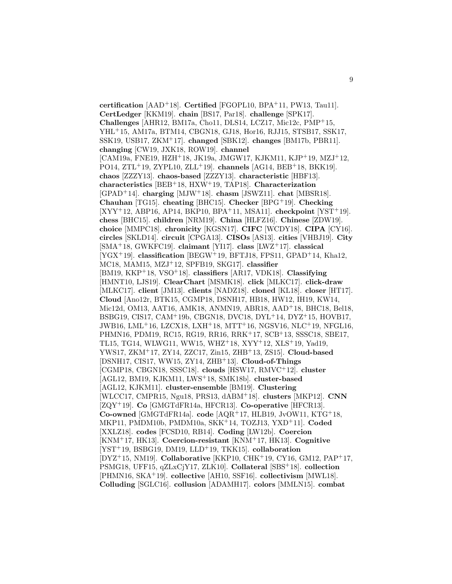**certification** [AAD<sup>+</sup>18]. **Certified** [FGOPL10, BPA<sup>+</sup>11, PW13, Tau11]. **CertLedger** [KKM19]. **chain** [BS17, Par18]. **challenge** [SPK17]. **Challenges** [AHR12, BM17a, Cho11, DLS14, LCZ17, Mic12c, PMP<sup>+</sup>15, YHL<sup>+</sup>15, AM17a, BTM14, CBGN18, GJ18, Hor16, RJJ15, STSB17, SSK17, SSK19, USB17, ZKM<sup>+</sup>17]. **changed** [SBK12]. **changes** [BM17b, PBR11]. **changing** [CW19, JXK18, ROW19]. **channel** [CAM19a, FNE19, HZH<sup>+</sup>18, JK19a, JMGW17, KJKM11, KJP<sup>+</sup>19, MZJ<sup>+</sup>12, PO14, ZTL<sup>+</sup>19, ZYPL10, ZLL<sup>+</sup>19]. **channels** [AG14, BEB<sup>+</sup>18, BKK19]. **chaos** [ZZZY13]. **chaos-based** [ZZZY13]. **characteristic** [HBF13]. **characteristics** [BEB<sup>+</sup>18, HXW<sup>+</sup>19, TAP18]. **Characterization** [GPAD<sup>+</sup>14]. **charging** [MJW<sup>+</sup>18]. **chasm** [JSWZ11]. **chat** [MBSR18]. **Chauhan** [TG15]. **cheating** [BHC15]. **Checker** [BPG<sup>+</sup>19]. **Checking** [XYY<sup>+</sup>12, ABP16, AP14, BKP10, BPA<sup>+</sup>11, MSA11]. **checkpoint** [YST<sup>+</sup>19]. **chess** [BHC15]. **children** [NRM19]. **China** [HLFZ16]. **Chinese** [ZDW19]. **choice** [MMPC18]. **chronicity** [KGSN17]. **CIFC** [WCDY18]. **CIPA** [CY16]. **circles** [SKLD14]. **circuit** [CPGA13]. **CISOs** [AS13]. **cities** [VHBJ19]. **City** [SMA<sup>+</sup>18, GWKFC19]. **claimant** [YI17]. **class** [LWZ<sup>+</sup>17]. **classical** [YGX<sup>+</sup>19]. **classification** [BEGW<sup>+</sup>19, BFTJ18, FPS11, GPAD<sup>+</sup>14, Kha12, MC18, MAM15, MZJ<sup>+</sup>12, SPFB19, SKG17]. **classifier** [BM19, KKP<sup>+</sup>18, VSO<sup>+</sup>18]. **classifiers** [AR17, VDK18]. **Classifying** [HMNT10, LJS19]. **ClearChart** [MSMK18]. **click** [MLKC17]. **click-draw** [MLKC17]. **client** [JM13]. **clients** [NADZ18]. **cloned** [KL18]. **closer** [HT17]. **Cloud** [Ano12r, BTK15, CGMP18, DSNH17, HB18, HW12, IH19, KW14, Mic12d, OM13, AAT16, AMK18, ANMN19, ABR18, AAD<sup>+</sup>18, BHC18, Bel18, BSBG19, CIS17, CAM<sup>+</sup>19b, CBGN18, DVC18, DYL<sup>+</sup>14, DYZ<sup>+</sup>15, HOVB17, JWB16, LML<sup>+</sup>16, LZCX18, LXH<sup>+</sup>18, MTT<sup>+</sup>16, NGSV16, NLC<sup>+</sup>19, NFGL16, PHMN16, PDM19, RC15, RG19, RR16, RRK<sup>+</sup>17, SCB<sup>+</sup>13, SSSC18, SBE17, TL15, TG14, WLWG11, WW15, WHZ<sup>+</sup>18, XYY<sup>+</sup>12, XLS<sup>+</sup>19, Yad19, YWS17, ZKM<sup>+</sup>17, ZY14, ZZC17, Zin15, ZHB<sup>+</sup>13, ZS15]. **Cloud-based** [DSNH17, CIS17, WW15, ZY14, ZHB<sup>+</sup>13]. **Cloud-of-Things** [CGMP18, CBGN18, SSSC18]. **clouds** [HSW17, RMVC<sup>+</sup>12]. **cluster** [AGL12, BM19, KJKM11, LWS<sup>+</sup>18, SMK18b]. **cluster-based** [AGL12, KJKM11]. **cluster-ensemble** [BM19]. **Clustering** [WLCC17, CMPR15, Ngu18, PRS13, dABM<sup>+</sup>18]. **clusters** [MKP12]. **CNN** [ZQY<sup>+</sup>19]. **Co** [GMGTdFR14a, HFCR13]. **Co-operative** [HFCR13]. **Co-owned** [GMGTdFR14a]. **code** [AQR<sup>+</sup>17, HLB19, JvOW11, KTG<sup>+</sup>18, MKP11, PMDM10b, PMDM10a, SKK<sup>+</sup>14, TOZJ13, YXD<sup>+</sup>11]. **Coded** [XXLZ18]. **codes** [FCSD10, RB14]. **Coding** [LW12b]. **Coercion** [KNM<sup>+</sup>17, HK13]. **Coercion-resistant** [KNM<sup>+</sup>17, HK13]. **Cognitive** [YST<sup>+</sup>19, BSBG19, DM19, LLD<sup>+</sup>19, TKK15]. **collaboration** [DYZ<sup>+</sup>15, NM19]. **Collaborative** [KKP10, CHK<sup>+</sup>19, CY16, GM12, PAP<sup>+</sup>17, PSMG18, UFF15, qZLxCjY17, ZLK10]. **Collateral** [SBS<sup>+</sup>18]. **collection** [PHMN16, SKA<sup>+</sup>19]. **collective** [AH10, SSF16]. **collectivism** [MWL18]. **Colluding** [SGLC16]. **collusion** [ADAMH17]. **colors** [MMLN15]. **combat**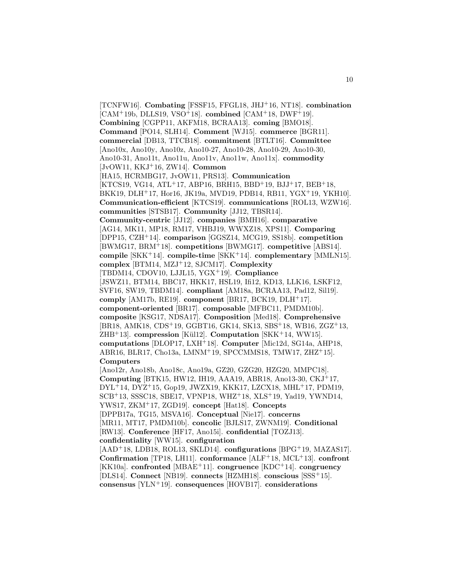[TCNFW16]. **Combating** [FSSF15, FFGL18, JHJ<sup>+</sup>16, NT18]. **combination** [CAM<sup>+</sup>19b, DLLS19, VSO<sup>+</sup>18]. **combined** [CAM<sup>+</sup>18, DWF<sup>+</sup>19]. **Combining** [CGPP11, AKFM18, BCRAA13]. **coming** [BMO18]. **Command** [PO14, SLH14]. **Comment** [WJ15]. **commerce** [BGR11]. **commercial** [DB13, TTCB18]. **commitment** [BTLT16]. **Committee** [Ano10x, Ano10y, Ano10z, Ano10-27, Ano10-28, Ano10-29, Ano10-30, Ano10-31, Ano11t, Ano11u, Ano11v, Ano11w, Ano11x]. **commodity** [JvOW11, KKJ<sup>+</sup>16, ZW14]. **Common** [HA15, HCRMBG17, JvOW11, PRS13]. **Communication** [KTCS19, VG14, ATL<sup>+</sup>17, ABP16, BRH15, BBD<sup>+</sup>19, BJJ<sup>+</sup>17, BEB<sup>+</sup>18, BKK19, DLH<sup>+</sup>17, Hor16, JK19a, MVD19, PDB14, RB11, YGX<sup>+</sup>19, YKH10]. **Communication-efficient** [KTCS19]. **communications** [ROL13, WZW16]. **communities** [STSB17]. **Community** [JJ12, TBSR14]. **Community-centric** [JJ12]. **companies** [BMH16]. **comparative** [AG14, MK11, MP18, RM17, VHBJ19, WWXZ18, XPS11]. **Comparing** [DPP15, CZH<sup>+</sup>14]. **comparison** [GGSZ14, MCG19, SS18b]. **competition** [BWMG17, BRM<sup>+</sup>18]. **competitions** [BWMG17]. **competitive** [ABS14]. **compile** [SKK<sup>+</sup>14]. **compile-time** [SKK<sup>+</sup>14]. **complementary** [MMLN15]. **complex** [BTM14, MZJ<sup>+</sup>12, SJCM17]. **Complexity** [TBDM14, CDOV10, LJJL15, YGX<sup>+</sup>19]. **Compliance** [JSWZ11, BTM14, BBC17, HKK17, HSL19, Ifi12, KD13, LLK16, LSKF12, SVF16, SW19, TBDM14]. **compliant** [AM18a, BCRAA13, Pad12, Sil19]. **comply** [AM17b, RE19]. **component** [BR17, BCK19, DLH<sup>+</sup>17]. **component-oriented** [BR17]. **composable** [MFBC11, PMDM10b]. **composite** [KSG17, NDSA17]. **Composition** [Med18]. **Comprehensive** [BR18, AMK18, CDS<sup>+</sup>19, GGBT16, GK14, SK13, SBS<sup>+</sup>18, WB16, ZGZ<sup>+</sup>13, ZHB<sup>+</sup>13]. **compression** [K¨ul12]. **Computation** [SKK<sup>+</sup>14, WW15]. **computations** [DLOP17, LXH<sup>+</sup>18]. **Computer** [Mic12d, SG14a, AHP18, ABR16, BLR17, Cho13a, LMNM<sup>+</sup>19, SPCCMMS18, TMW17, ZHZ<sup>+</sup>15]. **Computers** [Ano12r, Ano18b, Ano18c, Ano19a, GZ20, GZG20, HZG20, MMPC18]. **Computing** [BTK15, HW12, IH19, AAA19, ABR18, Ano13-30, CKJ<sup>+</sup>17, DYL<sup>+</sup>14, DYZ<sup>+</sup>15, Gop19, JWZX19, KKK17, LZCX18, MHL<sup>+</sup>17, PDM19, SCB<sup>+</sup>13, SSSC18, SBE17, VPNP18, WHZ<sup>+</sup>18, XLS<sup>+</sup>19, Yad19, YWND14, YWS17, ZKM<sup>+</sup>17, ZGD19]. **concept** [Hat18]. **Concepts** [DPPB17a, TG15, MSVA16]. **Conceptual** [Nie17]. **concerns** [MR11, MT17, PMDM10b]. **concolic** [BJLS17, ZWNM19]. **Conditional** [RW13]. **Conference** [HF17, Ano15i]. **confidential** [TOZJ13]. **confidentiality** [WW15]. **configuration** [AAD<sup>+</sup>18, LDB18, ROL13, SKLD14]. **configurations** [BPG<sup>+</sup>19, MAZAS17]. **Confirmation** [TP18, LH11]. **conformance** [ALF<sup>+</sup>18, MCL<sup>+</sup>13]. **confront** [KK10a]. **confronted** [MBAE<sup>+</sup>11]. **congruence** [KDC<sup>+</sup>14]. **congruency**

[DLS14]. **Connect** [NB19]. **connects** [HZMH18]. **conscious** [SSS<sup>+</sup>15]. **consensus** [YLN<sup>+</sup>19]. **consequences** [HOVB17]. **considerations**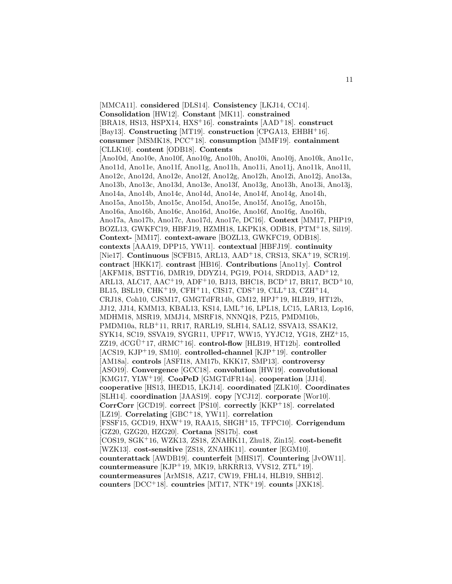[MMCA11]. **considered** [DLS14]. **Consistency** [LKJ14, CC14]. **Consolidation** [HW12]. **Constant** [MK11]. **constrained** [BRA18, HS13, HSPX14, HXS<sup>+</sup>16]. **constraints** [AAD<sup>+</sup>18]. **construct** [Bay13]. **Constructing** [MT19]. **construction** [CPGA13, EHBH<sup>+</sup>16]. **consumer** [MSMK18, PCC<sup>+</sup>18]. **consumption** [MMF19]. **containment** [CLLK10]. **content** [ODB18]. **Contents** [Ano10d, Ano10e, Ano10f, Ano10g, Ano10h, Ano10i, Ano10j, Ano10k, Ano11c, Ano11d, Ano11e, Ano11f, Ano11g, Ano11h, Ano11i, Ano11j, Ano11k, Ano11l, Ano12c, Ano12d, Ano12e, Ano12f, Ano12g, Ano12h, Ano12i, Ano12j, Ano13a, Ano13b, Ano13c, Ano13d, Ano13e, Ano13f, Ano13g, Ano13h, Ano13i, Ano13j, Ano14a, Ano14b, Ano14c, Ano14d, Ano14e, Ano14f, Ano14g, Ano14h, Ano15a, Ano15b, Ano15c, Ano15d, Ano15e, Ano15f, Ano15g, Ano15h, Ano16a, Ano16b, Ano16c, Ano16d, Ano16e, Ano16f, Ano16g, Ano16h, Ano17a, Ano17b, Ano17c, Ano17d, Ano17e, DC16]. **Context** [MM17, PHP19, BOZL13, GWKFC19, HBFJ19, HZMH18, LKPK18, ODB18, PTM<sup>+</sup>18, Sil19]. **Context-** [MM17]. **context-aware** [BOZL13, GWKFC19, ODB18]. **contexts** [AAA19, DPP15, YW11]. **contextual** [HBFJ19]. **continuity** [Nie17]. **Continuous** [SCFB15, ARL13, AAD<sup>+</sup>18, CRS13, SKA<sup>+</sup>19, SCR19]. **contract** [HKK17]. **contrast** [HB16]. **Contributions** [Ano11y]. **Control** [AKFM18, BSTT16, DMR19, DDYZ14, PG19, PO14, SRDD13, AAD<sup>+</sup>12, ARL13, ALC17, AAC<sup>+</sup>19, ADF<sup>+</sup>10, BJ13, BHC18, BCD<sup>+</sup>17, BR17, BCD<sup>+</sup>10, BL15, BSL19, CHK<sup>+</sup>19, CFH<sup>+</sup>11, CIS17, CDS<sup>+</sup>19, CLL<sup>+</sup>13, CZH<sup>+</sup>14, CRJ18, Coh10, CJSM17, GMGTdFR14b, GM12, HPJ<sup>+</sup>19, HLB19, HT12b, JJ12, JJ14, KMM13, KBAL13, KS14, LML<sup>+</sup>16, LPL18, LC15, LAR13, Lop16, MDHM18, MSR19, MMJ14, MSRF18, NNNQ18, PZ15, PMDM10b, PMDM10a, RLB<sup>+</sup>11, RR17, RARL19, SLH14, SAL12, SSVA13, SSAK12, SYK14, SC19, SSVA19, SYGR11, UPF17, WW15, YYJC12, YG18, ZHZ<sup>+</sup>15,  $ZZ19, dCGU+17, dRMC+16$ . **control-flow** [HLB19, HT12b]. **controlled** [ACS19, KJP<sup>+</sup>19, SM10]. **controlled-channel** [KJP<sup>+</sup>19]. **controller** [AM18a]. **controls** [ASFI18, AM17b, KKK17, SMP13]. **controversy** [ASO19]. **Convergence** [GCC18]. **convolution** [HW19]. **convolutional** [KMG17, YLW<sup>+</sup>19]. **CooPeD** [GMGTdFR14a]. **cooperation** [JJ14]. **cooperative** [HS13, IHED15, LKJ14]. **coordinated** [ZLK10]. **Coordinates** [SLH14]. **coordination** [JAAS19]. **copy** [YCJ12]. **corporate** [Wor10]. **CorrCorr** [GCD19]. **correct** [PS10]. **correctly** [KKP<sup>+</sup>18]. **correlated** [LZ19]. **Correlating** [GBC<sup>+</sup>18, YW11]. **correlation** [FSSF15, GCD19, HXW<sup>+</sup>19, RAA15, SHGH<sup>+</sup>15, TFPC10]. **Corrigendum** [GZ20, GZG20, HZG20]. **Cortana** [SS17b]. **cost** [COS19, SGK<sup>+</sup>16, WZK13, ZS18, ZNAHK11, Zhu18, Zin15]. **cost-benefit** [WZK13]. **cost-sensitive** [ZS18, ZNAHK11]. **counter** [EGM10]. **counterattack** [AWDB19]. **counterfeit** [MHS17]. **Countering** [JvOW11]. **countermeasure** [KJP<sup>+</sup>19, MK19, hRKRR13, VVS12, ZTL<sup>+</sup>19]. **countermeasures** [ArMS18, AZ17, CW19, FHL14, HLB19, SHB12]. **counters** [DCC<sup>+</sup>18]. **countries** [MT17, NTK<sup>+</sup>19]. **counts** [JXK18].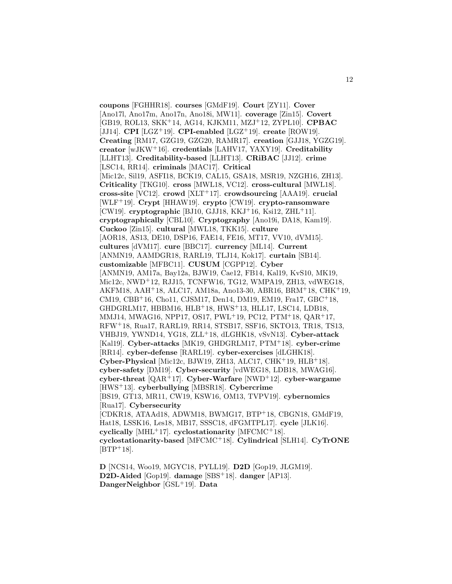**coupons** [FGHHR18]. **courses** [GMdF19]. **Court** [ZY11]. **Cover** [Ano17l, Ano17m, Ano17n, Ano18i, MW11]. **coverage** [Zin15]. **Covert** [GB19, ROL13, SKK<sup>+</sup>14, AG14, KJKM11, MZJ<sup>+</sup>12, ZYPL10]. **CPBAC** [JJ14]. **CPI** [LGZ<sup>+</sup>19]. **CPI-enabled** [LGZ<sup>+</sup>19]. **create** [ROW19]. **Creating** [RM17, GZG19, GZG20, RAMR17]. **creation** [GJJ18, YGZG19]. **creator** [wJKW<sup>+</sup>16]. **credentials** [LAHV17, YAXY19]. **Creditability** [LLHT13]. **Creditability-based** [LLHT13]. **CRiBAC** [JJ12]. **crime** [LSC14, RR14]. **criminals** [MAC17]. **Critical** [Mic12c, Sil19, ASFI18, BCK19, CAL15, GSA18, MSR19, NZGH16, ZH13]. **Criticality** [TKG10]. **cross** [MWL18, VC12]. **cross-cultural** [MWL18]. **cross-site** [VC12]. **crowd** [XLT<sup>+</sup>17]. **crowdsourcing** [AAA19]. **crucial** [WLF<sup>+</sup>19]. **Crypt** [HHAW19]. **crypto** [CW19]. **crypto-ransomware** [CW19]. **cryptographic** [BJ10, GJJ18, KKJ<sup>+</sup>16, Ksi12, ZHL<sup>+</sup>11]. **cryptographically** [CBL10]. **Cryptography** [Ano19i, DA18, Kam19]. **Cuckoo** [Zin15]. **cultural** [MWL18, TKK15]. **culture** [AOR18, AS13, DE10, DSP16, FAE14, FE16, MT17, VV10, dVM15]. **cultures** [dVM17]. **cure** [BBC17]. **currency** [ML14]. **Current** [ANMN19, AAMDGR18, RARL19, TLJ14, Kok17]. **curtain** [SB14]. **customizable** [MFBC11]. **CUSUM** [CGPP12]. **Cyber** [ANMN19, AM17a, Bay12a, BJW19, Cae12, FB14, Kal19, KvS10, MK19, Mic12c, NWD<sup>+</sup>12, RJJ15, TCNFW16, TG12, WMPA19, ZH13, vdWEG18, AKFM18, AAH<sup>+</sup>18, ALC17, AM18a, Ano13-30, ABR16, BRM<sup>+</sup>18, CHK<sup>+</sup>19, CM19, CBB<sup>+</sup>16, Cho11, CJSM17, Den14, DM19, EM19, Fra17, GBC<sup>+</sup>18, GHDGRLM17, HBBM16, HLB<sup>+</sup>18, HWS<sup>+</sup>13, HLL17, LSC14, LDB18, MMJ14, MWAG16, NPP17, OS17, PWL<sup>+</sup>19, PC12, PTM<sup>+</sup>18, QAR<sup>+</sup>17, RFW<sup>+</sup>18, Rua17, RARL19, RR14, STSB17, SSF16, SKTO13, TR18, TS13, VHBJ19, YWND14, YG18, ZLL<sup>+</sup>18, dLGHK18, vSvN13]. **Cyber-attack** [Kal19]. **Cyber-attacks** [MK19, GHDGRLM17, PTM<sup>+</sup>18]. **cyber-crime** [RR14]. **cyber-defense** [RARL19]. **cyber-exercises** [dLGHK18]. **Cyber-Physical** [Mic12c, BJW19, ZH13, ALC17, CHK<sup>+</sup>19, HLB<sup>+</sup>18]. **cyber-safety** [DM19]. **Cyber-security** [vdWEG18, LDB18, MWAG16]. **cyber-threat** [QAR<sup>+</sup>17]. **Cyber-Warfare** [NWD<sup>+</sup>12]. **cyber-wargame** [HWS<sup>+</sup>13]. **cyberbullying** [MBSR18]. **Cybercrime** [BS19, GT13, MR11, CW19, KSW16, OM13, TVPV19]. **cybernomics** [Rua17]. **Cybersecurity** [CDKR18, ATAAd18, ADWM18, BWMG17, BTP<sup>+</sup>18, CBGN18, GMdF19, Hat18, LSSK16, Les18, MB17, SSSC18, dFGMTPL17]. **cycle** [JLK16]. **cyclically** [MHL<sup>+</sup>17]. **cyclostationarity** [MFCMC<sup>+</sup>18]. **cyclostationarity-based** [MFCMC<sup>+</sup>18]. **Cylindrical** [SLH14]. **CyTrONE**  $[BTP+18]$ .

**D** [NCS14, Woo19, MGYC18, PYLL19]. **D2D** [Gop19, JLGM19]. **D2D-Aided** [Gop19]. **damage** [SBS<sup>+</sup>18]. **danger** [AP13]. **DangerNeighbor** [GSL<sup>+</sup>19]. **Data**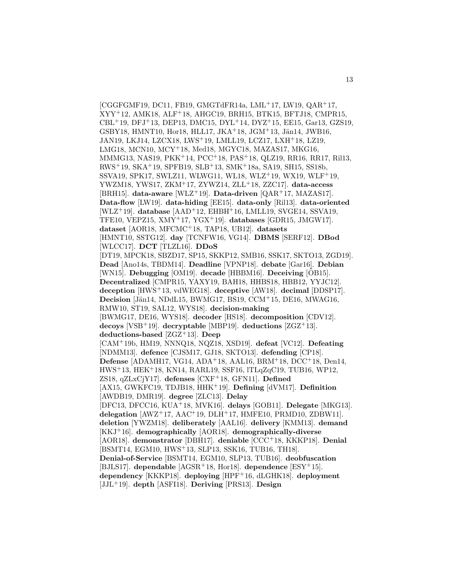[CGGFGMF19, DC11, FB19, GMGTdFR14a, LML<sup>+</sup>17, LW19, QAR<sup>+</sup>17, XYY<sup>+</sup>12, AMK18, ALF<sup>+</sup>18, AHGC19, BRH15, BTK15, BFTJ18, CMPR15, CBL<sup>+</sup>19, DFJ<sup>+</sup>13, DEP13, DMC15, DYL<sup>+</sup>14, DYZ<sup>+</sup>15, EE15, Gar13, GZS19, GSBY18, HMNT10, Hor18, HLL17, JKA+18, JGM+13, Jän14, JWB16, JAN19, LKJ14, LZCX18, LWS<sup>+</sup>19, LMLL19, LCZ17, LXH<sup>+</sup>18, LZ19, LMG18, MCN10, MCY<sup>+</sup>18, Med18, MGYC18, MAZAS17, MKG16, MMMG13, NAS19, PKK<sup>+</sup>14, PCC<sup>+</sup>18, PAS<sup>+</sup>18, QLZ19, RR16, RR17, Ril13, RWS<sup>+</sup>19, SKA<sup>+</sup>19, SPFB19, SLB<sup>+</sup>13, SMK<sup>+</sup>18a, SA19, SH15, SS18b, SSVA19, SPK17, SWLZ11, WLWG11, WL18, WLZ<sup>+</sup>19, WX19, WLF<sup>+</sup>19, YWZM18, YWS17, ZKM<sup>+</sup>17, ZYWZ14, ZLL<sup>+</sup>18, ZZC17]. **data-access** [BRH15]. **data-aware** [WLZ<sup>+</sup>19]. **Data-driven** [QAR<sup>+</sup>17, MAZAS17]. **Data-flow** [LW19]. **data-hiding** [EE15]. **data-only** [Ril13]. **data-oriented** [WLZ<sup>+</sup>19]. **database** [AAD<sup>+</sup>12, EHBH<sup>+</sup>16, LMLL19, SVGE14, SSVA19, TFE10, VEPZ15, XMY<sup>+</sup>17, YGX<sup>+</sup>19]. **databases** [GDR15, JMGW17]. **dataset** [AOR18, MFCMC<sup>+</sup>18, TAP18, UB12]. **datasets** [HMNT10, SSTG12]. **day** [TCNFW16, VG14]. **DBMS** [SERF12]. **DBod** [WLCC17]. **DCT** [TLZL16]. **DDoS** [DT19, MPCK18, SBZD17, SP15, SKKP12, SMB16, SSK17, SKTO13, ZGD19]. **Dead** [Ano14s, TBDM14]. **Deadline** [VPNP18]. **debate** [Gar16]. **Debian** [WN15]. **Debugging** [OM19]. **decade** [HBBM16]. **Deceiving** [OB15]. **Decentralized** [CMPR15, YAXY19, BAH18, HHBS18, HBB12, YYJC12]. **deception** [HWS<sup>+</sup>13, vdWEG18]. **deceptive** [AW18]. **decimal** [DDSP17]. **Decision** [Jän14, NDdL15, BWMG17, BS19, CCM<sup>+</sup>15, DE16, MWAG16, RMW10, ST19, SAL12, WYS18]. **decision-making** [BWMG17, DE16, WYS18]. **decoder** [HS18]. **decomposition** [CDV12]. **decoys** [VSB<sup>+</sup>19]. **decryptable** [MBP19]. **deductions** [ZGZ<sup>+</sup>13]. **deductions-based** [ZGZ<sup>+</sup>13]. **Deep** [CAM<sup>+</sup>19b, HM19, NNNQ18, NQZ18, XSD19]. **defeat** [VC12]. **Defeating** [NDMM13]. **defence** [CJSM17, GJ18, SKTO13]. **defending** [CP18]. **Defense** [ADAMH17, VG14, ADA<sup>+</sup>18, AAL16, BRM<sup>+</sup>18, DCC<sup>+</sup>18, Den14, HWS<sup>+</sup>13, HEK<sup>+</sup>18, KN14, RARL19, SSF16, lTLqZqC19, TUB16, WP12, ZS18, qZLxCjY17]. **defenses** [CXF<sup>+</sup>18, GFN11]. **Defined** [AX15, GWKFC19, TDJB18, HHK<sup>+</sup>19]. **Defining** [dVM17]. **Definition** [AWDB19, DMR19]. **degree** [ZLC13]. **Delay** [DFC13, DFCC16, KUA<sup>+</sup>18, MVK16]. **delays** [GOB11]. **Delegate** [MKG13]. **delegation** [AWZ<sup>+</sup>17, AAC<sup>+</sup>19, DLH<sup>+</sup>17, HMFE10, PRMD10, ZDBW11]. **deletion** [YWZM18]. **deliberately** [AAL16]. **delivery** [KMM13]. **demand** [KKJ<sup>+</sup>16]. **demographically** [AOR18]. **demographically-diverse** [AOR18]. **demonstrator** [DBH17]. **deniable** [CCC<sup>+</sup>18, KKKP18]. **Denial** [BSMT14, EGM10, HWS<sup>+</sup>13, SLP13, SSK16, TUB16, TH18]. **Denial-of-Service** [BSMT14, EGM10, SLP13, TUB16]. **deobfuscation** [BJLS17]. **dependable** [AGSR<sup>+</sup>18, Hor18]. **dependence** [ESY<sup>+</sup>15]. **dependency** [KKKP18]. **deploying** [HPF<sup>+</sup>16, dLGHK18]. **deployment** [JJL<sup>+</sup>19]. **depth** [ASFI18]. **Deriving** [PRS13]. **Design**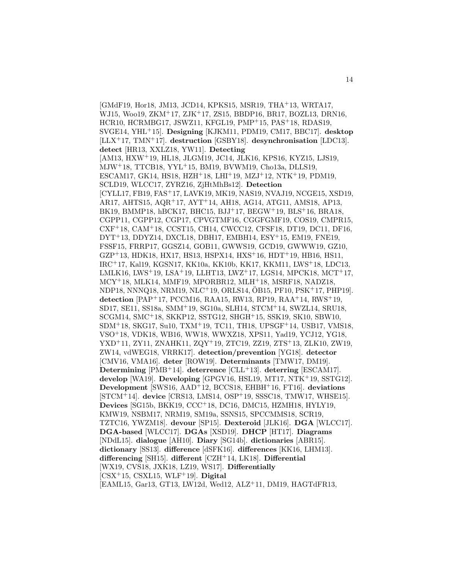[GMdF19, Hor18, JM13, JCD14, KPKS15, MSR19, THA<sup>+</sup>13, WRTA17, WJ15, Woo19, ZKM<sup>+</sup>17, ZJK<sup>+</sup>17, ZS15, BBDP16, BR17, BOZL13, DRN16, HCR10, HCRMBG17, JSWZ11, KFGL19, PMP<sup>+</sup>15, PAS<sup>+</sup>18, RDAS19, SVGE14, YHL<sup>+</sup>15]. **Designing** [KJKM11, PDM19, CM17, BBC17]. **desktop** [LLX<sup>+</sup>17, TMN<sup>+</sup>17]. **destruction** [GSBY18]. **desynchronisation** [LDC13]. **detect** [HR13, XXLZ18, YW11]. **Detecting** [AM13, HXW<sup>+</sup>19, HL18, JLGM19, JC14, JLK16, KPS16, KYZ15, LJS19, MJW<sup>+</sup>18, TTCB18, YYL<sup>+</sup>15, BM19, BVWM19, Cho13a, DLLS19, ESCAM17, GK14, HS18, HZH<sup>+</sup>18, LHI<sup>+</sup>19, MZJ<sup>+</sup>12, NTK<sup>+</sup>19, PDM19, SCLD19, WLCC17, ZYRZ16, ZjHtMhBs12]. **Detection** [CYLL17, FB19, FAS<sup>+</sup>17, LAVK19, MK19, NAS19, NVAJ19, NCGE15, XSD19, AR17, AHTS15, AQR<sup>+</sup>17, AYT<sup>+</sup>14, AH18, AG14, ATG11, AMS18, AP13, BK19, BMMP18, hBCK17, BHC15, BJJ<sup>+</sup>17, BEGW<sup>+</sup>19, BLS<sup>+</sup>16, BRA18, CGPP11, CGPP12, CGP17, CPVGTMF16, CGGFGMF19, COS19, CMPR15, CXF<sup>+</sup>18, CAM<sup>+</sup>18, CCST15, CH14, CWCC12, CFSF18, DT19, DC11, DF16, DYT<sup>+</sup>13, DDYZ14, DXCL18, DBH17, EMBH14, ESY<sup>+</sup>15, EM19, FNE19, FSSF15, FRRP17, GGSZ14, GOB11, GWWS19, GCD19, GWWW19, GZ10, GZP<sup>+</sup>13, HDK18, HX17, HS13, HSPX14, HXS<sup>+</sup>16, HDT<sup>+</sup>19, HB16, HS11, IRC<sup>+</sup>17, Kal19, KGSN17, KK10a, KK10b, KK17, KKM11, LWS<sup>+</sup>18, LDC13, LMLK16, LWS<sup>+</sup>19, LSA<sup>+</sup>19, LLHT13, LWZ<sup>+</sup>17, LGS14, MPCK18, MCT<sup>+</sup>17, MCY<sup>+</sup>18, MLK14, MMF19, MPORBR12, MLH<sup>+</sup>18, MSRF18, NADZ18,  $NDP18, NNNQ18, NRM19, NLC<sup>+</sup>19, ORLS14, OB15, PF10, PSK<sup>+</sup>17, PHP19].$ **detection** [PAP<sup>+</sup>17, PCCM16, RAA15, RW13, RP19, RAA<sup>+</sup>14, RWS<sup>+</sup>19, SD17, SE11, SS18a, SMM<sup>+</sup>19, SG10a, SLH14, STCM<sup>+</sup>14, SWZL14, SRU18, SCGM14, SMC<sup>+</sup>18, SKKP12, SSTG12, SHGH<sup>+</sup>15, SSK19, SK10, SBW10, SDM<sup>+</sup>18, SKG17, Su10, TXM<sup>+</sup>19, TC11, TH18, UPSGF<sup>+</sup>14, USB17, VMS18, VSO<sup>+</sup>18, VDK18, WB16, WW18, WWXZ18, XPS11, Yad19, YCJ12, YG18, YXD<sup>+</sup>11, ZY11, ZNAHK11, ZQY<sup>+</sup>19, ZTC19, ZZ19, ZTS<sup>+</sup>13, ZLK10, ZW19, ZW14, vdWEG18, VRRK17]. **detection/prevention** [YG18]. **detector** [CMV16, VMA16]. **deter** [ROW19]. **Determinants** [TMW17, DM19]. **Determining** [PMB<sup>+</sup>14]. **deterrence** [CLL<sup>+</sup>13]. **deterring** [ESCAM17]. **develop** [WA19]. **Developing** [GPGV16, HSL19, MT17, NTK<sup>+</sup>19, SSTG12]. **Development** [SWS16, AAD<sup>+</sup>12, BCCS18, EHBH<sup>+</sup>16, FT16]. **deviations** [STCM<sup>+</sup>14]. **device** [CRS13, LMS14, OSP<sup>+</sup>19, SSSC18, TMW17, WHSE15]. **Devices** [SG15b, BKK19, CCC<sup>+</sup>18, DC16, DMC15, HZMH18, HYLY19, KMW19, NSBM17, NRM19, SM19a, SSNS15, SPCCMMS18, SCR19, TZTC16, YWZM18]. **devour** [SP15]. **Dexteroid** [JLK16]. **DGA** [WLCC17]. **DGA-based** [WLCC17]. **DGAs** [XSD19]. **DHCP** [HT17]. **Diagrams** [NDdL15]. **dialogue** [AH10]. **Diary** [SG14b]. **dictionaries** [ABR15]. **dictionary** [SS13]. **difference** [dSFK16]. **differences** [KK16, LHM13]. **differencing** [SH15]. **different** [CZH<sup>+</sup>14, LK18]. **Differential** [WX19, CVS18, JXK18, LZ19, WS17]. **Differentially** [CSX<sup>+</sup>15, CSXL15, WLF<sup>+</sup>19]. **Digital** [EAML15, Gar13, GT13, LW12d, Wed12, ALZ<sup>+</sup>11, DM19, HAGTdFR13,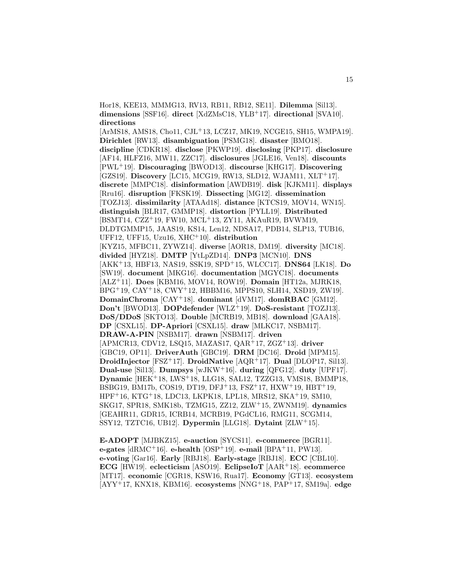Hor18, KEE13, MMMG13, RV13, RB11, RB12, SE11]. **Dilemma** [Sil13]. **dimensions** [SSF16]. **direct** [XdZMsC18, YLB<sup>+</sup>17]. **directional** [SVA10]. **directions**

[ArMS18, AMS18, Cho11, CJL<sup>+</sup>13, LCZ17, MK19, NCGE15, SH15, WMPA19]. **Dirichlet** [RW13]. **disambiguation** [PSMG18]. **disaster** [BMO18]. **discipline** [CDKR18]. **disclose** [PKWP19]. **disclosing** [PKP17]. **disclosure** [AF14, HLFZ16, MW11, ZZC17]. **disclosures** [JGLE16, Ven18]. **discounts** [PWL<sup>+</sup>19]. **Discouraging** [BWOD13]. **discourse** [KHG17]. **Discovering** [GZS19]. **Discovery** [LC15, MCG19, RW13, SLD12, WJAM11, XLT<sup>+</sup>17]. **discrete** [MMPC18]. **disinformation** [AWDB19]. **disk** [KJKM11]. **displays** [Rru16]. **disruption** [FKSK19]. **Dissecting** [MG12]. **dissemination** [TOZJ13]. **dissimilarity** [ATAAd18]. **distance** [KTCS19, MOV14, WN15]. **distinguish** [BLR17, GMMP18]. **distortion** [PYLL19]. **Distributed** [BSMT14, CZZ<sup>+</sup>19, FW10, MCL<sup>+</sup>13, ZY11, AKAuR19, BVWM19, DLDTGMMP15, JAAS19, KS14, Len12, NDSA17, PDB14, SLP13, TUB16, UFF12, UFF15, Uzu16, XHC<sup>+</sup>10]. **distribution** [KYZ15, MFBC11, ZYWZ14]. **diverse** [AOR18, DM19]. **diversity** [MC18]. **divided** [HYZ18]. **DMTP** [YtLpZD14]. **DNP3** [MCN10]. **DNS** [AKK<sup>+</sup>13, HBF13, NAS19, SSK19, SPD<sup>+</sup>15, WLCC17]. **DNS64** [LK18]. **Do** [SW19]. **document** [MKG16]. **documentation** [MGYC18]. **documents** [ALZ<sup>+</sup>11]. **Does** [KBM16, MOV14, ROW19]. **Domain** [HT12a, MJRK18, BPG<sup>+</sup>19, CAY<sup>+</sup>18, CWY<sup>+</sup>12, HBBM16, MPPS10, SLH14, XSD19, ZW19]. **DomainChroma** [CAY<sup>+</sup>18]. **dominant** [dVM17]. **domRBAC** [GM12]. **Don't** [BWOD13]. **DOPdefender** [WLZ<sup>+</sup>19]. **DoS-resistant** [TOZJ13]. **DoS/DDoS** [SKTO13]. **Double** [MCRB19, MB18]. **download** [GAA18]. **DP** [CSXL15]. **DP-Apriori** [CSXL15]. **draw** [MLKC17, NSBM17]. **DRAW-A-PIN** [NSBM17]. **drawn** [NSBM17]. **driven** [APMCR13, CDV12, LSQ15, MAZAS17, QAR<sup>+</sup>17, ZGZ<sup>+</sup>13]. **driver** [GBC19, OP11]. **DriverAuth** [GBC19]. **DRM** [DC16]. **Droid** [MPM15]. **DroidInjector** [FSZ<sup>+</sup>17]. **DroidNative** [AQR<sup>+</sup>17]. **Dual** [DLOP17, Sil13]. **Dual-use** [Sil13]. **Dumpsys** [wJKW<sup>+</sup>16]. **during** [QFG12]. **duty** [UPF17]. **Dynamic** [HEK<sup>+</sup>18, LWS<sup>+</sup>18, LLG18, SAL12, TZZG13, VMS18, BMMP18, BSBG19, BM17b, COS19, DT19, DFJ<sup>+</sup>13, FSZ<sup>+</sup>17, HXW<sup>+</sup>19, HBT<sup>+</sup>19, HPF<sup>+</sup>16, KTG<sup>+</sup>18, LDC13, LKPK18, LPL18, MRS12, SKA<sup>+</sup>19, SM10, SKG17, SPR18, SMK18b, TZMG15, ZZ12, ZLW<sup>+</sup>15, ZWNM19]. **dynamics** [GEAHR11, GDR15, ICRB14, MCRB19, PGdCL16, RMG11, SCGM14, SSY12, TZTC16, UB12]. **Dypermin** [LLG18]. **Dytaint** [ZLW<sup>+</sup>15].

**E-ADOPT** [MJBKZ15]. **e-auction** [SYCS11]. **e-commerce** [BGR11]. **e-gates** [dRMC<sup>+</sup>16]. **e-health** [OSP<sup>+</sup>19]. **e-mail** [BPA<sup>+</sup>11, PW13]. **e-voting** [Gar16]. **Early** [RBJ18]. **Early-stage** [RBJ18]. **ECC** [CBL10]. **ECG** [HW19]. **eclecticism** [ASO19]. **EclipseIoT** [AAR<sup>+</sup>18]. **ecommerce** [MT17]. **economic** [CGR18, KSW16, Rua17]. **Economy** [GT13]. **ecosystem** [AYY<sup>+</sup>17, KNX18, KBM16]. **ecosystems** [NNG<sup>+</sup>18, PAP<sup>+</sup>17, SM19a]. **edge**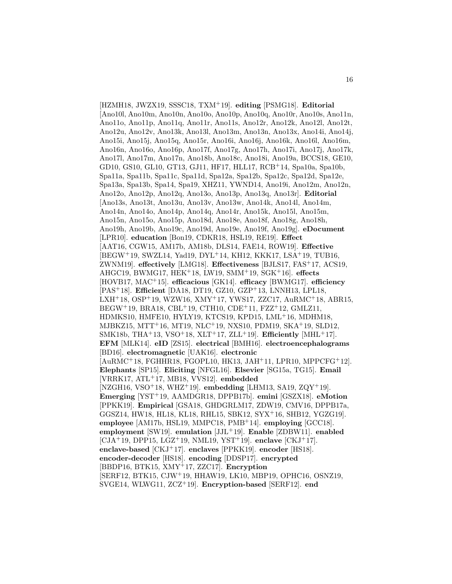[HZMH18, JWZX19, SSSC18, TXM<sup>+</sup>19]. **editing** [PSMG18]. **Editorial** [Ano10l, Ano10m, Ano10n, Ano10o, Ano10p, Ano10q, Ano10r, Ano10s, Ano11n, Ano11o, Ano11p, Ano11q, Ano11r, Ano11s, Ano12r, Ano12k, Ano12l, Ano12t, Ano12u, Ano12v, Ano13k, Ano13l, Ano13m, Ano13n, Ano13x, Ano14i, Ano14j, Ano15i, Ano15j, Ano15q, Ano15r, Ano16i, Ano16j, Ano16k, Ano16l, Ano16m, Ano16n, Ano16o, Ano16p, Ano17f, Ano17g, Ano17h, Ano17i, Ano17j, Ano17k, Ano17l, Ano17m, Ano17n, Ano18b, Ano18c, Ano18i, Ano19a, BCCS18, GE10, GD10, GS10, GL10, GT13, GJ11, HF17, HLL17, RCB<sup>+</sup>14, Spa10a, Spa10b, Spa11a, Spa11b, Spa11c, Spa11d, Spa12a, Spa12b, Spa12c, Spa12d, Spa12e, Spa13a, Spa13b, Spa14, Spa19, XHZ11, YWND14, Ano19i, Ano12m, Ano12n, Ano12o, Ano12p, Ano12q, Ano13o, Ano13p, Ano13q, Ano13r]. **Editorial** [Ano13s, Ano13t, Ano13u, Ano13v, Ano13w, Ano14k, Ano14l, Ano14m, Ano14n, Ano14o, Ano14p, Ano14q, Ano14r, Ano15k, Ano15l, Ano15m, Ano15n, Ano15o, Ano15p, Ano18d, Ano18e, Ano18f, Ano18g, Ano18h, Ano19h, Ano19b, Ano19c, Ano19d, Ano19e, Ano19f, Ano19g]. **eDocument** [LPR10]. **education** [Bon19, CDKR18, HSL19, RE19]. **Effect** [AAT16, CGW15, AM17b, AM18b, DLS14, FAE14, ROW19]. **Effective** [BEGW<sup>+</sup>19, SWZL14, Yad19, DYL<sup>+</sup>14, KH12, KKK17, LSA<sup>+</sup>19, TUB16, ZWNM19]. **effectively** [LMG18]. **Effectiveness** [BJLS17, FAS<sup>+</sup>17, ACS19, AHGC19, BWMG17, HEK<sup>+</sup>18, LW19, SMM<sup>+</sup>19, SGK<sup>+</sup>16]. **effects** [HOVB17, MAC<sup>+</sup>15]. **efficacious** [GK14]. **efficacy** [BWMG17]. **efficiency** [PAS<sup>+</sup>18]. **Efficient** [DA18, DT19, GZ10, GZP<sup>+</sup>13, LNNH13, LPL18, LXH<sup>+</sup>18, OSP<sup>+</sup>19, WZW16, XMY<sup>+</sup>17, YWS17, ZZC17, AuRMC<sup>+</sup>18, ABR15, BEGW<sup>+</sup>19, BRA18, CBL<sup>+</sup>19, CTH10, CDE<sup>+</sup>11, FZZ<sup>+</sup>12, GMLZ11, HDMKS10, HMFE10, HYLY19, KTCS19, KPD15, LML<sup>+</sup>16, MDHM18, MJBKZ15, MTT<sup>+</sup>16, MT19, NLC<sup>+</sup>19, NXS10, PDM19, SKA<sup>+</sup>19, SLD12, SMK18b, THA<sup>+</sup>13, VSO<sup>+</sup>18, XLT<sup>+</sup>17, ZLL<sup>+</sup>19]. **Efficiently** [MHL<sup>+</sup>17]. **EFM** [MLK14]. **eID** [ZS15]. **electrical** [BMH16]. **electroencephalograms** [BD16]. **electromagnetic** [UAK16]. **electronic** [AuRMC<sup>+</sup>18, FGHHR18, FGOPL10, HK13, JAH<sup>+</sup>11, LPR10, MPPCFG<sup>+</sup>12]. **Elephants** [SP15]. **Eliciting** [NFGL16]. **Elsevier** [SG15a, TG15]. **Email** [VRRK17, ATL<sup>+</sup>17, MB18, VVS12]. **embedded** [NZGH16, VSO<sup>+</sup>18, WHZ<sup>+</sup>19]. **embedding** [LHM13, SA19, ZQY<sup>+</sup>19]. **Emerging** [YST<sup>+</sup>19, AAMDGR18, DPPB17b]. **emini** [GSZX18]. **eMotion** [PPKK19]. **Empirical** [GSA18, GHDGRLM17, ZDW19, CMV16, DPPB17a, GGSZ14, HW18, HL18, KL18, RHL15, SBK12, SYX<sup>+</sup>16, SHB12, YGZG19]. **employee** [AM17b, HSL19, MMPC18, PMB<sup>+</sup>14]. **employing** [GCC18]. **employment** [SW19]. **emulation** [JJL<sup>+</sup>19]. **Enable** [ZDBW11]. **enabled** [CJA<sup>+</sup>19, DPP15, LGZ<sup>+</sup>19, NML19, YST<sup>+</sup>19]. **enclave** [CKJ<sup>+</sup>17]. **enclave-based** [CKJ<sup>+</sup>17]. **enclaves** [PPKK19]. **encoder** [HS18]. **encoder-decoder** [HS18]. **encoding** [DDSP17]. **encrypted** [BBDP16, BTK15, XMY<sup>+</sup>17, ZZC17]. **Encryption** [SERF12, BTK15, CJW<sup>+</sup>19, HHAW19, LK10, MBP19, OPHC16, OSNZ19, SVGE14, WLWG11, ZCZ<sup>+</sup>19]. **Encryption-based** [SERF12]. **end**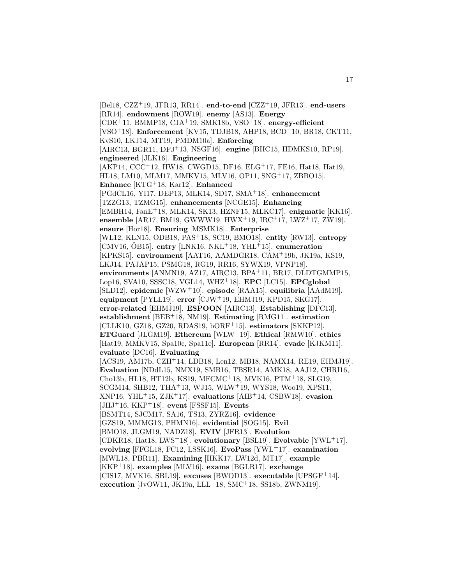[Bel18, CZZ<sup>+</sup>19, JFR13, RR14]. **end-to-end** [CZZ<sup>+</sup>19, JFR13]. **end-users** [RR14]. **endowment** [ROW19]. **enemy** [AS13]. **Energy** [CDE<sup>+</sup>11, BMMP18, CJA<sup>+</sup>19, SMK18b, VSO<sup>+</sup>18]. **energy-efficient** [VSO<sup>+</sup>18]. **Enforcement** [KV15, TDJB18, AHP18, BCD<sup>+</sup>10, BR18, CKT11, KvS10, LKJ14, MT19, PMDM10a]. **Enforcing** [AIRC13, BGR11, DFJ<sup>+</sup>13, NSGF16]. **engine** [BHC15, HDMKS10, RP19]. **engineered** [JLK16]. **Engineering** [AKP14, CCC<sup>+</sup>12, HW18, CWGD15, DF16, ELG<sup>+</sup>17, FE16, Hat18, Hat19, HL18, LM10, MLM17, MMKV15, MLV16, OP11, SNG<sup>+</sup>17, ZBBO15]. **Enhance** [KTG<sup>+</sup>18, Kar12]. **Enhanced** [PGdCL16, YI17, DEP13, MLK14, SD17, SMA<sup>+</sup>18]. **enhancement** [TZZG13, TZMG15]. **enhancements** [NCGE15]. **Enhancing** [EMBH14, FanE<sup>+</sup>18, MLK14, SK13, HZNF15, MLKC17]. **enigmatic** [KK16]. **ensemble** [AR17, BM19, GWWW19, HWX<sup>+</sup>19, IRC<sup>+</sup>17, LWZ<sup>+</sup>17, ZW19]. **ensure** [Hor18]. **Ensuring** [MSMK18]. **Enterprise** [WL12, KLN15, ODB18, PAS<sup>+</sup>18, SC19, BMO18]. **entity** [RW13]. **entropy** [CMV16,  $\ddot{\text{O}}B15$ ]. **entry** [LNK16, NKL<sup>+</sup>18, YHL<sup>+</sup>15]. **enumeration** [KPKS15]. **environment** [AAT16, AAMDGR18, CAM<sup>+</sup>19b, JK19a, KS19, LKJ14, PAJAP15, PSMG18, RG19, RR16, SYWX19, VPNP18]. **environments** [ANMN19, AZ17, AIRC13, BPA<sup>+</sup>11, BR17, DLDTGMMP15, Lop16, SVA10, SSSC18, VGL14, WHZ<sup>+</sup>18]. **EPC** [LC15]. **EPCglobal** [SLD12]. **epidemic** [WZW<sup>+</sup>10]. **episode** [RAA15]. **equilibria** [AAdM19]. **equipment** [PYLL19]. **error** [CJW<sup>+</sup>19, EHMJ19, KPD15, SKG17]. **error-related** [EHMJ19]. **ESPOON** [AIRC13]. **Establishing** [DFC13]. **establishment** [BEB<sup>+</sup>18, NM19]. **Estimating** [RMG11]. **estimation** [CLLK10, GZ18, GZ20, RDAS19, bORF<sup>+</sup>15]. **estimators** [SKKP12]. **ETGuard** [JLGM19]. **Ethereum** [WLW<sup>+</sup>19]. **Ethical** [RMW10]. **ethics** [Hat19, MMKV15, Spa10c, Spa11e]. **European** [RR14]. **evade** [KJKM11]. **evaluate** [DC16]. **Evaluating** [ACS19, AM17b, CZH<sup>+</sup>14, LDB18, Len12, MB18, NAMX14, RE19, EHMJ19]. **Evaluation** [NDdL15, NMX19, SMB16, TBSR14, AMK18, AAJ12, CHRI16, Cho13b, HL18, HT12b, KS19, MFCMC<sup>+</sup>18, MVK16, PTM<sup>+</sup>18, SLG19, SCGM14, SHB12, THA<sup>+</sup>13, WJ15, WLW<sup>+</sup>19, WYS18, Woo19, XPS11, XNP16, YHL<sup>+</sup>15, ZJK<sup>+</sup>17]. **evaluations** [AIB<sup>+</sup>14, CSBW18]. **evasion** [JHJ<sup>+</sup>16, KKP<sup>+</sup>18]. **event** [FSSF15]. **Events** [BSMT14, SJCM17, SA16, TS13, ZYRZ16]. **evidence** [GZS19, MMMG13, PHMN16]. **evidential** [SOG15]. **Evil** [BMO18, JLGM19, NADZ18]. **EVIV** [JFR13]. **Evolution** [CDKR18, Hat18, LWS<sup>+</sup>18]. **evolutionary** [BSL19]. **Evolvable** [YWL<sup>+</sup>17]. **evolving** [FFGL18, FC12, LSSK16]. **EvoPass** [YWL<sup>+</sup>17]. **examination** [MWL18, PBR11]. **Examining** [HKK17, LW12d, MT17]. **example** [KKP<sup>+</sup>18]. **examples** [MLV16]. **exams** [BGLR17]. **exchange** [CIS17, MVK16, SBL19]. **excuses** [BWOD13]. **executable** [UPSGF<sup>+</sup>14]. **execution** [JvOW11, JK19a, LLL<sup>+</sup>18, SMC<sup>+</sup>18, SS18b, ZWNM19].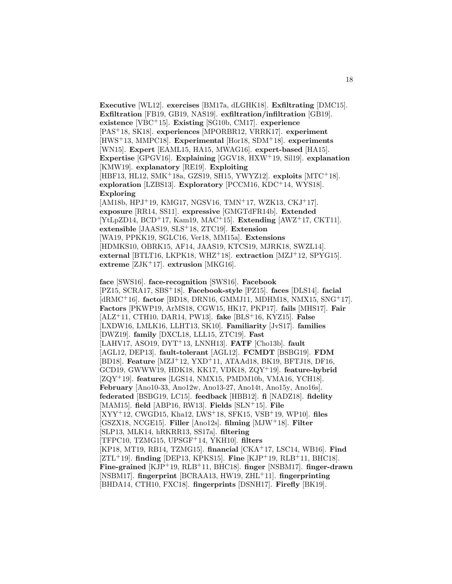**Executive** [WL12]. **exercises** [BM17a, dLGHK18]. **Exfiltrating** [DMC15]. **Exfiltration** [FB19, GB19, NAS19]. **exfiltration/infiltration** [GB19]. **existence** [VBC<sup>+</sup>15]. **Existing** [SG10b, CM17]. **experience** [PAS<sup>+</sup>18, SK18]. **experiences** [MPORBR12, VRRK17]. **experiment** [HWS<sup>+</sup>13, MMPC18]. **Experimental** [Hor18, SDM<sup>+</sup>18]. **experiments** [WN15]. **Expert** [EAML15, HA15, MWAG16]. **expert-based** [HA15]. **Expertise** [GPGV16]. **Explaining** [GGV18, HXW<sup>+</sup>19, Sil19]. **explanation** [KMW19]. **explanatory** [RE19]. **Exploiting** [HBF13, HL12, SMK<sup>+</sup>18a, GZS19, SH15, YWYZ12]. **exploits** [MTC<sup>+</sup>18]. **exploration** [LZBS13]. **Exploratory** [PCCM16, KDC<sup>+</sup>14, WYS18]. **Exploring** [AM18b, HPJ<sup>+</sup>19, KMG17, NGSV16, TMN<sup>+</sup>17, WZK13, CKJ<sup>+</sup>17]. **exposure** [RR14, SS11]. **expressive** [GMGTdFR14b]. **Extended** [YtLpZD14, BCD<sup>+</sup>17, Kam19, MAC<sup>+</sup>15]. **Extending** [AWZ<sup>+</sup>17, CKT11]. **extensible** [JAAS19, SLS<sup>+</sup>18, ZTC19]. **Extension** [WA19, PPKK19, SGLC16, Ver18, MM15a]. **Extensions** [HDMKS10, OBRK15, AF14, JAAS19, KTCS19, MJRK18, SWZL14]. **external** [BTLT16, LKPK18, WHZ<sup>+</sup>18]. **extraction** [MZJ<sup>+</sup>12, SPYG15].

**extreme** [ZJK<sup>+</sup>17]. **extrusion** [MKG16]. **face** [SWS16]. **face-recognition** [SWS16]. **Facebook** [PZ15, SCRA17, SBS<sup>+</sup>18]. **Facebook-style** [PZ15]. **faces** [DLS14]. **facial** [dRMC<sup>+</sup>16]. **factor** [BD18, DRN16, GMMJ11, MDHM18, NMX15, SNG<sup>+</sup>17]. **Factors** [PKWP19, ArMS18, CGW15, HK17, PKP17]. **fails** [MHS17]. **Fair** [ALZ<sup>+</sup>11, CTH10, DAR14, PW13]. **fake** [BLS<sup>+</sup>16, KYZ15]. **False** [LXDW16, LMLK16, LLHT13, SK10]. **Familiarity** [JvS17]. **families** [DWZ19]. **family** [DXCL18, LLL15, ZTC19]. **Fast** [LAHV17, ASO19, DYT<sup>+</sup>13, LNNH13]. **FATF** [Cho13b]. **fault** [AGL12, DEP13]. **fault-tolerant** [AGL12]. **FCMDT** [BSBG19]. **FDM** [BD18]. **Feature** [MZJ<sup>+</sup>12, YXD<sup>+</sup>11, ATAAd18, BK19, BFTJ18, DF16, GCD19, GWWW19, HDK18, KK17, VDK18, ZQY<sup>+</sup>19]. **feature-hybrid** [ZQY<sup>+</sup>19]. **features** [LGS14, NMX15, PMDM10b, VMA16, YCH18]. **February** [Ano10-33, Ano12w, Ano13-27, Ano14t, Ano15y, Ano16s]. **federated** [BSBG19, LC15]. **feedback** [HBB12]. **fi** [NADZ18]. **fidelity** [MAM15]. **field** [ABP16, RW13]. **Fields** [SLN<sup>+</sup>15]. **File** [XYY<sup>+</sup>12, CWGD15, Kha12, LWS<sup>+</sup>18, SFK15, VSB<sup>+</sup>19, WP10]. **files** [GSZX18, NCGE15]. **Filler** [Ano12s]. **filming** [MJW<sup>+</sup>18]. **Filter** [SLP13, MLK14, hRKRR13, SS17a]. **filtering** [TFPC10, TZMG15, UPSGF<sup>+</sup>14, YKH10]. **filters** [KP18, MT19, RB14, TZMG15]. **financial** [CKA<sup>+</sup>17, LSC14, WB16]. **Find** [ZTL<sup>+</sup>19]. **finding** [DEP13, KPKS15]. **Fine** [KJP<sup>+</sup>19, RLB<sup>+</sup>11, BHC18]. **Fine-grained** [KJP<sup>+</sup>19, RLB<sup>+</sup>11, BHC18]. **finger** [NSBM17]. **finger-drawn** [NSBM17]. **fingerprint** [BCRAA13, HW19, ZHL<sup>+</sup>11]. **fingerprinting** [BHDA14, CTH10, FXC18]. **fingerprints** [DSNH17]. **Firefly** [BK19].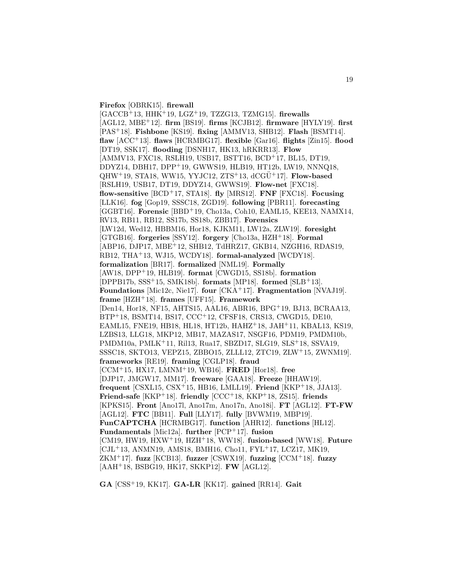**Firefox** [OBRK15]. **firewall**

[GACCB<sup>+</sup>13, HHK<sup>+</sup>19, LGZ<sup>+</sup>19, TZZG13, TZMG15]. **firewalls** [AGL12, MBE<sup>+</sup>12]. **firm** [BS19]. **firms** [KCJB12]. **firmware** [HYLY19]. **first** [PAS<sup>+</sup>18]. **Fishbone** [KS19]. **fixing** [AMMV13, SHB12]. **Flash** [BSMT14]. **flaw** [ACC<sup>+</sup>13]. **flaws** [HCRMBG17]. **flexible** [Gar16]. **flights** [Zin15]. **flood** [DT19, SSK17]. **flooding** [DSNH17, HK13, hRKRR13]. **Flow** [AMMV13, FXC18, RSLH19, USB17, BSTT16, BCD<sup>+</sup>17, BL15, DT19, DDYZ14, DBH17, DPP<sup>+</sup>19, GWWS19, HLB19, HT12b, LW19, NNNQ18,  $QHW^+19$ , STA18, WW15, YYJC12, ZTS<sup>+</sup>13,  $dCGU^+17$ . **Flow-based** [RSLH19, USB17, DT19, DDYZ14, GWWS19]. **Flow-net** [FXC18]. **flow-sensitive** [BCD<sup>+</sup>17, STA18]. **fly** [MRS12]. **FNF** [FXC18]. **Focusing** [LLK16]. **fog** [Gop19, SSSC18, ZGD19]. **following** [PBR11]. **forecasting** [GGBT16]. **Forensic** [BBD<sup>+</sup>19, Cho13a, Coh10, EAML15, KEE13, NAMX14, RV13, RB11, RB12, SS17b, SS18b, ZBB17]. **Forensics** [LW12d, Wed12, HBBM16, Hor18, KJKM11, LW12a, ZLW19]. **foresight** [GTGB16]. **forgeries** [SSY12]. **forgery** [Cho13a, HZH<sup>+</sup>18]. **Formal** [ABP16, DJP17, MBE<sup>+</sup>12, SHB12, TdHRZ17, GKB14, NZGH16, RDAS19, RB12, THA<sup>+</sup>13, WJ15, WCDY18]. **formal-analyzed** [WCDY18]. **formalization** [BR17]. **formalized** [NML19]. **Formally** [AW18, DPP<sup>+</sup>19, HLB19]. **format** [CWGD15, SS18b]. **formation** [DPPB17b, SSS<sup>+</sup>15, SMK18b]. **formats** [MP18]. **formed** [SLB<sup>+</sup>13]. **Foundations** [Mic12c, Nie17]. **four** [CKA<sup>+</sup>17]. **Fragmentation** [NVAJ19]. **frame** [HZH<sup>+</sup>18]. **frames** [UFF15]. **Framework** [Den14, Hor18, NF15, AHTS15, AAL16, ABR16, BPG<sup>+</sup>19, BJ13, BCRAA13, BTP<sup>+</sup>18, BSMT14, BS17, CCC<sup>+</sup>12, CFSF18, CRS13, CWGD15, DE10, EAML15, FNE19, HB18, HL18, HT12b, HAHZ<sup>+</sup>18, JAH<sup>+</sup>11, KBAL13, KS19, LZBS13, LLG18, MKP12, MB17, MAZAS17, NSGF16, PDM19, PMDM10b, PMDM10a, PMLK<sup>+</sup>11, Ril13, Rua17, SBZD17, SLG19, SLS<sup>+</sup>18, SSVA19, SSSC18, SKTO13, VEPZ15, ZBBO15, ZLLL12, ZTC19, ZLW<sup>+</sup>15, ZWNM19]. **frameworks** [RE19]. **framing** [CGLP18]. **fraud** [CCM<sup>+</sup>15, HX17, LMNM<sup>+</sup>19, WB16]. **FRED** [Hor18]. **free** [DJP17, JMGW17, MM17]. **freeware** [GAA18]. **Freeze** [HHAW19]. **frequent** [CSXL15, CSX<sup>+</sup>15, HB16, LMLL19]. **Friend** [KKP<sup>+</sup>18, JJA13]. **Friend-safe** [KKP<sup>+</sup>18]. **friendly** [CCC<sup>+</sup>18, KKP<sup>+</sup>18, ZS15]. **friends** [KPKS15]. **Front** [Ano17l, Ano17m, Ano17n, Ano18i]. **FT** [AGL12]. **FT-FW** [AGL12]. **FTC** [BB11]. **Full** [LLY17]. **fully** [BVWM19, MBP19]. **FunCAPTCHA** [HCRMBG17]. **function** [AHR12]. **functions** [HL12]. **Fundamentals** [Mic12a]. **further** [PCP<sup>+</sup>17]. **fusion** [CM19, HW19, HXW<sup>+</sup>19, HZH<sup>+</sup>18, WW18]. **fusion-based** [WW18]. **Future**  $[CJL+13, ANMN19, AMS18, BMH16, Chol1, FYL+17, LCZ17, MK19,$ ZKM<sup>+</sup>17]. **fuzz** [KCB13]. **fuzzer** [CSWX19]. **fuzzing** [CCM<sup>+</sup>18]. **fuzzy** [AAH<sup>+</sup>18, BSBG19, HK17, SKKP12]. **FW** [AGL12].

**GA** [CSS<sup>+</sup>19, KK17]. **GA-LR** [KK17]. **gained** [RR14]. **Gait**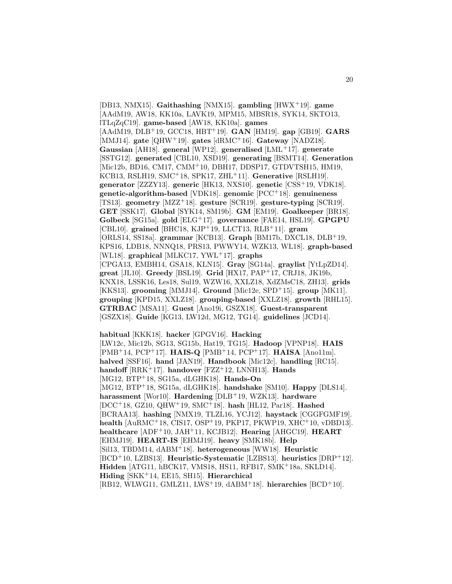[DB13, NMX15]. **Gaithashing** [NMX15]. **gambling** [HWX<sup>+</sup>19]. **game** [AAdM19, AW18, KK10a, LAVK19, MPM15, MBSR18, SYK14, SKTO13, lTLqZqC19]. **game-based** [AW18, KK10a]. **games** [AAdM19, DLB<sup>+</sup>19, GCC18, HBT<sup>+</sup>19]. **GAN** [HM19]. **gap** [GB19]. **GARS** [MMJ14]. **gate** [QHW<sup>+</sup>19]. **gates** [dRMC<sup>+</sup>16]. **Gateway** [NADZ18]. **Gaussian** [AH18]. **general** [WP12]. **generalised** [LML<sup>+</sup>17]. **generate** [SSTG12]. **generated** [CBL10, XSD19]. **generating** [BSMT14]. **Generation** [Mic12b, BD16, CM17, CMM<sup>+</sup>10, DBH17, DDSP17, GTDVTSH15, HM19, KCB13, RSLH19, SMC<sup>+</sup>18, SPK17, ZHL<sup>+</sup>11]. **Generative** [RSLH19]. **generator** [ZZZY13]. **generic** [HK13, NXS10]. **genetic** [CSS<sup>+</sup>19, VDK18]. **genetic-algorithm-based** [VDK18]. **genomic** [PCC<sup>+</sup>18]. **genuineness** [TS13]. **geometry** [MZZ<sup>+</sup>18]. **gesture** [SCR19]. **gesture-typing** [SCR19]. **GET** [SSK17]. **Global** [SYK14, SM19b]. **GM** [EM19]. **Goalkeeper** [BR18]. **Golbeck** [SG15a]. **gold** [ELG<sup>+</sup>17]. **governance** [FAE14, HSL19]. **GPGPU** [CBL10]. **grained** [BHC18, KJP<sup>+</sup>19, LLCT13, RLB<sup>+</sup>11]. **gram** [ORLS14, SS18a]. **grammar** [KCB13]. **Graph** [BM17b, DXCL18, DLB<sup>+</sup>19, KPS16, LDB18, NNNQ18, PRS13, PWWY14, WZK13, WL18]. **graph-based** [WL18]. **graphical** [MLKC17, YWL<sup>+</sup>17]. **graphs** [CPGA13, EMBH14, GSA18, KLN15]. **Gray** [SG14a]. **graylist** [YtLpZD14]. **great** [JL10]. **Greedy** [BSL19]. **Grid** [HX17, PAP<sup>+</sup>17, CRJ18, JK19b, KNX18, LSSK16, Les18, Sul19, WZW16, XXLZ18, XdZMsC18, ZH13]. **grids** [KKS13]. **grooming** [MMJ14]. **Ground** [Mic12e, SPD<sup>+</sup>15]. **group** [MK11]. **grouping** [KPD15, XXLZ18]. **grouping-based** [XXLZ18]. **growth** [RHL15]. **GTRBAC** [MSA11]. **Guest** [Ano19i, GSZX18]. **Guest-transparent** [GSZX18]. **Guide** [KG13, LW12d, MG12, TG14]. **guidelines** [JCD14].

**habitual** [KKK18]. **hacker** [GPGV16]. **Hacking** [LW12c, Mic12b, SG13, SG15b, Hat19, TG15]. **Hadoop** [VPNP18]. **HAIS** [PMB<sup>+</sup>14, PCP<sup>+</sup>17]. **HAIS-Q** [PMB<sup>+</sup>14, PCP<sup>+</sup>17]. **HAISA** [Ano11m]. **halved** [SSF16]. **hand** [JAN19]. **Handbook** [Mic12c]. **handling** [RC15]. **handoff** [RRK<sup>+</sup>17]. **handover** [FZZ<sup>+</sup>12, LNNH13]. **Hands** [MG12, BTP<sup>+</sup>18, SG15a, dLGHK18]. **Hands-On** [MG12, BTP<sup>+</sup>18, SG15a, dLGHK18]. **handshake** [SM10]. **Happy** [DLS14]. **harassment** [Wor10]. **Hardening** [DLB<sup>+</sup>19, WZK13]. **hardware** [DCC<sup>+</sup>18, GZ10, QHW<sup>+</sup>19, SMC<sup>+</sup>18]. **hash** [HL12, Par18]. **Hashed** [BCRAA13]. **hashing** [NMX19, TLZL16, YCJ12]. **haystack** [CGGFGMF19]. **health** [AuRMC<sup>+</sup>18, CIS17, OSP<sup>+</sup>19, PKP17, PKWP19, XHC<sup>+</sup>10, vDBD13]. **healthcare** [ADF<sup>+</sup>10, JAH<sup>+</sup>11, KCJB12]. **Hearing** [AHGC19]. **HEART** [EHMJ19]. **HEART-IS** [EHMJ19]. **heavy** [SMK18b]. **Help** [Sil13, TBDM14, dABM<sup>+</sup>18]. **heterogeneous** [WW18]. **Heuristic** [BCD<sup>+</sup>10, LZBS13]. **Heuristic-Systematic** [LZBS13]. **heuristics** [DRP<sup>+</sup>12]. **Hidden** [ATG11, hBCK17, VMS18, HS11, RFB17, SMK<sup>+</sup>18a, SKLD14]. **Hiding** [SKK<sup>+</sup>14, EE15, SH15]. **Hierarchical** [RB12, WLWG11, GMLZ11, LWS<sup>+</sup>19, dABM<sup>+</sup>18]. **hierarchies** [BCD<sup>+</sup>10].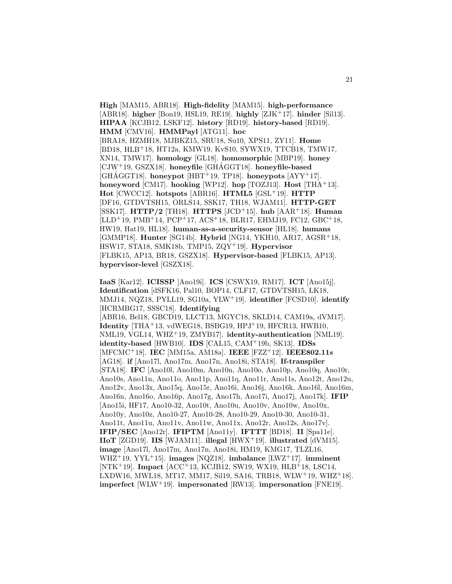**High** [MAM15, ABR18]. **High-fidelity** [MAM15]. **high-performance** [ABR18]. **higher** [Bon19, HSL19, RE19]. **highly** [ZJK<sup>+</sup>17]. **hinder** [Sil13]. **HIPAA** [KCJB12, LSKF12]. **history** [RD19]. **history-based** [RD19]. **HMM** [CMV16]. **HMMPayl** [ATG11]. **hoc** [BRA18, HZMH18, MJBKZ15, SRU18, Su10, XPS11, ZY11]. **Home** [BD18, HLB<sup>+</sup>18, HT12a, KMW19, KvS10, SYWX19, TTCB18, TMW17, XN14, TMW17]. **homology** [GL18]. **homomorphic** [MBP19]. **honey** [CJW<sup>+</sup>19, GSZX18]. **honeyfile** [GHAGGT18]. **honeyfile-based**  $[GHAGGT18]$ . **honeypot**  $[HBT^+19, TP18]$ . **honeypots**  $[AYY^+17]$ . **honeyword** [CM17]. **hooking** [WP12]. **hop** [TOZJ13]. **Host** [THA<sup>+</sup>13]. **Hot** [CWCC12]. **hotspots** [ABR16]. **HTML5** [GSL<sup>+</sup>19]. **HTTP** [DF16, GTDVTSH15, ORLS14, SSK17, TH18, WJAM11]. **HTTP-GET** [SSK17]. **HTTP/2** [TH18]. **HTTPS** [JCD<sup>+</sup>15]. **hub** [AAR<sup>+</sup>18]. **Human** [LLD<sup>+</sup>19, PMB<sup>+</sup>14, PCP<sup>+</sup>17, ACS<sup>+</sup>18, BLR17, EHMJ19, FC12, GBC<sup>+</sup>18, HW19, Hat19, HL18]. **human-as-a-security-sensor** [HL18]. **humans** [GMMP18]. **Hunter** [SG14b]. **Hybrid** [NG14, YKH10, AR17, AGSR<sup>+</sup>18, HSW17, STA18, SMK18b, TMP15, ZQY<sup>+</sup>19]. **Hypervisor** [FLBK15, AP13, BR18, GSZX18]. **Hypervisor-based** [FLBK15, AP13]. **hypervisor-level** [GSZX18].

**IaaS** [Kar12]. **ICISSP** [Ano19i]. **ICS** [CSWX19, RM17]. **ICT** [Ano15j]. **Identification** [dSFK16, Pal10, BOP14, CLF17, GTDVTSH15, LK18, MMJ14, NQZ18, PYLL19, SG10a, YLW<sup>+</sup>19]. **identifier** [FCSD10]. **identify** [HCRMBG17, SSSC18]. **Identifying** [ABR16, Bel18, GBCD19, LLCT13, MGYC18, SKLD14, CAM19a, dVM17]. **Identity** [THA<sup>+</sup>13, vdWEG18, BSBG19, HPJ<sup>+</sup>19, HFCR13, HWB10, NML19, VGL14, WHZ<sup>+</sup>19, ZMYB17]. **identity-authentication** [NML19]. **identity-based** [HWB10]. **IDS** [CAL15, CAM<sup>+</sup>19b, SK13]. **IDSs** [MFCMC<sup>+</sup>18]. **IEC** [MM15a, AM18a]. **IEEE** [FZZ<sup>+</sup>12]. **IEEE802.11s** [AG18]. **if** [Ano17l, Ano17m, Ano17n, Ano18i, STA18]. **If-transpiler** [STA18]. **IFC** [Ano10l, Ano10m, Ano10n, Ano10o, Ano10p, Ano10q, Ano10r, Ano10s, Ano11n, Ano11o, Ano11p, Ano11q, Ano11r, Ano11s, Ano12t, Ano12u, Ano12v, Ano13x, Ano15q, Ano15r, Ano16i, Ano16j, Ano16k, Ano16l, Ano16m, Ano16n, Ano16o, Ano16p, Ano17g, Ano17h, Ano17i, Ano17j, Ano17k]. **IFIP** [Ano15i, HF17, Ano10-32, Ano10t, Ano10u, Ano10v, Ano10w, Ano10x, Ano10y, Ano10z, Ano10-27, Ano10-28, Ano10-29, Ano10-30, Ano10-31, Ano11t, Ano11u, Ano11v, Ano11w, Ano11x, Ano12r, Ano12s, Ano17v]. **IFIP/SEC** [Ano12r]. **IFIPTM** [Ano11y]. **IFTTT** [BD18]. **II** [Spa11e]. **IIoT** [ZGD19]. **IIS** [WJAM11]. **illegal** [HWX<sup>+</sup>19]. **illustrated** [dVM15]. **image** [Ano17l, Ano17m, Ano17n, Ano18i, HM19, KMG17, TLZL16, WHZ<sup>+</sup>19, YYL<sup>+</sup>15]. **images** [NQZ18]. **imbalance** [LWZ<sup>+</sup>17]. **imminent** [NTK<sup>+</sup>19]. **Impact** [ACC<sup>+</sup>13, KCJB12, SW19, WX19, HLB<sup>+</sup>18, LSC14, LXDW16, MWL18, MT17, MM17, Sil19, SA16, TRB18, WLW<sup>+</sup>19, WHZ<sup>+</sup>18]. **imperfect** [WLW<sup>+</sup>19]. **impersonated** [RW13]. **impersonation** [FNE19].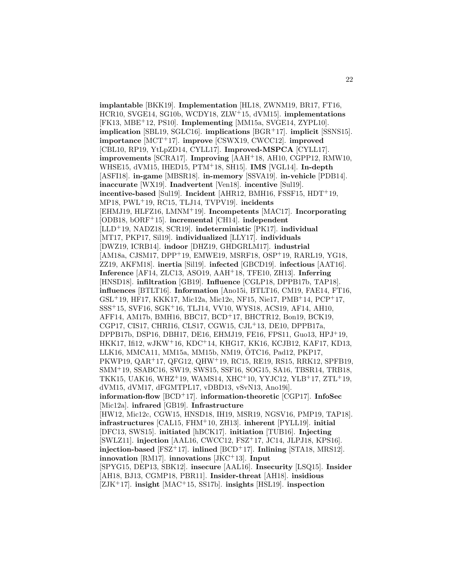**implantable** [BKK19]. **Implementation** [HL18, ZWNM19, BR17, FT16, HCR10, SVGE14, SG10b, WCDY18, ZLW<sup>+</sup>15, dVM15]. **implementations** [FK13, MBE<sup>+</sup>12, PS10]. **Implementing** [MM15a, SVGE14, ZYPL10]. **implication** [SBL19, SGLC16]. **implications** [BGR<sup>+</sup>17]. **implicit** [SSNS15]. **importance** [MCT<sup>+</sup>17]. **improve** [CSWX19, CWCC12]. **improved** [CBL10, RP19, YtLpZD14, CYLL17]. **Improved-MSPCA** [CYLL17]. **improvements** [SCRA17]. **Improving** [AAH<sup>+</sup>18, AH10, CGPP12, RMW10, WHSE15, dVM15, IHED15, PTM<sup>+</sup>18, SH15]. **IMS** [VGL14]. **In-depth** [ASFI18]. **in-game** [MBSR18]. **in-memory** [SSVA19]. **in-vehicle** [PDB14]. **inaccurate** [WX19]. **Inadvertent** [Ven18]. **incentive** [Sul19]. **incentive-based** [Sul19]. **Incident** [AHR12, BMH16, FSSF15, HDT<sup>+</sup>19, MP18, PWL<sup>+</sup>19, RC15, TLJ14, TVPV19]. **incidents** [EHMJ19, HLFZ16, LMNM<sup>+</sup>19]. **Incompetents** [MAC17]. **Incorporating** [ODB18, bORF<sup>+</sup>15]. **incremental** [CH14]. **independent** [LLD<sup>+</sup>19, NADZ18, SCR19]. **indeterministic** [PK17]. **individual** [MT17, PKP17, Sil19]. **individualized** [LLY17]. **individuals** [DWZ19, ICRB14]. **indoor** [DHZ19, GHDGRLM17]. **industrial** [AM18a, CJSM17, DPP<sup>+</sup>19, EMWE19, MSRF18, OSP<sup>+</sup>19, RARL19, YG18, ZZ19, AKFM18]. **inertia** [Sil19]. **infected** [GBCD19]. **infectious** [AAT16]. **Inference** [AF14, ZLC13, ASO19, AAH<sup>+</sup>18, TFE10, ZH13]. **Inferring** [HNSD18]. **infiltration** [GB19]. **Influence** [CGLP18, DPPB17b, TAP18]. **influences** [BTLT16]. **Information** [Ano15i, BTLT16, CM19, FAE14, FT16, GSL<sup>+</sup>19, HF17, KKK17, Mic12a, Mic12e, NF15, Nie17, PMB<sup>+</sup>14, PCP<sup>+</sup>17, SSS<sup>+</sup>15, SVF16, SGK<sup>+</sup>16, TLJ14, VV10, WYS18, ACS19, AF14, AH10, AFF14, AM17b, BMH16, BBC17, BCD<sup>+</sup>17, BHCTR12, Bon19, BCK19, CGP17, CIS17, CHRI16, CLS17, CGW15, CJL<sup>+</sup>13, DE10, DPPB17a, DPPB17b, DSP16, DBH17, DE16, EHMJ19, FE16, FPS11, Guo13, HPJ<sup>+</sup>19, HKK17, Ifi12, wJKW<sup>+</sup>16, KDC<sup>+</sup>14, KHG17, KK16, KCJB12, KAF17, KD13, LLK16, MMCA11, MM15a, MM15b, NM19, ÖTC16, Pad12, PKP17, PKWP19, QAR<sup>+</sup>17, QFG12, QHW<sup>+</sup>19, RC15, RE19, RS15, RRK12, SPFB19, SMM<sup>+</sup>19, SSABC16, SW19, SWS15, SSF16, SOG15, SA16, TBSR14, TRB18, TKK15, UAK16, WHZ<sup>+</sup>19, WAMS14, XHC<sup>+</sup>10, YYJC12, YLB<sup>+</sup>17, ZTL<sup>+</sup>19, dVM15, dVM17, dFGMTPL17, vDBD13, vSvN13, Ano19i]. **information-flow** [BCD<sup>+</sup>17]. **information-theoretic** [CGP17]. **InfoSec** [Mic12a]. **infrared** [GB19]. **Infrastructure** [HW12, Mic12c, CGW15, HNSD18, IH19, MSR19, NGSV16, PMP19, TAP18]. **infrastructures** [CAL15, FHM<sup>+</sup>10, ZH13]. **inherent** [PYLL19]. **initial** [DFC13, SWS15]. **initiated** [hBCK17]. **initiation** [TUB16]. **Injecting** [SWLZ11]. **injection** [AAL16, CWCC12, FSZ<sup>+</sup>17, JC14, JLPJ18, KPS16]. **injection-based** [FSZ<sup>+</sup>17]. **inlined** [BCD<sup>+</sup>17]. **Inlining** [STA18, MRS12]. **innovation** [RM17]. **innovations** [JKC<sup>+</sup>13]. **Input** [SPYG15, DEP13, SBK12]. **insecure** [AAL16]. **Insecurity** [LSQ15]. **Insider** [AH18, BJ13, CGMP18, PBR11]. **Insider-threat** [AH18]. **insidious** [ZJK<sup>+</sup>17]. **insight** [MAC<sup>+</sup>15, SS17b]. **insights** [HSL19]. **inspection**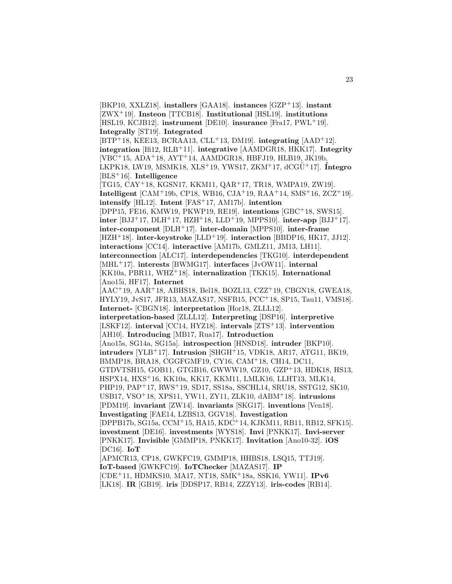[BKP10, XXLZ18]. **installers** [GAA18]. **instances** [GZP<sup>+</sup>13]. **instant** [ZWX<sup>+</sup>19]. **Insteon** [TTCB18]. **Institutional** [HSL19]. **institutions** [HSL19, KCJB12]. **instrument** [DE10]. **insurance** [Fra17, PWL<sup>+</sup>19]. **Integrally** [ST19]. **Integrated** [BTP<sup>+</sup>18, KEE13, BCRAA13, CLL<sup>+</sup>13, DM19]. **integrating** [AAD<sup>+</sup>12]. **integration** [Ifi12, RLB<sup>+</sup>11]. **integrative** [AAMDGR18, HKK17]. **Integrity** [VBC<sup>+</sup>15, ADA<sup>+</sup>18, AYT<sup>+</sup>14, AAMDGR18, HBFJ19, HLB19, JK19b, LKPK18, LW19, MSMK18, XLS<sup>+</sup>19, YWS17, ZKM<sup>+</sup>17, dCGU¨ <sup>+</sup>17]. **´Integro** [BLS<sup>+</sup>16]. **Intelligence** [TG15, CAY<sup>+</sup>18, KGSN17, KKM11, QAR<sup>+</sup>17, TR18, WMPA19, ZW19]. **Intelligent** [CAM<sup>+</sup>19b, CP18, WB16, CJA<sup>+</sup>19, RAA<sup>+</sup>14, SMS<sup>+</sup>16, ZCZ<sup>+</sup>19]. **intensify** [HL12]. **Intent** [FAS<sup>+</sup>17, AM17b]. **intention** [DPP15, FE16, KMW19, PKWP19, RE19]. **intentions** [GBC<sup>+</sup>18, SWS15]. **inter** [BJJ<sup>+</sup>17, DLH<sup>+</sup>17, HZH<sup>+</sup>18, LLD<sup>+</sup>19, MPPS10]. **inter-app** [BJJ<sup>+</sup>17]. **inter-component** [DLH<sup>+</sup>17]. **inter-domain** [MPPS10]. **inter-frame** [HZH<sup>+</sup>18]. **inter-keystroke** [LLD<sup>+</sup>19]. **interaction** [BBDP16, HK17, JJ12]. **interactions** [CC14]. **interactive** [AM17b, GMLZ11, JM13, LH11]. **interconnection** [ALC17]. **interdependencies** [TKG10]. **interdependent** [MHL<sup>+</sup>17]. **interests** [BWMG17]. **interfaces** [JvOW11]. **internal** [KK10a, PBR11, WHZ<sup>+</sup>18]. **internalization** [TKK15]. **International** [Ano15i, HF17]. **Internet** [AAC<sup>+</sup>19, AAR<sup>+</sup>18, ABHS18, Bel18, BOZL13, CZZ<sup>+</sup>19, CBGN18, GWEA18, HYLY19, JvS17, JFR13, MAZAS17, NSFB15, PCC<sup>+</sup>18, SP15, Tau11, VMS18]. **Internet-** [CBGN18]. **interpretation** [Hor18, ZLLL12]. **interpretation-based** [ZLLL12]. **Interpreting** [DSP16]. **interpretive** [LSKF12]. **interval** [CC14, HYZ18]. **intervals** [ZTS<sup>+</sup>13]. **intervention** [AH10]. **Introducing** [MB17, Rua17]. **Introduction** [Ano15s, SG14a, SG15a]. **introspection** [HNSD18]. **intruder** [BKP10]. **intruders** [YLB<sup>+</sup>17]. **Intrusion** [SHGH<sup>+</sup>15, VDK18, AR17, ATG11, BK19, BMMP18, BRA18, CGGFGMF19, CY16, CAM<sup>+</sup>18, CH14, DC11, GTDVTSH15, GOB11, GTGB16, GWWW19, GZ10, GZP<sup>+</sup>13, HDK18, HS13, HSPX14, HXS<sup>+</sup>16, KK10a, KK17, KKM11, LMLK16, LLHT13, MLK14, PHP19, PAP<sup>+</sup>17, RWS<sup>+</sup>19, SD17, SS18a, SSCHL14, SRU18, SSTG12, SK10, USB17, VSO<sup>+</sup>18, XPS11, YW11, ZY11, ZLK10, dABM<sup>+</sup>18]. **intrusions** [PDM19]. **invariant** [ZW14]. **invariants** [SKG17]. **inventions** [Ven18]. **Investigating** [FAE14, LZBS13, GGV18]. **Investigation** [DPPB17b, SG15a, CCM<sup>+</sup>15, HA15, KDC<sup>+</sup>14, KJKM11, RB11, RB12, SFK15]. **investment** [DE16]. **investments** [WYS18]. **Invi** [PNKK17]. **Invi-server** [PNKK17]. **Invisible** [GMMP18, PNKK17]. **Invitation** [Ano10-32]. **iOS** [DC16]. **IoT** [APMCR13, CP18, GWKFC19, GMMP18, HHBS18, LSQ15, TTJ19]. **IoT-based** [GWKFC19]. **IoTChecker** [MAZAS17]. **IP** [CDE<sup>+</sup>11, HDMKS10, MA17, NT18, SMK<sup>+</sup>18a, SSK16, YW11]. **IPv6** [LK18]. **IR** [GB19]. **iris** [DDSP17, RB14, ZZZY13]. **iris-codes** [RB14].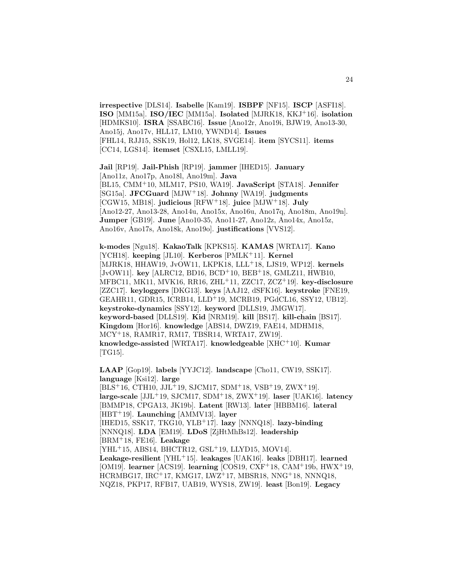**irrespective** [DLS14]. **Isabelle** [Kam19]. **ISBPF** [NF15]. **ISCP** [ASFI18]. **ISO** [MM15a]. **ISO/IEC** [MM15a]. **Isolated** [MJRK18, KKJ<sup>+</sup>16]. **isolation** [HDMKS10]. **ISRA** [SSABC16]. **Issue** [Ano12r, Ano19i, BJW19, Ano13-30, Ano15j, Ano17v, HLL17, LM10, YWND14]. **Issues** [FHL14, RJJ15, SSK19, Hol12, LK18, SVGE14]. **item** [SYCS11]. **items** [CC14, LGS14]. **itemset** [CSXL15, LMLL19].

**Jail** [RP19]. **Jail-Phish** [RP19]. **jammer** [IHED15]. **January** [Ano11z, Ano17p, Ano18l, Ano19m]. **Java** [BL15, CMM<sup>+</sup>10, MLM17, PS10, WA19]. **JavaScript** [STA18]. **Jennifer** [SG15a]. **JFCGuard** [MJW<sup>+</sup>18]. **Johnny** [WA19]. **judgments** [CGW15, MB18]. **judicious** [RFW<sup>+</sup>18]. **juice** [MJW<sup>+</sup>18]. **July** [Ano12-27, Ano13-28, Ano14u, Ano15x, Ano16u, Ano17q, Ano18m, Ano19n]. **Jumper** [GB19]. **June** [Ano10-35, Ano11-27, Ano12z, Ano14x, Ano15z, Ano16v, Ano17s, Ano18k, Ano19o]. **justifications** [VVS12].

**k-modes** [Ngu18]. **KakaoTalk** [KPKS15]. **KAMAS** [WRTA17]. **Kano** [YCH18]. **keeping** [JL10]. **Kerberos** [PMLK<sup>+</sup>11]. **Kernel** [MJRK18, HHAW19, JvOW11, LKPK18, LLL<sup>+</sup>18, LJS19, WP12]. **kernels** [JvOW11]. **key** [ALRC12, BD16, BCD<sup>+</sup>10, BEB<sup>+</sup>18, GMLZ11, HWB10, MFBC11, MK11, MVK16, RR16, ZHL<sup>+</sup>11, ZZC17, ZCZ<sup>+</sup>19]. **key-disclosure** [ZZC17]. **keyloggers** [DKG13]. **keys** [AAJ12, dSFK16]. **keystroke** [FNE19, GEAHR11, GDR15, ICRB14, LLD<sup>+</sup>19, MCRB19, PGdCL16, SSY12, UB12]. **keystroke-dynamics** [SSY12]. **keyword** [DLLS19, JMGW17]. **keyword-based** [DLLS19]. **Kid** [NRM19]. **kill** [BS17]. **kill-chain** [BS17]. **Kingdom** [Hor16]. **knowledge** [ABS14, DWZ19, FAE14, MDHM18, MCY<sup>+</sup>18, RAMR17, RM17, TBSR14, WRTA17, ZW19]. **knowledge-assisted** [WRTA17]. **knowledgeable** [XHC<sup>+</sup>10]. **Kumar** [TG15].

**LAAP** [Gop19]. **labels** [YYJC12]. **landscape** [Cho11, CW19, SSK17]. **language** [Ksi12]. **large**  $[BLS<sup>+</sup>16, CTH10, JJL<sup>+</sup>19, SJCM17, SDM<sup>+</sup>18, VSB<sup>+</sup>19, ZWX<sup>+</sup>19].$ **large-scale** [JJL<sup>+</sup>19, SJCM17, SDM<sup>+</sup>18, ZWX<sup>+</sup>19]. **laser** [UAK16]. **latency** [BMMP18, CPGA13, JK19b]. **Latent** [RW13]. **later** [HBBM16]. **lateral** [HBT<sup>+</sup>19]. **Launching** [AMMV13]. **layer** [IHED15, SSK17, TKG10, YLB<sup>+</sup>17]. **lazy** [NNNQ18]. **lazy-binding** [NNNQ18]. **LDA** [EM19]. **LDoS** [ZjHtMhBs12]. **leadership** [BRM<sup>+</sup>18, FE16]. **Leakage** [YHL<sup>+</sup>15, ABS14, BHCTR12, GSL<sup>+</sup>19, LLYD15, MOV14]. **Leakage-resilient** [YHL<sup>+</sup>15]. **leakages** [UAK16]. **leaks** [DBH17]. **learned** [OM19]. **learner** [ACS19]. **learning** [COS19, CXF<sup>+</sup>18, CAM<sup>+</sup>19b, HWX<sup>+</sup>19, HCRMBG17, IRC<sup>+</sup>17, KMG17, LWZ<sup>+</sup>17, MBSR18, NNG<sup>+</sup>18, NNNQ18, NQZ18, PKP17, RFB17, UAB19, WYS18, ZW19]. **least** [Bon19]. **Legacy**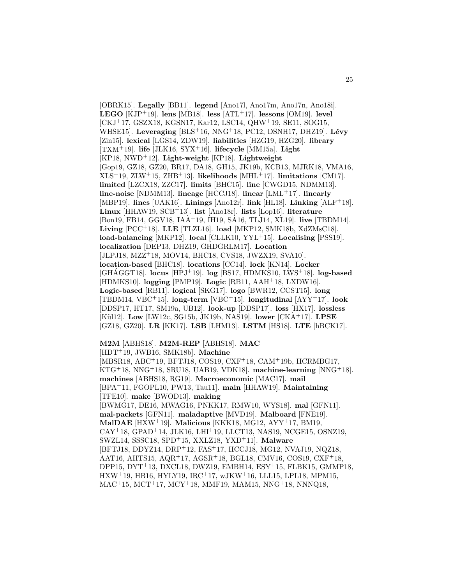[OBRK15]. **Legally** [BB11]. **legend** [Ano17l, Ano17m, Ano17n, Ano18i]. **LEGO** [KJP<sup>+</sup>19]. **lens** [MB18]. **less** [ATL<sup>+</sup>17]. **lessons** [OM19]. **level** [CKJ<sup>+</sup>17, GSZX18, KGSN17, Kar12, LSC14, QHW<sup>+</sup>19, SE11, SOG15, WHSE15]. **Leveraging** [BLS<sup>+</sup>16, NNG<sup>+</sup>18, PC12, DSNH17, DHZ19]. **L´evy** [Zin15]. **lexical** [LGS14, ZDW19]. **liabilities** [HZG19, HZG20]. **library** [TXM<sup>+</sup>19]. **life** [JLK16, SYX<sup>+</sup>16]. **lifecycle** [MM15a]. **Light** [KP18, NWD<sup>+</sup>12]. **Light-weight** [KP18]. **Lightweight** [Gop19, GZ18, GZ20, BR17, DA18, GH15, JK19b, KCB13, MJRK18, VMA16, XLS<sup>+</sup>19, ZLW<sup>+</sup>15, ZHB<sup>+</sup>13]. **likelihoods** [MHL<sup>+</sup>17]. **limitations** [CM17]. **limited** [LZCX18, ZZC17]. **limits** [BHC15]. **line** [CWGD15, NDMM13]. **line-noise** [NDMM13]. **lineage** [HCCJ18]. **linear** [LML<sup>+</sup>17]. **linearly** [MBP19]. **lines** [UAK16]. **Linings** [Ano12r]. **link** [HL18]. **Linking** [ALF<sup>+</sup>18]. **Linux** [HHAW19, SCB<sup>+</sup>13]. **list** [Ano18r]. **lists** [Lop16]. **literature** [Bon19, FB14, GGV18, IAA<sup>+</sup>19, IH19, SA16, TLJ14, XL19]. **live** [TBDM14]. **Living** [PCC<sup>+</sup>18]. **LLE** [TLZL16]. **load** [MKP12, SMK18b, XdZMsC18]. **load-balancing** [MKP12]. **local** [CLLK10, YYL<sup>+</sup>15]. **Localising** [PSS19]. **localization** [DEP13, DHZ19, GHDGRLM17]. **Location** [JLPJ18, MZZ<sup>+</sup>18, MOV14, BHC18, CVS18, JWZX19, SVA10]. **location-based** [BHC18]. **locations** [CC14]. **lock** [KN14]. **Locker** [GHAGGT18]. **locus** [HPJ+19]. **log** [BS17, HDMKS10, LWS+18]. **log-based** [HDMKS10]. **logging** [PMP19]. **Logic** [RB11, AAH<sup>+</sup>18, LXDW16]. **Logic-based** [RB11]. **logical** [SKG17]. **logo** [BWR12, CCST15]. **long** [TBDM14, VBC<sup>+</sup>15]. **long-term** [VBC<sup>+</sup>15]. **longitudinal** [AYY<sup>+</sup>17]. **look** [DDSP17, HT17, SM19a, UB12]. **look-up** [DDSP17]. **loss** [HX17]. **lossless** [K¨ul12]. **Low** [LW12c, SG15b, JK19b, NAS19]. **lower** [CKA<sup>+</sup>17]. **LPSE** [GZ18, GZ20]. **LR** [KK17]. **LSB** [LHM13]. **LSTM** [HS18]. **LTE** [hBCK17].

**M2M** [ABHS18]. **M2M-REP** [ABHS18]. **MAC** [HDT<sup>+</sup>19, JWB16, SMK18b]. **Machine** [MBSR18, ABC<sup>+</sup>19, BFTJ18, COS19, CXF<sup>+</sup>18, CAM<sup>+</sup>19b, HCRMBG17, KTG<sup>+</sup>18, NNG<sup>+</sup>18, SRU18, UAB19, VDK18]. **machine-learning** [NNG<sup>+</sup>18]. **machines** [ABHS18, RG19]. **Macroeconomic** [MAC17]. **mail** [BPA<sup>+</sup>11, FGOPL10, PW13, Tau11]. **main** [HHAW19]. **Maintaining** [TFE10]. **make** [BWOD13]. **making** [BWMG17, DE16, MWAG16, PNKK17, RMW10, WYS18]. **mal** [GFN11]. **mal-packets** [GFN11]. **maladaptive** [MVD19]. **Malboard** [FNE19]. **MalDAE** [HXW<sup>+</sup>19]. **Malicious** [KKK18, MG12, AYY<sup>+</sup>17, BM19,  $CAY<sup>+</sup>18$ , GPAD<sup>+</sup>14, JLK16, LHI<sup>+</sup>19, LLCT13, NAS19, NCGE15, OSNZ19, SWZL14, SSSC18, SPD<sup>+</sup>15, XXLZ18, YXD<sup>+</sup>11]. **Malware** [BFTJ18, DDYZ14, DRP<sup>+</sup>12, FAS<sup>+</sup>17, HCCJ18, MG12, NVAJ19, NQZ18, AAT16, AHTS15, AQR<sup>+</sup>17, AGSR<sup>+</sup>18, BGL18, CMV16, COS19, CXF<sup>+</sup>18, DPP15,  $DYT<sup>+</sup>13$ , DXCL18, DWZ19, EMBH14, ESY<sup>+</sup>15, FLBK15, GMMP18, HXW<sup>+</sup>19, HB16, HYLY19, IRC<sup>+</sup>17, wJKW<sup>+</sup>16, LLL15, LPL18, MPM15, MAC<sup>+</sup>15, MCT<sup>+</sup>17, MCY<sup>+</sup>18, MMF19, MAM15, NNG<sup>+</sup>18, NNNQ18,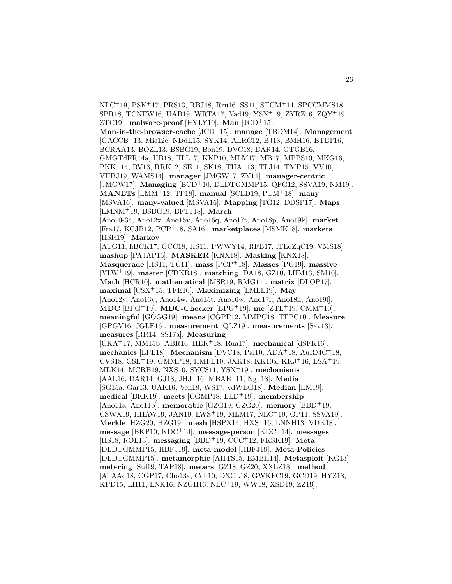NLC<sup>+</sup>19, PSK<sup>+</sup>17, PRS13, RBJ18, Rru16, SS11, STCM<sup>+</sup>14, SPCCMMS18, SPR18, TCNFW16, UAB19, WRTA17, Yad19, YSN<sup>+</sup>19, ZYRZ16, ZQY<sup>+</sup>19, ZTC19]. **malware-proof** [HYLY19]. **Man** [JCD<sup>+</sup>15]. **Man-in-the-browser-cache** [JCD<sup>+</sup>15]. **manage** [TBDM14]. **Management** [GACCB<sup>+</sup>13, Mic12e, NDdL15, SYK14, ALRC12, BJ13, BMH16, BTLT16, BCRAA13, BOZL13, BSBG19, Bon19, DVC18, DAR14, GTGB16, GMGTdFR14a, HB18, HLL17, KKP10, MLM17, MB17, MPPS10, MKG16, PKK<sup>+</sup>14, RV13, RRK12, SE11, SK18, THA<sup>+</sup>13, TLJ14, TMP15, VV10, VHBJ19, WAMS14]. **manager** [JMGW17, ZY14]. **manager-centric** [JMGW17]. **Managing** [BCD<sup>+</sup>10, DLDTGMMP15, QFG12, SSVA19, NM19]. **MANETs** [LMM<sup>+</sup>12, TP18]. **manual** [SCLD19, PTM<sup>+</sup>18]. **many** [MSVA16]. **many-valued** [MSVA16]. **Mapping** [TG12, DDSP17]. **Maps** [LMNM<sup>+</sup>19, BSBG19, BFTJ18]. **March** [Ano10-34, Ano12x, Ano15v, Ano16q, Ano17t, Ano18p, Ano19k]. **market** [Fra17, KCJB12, PCP<sup>+</sup>18, SA16]. **marketplaces** [MSMK18]. **markets** [HSR19]. **Markov** [ATG11, hBCK17, GCC18, HS11, PWWY14, RFB17, lTLqZqC19, VMS18]. **mashup** [PAJAP15]. **MASKER** [KNX18]. **Masking** [KNX18]. **Masquerade** [HS11, TC11]. **mass** [PCP<sup>+</sup>18]. **Masses** [PG19]. **massive** [YLW<sup>+</sup>19]. **master** [CDKR18]. **matching** [DA18, GZ10, LHM13, SM10]. **Math** [HCR10]. **mathematical** [MSR19, RMG11]. **matrix** [DLOP17]. **maximal** [CSX<sup>+</sup>15, TFE10]. **Maximizing** [LMLL19]. **May** [Ano12y, Ano13y, Ano14w, Ano15t, Ano16w, Ano17r, Ano18n, Ano19l]. **MDC** [BPG<sup>+</sup>19]. **MDC-Checker** [BPG<sup>+</sup>19]. **me** [ZTL<sup>+</sup>19, CMM<sup>+</sup>10]. **meaningful** [GOGG19]. **means** [CGPP12, MMPC18, TFPC10]. **Measure** [GPGV16, JGLE16]. **measurement** [QLZ19]. **measurements** [Sav13]. **measures** [RR14, SS17a]. **Measuring** [CKA<sup>+</sup>17, MM15b, ABR16, HEK<sup>+</sup>18, Rua17]. **mechanical** [dSFK16]. **mechanics** [LPL18]. **Mechanism** [DVC18, Pal10, ADA<sup>+</sup>18, AuRMC<sup>+</sup>18, CVS18, GSL<sup>+</sup>19, GMMP18, HMFE10, JXK18, KK10a, KKJ<sup>+</sup>16, LSA<sup>+</sup>19, MLK14, MCRB19, NXS10, SYCS11, YSN<sup>+</sup>19]. **mechanisms** [AAL16, DAR14, GJ18, JHJ<sup>+</sup>16, MBAE<sup>+</sup>11, Ngu18]. **Media** [SG15a, Gar13, UAK16, Ven18, WS17, vdWEG18]. **Median** [EM19]. **medical** [BKK19]. **meets** [CGMP18, LLD<sup>+</sup>19]. **membership** [Ano11a, Ano11b]. **memorable** [GZG19, GZG20]. **memory** [BBD<sup>+</sup>19, CSWX19, HHAW19, JAN19, LWS<sup>+</sup>19, MLM17, NLC<sup>+</sup>19, OP11, SSVA19]. **Merkle** [HZG20, HZG19]. **mesh** [HSPX14, HXS<sup>+</sup>16, LNNH13, VDK18]. **message** [BKP10, KDC<sup>+</sup>14]. **message-person** [KDC<sup>+</sup>14]. **messages** [HS18, ROL13]. **messaging** [BBD<sup>+</sup>19, CCC<sup>+</sup>12, FKSK19]. **Meta** [DLDTGMMP15, HBFJ19]. **meta-model** [HBFJ19]. **Meta-Policies** [DLDTGMMP15]. **metamorphic** [AHTS15, EMBH14]. **Metasploit** [KG13]. **metering** [Sul19, TAP18]. **meters** [GZ18, GZ20, XXLZ18]. **method** [ATAAd18, CGP17, Cho13a, Coh10, DXCL18, GWKFC19, GCD19, HYZ18, KPD15, LH11, LNK16, NZGH16, NLC<sup>+</sup>19, WW18, XSD19, ZZ19].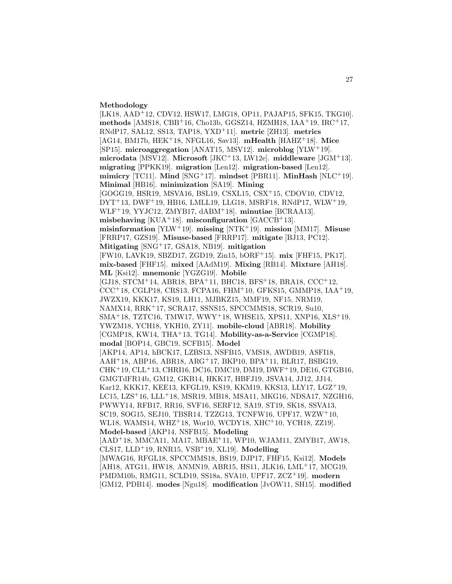#### **Methodology**

[LK18, AAD<sup>+</sup>12, CDV12, HSW17, LMG18, OP11, PAJAP15, SFK15, TKG10]. **methods** [AMS18, CBB<sup>+</sup>16, Cho13b, GGSZ14, HZMH18, IAA<sup>+</sup>19, IRC<sup>+</sup>17, RNdP17, SAL12, SS13, TAP18, YXD<sup>+</sup>11]. **metric** [ZH13]. **metrics** [AG14, BM17b, HEK<sup>+</sup>18, NFGL16, Sav13]. **mHealth** [HAHZ<sup>+</sup>18]. **Mice** [SP15]. **microaggregation** [ANAT15, MSV12]. **microblog** [YLW<sup>+</sup>19]. **microdata** [MSV12]. **Microsoft** [JKC<sup>+</sup>13, LW12e]. **middleware** [JGM<sup>+</sup>13]. **migrating** [PPKK19]. **migration** [Len12]. **migration-based** [Len12]. **mimicry** [TC11]. **Mind** [SNG<sup>+</sup>17]. **mindset** [PBR11]. **MinHash** [NLC<sup>+</sup>19]. **Minimal** [HB16]. **minimization** [SA19]. **Mining** [GOGG19, HSR19, MSVA16, BSL19, CSXL15, CSX<sup>+</sup>15, CDOV10, CDV12, DYT<sup>+</sup>13, DWF<sup>+</sup>19, HB16, LMLL19, LLG18, MSRF18, RNdP17, WLW<sup>+</sup>19, WLF<sup>+</sup>19, YYJC12, ZMYB17, dABM<sup>+</sup>18]. **minutiae** [BCRAA13]. **misbehaving** [KUA<sup>+</sup>18]. **misconfiguration** [GACCB<sup>+</sup>13]. **misinformation** [YLW<sup>+</sup>19]. **missing** [NTK<sup>+</sup>19]. **mission** [MM17]. **Misuse** [FRRP17, GZS19]. **Misuse-based** [FRRP17]. **mitigate** [BJ13, PC12]. **Mitigating** [SNG<sup>+</sup>17, GSA18, NB19]. **mitigation** [FW10, LAVK19, SBZD17, ZGD19, Zin15, bORF<sup>+</sup>15]. **mix** [FHF15, PK17]. **mix-based** [FHF15]. **mixed** [AAdM19]. **Mixing** [RB14]. **Mixture** [AH18]. **ML** [Ksi12]. **mnemonic** [YGZG19]. **Mobile** [GJ18, STCM<sup>+</sup>14, ABR18, BPA<sup>+</sup>11, BHC18, BFS<sup>+</sup>18, BRA18, CCC<sup>+</sup>12,  $CCC<sup>+</sup>18, CGLP18, CRS13, FCPA16, FHM<sup>+</sup>10, GFKS15, GMMP18, IAA<sup>+</sup>19,$ JWZX19, KKK17, KS19, LH11, MJBKZ15, MMF19, NF15, NRM19, NAMX14, RRK<sup>+</sup>17, SCRA17, SSNS15, SPCCMMS18, SCR19, Su10, SMA<sup>+</sup>18, TZTC16, TMW17, WWY<sup>+</sup>18, WHSE15, XPS11, XNP16, XLS<sup>+</sup>19, YWZM18, YCH18, YKH10, ZY11]. **mobile-cloud** [ABR18]. **Mobility** [CGMP18, KW14, THA<sup>+</sup>13, TG14]. **Mobility-as-a-Service** [CGMP18]. **modal** [BOP14, GBC19, SCFB15]. **Model** [AKP14, AP14, hBCK17, LZBS13, NSFB15, VMS18, AWDB19, ASFI18, AAH<sup>+</sup>18, ABP16, ABR18, ARG<sup>+</sup>17, BKP10, BPA<sup>+</sup>11, BLR17, BSBG19, CHK<sup>+</sup>19, CLL<sup>+</sup>13, CHRI16, DC16, DMC19, DM19, DWF<sup>+</sup>19, DE16, GTGB16, GMGTdFR14b, GM12, GKB14, HKK17, HBFJ19, JSVA14, JJ12, JJ14, Kar12, KKK17, KEE13, KFGL19, KS19, KKM19, KKS13, LLY17, LGZ<sup>+</sup>19, LC15, LZS<sup>+</sup>16, LLL<sup>+</sup>18, MSR19, MB18, MSA11, MKG16, NDSA17, NZGH16, PWWY14, RFB17, RR16, SVF16, SERF12, SA19, ST19, SK18, SSVA13, SC19, SOG15, SEJ10, TBSR14, TZZG13, TCNFW16, UPF17, WZW<sup>+</sup>10, WL18, WAMS14, WHZ<sup>+</sup>18, Wor10, WCDY18, XHC<sup>+</sup>10, YCH18, ZZ19]. **Model-based** [AKP14, NSFB15]. **Modeling** [AAD<sup>+</sup>18, MMCA11, MA17, MBAE<sup>+</sup>11, WP10, WJAM11, ZMYB17, AW18, CLS17, LLD<sup>+</sup>19, RNR15, VSB<sup>+</sup>19, XL19]. **Modelling** [MWAG16, RFGL18, SPCCMMS18, BS19, DJP17, FHF15, Ksi12]. **Models** [AH18, ATG11, HW18, ANMN19, ABR15, HS11, JLK16, LML<sup>+</sup>17, MCG19, PMDM10b, RMG11, SCLD19, SS18a, SVA10, UPF17, ZCZ<sup>+</sup>19]. **modern** [GM12, PDB14]. **modes** [Ngu18]. **modification** [JvOW11, SH15]. **modified**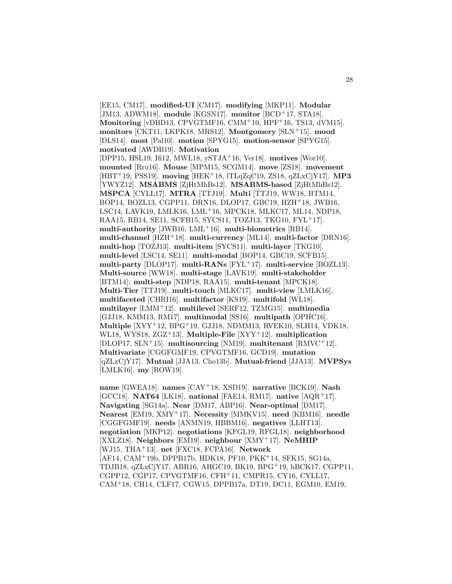[EE15, CM17]. **modified-UI** [CM17]. **modifying** [MKP11]. **Modular** [JM13, ADWM18]. **module** [KGSN17]. **monitor** [BCD<sup>+</sup>17, STA18]. **Monitoring** [vDBD13, CPVGTMF16, CMM<sup>+</sup>10, HPF<sup>+</sup>16, TS13, dVM15]. **monitors** [CKT11, LKPK18, MRS12]. **Montgomery** [SLN<sup>+</sup>15]. **mood** [DLS14]. **most** [Pal10]. **motion** [SPYG15]. **motion-sensor** [SPYG15]. **motivated** [AWDB19]. **Motivation** [DPP15, HSL19, Ifi12, MWL18, ySTJA<sup>+</sup>16, Ver18]. **motives** [Wor10]. **mounted** [Rru16]. **Mouse** [MPM15, SCGM14]. **move** [ZS18]. **movement** [HBT<sup>+</sup>19, PSS19]. **moving** [HEK<sup>+</sup>18, lTLqZqC19, ZS18, qZLxCjY17]. **MP3** [YWYZ12]. **MSABMS** [ZjHtMhBs12]. **MSABMS-based** [ZjHtMhBs12]. **MSPCA** [CYLL17]. **MTRA** [TTJ19]. **Multi** [TTJ19, WW18, BTM14, BOP14, BOZL13, CGPP11, DRN16, DLOP17, GBC19, HZH<sup>+</sup>18, JWB16, LSC14, LAVK19, LMLK16, LML<sup>+</sup>16, MPCK18, MLKC17, ML14, NDP18, RAA15, RB14, SE11, SCFB15, SYCS11, TOZJ13, TKG10, FYL<sup>+</sup>17]. **multi-authority** [JWB16, LML<sup>+</sup>16]. **multi-biometrics** [RB14]. **multi-channel** [HZH<sup>+</sup>18]. **multi-currency** [ML14]. **multi-factor** [DRN16]. **multi-hop** [TOZJ13]. **multi-item** [SYCS11]. **multi-layer** [TKG10]. **multi-level** [LSC14, SE11]. **multi-modal** [BOP14, GBC19, SCFB15]. **multi-party** [DLOP17]. **multi-RANs** [FYL<sup>+</sup>17]. **multi-service** [BOZL13]. **Multi-source** [WW18]. **multi-stage** [LAVK19]. **multi-stakeholder** [BTM14]. **multi-step** [NDP18, RAA15]. **multi-tenant** [MPCK18]. **Multi-Tier** [TTJ19]. **multi-touch** [MLKC17]. **multi-view** [LMLK16]. **multifaceted** [CHRI16]. **multifactor** [KS19]. **multifold** [WL18]. **multilayer** [LMM<sup>+</sup>12]. **multilevel** [SERF12, TZMG15]. **multimedia** [GJJ18, KMM13, RM17]. **multimodal** [SS16]. **multipath** [OPHC16]. **Multiple** [XYY<sup>+</sup>12, BPG<sup>+</sup>19, GJJ18, NDMM13, RVEK10, SLH14, VDK18, WL18, WYS18, ZGZ<sup>+</sup>13]. **Multiple-File** [XYY<sup>+</sup>12]. **multiplication** [DLOP17, SLN<sup>+</sup>15]. **multisourcing** [NM19]. **multitenant** [RMVC<sup>+</sup>12]. **Multivariate** [CGGFGMF19, CPVGTMF16, GCD19]. **mutation** [qZLxCjY17]. **Mutual** [JJA13, Cho13b]. **Mutual-friend** [JJA13]. **MVPSys** [LMLK16]. **my** [ROW19].

**name** [GWEA18]. **names** [CAY<sup>+</sup>18, XSD19]. **narrative** [BCK19]. **Nash** [GCC18]. **NAT64** [LK18]. **national** [FAE14, RM17]. **native** [AQR<sup>+</sup>17]. **Navigating** [SG14a]. **Near** [DM17, ABP16]. **Near-optimal** [DM17]. **Nearest** [EM19, XMY<sup>+</sup>17]. **Necessity** [MMKV15]. **need** [KBM16]. **needle** [CGGFGMF19]. **needs** [ANMN19, HBBM16]. **negatives** [LLHT13]. **negotiation** [MKP12]. **negotiations** [KFGL19, RFGL18]. **neighborhood** [XXLZ18]. **Neighbors** [EM19]. **neighbour** [XMY<sup>+</sup>17]. **NeMHIP** [WJ15, THA<sup>+</sup>13]. **net** [FXC18, FCPA16]. **Network** [AF14, CAM<sup>+</sup>19b, DPPB17b, HDK18, PF10, PKK<sup>+</sup>14, SFK15, SG14a, TDJB18, qZLxCjY17, ABR16, AHGC19, BK19, BPG<sup>+</sup>19, hBCK17, CGPP11, CGPP12, CGP17, CPVGTMF16, CFH<sup>+</sup>11, CMPR15, CY16, CYLL17, CAM<sup>+</sup>18, CH14, CLF17, CGW15, DPPB17a, DT19, DC11, EGM10, EM19,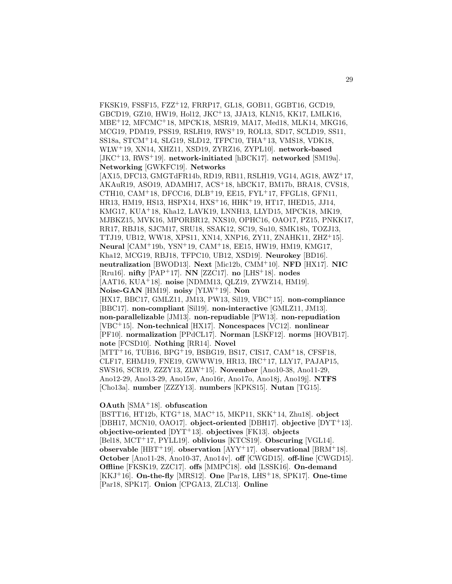FKSK19, FSSF15, FZZ<sup>+</sup>12, FRRP17, GL18, GOB11, GGBT16, GCD19, GBCD19, GZ10, HW19, Hol12, JKC<sup>+</sup>13, JJA13, KLN15, KK17, LMLK16, MBE<sup>+</sup>12, MFCMC<sup>+</sup>18, MPCK18, MSR19, MA17, Med18, MLK14, MKG16, MCG19, PDM19, PSS19, RSLH19, RWS<sup>+</sup>19, ROL13, SD17, SCLD19, SS11, SS18a, STCM<sup>+</sup>14, SLG19, SLD12, TFPC10, THA<sup>+</sup>13, VMS18, VDK18, WLW<sup>+</sup>19, XN14, XHZ11, XSD19, ZYRZ16, ZYPL10]. **network-based** [JKC<sup>+</sup>13, RWS<sup>+</sup>19]. **network-initiated** [hBCK17]. **networked** [SM19a]. **Networking** [GWKFC19]. **Networks** [AX15, DFC13, GMGTdFR14b, RD19, RB11, RSLH19, VG14, AG18, AWZ<sup>+</sup>17, AKAuR19, ASO19, ADAMH17, ACS<sup>+</sup>18, hBCK17, BM17b, BRA18, CVS18, CTH10, CAM<sup>+</sup>18, DFCC16, DLB<sup>+</sup>19, EE15, FYL<sup>+</sup>17, FFGL18, GFN11, HR13, HM19, HS13, HSPX14, HXS<sup>+</sup>16, HHK<sup>+</sup>19, HT17, IHED15, JJ14, KMG17, KUA<sup>+</sup>18, Kha12, LAVK19, LNNH13, LLYD15, MPCK18, MK19, MJBKZ15, MVK16, MPORBR12, NXS10, OPHC16, OAO17, PZ15, PNKK17, RR17, RBJ18, SJCM17, SRU18, SSAK12, SC19, Su10, SMK18b, TOZJ13, TTJ19, UB12, WW18, XPS11, XN14, XNP16, ZY11, ZNAHK11, ZHZ<sup>+</sup>15]. **Neural** [CAM<sup>+</sup>19b, YSN<sup>+</sup>19, CAM<sup>+</sup>18, EE15, HW19, HM19, KMG17, Kha12, MCG19, RBJ18, TFPC10, UB12, XSD19]. **Neurokey** [BD16]. **neutralization** [BWOD13]. **Next** [Mic12b, CMM<sup>+</sup>10]. **NFD** [HX17]. **NIC** [Rru16]. **nifty** [PAP<sup>+</sup>17]. **NN** [ZZC17]. **no** [LHS<sup>+</sup>18]. **nodes** [AAT16, KUA<sup>+</sup>18]. **noise** [NDMM13, QLZ19, ZYWZ14, HM19]. **Noise-GAN** [HM19]. **noisy** [YLW<sup>+</sup>19]. **Non** [HX17, BBC17, GMLZ11, JM13, PW13, Sil19, VBC<sup>+</sup>15]. **non-compliance** [BBC17]. **non-compliant** [Sil19]. **non-interactive** [GMLZ11, JM13]. **non-parallelizable** [JM13]. **non-repudiable** [PW13]. **non-repudiation** [VBC<sup>+</sup>15]. **Non-technical** [HX17]. **Noncespaces** [VC12]. **nonlinear** [PF10]. **normalization** [PPdCL17]. **Norman** [LSKF12]. **norms** [HOVB17]. **note** [FCSD10]. **Nothing** [RR14]. **Novel** [MTT<sup>+</sup>16, TUB16, BPG<sup>+</sup>19, BSBG19, BS17, CIS17, CAM<sup>+</sup>18, CFSF18, CLF17, EHMJ19, FNE19, GWWW19, HR13, IRC<sup>+</sup>17, LLY17, PAJAP15, SWS16, SCR19, ZZZY13, ZLW<sup>+</sup>15]. **November** [Ano10-38, Ano11-29, Ano12-29, Ano13-29, Ano15w, Ano16r, Ano17o, Ano18j, Ano19j]. **NTFS** [Cho13a]. **number** [ZZZY13]. **numbers** [KPKS15]. **Nutan** [TG15].

### **OAuth** [SMA<sup>+</sup>18]. **obfuscation**

[BSTT16, HT12b, KTG<sup>+</sup>18, MAC<sup>+</sup>15, MKP11, SKK<sup>+</sup>14, Zhu18]. **object** [DBH17, MCN10, OAO17]. **object-oriented** [DBH17]. **objective** [DYT<sup>+</sup>13]. **objective-oriented** [DYT<sup>+</sup>13]. **objectives** [FK13]. **objects** [Bel18, MCT<sup>+</sup>17, PYLL19]. **oblivious** [KTCS19]. **Obscuring** [VGL14]. **observable** [HBT<sup>+</sup>19]. **observation** [AYY<sup>+</sup>17]. **observational** [BRM<sup>+</sup>18]. **October** [Ano11-28, Ano10-37, Ano14v]. **off** [CWGD15]. **off-line** [CWGD15]. **Offline** [FKSK19, ZZC17]. **offs** [MMPC18]. **old** [LSSK16]. **On-demand** [KKJ<sup>+</sup>16]. **On-the-fly** [MRS12]. **One** [Par18, LHS<sup>+</sup>18, SPK17]. **One-time** [Par18, SPK17]. **Onion** [CPGA13, ZLC13]. **Online**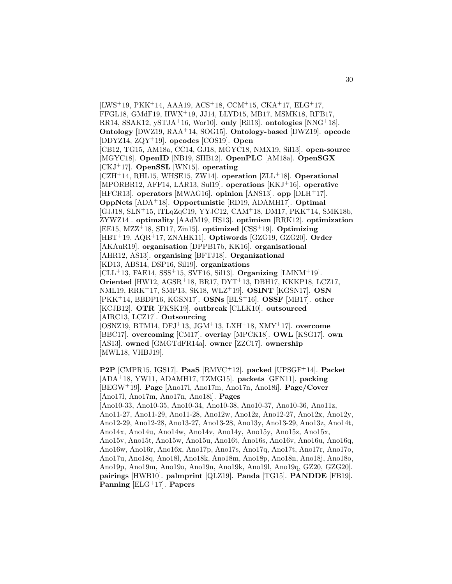[LWS<sup>+</sup>19, PKK<sup>+</sup>14, AAA19, ACS<sup>+</sup>18, CCM<sup>+</sup>15, CKA<sup>+</sup>17, ELG<sup>+</sup>17, FFGL18, GMdF19, HWX<sup>+</sup>19, JJ14, LLYD15, MB17, MSMK18, RFB17, RR14, SSAK12, ySTJA<sup>+</sup>16, Wor10]. **only** [Ril13]. **ontologies** [NNG<sup>+</sup>18]. **Ontology** [DWZ19, RAA<sup>+</sup>14, SOG15]. **Ontology-based** [DWZ19]. **opcode** [DDYZ14, ZQY<sup>+</sup>19]. **opcodes** [COS19]. **Open** [CB12, TG15, AM18a, CC14, GJ18, MGYC18, NMX19, Sil13]. **open-source** [MGYC18]. **OpenID** [NB19, SHB12]. **OpenPLC** [AM18a]. **OpenSGX** [CKJ<sup>+</sup>17]. **OpenSSL** [WN15]. **operating** [CZH<sup>+</sup>14, RHL15, WHSE15, ZW14]. **operation** [ZLL<sup>+</sup>18]. **Operational** [MPORBR12, AFF14, LAR13, Sul19]. **operations** [KKJ<sup>+</sup>16]. **operative** [HFCR13]. **operators** [MWAG16]. **opinion** [ANS13]. **opp** [DLH<sup>+</sup>17]. **OppNets** [ADA<sup>+</sup>18]. **Opportunistic** [RD19, ADAMH17]. **Optimal** [GJJ18, SLN<sup>+</sup>15, lTLqZqC19, YYJC12, CAM<sup>+</sup>18, DM17, PKK<sup>+</sup>14, SMK18b, ZYWZ14]. **optimality** [AAdM19, HS13]. **optimism** [RRK12]. **optimization** [EE15, MZZ<sup>+</sup>18, SD17, Zin15]. **optimized** [CSS<sup>+</sup>19]. **Optimizing** [HBT<sup>+</sup>19, AQR<sup>+</sup>17, ZNAHK11]. **Optiwords** [GZG19, GZG20]. **Order** [AKAuR19]. **organisation** [DPPB17b, KK16]. **organisational** [AHR12, AS13]. **organising** [BFTJ18]. **Organizational** [KD13, ABS14, DSP16, Sil19]. **organizations** [CLL<sup>+</sup>13, FAE14, SSS<sup>+</sup>15, SVF16, Sil13]. **Organizing** [LMNM<sup>+</sup>19]. **Oriented** [HW12, AGSR<sup>+</sup>18, BR17, DYT<sup>+</sup>13, DBH17, KKKP18, LCZ17, NML19, RRK<sup>+</sup>17, SMP13, SK18, WLZ<sup>+</sup>19]. **OSINT** [KGSN17]. **OSN** [PKK<sup>+</sup>14, BBDP16, KGSN17]. **OSNs** [BLS<sup>+</sup>16]. **OSSF** [MB17]. **other** [KCJB12]. **OTR** [FKSK19]. **outbreak** [CLLK10]. **outsourced** [AIRC13, LCZ17]. **Outsourcing** [OSNZ19, BTM14, DFJ<sup>+</sup>13, JGM<sup>+</sup>13, LXH<sup>+</sup>18, XMY<sup>+</sup>17]. **overcome** [BBC17]. **overcoming** [CM17]. **overlay** [MPCK18]. **OWL** [KSG17]. **own** [AS13]. **owned** [GMGTdFR14a]. **owner** [ZZC17]. **ownership** [MWL18, VHBJ19].

**P2P** [CMPR15, IGS17]. **PaaS** [RMVC<sup>+</sup>12]. **packed** [UPSGF<sup>+</sup>14]. **Packet** [ADA<sup>+</sup>18, YW11, ADAMH17, TZMG15]. **packets** [GFN11]. **packing** [BEGW<sup>+</sup>19]. **Page** [Ano17l, Ano17m, Ano17n, Ano18i]. **Page/Cover** [Ano17l, Ano17m, Ano17n, Ano18i]. **Pages** [Ano10-33, Ano10-35, Ano10-34, Ano10-38, Ano10-37, Ano10-36, Ano11z, Ano11-27, Ano11-29, Ano11-28, Ano12w, Ano12z, Ano12-27, Ano12x, Ano12y, Ano12-29, Ano12-28, Ano13-27, Ano13-28, Ano13y, Ano13-29, Ano13z, Ano14t, Ano14x, Ano14u, Ano14w, Ano14v, Ano14y, Ano15y, Ano15z, Ano15x, Ano15v, Ano15t, Ano15w, Ano15u, Ano16t, Ano16s, Ano16v, Ano16u, Ano16q, Ano16w, Ano16r, Ano16x, Ano17p, Ano17s, Ano17q, Ano17t, Ano17r, Ano17o,

Ano17u, Ano18q, Ano18l, Ano18k, Ano18m, Ano18p, Ano18n, Ano18j, Ano18o, Ano19p, Ano19m, Ano19o, Ano19n, Ano19k, Ano19l, Ano19q, GZ20, GZG20]. **pairings** [HWB10]. **palmprint** [QLZ19]. **Panda** [TG15]. **PANDDE** [FB19]. **Panning** [ELG<sup>+</sup>17]. **Papers**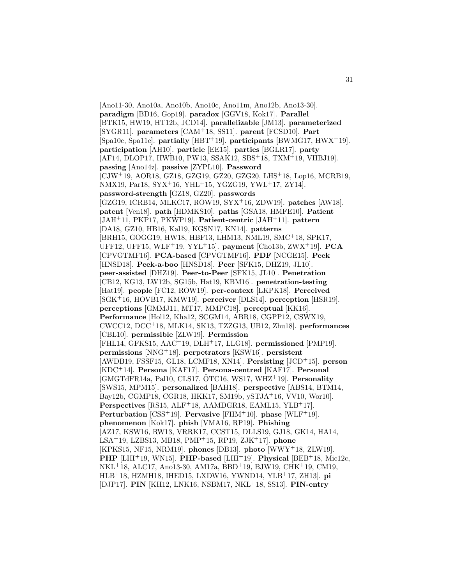[Ano11-30, Ano10a, Ano10b, Ano10c, Ano11m, Ano12b, Ano13-30]. **paradigm** [BD16, Gop19]. **paradox** [GGV18, Kok17]. **Parallel** [BTK15, HW19, HT12b, JCD14]. **parallelizable** [JM13]. **parameterized** [SYGR11]. **parameters** [CAM<sup>+</sup>18, SS11]. **parent** [FCSD10]. **Part** [Spa10c, Spa11e]. **partially** [HBT<sup>+</sup>19]. **participants** [BWMG17, HWX<sup>+</sup>19]. **participation** [AH10]. **particle** [EE15]. **parties** [BGLR17]. **party** [AF14, DLOP17, HWB10, PW13, SSAK12, SBS<sup>+</sup>18, TXM<sup>+</sup>19, VHBJ19]. **passing** [Ano14z]. **passive** [ZYPL10]. **Password** [CJW<sup>+</sup>19, AOR18, GZ18, GZG19, GZ20, GZG20, LHS<sup>+</sup>18, Lop16, MCRB19, NMX19, Par18, SYX<sup>+</sup>16, YHL<sup>+</sup>15, YGZG19, YWL<sup>+</sup>17, ZY14]. **password-strength** [GZ18, GZ20]. **passwords** [GZG19, ICRB14, MLKC17, ROW19, SYX<sup>+</sup>16, ZDW19]. **patches** [AW18]. **patent** [Ven18]. **path** [HDMKS10]. **paths** [GSA18, HMFE10]. **Patient** [JAH<sup>+</sup>11, PKP17, PKWP19]. **Patient-centric** [JAH<sup>+</sup>11]. **pattern** [DA18, GZ10, HB16, Kal19, KGSN17, KN14]. **patterns** [BRH15, GOGG19, HW18, HBF13, LHM13, NML19, SMC<sup>+</sup>18, SPK17, UFF12, UFF15, WLF<sup>+</sup>19, YYL<sup>+</sup>15]. **payment** [Cho13b, ZWX<sup>+</sup>19]. **PCA** [CPVGTMF16]. **PCA-based** [CPVGTMF16]. **PDF** [NCGE15]. **Peek** [HNSD18]. **Peek-a-boo** [HNSD18]. **Peer** [SFK15, DHZ19, JL10]. **peer-assisted** [DHZ19]. **Peer-to-Peer** [SFK15, JL10]. **Penetration** [CB12, KG13, LW12b, SG15b, Hat19, KBM16]. **penetration-testing** [Hat19]. **people** [FC12, ROW19]. **per-context** [LKPK18]. **Perceived** [SGK<sup>+</sup>16, HOVB17, KMW19]. **perceiver** [DLS14]. **perception** [HSR19]. **perceptions** [GMMJ11, MT17, MMPC18]. **perceptual** [KK16]. **Performance** [Hol12, Kha12, SCGM14, ABR18, CGPP12, CSWX19, CWCC12, DCC<sup>+</sup>18, MLK14, SK13, TZZG13, UB12, Zhu18]. **performances** [CBL10]. **permissible** [ZLW19]. **Permission** [FHL14, GFKS15, AAC<sup>+</sup>19, DLH<sup>+</sup>17, LLG18]. **permissioned** [PMP19]. **permissions** [NNG<sup>+</sup>18]. **perpetrators** [KSW16]. **persistent** [AWDB19, FSSF15, GL18, LCMF18, XN14]. **Persisting** [JCD<sup>+</sup>15]. **person** [KDC<sup>+</sup>14]. **Persona** [KAF17]. **Persona-centred** [KAF17]. **Personal** [GMGTdFR14a, Pal10, CLS17, OTC16, WS17, WHZ ¨ <sup>+</sup>19]. **Personality** [SWS15, MPM15]. **personalized** [BAH18]. **perspective** [ABS14, BTM14, Bay12b, CGMP18, CGR18, HKK17, SM19b, ySTJA<sup>+</sup>16, VV10, Wor10]. Perspectives [RS15, ALF<sup>+</sup>18, AAMDGR18, EAML15, YLB<sup>+</sup>17]. **Perturbation** [CSS<sup>+</sup>19]. **Pervasive** [FHM<sup>+</sup>10]. **phase** [WLF<sup>+</sup>19]. **phenomenon** [Kok17]. **phish** [VMA16, RP19]. **Phishing** [AZ17, KSW16, RW13, VRRK17, CCST15, DLLS19, GJ18, GK14, HA14, LSA<sup>+</sup>19, LZBS13, MB18, PMP<sup>+</sup>15, RP19, ZJK<sup>+</sup>17]. **phone** [KPKS15, NF15, NRM19]. **phones** [DB13]. **photo** [WWY<sup>+</sup>18, ZLW19]. **PHP** [LHI<sup>+</sup>19, WN15]. **PHP-based** [LHI<sup>+</sup>19]. **Physical** [BEB<sup>+</sup>18, Mic12c, NKL<sup>+</sup>18, ALC17, Ano13-30, AM17a, BBD<sup>+</sup>19, BJW19, CHK<sup>+</sup>19, CM19, HLB<sup>+</sup>18, HZMH18, IHED15, LXDW16, YWND14, YLB<sup>+</sup>17, ZH13]. **pi** [DJP17]. **PIN** [KH12, LNK16, NSBM17, NKL<sup>+</sup>18, SS13]. **PIN-entry**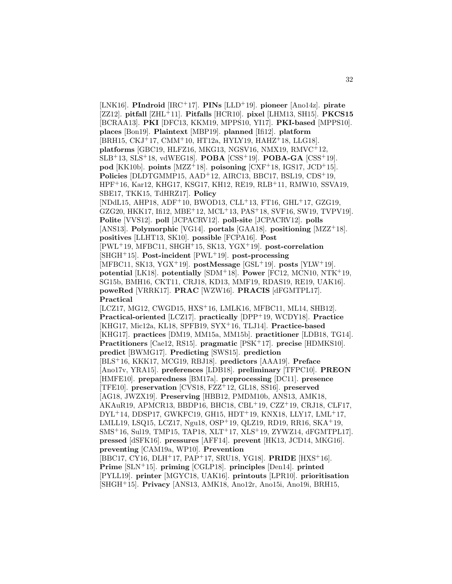[LNK16]. **PIndroid** [IRC<sup>+</sup>17]. **PINs** [LLD<sup>+</sup>19]. **pioneer** [Ano14z]. **pirate** [ZZ12]. **pitfall** [ZHL<sup>+</sup>11]. **Pitfalls** [HCR10]. **pixel** [LHM13, SH15]. **PKCS15** [BCRAA13]. **PKI** [DFC13, KKM19, MPPS10, YI17]. **PKI-based** [MPPS10]. **places** [Bon19]. **Plaintext** [MBP19]. **planned** [Ifi12]. **platform** [BRH15, CKJ<sup>+</sup>17, CMM<sup>+</sup>10, HT12a, HYLY19, HAHZ<sup>+</sup>18, LLG18]. **platforms** [GBC19, HLFZ16, MKG13, NGSV16, NMX19, RMVC<sup>+</sup>12, SLB<sup>+</sup>13, SLS<sup>+</sup>18, vdWEG18]. **POBA** [CSS<sup>+</sup>19]. **POBA-GA** [CSS<sup>+</sup>19].  $\mathbf{pod}$  [KK10b].  $\mathbf{points}$  [MZZ<sup>+</sup>18].  $\mathbf{poisoning}$  [CXF<sup>+</sup>18, IGS17, JCD<sup>+</sup>15]. **Policies** [DLDTGMMP15, AAD<sup>+</sup>12, AIRC13, BBC17, BSL19, CDS<sup>+</sup>19, HPF<sup>+</sup>16, Kar12, KHG17, KSG17, KH12, RE19, RLB<sup>+</sup>11, RMW10, SSVA19, SBE17, TKK15, TdHRZ17]. **Policy** [NDdL15, AHP18, ADF<sup>+</sup>10, BWOD13, CLL<sup>+</sup>13, FT16, GHL<sup>+</sup>17, GZG19, GZG20, HKK17, Ifi12, MBE<sup>+</sup>12, MCL<sup>+</sup>13, PAS<sup>+</sup>18, SVF16, SW19, TVPV19]. **Polite** [VVS12]. **poll** [JCPACRV12]. **poll-site** [JCPACRV12]. **polls** [ANS13]. **Polymorphic** [VG14]. **portals** [GAA18]. **positioning** [MZZ<sup>+</sup>18]. **positives** [LLHT13, SK10]. **possible** [FCPA16]. **Post** [PWL<sup>+</sup>19, MFBC11, SHGH<sup>+</sup>15, SK13, YGX<sup>+</sup>19]. **post-correlation** [SHGH<sup>+</sup>15]. **Post-incident** [PWL<sup>+</sup>19]. **post-processing** [MFBC11, SK13, YGX<sup>+</sup>19]. **postMessage** [GSL<sup>+</sup>19]. **posts** [YLW<sup>+</sup>19]. **potential** [LK18]. **potentially** [SDM<sup>+</sup>18]. **Power** [FC12, MCN10, NTK<sup>+</sup>19, SG15b, BMH16, CKT11, CRJ18, KD13, MMF19, RDAS19, RE19, UAK16]. **poweRed** [VRRK17]. **PRAC** [WZW16]. **PRACIS** [dFGMTPL17]. **Practical** [LCZ17, MG12, CWGD15, HXS<sup>+</sup>16, LMLK16, MFBC11, ML14, SHB12]. **Practical-oriented** [LCZ17]. **practically** [DPP<sup>+</sup>19, WCDY18]. **Practice** [KHG17, Mic12a, KL18, SPFB19, SYX<sup>+</sup>16, TLJ14]. **Practice-based** [KHG17]. **practices** [DM19, MM15a, MM15b]. **practitioner** [LDB18, TG14]. **Practitioners** [Cae12, RS15]. **pragmatic** [PSK<sup>+</sup>17]. **precise** [HDMKS10]. **predict** [BWMG17]. **Predicting** [SWS15]. **prediction** [BLS<sup>+</sup>16, KKK17, MCG19, RBJ18]. **predictors** [AAA19]. **Preface** [Ano17v, YRA15]. **preferences** [LDB18]. **preliminary** [TFPC10]. **PREON** [HMFE10]. **preparedness** [BM17a]. **preprocessing** [DC11]. **presence** [TFE10]. **preservation** [CVS18, FZZ<sup>+</sup>12, GL18, SS16]. **preserved** [AG18, JWZX19]. **Preserving** [HBB12, PMDM10b, ANS13, AMK18, AKAuR19, APMCR13, BBDP16, BHC18, CBL<sup>+</sup>19, CZZ<sup>+</sup>19, CRJ18, CLF17, DYL<sup>+</sup>14, DDSP17, GWKFC19, GH15, HDT<sup>+</sup>19, KNX18, LLY17, LML<sup>+</sup>17, LMLL19, LSQ15, LCZ17, Ngu18, OSP<sup>+</sup>19, QLZ19, RD19, RR16, SKA<sup>+</sup>19, SMS<sup>+</sup>16, Sul19, TMP15, TAP18, XLT<sup>+</sup>17, XLS<sup>+</sup>19, ZYWZ14, dFGMTPL17]. **pressed** [dSFK16]. **pressures** [AFF14]. **prevent** [HK13, JCD14, MKG16]. **preventing** [CAM19a, WP10]. **Prevention** [BBC17, CY16, DLH<sup>+</sup>17, PAP<sup>+</sup>17, SRU18, YG18]. **PRIDE** [HXS<sup>+</sup>16]. **Prime** [SLN<sup>+</sup>15]. **priming** [CGLP18]. **principles** [Den14]. **printed** [PYLL19]. **printer** [MGYC18, UAK16]. **printouts** [LPR10]. **prioritisation** [SHGH<sup>+</sup>15]. **Privacy** [ANS13, AMK18, Ano12r, Ano15i, Ano19i, BRH15,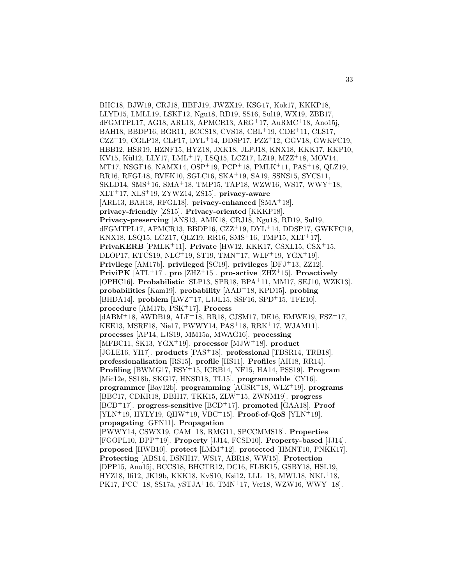BHC18, BJW19, CRJ18, HBFJ19, JWZX19, KSG17, Kok17, KKKP18, LLYD15, LMLL19, LSKF12, Ngu18, RD19, SS16, Sul19, WX19, ZBB17, dFGMTPL17, AG18, ARL13, APMCR13, ARG<sup>+</sup>17, AuRMC<sup>+</sup>18, Ano15j, BAH18, BBDP16, BGR11, BCCS18, CVS18, CBL<sup>+</sup>19, CDE<sup>+</sup>11, CLS17, CZZ<sup>+</sup>19, CGLP18, CLF17, DYL<sup>+</sup>14, DDSP17, FZZ<sup>+</sup>12, GGV18, GWKFC19, HBB12, HSR19, HZNF15, HYZ18, JXK18, JLPJ18, KNX18, KKK17, KKP10, KV15, Kül12, LLY17, LML+17, LSQ15, LCZ17, LZ19, MZZ+18, MOV14, MT17, NSGF16, NAMX14, OSP<sup>+</sup>19, PCP<sup>+</sup>18, PMLK<sup>+</sup>11, PAS<sup>+</sup>18, QLZ19, RR16, RFGL18, RVEK10, SGLC16, SKA<sup>+</sup>19, SA19, SSNS15, SYCS11, SKLD14, SMS<sup>+</sup>16, SMA<sup>+</sup>18, TMP15, TAP18, WZW16, WS17, WWY<sup>+</sup>18, XLT<sup>+</sup>17, XLS<sup>+</sup>19, ZYWZ14, ZS15]. **privacy-aware** [ARL13, BAH18, RFGL18]. **privacy-enhanced** [SMA<sup>+</sup>18]. **privacy-friendly** [ZS15]. **Privacy-oriented** [KKKP18]. **Privacy-preserving** [ANS13, AMK18, CRJ18, Ngu18, RD19, Sul19, dFGMTPL17, APMCR13, BBDP16, CZZ<sup>+</sup>19, DYL<sup>+</sup>14, DDSP17, GWKFC19, KNX18, LSQ15, LCZ17, QLZ19, RR16, SMS<sup>+</sup>16, TMP15, XLT<sup>+</sup>17]. **PrivaKERB** [PMLK<sup>+</sup>11]. **Private** [HW12, KKK17, CSXL15, CSX<sup>+</sup>15, DLOP17, KTCS19, NLC<sup>+</sup>19, ST19, TMN<sup>+</sup>17, WLF<sup>+</sup>19, YGX<sup>+</sup>19]. **Privilege** [AM17b]. **privileged** [SC19]. **privileges** [DFJ<sup>+</sup>13, ZZ12]. **PriviPK** [ATL<sup>+</sup>17]. **pro** [ZHZ<sup>+</sup>15]. **pro-active** [ZHZ<sup>+</sup>15]. **Proactively** [OPHC16]. **Probabilistic** [SLP13, SPR18, BPA<sup>+</sup>11, MM17, SEJ10, WZK13]. **probabilities** [Kam19]. **probability** [AAD<sup>+</sup>18, KPD15]. **probing** [BHDA14]. **problem** [LWZ<sup>+</sup>17, LJJL15, SSF16, SPD<sup>+</sup>15, TFE10]. **procedure** [AM17b, PSK<sup>+</sup>17]. **Process** [dABM<sup>+</sup>18, AWDB19, ALF<sup>+</sup>18, BR18, CJSM17, DE16, EMWE19, FSZ<sup>+</sup>17, KEE13, MSRF18, Nie17, PWWY14, PAS<sup>+</sup>18, RRK<sup>+</sup>17, WJAM11]. **processes** [AP14, LJS19, MM15a, MWAG16]. **processing** [MFBC11, SK13, YGX<sup>+</sup>19]. **processor** [MJW<sup>+</sup>18]. **product** [JGLE16, YI17]. **products** [PAS<sup>+</sup>18]. **professional** [TBSR14, TRB18]. **professionalisation** [RS15]. **profile** [HS11]. **Profiles** [AH18, RR14]. **Profiling** [BWMG17, ESY<sup>+</sup>15, ICRB14, NF15, HA14, PSS19]. **Program** [Mic12e, SS18b, SKG17, HNSD18, TL15]. **programmable** [CY16]. **programmer** [Bay12b]. **programming** [AGSR<sup>+</sup>18, WLZ<sup>+</sup>19]. **programs** [BBC17, CDKR18, DBH17, TKK15, ZLW<sup>+</sup>15, ZWNM19]. **progress** [BCD<sup>+</sup>17]. **progress-sensitive** [BCD<sup>+</sup>17]. **promoted** [GAA18]. **Proof** [YLN<sup>+</sup>19, HYLY19, QHW<sup>+</sup>19, VBC<sup>+</sup>15]. **Proof-of-QoS** [YLN<sup>+</sup>19]. **propagating** [GFN11]. **Propagation** [PWWY14, CSWX19, CAM<sup>+</sup>18, RMG11, SPCCMMS18]. **Properties** [FGOPL10, DPP<sup>+</sup>19]. **Property** [JJ14, FCSD10]. **Property-based** [JJ14]. **proposed** [HWB10]. **protect** [LMM<sup>+</sup>12]. **protected** [HMNT10, PNKK17]. **Protecting** [ABS14, DSNH17, WS17, ABR18, WW15]. **Protection** [DPP15, Ano15j, BCCS18, BHCTR12, DC16, FLBK15, GSBY18, HSL19, HYZ18, Ifi12, JK19b, KKK18, KvS10, Ksi12, LLL<sup>+</sup>18, MWL18, NKL<sup>+</sup>18, PK17, PCC+18, SS17a, ySTJA+16, TMN+17, Ver18, WZW16, WWY+18.

33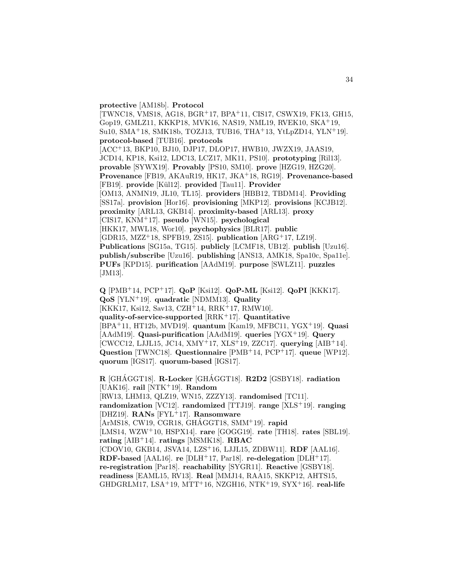# **protective** [AM18b]. **Protocol**

[TWNC18, VMS18, AG18, BGR<sup>+</sup>17, BPA<sup>+</sup>11, CIS17, CSWX19, FK13, GH15, Gop19, GMLZ11, KKKP18, MVK16, NAS19, NML19, RVEK10, SKA<sup>+</sup>19, Su10, SMA<sup>+</sup>18, SMK18b, TOZJ13, TUB16, THA<sup>+</sup>13, YtLpZD14, YLN<sup>+</sup>19]. **protocol-based** [TUB16]. **protocols** [ACC<sup>+</sup>13, BKP10, BJ10, DJP17, DLOP17, HWB10, JWZX19, JAAS19, JCD14, KP18, Ksi12, LDC13, LCZ17, MK11, PS10]. **prototyping** [Ril13]. **provable** [SYWX19]. **Provably** [PS10, SM10]. **prove** [HZG19, HZG20]. **Provenance** [FB19, AKAuR19, HK17, JKA<sup>+</sup>18, RG19]. **Provenance-based** [FB19]. **provide** [K¨ul12]. **provided** [Tau11]. **Provider** [OM13, ANMN19, JL10, TL15]. **providers** [HBB12, TBDM14]. **Providing** [SS17a]. **provision** [Hor16]. **provisioning** [MKP12]. **provisions** [KCJB12]. **proximity** [ARL13, GKB14]. **proximity-based** [ARL13]. **proxy** [CIS17, KNM<sup>+</sup>17]. **pseudo** [WN15]. **psychological** [HKK17, MWL18, Wor10]. **psychophysics** [BLR17]. **public** [GDR15, MZZ<sup>+</sup>18, SPFB19, ZS15]. **publication** [ARG<sup>+</sup>17, LZ19]. **Publications** [SG15a, TG15]. **publicly** [LCMF18, UB12]. **publish** [Uzu16]. **publish/subscribe** [Uzu16]. **publishing** [ANS13, AMK18, Spa10c, Spa11e]. **PUFs** [KPD15]. **purification** [AAdM19]. **purpose** [SWLZ11]. **puzzles** [JM13].

**Q** [PMB<sup>+</sup>14, PCP<sup>+</sup>17]. **QoP** [Ksi12]. **QoP-ML** [Ksi12]. **QoPI** [KKK17]. **QoS** [YLN<sup>+</sup>19]. **quadratic** [NDMM13]. **Quality** [KKK17, Ksi12, Sav13, CZH<sup>+</sup>14, RRK<sup>+</sup>17, RMW10]. **quality-of-service-supported** [RRK<sup>+</sup>17]. **Quantitative** [BPA<sup>+</sup>11, HT12b, MVD19]. **quantum** [Kam19, MFBC11, YGX<sup>+</sup>19]. **Quasi** [AAdM19]. **Quasi-purification** [AAdM19]. **queries** [YGX<sup>+</sup>19]. **Query** [CWCC12, LJJL15, JC14, XMY<sup>+</sup>17, XLS<sup>+</sup>19, ZZC17]. **querying** [AIB<sup>+</sup>14]. **Question** [TWNC18]. **Questionnaire** [PMB<sup>+</sup>14, PCP<sup>+</sup>17]. **queue** [WP12]. **quorum** [IGS17]. **quorum-based** [IGS17].

**R** [GHÁGGT18]. **R-Locker** [GHÁGGT18]. **R2D2** [GSBY18]. **radiation** [UAK16]. **rail** [NTK<sup>+</sup>19]. **Random** [RW13, LHM13, QLZ19, WN15, ZZZY13]. **randomised** [TC11]. **randomization** [VC12]. **randomized** [TTJ19]. **range** [XLS<sup>+</sup>19]. **ranging** [DHZ19]. **RANs** [FYL<sup>+</sup>17]. **Ransomware** [ArMS18, CW19, CGR18, GHAGGT18, SMM<sup>+</sup>19]. **rapid** [LMS14, WZW<sup>+</sup>10, HSPX14]. **rare** [GOGG19]. **rate** [TH18]. **rates** [SBL19]. **rating** [AIB<sup>+</sup>14]. **ratings** [MSMK18]. **RBAC** [CDOV10, GKB14, JSVA14, LZS<sup>+</sup>16, LJJL15, ZDBW11]. **RDF** [AAL16]. **RDF-based** [AAL16]. **re** [DLH<sup>+</sup>17, Par18]. **re-delegation** [DLH<sup>+</sup>17]. **re-registration** [Par18]. **reachability** [SYGR11]. **Reactive** [GSBY18]. **readiness** [EAML15, RV13]. **Real** [MMJ14, RAA15, SKKP12, AHTS15, GHDGRLM17, LSA<sup>+</sup>19, MTT<sup>+</sup>16, NZGH16, NTK<sup>+</sup>19, SYX<sup>+</sup>16]. **real-life**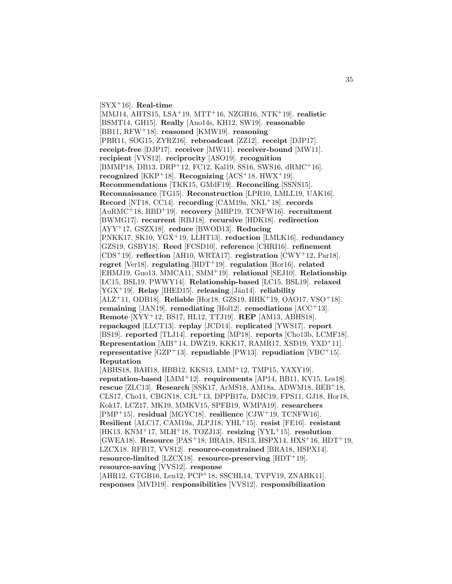[SYX<sup>+</sup>16]. **Real-time**

[MMJ14, AHTS15, LSA<sup>+</sup>19, MTT<sup>+</sup>16, NZGH16, NTK<sup>+</sup>19]. **realistic** [BSMT14, GH15]. **Really** [Ano14s, KH12, SW19]. **reasonable** [BB11, RFW<sup>+</sup>18]. **reasoned** [KMW19]. **reasoning** [PBR11, SOG15, ZYRZ16]. **rebroadcast** [ZZ12]. **receipt** [DJP17]. **receipt-free** [DJP17]. **receiver** [MW11]. **receiver-bound** [MW11]. **recipient** [VVS12]. **reciprocity** [ASO19]. **recognition** [BMMP18, DB13, DRP<sup>+</sup>12, FC12, Kal19, SS16, SWS16, dRMC<sup>+</sup>16]. **recognized** [KKP<sup>+</sup>18]. **Recognizing** [ACS<sup>+</sup>18, HWX<sup>+</sup>19]. **Recommendations** [TKK15, GMdF19]. **Reconciling** [SSNS15]. **Reconnaissance** [TG15]. **Reconstruction** [LPR10, LMLL19, UAK16]. **Record** [NT18, CC14]. **recording** [CAM19a, NKL<sup>+</sup>18]. **records** [AuRMC<sup>+</sup>18, BBD<sup>+</sup>19]. **recovery** [MBP19, TCNFW16]. **recruitment** [BWMG17]. **recurrent** [RBJ18]. **recursive** [HDK18]. **redirection** [AYY<sup>+</sup>17, GSZX18]. **reduce** [BWOD13]. **Reducing** [PNKK17, SK10, YGX<sup>+</sup>19, LLHT13]. **reduction** [LMLK16]. **redundancy** [GZS19, GSBY18]. **Reed** [FCSD10]. **reference** [CHRI16]. **refinement** [CDS<sup>+</sup>19]. **reflection** [AH10, WRTA17]. **registration** [CWY<sup>+</sup>12, Par18]. **regret** [Ver18]. **regulating** [HDT<sup>+</sup>19]. **regulation** [Hor16]. **related** [EHMJ19, Guo13, MMCA11, SMM<sup>+</sup>19]. **relational** [SEJ10]. **Relationship** [LC15, BSL19, PWWY14]. **Relationship-based** [LC15, BSL19]. **relaxed** [YGX<sup>+</sup>19]. **Relay** [IHED15]. **releasing** [Jän14]. **reliability** [ALZ<sup>+</sup>11, ODB18]. **Reliable** [Hor18, GZS19, HHK<sup>+</sup>19, OAO17, VSO<sup>+</sup>18]. **remaining** [JAN19]. **remediating** [Hol12]. **remediations** [ACC<sup>+</sup>13]. **Remote** [XYY<sup>+</sup>12, BS17, HL12, TTJ19]. **REP** [AM13, ABHS18]. **repackaged** [LLCT13]. **replay** [JCD14]. **replicated** [YWS17]. **report** [BS19]. **reported** [TLJ14]. **reporting** [MP18]. **reports** [Cho13b, LCMF18]. **Representation** [AIB<sup>+</sup>14, DWZ19, KKK17, RAMR17, XSD19, YXD<sup>+</sup>11]. **representative** [GZP<sup>+</sup>13]. **repudiable** [PW13]. **repudiation** [VBC<sup>+</sup>15]. **Reputation** [ABHS18, BAH18, HBB12, KKS13, LMM<sup>+</sup>12, TMP15, YAXY19]. **reputation-based** [LMM<sup>+</sup>12]. **requirements** [AP14, BB11, KV15, Les18]. **rescue** [ZLC13]. **Research** [SSK17, ArMS18, AM18a, ADWM18, BEB<sup>+</sup>18, CLS17, Cho11, CBGN18, CJL<sup>+</sup>13, DPPB17a, DMC19, FPS11, GJ18, Hor18, Kok17, LCZ17, MK19, MMKV15, SPFB19, WMPA19]. **researchers** [PMP<sup>+</sup>15]. **residual** [MGYC18]. **resilience** [CJW<sup>+</sup>19, TCNFW16]. **Resilient** [ALC17, CAM19a, JLPJ18, YHL<sup>+</sup>15]. **resist** [FE16]. **resistant** [HK13, KNM<sup>+</sup>17, MLH<sup>+</sup>18, TOZJ13]. **resizing** [YYL<sup>+</sup>15]. **resolution** [GWEA18]. **Resource** [PAS<sup>+</sup>18, BRA18, HS13, HSPX14, HXS<sup>+</sup>16, HDT<sup>+</sup>19, LZCX18, RFB17, VVS12]. **resource-constrained** [BRA18, HSPX14].

**resource-limited** [LZCX18]. **resource-preserving** [HDT<sup>+</sup>19]. **resource-saving** [VVS12]. **response** [AHR12, GTGB16, Len12, PCP<sup>+</sup>18, SSCHL14, TVPV19, ZNAHK11].

**responses** [MVD19]. **responsibilities** [VVS12]. **responsibilization**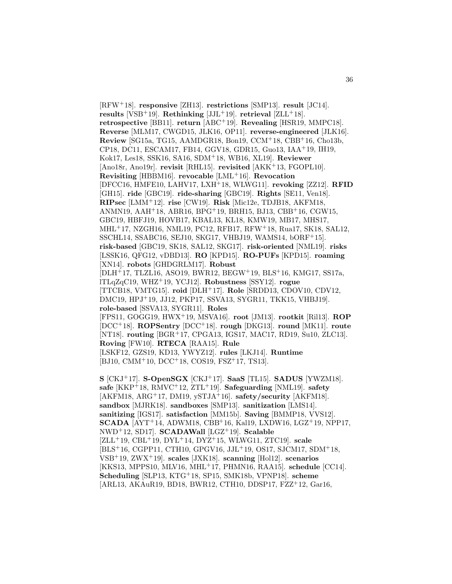[RFW<sup>+</sup>18]. **responsive** [ZH13]. **restrictions** [SMP13]. **result** [JC14]. **results** [VSB<sup>+</sup>19]. **Rethinking** [JJL<sup>+</sup>19]. **retrieval** [ZLL<sup>+</sup>18]. **retrospective** [BB11]. **return** [ABC<sup>+</sup>19]. **Revealing** [HSR19, MMPC18]. **Reverse** [MLM17, CWGD15, JLK16, OP11]. **reverse-engineered** [JLK16]. **Review** [SG15a, TG15, AAMDGR18, Bon19, CCM<sup>+</sup>18, CBB<sup>+</sup>16, Cho13b, CP18, DC11, ESCAM17, FB14, GGV18, GDR15, Guo13, IAA<sup>+</sup>19, IH19, Kok17, Les18, SSK16, SA16, SDM<sup>+</sup>18, WB16, XL19]. **Reviewer** [Ano18r, Ano19r]. **revisit** [RHL15]. **revisited** [AKK<sup>+</sup>13, FGOPL10]. **Revisiting** [HBBM16]. **revocable** [LML<sup>+</sup>16]. **Revocation** [DFCC16, HMFE10, LAHV17, LXH<sup>+</sup>18, WLWG11]. **revoking** [ZZ12]. **RFID** [GH15]. **ride** [GBC19]. **ride-sharing** [GBC19]. **Rights** [SE11, Ven18]. **RIPsec** [LMM<sup>+</sup>12]. **rise** [CW19]. **Risk** [Mic12e, TDJB18, AKFM18, ANMN19, AAH<sup>+</sup>18, ABR16, BPG<sup>+</sup>19, BRH15, BJ13, CBB<sup>+</sup>16, CGW15, GBC19, HBFJ19, HOVB17, KBAL13, KL18, KMW19, MB17, MHS17, MHL<sup>+</sup>17, NZGH16, NML19, PC12, RFB17, RFW<sup>+</sup>18, Rua17, SK18, SAL12, SSCHL14, SSABC16, SEJ10, SKG17, VHBJ19, WAMS14, bORF<sup>+</sup>15]. **risk-based** [GBC19, SK18, SAL12, SKG17]. **risk-oriented** [NML19]. **risks** [LSSK16, QFG12, vDBD13]. **RO** [KPD15]. **RO-PUFs** [KPD15]. **roaming** [XN14]. **robots** [GHDGRLM17]. **Robust** [DLH<sup>+</sup>17, TLZL16, ASO19, BWR12, BEGW<sup>+</sup>19, BLS<sup>+</sup>16, KMG17, SS17a, lTLqZqC19, WHZ<sup>+</sup>19, YCJ12]. **Robustness** [SSY12]. **rogue** [TTCB18, VMTG15]. **roid** [DLH<sup>+</sup>17]. **Role** [SRDD13, CDOV10, CDV12, DMC19, HPJ<sup>+</sup>19, JJ12, PKP17, SSVA13, SYGR11, TKK15, VHBJ19]. **role-based** [SSVA13, SYGR11]. **Roles** [FPS11, GOGG19, HWX<sup>+</sup>19, MSVA16]. **root** [JM13]. **rootkit** [Ril13]. **ROP** [DCC<sup>+</sup>18]. **ROPSentry** [DCC<sup>+</sup>18]. **rough** [DKG13]. **round** [MK11]. **route** [NT18]. **routing** [BGR<sup>+</sup>17, CPGA13, IGS17, MAC17, RD19, Su10, ZLC13]. **Roving** [FW10]. **RTECA** [RAA15]. **Rule** [LSKF12, GZS19, KD13, YWYZ12]. **rules** [LKJ14]. **Runtime** [BJ10, CMM<sup>+</sup>10, DCC<sup>+</sup>18, COS19, FSZ<sup>+</sup>17, TS13].

**S** [CKJ<sup>+</sup>17]. **S-OpenSGX** [CKJ<sup>+</sup>17]. **SaaS** [TL15]. **SADUS** [YWZM18]. **safe** [KKP<sup>+</sup>18, RMVC<sup>+</sup>12, ZTL<sup>+</sup>19]. **Safeguarding** [NML19]. **safety** [AKFM18, ARG<sup>+</sup>17, DM19, ySTJA<sup>+</sup>16]. **safety/security** [AKFM18]. **sandbox** [MJRK18]. **sandboxes** [SMP13]. **sanitization** [LMS14]. **sanitizing** [IGS17]. **satisfaction** [MM15b]. **Saving** [BMMP18, VVS12]. **SCADA** [AYT<sup>+</sup>14, ADWM18, CBB<sup>+</sup>16, Kal19, LXDW16, LGZ<sup>+</sup>19, NPP17, NWD<sup>+</sup>12, SD17]. **SCADAWall** [LGZ<sup>+</sup>19]. **Scalable** [ZLL<sup>+</sup>19, CBL<sup>+</sup>19, DYL<sup>+</sup>14, DYZ<sup>+</sup>15, WLWG11, ZTC19]. **scale** [BLS<sup>+</sup>16, CGPP11, CTH10, GPGV16, JJL<sup>+</sup>19, OS17, SJCM17, SDM<sup>+</sup>18, VSB<sup>+</sup>19, ZWX<sup>+</sup>19]. **scales** [JXK18]. **scanning** [Hol12]. **scenarios** [KKS13, MPPS10, MLV16, MHL<sup>+</sup>17, PHMN16, RAA15]. **schedule** [CC14]. **Scheduling** [SLP13, KTG<sup>+</sup>18, SP15, SMK18b, VPNP18]. **scheme** [ARL13, AKAuR19, BD18, BWR12, CTH10, DDSP17, FZZ<sup>+</sup>12, Gar16,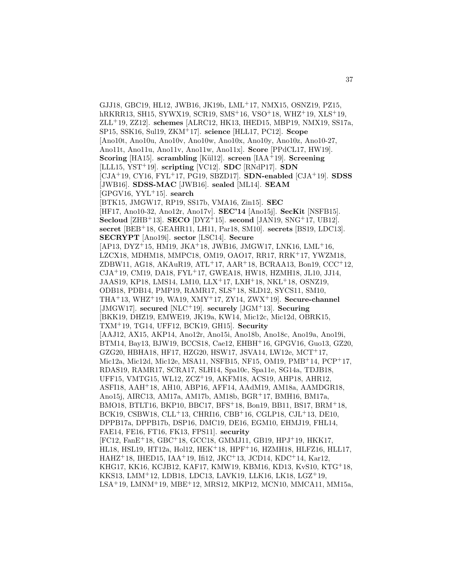GJJ18, GBC19, HL12, JWB16, JK19b, LML<sup>+</sup>17, NMX15, OSNZ19, PZ15, hRKRR13, SH15, SYWX19, SCR19, SMS<sup>+</sup>16, VSO<sup>+</sup>18, WHZ<sup>+</sup>19, XLS<sup>+</sup>19, ZLL<sup>+</sup>19, ZZ12]. **schemes** [ALRC12, HK13, IHED15, MBP19, NMX19, SS17a, SP15, SSK16, Sul19, ZKM<sup>+</sup>17]. **science** [HLL17, PC12]. **Scope** [Ano10t, Ano10u, Ano10v, Ano10w, Ano10x, Ano10y, Ano10z, Ano10-27, Ano11t, Ano11u, Ano11v, Ano11w, Ano11x]. **Score** [PPdCL17, HW19]. **Scoring** [HA15]. **scrambling** [Kül12]. **screen** [IAA+19]. **Screening** [LLL15, YST<sup>+</sup>19]. **scripting** [VC12]. **SDC** [RNdP17]. **SDN** [CJA<sup>+</sup>19, CY16, FYL<sup>+</sup>17, PG19, SBZD17]. **SDN-enabled** [CJA<sup>+</sup>19]. **SDSS** [JWB16]. **SDSS-MAC** [JWB16]. **sealed** [ML14]. **SEAM** [GPGV16, YYL<sup>+</sup>15]. **search** [BTK15, JMGW17, RP19, SS17b, VMA16, Zin15]. **SEC** [HF17, Ano10-32, Ano12r, Ano17v]. **SEC'14** [Ano15j]. **SecKit** [NSFB15]. **Secloud** [ZHB<sup>+</sup>13]. **SECO** [DYZ<sup>+</sup>15]. **second** [JAN19, SNG<sup>+</sup>17, UB12]. **secret** [BEB<sup>+</sup>18, GEAHR11, LH11, Par18, SM10]. **secrets** [BS19, LDC13]. **SECRYPT** [Ano19i]. **sector** [LSC14]. **Secure** [AP13, DYZ<sup>+</sup>15, HM19, JKA<sup>+</sup>18, JWB16, JMGW17, LNK16, LML<sup>+</sup>16, LZCX18, MDHM18, MMPC18, OM19, OAO17, RR17, RRK<sup>+</sup>17, YWZM18, ZDBW11, AG18, AKAuR19, ATL<sup>+</sup>17, AAR<sup>+</sup>18, BCRAA13, Bon19, CCC<sup>+</sup>12, CJA<sup>+</sup>19, CM19, DA18, FYL<sup>+</sup>17, GWEA18, HW18, HZMH18, JL10, JJ14, JAAS19, KP18, LMS14, LM10, LLX<sup>+</sup>17, LXH<sup>+</sup>18, NKL<sup>+</sup>18, OSNZ19, ODB18, PDB14, PMP19, RAMR17, SLS<sup>+</sup>18, SLD12, SYCS11, SM10, THA<sup>+</sup>13, WHZ<sup>+</sup>19, WA19, XMY<sup>+</sup>17, ZY14, ZWX<sup>+</sup>19]. **Secure-channel** [JMGW17]. **secured** [NLC<sup>+</sup>19]. **securely** [JGM<sup>+</sup>13]. **Securing** [BKK19, DHZ19, EMWE19, JK19a, KW14, Mic12c, Mic12d, OBRK15, TXM<sup>+</sup>19, TG14, UFF12, BCK19, GH15]. **Security** [AAJ12, AX15, AKP14, Ano12r, Ano15i, Ano18b, Ano18c, Ano19a, Ano19i, BTM14, Bay13, BJW19, BCCS18, Cae12, EHBH<sup>+</sup>16, GPGV16, Guo13, GZ20, GZG20, HBHA18, HF17, HZG20, HSW17, JSVA14, LW12e, MCT<sup>+</sup>17, Mic12a, Mic12d, Mic12e, MSA11, NSFB15, NF15, OM19, PMB<sup>+</sup>14, PCP<sup>+</sup>17, RDAS19, RAMR17, SCRA17, SLH14, Spa10c, Spa11e, SG14a, TDJB18, UFF15, VMTG15, WL12, ZCZ<sup>+</sup>19, AKFM18, ACS19, AHP18, AHR12, ASFI18, AAH<sup>+</sup>18, AH10, ABP16, AFF14, AAdM19, AM18a, AAMDGR18, Ano15j, AIRC13, AM17a, AM17b, AM18b, BGR<sup>+</sup>17, BMH16, BM17a, BMO18, BTLT16, BKP10, BBC17, BFS<sup>+</sup>18, Bon19, BB11, BS17, BRM<sup>+</sup>18, BCK19, CSBW18, CLL<sup>+</sup>13, CHRI16, CBB<sup>+</sup>16, CGLP18, CJL<sup>+</sup>13, DE10, DPPB17a, DPPB17b, DSP16, DMC19, DE16, EGM10, EHMJ19, FHL14, FAE14, FE16, FT16, FK13, FPS11]. **security** [FC12, FanE<sup>+</sup>18, GBC<sup>+</sup>18, GCC18, GMMJ11, GB19, HPJ<sup>+</sup>19, HKK17, HL18, HSL19, HT12a, Hol12, HEK<sup>+</sup>18, HPF<sup>+</sup>16, HZMH18, HLFZ16, HLL17, HAHZ<sup>+</sup>18, IHED15, IAA<sup>+</sup>19, Ifi12, JKC<sup>+</sup>13, JCD14, KDC<sup>+</sup>14, Kar12, KHG17, KK16, KCJB12, KAF17, KMW19, KBM16, KD13, KvS10, KTG<sup>+</sup>18, KKS13, LMM<sup>+</sup>12, LDB18, LDC13, LAVK19, LLK16, LK18, LGZ<sup>+</sup>19, LSA<sup>+</sup>19, LMNM<sup>+</sup>19, MBE<sup>+</sup>12, MRS12, MKP12, MCN10, MMCA11, MM15a,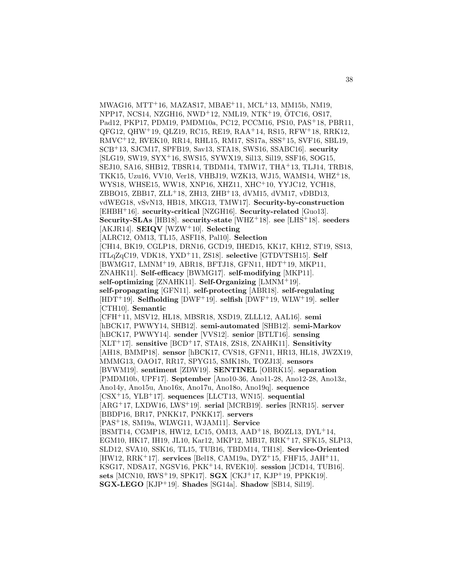MWAG16, MTT<sup>+</sup>16, MAZAS17, MBAE<sup>+</sup>11, MCL<sup>+</sup>13, MM15b, NM19, NPP17, NCS14, NZGH16, NWD<sup>+</sup>12, NML19, NTK<sup>+</sup>19, OTC16, OS17, ¨ Pad12, PKP17, PDM19, PMDM10a, PC12, PCCM16, PS10, PAS<sup>+</sup>18, PBR11, QFG12, QHW<sup>+</sup>19, QLZ19, RC15, RE19, RAA<sup>+</sup>14, RS15, RFW<sup>+</sup>18, RRK12, RMVC<sup>+</sup>12, RVEK10, RR14, RHL15, RM17, SS17a, SSS<sup>+</sup>15, SVF16, SBL19, SCB<sup>+</sup>13, SJCM17, SPFB19, Sav13, STA18, SWS16, SSABC16]. **security** [SLG19, SW19, SYX<sup>+</sup>16, SWS15, SYWX19, Sil13, Sil19, SSF16, SOG15, SEJ10, SA16, SHB12, TBSR14, TBDM14, TMW17, THA<sup>+</sup>13, TLJ14, TRB18, TKK15, Uzu16, VV10, Ver18, VHBJ19, WZK13, WJ15, WAMS14, WHZ<sup>+</sup>18, WYS18, WHSE15, WW18, XNP16, XHZ11, XHC<sup>+</sup>10, YYJC12, YCH18, ZBBO15, ZBB17, ZLL<sup>+</sup>18, ZH13, ZHB<sup>+</sup>13, dVM15, dVM17, vDBD13, vdWEG18, vSvN13, HB18, MKG13, TMW17]. **Security-by-construction** [EHBH<sup>+</sup>16]. **security-critical** [NZGH16]. **Security-related** [Guo13]. **Security-SLAs** [HB18]. **security-state** [WHZ<sup>+</sup>18]. **see** [LHS<sup>+</sup>18]. **seeders** [AKJR14]. **SEIQV** [WZW<sup>+</sup>10]. **Selecting** [ALRC12, OM13, TL15, ASFI18, Pal10]. **Selection** [CH14, BK19, CGLP18, DRN16, GCD19, IHED15, KK17, KH12, ST19, SS13, lTLqZqC19, VDK18, YXD<sup>+</sup>11, ZS18]. **selective** [GTDVTSH15]. **Self** [BWMG17, LMNM<sup>+</sup>19, ABR18, BFTJ18, GFN11, HDT<sup>+</sup>19, MKP11, ZNAHK11]. **Self-efficacy** [BWMG17]. **self-modifying** [MKP11]. **self-optimizing** [ZNAHK11]. **Self-Organizing** [LMNM<sup>+</sup>19]. **self-propagating** [GFN11]. **self-protecting** [ABR18]. **self-regulating** [HDT<sup>+</sup>19]. **Selfholding** [DWF<sup>+</sup>19]. **selfish** [DWF<sup>+</sup>19, WLW<sup>+</sup>19]. **seller** [CTH10]. **Semantic** [CFH<sup>+</sup>11, MSV12, HL18, MBSR18, XSD19, ZLLL12, AAL16]. **semi** [hBCK17, PWWY14, SHB12]. **semi-automated** [SHB12]. **semi-Markov** [hBCK17, PWWY14]. **sender** [VVS12]. **senior** [BTLT16]. **sensing** [XLT<sup>+</sup>17]. **sensitive** [BCD<sup>+</sup>17, STA18, ZS18, ZNAHK11]. **Sensitivity** [AH18, BMMP18]. **sensor** [hBCK17, CVS18, GFN11, HR13, HL18, JWZX19, MMMG13, OAO17, RR17, SPYG15, SMK18b, TOZJ13]. **sensors** [BVWM19]. **sentiment** [ZDW19]. **SENTINEL** [OBRK15]. **separation** [PMDM10b, UPF17]. **September** [Ano10-36, Ano11-28, Ano12-28, Ano13z, Ano14y, Ano15u, Ano16x, Ano17u, Ano18o, Ano19q]. **sequence** [CSX<sup>+</sup>15, YLB<sup>+</sup>17]. **sequences** [LLCT13, WN15]. **sequential** [ARG<sup>+</sup>17, LXDW16, LWS<sup>+</sup>19]. **serial** [MCRB19]. **series** [RNR15]. **server** [BBDP16, BR17, PNKK17, PNKK17]. **servers** [PAS<sup>+</sup>18, SM19a, WLWG11, WJAM11]. **Service** [BSMT14, CGMP18, HW12, LC15, OM13, AAD<sup>+</sup>18, BOZL13, DYL<sup>+</sup>14, EGM10, HK17, IH19, JL10, Kar12, MKP12, MB17, RRK<sup>+</sup>17, SFK15, SLP13, SLD12, SVA10, SSK16, TL15, TUB16, TBDM14, TH18]. **Service-Oriented** [HW12, RRK<sup>+</sup>17]. **services** [Bel18, CAM19a, DYZ<sup>+</sup>15, FHF15, JAH<sup>+</sup>11, KSG17, NDSA17, NGSV16, PKK<sup>+</sup>14, RVEK10]. **session** [JCD14, TUB16]. **sets** [MCN10, RWS<sup>+</sup>19, SPK17]. **SGX** [CKJ<sup>+</sup>17, KJP<sup>+</sup>19, PPKK19]. **SGX-LEGO** [KJP<sup>+</sup>19]. **Shades** [SG14a]. **Shadow** [SB14, Sil19].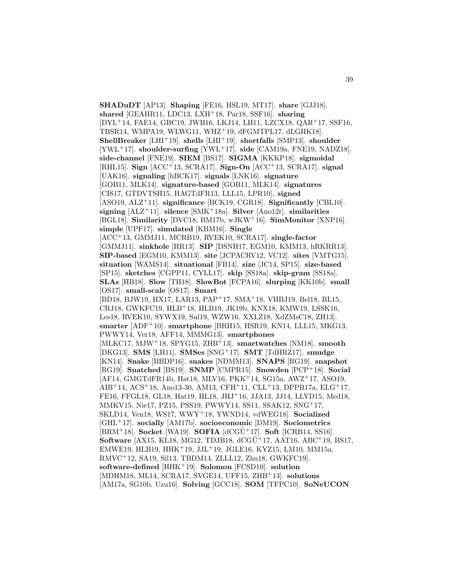**SHADuDT** [AP13]. **Shaping** [FE16, HSL19, MT17]. **share** [GJJ18]. **shared** [GEAHR11, LDC13, LXH<sup>+</sup>18, Par18, SSF16]. **sharing** [DYL<sup>+</sup>14, FAE14, GBC19, JWB16, LKJ14, LH11, LZCX18, QAR<sup>+</sup>17, SSF16, TBSR14, WMPA19, WLWG11, WHZ<sup>+</sup>19, dFGMTPL17, dLGHK18]. **ShellBreaker** [LHI<sup>+</sup>19]. **shells** [LHI<sup>+</sup>19]. **shortfalls** [SMP13]. **shoulder** [YWL<sup>+</sup>17]. **shoulder-surfing** [YWL<sup>+</sup>17]. **side** [CAM19a, FNE19, NADZ18]. **side-channel** [FNE19]. **SIEM** [BS17]. **SIGMA** [KKKP18]. **sigmoidal** [RHL15]. **Sign** [ACC<sup>+</sup>13, SCRA17]. **Sign-On** [ACC<sup>+</sup>13, SCRA17]. **signal** [UAK16]. **signaling** [hBCK17]. **signals** [LNK16]. **signature** [GOB11, MLK14]. **signature-based** [GOB11, MLK14]. **signatures** [CIS17, GTDVTSH15, HAGTdFR13, LLL15, LPR10]. **signed** [ASO19, ALZ<sup>+</sup>11]. **significance** [BCK19, CGR18]. **Significantly** [CBL10]. **signing** [ALZ<sup>+</sup>11]. **silence** [SMK<sup>+</sup>18a]. **Silver** [Ano12r]. **similarities** [BGL18]. **Similarity** [DVC18, BM17b, wJKW<sup>+</sup>16]. **SimMonitor** [XNP16]. **simple** [UPF17]. **simulated** [KBM16]. **Single** [ACC<sup>+</sup>13, GMMJ11, MCRB19, RVEK10, SCRA17]. **single-factor** [GMMJ11]. **sinkhole** [HR13]. **SIP** [DSNH17, EGM10, KMM13, hRKRR13]. **SIP-based** [EGM10, KMM13]. **site** [JCPACRV12, VC12]. **sites** [VMTG15]. **situation** [WAMS14]. **situational** [FB14]. **size** [JC14, SP15]. **size-based** [SP15]. **sketches** [CGPP11, CYLL17]. **skip** [SS18a]. **skip-gram** [SS18a]. **SLAs** [HB18]. **Slow** [TH18]. **SlowBot** [FCPA16]. **slurping** [KK10b]. **small** [OS17]. **small-scale** [OS17]. **Smart** [BD18, BJW19, HX17, LAR13, PAP<sup>+</sup>17, SMA<sup>+</sup>18, VHBJ19, Bel18, BL15, CRJ18, GWKFC19, HLB<sup>+</sup>18, HLB19, JK19b, KNX18, KMW19, LSSK16, Les18, RVEK10, SYWX19, Sul19, WZW16, XXLZ18, XdZMsC18, ZH13]. **smarter** [ADF<sup>+</sup>10]. **smartphone** [BRH15, HSR19, KN14, LLL15, MKG13, PWWY14, Ver18, AFF14, MMMG13]. **smartphones** [MLKC17, MJW<sup>+</sup>18, SPYG15, ZHB<sup>+</sup>13]. **smartwatches** [NM18]. **smooth** [DKG13]. **SMS** [LH11]. **SMSes** [SNG<sup>+</sup>17]. **SMT** [TdHRZ17]. **smudge** [KN14]. **Snake** [BBDP16]. **snakes** [NDMM13]. **SNAPS** [RG19]. **snapshot** [RG19]. **Snatched** [BS19]. **SNMP** [CMPR15]. **Snowden** [PCP<sup>+</sup>18]. **Social** [AF14, GMGTdFR14b, Hat18, MLV16, PKK<sup>+</sup>14, SG15a, AWZ<sup>+</sup>17, ASO19, AIB<sup>+</sup>14, ACS<sup>+</sup>18, Ano13-30, AM13, CFH<sup>+</sup>11, CLL<sup>+</sup>13, DPPB17a, ELG<sup>+</sup>17, FE16, FFGL18, GL18, Hat19, HL18, JHJ<sup>+</sup>16, JJA13, JJ14, LLYD15, Med18, MMKV15, Nie17, PZ15, PSS19, PWWY14, SS11, SSAK12, SNG<sup>+</sup>17, SKLD14, Ven18, WS17, WWY<sup>+</sup>18, YWND14, vdWEG18]. **Socialized** [GHL<sup>+</sup>17]. **socially** [AM17b]. **socioeconomic** [DM19]. **Sociometrics**  $[BRM<sup>+</sup>18]$ . **Socket** [WA19]. **SOFIA**  $[dCGÜ<sup>+</sup>17]$ . **Soft** [ICRB14, SS16]. **Software** [AX15, KL18, MG12, TDJB18, dCGU<sup>+</sup>17, AAT16, ABC<sup>+</sup>19, BS17, EMWE19, HLB19, HHK<sup>+</sup>19, JJL<sup>+</sup>19, JGLE16, KYZ15, LM10, MM15a, RMVC<sup>+</sup>12, SA19, Sil13, TBDM14, ZLLL12, Zhu18, GWKFC19]. **software-defined** [HHK<sup>+</sup>19]. **Solomon** [FCSD10]. **solution** [MDHM18, ML14, SCRA17, SVGE14, UFF15, ZHB<sup>+</sup>13]. **solutions** [AM17a, SG10b, Uzu16]. **Solving** [GCC18]. **SOM** [TFPC10]. **SoNeUCON**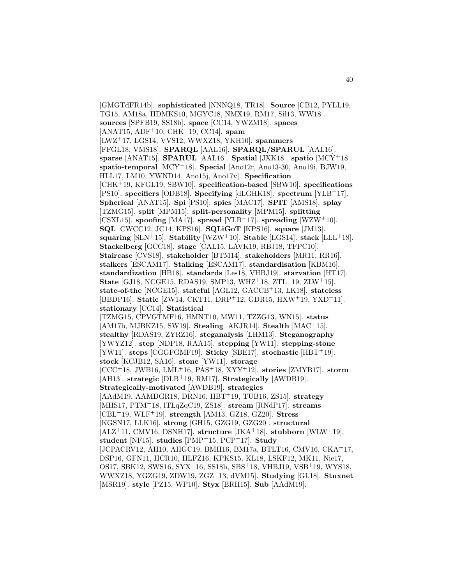[GMGTdFR14b]. **sophisticated** [NNNQ18, TR18]. **Source** [CB12, PYLL19, TG15, AM18a, HDMKS10, MGYC18, NMX19, RM17, Sil13, WW18]. **sources** [SPFB19, SS18b]. **space** [CC14, YWZM18]. **spaces** [ANAT15, ADF<sup>+</sup>10, CHK<sup>+</sup>19, CC14]. **spam** [LWZ<sup>+</sup>17, LGS14, VVS12, WWXZ18, YKH10]. **spammers** [FFGL18, VMS18]. **SPARQL** [AAL16]. **SPARQL/SPARUL** [AAL16]. **sparse** [ANAT15]. **SPARUL** [AAL16]. **Spatial** [JXK18]. **spatio** [MCY<sup>+</sup>18]. **spatio-temporal** [MCY<sup>+</sup>18]. **Special** [Ano12r, Ano13-30, Ano19i, BJW19, HLL17, LM10, YWND14, Ano15j, Ano17v]. **Specification** [CHK<sup>+</sup>19, KFGL19, SBW10]. **specification-based** [SBW10]. **specifications** [PS10]. **specifiers** [ODB18]. **Specifying** [dLGHK18]. **spectrum** [YLB<sup>+</sup>17]. **Spherical** [ANAT15]. **Spi** [PS10]. **spies** [MAC17]. **SPIT** [AMS18]. **splay** [TZMG15]. **split** [MPM15]. **split-personality** [MPM15]. **splitting** [CSXL15]. **spoofing** [MA17]. **spread** [YLB<sup>+</sup>17]. **spreading** [WZW<sup>+</sup>10]. **SQL** [CWCC12, JC14, KPS16]. **SQLiGoT** [KPS16]. **square** [JM13]. **squaring** [SLN<sup>+</sup>15]. **Stability** [WZW<sup>+</sup>10]. **Stable** [LGS14]. **stack** [LLL<sup>+</sup>18]. **Stackelberg** [GCC18]. **stage** [CAL15, LAVK19, RBJ18, TFPC10]. **Staircase** [CVS18]. **stakeholder** [BTM14]. **stakeholders** [MR11, RR16]. **stalkers** [ESCAM17]. **Stalking** [ESCAM17]. **standardisation** [KBM16]. **standardization** [HB18]. **standards** [Les18, VHBJ19]. **starvation** [HT17]. **State** [GJ18, NCGE15, RDAS19, SMP13, WHZ<sup>+</sup>18, ZTL<sup>+</sup>19, ZLW<sup>+</sup>15]. **state-of-the** [NCGE15]. **stateful** [AGL12, GACCB<sup>+</sup>13, LK18]. **stateless** [BBDP16]. **Static** [ZW14, CKT11, DRP<sup>+</sup>12, GDR15, HXW<sup>+</sup>19, YXD<sup>+</sup>11]. **stationary** [CC14]. **Statistical** [TZMG15, CPVGTMF16, HMNT10, MW11, TZZG13, WN15]. **status** [AM17b, MJBKZ15, SW19]. **Stealing** [AKJR14]. **Stealth** [MAC<sup>+</sup>15]. **stealthy** [RDAS19, ZYRZ16]. **steganalysis** [LHM13]. **Steganography** [YWYZ12]. **step** [NDP18, RAA15]. **stepping** [YW11]. **stepping-stone** [YW11]. **steps** [CGGFGMF19]. **Sticky** [SBE17]. **stochastic** [HBT<sup>+</sup>19]. **stock** [KCJB12, SA16]. **stone** [YW11]. **storage** [CCC<sup>+</sup>18, JWB16, LML<sup>+</sup>16, PAS<sup>+</sup>18, XYY<sup>+</sup>12]. **stories** [ZMYB17]. **storm** [AH13]. **strategic** [DLB<sup>+</sup>19, RM17]. **Strategically** [AWDB19]. **Strategically-motivated** [AWDB19]. **strategies** [AAdM19, AAMDGR18, DRN16, HBT<sup>+</sup>19, TUB16, ZS15]. **strategy** [MHS17, PTM<sup>+</sup>18, lTLqZqC19, ZS18]. **stream** [RNdP17]. **streams** [CBL<sup>+</sup>19, WLF<sup>+</sup>19]. **strength** [AM13, GZ18, GZ20]. **Stress** [KGSN17, LLK16]. **strong** [GH15, GZG19, GZG20]. **structural** [ALZ<sup>+</sup>11, CMV16, DSNH17]. **structure** [JKA<sup>+</sup>18]. **stubborn** [WLW<sup>+</sup>19]. **student** [NF15]. **studies** [PMP<sup>+</sup>15, PCP<sup>+</sup>17]. **Study** [JCPACRV12, AH10, AHGC19, BMH16, BM17a, BTLT16, CMV16, CKA<sup>+</sup>17, DSP16, GFN11, HCR10, HLFZ16, KPKS15, KL18, LSKF12, MK11, Nie17, OS17, SBK12, SWS16, SYX<sup>+</sup>16, SS18b, SBS<sup>+</sup>18, VHBJ19, VSB<sup>+</sup>19, WYS18, WWXZ18, YGZG19, ZDW19, ZGZ<sup>+</sup>13, dVM15]. **Studying** [GL18]. **Stuxnet** [MSR19]. **style** [PZ15, WP10]. **Styx** [BRH15]. **Sub** [AAdM19].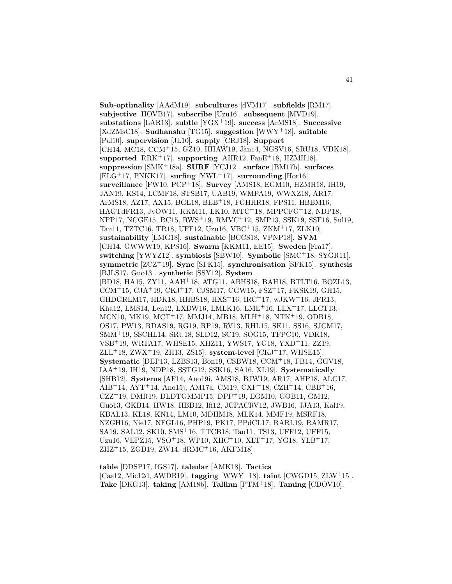**Sub-optimality** [AAdM19]. **subcultures** [dVM17]. **subfields** [RM17]. **subjective** [HOVB17]. **subscribe** [Uzu16]. **subsequent** [MVD19]. **substations** [LAR13]. **subtle** [YGX<sup>+</sup>19]. **success** [ArMS18]. **Successive** [XdZMsC18]. **Sudhanshu** [TG15]. **suggestion** [WWY<sup>+</sup>18]. **suitable** [Pal10]. **supervision** [JL10]. **supply** [CRJ18]. **Support** [CH14, MC18, CCM+15, GZ10, HHAW19, Jän14, NGSV16, SRU18, VDK18]. **supported** [RRK<sup>+</sup>17]. **supporting** [AHR12, FanE<sup>+</sup>18, HZMH18]. **suppression** [SMK<sup>+</sup>18a]. **SURF** [YCJ12]. **surface** [BM17b]. **surfaces** [ELG<sup>+</sup>17, PNKK17]. **surfing** [YWL<sup>+</sup>17]. **surrounding** [Hor16]. **surveillance** [FW10, PCP<sup>+</sup>18]. **Survey** [AMS18, EGM10, HZMH18, IH19, JAN19, KS14, LCMF18, STSB17, UAB19, WMPA19, WWXZ18, AR17, ArMS18, AZ17, AX15, BGL18, BEB<sup>+</sup>18, FGHHR18, FPS11, HBBM16, HAGTdFR13, JvOW11, KKM11, LK10, MTC<sup>+</sup>18, MPPCFG<sup>+</sup>12, NDP18, NPP17, NCGE15, RC15, RWS<sup>+</sup>19, RMVC<sup>+</sup>12, SMP13, SSK19, SSF16, Sul19, Tau11, TZTC16, TR18, UFF12, Uzu16, VBC<sup>+</sup>15, ZKM<sup>+</sup>17, ZLK10]. **sustainability** [LMG18]. **sustainable** [BCCS18, VPNP18]. **SVM** [CH14, GWWW19, KPS16]. **Swarm** [KKM11, EE15]. **Sweden** [Fra17]. **switching** [YWYZ12]. **symbiosis** [SBW10]. **Symbolic** [SMC<sup>+</sup>18, SYGR11]. **symmetric** [ZCZ<sup>+</sup>19]. **Sync** [SFK15]. **synchronisation** [SFK15]. **synthesis** [BJLS17, Guo13]. **synthetic** [SSY12]. **System** [BD18, HA15, ZY11, AAH<sup>+</sup>18, ATG11, ABHS18, BAH18, BTLT16, BOZL13, CCM<sup>+</sup>15, CJA<sup>+</sup>19, CKJ<sup>+</sup>17, CJSM17, CGW15, FSZ<sup>+</sup>17, FKSK19, GH15, GHDGRLM17, HDK18, HHBS18, HXS<sup>+</sup>16, IRC<sup>+</sup>17, wJKW<sup>+</sup>16, JFR13, Kha12, LMS14, Len12, LXDW16, LMLK16, LML<sup>+</sup>16, LLX<sup>+</sup>17, LLCT13, MCN10, MK19, MCT<sup>+</sup>17, MMJ14, MB18, MLH<sup>+</sup>18, NTK<sup>+</sup>19, ODB18, OS17, PW13, RDAS19, RG19, RP19, RV13, RHL15, SE11, SS16, SJCM17, SMM<sup>+</sup>19, SSCHL14, SRU18, SLD12, SC19, SOG15, TFPC10, VDK18, VSB<sup>+</sup>19, WRTA17, WHSE15, XHZ11, YWS17, YG18, YXD<sup>+</sup>11, ZZ19, ZLL<sup>+</sup>18, ZWX<sup>+</sup>19, ZH13, ZS15]. **system-level** [CKJ<sup>+</sup>17, WHSE15]. **Systematic** [DEP13, LZBS13, Bon19, CSBW18, CCM<sup>+</sup>18, FB14, GGV18, IAA<sup>+</sup>19, IH19, NDP18, SSTG12, SSK16, SA16, XL19]. **Systematically** [SHB12]. **Systems** [AF14, Ano19i, AMS18, BJW19, AR17, AHP18, ALC17, AIB<sup>+</sup>14, AYT<sup>+</sup>14, Ano15j, AM17a, CM19, CXF<sup>+</sup>18, CZH<sup>+</sup>14, CBB<sup>+</sup>16,  $CZZ^{+}19$ , DMR19, DLDTGMMP15, DPP<sup>+</sup>19, EGM10, GOB11, GM12, Guo13, GKB14, HW18, HBB12, Ifi12, JCPACRV12, JWB16, JJA13, Kal19, KBAL13, KL18, KN14, LM10, MDHM18, MLK14, MMF19, MSRF18, NZGH16, Nie17, NFGL16, PHP19, PK17, PPdCL17, RARL19, RAMR17, SA19, SAL12, SK10, SMS<sup>+</sup>16, TTCB18, Tau11, TS13, UFF12, UFF15, Uzu16, VEPZ15, VSO<sup>+</sup>18, WP10, XHC<sup>+</sup>10, XLT<sup>+</sup>17, YG18, YLB<sup>+</sup>17, ZHZ<sup>+</sup>15, ZGD19, ZW14, dRMC<sup>+</sup>16, AKFM18].

**table** [DDSP17, IGS17]. **tabular** [AMK18]. **Tactics** [Cae12, Mic12d, AWDB19]. **tagging** [WWY<sup>+</sup>18]. **taint** [CWGD15, ZLW<sup>+</sup>15]. **Take** [DKG13]. **taking** [AM18b]. **Tallinn** [PTM<sup>+</sup>18]. **Taming** [CDOV10].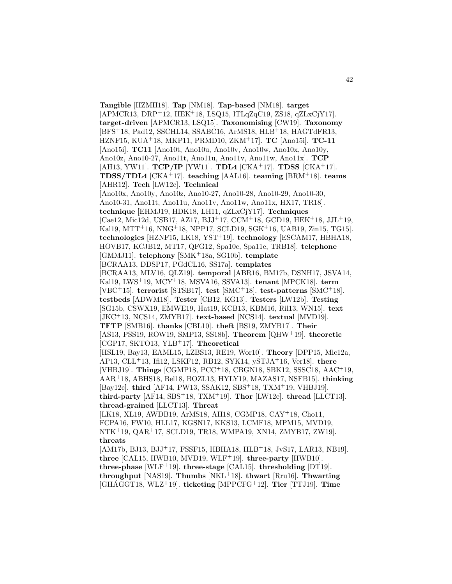**Tangible** [HZMH18]. **Tap** [NM18]. **Tap-based** [NM18]. **target** [APMCR13, DRP<sup>+</sup>12, HEK<sup>+</sup>18, LSQ15, lTLqZqC19, ZS18, qZLxCjY17]. **target-driven** [APMCR13, LSQ15]. **Taxonomising** [CW19]. **Taxonomy** [BFS<sup>+</sup>18, Pad12, SSCHL14, SSABC16, ArMS18, HLB<sup>+</sup>18, HAGTdFR13, HZNF15, KUA<sup>+</sup>18, MKP11, PRMD10, ZKM<sup>+</sup>17]. **TC** [Ano15i]. **TC-11** [Ano15i]. **TC11** [Ano10t, Ano10u, Ano10v, Ano10w, Ano10x, Ano10y, Ano10z, Ano10-27, Ano11t, Ano11u, Ano11v, Ano11w, Ano11x]. **TCP** [AH13, YW11]. **TCP/IP** [YW11]. **TDL4** [CKA<sup>+</sup>17]. **TDSS** [CKA<sup>+</sup>17]. **TDSS/TDL4** [CKA<sup>+</sup>17]. **teaching** [AAL16]. **teaming** [BRM<sup>+</sup>18]. **teams** [AHR12]. **Tech** [LW12c]. **Technical** [Ano10x, Ano10y, Ano10z, Ano10-27, Ano10-28, Ano10-29, Ano10-30, Ano10-31, Ano11t, Ano11u, Ano11v, Ano11w, Ano11x, HX17, TR18]. **technique** [EHMJ19, HDK18, LH11, qZLxCjY17]. **Techniques** [Cae12, Mic12d, USB17, AZ17, BJJ<sup>+</sup>17, CCM<sup>+</sup>18, GCD19, HEK<sup>+</sup>18, JJL<sup>+</sup>19, Kal19, MTT<sup>+</sup>16, NNG<sup>+</sup>18, NPP17, SCLD19, SGK<sup>+</sup>16, UAB19, Zin15, TG15]. **technologies** [HZNF15, LK18, YST<sup>+</sup>19]. **technology** [ESCAM17, HBHA18, HOVB17, KCJB12, MT17, QFG12, Spa10c, Spa11e, TRB18]. **telephone** [GMMJ11]. **telephony** [SMK<sup>+</sup>18a, SG10b]. **template** [BCRAA13, DDSP17, PGdCL16, SS17a]. **templates** [BCRAA13, MLV16, QLZ19]. **temporal** [ABR16, BM17b, DSNH17, JSVA14, Kal19, LWS<sup>+</sup>19, MCY<sup>+</sup>18, MSVA16, SSVA13]. **tenant** [MPCK18]. **term** [VBC<sup>+</sup>15]. **terrorist** [STSB17]. **test** [SMC<sup>+</sup>18]. **test-patterns** [SMC<sup>+</sup>18]. **testbeds** [ADWM18]. **Tester** [CB12, KG13]. **Testers** [LW12b]. **Testing** [SG15b, CSWX19, EMWE19, Hat19, KCB13, KBM16, Ril13, WN15]. **text** [JKC<sup>+</sup>13, NCS14, ZMYB17]. **text-based** [NCS14]. **textual** [MVD19]. **TFTP** [SMB16]. **thanks** [CBL10]. **theft** [BS19, ZMYB17]. **Their** [AS13, PSS19, ROW19, SMP13, SS18b]. **Theorem** [QHW<sup>+</sup>19]. **theoretic** [CGP17, SKTO13, YLB<sup>+</sup>17]. **Theoretical** [HSL19, Bay13, EAML15, LZBS13, RE19, Wor10]. **Theory** [DPP15, Mic12a, AP13, CLL<sup>+</sup>13, Ifi12, LSKF12, RB12, SYK14, ySTJA<sup>+</sup>16, Ver18]. **there** [VHBJ19]. **Things** [CGMP18, PCC<sup>+</sup>18, CBGN18, SBK12, SSSC18, AAC<sup>+</sup>19, AAR<sup>+</sup>18, ABHS18, Bel18, BOZL13, HYLY19, MAZAS17, NSFB15]. **thinking** [Bay12c]. **third** [AF14, PW13, SSAK12, SBS<sup>+</sup>18, TXM<sup>+</sup>19, VHBJ19].  $\boldsymbol{\text{third-party}}$  [AF14, SBS<sup>+</sup>18, TXM<sup>+</sup>19]. **Thor** [LW12e]. **thread** [LLCT13]. **thread-grained** [LLCT13]. **Threat** [LK18, XL19, AWDB19, ArMS18, AH18, CGMP18, CAY<sup>+</sup>18, Cho11, FCPA16, FW10, HLL17, KGSN17, KKS13, LCMF18, MPM15, MVD19, NTK<sup>+</sup>19, QAR<sup>+</sup>17, SCLD19, TR18, WMPA19, XN14, ZMYB17, ZW19]. **threats** [AM17b, BJ13, BJJ<sup>+</sup>17, FSSF15, HBHA18, HLB<sup>+</sup>18, JvS17, LAR13, NB19]. **three** [CAL15, HWB10, MVD19, WLF<sup>+</sup>19]. **three-party** [HWB10]. **three-phase** [WLF<sup>+</sup>19]. **three-stage** [CAL15]. **thresholding** [DT19]. **throughput** [NAS19]. **Thumbs** [NKL<sup>+</sup>18]. **thwart** [Rru16]. **Thwarting**

[GHAGGT18, WLZ ´ <sup>+</sup>19]. **ticketing** [MPPCFG<sup>+</sup>12]. **Tier** [TTJ19]. **Time**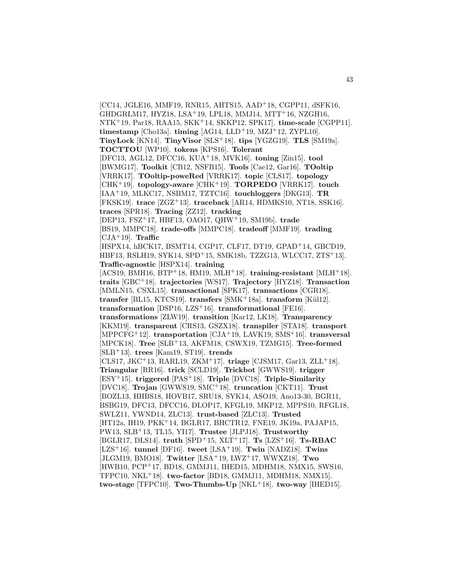[CC14, JGLE16, MMF19, RNR15, AHTS15, AAD<sup>+</sup>18, CGPP11, dSFK16, GHDGRLM17, HYZ18, LSA<sup>+</sup>19, LPL18, MMJ14, MTT<sup>+</sup>16, NZGH16, NTK<sup>+</sup>19, Par18, RAA15, SKK<sup>+</sup>14, SKKP12, SPK17]. **time-scale** [CGPP11]. **timestamp** [Cho13a]. **timing** [AG14, LLD<sup>+</sup>19, MZJ<sup>+</sup>12, ZYPL10]. **TinyLock** [KN14]. **TinyVisor** [SLS<sup>+</sup>18]. **tips** [YGZG19]. **TLS** [SM19a]. **TOCTTOU** [WP10]. **tokens** [KPS16]. **Tolerant** [DFC13, AGL12, DFCC16, KUA<sup>+</sup>18, MVK16]. **toning** [Zin15]. **tool** [BWMG17]. **Toolkit** [CB12, NSFB15]. **Tools** [Cae12, Gar16]. **TOoltip** [VRRK17]. **TOoltip-poweRed** [VRRK17]. **topic** [CLS17]. **topology** [CHK<sup>+</sup>19]. **topology-aware** [CHK<sup>+</sup>19]. **TORPEDO** [VRRK17]. **touch** [IAA<sup>+</sup>19, MLKC17, NSBM17, TZTC16]. **touchloggers** [DKG13]. **TR** [FKSK19]. **trace** [ZGZ<sup>+</sup>13]. **traceback** [AR14, HDMKS10, NT18, SSK16]. **traces** [SPR18]. **Tracing** [ZZ12]. **tracking** [DEP13, FSZ<sup>+</sup>17, HBF13, OAO17, QHW<sup>+</sup>19, SM19b]. **trade** [BS19, MMPC18]. **trade-offs** [MMPC18]. **tradeoff** [MMF19]. **trading** [CJA<sup>+</sup>19]. **Traffic** [HSPX14, hBCK17, BSMT14, CGP17, CLF17, DT19, GPAD<sup>+</sup>14, GBCD19, HBF13, RSLH19, SYK14, SPD<sup>+</sup>15, SMK18b, TZZG13, WLCC17, ZTS<sup>+</sup>13]. **Traffic-agnostic** [HSPX14]. **training** [ACS19, BMH16, BTP<sup>+</sup>18, HM19, MLH<sup>+</sup>18]. **training-resistant** [MLH<sup>+</sup>18]. **traits** [GBC<sup>+</sup>18]. **trajectories** [WS17]. **Trajectory** [HYZ18]. **Transaction** [MMLN15, CSXL15]. **transactional** [SPK17]. **transactions** [CGR18]. **transfer** [BL15, KTCS19]. **transfers** [SMK<sup>+</sup>18a]. **transform** [K¨ul12]. **transformation** [DSP16, LZS<sup>+</sup>16]. **transformational** [FE16]. **transformations** [ZLW19]. **transition** [Kar12, LK18]. **Transparency** [KKM19]. **transparent** [CRS13, GSZX18]. **transpiler** [STA18]. **transport** [MPPCFG<sup>+</sup>12]. **transportation** [CJA<sup>+</sup>19, LAVK19, SMS<sup>+</sup>16]. **transversal** [MPCK18]. **Tree** [SLB<sup>+</sup>13, AKFM18, CSWX19, TZMG15]. **Tree-formed** [SLB<sup>+</sup>13]. **trees** [Kam19, ST19]. **trends** [CLS17, JKC<sup>+</sup>13, RARL19, ZKM<sup>+</sup>17]. **triage** [CJSM17, Gar13, ZLL<sup>+</sup>18]. **Triangular** [RR16]. **trick** [SCLD19]. **Trickbot** [GWWS19]. **trigger** [ESY<sup>+</sup>15]. **triggered** [PAS<sup>+</sup>18]. **Triple** [DVC18]. **Triple-Similarity** [DVC18]. **Trojan** [GWWS19, SMC<sup>+</sup>18]. **truncation** [CKT11]. **Trust** [BOZL13, HHBS18, HOVB17, SRU18, SYK14, ASO19, Ano13-30, BGR11, BSBG19, DFC13, DFCC16, DLOP17, KFGL19, MKP12, MPPS10, RFGL18, SWLZ11, YWND14, ZLC13]. **trust-based** [ZLC13]. **Trusted** [HT12a, IH19, PKK<sup>+</sup>14, BGLR17, BHCTR12, FNE19, JK19a, PAJAP15, PW13, SLB<sup>+</sup>13, TL15, YI17]. **Trustee** [JLPJ18]. **Trustworthy** [BGLR17, DLS14]. **truth** [SPD<sup>+</sup>15, XLT<sup>+</sup>17]. **Ts** [LZS<sup>+</sup>16]. **Ts-RBAC** [LZS<sup>+</sup>16]. **tunnel** [DF16]. **tweet** [LSA<sup>+</sup>19]. **Twin** [NADZ18]. **Twins** [JLGM19, BMO18]. **Twitter** [LSA<sup>+</sup>19, LWZ<sup>+</sup>17, WWXZ18]. **Two** [HWB10, PCP<sup>+</sup>17, BD18, GMMJ11, IHED15, MDHM18, NMX15, SWS16, TFPC10, NKL<sup>+</sup>18]. **two-factor** [BD18, GMMJ11, MDHM18, NMX15]. **two-stage** [TFPC10]. **Two-Thumbs-Up** [NKL<sup>+</sup>18]. **two-way** [IHED15].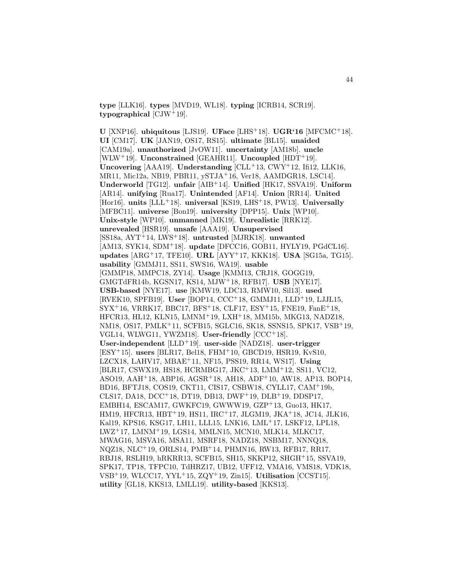**type** [LLK16]. **types** [MVD19, WL18]. **typing** [ICRB14, SCR19]. **typographical** [CJW<sup>+</sup>19].

**U** [XNP16]. **ubiquitous** [LJS19]. **UFace** [LHS<sup>+</sup>18]. **UGR'16** [MFCMC<sup>+</sup>18]. **UI** [CM17]. **UK** [JAN19, OS17, RS15]. **ultimate** [BL15]. **unaided** [CAM19a]. **unauthorized** [JvOW11]. **uncertainty** [AM18b]. **uncle** [WLW<sup>+</sup>19]. **Unconstrained** [GEAHR11]. **Uncoupled** [HDT<sup>+</sup>19]. **Uncovering** [AAA19]. **Understanding** [CLL<sup>+</sup>13, CWY<sup>+</sup>12, Ifi12, LLK16, MR11, Mic12a, NB19, PBR11, ySTJA<sup>+</sup>16, Ver18, AAMDGR18, LSC14]. **Underworld** [TG12]. **unfair** [AIB<sup>+</sup>14]. **Unified** [HK17, SSVA19]. **Uniform** [AR14]. **unifying** [Rua17]. **Unintended** [AF14]. **Union** [RR14]. **United** [Hor16]. **units** [LLL<sup>+</sup>18]. **universal** [KS19, LHS<sup>+</sup>18, PW13]. **Universally** [MFBC11]. **universe** [Bon19]. **university** [DPP15]. **Unix** [WP10]. **Unix-style** [WP10]. **unmanned** [MK19]. **Unrealistic** [RRK12]. **unrevealed** [HSR19]. **unsafe** [AAA19]. **Unsupervised** [SS18a, AYT<sup>+</sup>14, LWS<sup>+</sup>18]. **untrusted** [MJRK18]. **unwanted** [AM13, SYK14, SDM<sup>+</sup>18]. **update** [DFCC16, GOB11, HYLY19, PGdCL16]. **updates** [ARG<sup>+</sup>17, TFE10]. **URL** [AYY<sup>+</sup>17, KKK18]. **USA** [SG15a, TG15]. **usability** [GMMJ11, SS11, SWS16, WA19]. **usable** [GMMP18, MMPC18, ZY14]. **Usage** [KMM13, CRJ18, GOGG19, GMGTdFR14b, KGSN17, KS14, MJW<sup>+</sup>18, RFB17]. **USB** [NYE17]. **USB-based** [NYE17]. **use** [KMW19, LDC13, RMW10, Sil13]. **used** [RVEK10, SPFB19]. **User** [BOP14, CCC<sup>+</sup>18, GMMJ11, LLD<sup>+</sup>19, LJJL15,  $SYX^{+16}$ , VRRK17, BBC17, BFS<sup>+</sup>18, CLF17, ESY<sup>+</sup>15, FNE19, FanE<sup>+</sup>18, HFCR13, HL12, KLN15, LMNM<sup>+</sup>19, LXH<sup>+</sup>18, MM15b, MKG13, NADZ18, NM18, OS17, PMLK<sup>+</sup>11, SCFB15, SGLC16, SK18, SSNS15, SPK17, VSB<sup>+</sup>19, VGL14, WLWG11, YWZM18]. **User-friendly** [CCC<sup>+</sup>18]. **User-independent** [LLD<sup>+</sup>19]. **user-side** [NADZ18]. **user-trigger** [ESY<sup>+</sup>15]. **users** [BLR17, Bel18, FHM<sup>+</sup>10, GBCD19, HSR19, KvS10, LZCX18, LAHV17, MBAE<sup>+</sup>11, NF15, PSS19, RR14, WS17]. **Using** [BLR17, CSWX19, HS18, HCRMBG17, JKC<sup>+</sup>13, LMM<sup>+</sup>12, SS11, VC12, ASO19, AAH<sup>+</sup>18, ABP16, AGSR<sup>+</sup>18, AH18, ADF<sup>+</sup>10, AW18, AP13, BOP14, BD16, BFTJ18, COS19, CKT11, CIS17, CSBW18, CYLL17, CAM<sup>+</sup>19b, CLS17, DA18, DCC<sup>+</sup>18, DT19, DB13, DWF<sup>+</sup>19, DLB<sup>+</sup>19, DDSP17, EMBH14, ESCAM17, GWKFC19, GWWW19, GZP<sup>+</sup>13, Guo13, HK17, HM19, HFCR13, HBT<sup>+</sup>19, HS11, IRC<sup>+</sup>17, JLGM19, JKA<sup>+</sup>18, JC14, JLK16, Kal19, KPS16, KSG17, LH11, LLL15, LNK16, LML<sup>+</sup>17, LSKF12, LPL18, LWZ<sup>+</sup>17, LMNM<sup>+</sup>19, LGS14, MMLN15, MCN10, MLK14, MLKC17, MWAG16, MSVA16, MSA11, MSRF18, NADZ18, NSBM17, NNNQ18, NQZ18, NLC<sup>+</sup>19, ORLS14, PMB<sup>+</sup>14, PHMN16, RW13, RFB17, RR17, RBJ18, RSLH19, hRKRR13, SCFB15, SH15, SKKP12, SHGH<sup>+</sup>15, SSVA19, SPK17, TP18, TFPC10, TdHRZ17, UB12, UFF12, VMA16, VMS18, VDK18, VSB<sup>+</sup>19, WLCC17, YYL<sup>+</sup>15, ZQY<sup>+</sup>19, Zin15]. **Utilisation** [CCST15]. **utility** [GL18, KKS13, LMLL19]. **utility-based** [KKS13].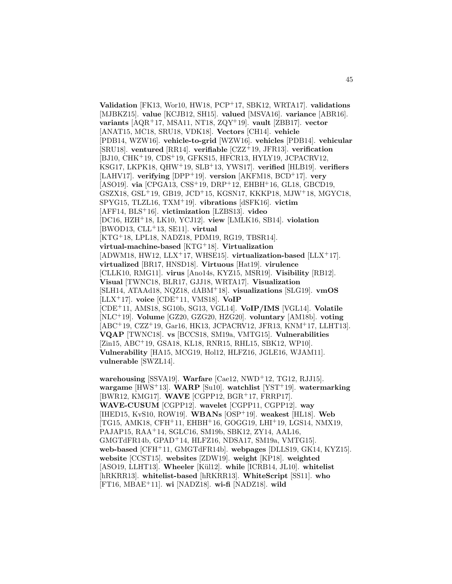**Validation** [FK13, Wor10, HW18, PCP<sup>+</sup>17, SBK12, WRTA17]. **validations** [MJBKZ15]. **value** [KCJB12, SH15]. **valued** [MSVA16]. **variance** [ABR16]. **variants** [AQR<sup>+</sup>17, MSA11, NT18, ZQY<sup>+</sup>19]. **vault** [ZBB17]. **vector** [ANAT15, MC18, SRU18, VDK18]. **Vectors** [CH14]. **vehicle** [PDB14, WZW16]. **vehicle-to-grid** [WZW16]. **vehicles** [PDB14]. **vehicular** [SRU18]. **ventured** [RR14]. **verifiable** [CZZ<sup>+</sup>19, JFR13]. **verification** [BJ10, CHK<sup>+</sup>19, CDS<sup>+</sup>19, GFKS15, HFCR13, HYLY19, JCPACRV12, KSG17, LKPK18, QHW<sup>+</sup>19, SLB<sup>+</sup>13, YWS17]. **verified** [HLB19]. **verifiers** [LAHV17]. **verifying** [DPP<sup>+</sup>19]. **version** [AKFM18, BCD<sup>+</sup>17]. **very** [ASO19]. **via** [CPGA13, CSS<sup>+</sup>19, DRP<sup>+</sup>12, EHBH<sup>+</sup>16, GL18, GBCD19, GSZX18, GSL<sup>+</sup>19, GB19, JCD<sup>+</sup>15, KGSN17, KKKP18, MJW<sup>+</sup>18, MGYC18, SPYG15, TLZL16, TXM<sup>+</sup>19]. **vibrations** [dSFK16]. **victim** [AFF14, BLS<sup>+</sup>16]. **victimization** [LZBS13]. **video** [DC16, HZH<sup>+</sup>18, LK10, YCJ12]. **view** [LMLK16, SB14]. **violation** [BWOD13, CLL<sup>+</sup>13, SE11]. **virtual** [KTG<sup>+</sup>18, LPL18, NADZ18, PDM19, RG19, TBSR14]. **virtual-machine-based** [KTG<sup>+</sup>18]. **Virtualization** [ADWM18, HW12, LLX<sup>+</sup>17, WHSE15]. **virtualization-based** [LLX<sup>+</sup>17]. **virtualized** [BR17, HNSD18]. **Virtuous** [Hat19]. **virulence** [CLLK10, RMG11]. **virus** [Ano14s, KYZ15, MSR19]. **Visibility** [RB12]. **Visual** [TWNC18, BLR17, GJJ18, WRTA17]. **Visualization** [SLH14, ATAAd18, NQZ18, dABM<sup>+</sup>18]. **visualizations** [SLG19]. **vmOS** [LLX<sup>+</sup>17]. **voice** [CDE<sup>+</sup>11, VMS18]. **VoIP** [CDE<sup>+</sup>11, AMS18, SG10b, SG13, VGL14]. **VoIP/IMS** [VGL14]. **Volatile** [NLC<sup>+</sup>19]. **Volume** [GZ20, GZG20, HZG20]. **voluntary** [AM18b]. **voting** [ABC<sup>+</sup>19, CZZ<sup>+</sup>19, Gar16, HK13, JCPACRV12, JFR13, KNM<sup>+</sup>17, LLHT13]. **VQAP** [TWNC18]. **vs** [BCCS18, SM19a, VMTG15]. **Vulnerabilities** [Zin15, ABC<sup>+</sup>19, GSA18, KL18, RNR15, RHL15, SBK12, WP10]. **Vulnerability** [HA15, MCG19, Hol12, HLFZ16, JGLE16, WJAM11]. **vulnerable** [SWZL14].

**warehousing** [SSVA19]. **Warfare** [Cae12, NWD<sup>+</sup>12, TG12, RJJ15]. **wargame** [HWS<sup>+</sup>13]. **WARP** [Su10]. **watchlist** [YST<sup>+</sup>19]. **watermarking** [BWR12, KMG17]. **WAVE** [CGPP12, BGR<sup>+</sup>17, FRRP17]. **WAVE-CUSUM** [CGPP12]. **wavelet** [CGPP11, CGPP12]. **way** [IHED15, KvS10, ROW19]. **WBANs** [OSP<sup>+</sup>19]. **weakest** [HL18]. **Web** [TG15, AMK18, CFH<sup>+</sup>11, EHBH<sup>+</sup>16, GOGG19, LHI<sup>+</sup>19, LGS14, NMX19, PAJAP15, RAA<sup>+</sup>14, SGLC16, SM19b, SBK12, ZY14, AAL16, GMGTdFR14b, GPAD<sup>+</sup>14, HLFZ16, NDSA17, SM19a, VMTG15]. **web-based** [CFH<sup>+</sup>11, GMGTdFR14b]. **webpages** [DLLS19, GK14, KYZ15]. **website** [CCST15]. **websites** [ZDW19]. **weight** [KP18]. **weighted** [ASO19, LLHT13]. Wheeler [Kül12]. while [ICRB14, JL10]. whitelist [hRKRR13]. **whitelist-based** [hRKRR13]. **WhiteScript** [SS11]. **who** [FT16, MBAE<sup>+</sup>11]. **wi** [NADZ18]. **wi-fi** [NADZ18]. **wild**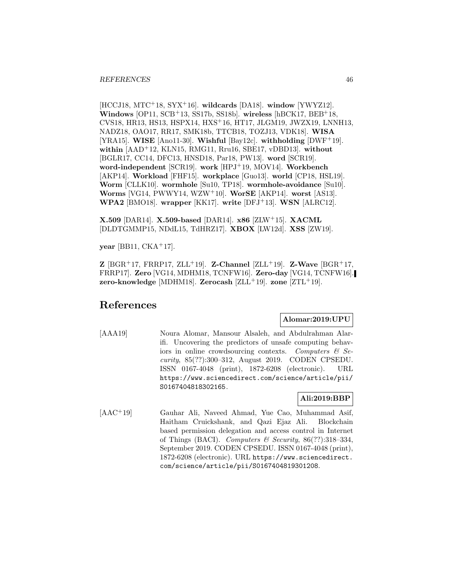[HCCJ18, MTC<sup>+</sup>18, SYX<sup>+</sup>16]. **wildcards** [DA18]. **window** [YWYZ12]. **Windows** [OP11, SCB<sup>+</sup>13, SS17b, SS18b]. **wireless** [hBCK17, BEB<sup>+</sup>18, CVS18, HR13, HS13, HSPX14, HXS<sup>+</sup>16, HT17, JLGM19, JWZX19, LNNH13, NADZ18, OAO17, RR17, SMK18b, TTCB18, TOZJ13, VDK18]. **WISA** [YRA15]. **WISE** [Ano11-30]. **Wishful** [Bay12c]. **withholding** [DWF<sup>+</sup>19]. **within** [AAD<sup>+</sup>12, KLN15, RMG11, Rru16, SBE17, vDBD13]. **without** [BGLR17, CC14, DFC13, HNSD18, Par18, PW13]. **word** [SCR19]. **word-independent** [SCR19]. **work** [HPJ<sup>+</sup>19, MOV14]. **Workbench** [AKP14]. **Workload** [FHF15]. **workplace** [Guo13]. **world** [CP18, HSL19]. **Worm** [CLLK10]. **wormhole** [Su10, TP18]. **wormhole-avoidance** [Su10]. **Worms** [VG14, PWWY14, WZW<sup>+</sup>10]. **WorSE** [AKP14]. **worst** [AS13]. **WPA2** [BMO18]. **wrapper** [KK17]. **write** [DFJ<sup>+</sup>13]. **WSN** [ALRC12].

**X.509** [DAR14]. **X.509-based** [DAR14]. **x86** [ZLW<sup>+</sup>15]. **XACML** [DLDTGMMP15, NDdL15, TdHRZ17]. **XBOX** [LW12d]. **XSS** [ZW19].

**year** [BB11, CKA<sup>+</sup>17].

**Z** [BGR<sup>+</sup>17, FRRP17, ZLL<sup>+</sup>19]. **Z-Channel** [ZLL<sup>+</sup>19]. **Z-Wave** [BGR<sup>+</sup>17, FRRP17]. **Zero** [VG14, MDHM18, TCNFW16]. **Zero-day** [VG14, TCNFW16]. **zero-knowledge** [MDHM18]. **Zerocash** [ZLL<sup>+</sup>19]. **zone** [ZTL<sup>+</sup>19].

# **References**

# **Alomar:2019:UPU**

[AAA19] Noura Alomar, Mansour Alsaleh, and Abdulrahman Alarifi. Uncovering the predictors of unsafe computing behaviors in online crowdsourcing contexts. Computers  $\mathcal{C}$  Security, 85(??):300–312, August 2019. CODEN CPSEDU. ISSN 0167-4048 (print), 1872-6208 (electronic). URL https://www.sciencedirect.com/science/article/pii/ S0167404818302165.

# **Ali:2019:BBP**

[AAC<sup>+</sup>19] Gauhar Ali, Naveed Ahmad, Yue Cao, Muhammad Asif, Haitham Cruickshank, and Qazi Ejaz Ali. Blockchain based permission delegation and access control in Internet of Things (BACI). Computers & Security,  $86(??):318-334$ , September 2019. CODEN CPSEDU. ISSN 0167-4048 (print), 1872-6208 (electronic). URL https://www.sciencedirect. com/science/article/pii/S0167404819301208.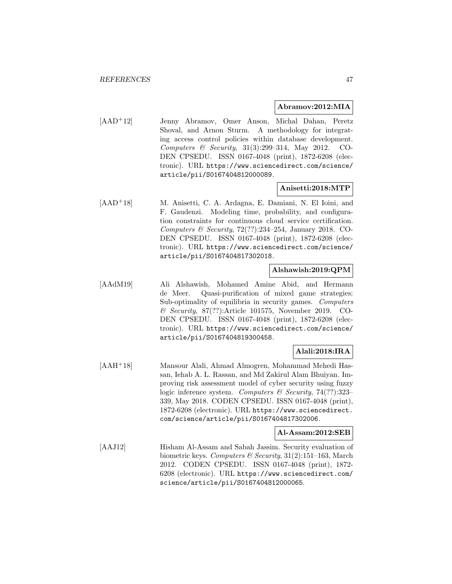#### **Abramov:2012:MIA**

[AAD<sup>+</sup>12] Jenny Abramov, Omer Anson, Michal Dahan, Peretz Shoval, and Arnon Sturm. A methodology for integrating access control policies within database development. Computers & Security, 31(3):299–314, May 2012. CO-DEN CPSEDU. ISSN 0167-4048 (print), 1872-6208 (electronic). URL https://www.sciencedirect.com/science/ article/pii/S0167404812000089.

#### **Anisetti:2018:MTP**

[AAD<sup>+</sup>18] M. Anisetti, C. A. Ardagna, E. Damiani, N. El Ioini, and F. Gaudenzi. Modeling time, probability, and configuration constraints for continuous cloud service certification. Computers & Security,  $72(??):234-254$ , January 2018. CO-DEN CPSEDU. ISSN 0167-4048 (print), 1872-6208 (electronic). URL https://www.sciencedirect.com/science/ article/pii/S0167404817302018.

# **Alshawish:2019:QPM**

[AAdM19] Ali Alshawish, Mohamed Amine Abid, and Hermann de Meer. Quasi-purification of mixed game strategies: Sub-optimality of equilibria in security games. Computers & Security, 87(??):Article 101575, November 2019. CO-DEN CPSEDU. ISSN 0167-4048 (print), 1872-6208 (electronic). URL https://www.sciencedirect.com/science/ article/pii/S0167404819300458.

# **Alali:2018:IRA**

[AAH<sup>+</sup>18] Mansour Alali, Ahmad Almogren, Mohammad Mehedi Hassan, Iehab A. L. Rassan, and Md Zakirul Alam Bhuiyan. Improving risk assessment model of cyber security using fuzzy logic inference system. Computers & Security, 74(??):323– 339, May 2018. CODEN CPSEDU. ISSN 0167-4048 (print), 1872-6208 (electronic). URL https://www.sciencedirect. com/science/article/pii/S0167404817302006.

#### **Al-Assam:2012:SEB**

[AAJ12] Hisham Al-Assam and Sabah Jassim. Security evaluation of biometric keys. Computers & Security,  $31(2):151-163$ , March 2012. CODEN CPSEDU. ISSN 0167-4048 (print), 1872- 6208 (electronic). URL https://www.sciencedirect.com/ science/article/pii/S0167404812000065.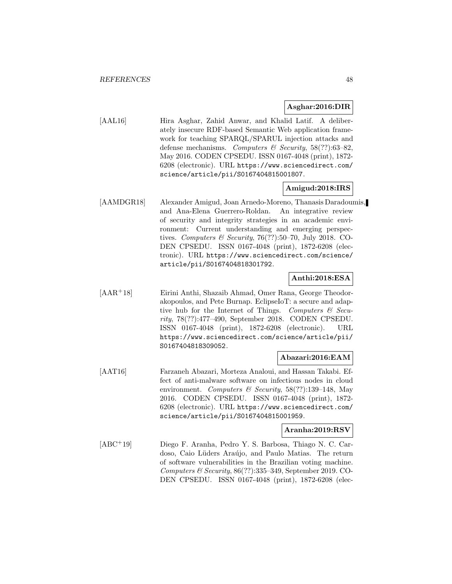#### **Asghar:2016:DIR**

[AAL16] Hira Asghar, Zahid Anwar, and Khalid Latif. A deliberately insecure RDF-based Semantic Web application framework for teaching SPARQL/SPARUL injection attacks and defense mechanisms. Computers & Security,  $58(??)$ :63-82. May 2016. CODEN CPSEDU. ISSN 0167-4048 (print), 1872- 6208 (electronic). URL https://www.sciencedirect.com/ science/article/pii/S0167404815001807.

## **Amigud:2018:IRS**

[AAMDGR18] Alexander Amigud, Joan Arnedo-Moreno, Thanasis Daradoumis, and Ana-Elena Guerrero-Roldan. An integrative review of security and integrity strategies in an academic environment: Current understanding and emerging perspectives. Computers & Security, 76(??):50-70, July 2018. CO-DEN CPSEDU. ISSN 0167-4048 (print), 1872-6208 (electronic). URL https://www.sciencedirect.com/science/ article/pii/S0167404818301792.

## **Anthi:2018:ESA**

[AAR<sup>+</sup>18] Eirini Anthi, Shazaib Ahmad, Omer Rana, George Theodorakopoulos, and Pete Burnap. EclipseIoT: a secure and adaptive hub for the Internet of Things. Computers  $\mathcal{C}$  Security, 78(??):477–490, September 2018. CODEN CPSEDU. ISSN 0167-4048 (print), 1872-6208 (electronic). URL https://www.sciencedirect.com/science/article/pii/ S0167404818309052.

## **Abazari:2016:EAM**

[AAT16] Farzaneh Abazari, Morteza Analoui, and Hassan Takabi. Effect of anti-malware software on infectious nodes in cloud environment. Computers & Security,  $58(??):139-148$ , May 2016. CODEN CPSEDU. ISSN 0167-4048 (print), 1872- 6208 (electronic). URL https://www.sciencedirect.com/ science/article/pii/S0167404815001959.

### **Aranha:2019:RSV**

[ABC<sup>+</sup>19] Diego F. Aranha, Pedro Y. S. Barbosa, Thiago N. C. Cardoso, Caio Lüders Araújo, and Paulo Matias. The return of software vulnerabilities in the Brazilian voting machine. Computers & Security, 86(??):335–349, September 2019. CO-DEN CPSEDU. ISSN 0167-4048 (print), 1872-6208 (elec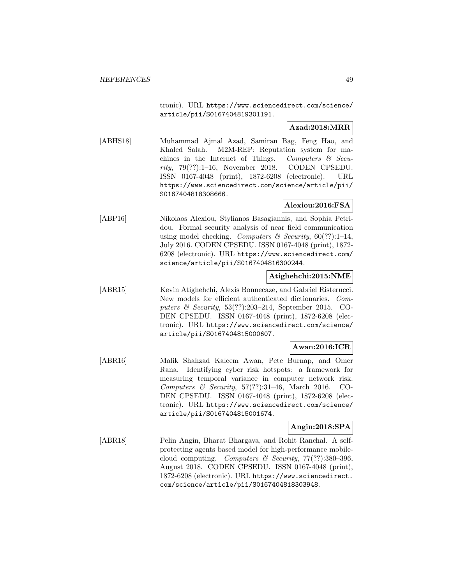tronic). URL https://www.sciencedirect.com/science/ article/pii/S0167404819301191.

# **Azad:2018:MRR**

[ABHS18] Muhammad Ajmal Azad, Samiran Bag, Feng Hao, and Khaled Salah. M2M-REP: Reputation system for machines in the Internet of Things. Computers  $\mathcal{C}$  Security, 79(??):1–16, November 2018. CODEN CPSEDU. ISSN 0167-4048 (print), 1872-6208 (electronic). URL https://www.sciencedirect.com/science/article/pii/ S0167404818308666.

# **Alexiou:2016:FSA**

[ABP16] Nikolaos Alexiou, Stylianos Basagiannis, and Sophia Petridou. Formal security analysis of near field communication using model checking. Computers & Security,  $60(??):1-14$ , July 2016. CODEN CPSEDU. ISSN 0167-4048 (print), 1872- 6208 (electronic). URL https://www.sciencedirect.com/ science/article/pii/S0167404816300244.

# **Atighehchi:2015:NME**

[ABR15] Kevin Atighehchi, Alexis Bonnecaze, and Gabriel Risterucci. New models for efficient authenticated dictionaries. Computers & Security, 53(??):203–214, September 2015. CO-DEN CPSEDU. ISSN 0167-4048 (print), 1872-6208 (electronic). URL https://www.sciencedirect.com/science/ article/pii/S0167404815000607.

# **Awan:2016:ICR**

[ABR16] Malik Shahzad Kaleem Awan, Pete Burnap, and Omer Rana. Identifying cyber risk hotspots: a framework for measuring temporal variance in computer network risk. Computers & Security, 57(??):31–46, March 2016. CO-DEN CPSEDU. ISSN 0167-4048 (print), 1872-6208 (electronic). URL https://www.sciencedirect.com/science/ article/pii/S0167404815001674.

# **Angin:2018:SPA**

[ABR18] Pelin Angin, Bharat Bhargava, and Rohit Ranchal. A selfprotecting agents based model for high-performance mobilecloud computing. Computers & Security,  $77(??)$ :380-396, August 2018. CODEN CPSEDU. ISSN 0167-4048 (print), 1872-6208 (electronic). URL https://www.sciencedirect. com/science/article/pii/S0167404818303948.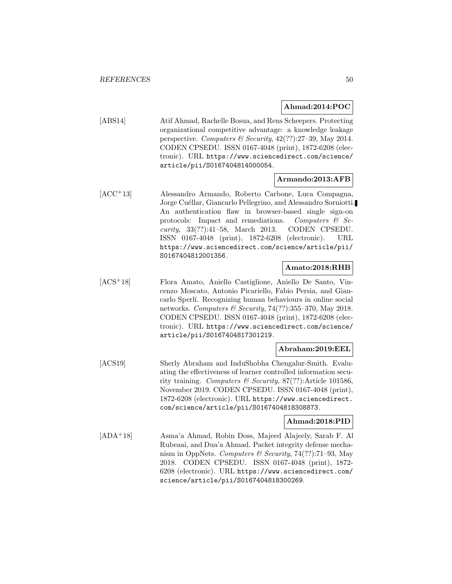#### **Ahmad:2014:POC**

[ABS14] Atif Ahmad, Rachelle Bosua, and Rens Scheepers. Protecting organizational competitive advantage: a knowledge leakage perspective. Computers  $\mathcal B$  Security, 42(??):27–39, May 2014. CODEN CPSEDU. ISSN 0167-4048 (print), 1872-6208 (electronic). URL https://www.sciencedirect.com/science/ article/pii/S0167404814000054.

## **Armando:2013:AFB**

[ACC<sup>+</sup>13] Alessandro Armando, Roberto Carbone, Luca Compagna, Jorge Cuéllar, Giancarlo Pellegrino, and Alessandro Sorniotti. An authentication flaw in browser-based single sign-on protocols: Impact and remediations. Computers  $\mathcal{C}$  Security, 33(??):41–58, March 2013. CODEN CPSEDU. ISSN 0167-4048 (print), 1872-6208 (electronic). URL https://www.sciencedirect.com/science/article/pii/ S0167404812001356.

# **Amato:2018:RHB**

[ACS<sup>+</sup>18] Flora Amato, Aniello Castiglione, Aniello De Santo, Vincenzo Moscato, Antonio Picariello, Fabio Persia, and Giancarlo Sperl´ı. Recognizing human behaviours in online social networks. Computers & Security,  $74(??)$ :355-370, May 2018. CODEN CPSEDU. ISSN 0167-4048 (print), 1872-6208 (electronic). URL https://www.sciencedirect.com/science/ article/pii/S0167404817301219.

## **Abraham:2019:EEL**

[ACS19] Sherly Abraham and InduShobha Chengalur-Smith. Evaluating the effectiveness of learner controlled information security training. Computers & Security, 87(??):Article 101586, November 2019. CODEN CPSEDU. ISSN 0167-4048 (print), 1872-6208 (electronic). URL https://www.sciencedirect. com/science/article/pii/S0167404818308873.

# **Ahmad:2018:PID**

[ADA<sup>+</sup>18] Asma'a Ahmad, Robin Doss, Majeed Alajeely, Sarab F. Al Rubeaai, and Dua'a Ahmad. Packet integrity defense mechanism in OppNets. Computers & Security, 74(??):71–93, May 2018. CODEN CPSEDU. ISSN 0167-4048 (print), 1872- 6208 (electronic). URL https://www.sciencedirect.com/ science/article/pii/S0167404818300269.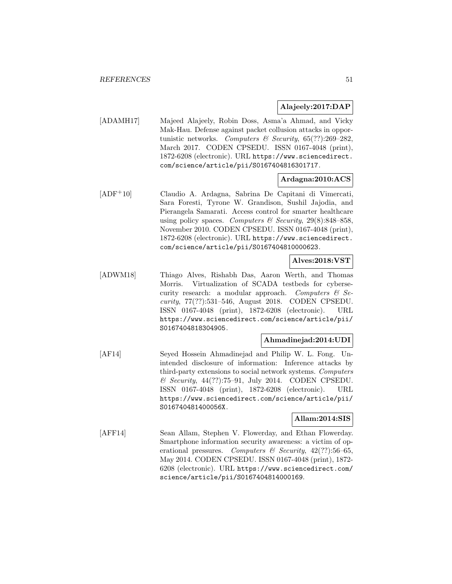# **Alajeely:2017:DAP**

[ADAMH17] Majeed Alajeely, Robin Doss, Asma'a Ahmad, and Vicky Mak-Hau. Defense against packet collusion attacks in opportunistic networks. Computers & Security,  $65(??):269-282$ , March 2017. CODEN CPSEDU. ISSN 0167-4048 (print), 1872-6208 (electronic). URL https://www.sciencedirect. com/science/article/pii/S0167404816301717.

# **Ardagna:2010:ACS**

[ADF<sup>+</sup>10] Claudio A. Ardagna, Sabrina De Capitani di Vimercati, Sara Foresti, Tyrone W. Grandison, Sushil Jajodia, and Pierangela Samarati. Access control for smarter healthcare using policy spaces. Computers & Security,  $29(8):848-858$ , November 2010. CODEN CPSEDU. ISSN 0167-4048 (print), 1872-6208 (electronic). URL https://www.sciencedirect. com/science/article/pii/S0167404810000623.

## **Alves:2018:VST**

[ADWM18] Thiago Alves, Rishabh Das, Aaron Werth, and Thomas Morris. Virtualization of SCADA testbeds for cybersecurity research: a modular approach. Computers  $\mathcal{C}$  Security, 77(??):531–546, August 2018. CODEN CPSEDU. ISSN 0167-4048 (print), 1872-6208 (electronic). URL https://www.sciencedirect.com/science/article/pii/ S0167404818304905.

# **Ahmadinejad:2014:UDI**

[AF14] Seyed Hossein Ahmadinejad and Philip W. L. Fong. Unintended disclosure of information: Inference attacks by third-party extensions to social network systems. Computers & Security, 44(??):75–91, July 2014. CODEN CPSEDU. ISSN 0167-4048 (print), 1872-6208 (electronic). URL https://www.sciencedirect.com/science/article/pii/ S016740481400056X.

## **Allam:2014:SIS**

[AFF14] Sean Allam, Stephen V. Flowerday, and Ethan Flowerday. Smartphone information security awareness: a victim of operational pressures. Computers & Security,  $42(??)$ :56-65, May 2014. CODEN CPSEDU. ISSN 0167-4048 (print), 1872- 6208 (electronic). URL https://www.sciencedirect.com/ science/article/pii/S0167404814000169.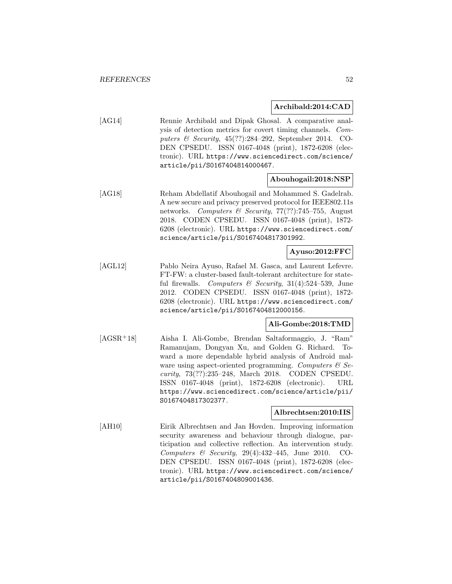## **Archibald:2014:CAD**

[AG14] Rennie Archibald and Dipak Ghosal. A comparative analysis of detection metrics for covert timing channels. Computers & Security, 45(??):284–292, September 2014. CO-DEN CPSEDU. ISSN 0167-4048 (print), 1872-6208 (electronic). URL https://www.sciencedirect.com/science/ article/pii/S0167404814000467.

# **Abouhogail:2018:NSP**

[AG18] Reham Abdellatif Abouhogail and Mohammed S. Gadelrab. A new secure and privacy preserved protocol for IEEE802.11s networks. Computers & Security, 77(??):745–755, August 2018. CODEN CPSEDU. ISSN 0167-4048 (print), 1872- 6208 (electronic). URL https://www.sciencedirect.com/ science/article/pii/S0167404817301992.

# **Ayuso:2012:FFC**

[AGL12] Pablo Neira Ayuso, Rafael M. Gasca, and Laurent Lefevre. FT-FW: a cluster-based fault-tolerant architecture for stateful firewalls. Computers  $\mathcal B$  Security, 31(4):524-539, June 2012. CODEN CPSEDU. ISSN 0167-4048 (print), 1872- 6208 (electronic). URL https://www.sciencedirect.com/ science/article/pii/S0167404812000156.

## **Ali-Gombe:2018:TMD**

[AGSR<sup>+</sup>18] Aisha I. Ali-Gombe, Brendan Saltaformaggio, J. "Ram" Ramanujam, Dongyan Xu, and Golden G. Richard. Toward a more dependable hybrid analysis of Android malware using aspect-oriented programming. Computers  $\mathcal{C}$  Security, 73(??):235–248, March 2018. CODEN CPSEDU. ISSN 0167-4048 (print), 1872-6208 (electronic). URL https://www.sciencedirect.com/science/article/pii/ S0167404817302377.

## **Albrechtsen:2010:IIS**

[AH10] Eirik Albrechtsen and Jan Hovden. Improving information security awareness and behaviour through dialogue, participation and collective reflection. An intervention study. Computers  $\&$  Security, 29(4):432-445, June 2010. CO-DEN CPSEDU. ISSN 0167-4048 (print), 1872-6208 (electronic). URL https://www.sciencedirect.com/science/ article/pii/S0167404809001436.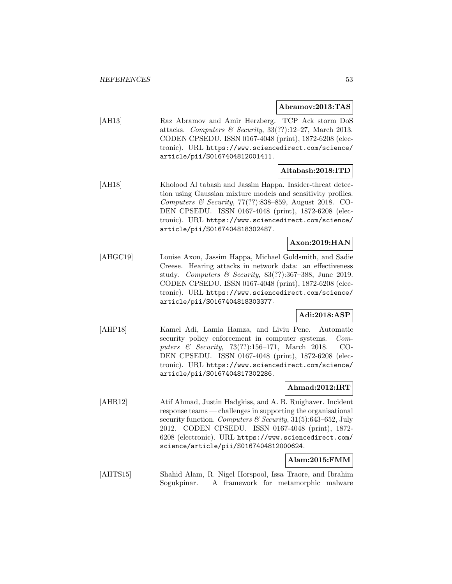#### **Abramov:2013:TAS**

[AH13] Raz Abramov and Amir Herzberg. TCP Ack storm DoS attacks. Computers & Security,  $33(??):12-27$ , March 2013. CODEN CPSEDU. ISSN 0167-4048 (print), 1872-6208 (electronic). URL https://www.sciencedirect.com/science/ article/pii/S0167404812001411.

# **Altabash:2018:ITD**

[AH18] Kholood Al tabash and Jassim Happa. Insider-threat detection using Gaussian mixture models and sensitivity profiles. Computers & Security, 77(??):838–859, August 2018. CO-DEN CPSEDU. ISSN 0167-4048 (print), 1872-6208 (electronic). URL https://www.sciencedirect.com/science/ article/pii/S0167404818302487.

# **Axon:2019:HAN**

[AHGC19] Louise Axon, Jassim Happa, Michael Goldsmith, and Sadie Creese. Hearing attacks in network data: an effectiveness study. Computers & Security,  $83(??):367-388$ , June 2019. CODEN CPSEDU. ISSN 0167-4048 (print), 1872-6208 (electronic). URL https://www.sciencedirect.com/science/ article/pii/S0167404818303377.

# **Adi:2018:ASP**

[AHP18] Kamel Adi, Lamia Hamza, and Liviu Pene. Automatic security policy enforcement in computer systems. Computers & Security, 73(??):156–171, March 2018. CO-DEN CPSEDU. ISSN 0167-4048 (print), 1872-6208 (electronic). URL https://www.sciencedirect.com/science/ article/pii/S0167404817302286.

## **Ahmad:2012:IRT**

[AHR12] Atif Ahmad, Justin Hadgkiss, and A. B. Ruighaver. Incident response teams — challenges in supporting the organisational security function. Computers  $\mathcal C$  Security, 31(5):643–652, July 2012. CODEN CPSEDU. ISSN 0167-4048 (print), 1872- 6208 (electronic). URL https://www.sciencedirect.com/ science/article/pii/S0167404812000624.

#### **Alam:2015:FMM**

[AHTS15] Shahid Alam, R. Nigel Horspool, Issa Traore, and Ibrahim Sogukpinar. A framework for metamorphic malware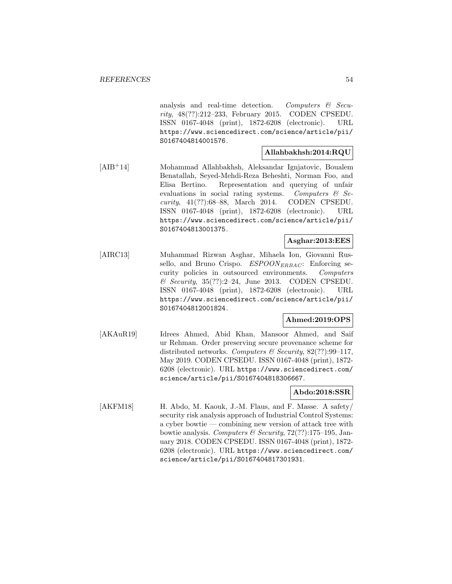analysis and real-time detection. Computers  $\mathcal{C}$  Security, 48(??):212–233, February 2015. CODEN CPSEDU. ISSN 0167-4048 (print), 1872-6208 (electronic). URL https://www.sciencedirect.com/science/article/pii/ S0167404814001576.

# **Allahbakhsh:2014:RQU**

[AIB<sup>+</sup>14] Mohammad Allahbakhsh, Aleksandar Ignjatovic, Boualem Benatallah, Seyed-Mehdi-Reza Beheshti, Norman Foo, and Elisa Bertino. Representation and querying of unfair evaluations in social rating systems. Computers & Security, 41(??):68–88, March 2014. CODEN CPSEDU. ISSN 0167-4048 (print), 1872-6208 (electronic). URL https://www.sciencedirect.com/science/article/pii/ S0167404813001375.

# **Asghar:2013:EES**

[AIRC13] Muhammad Rizwan Asghar, Mihaela Ion, Giovanni Russello, and Bruno Crispo.  $ESPOON_{ERBAC}$ : Enforcing security policies in outsourced environments. Computers  $\&$  Security, 35(??):2-24, June 2013. CODEN CPSEDU. ISSN 0167-4048 (print), 1872-6208 (electronic). URL https://www.sciencedirect.com/science/article/pii/ S0167404812001824.

# **Ahmed:2019:OPS**

[AKAuR19] Idrees Ahmed, Abid Khan, Mansoor Ahmed, and Saif ur Rehman. Order preserving secure provenance scheme for distributed networks. Computers & Security,  $82$ (??):99-117, May 2019. CODEN CPSEDU. ISSN 0167-4048 (print), 1872- 6208 (electronic). URL https://www.sciencedirect.com/ science/article/pii/S0167404818306667.

# **Abdo:2018:SSR**

[AKFM18] H. Abdo, M. Kaouk, J.-M. Flaus, and F. Masse. A safety/ security risk analysis approach of Industrial Control Systems: a cyber bowtie — combining new version of attack tree with bowtie analysis. Computers & Security,  $72(??):175-195$ , January 2018. CODEN CPSEDU. ISSN 0167-4048 (print), 1872- 6208 (electronic). URL https://www.sciencedirect.com/ science/article/pii/S0167404817301931.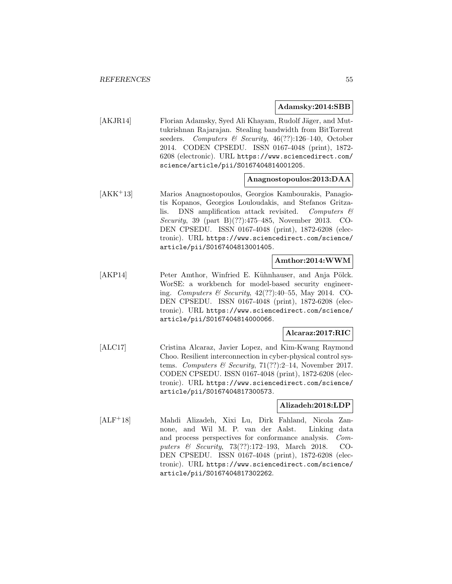#### **Adamsky:2014:SBB**

[AKJR14] Florian Adamsky, Syed Ali Khayam, Rudolf Jäger, and Muttukrishnan Rajarajan. Stealing bandwidth from BitTorrent seeders. Computers & Security, 46(??):126-140, October 2014. CODEN CPSEDU. ISSN 0167-4048 (print), 1872- 6208 (electronic). URL https://www.sciencedirect.com/ science/article/pii/S0167404814001205.

#### **Anagnostopoulos:2013:DAA**

[AKK<sup>+</sup>13] Marios Anagnostopoulos, Georgios Kambourakis, Panagiotis Kopanos, Georgios Louloudakis, and Stefanos Gritzalis. DNS amplification attack revisited. Computers  $\mathcal{C}$ Security, 39 (part B)(??):475–485, November 2013. CO-DEN CPSEDU. ISSN 0167-4048 (print), 1872-6208 (electronic). URL https://www.sciencedirect.com/science/ article/pii/S0167404813001405.

### **Amthor:2014:WWM**

[AKP14] Peter Amthor, Winfried E. Kühnhauser, and Anja Pölck. WorSE: a workbench for model-based security engineering. Computers & Security, 42(??):40–55, May 2014. CO-DEN CPSEDU. ISSN 0167-4048 (print), 1872-6208 (electronic). URL https://www.sciencedirect.com/science/ article/pii/S0167404814000066.

## **Alcaraz:2017:RIC**

[ALC17] Cristina Alcaraz, Javier Lopez, and Kim-Kwang Raymond Choo. Resilient interconnection in cyber-physical control systems. Computers & Security, 71(??):2-14, November 2017. CODEN CPSEDU. ISSN 0167-4048 (print), 1872-6208 (electronic). URL https://www.sciencedirect.com/science/ article/pii/S0167404817300573.

#### **Alizadeh:2018:LDP**

[ALF<sup>+</sup>18] Mahdi Alizadeh, Xixi Lu, Dirk Fahland, Nicola Zannone, and Wil M. P. van der Aalst. Linking data and process perspectives for conformance analysis. Computers & Security, 73(??):172–193, March 2018. CO-DEN CPSEDU. ISSN 0167-4048 (print), 1872-6208 (electronic). URL https://www.sciencedirect.com/science/ article/pii/S0167404817302262.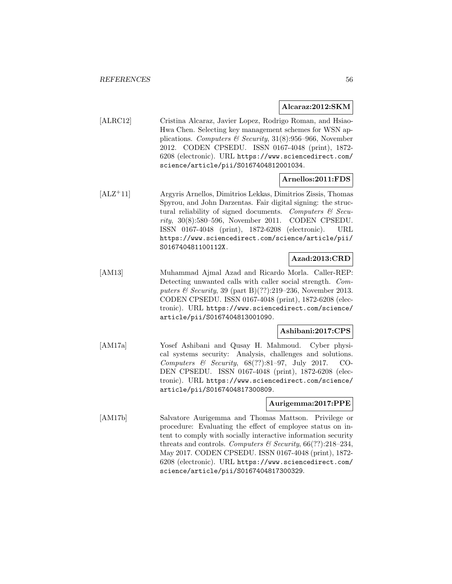#### **Alcaraz:2012:SKM**

[ALRC12] Cristina Alcaraz, Javier Lopez, Rodrigo Roman, and Hsiao-Hwa Chen. Selecting key management schemes for WSN applications. Computers & Security,  $31(8):956-966$ , November 2012. CODEN CPSEDU. ISSN 0167-4048 (print), 1872- 6208 (electronic). URL https://www.sciencedirect.com/ science/article/pii/S0167404812001034.

#### **Arnellos:2011:FDS**

[ALZ<sup>+</sup>11] Argyris Arnellos, Dimitrios Lekkas, Dimitrios Zissis, Thomas Spyrou, and John Darzentas. Fair digital signing: the structural reliability of signed documents. Computers  $\mathcal{C}$  Security, 30(8):580–596, November 2011. CODEN CPSEDU. ISSN 0167-4048 (print), 1872-6208 (electronic). URL https://www.sciencedirect.com/science/article/pii/ S016740481100112X.

# **Azad:2013:CRD**

[AM13] Muhammad Ajmal Azad and Ricardo Morla. Caller-REP: Detecting unwanted calls with caller social strength. Computers & Security, 39 (part B)(??):219–236, November 2013. CODEN CPSEDU. ISSN 0167-4048 (print), 1872-6208 (electronic). URL https://www.sciencedirect.com/science/ article/pii/S0167404813001090.

# **Ashibani:2017:CPS**

[AM17a] Yosef Ashibani and Qusay H. Mahmoud. Cyber physical systems security: Analysis, challenges and solutions. Computers & Security,  $68(??):81-97$ , July 2017. CO-DEN CPSEDU. ISSN 0167-4048 (print), 1872-6208 (electronic). URL https://www.sciencedirect.com/science/ article/pii/S0167404817300809.

## **Aurigemma:2017:PPE**

[AM17b] Salvatore Aurigemma and Thomas Mattson. Privilege or procedure: Evaluating the effect of employee status on intent to comply with socially interactive information security threats and controls. Computers & Security,  $66(??):218-234$ , May 2017. CODEN CPSEDU. ISSN 0167-4048 (print), 1872- 6208 (electronic). URL https://www.sciencedirect.com/ science/article/pii/S0167404817300329.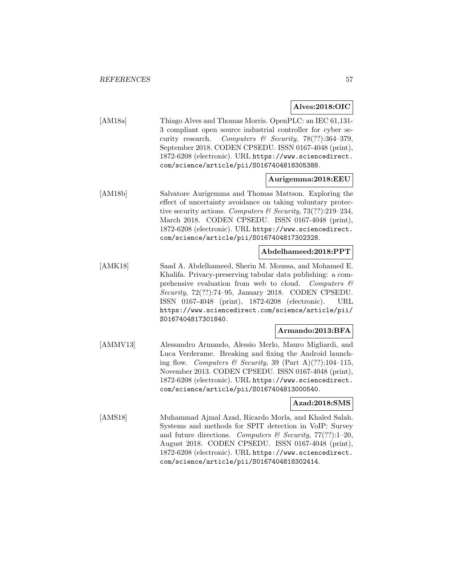# **Alves:2018:OIC**

[AM18a] Thiago Alves and Thomas Morris. OpenPLC: an IEC 61,131-3 compliant open source industrial controller for cyber security research. Computers  $\mathcal{B}$  Security, 78(??):364-379, September 2018. CODEN CPSEDU. ISSN 0167-4048 (print), 1872-6208 (electronic). URL https://www.sciencedirect. com/science/article/pii/S0167404818305388.

# **Aurigemma:2018:EEU**

[AM18b] Salvatore Aurigemma and Thomas Mattson. Exploring the effect of uncertainty avoidance on taking voluntary protective security actions. Computers & Security,  $73(??):219-234$ , March 2018. CODEN CPSEDU. ISSN 0167-4048 (print), 1872-6208 (electronic). URL https://www.sciencedirect. com/science/article/pii/S0167404817302328.

# **Abdelhameed:2018:PPT**

[AMK18] Saad A. Abdelhameed, Sherin M. Moussa, and Mohamed E. Khalifa. Privacy-preserving tabular data publishing: a comprehensive evaluation from web to cloud. Computers  $\mathcal{C}$ Security, 72(??):74–95, January 2018. CODEN CPSEDU. ISSN 0167-4048 (print), 1872-6208 (electronic). URL https://www.sciencedirect.com/science/article/pii/ S0167404817301840.

## **Armando:2013:BFA**

[AMMV13] Alessandro Armando, Alessio Merlo, Mauro Migliardi, and Luca Verderame. Breaking and fixing the Android launching flow. Computers & Security, 39 (Part A)(??):104-115, November 2013. CODEN CPSEDU. ISSN 0167-4048 (print), 1872-6208 (electronic). URL https://www.sciencedirect. com/science/article/pii/S0167404813000540.

# **Azad:2018:SMS**

[AMS18] Muhammad Ajmal Azad, Ricardo Morla, and Khaled Salah. Systems and methods for SPIT detection in VoIP: Survey and future directions. Computers & Security,  $77(??):1-20$ , August 2018. CODEN CPSEDU. ISSN 0167-4048 (print), 1872-6208 (electronic). URL https://www.sciencedirect. com/science/article/pii/S0167404818302414.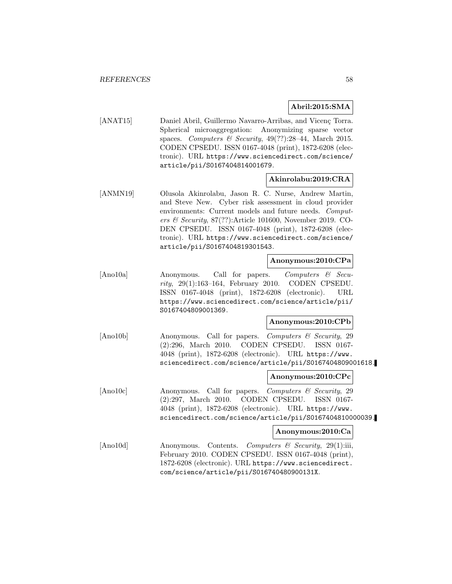# **Abril:2015:SMA**

[ANAT15] Daniel Abril, Guillermo Navarro-Arribas, and Vicenç Torra. Spherical microaggregation: Anonymizing sparse vector spaces. Computers & Security,  $49(??):28-44$ , March 2015. CODEN CPSEDU. ISSN 0167-4048 (print), 1872-6208 (electronic). URL https://www.sciencedirect.com/science/ article/pii/S0167404814001679.

# **Akinrolabu:2019:CRA**

[ANMN19] Olusola Akinrolabu, Jason R. C. Nurse, Andrew Martin, and Steve New. Cyber risk assessment in cloud provider environments: Current models and future needs. Computers & Security, 87(??):Article 101600, November 2019. CO-DEN CPSEDU. ISSN 0167-4048 (print), 1872-6208 (electronic). URL https://www.sciencedirect.com/science/ article/pii/S0167404819301543.

#### **Anonymous:2010:CPa**

[Ano10a] Anonymous. Call for papers. Computers & Security, 29(1):163–164, February 2010. CODEN CPSEDU. ISSN 0167-4048 (print), 1872-6208 (electronic). URL https://www.sciencedirect.com/science/article/pii/ S0167404809001369.

## **Anonymous:2010:CPb**

[Ano10b] Anonymous. Call for papers. Computers & Security, 29 (2):296, March 2010. CODEN CPSEDU. ISSN 0167- 4048 (print), 1872-6208 (electronic). URL https://www. sciencedirect.com/science/article/pii/S0167404809001618.

## **Anonymous:2010:CPc**

[Ano10c] Anonymous. Call for papers. Computers & Security, 29 (2):297, March 2010. CODEN CPSEDU. ISSN 0167- 4048 (print), 1872-6208 (electronic). URL https://www. sciencedirect.com/science/article/pii/S0167404810000039.

#### **Anonymous:2010:Ca**

[Ano10d] Anonymous. Contents. Computers & Security, 29(1):iii, February 2010. CODEN CPSEDU. ISSN 0167-4048 (print), 1872-6208 (electronic). URL https://www.sciencedirect. com/science/article/pii/S016740480900131X.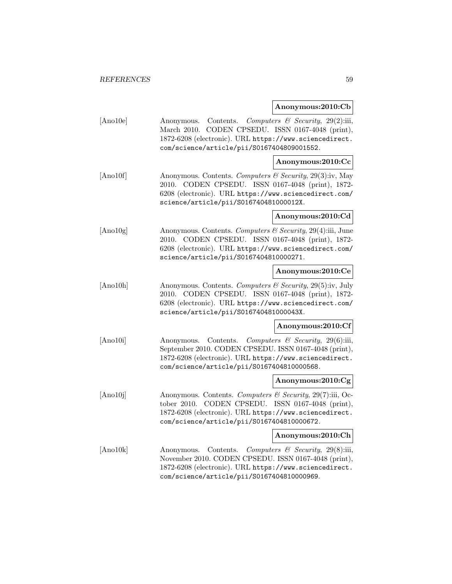#### **Anonymous:2010:Cb**

[Ano10e] Anonymous. Contents. Computers & Security, 29(2):iii, March 2010. CODEN CPSEDU. ISSN 0167-4048 (print), 1872-6208 (electronic). URL https://www.sciencedirect. com/science/article/pii/S0167404809001552.

## **Anonymous:2010:Cc**

[Ano10f] Anonymous. Contents. Computers & Security, 29(3):iv, May 2010. CODEN CPSEDU. ISSN 0167-4048 (print), 1872- 6208 (electronic). URL https://www.sciencedirect.com/ science/article/pii/S016740481000012X.

#### **Anonymous:2010:Cd**

[Ano10g] Anonymous. Contents. Computers & Security, 29(4):iii, June 2010. CODEN CPSEDU. ISSN 0167-4048 (print), 1872- 6208 (electronic). URL https://www.sciencedirect.com/ science/article/pii/S0167404810000271.

## **Anonymous:2010:Ce**

[Ano10h] Anonymous. Contents. Computers & Security, 29(5):iv, July 2010. CODEN CPSEDU. ISSN 0167-4048 (print), 1872- 6208 (electronic). URL https://www.sciencedirect.com/ science/article/pii/S016740481000043X.

#### **Anonymous:2010:Cf**

[Ano10i] Anonymous. Contents. Computers & Security, 29(6):iii, September 2010. CODEN CPSEDU. ISSN 0167-4048 (print), 1872-6208 (electronic). URL https://www.sciencedirect. com/science/article/pii/S0167404810000568.

#### **Anonymous:2010:Cg**

[Ano10j] Anonymous. Contents. Computers  $\mathcal{C}$  Security, 29(7):iii, October 2010. CODEN CPSEDU. ISSN 0167-4048 (print), 1872-6208 (electronic). URL https://www.sciencedirect. com/science/article/pii/S0167404810000672.

#### **Anonymous:2010:Ch**

[Ano10k] Anonymous. Contents. Computers & Security, 29(8):iii, November 2010. CODEN CPSEDU. ISSN 0167-4048 (print), 1872-6208 (electronic). URL https://www.sciencedirect. com/science/article/pii/S0167404810000969.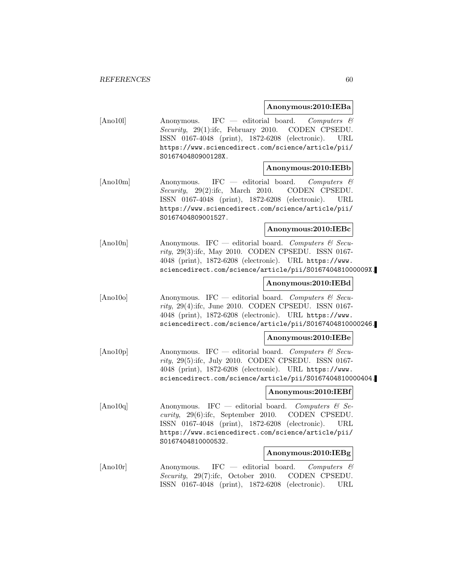#### **Anonymous:2010:IEBa**

[Ano10l] Anonymous. IFC — editorial board. Computers & Security, 29(1):ifc, February 2010. CODEN CPSEDU. ISSN 0167-4048 (print), 1872-6208 (electronic). URL https://www.sciencedirect.com/science/article/pii/ S016740480900128X.

#### **Anonymous:2010:IEBb**

[Ano10m] Anonymous. IFC — editorial board. Computers & Security, 29(2):ifc, March 2010. CODEN CPSEDU. ISSN 0167-4048 (print), 1872-6208 (electronic). URL https://www.sciencedirect.com/science/article/pii/ S0167404809001527.

#### **Anonymous:2010:IEBc**

[Ano10n] Anonymous. IFC — editorial board. Computers & Security, 29(3):ifc, May 2010. CODEN CPSEDU. ISSN 0167- 4048 (print), 1872-6208 (electronic). URL https://www. sciencedirect.com/science/article/pii/S016740481000009X.

## **Anonymous:2010:IEBd**

 $[Ano10o]$  Anonymous. IFC — editorial board. Computers & Security, 29(4):ifc, June 2010. CODEN CPSEDU. ISSN 0167- 4048 (print), 1872-6208 (electronic). URL https://www. sciencedirect.com/science/article/pii/S0167404810000246.

## **Anonymous:2010:IEBe**

 $[Ano10p]$  Anonymous. IFC — editorial board. Computers & Security, 29(5):ifc, July 2010. CODEN CPSEDU. ISSN 0167- 4048 (print), 1872-6208 (electronic). URL https://www. sciencedirect.com/science/article/pii/S0167404810000404.

## **Anonymous:2010:IEBf**

 $[Ano10q]$  Anonymous. IFC — editorial board. Computers & Security, 29(6):ifc, September 2010. CODEN CPSEDU. ISSN 0167-4048 (print), 1872-6208 (electronic). URL https://www.sciencedirect.com/science/article/pii/ S0167404810000532.

## **Anonymous:2010:IEBg**

[Ano10r] Anonymous. IFC — editorial board. Computers & Security, 29(7):ifc, October 2010. CODEN CPSEDU. ISSN 0167-4048 (print), 1872-6208 (electronic). URL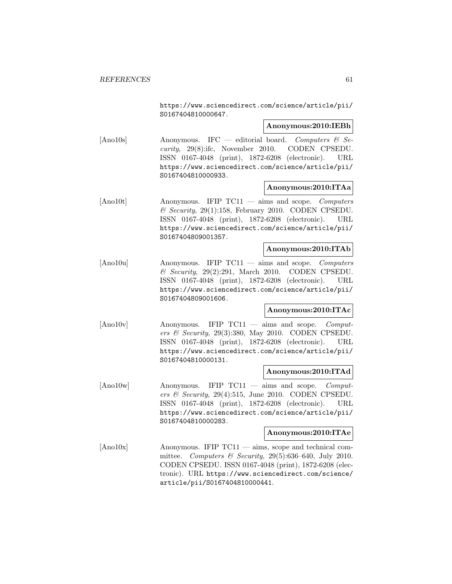https://www.sciencedirect.com/science/article/pii/ S0167404810000647.

#### **Anonymous:2010:IEBh**

[Ano10s] Anonymous. IFC — editorial board. Computers & Security, 29(8):ifc, November 2010. CODEN CPSEDU. ISSN 0167-4048 (print), 1872-6208 (electronic). URL https://www.sciencedirect.com/science/article/pii/ S0167404810000933.

### **Anonymous:2010:ITAa**

[Ano10t] Anonymous. IFIP TC11 — aims and scope. Computers  $\&$  Security, 29(1):158, February 2010. CODEN CPSEDU. ISSN 0167-4048 (print), 1872-6208 (electronic). URL https://www.sciencedirect.com/science/article/pii/ S0167404809001357.

#### **Anonymous:2010:ITAb**

[Ano10u] Anonymous. IFIP TC11 — aims and scope. Computers  $\&$  Security, 29(2):291, March 2010. CODEN CPSEDU. ISSN 0167-4048 (print), 1872-6208 (electronic). URL https://www.sciencedirect.com/science/article/pii/ S0167404809001606.

## **Anonymous:2010:ITAc**

[Ano10v] Anonymous. IFIP TC11 — aims and scope. Computers & Security, 29(3):380, May 2010. CODEN CPSEDU. ISSN 0167-4048 (print), 1872-6208 (electronic). URL https://www.sciencedirect.com/science/article/pii/ S0167404810000131.

#### **Anonymous:2010:ITAd**

[Ano10w] Anonymous. IFIP TC11 — aims and scope. Computers & Security, 29(4):515, June 2010. CODEN CPSEDU. ISSN 0167-4048 (print), 1872-6208 (electronic). URL https://www.sciencedirect.com/science/article/pii/ S0167404810000283.

#### **Anonymous:2010:ITAe**

[Ano10x] Anonymous. IFIP TC11 — aims, scope and technical committee. Computers & Security,  $29(5):636-640$ , July 2010. CODEN CPSEDU. ISSN 0167-4048 (print), 1872-6208 (electronic). URL https://www.sciencedirect.com/science/ article/pii/S0167404810000441.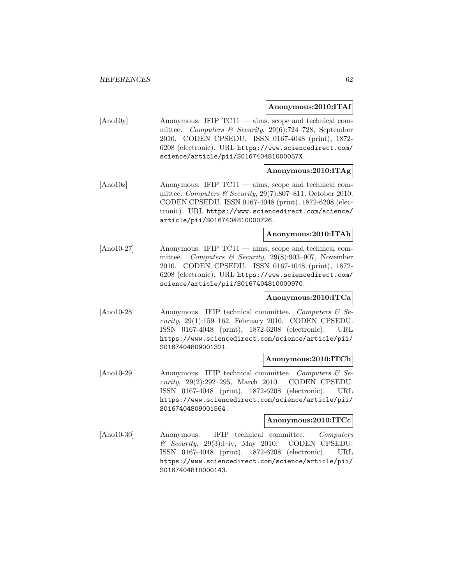#### **Anonymous:2010:ITAf**

[Ano10y] Anonymous. IFIP TC11 — aims, scope and technical committee. Computers & Security, 29(6):724–728, September 2010. CODEN CPSEDU. ISSN 0167-4048 (print), 1872- 6208 (electronic). URL https://www.sciencedirect.com/ science/article/pii/S016740481000057X.

# **Anonymous:2010:ITAg**

[Ano10z] Anonymous. IFIP TC11 — aims, scope and technical committee. Computers & Security, 29(7):807–811, October 2010. CODEN CPSEDU. ISSN 0167-4048 (print), 1872-6208 (electronic). URL https://www.sciencedirect.com/science/ article/pii/S0167404810000726.

# **Anonymous:2010:ITAh**

[Ano10-27] Anonymous. IFIP TC11 — aims, scope and technical committee. Computers & Security, 29(8):903–907, November 2010. CODEN CPSEDU. ISSN 0167-4048 (print), 1872- 6208 (electronic). URL https://www.sciencedirect.com/ science/article/pii/S0167404810000970.

## **Anonymous:2010:ITCa**

[Ano10-28] Anonymous. IFIP technical committee. Computers  $\mathcal{C}$  Security, 29(1):159–162, February 2010. CODEN CPSEDU. ISSN 0167-4048 (print), 1872-6208 (electronic). URL https://www.sciencedirect.com/science/article/pii/ S0167404809001321.

#### **Anonymous:2010:ITCb**

[Ano10-29] Anonymous. IFIP technical committee. Computers & Security, 29(2):292–295, March 2010. CODEN CPSEDU. ISSN 0167-4048 (print), 1872-6208 (electronic). URL https://www.sciencedirect.com/science/article/pii/ S0167404809001564.

#### **Anonymous:2010:ITCc**

[Ano10-30] Anonymous. IFIP technical committee. Computers  $\&$  Security, 29(3):i–iv, May 2010. CODEN CPSEDU. ISSN 0167-4048 (print), 1872-6208 (electronic). URL https://www.sciencedirect.com/science/article/pii/ S0167404810000143.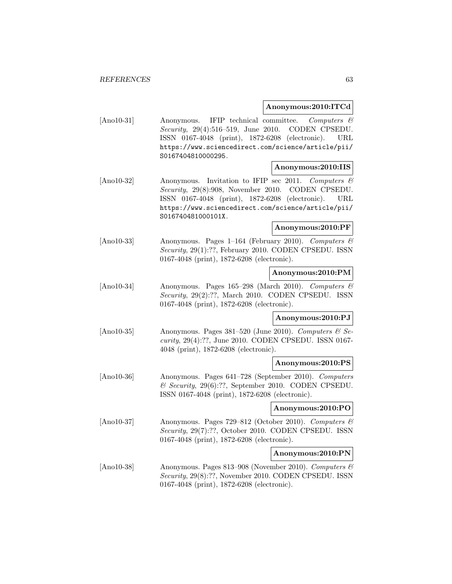#### **Anonymous:2010:ITCd**

[Ano10-31] Anonymous. IFIP technical committee. Computers & Security, 29(4):516–519, June 2010. CODEN CPSEDU. ISSN 0167-4048 (print), 1872-6208 (electronic). URL https://www.sciencedirect.com/science/article/pii/ S0167404810000295.

#### **Anonymous:2010:IIS**

[Ano10-32] Anonymous. Invitation to IFIP sec 2011. Computers & Security, 29(8):908, November 2010. CODEN CPSEDU. ISSN 0167-4048 (print), 1872-6208 (electronic). URL https://www.sciencedirect.com/science/article/pii/ S016740481000101X.

#### **Anonymous:2010:PF**

[Ano10-33] Anonymous. Pages 1–164 (February 2010). Computers & Security, 29(1):??, February 2010. CODEN CPSEDU. ISSN 0167-4048 (print), 1872-6208 (electronic).

## **Anonymous:2010:PM**

[Ano10-34] Anonymous. Pages 165–298 (March 2010). Computers & Security, 29(2):??, March 2010. CODEN CPSEDU. ISSN 0167-4048 (print), 1872-6208 (electronic).

## **Anonymous:2010:PJ**

[Ano10-35] Anonymous. Pages  $381-520$  (June 2010). Computers  $\&$  Security, 29(4):??, June 2010. CODEN CPSEDU. ISSN 0167- 4048 (print), 1872-6208 (electronic).

#### **Anonymous:2010:PS**

[Ano10-36] Anonymous. Pages 641–728 (September 2010). Computers & Security, 29(6):??, September 2010. CODEN CPSEDU. ISSN 0167-4048 (print), 1872-6208 (electronic).

#### **Anonymous:2010:PO**

[Ano10-37] Anonymous. Pages 729–812 (October 2010). Computers & Security, 29(7):??, October 2010. CODEN CPSEDU. ISSN 0167-4048 (print), 1872-6208 (electronic).

#### **Anonymous:2010:PN**

[Ano10-38] Anonymous. Pages 813–908 (November 2010). Computers  $\mathcal{C}$ Security, 29(8):??, November 2010. CODEN CPSEDU. ISSN 0167-4048 (print), 1872-6208 (electronic).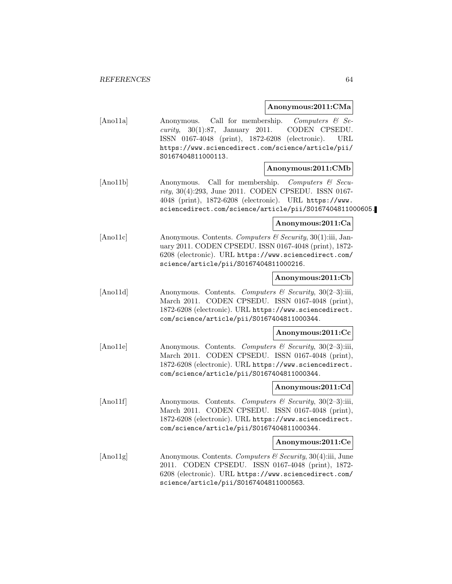# **Anonymous:2011:CMa**

|          |                                                                                                                                                                                                                                                  | Allonymous.2011.UNId                                                     |
|----------|--------------------------------------------------------------------------------------------------------------------------------------------------------------------------------------------------------------------------------------------------|--------------------------------------------------------------------------|
| [And1a]  | Anonymous.<br>January 2011.<br>30(1):87,<br>curity,<br>ISSN 0167-4048 (print), 1872-6208 (electronic).<br>https://www.sciencedirect.com/science/article/pii/<br>S0167404811000113.                                                               | Call for membership. Computers $\mathcal{C}$ Se-<br>CODEN CPSEDU.<br>URL |
|          |                                                                                                                                                                                                                                                  | Anonymous:2011:CMb                                                       |
| [Ano11b] | Call for membership. Computers $\mathcal C$ Secu-<br>Anonymous.<br>$rity$ , 30(4):293, June 2011. CODEN CPSEDU. ISSN 0167-<br>4048 (print), 1872-6208 (electronic). URL https://www.<br>sciencedirect.com/science/article/pii/S0167404811000605. |                                                                          |
|          |                                                                                                                                                                                                                                                  | Anonymous:2011:Ca                                                        |
| [And1c]  | Anonymous. Contents. Computers & Security, 30(1):iii, Jan-<br>uary 2011. CODEN CPSEDU. ISSN 0167-4048 (print), 1872-<br>6208 (electronic). URL https://www.sciencedirect.com/<br>science/article/pii/S0167404811000216.                          |                                                                          |
|          |                                                                                                                                                                                                                                                  | Anonymous:2011:Cb                                                        |
| [And1d]  | Anonymous. Contents. Computers & Security, 30(2-3):iii,<br>March 2011. CODEN CPSEDU. ISSN 0167-4048 (print),<br>1872-6208 (electronic). URL https://www.sciencedirect.<br>com/science/article/pii/S0167404811000344.                             |                                                                          |
|          |                                                                                                                                                                                                                                                  | Anonymous:2011:Cc                                                        |
| [And1e]  | Anonymous. Contents. Computers & Security, 30(2-3):iii,<br>March 2011. CODEN CPSEDU. ISSN 0167-4048 (print),<br>1872-6208 (electronic). URL https://www.sciencedirect.<br>com/science/article/pii/S0167404811000344.                             |                                                                          |

## **Anonymous:2011:Cd**

[Ano11f] Anonymous. Contents. Computers & Security, 30(2–3):iii, March 2011. CODEN CPSEDU. ISSN 0167-4048 (print), 1872-6208 (electronic). URL https://www.sciencedirect. com/science/article/pii/S0167404811000344.

# **Anonymous:2011:Ce**

[Ano11g] Anonymous. Contents. Computers & Security, 30(4):iii, June 2011. CODEN CPSEDU. ISSN 0167-4048 (print), 1872- 6208 (electronic). URL https://www.sciencedirect.com/ science/article/pii/S0167404811000563.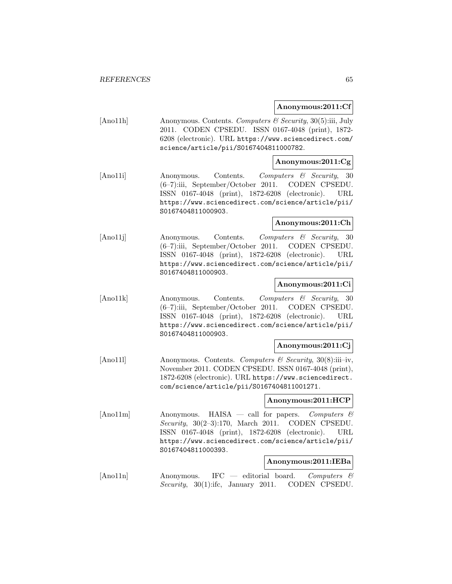#### **Anonymous:2011:Cf**

[Ano11h] Anonymous. Contents. Computers & Security, 30(5):iii, July 2011. CODEN CPSEDU. ISSN 0167-4048 (print), 1872- 6208 (electronic). URL https://www.sciencedirect.com/ science/article/pii/S0167404811000782.

## **Anonymous:2011:Cg**

[Ano11i] Anonymous. Contents. Computers & Security, 30 (6–7):iii, September/October 2011. CODEN CPSEDU. ISSN 0167-4048 (print), 1872-6208 (electronic). URL https://www.sciencedirect.com/science/article/pii/ S0167404811000903.

## **Anonymous:2011:Ch**

[Ano11j] Anonymous. Contents. Computers & Security, 30 (6–7):iii, September/October 2011. CODEN CPSEDU. ISSN 0167-4048 (print), 1872-6208 (electronic). URL https://www.sciencedirect.com/science/article/pii/ S0167404811000903.

## **Anonymous:2011:Ci**

[Ano11k] Anonymous. Contents. Computers & Security, 30 (6–7):iii, September/October 2011. CODEN CPSEDU. ISSN 0167-4048 (print), 1872-6208 (electronic). URL https://www.sciencedirect.com/science/article/pii/ S0167404811000903.

#### **Anonymous:2011:Cj**

[Ano11l] Anonymous. Contents. Computers & Security, 30(8):iii–iv, November 2011. CODEN CPSEDU. ISSN 0167-4048 (print), 1872-6208 (electronic). URL https://www.sciencedirect. com/science/article/pii/S0167404811001271.

## **Anonymous:2011:HCP**

[Ano11m] Anonymous. HAISA — call for papers. Computers  $\mathcal{C}$ Security, 30(2–3):170, March 2011. CODEN CPSEDU. ISSN 0167-4048 (print), 1872-6208 (electronic). URL https://www.sciencedirect.com/science/article/pii/ S0167404811000393.

#### **Anonymous:2011:IEBa**

 $[$ Ano11n $]$  Anonymous. IFC — editorial board. Computers  $\mathcal{C}$ Security, 30(1):ifc, January 2011. CODEN CPSEDU.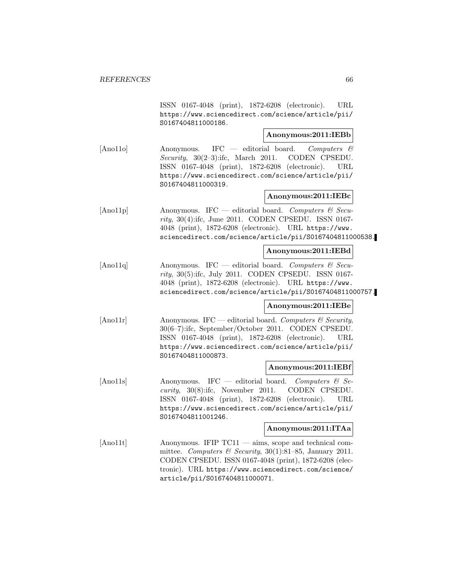ISSN 0167-4048 (print), 1872-6208 (electronic). URL https://www.sciencedirect.com/science/article/pii/ S0167404811000186.

# **Anonymous:2011:IEBb**

[Ano11o] Anonymous. IFC — editorial board. Computers & Security, 30(2–3):ifc, March 2011. CODEN CPSEDU. ISSN 0167-4048 (print), 1872-6208 (electronic). URL https://www.sciencedirect.com/science/article/pii/ S0167404811000319.

# **Anonymous:2011:IEBc**

[Ano11p] Anonymous. IFC — editorial board. Computers & Security, 30(4):ifc, June 2011. CODEN CPSEDU. ISSN 0167- 4048 (print), 1872-6208 (electronic). URL https://www. sciencedirect.com/science/article/pii/S0167404811000538.

#### **Anonymous:2011:IEBd**

[Ano11q] Anonymous. IFC — editorial board. Computers  $\mathcal{C}$  Security, 30(5):ifc, July 2011. CODEN CPSEDU. ISSN 0167- 4048 (print), 1872-6208 (electronic). URL https://www. sciencedirect.com/science/article/pii/S0167404811000757.

# **Anonymous:2011:IEBe**

[Ano11r] Anonymous. IFC — editorial board. Computers  $\mathcal{C}$  Security, 30(6–7):ifc, September/October 2011. CODEN CPSEDU. ISSN 0167-4048 (print), 1872-6208 (electronic). URL https://www.sciencedirect.com/science/article/pii/ S0167404811000873.

## **Anonymous:2011:IEBf**

[Ano11s] Anonymous. IFC — editorial board. Computers & Security, 30(8):ifc, November 2011. CODEN CPSEDU. ISSN 0167-4048 (print), 1872-6208 (electronic). URL https://www.sciencedirect.com/science/article/pii/ S0167404811001246.

### **Anonymous:2011:ITAa**

[Ano11t] Anonymous. IFIP TC11 — aims, scope and technical committee. Computers & Security,  $30(1):81-85$ , January 2011. CODEN CPSEDU. ISSN 0167-4048 (print), 1872-6208 (electronic). URL https://www.sciencedirect.com/science/ article/pii/S0167404811000071.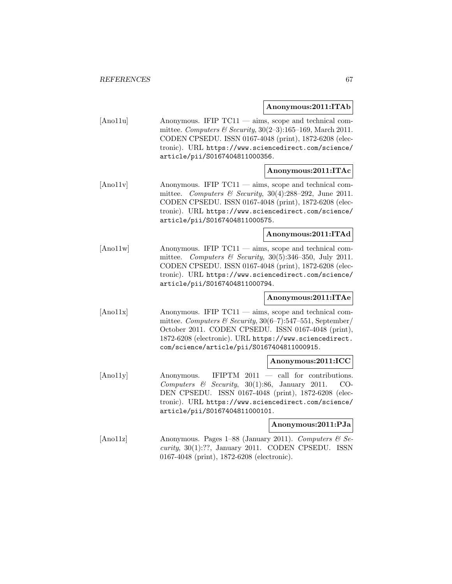#### **Anonymous:2011:ITAb**

[Ano11u] Anonymous. IFIP TC11 — aims, scope and technical committee. Computers & Security,  $30(2-3):165-169$ , March 2011. CODEN CPSEDU. ISSN 0167-4048 (print), 1872-6208 (electronic). URL https://www.sciencedirect.com/science/ article/pii/S0167404811000356.

## **Anonymous:2011:ITAc**

[Ano11v] Anonymous. IFIP TC11 — aims, scope and technical committee. Computers & Security,  $30(4):288-292$ , June 2011. CODEN CPSEDU. ISSN 0167-4048 (print), 1872-6208 (electronic). URL https://www.sciencedirect.com/science/ article/pii/S0167404811000575.

# **Anonymous:2011:ITAd**

[Ano11w] Anonymous. IFIP TC11 — aims, scope and technical committee. Computers & Security,  $30(5):346-350$ , July 2011. CODEN CPSEDU. ISSN 0167-4048 (print), 1872-6208 (electronic). URL https://www.sciencedirect.com/science/ article/pii/S0167404811000794.

## **Anonymous:2011:ITAe**

[Ano11x] Anonymous. IFIP TC11 — aims, scope and technical committee. Computers & Security,  $30(6-7)$ :547-551, September/ October 2011. CODEN CPSEDU. ISSN 0167-4048 (print), 1872-6208 (electronic). URL https://www.sciencedirect. com/science/article/pii/S0167404811000915.

#### **Anonymous:2011:ICC**

[Ano11y] Anonymous. IFIPTM 2011 — call for contributions. Computers  $\&$  Security, 30(1):86, January 2011. CO-DEN CPSEDU. ISSN 0167-4048 (print), 1872-6208 (electronic). URL https://www.sciencedirect.com/science/ article/pii/S0167404811000101.

# **Anonymous:2011:PJa**

[Ano11z] Anonymous. Pages 1–88 (January 2011). Computers  $\mathcal{B}$  Se $curity, 30(1):??, January 2011. CODEN CPSEDU. ISSN$ 0167-4048 (print), 1872-6208 (electronic).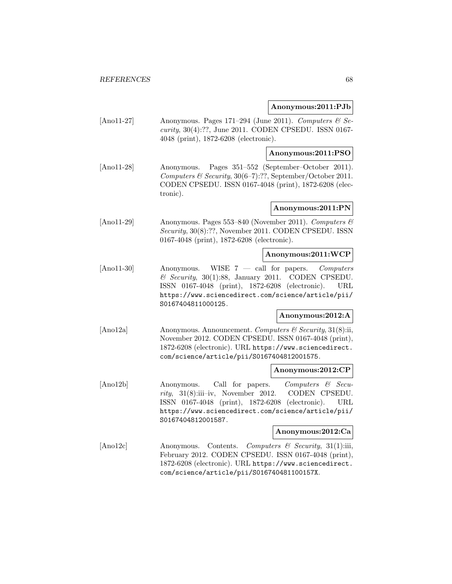#### **Anonymous:2011:PJb**

[Ano11-27] Anonymous. Pages 171–294 (June 2011). Computers  $\mathcal{B}$  Security, 30(4):??, June 2011. CODEN CPSEDU. ISSN 0167- 4048 (print), 1872-6208 (electronic).

#### **Anonymous:2011:PSO**

[Ano11-28] Anonymous. Pages 351–552 (September–October 2011). Computers & Security, 30(6–7):??, September/October 2011. CODEN CPSEDU. ISSN 0167-4048 (print), 1872-6208 (electronic).

#### **Anonymous:2011:PN**

[Ano11-29] Anonymous. Pages 553–840 (November 2011). Computers & Security, 30(8):??, November 2011. CODEN CPSEDU. ISSN 0167-4048 (print), 1872-6208 (electronic).

# **Anonymous:2011:WCP**

[Ano11-30] Anonymous. WISE 7 — call for papers. Computers  $\mathcal C$  Security, 30(1):88, January 2011. CODEN CPSEDU. ISSN 0167-4048 (print), 1872-6208 (electronic). URL https://www.sciencedirect.com/science/article/pii/ S0167404811000125.

# **Anonymous:2012:A**

[Ano12a] Anonymous. Announcement. Computers & Security, 31(8):ii, November 2012. CODEN CPSEDU. ISSN 0167-4048 (print), 1872-6208 (electronic). URL https://www.sciencedirect. com/science/article/pii/S0167404812001575.

#### **Anonymous:2012:CP**

[Ano12b] Anonymous. Call for papers. Computers & Security, 31(8):iii–iv, November 2012. CODEN CPSEDU. ISSN 0167-4048 (print), 1872-6208 (electronic). URL https://www.sciencedirect.com/science/article/pii/ S0167404812001587.

#### **Anonymous:2012:Ca**

[Ano12c] Anonymous. Contents. Computers & Security, 31(1):iii, February 2012. CODEN CPSEDU. ISSN 0167-4048 (print), 1872-6208 (electronic). URL https://www.sciencedirect. com/science/article/pii/S016740481100157X.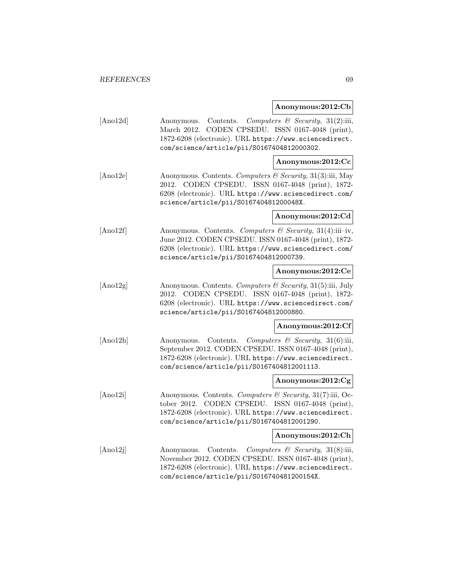#### **Anonymous:2012:Cb**

[Ano12d] Anonymous. Contents. Computers & Security, 31(2):iii, March 2012. CODEN CPSEDU. ISSN 0167-4048 (print), 1872-6208 (electronic). URL https://www.sciencedirect. com/science/article/pii/S0167404812000302.

## **Anonymous:2012:Cc**

[Ano12e] Anonymous. Contents. Computers & Security, 31(3):iii, May 2012. CODEN CPSEDU. ISSN 0167-4048 (print), 1872- 6208 (electronic). URL https://www.sciencedirect.com/ science/article/pii/S016740481200048X.

## **Anonymous:2012:Cd**

[Ano12f] Anonymous. Contents. Computers & Security, 31(4):iii–iv, June 2012. CODEN CPSEDU. ISSN 0167-4048 (print), 1872- 6208 (electronic). URL https://www.sciencedirect.com/ science/article/pii/S0167404812000739.

## **Anonymous:2012:Ce**

[Ano12g] Anonymous. Contents. Computers & Security, 31(5):iii, July 2012. CODEN CPSEDU. ISSN 0167-4048 (print), 1872- 6208 (electronic). URL https://www.sciencedirect.com/ science/article/pii/S0167404812000880.

#### **Anonymous:2012:Cf**

[Ano12h] Anonymous. Contents. Computers & Security, 31(6):iii, September 2012. CODEN CPSEDU. ISSN 0167-4048 (print), 1872-6208 (electronic). URL https://www.sciencedirect. com/science/article/pii/S0167404812001113.

#### **Anonymous:2012:Cg**

[Ano12i] Anonymous. Contents. Computers  $\mathcal{C}$  Security, 31(7):iii, October 2012. CODEN CPSEDU. ISSN 0167-4048 (print), 1872-6208 (electronic). URL https://www.sciencedirect. com/science/article/pii/S0167404812001290.

#### **Anonymous:2012:Ch**

[Ano12j] Anonymous. Contents. Computers & Security, 31(8):iii, November 2012. CODEN CPSEDU. ISSN 0167-4048 (print), 1872-6208 (electronic). URL https://www.sciencedirect. com/science/article/pii/S016740481200154X.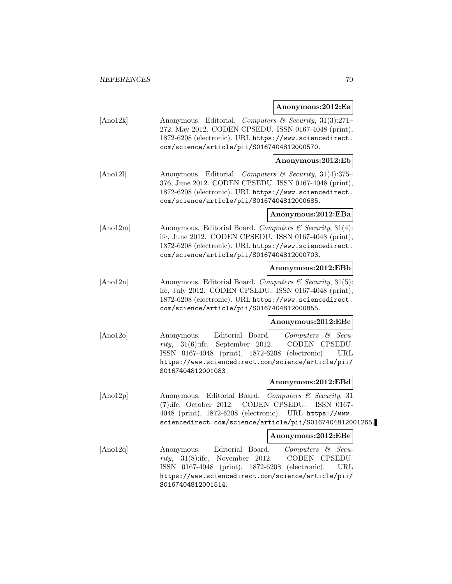**Anonymous:2012:Ea**

[Ano12k] Anonymous. Editorial. Computers & Security, 31(3):271– 272, May 2012. CODEN CPSEDU. ISSN 0167-4048 (print), 1872-6208 (electronic). URL https://www.sciencedirect. com/science/article/pii/S0167404812000570.

## **Anonymous:2012:Eb**

[Ano12l] Anonymous. Editorial. Computers & Security, 31(4):375– 376, June 2012. CODEN CPSEDU. ISSN 0167-4048 (print), 1872-6208 (electronic). URL https://www.sciencedirect. com/science/article/pii/S0167404812000685.

#### **Anonymous:2012:EBa**

[Ano12m] Anonymous. Editorial Board. Computers & Security, 31(4): ifc, June 2012. CODEN CPSEDU. ISSN 0167-4048 (print), 1872-6208 (electronic). URL https://www.sciencedirect. com/science/article/pii/S0167404812000703.

## **Anonymous:2012:EBb**

 $[Ano12n]$  Anonymous. Editorial Board. Computers & Security, 31(5): ifc, July 2012. CODEN CPSEDU. ISSN 0167-4048 (print), 1872-6208 (electronic). URL https://www.sciencedirect. com/science/article/pii/S0167404812000855.

#### **Anonymous:2012:EBc**

[Ano12o] Anonymous. Editorial Board. Computers & Security, 31(6):ifc, September 2012. CODEN CPSEDU. ISSN 0167-4048 (print), 1872-6208 (electronic). URL https://www.sciencedirect.com/science/article/pii/ S0167404812001083.

#### **Anonymous:2012:EBd**

[Ano12p] Anonymous. Editorial Board. Computers & Security, 31 (7):ifc, October 2012. CODEN CPSEDU. ISSN 0167- 4048 (print), 1872-6208 (electronic). URL https://www. sciencedirect.com/science/article/pii/S0167404812001265.

#### **Anonymous:2012:EBe**

[Ano12q] Anonymous. Editorial Board. Computers & Security, 31(8):ifc, November 2012. CODEN CPSEDU. ISSN 0167-4048 (print), 1872-6208 (electronic). URL https://www.sciencedirect.com/science/article/pii/ S0167404812001514.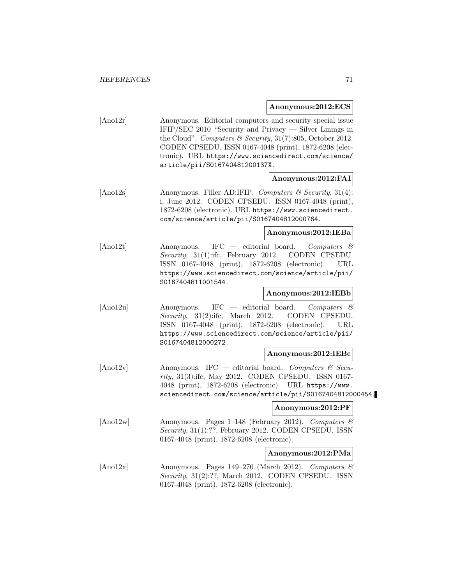#### **Anonymous:2012:ECS**

[Ano12r] Anonymous. Editorial computers and security special issue IFIP/SEC 2010 "Security and Privacy — Silver Linings in the Cloud". Computers & Security, 31(7):805, October 2012. CODEN CPSEDU. ISSN 0167-4048 (print), 1872-6208 (electronic). URL https://www.sciencedirect.com/science/ article/pii/S016740481200137X.

# **Anonymous:2012:FAI**

[Ano12s] Anonymous. Filler AD:IFIP. Computers & Security, 31(4): i, June 2012. CODEN CPSEDU. ISSN 0167-4048 (print), 1872-6208 (electronic). URL https://www.sciencedirect. com/science/article/pii/S0167404812000764.

#### **Anonymous:2012:IEBa**

[Ano12t] Anonymous. IFC — editorial board. Computers & Security, 31(1):ifc, February 2012. CODEN CPSEDU. ISSN 0167-4048 (print), 1872-6208 (electronic). URL https://www.sciencedirect.com/science/article/pii/ S0167404811001544.

# **Anonymous:2012:IEBb**

[Ano12u] Anonymous. IFC — editorial board. Computers & Security, 31(2):ifc, March 2012. CODEN CPSEDU. ISSN 0167-4048 (print), 1872-6208 (electronic). URL https://www.sciencedirect.com/science/article/pii/ S0167404812000272.

## **Anonymous:2012:IEBc**

 $[$ Ano12v $]$  Anonymous. IFC — editorial board. Computers & Security, 31(3):ifc, May 2012. CODEN CPSEDU. ISSN 0167- 4048 (print), 1872-6208 (electronic). URL https://www. sciencedirect.com/science/article/pii/S0167404812000454.

#### **Anonymous:2012:PF**

[Ano12w] Anonymous. Pages 1–148 (February 2012). Computers & Security, 31(1):??, February 2012. CODEN CPSEDU. ISSN 0167-4048 (print), 1872-6208 (electronic).

#### **Anonymous:2012:PMa**

[Ano12x] Anonymous. Pages 149–270 (March 2012). Computers  $\mathcal{B}$ Security, 31(2):??, March 2012. CODEN CPSEDU. ISSN 0167-4048 (print), 1872-6208 (electronic).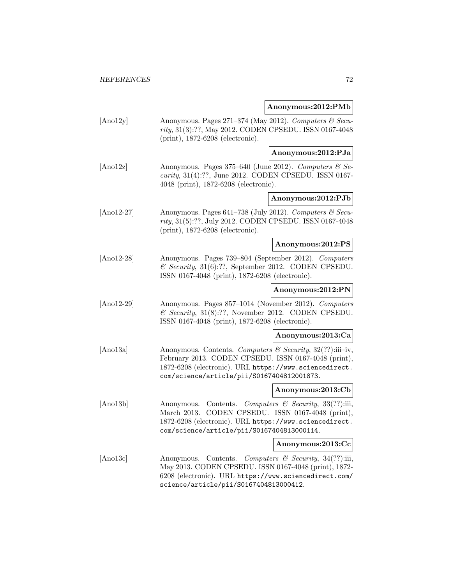# **Anonymous:2012:PMb**

| [Ano12y]     | Anonymous. Pages 271-374 (May 2012). Computers & Secu-<br>rity, 31(3):??, May 2012. CODEN CPSEDU. ISSN 0167-4048<br>(print), 1872-6208 (electronic).                                                                      |                                                                                      |
|--------------|---------------------------------------------------------------------------------------------------------------------------------------------------------------------------------------------------------------------------|--------------------------------------------------------------------------------------|
|              |                                                                                                                                                                                                                           | Anonymous:2012:PJa                                                                   |
| [And2z]      | Anonymous. Pages 375-640 (June 2012). Computers & Se-<br>curity, 31(4):??, June 2012. CODEN CPSEDU. ISSN 0167-<br>4048 (print), 1872-6208 (electronic).                                                                   |                                                                                      |
|              |                                                                                                                                                                                                                           | Anonymous:2012:PJb                                                                   |
| $[And2-27]$  | Anonymous. Pages 641-738 (July 2012). Computers & Secu-<br>rity, 31(5):??, July 2012. CODEN CPSEDU. ISSN 0167-4048<br>(print), 1872-6208 (electronic).                                                                    |                                                                                      |
|              |                                                                                                                                                                                                                           | Anonymous:2012:PS                                                                    |
| $[And2-28]$  | Anonymous. Pages 739-804 (September 2012). Computers<br>$\&$ Security, 31(6):??, September 2012. CODEN CPSEDU.<br>ISSN 0167-4048 (print), 1872-6208 (electronic).                                                         |                                                                                      |
|              |                                                                                                                                                                                                                           | Anonymous:2012:PN                                                                    |
| $[And2-29]$  | Anonymous. Pages 857-1014 (November 2012). Computers<br>$\&$ Security, 31(8):??, November 2012. CODEN CPSEDU.<br>ISSN 0167-4048 (print), 1872-6208 (electronic).                                                          |                                                                                      |
|              |                                                                                                                                                                                                                           | Anonymous:2013:Ca                                                                    |
| [Ano $13a$ ] | Anonymous. Contents. Computers & Security, 32(??):iii-iv,<br>February 2013. CODEN CPSEDU. ISSN 0167-4048 (print),<br>1872-6208 (electronic). URL https://www.sciencedirect.<br>com/science/article/pii/S0167404812001873. |                                                                                      |
|              |                                                                                                                                                                                                                           | Anonymous:2013:Cb                                                                    |
| [Ano13b]     | Anonymous.<br>March 2013.<br>1872-6208 (electronic). URL https://www.sciencedirect.<br>com/science/article/pii/S0167404813000114.                                                                                         | Contents. Computers & Security, 33(??):iii,<br>CODEN CPSEDU. ISSN 0167-4048 (print), |
|              |                                                                                                                                                                                                                           | Anonymous:2013:Cc                                                                    |
| [And3c]      | Anonymous. Contents. Computers & Security, 34(??):iii,<br>May 2013. CODEN CPSEDU. ISSN 0167-4048 (print), 1872-<br>6208 (electronic). URL https://www.sciencedirect.com/<br>science/article/pii/S0167404813000412.        |                                                                                      |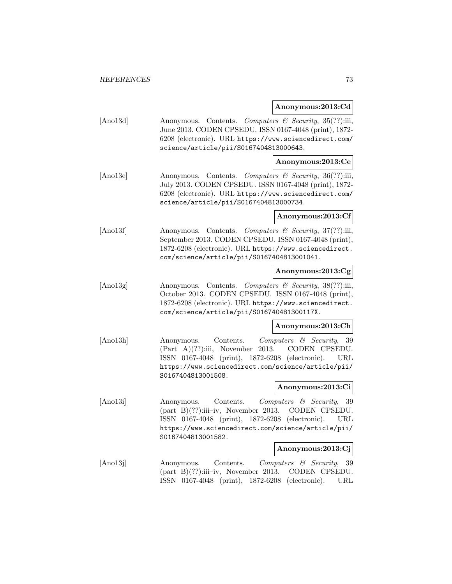### **Anonymous:2013:Cd**

[Ano13d] Anonymous. Contents. Computers & Security, 35(??):iii, June 2013. CODEN CPSEDU. ISSN 0167-4048 (print), 1872- 6208 (electronic). URL https://www.sciencedirect.com/ science/article/pii/S0167404813000643.

# **Anonymous:2013:Ce**

[Ano13e] Anonymous. Contents. Computers & Security, 36(??):iii, July 2013. CODEN CPSEDU. ISSN 0167-4048 (print), 1872- 6208 (electronic). URL https://www.sciencedirect.com/ science/article/pii/S0167404813000734.

### **Anonymous:2013:Cf**

[Ano13f] Anonymous. Contents. Computers & Security, 37(??):iii, September 2013. CODEN CPSEDU. ISSN 0167-4048 (print), 1872-6208 (electronic). URL https://www.sciencedirect. com/science/article/pii/S0167404813001041.

### **Anonymous:2013:Cg**

[Ano13g] Anonymous. Contents. Computers & Security, 38(??):iii, October 2013. CODEN CPSEDU. ISSN 0167-4048 (print), 1872-6208 (electronic). URL https://www.sciencedirect. com/science/article/pii/S016740481300117X.

#### **Anonymous:2013:Ch**

[Ano13h] Anonymous. Contents. Computers & Security, 39 (Part A)(??):iii, November 2013. CODEN CPSEDU. ISSN 0167-4048 (print), 1872-6208 (electronic). URL https://www.sciencedirect.com/science/article/pii/ S0167404813001508.

#### **Anonymous:2013:Ci**

[Ano13i] Anonymous. Contents. Computers & Security, 39 (part B)(??):iii–iv, November 2013. CODEN CPSEDU. ISSN 0167-4048 (print), 1872-6208 (electronic). URL https://www.sciencedirect.com/science/article/pii/ S0167404813001582.

#### **Anonymous:2013:Cj**

[Ano13j] Anonymous. Contents. Computers & Security, 39 (part B)(??):iii–iv, November 2013. CODEN CPSEDU. ISSN 0167-4048 (print), 1872-6208 (electronic). URL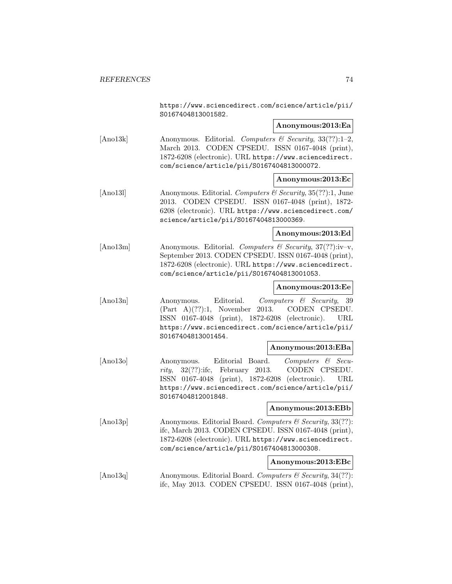https://www.sciencedirect.com/science/article/pii/ S0167404813001582.

### **Anonymous:2013:Ea**

[Ano13k] Anonymous. Editorial. Computers & Security,  $33(??)$ :1-2, March 2013. CODEN CPSEDU. ISSN 0167-4048 (print), 1872-6208 (electronic). URL https://www.sciencedirect. com/science/article/pii/S0167404813000072.

### **Anonymous:2013:Ec**

[Ano131] Anonymous. Editorial. Computers & Security, 35(??):1, June 2013. CODEN CPSEDU. ISSN 0167-4048 (print), 1872- 6208 (electronic). URL https://www.sciencedirect.com/ science/article/pii/S0167404813000369.

### **Anonymous:2013:Ed**

[Ano13m] Anonymous. Editorial. Computers & Security, 37(??):iv–v, September 2013. CODEN CPSEDU. ISSN 0167-4048 (print), 1872-6208 (electronic). URL https://www.sciencedirect. com/science/article/pii/S0167404813001053.

### **Anonymous:2013:Ee**

[Ano13n] Anonymous. Editorial. Computers & Security, 39 (Part A)(??):1, November 2013. CODEN CPSEDU. ISSN 0167-4048 (print), 1872-6208 (electronic). URL https://www.sciencedirect.com/science/article/pii/ S0167404813001454.

### **Anonymous:2013:EBa**

[Ano13o] Anonymous. Editorial Board. Computers & Security, 32(??):ifc, February 2013. CODEN CPSEDU. ISSN 0167-4048 (print), 1872-6208 (electronic). URL https://www.sciencedirect.com/science/article/pii/ S0167404812001848.

#### **Anonymous:2013:EBb**

[Ano13p] Anonymous. Editorial Board. Computers & Security, 33(??): ifc, March 2013. CODEN CPSEDU. ISSN 0167-4048 (print), 1872-6208 (electronic). URL https://www.sciencedirect. com/science/article/pii/S0167404813000308.

### **Anonymous:2013:EBc**

[Ano13q] Anonymous. Editorial Board. Computers & Security, 34(??): ifc, May 2013. CODEN CPSEDU. ISSN 0167-4048 (print),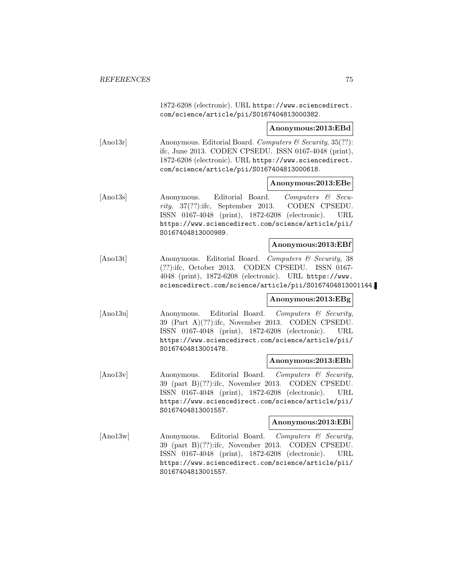1872-6208 (electronic). URL https://www.sciencedirect. com/science/article/pii/S0167404813000382.

**Anonymous:2013:EBd**

[Ano13r] Anonymous. Editorial Board. Computers & Security, 35(??): ifc, June 2013. CODEN CPSEDU. ISSN 0167-4048 (print), 1872-6208 (electronic). URL https://www.sciencedirect. com/science/article/pii/S0167404813000618.

### **Anonymous:2013:EBe**

[Ano13s] Anonymous. Editorial Board. Computers & Security, 37(??):ifc, September 2013. CODEN CPSEDU. ISSN 0167-4048 (print), 1872-6208 (electronic). URL https://www.sciencedirect.com/science/article/pii/ S0167404813000989.

### **Anonymous:2013:EBf**

[Ano13t] Anonymous. Editorial Board. Computers & Security, 38 (??):ifc, October 2013. CODEN CPSEDU. ISSN 0167- 4048 (print), 1872-6208 (electronic). URL https://www. sciencedirect.com/science/article/pii/S0167404813001144.

### **Anonymous:2013:EBg**

[Ano13u] Anonymous. Editorial Board. Computers & Security, 39 (Part A)(??):ifc, November 2013. CODEN CPSEDU. ISSN 0167-4048 (print), 1872-6208 (electronic). URL https://www.sciencedirect.com/science/article/pii/ S0167404813001478.

#### **Anonymous:2013:EBh**

[Ano13v] Anonymous. Editorial Board. Computers & Security, 39 (part B)(??):ifc, November 2013. CODEN CPSEDU. ISSN 0167-4048 (print), 1872-6208 (electronic). URL https://www.sciencedirect.com/science/article/pii/ S0167404813001557.

### **Anonymous:2013:EBi**

[Ano13w] Anonymous. Editorial Board. Computers & Security, 39 (part B)(??):ifc, November 2013. CODEN CPSEDU. ISSN 0167-4048 (print), 1872-6208 (electronic). URL https://www.sciencedirect.com/science/article/pii/ S0167404813001557.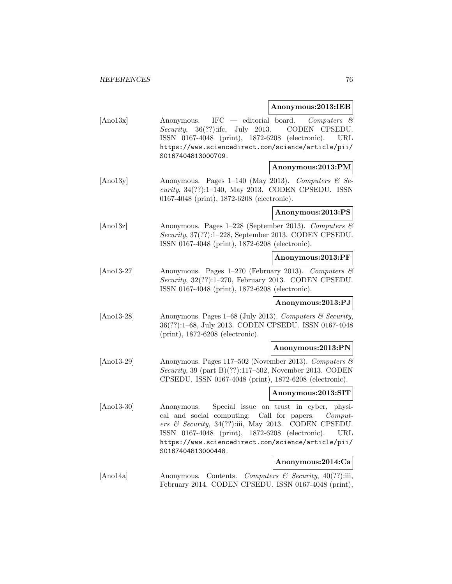### **Anonymous:2013:IEB**

| [And3x] | Anonymous. IFC $-$ editorial board. Computers $\mathcal{C}$ |
|---------|-------------------------------------------------------------|
|         | <i>Security</i> , $36(??)$ :ifc, July 2013. CODEN CPSEDU.   |
|         | ISSN 0167-4048 (print), 1872-6208 (electronic). URL         |
|         | https://www.sciencedirect.com/science/article/pii/          |
|         | S0167404813000709.                                          |
|         | Anonymous:2013:PM                                           |

[Ano13y] Anonymous. Pages 1–140 (May 2013). Computers  $\mathcal{C}$  Security, 34(??):1–140, May 2013. CODEN CPSEDU. ISSN 0167-4048 (print), 1872-6208 (electronic).

**Anonymous:2013:PS**

[Ano13z] Anonymous. Pages 1–228 (September 2013). Computers & Security, 37(??):1–228, September 2013. CODEN CPSEDU. ISSN 0167-4048 (print), 1872-6208 (electronic).

### **Anonymous:2013:PF**

[Ano13-27] Anonymous. Pages 1–270 (February 2013). Computers & Security, 32(??):1–270, February 2013. CODEN CPSEDU. ISSN 0167-4048 (print), 1872-6208 (electronic).

#### **Anonymous:2013:PJ**

[Ano13-28] Anonymous. Pages 1–68 (July 2013). Computers & Security, 36(??):1–68, July 2013. CODEN CPSEDU. ISSN 0167-4048 (print), 1872-6208 (electronic).

#### **Anonymous:2013:PN**

[Ano13-29] Anonymous. Pages 117–502 (November 2013). Computers & Security, 39 (part B)(??):117–502, November 2013. CODEN CPSEDU. ISSN 0167-4048 (print), 1872-6208 (electronic).

### **Anonymous:2013:SIT**

[Ano13-30] Anonymous. Special issue on trust in cyber, physical and social computing: Call for papers. Computers & Security, 34(??):iii, May 2013. CODEN CPSEDU. ISSN 0167-4048 (print), 1872-6208 (electronic). URL https://www.sciencedirect.com/science/article/pii/ S0167404813000448.

### **Anonymous:2014:Ca**

[Ano14a] Anonymous. Contents. Computers & Security, 40(??):iii, February 2014. CODEN CPSEDU. ISSN 0167-4048 (print),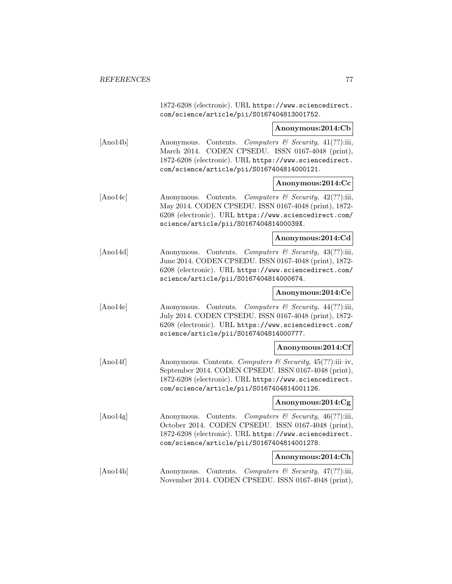1872-6208 (electronic). URL https://www.sciencedirect. com/science/article/pii/S0167404813001752.

### **Anonymous:2014:Cb**

[Ano14b] Anonymous. Contents. Computers & Security, 41(??):iii, March 2014. CODEN CPSEDU. ISSN 0167-4048 (print), 1872-6208 (electronic). URL https://www.sciencedirect. com/science/article/pii/S0167404814000121.

### **Anonymous:2014:Cc**

[Ano14c] Anonymous. Contents. Computers & Security, 42(??):iii, May 2014. CODEN CPSEDU. ISSN 0167-4048 (print), 1872- 6208 (electronic). URL https://www.sciencedirect.com/ science/article/pii/S016740481400039X.

### **Anonymous:2014:Cd**

[Ano14d] Anonymous. Contents. Computers & Security, 43(??):iii, June 2014. CODEN CPSEDU. ISSN 0167-4048 (print), 1872- 6208 (electronic). URL https://www.sciencedirect.com/ science/article/pii/S0167404814000674.

# **Anonymous:2014:Ce**

[Ano14e] Anonymous. Contents. Computers & Security, 44(??):iii, July 2014. CODEN CPSEDU. ISSN 0167-4048 (print), 1872- 6208 (electronic). URL https://www.sciencedirect.com/ science/article/pii/S0167404814000777.

### **Anonymous:2014:Cf**

[Ano14f] Anonymous. Contents. Computers & Security, 45(??):iii–iv, September 2014. CODEN CPSEDU. ISSN 0167-4048 (print), 1872-6208 (electronic). URL https://www.sciencedirect. com/science/article/pii/S0167404814001126.

#### **Anonymous:2014:Cg**

[Ano14g] Anonymous. Contents. Computers  $\mathcal{B}$  Security, 46(??):iii, October 2014. CODEN CPSEDU. ISSN 0167-4048 (print), 1872-6208 (electronic). URL https://www.sciencedirect. com/science/article/pii/S0167404814001278.

#### **Anonymous:2014:Ch**

[Ano14h] Anonymous. Contents. Computers & Security, 47(??):iii, November 2014. CODEN CPSEDU. ISSN 0167-4048 (print),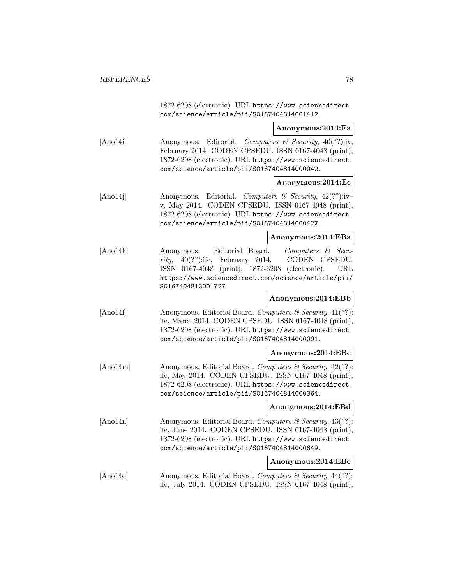1872-6208 (electronic). URL https://www.sciencedirect. com/science/article/pii/S0167404814001412.

### **Anonymous:2014:Ea**

[Ano14i] Anonymous. Editorial. Computers & Security, 40(??):iv, February 2014. CODEN CPSEDU. ISSN 0167-4048 (print), 1872-6208 (electronic). URL https://www.sciencedirect. com/science/article/pii/S0167404814000042.

### **Anonymous:2014:Ec**

 $[Ano14j]$  Anonymous. Editorial. Computers & Security,  $42(??):iv$ v, May 2014. CODEN CPSEDU. ISSN 0167-4048 (print), 1872-6208 (electronic). URL https://www.sciencedirect. com/science/article/pii/S016740481400042X.

#### **Anonymous:2014:EBa**

[Ano14k] Anonymous. Editorial Board. Computers & Security, 40(??):ifc, February 2014. CODEN CPSEDU. ISSN 0167-4048 (print), 1872-6208 (electronic). URL https://www.sciencedirect.com/science/article/pii/ S0167404813001727.

### **Anonymous:2014:EBb**

[Ano141] Anonymous. Editorial Board. Computers & Security, 41(??): ifc, March 2014. CODEN CPSEDU. ISSN 0167-4048 (print), 1872-6208 (electronic). URL https://www.sciencedirect. com/science/article/pii/S0167404814000091.

#### **Anonymous:2014:EBc**

 $[Ano14m]$  Anonymous. Editorial Board. Computers & Security,  $42(??)$ : ifc, May 2014. CODEN CPSEDU. ISSN 0167-4048 (print), 1872-6208 (electronic). URL https://www.sciencedirect. com/science/article/pii/S0167404814000364.

# **Anonymous:2014:EBd**

[Ano14n] Anonymous. Editorial Board. Computers  $\mathcal C$  Security, 43(??): ifc, June 2014. CODEN CPSEDU. ISSN 0167-4048 (print), 1872-6208 (electronic). URL https://www.sciencedirect. com/science/article/pii/S0167404814000649.

# **Anonymous:2014:EBe**

 $[Ano14o]$  Anonymous. Editorial Board. Computers & Security, 44(??): ifc, July 2014. CODEN CPSEDU. ISSN 0167-4048 (print),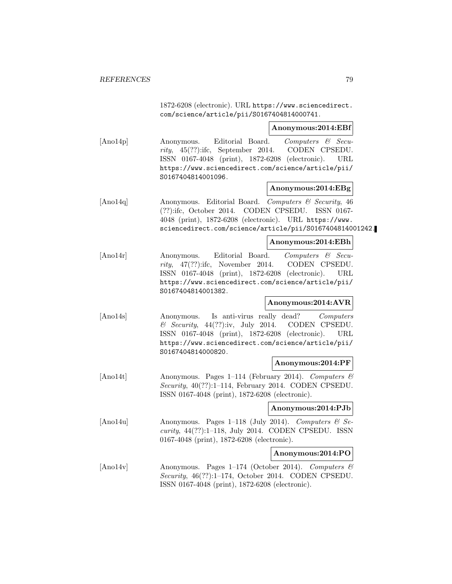1872-6208 (electronic). URL https://www.sciencedirect. com/science/article/pii/S0167404814000741.

**Anonymous:2014:EBf**

[Ano14p] Anonymous. Editorial Board. Computers & Security, 45(??):ifc, September 2014. CODEN CPSEDU. ISSN 0167-4048 (print), 1872-6208 (electronic). URL https://www.sciencedirect.com/science/article/pii/ S0167404814001096.

### **Anonymous:2014:EBg**

[Ano14q] Anonymous. Editorial Board. Computers & Security, 46 (??):ifc, October 2014. CODEN CPSEDU. ISSN 0167- 4048 (print), 1872-6208 (electronic). URL https://www. sciencedirect.com/science/article/pii/S0167404814001242.

### **Anonymous:2014:EBh**

[Ano14r] Anonymous. Editorial Board. Computers & Security, 47(??):ifc, November 2014. CODEN CPSEDU. ISSN 0167-4048 (print), 1872-6208 (electronic). URL https://www.sciencedirect.com/science/article/pii/ S0167404814001382.

#### **Anonymous:2014:AVR**

[Ano14s] Anonymous. Is anti-virus really dead? Computers  $\&$  Security, 44(??):iv, July 2014. CODEN CPSEDU. ISSN 0167-4048 (print), 1872-6208 (electronic). URL https://www.sciencedirect.com/science/article/pii/ S0167404814000820.

#### **Anonymous:2014:PF**

[Ano14t] Anonymous. Pages 1–114 (February 2014). Computers & Security, 40(??):1–114, February 2014. CODEN CPSEDU. ISSN 0167-4048 (print), 1872-6208 (electronic).

**Anonymous:2014:PJb**

[Ano14u] Anonymous. Pages 1–118 (July 2014). Computers  $\mathcal{B}$  Security, 44(??):1–118, July 2014. CODEN CPSEDU. ISSN 0167-4048 (print), 1872-6208 (electronic).

### **Anonymous:2014:PO**

[Ano14v] Anonymous. Pages 1–174 (October 2014). Computers  $\mathcal{B}$ Security, 46(??):1–174, October 2014. CODEN CPSEDU. ISSN 0167-4048 (print), 1872-6208 (electronic).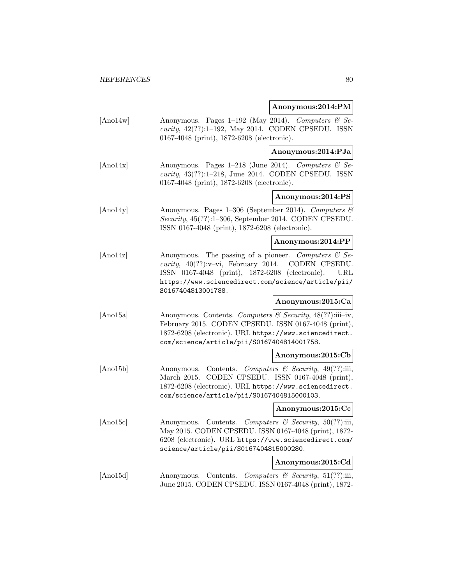### **Anonymous:2014:PM**

- [Ano14w] Anonymous. Pages 1–192 (May 2014). Computers  $\mathcal{B}$  Security, 42(??):1–192, May 2014. CODEN CPSEDU. ISSN 0167-4048 (print), 1872-6208 (electronic). **Anonymous:2014:PJa** [Ano14x] Anonymous. Pages 1–218 (June 2014). Computers  $\mathcal{B}$  Security, 43(??):1–218, June 2014. CODEN CPSEDU. ISSN 0167-4048 (print), 1872-6208 (electronic). **Anonymous:2014:PS** [Ano14y] Anonymous. Pages 1–306 (September 2014). Computers & Security, 45(??):1–306, September 2014. CODEN CPSEDU. ISSN 0167-4048 (print), 1872-6208 (electronic). **Anonymous:2014:PP** [Ano14z] Anonymous. The passing of a pioneer. Computers  $\mathcal{C}$  Se*curity*,  $40(??):v-vi$ , February 2014. CODEN CPSEDU. ISSN 0167-4048 (print), 1872-6208 (electronic). URL https://www.sciencedirect.com/science/article/pii/ S0167404813001788.
- [Ano15a] Anonymous. Contents. Computers & Security, 48(??):iii–iv, February 2015. CODEN CPSEDU. ISSN 0167-4048 (print), 1872-6208 (electronic). URL https://www.sciencedirect. com/science/article/pii/S0167404814001758.

#### **Anonymous:2015:Cb**

**Anonymous:2015:Ca**

[Ano15b] Anonymous. Contents. Computers & Security, 49(??):iii, March 2015. CODEN CPSEDU. ISSN 0167-4048 (print), 1872-6208 (electronic). URL https://www.sciencedirect. com/science/article/pii/S0167404815000103.

### **Anonymous:2015:Cc**

[Ano15c] Anonymous. Contents. Computers & Security, 50(??):iii, May 2015. CODEN CPSEDU. ISSN 0167-4048 (print), 1872- 6208 (electronic). URL https://www.sciencedirect.com/ science/article/pii/S0167404815000280.

#### **Anonymous:2015:Cd**

[Ano15d] Anonymous. Contents. Computers & Security, 51(??):iii, June 2015. CODEN CPSEDU. ISSN 0167-4048 (print), 1872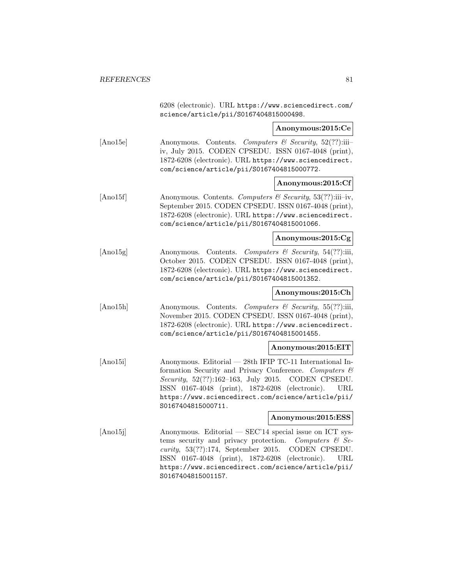6208 (electronic). URL https://www.sciencedirect.com/ science/article/pii/S0167404815000498.

**Anonymous:2015:Ce**

- [Ano15e] Anonymous. Contents. Computers & Security, 52(??):iii– iv, July 2015. CODEN CPSEDU. ISSN 0167-4048 (print), 1872-6208 (electronic). URL https://www.sciencedirect. com/science/article/pii/S0167404815000772.
	- **Anonymous:2015:Cf**
- [Ano15f] Anonymous. Contents. Computers & Security, 53(??):iii–iv, September 2015. CODEN CPSEDU. ISSN 0167-4048 (print), 1872-6208 (electronic). URL https://www.sciencedirect. com/science/article/pii/S0167404815001066.

### **Anonymous:2015:Cg**

[Ano15g] Anonymous. Contents. Computers & Security, 54(??):iii, October 2015. CODEN CPSEDU. ISSN 0167-4048 (print), 1872-6208 (electronic). URL https://www.sciencedirect. com/science/article/pii/S0167404815001352.

### **Anonymous:2015:Ch**

[Ano15h] Anonymous. Contents. Computers & Security, 55(??):iii, November 2015. CODEN CPSEDU. ISSN 0167-4048 (print), 1872-6208 (electronic). URL https://www.sciencedirect. com/science/article/pii/S0167404815001455.

### **Anonymous:2015:EIT**

[Ano15i] Anonymous. Editorial — 28th IFIP TC-11 International Information Security and Privacy Conference. Computers & Security, 52(??):162–163, July 2015. CODEN CPSEDU. ISSN 0167-4048 (print), 1872-6208 (electronic). URL https://www.sciencedirect.com/science/article/pii/ S0167404815000711.

### **Anonymous:2015:ESS**

[Ano15j] Anonymous. Editorial — SEC'14 special issue on ICT systems security and privacy protection. Computers  $\mathcal{C}$  Security, 53(??):174, September 2015. CODEN CPSEDU. ISSN 0167-4048 (print), 1872-6208 (electronic). URL https://www.sciencedirect.com/science/article/pii/ S0167404815001157.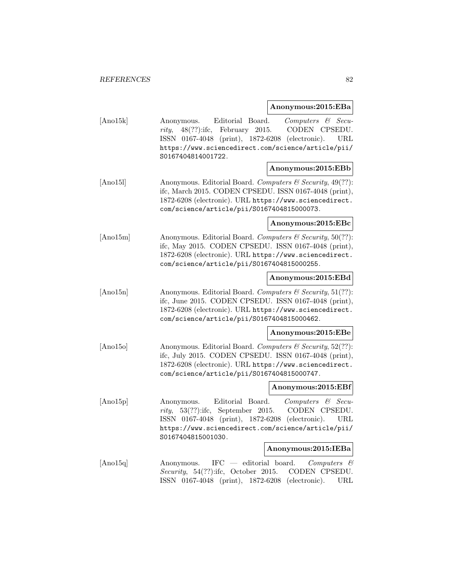# **Anonymous:2015:EBa**

| [Ano15k] | Editorial Board.<br>$Computers$ & Secu-<br>Anonymous.<br>CODEN CPSEDU.<br>$48(??)$ :ifc,<br>February<br>2015.<br>rity,<br>ISSN 0167-4048 (print),<br>1872-6208 (electronic).<br>URL<br>https://www.sciencedirect.com/science/article/pii/<br>S0167404814001722. |  |
|----------|-----------------------------------------------------------------------------------------------------------------------------------------------------------------------------------------------------------------------------------------------------------------|--|
|          | Anonymous:2015:EBb                                                                                                                                                                                                                                              |  |
| [Ano15]  | Anonymous. Editorial Board. Computers & Security, 49(??):<br>ifc, March 2015. CODEN CPSEDU. ISSN 0167-4048 (print),<br>1872-6208 (electronic). URL https://www.sciencedirect.<br>com/science/article/pii/S0167404815000073.                                     |  |
|          | Anonymous:2015:EBc                                                                                                                                                                                                                                              |  |
| [Ano15m] | Anonymous. Editorial Board. Computers & Security, 50(??):<br>ifc, May 2015. CODEN CPSEDU. ISSN 0167-4048 (print),<br>1872-6208 (electronic). URL https://www.sciencedirect.<br>com/science/article/pii/S0167404815000255.                                       |  |
|          | Anonymous:2015:EBd                                                                                                                                                                                                                                              |  |
| [Ano15n] | Anonymous. Editorial Board. Computers & Security, 51(??):<br>ifc, June 2015. CODEN CPSEDU. ISSN 0167-4048 (print),<br>1872-6208 (electronic). URL https://www.sciencedirect.<br>com/science/article/pii/S0167404815000462.                                      |  |
|          | Anonymous:2015:EBe                                                                                                                                                                                                                                              |  |
| [Ano150] | Anonymous. Editorial Board. Computers & Security, 52(??):<br>ifc, July 2015. CODEN CPSEDU. ISSN 0167-4048 (print),<br>1872-6208 (electronic). URL https://www.sciencedirect.<br>com/science/article/pii/S0167404815000747.                                      |  |
|          | Anonymous:2015:EBf                                                                                                                                                                                                                                              |  |
| [Ano15p] | Editorial Board.<br>Computers & Secu-<br>Anonymous.<br>$53(??)$ :ifc, September 2015.<br>CODEN CPSEDU.<br>rity,<br>ISSN $0167-4048$ (print),<br>1872-6208 (electronic).<br>URL<br>https://www.sciencedirect.com/science/article/pii/<br>S0167404815001030.      |  |
|          | Anonymous:2015:IEBa                                                                                                                                                                                                                                             |  |
| [And15q] | $IFC$ — editorial board.<br>Anonymous.<br>$Computers$ &<br>Security, 54(??):ifc, October 2015. CODEN CPSEDU.<br>ISSN 0167-4048 (print), 1872-6208 (electronic).<br>URL                                                                                          |  |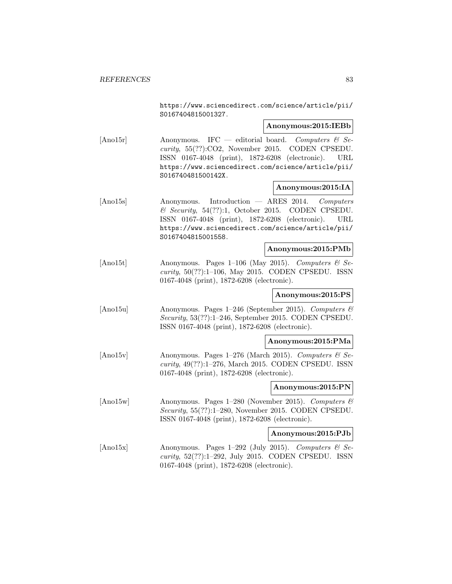https://www.sciencedirect.com/science/article/pii/ S0167404815001327.

**Anonymous:2015:IEBb**

 $[Ano15r]$  Anonymous. IFC — editorial board. Computers & Security, 55(??):CO2, November 2015. CODEN CPSEDU. ISSN 0167-4048 (print), 1872-6208 (electronic). URL https://www.sciencedirect.com/science/article/pii/ S016740481500142X.

### **Anonymous:2015:IA**

[Ano15s] Anonymous. Introduction — ARES 2014. Computers  $\&$  Security, 54(??):1, October 2015. CODEN CPSEDU. ISSN 0167-4048 (print), 1872-6208 (electronic). URL https://www.sciencedirect.com/science/article/pii/ S0167404815001558.

#### **Anonymous:2015:PMb**

[Ano15t] Anonymous. Pages 1–106 (May 2015). Computers  $\mathcal{C}$  Security, 50(??):1–106, May 2015. CODEN CPSEDU. ISSN 0167-4048 (print), 1872-6208 (electronic).

### **Anonymous:2015:PS**

[Ano15u] Anonymous. Pages 1–246 (September 2015). Computers & Security, 53(??):1–246, September 2015. CODEN CPSEDU. ISSN 0167-4048 (print), 1872-6208 (electronic).

### **Anonymous:2015:PMa**

 $[Ano15v]$  Anonymous. Pages 1–276 (March 2015). Computers & Security, 49(??):1–276, March 2015. CODEN CPSEDU. ISSN 0167-4048 (print), 1872-6208 (electronic).

#### **Anonymous:2015:PN**

[Ano15w] Anonymous. Pages 1–280 (November 2015). Computers & Security, 55(??):1–280, November 2015. CODEN CPSEDU. ISSN 0167-4048 (print), 1872-6208 (electronic).

#### **Anonymous:2015:PJb**

[Ano15x] Anonymous. Pages 1–292 (July 2015). Computers  $\&$  Security, 52(??):1–292, July 2015. CODEN CPSEDU. ISSN 0167-4048 (print), 1872-6208 (electronic).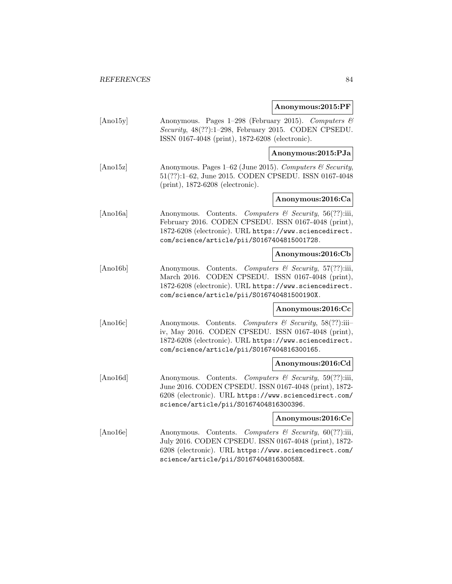### **Anonymous:2015:PF**

[Ano15y] Anonymous. Pages 1–298 (February 2015). Computers & Security, 48(??):1–298, February 2015. CODEN CPSEDU. ISSN 0167-4048 (print), 1872-6208 (electronic).

**Anonymous:2015:PJa**

[Ano15z] Anonymous. Pages 1–62 (June 2015). Computers & Security, 51(??):1–62, June 2015. CODEN CPSEDU. ISSN 0167-4048 (print), 1872-6208 (electronic).

# **Anonymous:2016:Ca**

[Ano16a] Anonymous. Contents. Computers & Security, 56(??):iii, February 2016. CODEN CPSEDU. ISSN 0167-4048 (print), 1872-6208 (electronic). URL https://www.sciencedirect. com/science/article/pii/S0167404815001728.

### **Anonymous:2016:Cb**

[Ano16b] Anonymous. Contents. Computers & Security, 57(??):iii, March 2016. CODEN CPSEDU. ISSN 0167-4048 (print), 1872-6208 (electronic). URL https://www.sciencedirect. com/science/article/pii/S016740481500190X.

#### **Anonymous:2016:Cc**

[Ano16c] Anonymous. Contents. Computers & Security, 58(??):iii– iv, May 2016. CODEN CPSEDU. ISSN 0167-4048 (print), 1872-6208 (electronic). URL https://www.sciencedirect. com/science/article/pii/S0167404816300165.

#### **Anonymous:2016:Cd**

[Ano16d] Anonymous. Contents. Computers & Security, 59(??):iii, June 2016. CODEN CPSEDU. ISSN 0167-4048 (print), 1872- 6208 (electronic). URL https://www.sciencedirect.com/ science/article/pii/S0167404816300396.

### **Anonymous:2016:Ce**

[Ano16e] Anonymous. Contents. Computers & Security, 60(??):iii, July 2016. CODEN CPSEDU. ISSN 0167-4048 (print), 1872- 6208 (electronic). URL https://www.sciencedirect.com/ science/article/pii/S016740481630058X.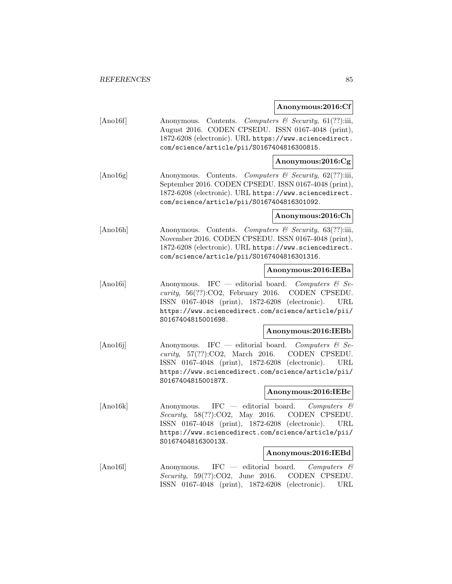#### **Anonymous:2016:Cf**

[Ano16f] Anonymous. Contents. Computers & Security, 61(??):iii, August 2016. CODEN CPSEDU. ISSN 0167-4048 (print), 1872-6208 (electronic). URL https://www.sciencedirect. com/science/article/pii/S0167404816300815.

### **Anonymous:2016:Cg**

[Ano16g] Anonymous. Contents. Computers & Security, 62(??):iii, September 2016. CODEN CPSEDU. ISSN 0167-4048 (print), 1872-6208 (electronic). URL https://www.sciencedirect. com/science/article/pii/S0167404816301092.

### **Anonymous:2016:Ch**

[Ano16h] Anonymous. Contents. Computers & Security, 63(??):iii, November 2016. CODEN CPSEDU. ISSN 0167-4048 (print), 1872-6208 (electronic). URL https://www.sciencedirect. com/science/article/pii/S0167404816301316.

### **Anonymous:2016:IEBa**

[Ano16i] Anonymous. IFC — editorial board. Computers & Se*curity*,  $56(??)$ :CO2, February 2016. CODEN CPSEDU. ISSN 0167-4048 (print), 1872-6208 (electronic). URL https://www.sciencedirect.com/science/article/pii/ S0167404815001698.

### **Anonymous:2016:IEBb**

[Ano16j] Anonymous. IFC — editorial board. Computers  $\mathcal{C}$  Security, 57(??):CO2, March 2016. CODEN CPSEDU. ISSN 0167-4048 (print), 1872-6208 (electronic). URL https://www.sciencedirect.com/science/article/pii/ S016740481500187X.

### **Anonymous:2016:IEBc**

 $[Ano16k]$  Anonymous. IFC — editorial board. Computers  $\mathcal{C}$ Security, 58(??):CO2, May 2016. CODEN CPSEDU. ISSN 0167-4048 (print), 1872-6208 (electronic). URL https://www.sciencedirect.com/science/article/pii/ S016740481630013X.

#### **Anonymous:2016:IEBd**

[Ano16l] Anonymous. IFC — editorial board. Computers & Security, 59(??):CO2, June 2016. CODEN CPSEDU. ISSN 0167-4048 (print), 1872-6208 (electronic). URL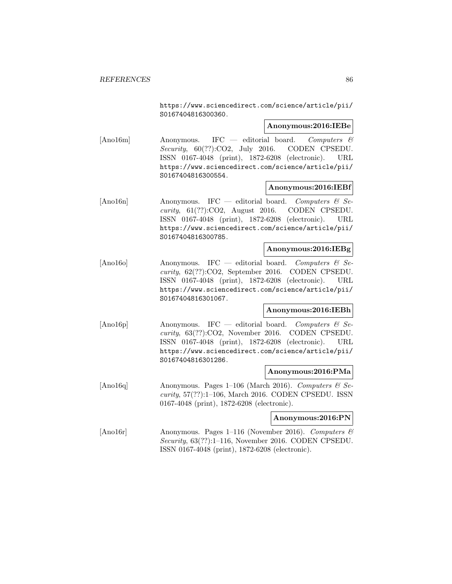https://www.sciencedirect.com/science/article/pii/ S0167404816300360.

**Anonymous:2016:IEBe**

[Ano16m] Anonymous. IFC — editorial board. Computers & Security, 60(??):CO2, July 2016. CODEN CPSEDU. ISSN 0167-4048 (print), 1872-6208 (electronic). URL https://www.sciencedirect.com/science/article/pii/ S0167404816300554.

# **Anonymous:2016:IEBf**

[Ano16n] Anonymous. IFC — editorial board. Computers  $\mathcal{C}$  Security, 61(??):CO2, August 2016. CODEN CPSEDU. ISSN 0167-4048 (print), 1872-6208 (electronic). URL https://www.sciencedirect.com/science/article/pii/ S0167404816300785.

#### **Anonymous:2016:IEBg**

[Ano16o] Anonymous. IFC — editorial board. Computers & Security, 62(??):CO2, September 2016. CODEN CPSEDU. ISSN 0167-4048 (print), 1872-6208 (electronic). URL https://www.sciencedirect.com/science/article/pii/ S0167404816301067.

### **Anonymous:2016:IEBh**

[Ano16p] Anonymous. IFC — editorial board. Computers  $\mathcal{C}$  Security, 63(??):CO2, November 2016. CODEN CPSEDU. ISSN 0167-4048 (print), 1872-6208 (electronic). URL https://www.sciencedirect.com/science/article/pii/ S0167404816301286.

#### **Anonymous:2016:PMa**

[Ano16q] Anonymous. Pages 1–106 (March 2016). Computers  $\mathcal{C}$  Se $curity, 57(??):1-106$ , March 2016. CODEN CPSEDU. ISSN 0167-4048 (print), 1872-6208 (electronic).

#### **Anonymous:2016:PN**

[Ano16r] Anonymous. Pages 1–116 (November 2016). Computers  $\mathcal{B}$ Security, 63(??):1–116, November 2016. CODEN CPSEDU. ISSN 0167-4048 (print), 1872-6208 (electronic).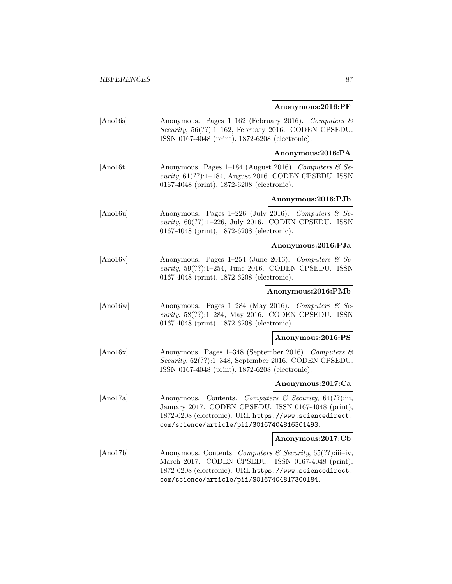**Anonymous:2016:PF**

[Ano16s] Anonymous. Pages 1–162 (February 2016). Computers & Security, 56(??):1–162, February 2016. CODEN CPSEDU. ISSN 0167-4048 (print), 1872-6208 (electronic).

**Anonymous:2016:PA**

[Ano16t] Anonymous. Pages 1–184 (August 2016). Computers  $\mathcal{C}$  Security, 61(??):1–184, August 2016. CODEN CPSEDU. ISSN 0167-4048 (print), 1872-6208 (electronic).

**Anonymous:2016:PJb**

[Ano16u] Anonymous. Pages 1–226 (July 2016). Computers & Security, 60(??):1–226, July 2016. CODEN CPSEDU. ISSN 0167-4048 (print), 1872-6208 (electronic).

**Anonymous:2016:PJa**

[Ano16v] Anonymous. Pages 1–254 (June 2016). Computers  $\&$  Se $curity, 59(??):1-254, June 2016. CODEN CPSEDU. ISSN$ 0167-4048 (print), 1872-6208 (electronic).

**Anonymous:2016:PMb**

[Ano16w] Anonymous. Pages 1–284 (May 2016). Computers & Security, 58(??):1–284, May 2016. CODEN CPSEDU. ISSN 0167-4048 (print), 1872-6208 (electronic).

**Anonymous:2016:PS**

[Ano16x] Anonymous. Pages 1–348 (September 2016). Computers & Security, 62(??):1–348, September 2016. CODEN CPSEDU. ISSN 0167-4048 (print), 1872-6208 (electronic).

**Anonymous:2017:Ca**

[Ano17a] Anonymous. Contents. Computers & Security, 64(??):iii, January 2017. CODEN CPSEDU. ISSN 0167-4048 (print), 1872-6208 (electronic). URL https://www.sciencedirect. com/science/article/pii/S0167404816301493.

**Anonymous:2017:Cb**

[Ano17b] Anonymous. Contents. Computers & Security, 65(??):iii–iv, March 2017. CODEN CPSEDU. ISSN 0167-4048 (print), 1872-6208 (electronic). URL https://www.sciencedirect. com/science/article/pii/S0167404817300184.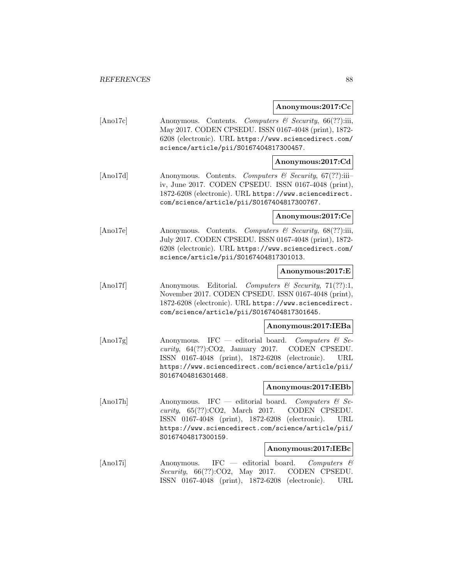#### **Anonymous:2017:Cc**

[Ano17c] Anonymous. Contents. Computers & Security, 66(??):iii, May 2017. CODEN CPSEDU. ISSN 0167-4048 (print), 1872- 6208 (electronic). URL https://www.sciencedirect.com/ science/article/pii/S0167404817300457.

### **Anonymous:2017:Cd**

[Ano17d] Anonymous. Contents. Computers & Security, 67(??):iii– iv, June 2017. CODEN CPSEDU. ISSN 0167-4048 (print), 1872-6208 (electronic). URL https://www.sciencedirect. com/science/article/pii/S0167404817300767.

### **Anonymous:2017:Ce**

[Ano17e] Anonymous. Contents. Computers & Security, 68(??):iii, July 2017. CODEN CPSEDU. ISSN 0167-4048 (print), 1872- 6208 (electronic). URL https://www.sciencedirect.com/ science/article/pii/S0167404817301013.

### **Anonymous:2017:E**

 $[Ano17f]$  Anonymous. Editorial. Computers & Security, 71(??):1, November 2017. CODEN CPSEDU. ISSN 0167-4048 (print), 1872-6208 (electronic). URL https://www.sciencedirect. com/science/article/pii/S0167404817301645.

#### **Anonymous:2017:IEBa**

[Ano17g] Anonymous. IFC — editorial board. Computers  $\mathcal{C}$  Security, 64(??):CO2, January 2017. CODEN CPSEDU. ISSN 0167-4048 (print), 1872-6208 (electronic). URL https://www.sciencedirect.com/science/article/pii/ S0167404816301468.

#### **Anonymous:2017:IEBb**

[Ano17h] Anonymous. IFC — editorial board. Computers  $\mathcal{C}$  Security, 65(??):CO2, March 2017. CODEN CPSEDU. ISSN 0167-4048 (print), 1872-6208 (electronic). URL https://www.sciencedirect.com/science/article/pii/ S0167404817300159.

#### **Anonymous:2017:IEBc**

[Ano17i] Anonymous. IFC — editorial board. Computers & Security, 66(??):CO2, May 2017. CODEN CPSEDU. ISSN 0167-4048 (print), 1872-6208 (electronic). URL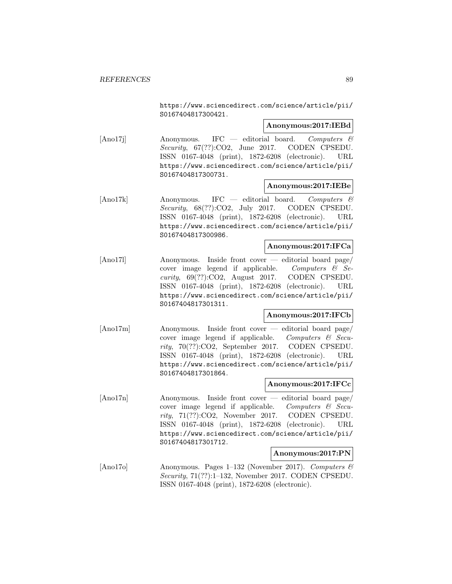https://www.sciencedirect.com/science/article/pii/ S0167404817300421.

### **Anonymous:2017:IEBd**

 $[Ano17j]$  Anonymous. IFC — editorial board. Computers  $\mathcal{C}$ Security, 67(??):CO2, June 2017. CODEN CPSEDU. ISSN 0167-4048 (print), 1872-6208 (electronic). URL https://www.sciencedirect.com/science/article/pii/ S0167404817300731.

### **Anonymous:2017:IEBe**

[Ano17k] Anonymous. IFC — editorial board. Computers & Security, 68(??):CO2, July 2017. CODEN CPSEDU. ISSN 0167-4048 (print), 1872-6208 (electronic). URL https://www.sciencedirect.com/science/article/pii/ S0167404817300986.

### **Anonymous:2017:IFCa**

[Ano17l] Anonymous. Inside front cover — editorial board page/ cover image legend if applicable. Computers  $\mathcal{C}$  Se*curity*,  $69(??)$ :CO2, August 2017. CODEN CPSEDU. ISSN 0167-4048 (print), 1872-6208 (electronic). URL https://www.sciencedirect.com/science/article/pii/ S0167404817301311.

# **Anonymous:2017:IFCb**

[Ano17m] Anonymous. Inside front cover — editorial board page/ cover image legend if applicable. Computers  $\mathcal{C}$  Security, 70(??):CO2, September 2017. CODEN CPSEDU. ISSN 0167-4048 (print), 1872-6208 (electronic). URL https://www.sciencedirect.com/science/article/pii/ S0167404817301864.

#### **Anonymous:2017:IFCc**

[Ano17n] Anonymous. Inside front cover — editorial board page/ cover image legend if applicable. Computers  $\mathcal{C}$  Security, 71(??):CO2, November 2017. CODEN CPSEDU. ISSN 0167-4048 (print), 1872-6208 (electronic). URL https://www.sciencedirect.com/science/article/pii/ S0167404817301712.

### **Anonymous:2017:PN**

[Ano17o] Anonymous. Pages 1–132 (November 2017). Computers  $\mathcal{C}$ Security, 71(??):1–132, November 2017. CODEN CPSEDU. ISSN 0167-4048 (print), 1872-6208 (electronic).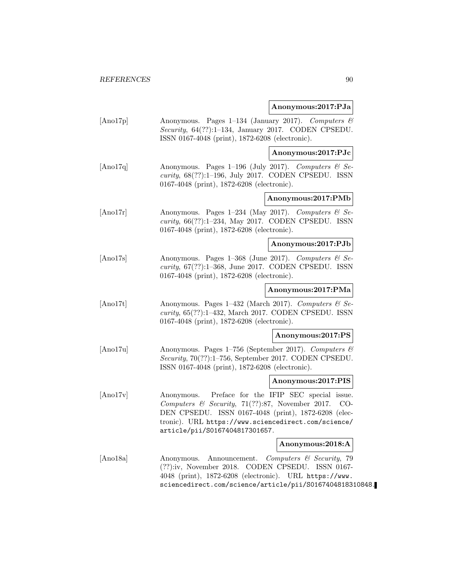### **Anonymous:2017:PJa**

[Ano17p] Anonymous. Pages 1–134 (January 2017). Computers & Security, 64(??):1–134, January 2017. CODEN CPSEDU. ISSN 0167-4048 (print), 1872-6208 (electronic).

**Anonymous:2017:PJc**

[Ano17q] Anonymous. Pages 1–196 (July 2017). Computers  $\mathcal{C}$  Security, 68(??):1–196, July 2017. CODEN CPSEDU. ISSN 0167-4048 (print), 1872-6208 (electronic).

### **Anonymous:2017:PMb**

[Ano17r] Anonymous. Pages 1–234 (May 2017). Computers  $\mathcal{C}$  Security, 66(??):1–234, May 2017. CODEN CPSEDU. ISSN 0167-4048 (print), 1872-6208 (electronic).

# **Anonymous:2017:PJb**

[Ano17s] Anonymous. Pages 1–368 (June 2017). Computers & Security, 67(??):1–368, June 2017. CODEN CPSEDU. ISSN 0167-4048 (print), 1872-6208 (electronic).

### **Anonymous:2017:PMa**

[Ano17t] Anonymous. Pages 1–432 (March 2017). Computers & Security, 65(??):1–432, March 2017. CODEN CPSEDU. ISSN 0167-4048 (print), 1872-6208 (electronic).

#### **Anonymous:2017:PS**

[Ano17u] Anonymous. Pages 1–756 (September 2017). Computers & Security, 70(??):1–756, September 2017. CODEN CPSEDU. ISSN 0167-4048 (print), 1872-6208 (electronic).

#### **Anonymous:2017:PIS**

[Ano17v] Anonymous. Preface for the IFIP SEC special issue. Computers & Security, 71(??):87, November 2017. CO-DEN CPSEDU. ISSN 0167-4048 (print), 1872-6208 (electronic). URL https://www.sciencedirect.com/science/ article/pii/S0167404817301657.

# **Anonymous:2018:A**

[Ano18a] Anonymous. Announcement. Computers & Security, 79 (??):iv, November 2018. CODEN CPSEDU. ISSN 0167- 4048 (print), 1872-6208 (electronic). URL https://www. sciencedirect.com/science/article/pii/S0167404818310848.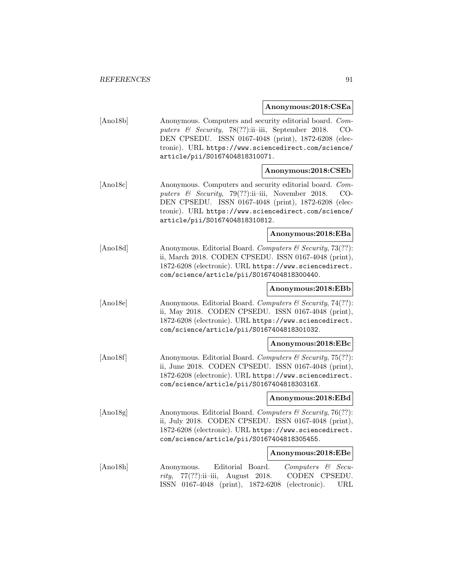**Anonymous:2018:CSEa**

| [Ano18b]       | Anonymous. Computers and security editorial board. Com-<br>puters & Security, 78(??):ii-iii, September 2018.<br>DEN CPSEDU. ISSN 0167-4048 (print), 1872-6208 (elec-<br>tronic). URL https://www.sciencedirect.com/science/<br>article/pii/S0167404818310071. | CO-                                        |
|----------------|---------------------------------------------------------------------------------------------------------------------------------------------------------------------------------------------------------------------------------------------------------------|--------------------------------------------|
|                | Anonymous:2018:CSEb                                                                                                                                                                                                                                           |                                            |
| [And8c]        | Anonymous. Computers and security editorial board. Com-<br>puters & Security, 79(??):ii-iii, November 2018.<br>DEN CPSEDU. ISSN 0167-4048 (print), 1872-6208 (elec-<br>tronic). URL https://www.sciencedirect.com/science/<br>article/pii/S0167404818310812.  | CO-                                        |
|                | Anonymous:2018:EBa                                                                                                                                                                                                                                            |                                            |
| [And8d]        | Anonymous. Editorial Board. Computers & Security, 73(??):<br>ii, March 2018. CODEN CPSEDU. ISSN 0167-4048 (print),<br>1872-6208 (electronic). URL https://www.sciencedirect.<br>com/science/article/pii/S0167404818300440.                                    |                                            |
|                | Anonymous:2018:EBb                                                                                                                                                                                                                                            |                                            |
| [And8e]        | Anonymous. Editorial Board. Computers & Security, 74(??):<br>ii, May 2018. CODEN CPSEDU. ISSN 0167-4048 (print),<br>1872-6208 (electronic). URL https://www.sciencedirect.<br>com/science/article/pii/S0167404818301032.                                      |                                            |
|                | Anonymous:2018:EBc                                                                                                                                                                                                                                            |                                            |
| $[$ Ano $18f]$ | Anonymous. Editorial Board. Computers & Security, 75(??):<br>ii, June 2018. CODEN CPSEDU. ISSN 0167-4048 (print),<br>1872-6208 (electronic). URL https://www.sciencedirect.<br>com/science/article/pii/S016740481830316X.                                     |                                            |
|                | Anonymous:2018:EBd                                                                                                                                                                                                                                            |                                            |
| [And8g]        | Anonymous. Editorial Board. Computers & Security, 76(??):<br>ii, July 2018. CODEN CPSEDU. ISSN 0167-4048 (print),<br>1872-6208 (electronic). URL https://www.sciencedirect.<br>com/science/article/pii/S0167404818305455.                                     |                                            |
|                | Anonymous:2018:EBe                                                                                                                                                                                                                                            |                                            |
| [Ano18h]       | Editorial<br>Board.<br>Computers<br>Anonymous.<br>$77(?)$ :ii-iii,<br>August 2018.<br>rity,<br>ISSN 0167-4048 (print), 1872-6208<br>(electronic).                                                                                                             | $\mathcal C$ Secu-<br>CODEN CPSEDU.<br>URL |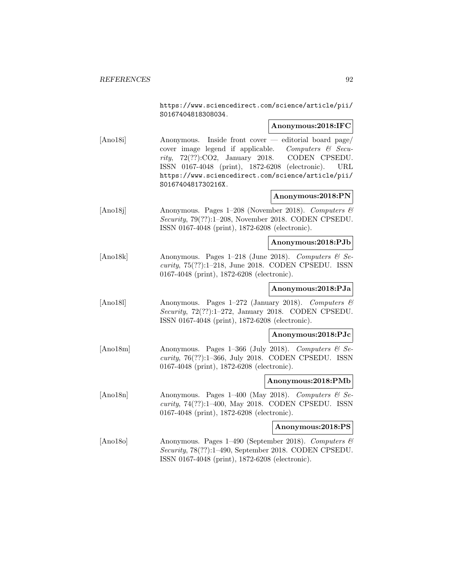https://www.sciencedirect.com/science/article/pii/ S0167404818308034.

### **Anonymous:2018:IFC**

[Ano18i] Anonymous. Inside front cover — editorial board page/ cover image legend if applicable. Computers  $\mathcal{C}$  Security, 72(??):CO2, January 2018. CODEN CPSEDU. ISSN 0167-4048 (print), 1872-6208 (electronic). URL https://www.sciencedirect.com/science/article/pii/ S016740481730216X.

# **Anonymous:2018:PN**

[Ano18j] Anonymous. Pages 1–208 (November 2018). Computers & Security, 79(??):1–208, November 2018. CODEN CPSEDU. ISSN 0167-4048 (print), 1872-6208 (electronic).

# **Anonymous:2018:PJb**

[Ano18k] Anonymous. Pages 1–218 (June 2018). Computers & Security, 75(??):1–218, June 2018. CODEN CPSEDU. ISSN 0167-4048 (print), 1872-6208 (electronic).

### **Anonymous:2018:PJa**

[Ano18l] Anonymous. Pages 1–272 (January 2018). Computers & Security, 72(??):1–272, January 2018. CODEN CPSEDU. ISSN 0167-4048 (print), 1872-6208 (electronic).

#### **Anonymous:2018:PJc**

[Ano18m] Anonymous. Pages 1–366 (July 2018). Computers & Security, 76(??):1–366, July 2018. CODEN CPSEDU. ISSN 0167-4048 (print), 1872-6208 (electronic).

#### **Anonymous:2018:PMb**

[Ano18n] Anonymous. Pages 1–400 (May 2018). Computers & Security, 74(??):1–400, May 2018. CODEN CPSEDU. ISSN 0167-4048 (print), 1872-6208 (electronic).

### **Anonymous:2018:PS**

[Ano18o] Anonymous. Pages 1–490 (September 2018). Computers & Security, 78(??):1–490, September 2018. CODEN CPSEDU. ISSN 0167-4048 (print), 1872-6208 (electronic).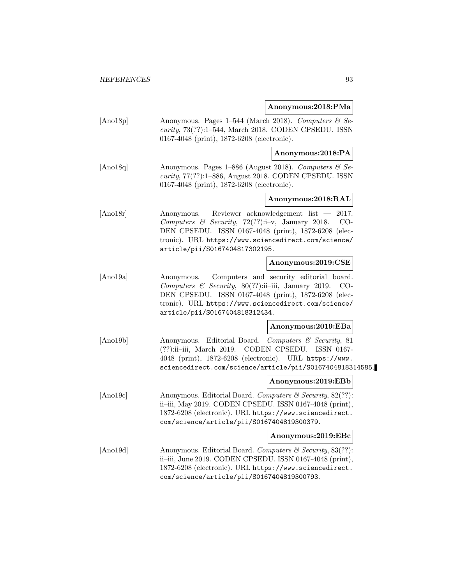**Anonymous:2018:PMa**

[Ano18p] Anonymous. Pages 1–544 (March 2018). Computers  $\mathcal{B}$  Security, 73(??):1–544, March 2018. CODEN CPSEDU. ISSN 0167-4048 (print), 1872-6208 (electronic).

### **Anonymous:2018:PA**

[Ano18q] Anonymous. Pages 1–886 (August 2018). Computers  $\mathcal{C}$  Security, 77(??):1–886, August 2018. CODEN CPSEDU. ISSN 0167-4048 (print), 1872-6208 (electronic).

# **Anonymous:2018:RAL**

[Ano18r] Anonymous. Reviewer acknowledgement list — 2017. Computers & Security, 72(??):i–v, January 2018. CO-DEN CPSEDU. ISSN 0167-4048 (print), 1872-6208 (electronic). URL https://www.sciencedirect.com/science/ article/pii/S0167404817302195.

### **Anonymous:2019:CSE**

[Ano19a] Anonymous. Computers and security editorial board. Computers  $\mathcal C$  Security, 80(??):ii–iii, January 2019. CO-DEN CPSEDU. ISSN 0167-4048 (print), 1872-6208 (electronic). URL https://www.sciencedirect.com/science/ article/pii/S0167404818312434.

#### **Anonymous:2019:EBa**

[Ano19b] Anonymous. Editorial Board. Computers & Security, 81 (??):ii–iii, March 2019. CODEN CPSEDU. ISSN 0167- 4048 (print), 1872-6208 (electronic). URL https://www. sciencedirect.com/science/article/pii/S0167404818314585.

#### **Anonymous:2019:EBb**

[Ano19c] Anonymous. Editorial Board. Computers & Security, 82(??): ii–iii, May 2019. CODEN CPSEDU. ISSN 0167-4048 (print), 1872-6208 (electronic). URL https://www.sciencedirect. com/science/article/pii/S0167404819300379.

#### **Anonymous:2019:EBc**

[Ano19d] Anonymous. Editorial Board. Computers & Security, 83(??): ii–iii, June 2019. CODEN CPSEDU. ISSN 0167-4048 (print), 1872-6208 (electronic). URL https://www.sciencedirect. com/science/article/pii/S0167404819300793.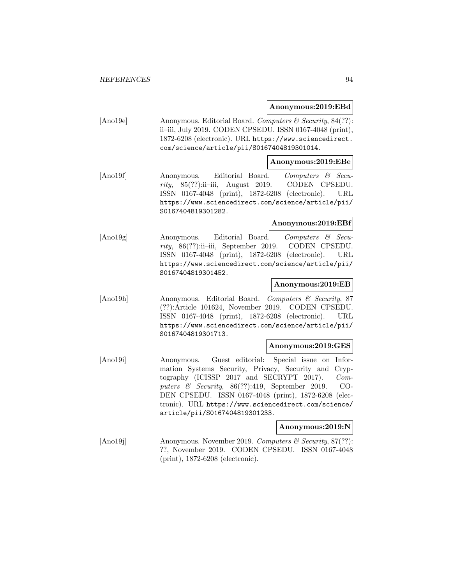#### **Anonymous:2019:EBd**

[Ano19e] Anonymous. Editorial Board. Computers & Security, 84(??): ii–iii, July 2019. CODEN CPSEDU. ISSN 0167-4048 (print), 1872-6208 (electronic). URL https://www.sciencedirect. com/science/article/pii/S0167404819301014.

### **Anonymous:2019:EBe**

[Ano19f] Anonymous. Editorial Board. Computers & Security,  $85(??)$ :ii–iii, August 2019. CODEN CPSEDU. ISSN 0167-4048 (print), 1872-6208 (electronic). URL https://www.sciencedirect.com/science/article/pii/ S0167404819301282.

### **Anonymous:2019:EBf**

[Ano19g] Anonymous. Editorial Board. Computers & Security, 86(??):ii–iii, September 2019. CODEN CPSEDU. ISSN 0167-4048 (print), 1872-6208 (electronic). URL https://www.sciencedirect.com/science/article/pii/ S0167404819301452.

### **Anonymous:2019:EB**

[Ano19h] Anonymous. Editorial Board. Computers & Security, 87 (??):Article 101624, November 2019. CODEN CPSEDU. ISSN 0167-4048 (print), 1872-6208 (electronic). URL https://www.sciencedirect.com/science/article/pii/ S0167404819301713.

#### **Anonymous:2019:GES**

[Ano19i] Anonymous. Guest editorial: Special issue on Information Systems Security, Privacy, Security and Cryptography (ICISSP 2017 and SECRYPT 2017). Computers & Security, 86(??):419, September 2019. CO-DEN CPSEDU. ISSN 0167-4048 (print), 1872-6208 (electronic). URL https://www.sciencedirect.com/science/ article/pii/S0167404819301233.

#### **Anonymous:2019:N**

[Ano19j] Anonymous. November 2019. Computers & Security, 87(??): ??, November 2019. CODEN CPSEDU. ISSN 0167-4048 (print), 1872-6208 (electronic).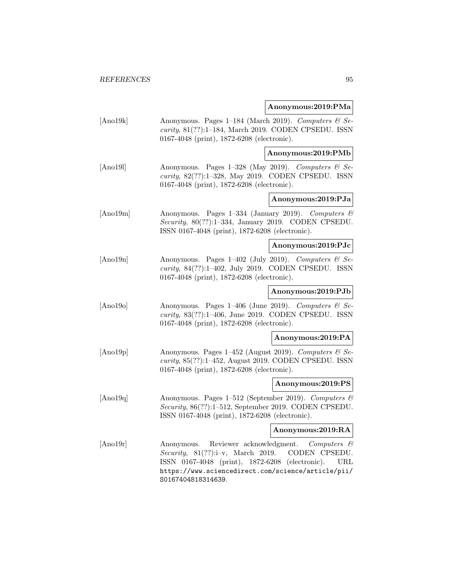**Anonymous:2019:PMa**

[Ano19k] Anonymous. Pages 1–184 (March 2019). Computers  $\mathcal{B}$  Security, 81(??):1–184, March 2019. CODEN CPSEDU. ISSN 0167-4048 (print), 1872-6208 (electronic).

**Anonymous:2019:PMb**

[Ano191] Anonymous. Pages 1–328 (May 2019). Computers  $\mathcal{C}$  Security, 82(??):1–328, May 2019. CODEN CPSEDU. ISSN 0167-4048 (print), 1872-6208 (electronic).

### **Anonymous:2019:PJa**

 $[$ Ano19m $]$  Anonymous. Pages 1–334 (January 2019). Computers  $\mathcal{B}$ Security, 80(??):1–334, January 2019. CODEN CPSEDU. ISSN 0167-4048 (print), 1872-6208 (electronic).

### **Anonymous:2019:PJc**

[Ano19n] Anonymous. Pages 1–402 (July 2019). Computers  $\mathcal{C}$  Security, 84(??):1–402, July 2019. CODEN CPSEDU. ISSN 0167-4048 (print), 1872-6208 (electronic).

**Anonymous:2019:PJb**

[Ano19o] Anonymous. Pages 1–406 (June 2019). Computers & Security, 83(??):1–406, June 2019. CODEN CPSEDU. ISSN 0167-4048 (print), 1872-6208 (electronic).

### **Anonymous:2019:PA**

[Ano19p] Anonymous. Pages 1–452 (August 2019). Computers  $\mathcal{B}$  Security, 85(??):1–452, August 2019. CODEN CPSEDU. ISSN 0167-4048 (print), 1872-6208 (electronic).

# **Anonymous:2019:PS**

[Ano19q] Anonymous. Pages 1–512 (September 2019). Computers & Security, 86(??):1–512, September 2019. CODEN CPSEDU. ISSN 0167-4048 (print), 1872-6208 (electronic).

### **Anonymous:2019:RA**

[Ano19r] Anonymous. Reviewer acknowledgment. Computers & Security, 81(??):i–v, March 2019. CODEN CPSEDU. ISSN 0167-4048 (print), 1872-6208 (electronic). URL https://www.sciencedirect.com/science/article/pii/ S0167404818314639.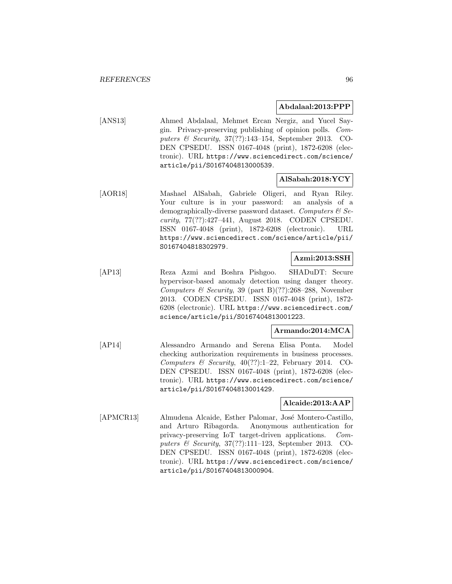### **Abdalaal:2013:PPP**

[ANS13] Ahmed Abdalaal, Mehmet Ercan Nergiz, and Yucel Saygin. Privacy-preserving publishing of opinion polls. Computers & Security, 37(??):143–154, September 2013. CO-DEN CPSEDU. ISSN 0167-4048 (print), 1872-6208 (electronic). URL https://www.sciencedirect.com/science/ article/pii/S0167404813000539.

### **AlSabah:2018:YCY**

[AOR18] Mashael AlSabah, Gabriele Oligeri, and Ryan Riley. Your culture is in your password: an analysis of a demographically-diverse password dataset. Computers  $\mathcal{C}$  Security, 77(??):427–441, August 2018. CODEN CPSEDU. ISSN 0167-4048 (print), 1872-6208 (electronic). URL https://www.sciencedirect.com/science/article/pii/ S0167404818302979.

# **Azmi:2013:SSH**

[AP13] Reza Azmi and Boshra Pishgoo. SHADuDT: Secure hypervisor-based anomaly detection using danger theory. Computers & Security, 39 (part B)(??):268-288, November 2013. CODEN CPSEDU. ISSN 0167-4048 (print), 1872- 6208 (electronic). URL https://www.sciencedirect.com/ science/article/pii/S0167404813001223.

### **Armando:2014:MCA**

[AP14] Alessandro Armando and Serena Elisa Ponta. Model checking authorization requirements in business processes. Computers & Security,  $40(??):1-22$ , February 2014. CO-DEN CPSEDU. ISSN 0167-4048 (print), 1872-6208 (electronic). URL https://www.sciencedirect.com/science/ article/pii/S0167404813001429.

### **Alcaide:2013:AAP**

[APMCR13] Almudena Alcaide, Esther Palomar, José Montero-Castillo, and Arturo Ribagorda. Anonymous authentication for privacy-preserving IoT target-driven applications. Computers & Security, 37(??):111–123, September 2013. CO-DEN CPSEDU. ISSN 0167-4048 (print), 1872-6208 (electronic). URL https://www.sciencedirect.com/science/ article/pii/S0167404813000904.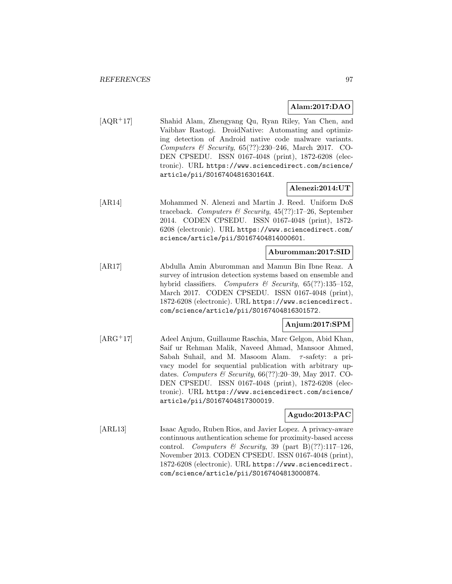## **Alam:2017:DAO**

[AQR<sup>+</sup>17] Shahid Alam, Zhengyang Qu, Ryan Riley, Yan Chen, and Vaibhav Rastogi. DroidNative: Automating and optimizing detection of Android native code malware variants. Computers & Security, 65(??):230–246, March 2017. CO-DEN CPSEDU. ISSN 0167-4048 (print), 1872-6208 (electronic). URL https://www.sciencedirect.com/science/ article/pii/S016740481630164X.

# **Alenezi:2014:UT**

[AR14] Mohammed N. Alenezi and Martin J. Reed. Uniform DoS traceback. Computers & Security, 45(??):17–26, September 2014. CODEN CPSEDU. ISSN 0167-4048 (print), 1872- 6208 (electronic). URL https://www.sciencedirect.com/ science/article/pii/S0167404814000601.

### **Aburomman:2017:SID**

[AR17] Abdulla Amin Aburomman and Mamun Bin Ibne Reaz. A survey of intrusion detection systems based on ensemble and hybrid classifiers. Computers & Security, 65(??):135-152, March 2017. CODEN CPSEDU. ISSN 0167-4048 (print), 1872-6208 (electronic). URL https://www.sciencedirect. com/science/article/pii/S0167404816301572.

# **Anjum:2017:SPM**

[ARG<sup>+</sup>17] Adeel Anjum, Guillaume Raschia, Marc Gelgon, Abid Khan, Saif ur Rehman Malik, Naveed Ahmad, Mansoor Ahmed, Sabah Suhail, and M. Masoom Alam. τ-safety: a privacy model for sequential publication with arbitrary updates. Computers & Security, 66(??):20–39, May 2017. CO-DEN CPSEDU. ISSN 0167-4048 (print), 1872-6208 (electronic). URL https://www.sciencedirect.com/science/ article/pii/S0167404817300019.

# **Agudo:2013:PAC**

[ARL13] Isaac Agudo, Ruben Rios, and Javier Lopez. A privacy-aware continuous authentication scheme for proximity-based access control. Computers & Security, 39 (part B)(??):117-126, November 2013. CODEN CPSEDU. ISSN 0167-4048 (print), 1872-6208 (electronic). URL https://www.sciencedirect. com/science/article/pii/S0167404813000874.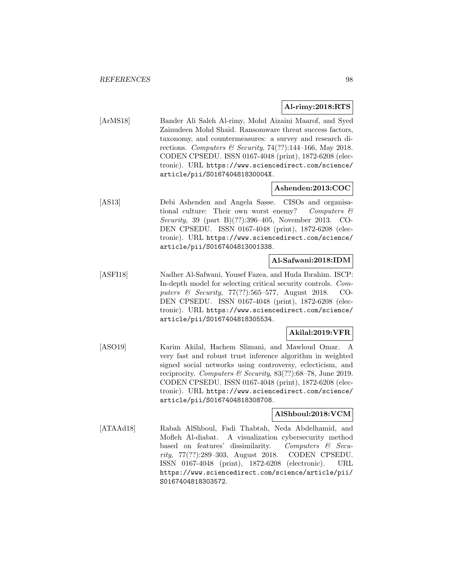### **Al-rimy:2018:RTS**

[ArMS18] Bander Ali Saleh Al-rimy, Mohd Aizaini Maarof, and Syed Zainudeen Mohd Shaid. Ransomware threat success factors, taxonomy, and countermeasures: a survey and research directions. Computers & Security, 74(??):144-166, May 2018. CODEN CPSEDU. ISSN 0167-4048 (print), 1872-6208 (electronic). URL https://www.sciencedirect.com/science/ article/pii/S016740481830004X.

# **Ashenden:2013:COC**

[AS13] Debi Ashenden and Angela Sasse. CISOs and organisational culture: Their own worst enemy? Computers  $\mathcal C$ Security, 39 (part B)(??):396–405, November 2013. CO-DEN CPSEDU. ISSN 0167-4048 (print), 1872-6208 (electronic). URL https://www.sciencedirect.com/science/ article/pii/S0167404813001338.

# **Al-Safwani:2018:IDM**

[ASFI18] Nadher Al-Safwani, Yousef Fazea, and Huda Ibrahim. ISCP: In-depth model for selecting critical security controls. Computers & Security, 77(??):565–577, August 2018. CO-DEN CPSEDU. ISSN 0167-4048 (print), 1872-6208 (electronic). URL https://www.sciencedirect.com/science/ article/pii/S0167404818305534.

# **Akilal:2019:VFR**

[ASO19] Karim Akilal, Hachem Slimani, and Mawloud Omar. A very fast and robust trust inference algorithm in weighted signed social networks using controversy, eclecticism, and reciprocity. Computers & Security,  $83(??)$ :68–78, June 2019. CODEN CPSEDU. ISSN 0167-4048 (print), 1872-6208 (electronic). URL https://www.sciencedirect.com/science/ article/pii/S0167404818308708.

### **AlShboul:2018:VCM**

[ATAAd18] Rabah AlShboul, Fadi Thabtah, Neda Abdelhamid, and Mofleh Al-diabat. A visualization cybersecurity method based on features' dissimilarity. Computers  $\mathcal{C}$  Security, 77(??):289–303, August 2018. CODEN CPSEDU. ISSN 0167-4048 (print), 1872-6208 (electronic). URL https://www.sciencedirect.com/science/article/pii/ S0167404818303572.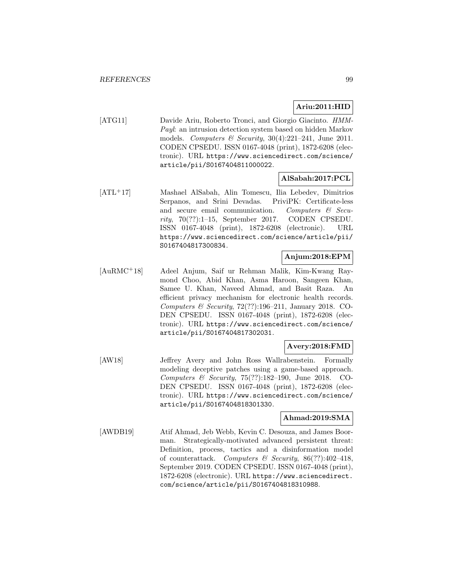# **Ariu:2011:HID**

[ATG11] Davide Ariu, Roberto Tronci, and Giorgio Giacinto. HMM-Payl: an intrusion detection system based on hidden Markov models. Computers & Security,  $30(4):221-241$ , June 2011. CODEN CPSEDU. ISSN 0167-4048 (print), 1872-6208 (electronic). URL https://www.sciencedirect.com/science/ article/pii/S0167404811000022.

# **AlSabah:2017:PCL**

[ATL<sup>+</sup>17] Mashael AlSabah, Alin Tomescu, Ilia Lebedev, Dimitrios Serpanos, and Srini Devadas. PriviPK: Certificate-less and secure email communication. Computers  $\mathcal{C}$  Security, 70(??):1–15, September 2017. CODEN CPSEDU. ISSN 0167-4048 (print), 1872-6208 (electronic). URL https://www.sciencedirect.com/science/article/pii/ S0167404817300834.

# **Anjum:2018:EPM**

[AuRMC<sup>+</sup>18] Adeel Anjum, Saif ur Rehman Malik, Kim-Kwang Raymond Choo, Abid Khan, Asma Haroon, Sangeen Khan, Samee U. Khan, Naveed Ahmad, and Basit Raza. An efficient privacy mechanism for electronic health records. Computers & Security,  $72(??):196-211$ , January 2018. CO-DEN CPSEDU. ISSN 0167-4048 (print), 1872-6208 (electronic). URL https://www.sciencedirect.com/science/ article/pii/S0167404817302031.

# **Avery:2018:FMD**

[AW18] Jeffrey Avery and John Ross Wallrabenstein. Formally modeling deceptive patches using a game-based approach. Computers & Security, 75(??):182–190, June 2018. CO-DEN CPSEDU. ISSN 0167-4048 (print), 1872-6208 (electronic). URL https://www.sciencedirect.com/science/ article/pii/S0167404818301330.

### **Ahmad:2019:SMA**

[AWDB19] Atif Ahmad, Jeb Webb, Kevin C. Desouza, and James Boorman. Strategically-motivated advanced persistent threat: Definition, process, tactics and a disinformation model of counterattack. Computers & Security,  $86(??):402-418$ , September 2019. CODEN CPSEDU. ISSN 0167-4048 (print), 1872-6208 (electronic). URL https://www.sciencedirect. com/science/article/pii/S0167404818310988.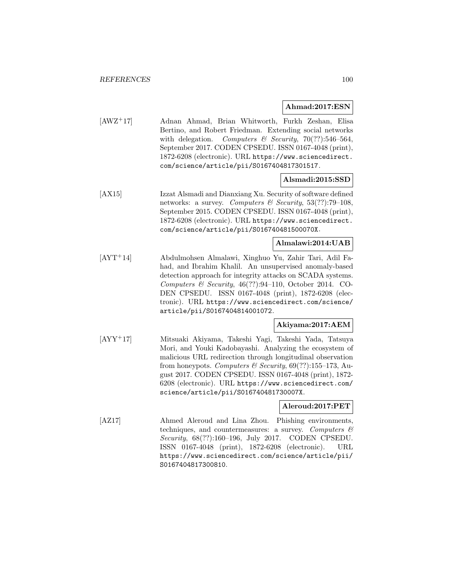### **Ahmad:2017:ESN**

[AWZ<sup>+</sup>17] Adnan Ahmad, Brian Whitworth, Furkh Zeshan, Elisa Bertino, and Robert Friedman. Extending social networks with delegation. Computers & Security, 70(??):546-564, September 2017. CODEN CPSEDU. ISSN 0167-4048 (print), 1872-6208 (electronic). URL https://www.sciencedirect. com/science/article/pii/S0167404817301517.

# **Alsmadi:2015:SSD**

[AX15] Izzat Alsmadi and Dianxiang Xu. Security of software defined networks: a survey. Computers & Security,  $53(??)$ :79-108, September 2015. CODEN CPSEDU. ISSN 0167-4048 (print), 1872-6208 (electronic). URL https://www.sciencedirect. com/science/article/pii/S016740481500070X.

# **Almalawi:2014:UAB**

[AYT<sup>+</sup>14] Abdulmohsen Almalawi, Xinghuo Yu, Zahir Tari, Adil Fahad, and Ibrahim Khalil. An unsupervised anomaly-based detection approach for integrity attacks on SCADA systems. Computers & Security,  $46(??):94-110$ , October 2014. CO-DEN CPSEDU. ISSN 0167-4048 (print), 1872-6208 (electronic). URL https://www.sciencedirect.com/science/ article/pii/S0167404814001072.

# **Akiyama:2017:AEM**

[AYY<sup>+</sup>17] Mitsuaki Akiyama, Takeshi Yagi, Takeshi Yada, Tatsuya Mori, and Youki Kadobayashi. Analyzing the ecosystem of malicious URL redirection through longitudinal observation from honeypots. Computers & Security,  $69(??)$ :155-173, August 2017. CODEN CPSEDU. ISSN 0167-4048 (print), 1872- 6208 (electronic). URL https://www.sciencedirect.com/ science/article/pii/S016740481730007X.

### **Aleroud:2017:PET**

[AZ17] Ahmed Aleroud and Lina Zhou. Phishing environments, techniques, and countermeasures: a survey. Computers  $\mathcal{C}$ Security, 68(??):160–196, July 2017. CODEN CPSEDU. ISSN 0167-4048 (print), 1872-6208 (electronic). URL https://www.sciencedirect.com/science/article/pii/ S0167404817300810.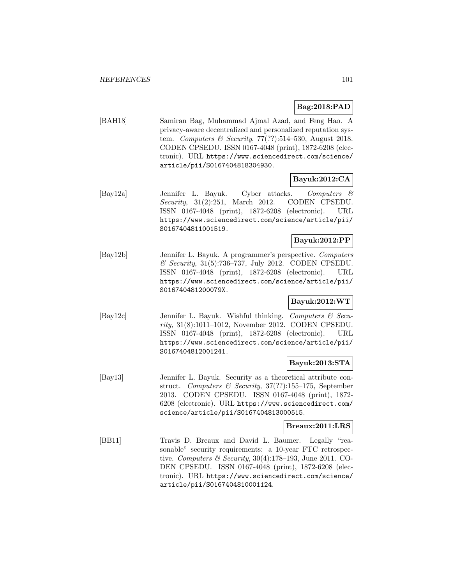# **Bag:2018:PAD**

[BAH18] Samiran Bag, Muhammad Ajmal Azad, and Feng Hao. A privacy-aware decentralized and personalized reputation system. Computers & Security, 77(??):514-530, August 2018. CODEN CPSEDU. ISSN 0167-4048 (print), 1872-6208 (electronic). URL https://www.sciencedirect.com/science/ article/pii/S0167404818304930.

# **Bayuk:2012:CA**

[Bay12a] Jennifer L. Bayuk. Cyber attacks. Computers & Security, 31(2):251, March 2012. CODEN CPSEDU. ISSN 0167-4048 (print), 1872-6208 (electronic). URL https://www.sciencedirect.com/science/article/pii/ S0167404811001519.

# **Bayuk:2012:PP**

[Bay12b] Jennifer L. Bayuk. A programmer's perspective. Computers & Security, 31(5):736–737, July 2012. CODEN CPSEDU. ISSN 0167-4048 (print), 1872-6208 (electronic). URL https://www.sciencedirect.com/science/article/pii/ S016740481200079X.

### **Bayuk:2012:WT**

[Bay12c] Jennifer L. Bayuk. Wishful thinking. Computers & Security, 31(8):1011–1012, November 2012. CODEN CPSEDU. ISSN 0167-4048 (print), 1872-6208 (electronic). URL https://www.sciencedirect.com/science/article/pii/ S0167404812001241.

# **Bayuk:2013:STA**

[Bay13] Jennifer L. Bayuk. Security as a theoretical attribute construct. Computers & Security, 37(??):155–175, September 2013. CODEN CPSEDU. ISSN 0167-4048 (print), 1872- 6208 (electronic). URL https://www.sciencedirect.com/ science/article/pii/S0167404813000515.

### **Breaux:2011:LRS**

[BB11] Travis D. Breaux and David L. Baumer. Legally "reasonable" security requirements: a 10-year FTC retrospective. Computers & Security,  $30(4):178-193$ , June 2011. CO-DEN CPSEDU. ISSN 0167-4048 (print), 1872-6208 (electronic). URL https://www.sciencedirect.com/science/ article/pii/S0167404810001124.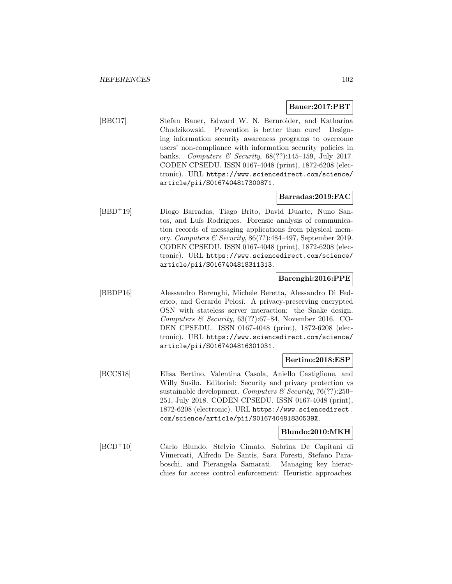### **Bauer:2017:PBT**

[BBC17] Stefan Bauer, Edward W. N. Bernroider, and Katharina Chudzikowski. Prevention is better than cure! Designing information security awareness programs to overcome users' non-compliance with information security policies in banks. Computers & Security, 68(??):145–159, July 2017. CODEN CPSEDU. ISSN 0167-4048 (print), 1872-6208 (electronic). URL https://www.sciencedirect.com/science/ article/pii/S0167404817300871.

# **Barradas:2019:FAC**

[BBD<sup>+</sup>19] Diogo Barradas, Tiago Brito, David Duarte, Nuno Santos, and Luís Rodrigues. Forensic analysis of communication records of messaging applications from physical memory. Computers & Security, 86(??):484–497, September 2019. CODEN CPSEDU. ISSN 0167-4048 (print), 1872-6208 (electronic). URL https://www.sciencedirect.com/science/ article/pii/S0167404818311313.

### **Barenghi:2016:PPE**

[BBDP16] Alessandro Barenghi, Michele Beretta, Alessandro Di Federico, and Gerardo Pelosi. A privacy-preserving encrypted OSN with stateless server interaction: the Snake design. Computers & Security,  $63(??):67-84$ , November 2016. CO-DEN CPSEDU. ISSN 0167-4048 (print), 1872-6208 (electronic). URL https://www.sciencedirect.com/science/ article/pii/S0167404816301031.

#### **Bertino:2018:ESP**

[BCCS18] Elisa Bertino, Valentina Casola, Aniello Castiglione, and Willy Susilo. Editorial: Security and privacy protection vs sustainable development. Computers & Security, 76(??):250– 251, July 2018. CODEN CPSEDU. ISSN 0167-4048 (print), 1872-6208 (electronic). URL https://www.sciencedirect. com/science/article/pii/S016740481830539X.

# **Blundo:2010:MKH**

[BCD<sup>+</sup>10] Carlo Blundo, Stelvio Cimato, Sabrina De Capitani di Vimercati, Alfredo De Santis, Sara Foresti, Stefano Paraboschi, and Pierangela Samarati. Managing key hierarchies for access control enforcement: Heuristic approaches.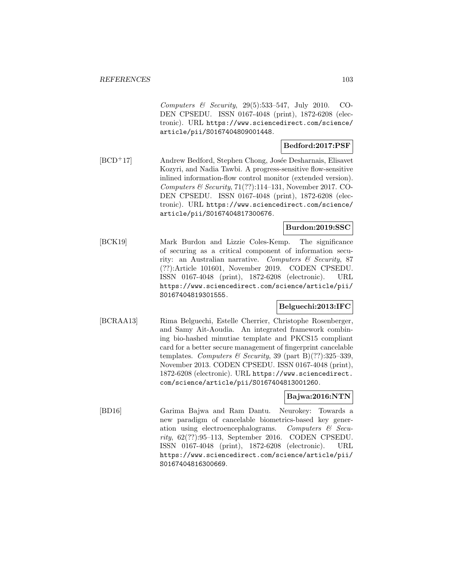Computers & Security, 29(5):533–547, July 2010. CO-DEN CPSEDU. ISSN 0167-4048 (print), 1872-6208 (electronic). URL https://www.sciencedirect.com/science/ article/pii/S0167404809001448.

# **Bedford:2017:PSF**

[BCD<sup>+</sup>17] Andrew Bedford, Stephen Chong, Josée Desharnais, Elisavet Kozyri, and Nadia Tawbi. A progress-sensitive flow-sensitive inlined information-flow control monitor (extended version). Computers & Security,  $71(??):114-131$ , November 2017. CO-DEN CPSEDU. ISSN 0167-4048 (print), 1872-6208 (electronic). URL https://www.sciencedirect.com/science/ article/pii/S0167404817300676.

# **Burdon:2019:SSC**

[BCK19] Mark Burdon and Lizzie Coles-Kemp. The significance of securing as a critical component of information security: an Australian narrative. Computers & Security, 87 (??):Article 101601, November 2019. CODEN CPSEDU. ISSN 0167-4048 (print), 1872-6208 (electronic). URL https://www.sciencedirect.com/science/article/pii/ S0167404819301555.

# **Belguechi:2013:IFC**

[BCRAA13] Rima Belguechi, Estelle Cherrier, Christophe Rosenberger, and Samy Ait-Aoudia. An integrated framework combining bio-hashed minutiae template and PKCS15 compliant card for a better secure management of fingerprint cancelable templates. Computers & Security, 39 (part B)(??):325–339, November 2013. CODEN CPSEDU. ISSN 0167-4048 (print), 1872-6208 (electronic). URL https://www.sciencedirect. com/science/article/pii/S0167404813001260.

# **Bajwa:2016:NTN**

[BD16] Garima Bajwa and Ram Dantu. Neurokey: Towards a new paradigm of cancelable biometrics-based key generation using electroencephalograms. Computers  $\mathcal{C}$  Security, 62(??):95–113, September 2016. CODEN CPSEDU. ISSN 0167-4048 (print), 1872-6208 (electronic). URL https://www.sciencedirect.com/science/article/pii/ S0167404816300669.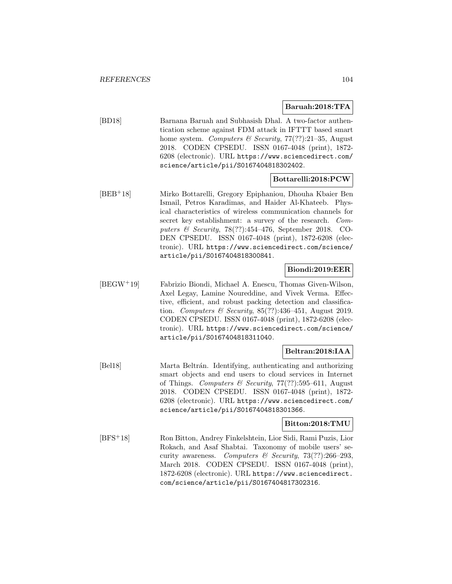### **Baruah:2018:TFA**

[BD18] Barnana Baruah and Subhasish Dhal. A two-factor authentication scheme against FDM attack in IFTTT based smart home system. Computers  $\mathcal B$  Security, 77(??):21–35, August 2018. CODEN CPSEDU. ISSN 0167-4048 (print), 1872- 6208 (electronic). URL https://www.sciencedirect.com/ science/article/pii/S0167404818302402.

### **Bottarelli:2018:PCW**

[BEB<sup>+</sup>18] Mirko Bottarelli, Gregory Epiphaniou, Dhouha Kbaier Ben Ismail, Petros Karadimas, and Haider Al-Khateeb. Physical characteristics of wireless communication channels for secret key establishment: a survey of the research. Computers & Security,  $78(??):454-476$ , September 2018. CO-DEN CPSEDU. ISSN 0167-4048 (print), 1872-6208 (electronic). URL https://www.sciencedirect.com/science/ article/pii/S0167404818300841.

# **Biondi:2019:EER**

[BEGW<sup>+</sup>19] Fabrizio Biondi, Michael A. Enescu, Thomas Given-Wilson, Axel Legay, Lamine Noureddine, and Vivek Verma. Effective, efficient, and robust packing detection and classification. Computers & Security,  $85(??)$ :436-451, August 2019. CODEN CPSEDU. ISSN 0167-4048 (print), 1872-6208 (electronic). URL https://www.sciencedirect.com/science/ article/pii/S0167404818311040.

# **Beltran:2018:IAA**

[Bel18] Marta Beltrán. Identifying, authenticating and authorizing smart objects and end users to cloud services in Internet of Things. Computers & Security, 77(??):595–611, August 2018. CODEN CPSEDU. ISSN 0167-4048 (print), 1872- 6208 (electronic). URL https://www.sciencedirect.com/ science/article/pii/S0167404818301366.

#### **Bitton:2018:TMU**

[BFS<sup>+</sup>18] Ron Bitton, Andrey Finkelshtein, Lior Sidi, Rami Puzis, Lior Rokach, and Asaf Shabtai. Taxonomy of mobile users' security awareness. Computers & Security, 73(??):266-293, March 2018. CODEN CPSEDU. ISSN 0167-4048 (print), 1872-6208 (electronic). URL https://www.sciencedirect. com/science/article/pii/S0167404817302316.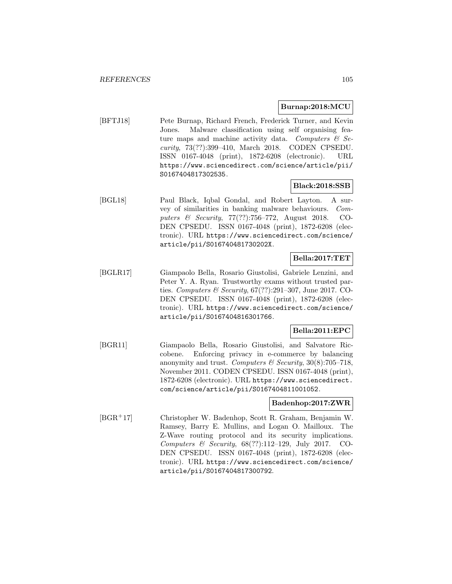### **Burnap:2018:MCU**

[BFTJ18] Pete Burnap, Richard French, Frederick Turner, and Kevin Jones. Malware classification using self organising feature maps and machine activity data. Computers  $\mathcal{C}$  Security, 73(??):399–410, March 2018. CODEN CPSEDU. ISSN 0167-4048 (print), 1872-6208 (electronic). URL https://www.sciencedirect.com/science/article/pii/ S0167404817302535.

### **Black:2018:SSB**

[BGL18] Paul Black, Iqbal Gondal, and Robert Layton. A survey of similarities in banking malware behaviours. Computers & Security, 77(??):756–772, August 2018. CO-DEN CPSEDU. ISSN 0167-4048 (print), 1872-6208 (electronic). URL https://www.sciencedirect.com/science/ article/pii/S016740481730202X.

# **Bella:2017:TET**

[BGLR17] Giampaolo Bella, Rosario Giustolisi, Gabriele Lenzini, and Peter Y. A. Ryan. Trustworthy exams without trusted parties. Computers & Security, 67(??):291-307, June 2017. CO-DEN CPSEDU. ISSN 0167-4048 (print), 1872-6208 (electronic). URL https://www.sciencedirect.com/science/ article/pii/S0167404816301766.

### **Bella:2011:EPC**

[BGR11] Giampaolo Bella, Rosario Giustolisi, and Salvatore Riccobene. Enforcing privacy in e-commerce by balancing anonymity and trust. Computers & Security,  $30(8)$ :705–718, November 2011. CODEN CPSEDU. ISSN 0167-4048 (print), 1872-6208 (electronic). URL https://www.sciencedirect. com/science/article/pii/S0167404811001052.

# **Badenhop:2017:ZWR**

[BGR<sup>+</sup>17] Christopher W. Badenhop, Scott R. Graham, Benjamin W. Ramsey, Barry E. Mullins, and Logan O. Mailloux. The Z-Wave routing protocol and its security implications. Computers & Security, 68(??):112–129, July 2017. CO-DEN CPSEDU. ISSN 0167-4048 (print), 1872-6208 (electronic). URL https://www.sciencedirect.com/science/ article/pii/S0167404817300792.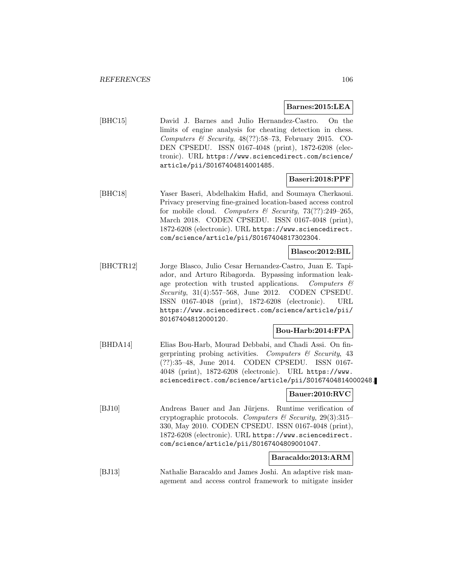#### **Barnes:2015:LEA**

[BHC15] David J. Barnes and Julio Hernandez-Castro. On the limits of engine analysis for cheating detection in chess. Computers & Security,  $48(??):58-73$ , February 2015. CO-DEN CPSEDU. ISSN 0167-4048 (print), 1872-6208 (electronic). URL https://www.sciencedirect.com/science/ article/pii/S0167404814001485.

### **Baseri:2018:PPF**

[BHC18] Yaser Baseri, Abdelhakim Hafid, and Soumaya Cherkaoui. Privacy preserving fine-grained location-based access control for mobile cloud. Computers & Security,  $73(??):249-265$ , March 2018. CODEN CPSEDU. ISSN 0167-4048 (print), 1872-6208 (electronic). URL https://www.sciencedirect. com/science/article/pii/S0167404817302304.

### **Blasco:2012:BIL**

[BHCTR12] Jorge Blasco, Julio Cesar Hernandez-Castro, Juan E. Tapiador, and Arturo Ribagorda. Bypassing information leakage protection with trusted applications. Computers  $\mathcal{C}$ Security, 31(4):557–568, June 2012. CODEN CPSEDU. ISSN 0167-4048 (print), 1872-6208 (electronic). URL https://www.sciencedirect.com/science/article/pii/ S0167404812000120.

# **Bou-Harb:2014:FPA**

[BHDA14] Elias Bou-Harb, Mourad Debbabi, and Chadi Assi. On fingerprinting probing activities. Computers  $\mathcal C$  Security, 43 (??):35–48, June 2014. CODEN CPSEDU. ISSN 0167- 4048 (print), 1872-6208 (electronic). URL https://www. sciencedirect.com/science/article/pii/S0167404814000248.

### **Bauer:2010:RVC**

[BJ10] Andreas Bauer and Jan Jürjens. Runtime verification of cryptographic protocols. Computers & Security, 29(3):315– 330, May 2010. CODEN CPSEDU. ISSN 0167-4048 (print), 1872-6208 (electronic). URL https://www.sciencedirect. com/science/article/pii/S0167404809001047.

### **Baracaldo:2013:ARM**

[BJ13] Nathalie Baracaldo and James Joshi. An adaptive risk management and access control framework to mitigate insider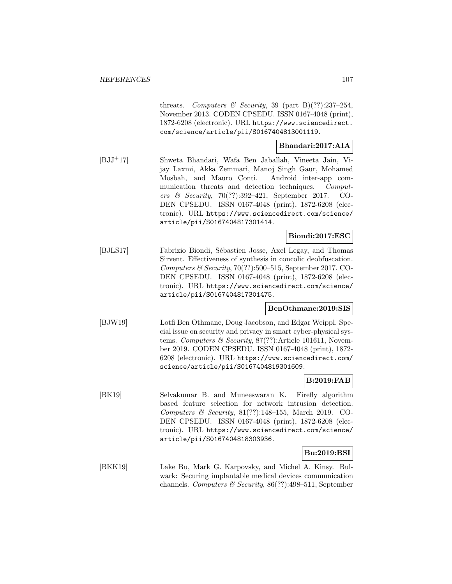threats. Computers & Security, 39 (part B)(??):237-254, November 2013. CODEN CPSEDU. ISSN 0167-4048 (print), 1872-6208 (electronic). URL https://www.sciencedirect. com/science/article/pii/S0167404813001119.

# **Bhandari:2017:AIA**

[BJJ<sup>+</sup>17] Shweta Bhandari, Wafa Ben Jaballah, Vineeta Jain, Vijay Laxmi, Akka Zemmari, Manoj Singh Gaur, Mohamed Mosbah, and Mauro Conti. Android inter-app communication threats and detection techniques. Computers & Security, 70(??):392–421, September 2017. CO-DEN CPSEDU. ISSN 0167-4048 (print), 1872-6208 (electronic). URL https://www.sciencedirect.com/science/ article/pii/S0167404817301414.

# **Biondi:2017:ESC**

[BJLS17] Fabrizio Biondi, Sébastien Josse, Axel Legay, and Thomas Sirvent. Effectiveness of synthesis in concolic deobfuscation. Computers  $\mathcal B$  Security, 70(??):500–515, September 2017. CO-DEN CPSEDU. ISSN 0167-4048 (print), 1872-6208 (electronic). URL https://www.sciencedirect.com/science/ article/pii/S0167404817301475.

# **BenOthmane:2019:SIS**

[BJW19] Lotfi Ben Othmane, Doug Jacobson, and Edgar Weippl. Special issue on security and privacy in smart cyber-physical systems. Computers & Security, 87(??):Article 101611, November 2019. CODEN CPSEDU. ISSN 0167-4048 (print), 1872- 6208 (electronic). URL https://www.sciencedirect.com/ science/article/pii/S0167404819301609.

# **B:2019:FAB**

[BK19] Selvakumar B. and Muneeswaran K. Firefly algorithm based feature selection for network intrusion detection. Computers & Security,  $81(??):148-155$ , March 2019. CO-DEN CPSEDU. ISSN 0167-4048 (print), 1872-6208 (electronic). URL https://www.sciencedirect.com/science/ article/pii/S0167404818303936.

### **Bu:2019:BSI**

[BKK19] Lake Bu, Mark G. Karpovsky, and Michel A. Kinsy. Bulwark: Securing implantable medical devices communication channels. Computers & Security,  $86(??):498-511$ , September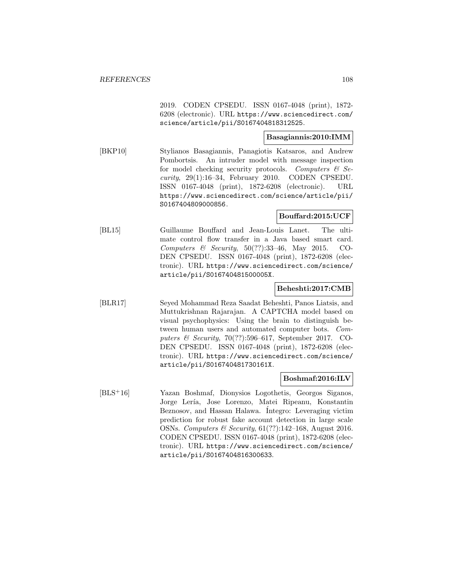2019. CODEN CPSEDU. ISSN 0167-4048 (print), 1872- 6208 (electronic). URL https://www.sciencedirect.com/ science/article/pii/S0167404818312525.

# **Basagiannis:2010:IMM**

[BKP10] Stylianos Basagiannis, Panagiotis Katsaros, and Andrew Pombortsis. An intruder model with message inspection for model checking security protocols. Computers  $\mathcal{C}$  Security, 29(1):16–34, February 2010. CODEN CPSEDU. ISSN 0167-4048 (print), 1872-6208 (electronic). URL https://www.sciencedirect.com/science/article/pii/ S0167404809000856.

# **Bouffard:2015:UCF**

[BL15] Guillaume Bouffard and Jean-Louis Lanet. The ultimate control flow transfer in a Java based smart card. Computers & Security,  $50(??):33-46$ , May 2015. CO-DEN CPSEDU. ISSN 0167-4048 (print), 1872-6208 (electronic). URL https://www.sciencedirect.com/science/ article/pii/S016740481500005X.

### **Beheshti:2017:CMB**

[BLR17] Seyed Mohammad Reza Saadat Beheshti, Panos Liatsis, and Muttukrishnan Rajarajan. A CAPTCHA model based on visual psychophysics: Using the brain to distinguish between human users and automated computer bots. Computers & Security, 70(??):596–617, September 2017. CO-DEN CPSEDU. ISSN 0167-4048 (print), 1872-6208 (electronic). URL https://www.sciencedirect.com/science/ article/pii/S016740481730161X.

#### **Boshmaf:2016:ILV**

[BLS<sup>+</sup>16] Yazan Boshmaf, Dionysios Logothetis, Georgos Siganos, Jorge Lería, Jose Lorenzo, Matei Ripeanu, Konstantin Beznosov, and Hassan Halawa. Integro: Leveraging victim prediction for robust fake account detection in large scale OSNs. Computers & Security, 61(??):142–168, August 2016. CODEN CPSEDU. ISSN 0167-4048 (print), 1872-6208 (electronic). URL https://www.sciencedirect.com/science/ article/pii/S0167404816300633.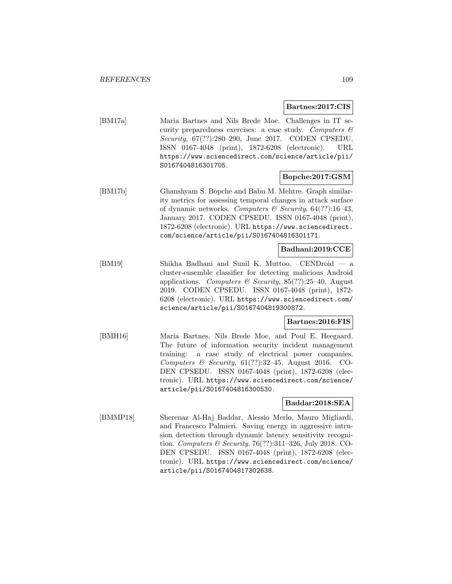#### **Bartnes:2017:CIS**

[BM17a] Maria Bartnes and Nils Brede Moe. Challenges in IT security preparedness exercises: a case study. Computers  $\mathcal{C}$ Security, 67(??):280–290, June 2017. CODEN CPSEDU. ISSN 0167-4048 (print), 1872-6208 (electronic). URL https://www.sciencedirect.com/science/article/pii/ S0167404816301705.

### **Bopche:2017:GSM**

[BM17b] Ghanshyam S. Bopche and Babu M. Mehtre. Graph similarity metrics for assessing temporal changes in attack surface of dynamic networks. Computers & Security,  $64(??):16-43$ , January 2017. CODEN CPSEDU. ISSN 0167-4048 (print), 1872-6208 (electronic). URL https://www.sciencedirect. com/science/article/pii/S0167404816301171.

## **Badhani:2019:CCE**

[BM19] Shikha Badhani and Sunil K. Muttoo. CENDroid — a cluster-ensemble classifier for detecting malicious Android applications. Computers & Security, 85(??):25–40, August 2019. CODEN CPSEDU. ISSN 0167-4048 (print), 1872- 6208 (electronic). URL https://www.sciencedirect.com/ science/article/pii/S0167404819300872.

### **Bartnes:2016:FIS**

[BMH16] Maria Bartnes, Nils Brede Moe, and Poul E. Heegaard. The future of information security incident management training: a case study of electrical power companies. Computers & Security,  $61(??):32-45$ , August 2016. CO-DEN CPSEDU. ISSN 0167-4048 (print), 1872-6208 (electronic). URL https://www.sciencedirect.com/science/ article/pii/S0167404816300530.

### **Baddar:2018:SEA**

[BMMP18] Sherenaz Al-Haj Baddar, Alessio Merlo, Mauro Migliardi, and Francesco Palmieri. Saving energy in aggressive intrusion detection through dynamic latency sensitivity recognition. Computers & Security, 76(??):311–326, July 2018. CO-DEN CPSEDU. ISSN 0167-4048 (print), 1872-6208 (electronic). URL https://www.sciencedirect.com/science/ article/pii/S0167404817302638.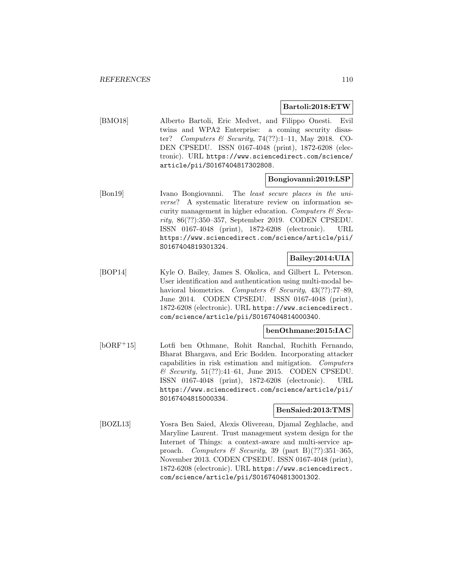#### **Bartoli:2018:ETW**

[BMO18] Alberto Bartoli, Eric Medvet, and Filippo Onesti. Evil twins and WPA2 Enterprise: a coming security disaster? Computers & Security,  $74(??):1-11$ , May 2018. CO-DEN CPSEDU. ISSN 0167-4048 (print), 1872-6208 (electronic). URL https://www.sciencedirect.com/science/ article/pii/S0167404817302808.

#### **Bongiovanni:2019:LSP**

[Bon19] Ivano Bongiovanni. The least secure places in the universe? A systematic literature review on information security management in higher education. Computers  $\mathcal{C}$  Security, 86(??):350–357, September 2019. CODEN CPSEDU. ISSN 0167-4048 (print), 1872-6208 (electronic). URL https://www.sciencedirect.com/science/article/pii/ S0167404819301324.

## **Bailey:2014:UIA**

[BOP14] Kyle O. Bailey, James S. Okolica, and Gilbert L. Peterson. User identification and authentication using multi-modal behavioral biometrics. Computers & Security,  $43(??)$ :77–89, June 2014. CODEN CPSEDU. ISSN 0167-4048 (print), 1872-6208 (electronic). URL https://www.sciencedirect. com/science/article/pii/S0167404814000340.

#### **benOthmane:2015:IAC**

[bORF<sup>+</sup>15] Lotfi ben Othmane, Rohit Ranchal, Ruchith Fernando, Bharat Bhargava, and Eric Bodden. Incorporating attacker capabilities in risk estimation and mitigation. Computers  $\&$  Security, 51(??):41–61, June 2015. CODEN CPSEDU. ISSN 0167-4048 (print), 1872-6208 (electronic). URL https://www.sciencedirect.com/science/article/pii/ S0167404815000334.

#### **BenSaied:2013:TMS**

[BOZL13] Yosra Ben Saied, Alexis Olivereau, Djamal Zeghlache, and Maryline Laurent. Trust management system design for the Internet of Things: a context-aware and multi-service approach. Computers & Security, 39 (part B)(??):351-365, November 2013. CODEN CPSEDU. ISSN 0167-4048 (print), 1872-6208 (electronic). URL https://www.sciencedirect. com/science/article/pii/S0167404813001302.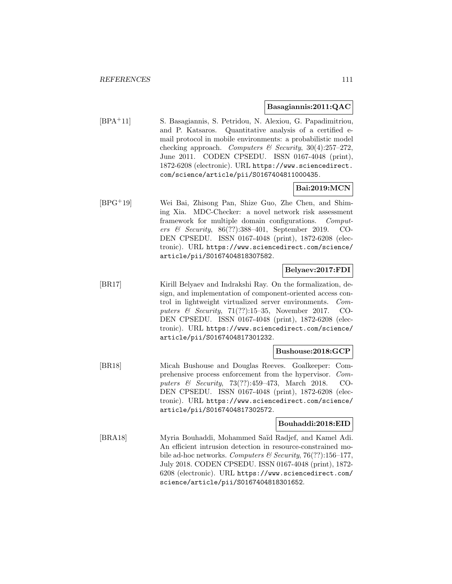#### **Basagiannis:2011:QAC**

[BPA<sup>+</sup>11] S. Basagiannis, S. Petridou, N. Alexiou, G. Papadimitriou, and P. Katsaros. Quantitative analysis of a certified email protocol in mobile environments: a probabilistic model checking approach. Computers  $\mathcal C$  Security, 30(4):257-272, June 2011. CODEN CPSEDU. ISSN 0167-4048 (print), 1872-6208 (electronic). URL https://www.sciencedirect. com/science/article/pii/S0167404811000435.

### **Bai:2019:MCN**

[BPG<sup>+</sup>19] Wei Bai, Zhisong Pan, Shize Guo, Zhe Chen, and Shiming Xia. MDC-Checker: a novel network risk assessment framework for multiple domain configurations. Computers & Security, 86(??):388–401, September 2019. CO-DEN CPSEDU. ISSN 0167-4048 (print), 1872-6208 (electronic). URL https://www.sciencedirect.com/science/ article/pii/S0167404818307582.

### **Belyaev:2017:FDI**

[BR17] Kirill Belyaev and Indrakshi Ray. On the formalization, design, and implementation of component-oriented access control in lightweight virtualized server environments. Computers  $\&$  Security, 71(??):15–35, November 2017. CO-DEN CPSEDU. ISSN 0167-4048 (print), 1872-6208 (electronic). URL https://www.sciencedirect.com/science/ article/pii/S0167404817301232.

### **Bushouse:2018:GCP**

[BR18] Micah Bushouse and Douglas Reeves. Goalkeeper: Comprehensive process enforcement from the hypervisor. Computers & Security, 73(??):459–473, March 2018. CO-DEN CPSEDU. ISSN 0167-4048 (print), 1872-6208 (electronic). URL https://www.sciencedirect.com/science/ article/pii/S0167404817302572.

### **Bouhaddi:2018:EID**

[BRA18] Myria Bouhaddi, Mohammed Saïd Radjef, and Kamel Adi. An efficient intrusion detection in resource-constrained mobile ad-hoc networks. Computers  $\mathcal B$  Security, 76(??):156–177, July 2018. CODEN CPSEDU. ISSN 0167-4048 (print), 1872- 6208 (electronic). URL https://www.sciencedirect.com/ science/article/pii/S0167404818301652.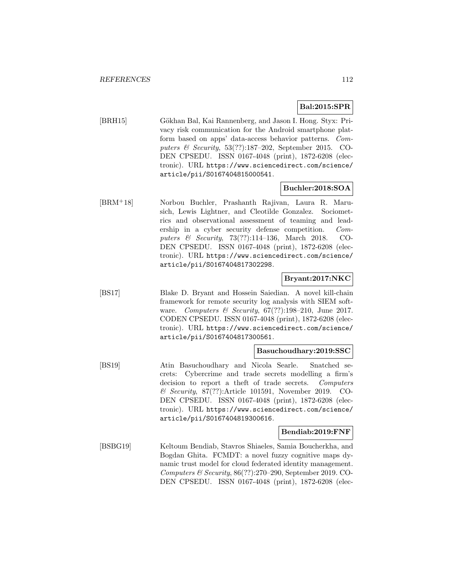# **Bal:2015:SPR**

[BRH15] Gökhan Bal, Kai Rannenberg, and Jason I. Hong. Styx: Privacy risk communication for the Android smartphone platform based on apps' data-access behavior patterns. Computers & Security, 53(??):187–202, September 2015. CO-DEN CPSEDU. ISSN 0167-4048 (print), 1872-6208 (electronic). URL https://www.sciencedirect.com/science/ article/pii/S0167404815000541.

### **Buchler:2018:SOA**

[BRM<sup>+</sup>18] Norbou Buchler, Prashanth Rajivan, Laura R. Marusich, Lewis Lightner, and Cleotilde Gonzalez. Sociometrics and observational assessment of teaming and leadership in a cyber security defense competition. Computers & Security, 73(??):114–136, March 2018. CO-DEN CPSEDU. ISSN 0167-4048 (print), 1872-6208 (electronic). URL https://www.sciencedirect.com/science/ article/pii/S0167404817302298.

### **Bryant:2017:NKC**

[BS17] Blake D. Bryant and Hossein Saiedian. A novel kill-chain framework for remote security log analysis with SIEM software. Computers & Security,  $67(??):198-210$ , June 2017. CODEN CPSEDU. ISSN 0167-4048 (print), 1872-6208 (electronic). URL https://www.sciencedirect.com/science/ article/pii/S0167404817300561.

### **Basuchoudhary:2019:SSC**

[BS19] Atin Basuchoudhary and Nicola Searle. Snatched secrets: Cybercrime and trade secrets modelling a firm's decision to report a theft of trade secrets. Computers & Security, 87(??):Article 101591, November 2019. CO-DEN CPSEDU. ISSN 0167-4048 (print), 1872-6208 (electronic). URL https://www.sciencedirect.com/science/ article/pii/S0167404819300616.

### **Bendiab:2019:FNF**

[BSBG19] Keltoum Bendiab, Stavros Shiaeles, Samia Boucherkha, and Bogdan Ghita. FCMDT: a novel fuzzy cognitive maps dynamic trust model for cloud federated identity management. Computers & Security, 86(??):270–290, September 2019. CO-DEN CPSEDU. ISSN 0167-4048 (print), 1872-6208 (elec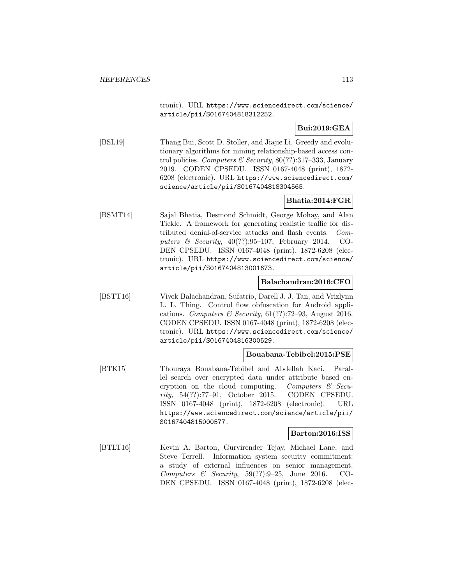tronic). URL https://www.sciencedirect.com/science/ article/pii/S0167404818312252.

# **Bui:2019:GEA**

[BSL19] Thang Bui, Scott D. Stoller, and Jiajie Li. Greedy and evolutionary algorithms for mining relationship-based access control policies. Computers & Security,  $80(??):317-333$ , January 2019. CODEN CPSEDU. ISSN 0167-4048 (print), 1872- 6208 (electronic). URL https://www.sciencedirect.com/ science/article/pii/S0167404818304565.

# **Bhatia:2014:FGR**

[BSMT14] Sajal Bhatia, Desmond Schmidt, George Mohay, and Alan Tickle. A framework for generating realistic traffic for distributed denial-of-service attacks and flash events. Computers & Security,  $40(??):95-107$ , February 2014. CO-DEN CPSEDU. ISSN 0167-4048 (print), 1872-6208 (electronic). URL https://www.sciencedirect.com/science/ article/pii/S0167404813001673.

## **Balachandran:2016:CFO**

[BSTT16] Vivek Balachandran, Sufatrio, Darell J. J. Tan, and Vrizlynn L. L. Thing. Control flow obfuscation for Android applications. Computers & Security,  $61(??)$ :72-93, August 2016. CODEN CPSEDU. ISSN 0167-4048 (print), 1872-6208 (electronic). URL https://www.sciencedirect.com/science/ article/pii/S0167404816300529.

### **Bouabana-Tebibel:2015:PSE**

[BTK15] Thouraya Bouabana-Tebibel and Abdellah Kaci. Parallel search over encrypted data under attribute based encryption on the cloud computing. Computers  $\mathcal{C}$  Security, 54(??):77–91, October 2015. CODEN CPSEDU. ISSN 0167-4048 (print), 1872-6208 (electronic). URL https://www.sciencedirect.com/science/article/pii/ S0167404815000577.

### **Barton:2016:ISS**

[BTLT16] Kevin A. Barton, Gurvirender Tejay, Michael Lane, and Steve Terrell. Information system security commitment: a study of external influences on senior management. Computers  $\&$  Security, 59(??):9-25, June 2016. CO-DEN CPSEDU. ISSN 0167-4048 (print), 1872-6208 (elec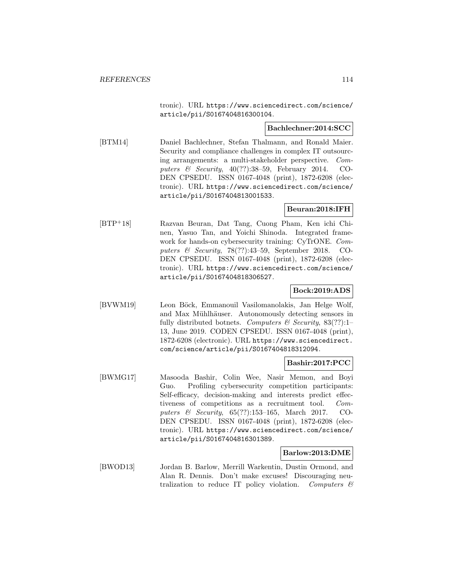tronic). URL https://www.sciencedirect.com/science/ article/pii/S0167404816300104.

#### **Bachlechner:2014:SCC**

[BTM14] Daniel Bachlechner, Stefan Thalmann, and Ronald Maier. Security and compliance challenges in complex IT outsourcing arrangements: a multi-stakeholder perspective. Computers & Security, 40(??):38–59, February 2014. CO-DEN CPSEDU. ISSN 0167-4048 (print), 1872-6208 (electronic). URL https://www.sciencedirect.com/science/ article/pii/S0167404813001533.

### **Beuran:2018:IFH**

[BTP<sup>+</sup>18] Razvan Beuran, Dat Tang, Cuong Pham, Ken ichi Chinen, Yasuo Tan, and Yoichi Shinoda. Integrated framework for hands-on cybersecurity training: CyTrONE. Computers & Security, 78(??):43–59, September 2018. CO-DEN CPSEDU. ISSN 0167-4048 (print), 1872-6208 (electronic). URL https://www.sciencedirect.com/science/ article/pii/S0167404818306527.

# **Bock:2019:ADS**

[BVWM19] Leon Böck, Emmanouil Vasilomanolakis, Jan Helge Wolf, and Max Mühlhäuser. Autonomously detecting sensors in fully distributed botnets. Computers & Security,  $83(??)$ :1-13, June 2019. CODEN CPSEDU. ISSN 0167-4048 (print), 1872-6208 (electronic). URL https://www.sciencedirect. com/science/article/pii/S0167404818312094.

#### **Bashir:2017:PCC**

[BWMG17] Masooda Bashir, Colin Wee, Nasir Memon, and Boyi Guo. Profiling cybersecurity competition participants: Self-efficacy, decision-making and interests predict effectiveness of competitions as a recruitment tool. Computers & Security, 65(??):153–165, March 2017. CO-DEN CPSEDU. ISSN 0167-4048 (print), 1872-6208 (electronic). URL https://www.sciencedirect.com/science/ article/pii/S0167404816301389.

#### **Barlow:2013:DME**

[BWOD13] Jordan B. Barlow, Merrill Warkentin, Dustin Ormond, and Alan R. Dennis. Don't make excuses! Discouraging neutralization to reduce IT policy violation. Computers  $\mathcal C$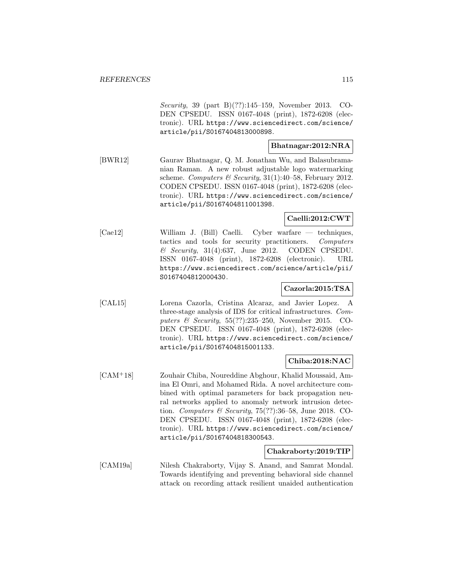Security, 39 (part B)(??):145–159, November 2013. CO-DEN CPSEDU. ISSN 0167-4048 (print), 1872-6208 (electronic). URL https://www.sciencedirect.com/science/ article/pii/S0167404813000898.

### **Bhatnagar:2012:NRA**

[BWR12] Gaurav Bhatnagar, Q. M. Jonathan Wu, and Balasubramanian Raman. A new robust adjustable logo watermarking scheme. Computers & Security,  $31(1):40-58$ , February 2012. CODEN CPSEDU. ISSN 0167-4048 (print), 1872-6208 (electronic). URL https://www.sciencedirect.com/science/ article/pii/S0167404811001398.

# **Caelli:2012:CWT**

[Cae12] William J. (Bill) Caelli. Cyber warfare — techniques, tactics and tools for security practitioners. Computers & Security, 31(4):637, June 2012. CODEN CPSEDU. ISSN 0167-4048 (print), 1872-6208 (electronic). URL https://www.sciencedirect.com/science/article/pii/ S0167404812000430.

## **Cazorla:2015:TSA**

[CAL15] Lorena Cazorla, Cristina Alcaraz, and Javier Lopez. A three-stage analysis of IDS for critical infrastructures. Computers & Security, 55(??):235–250, November 2015. CO-DEN CPSEDU. ISSN 0167-4048 (print), 1872-6208 (electronic). URL https://www.sciencedirect.com/science/ article/pii/S0167404815001133.

#### **Chiba:2018:NAC**

[CAM<sup>+</sup>18] Zouhair Chiba, Noureddine Abghour, Khalid Moussaid, Amina El Omri, and Mohamed Rida. A novel architecture combined with optimal parameters for back propagation neural networks applied to anomaly network intrusion detection. Computers & Security, 75(??):36–58, June 2018. CO-DEN CPSEDU. ISSN 0167-4048 (print), 1872-6208 (electronic). URL https://www.sciencedirect.com/science/ article/pii/S0167404818300543.

#### **Chakraborty:2019:TIP**

[CAM19a] Nilesh Chakraborty, Vijay S. Anand, and Samrat Mondal. Towards identifying and preventing behavioral side channel attack on recording attack resilient unaided authentication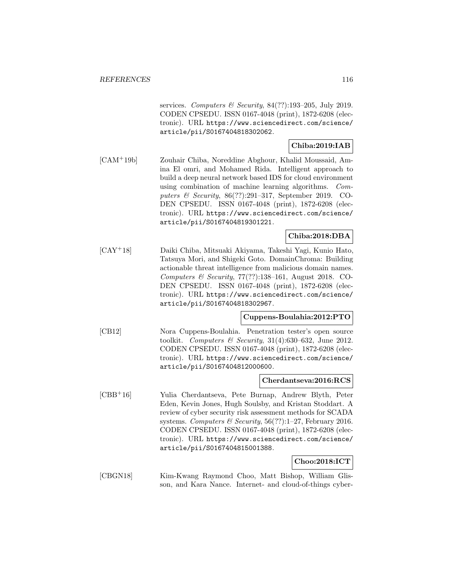services. Computers & Security,  $84(??):193-205$ , July 2019. CODEN CPSEDU. ISSN 0167-4048 (print), 1872-6208 (electronic). URL https://www.sciencedirect.com/science/ article/pii/S0167404818302062.

# **Chiba:2019:IAB**

[CAM<sup>+</sup>19b] Zouhair Chiba, Noreddine Abghour, Khalid Moussaid, Amina El omri, and Mohamed Rida. Intelligent approach to build a deep neural network based IDS for cloud environment using combination of machine learning algorithms. Computers & Security, 86(??):291–317, September 2019. CO-DEN CPSEDU. ISSN 0167-4048 (print), 1872-6208 (electronic). URL https://www.sciencedirect.com/science/ article/pii/S0167404819301221.

## **Chiba:2018:DBA**

[CAY<sup>+</sup>18] Daiki Chiba, Mitsuaki Akiyama, Takeshi Yagi, Kunio Hato, Tatsuya Mori, and Shigeki Goto. DomainChroma: Building actionable threat intelligence from malicious domain names. Computers & Security, 77(??):138–161, August 2018. CO-DEN CPSEDU. ISSN 0167-4048 (print), 1872-6208 (electronic). URL https://www.sciencedirect.com/science/ article/pii/S0167404818302967.

# **Cuppens-Boulahia:2012:PTO**

[CB12] Nora Cuppens-Boulahia. Penetration tester's open source toolkit. Computers & Security,  $31(4):630-632$ , June 2012. CODEN CPSEDU. ISSN 0167-4048 (print), 1872-6208 (electronic). URL https://www.sciencedirect.com/science/ article/pii/S0167404812000600.

### **Cherdantseva:2016:RCS**

[CBB<sup>+</sup>16] Yulia Cherdantseva, Pete Burnap, Andrew Blyth, Peter Eden, Kevin Jones, Hugh Soulsby, and Kristan Stoddart. A review of cyber security risk assessment methods for SCADA systems. Computers & Security,  $56(??):1-27$ , February 2016. CODEN CPSEDU. ISSN 0167-4048 (print), 1872-6208 (electronic). URL https://www.sciencedirect.com/science/ article/pii/S0167404815001388.

# **Choo:2018:ICT**

[CBGN18] Kim-Kwang Raymond Choo, Matt Bishop, William Glisson, and Kara Nance. Internet- and cloud-of-things cyber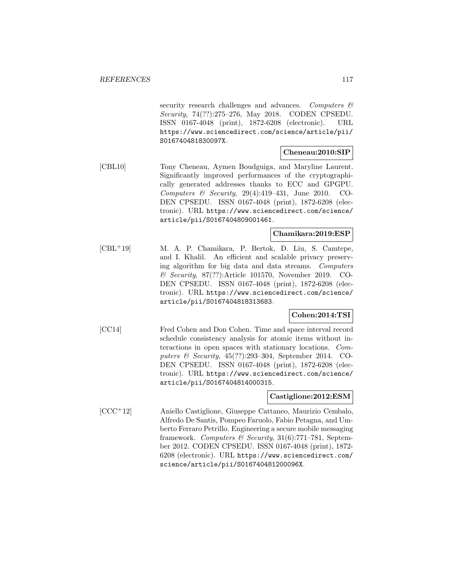security research challenges and advances. Computers & Security, 74(??):275–276, May 2018. CODEN CPSEDU. ISSN 0167-4048 (print), 1872-6208 (electronic). URL https://www.sciencedirect.com/science/article/pii/ S016740481830097X.

### **Cheneau:2010:SIP**

[CBL10] Tony Cheneau, Aymen Boudguiga, and Maryline Laurent. Significantly improved performances of the cryptographically generated addresses thanks to ECC and GPGPU. Computers & Security, 29(4):419–431, June 2010. CO-DEN CPSEDU. ISSN 0167-4048 (print), 1872-6208 (electronic). URL https://www.sciencedirect.com/science/ article/pii/S0167404809001461.

### **Chamikara:2019:ESP**

[CBL<sup>+</sup>19] M. A. P. Chamikara, P. Bertok, D. Liu, S. Camtepe, and I. Khalil. An efficient and scalable privacy preserving algorithm for big data and data streams. Computers & Security, 87(??):Article 101570, November 2019. CO-DEN CPSEDU. ISSN 0167-4048 (print), 1872-6208 (electronic). URL https://www.sciencedirect.com/science/ article/pii/S0167404818313683.

## **Cohen:2014:TSI**

[CC14] Fred Cohen and Don Cohen. Time and space interval record schedule consistency analysis for atomic items without interactions in open spaces with stationary locations. Computers & Security, 45(??):293–304, September 2014. CO-DEN CPSEDU. ISSN 0167-4048 (print), 1872-6208 (electronic). URL https://www.sciencedirect.com/science/ article/pii/S0167404814000315.

### **Castiglione:2012:ESM**

[CCC<sup>+</sup>12] Aniello Castiglione, Giuseppe Cattaneo, Maurizio Cembalo, Alfredo De Santis, Pompeo Faruolo, Fabio Petagna, and Umberto Ferraro Petrillo. Engineering a secure mobile messaging framework. Computers & Security,  $31(6)$ :771–781, September 2012. CODEN CPSEDU. ISSN 0167-4048 (print), 1872- 6208 (electronic). URL https://www.sciencedirect.com/ science/article/pii/S016740481200096X.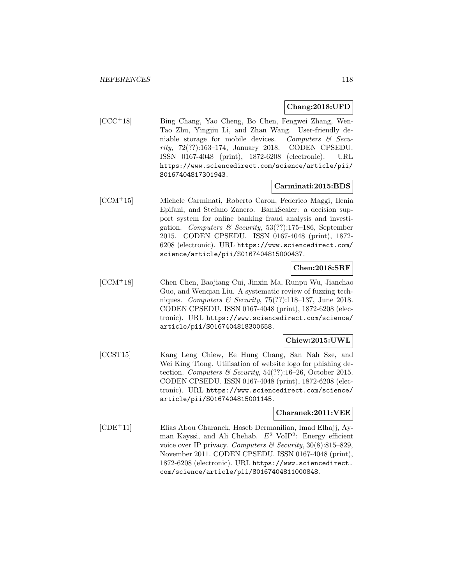#### **Chang:2018:UFD**

[CCC<sup>+</sup>18] Bing Chang, Yao Cheng, Bo Chen, Fengwei Zhang, Wen-Tao Zhu, Yingjiu Li, and Zhan Wang. User-friendly deniable storage for mobile devices. Computers  $\mathcal{B}$  Security, 72(??):163–174, January 2018. CODEN CPSEDU. ISSN 0167-4048 (print), 1872-6208 (electronic). URL https://www.sciencedirect.com/science/article/pii/ S0167404817301943.

### **Carminati:2015:BDS**

[CCM<sup>+</sup>15] Michele Carminati, Roberto Caron, Federico Maggi, Ilenia Epifani, and Stefano Zanero. BankSealer: a decision support system for online banking fraud analysis and investigation. Computers & Security,  $53(??):175-186$ , September 2015. CODEN CPSEDU. ISSN 0167-4048 (print), 1872- 6208 (electronic). URL https://www.sciencedirect.com/ science/article/pii/S0167404815000437.

## **Chen:2018:SRF**

[CCM<sup>+</sup>18] Chen Chen, Baojiang Cui, Jinxin Ma, Runpu Wu, Jianchao Guo, and Wenqian Liu. A systematic review of fuzzing techniques. Computers & Security, 75(??):118–137, June 2018. CODEN CPSEDU. ISSN 0167-4048 (print), 1872-6208 (electronic). URL https://www.sciencedirect.com/science/ article/pii/S0167404818300658.

## **Chiew:2015:UWL**

[CCST15] Kang Leng Chiew, Ee Hung Chang, San Nah Sze, and Wei King Tiong. Utilisation of website logo for phishing detection. Computers & Security, 54(??):16–26, October 2015. CODEN CPSEDU. ISSN 0167-4048 (print), 1872-6208 (electronic). URL https://www.sciencedirect.com/science/ article/pii/S0167404815001145.

## **Charanek:2011:VEE**

[CDE<sup>+</sup>11] Elias Abou Charanek, Hoseb Dermanilian, Imad Elhajj, Ayman Kayssi, and Ali Chehab.  $E^2$  VoIP<sup>2</sup>: Energy efficient voice over IP privacy. Computers & Security,  $30(8):815-829$ , November 2011. CODEN CPSEDU. ISSN 0167-4048 (print), 1872-6208 (electronic). URL https://www.sciencedirect. com/science/article/pii/S0167404811000848.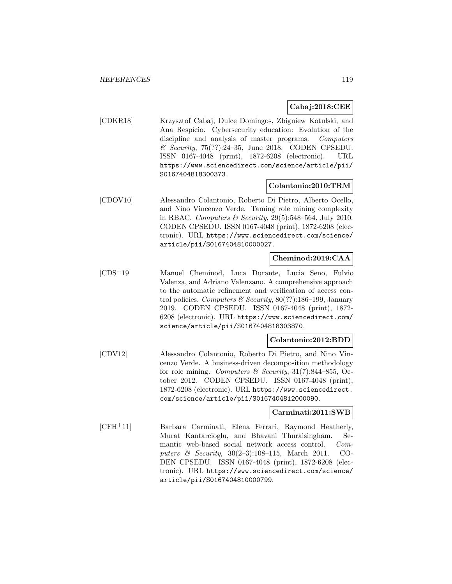## **Cabaj:2018:CEE**

[CDKR18] Krzysztof Cabaj, Dulce Domingos, Zbigniew Kotulski, and Ana Respício. Cybersecurity education: Evolution of the discipline and analysis of master programs. Computers & Security, 75(??):24–35, June 2018. CODEN CPSEDU. ISSN 0167-4048 (print), 1872-6208 (electronic). URL https://www.sciencedirect.com/science/article/pii/ S0167404818300373.

### **Colantonio:2010:TRM**

[CDOV10] Alessandro Colantonio, Roberto Di Pietro, Alberto Ocello, and Nino Vincenzo Verde. Taming role mining complexity in RBAC. Computers & Security, 29(5):548–564, July 2010. CODEN CPSEDU. ISSN 0167-4048 (print), 1872-6208 (electronic). URL https://www.sciencedirect.com/science/ article/pii/S0167404810000027.

### **Cheminod:2019:CAA**

[CDS<sup>+</sup>19] Manuel Cheminod, Luca Durante, Lucia Seno, Fulvio Valenza, and Adriano Valenzano. A comprehensive approach to the automatic refinement and verification of access control policies. Computers & Security,  $80(??)$ :186-199, January 2019. CODEN CPSEDU. ISSN 0167-4048 (print), 1872- 6208 (electronic). URL https://www.sciencedirect.com/ science/article/pii/S0167404818303870.

### **Colantonio:2012:BDD**

[CDV12] Alessandro Colantonio, Roberto Di Pietro, and Nino Vincenzo Verde. A business-driven decomposition methodology for role mining. Computers & Security,  $31(7):844-855$ , October 2012. CODEN CPSEDU. ISSN 0167-4048 (print), 1872-6208 (electronic). URL https://www.sciencedirect. com/science/article/pii/S0167404812000090.

#### **Carminati:2011:SWB**

[CFH<sup>+</sup>11] Barbara Carminati, Elena Ferrari, Raymond Heatherly, Murat Kantarcioglu, and Bhavani Thuraisingham. Semantic web-based social network access control. Computers & Security, 30(2–3):108–115, March 2011. CO-DEN CPSEDU. ISSN 0167-4048 (print), 1872-6208 (electronic). URL https://www.sciencedirect.com/science/ article/pii/S0167404810000799.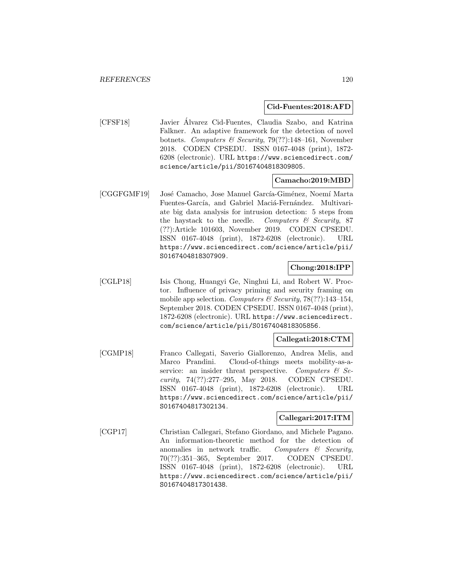#### **Cid-Fuentes:2018:AFD**

[CFSF18] Javier Alvarez Cid-Fuentes, Claudia Szabo, and Katrina ´ Falkner. An adaptive framework for the detection of novel botnets. Computers & Security, 79(??):148-161, November 2018. CODEN CPSEDU. ISSN 0167-4048 (print), 1872- 6208 (electronic). URL https://www.sciencedirect.com/ science/article/pii/S0167404818309805.

### **Camacho:2019:MBD**

[CGGFGMF19] José Camacho, Jose Manuel García-Giménez, Noemí Marta Fuentes-García, and Gabriel Maciá-Fernández. Multivariate big data analysis for intrusion detection: 5 steps from the haystack to the needle. Computers  $\mathcal C$  Security, 87 (??):Article 101603, November 2019. CODEN CPSEDU. ISSN 0167-4048 (print), 1872-6208 (electronic). URL https://www.sciencedirect.com/science/article/pii/ S0167404818307909.

# **Chong:2018:IPP**

[CGLP18] Isis Chong, Huangyi Ge, Ninghui Li, and Robert W. Proctor. Influence of privacy priming and security framing on mobile app selection. Computers & Security,  $78(??)$ :143-154, September 2018. CODEN CPSEDU. ISSN 0167-4048 (print), 1872-6208 (electronic). URL https://www.sciencedirect. com/science/article/pii/S0167404818305856.

### **Callegati:2018:CTM**

[CGMP18] Franco Callegati, Saverio Giallorenzo, Andrea Melis, and Marco Prandini. Cloud-of-things meets mobility-as-aservice: an insider threat perspective. Computers  $\mathcal{C}$  Security, 74(??):277–295, May 2018. CODEN CPSEDU. ISSN 0167-4048 (print), 1872-6208 (electronic). URL https://www.sciencedirect.com/science/article/pii/ S0167404817302134.

### **Callegari:2017:ITM**

[CGP17] Christian Callegari, Stefano Giordano, and Michele Pagano. An information-theoretic method for the detection of anomalies in network traffic. Computers  $\mathcal{C}$  Security, 70(??):351–365, September 2017. CODEN CPSEDU. ISSN 0167-4048 (print), 1872-6208 (electronic). URL https://www.sciencedirect.com/science/article/pii/ S0167404817301438.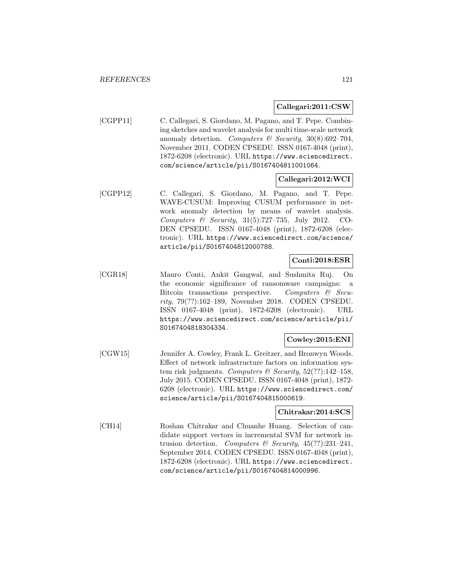### **Callegari:2011:CSW**

[CGPP11] C. Callegari, S. Giordano, M. Pagano, and T. Pepe. Combining sketches and wavelet analysis for multi time-scale network anomaly detection. Computers & Security,  $30(8):692-704$ , November 2011. CODEN CPSEDU. ISSN 0167-4048 (print), 1872-6208 (electronic). URL https://www.sciencedirect. com/science/article/pii/S0167404811001064.

### **Callegari:2012:WCI**

[CGPP12] C. Callegari, S. Giordano, M. Pagano, and T. Pepe. WAVE-CUSUM: Improving CUSUM performance in network anomaly detection by means of wavelet analysis. Computers & Security, 31(5):727–735, July 2012. CO-DEN CPSEDU. ISSN 0167-4048 (print), 1872-6208 (electronic). URL https://www.sciencedirect.com/science/ article/pii/S0167404812000788.

### **Conti:2018:ESR**

[CGR18] Mauro Conti, Ankit Gangwal, and Sushmita Ruj. On the economic significance of ransomware campaigns: a Bitcoin transactions perspective. Computers & Security, 79(??):162–189, November 2018. CODEN CPSEDU. ISSN 0167-4048 (print), 1872-6208 (electronic). URL https://www.sciencedirect.com/science/article/pii/ S0167404818304334.

## **Cowley:2015:ENI**

[CGW15] Jennifer A. Cowley, Frank L. Greitzer, and Bronwyn Woods. Effect of network infrastructure factors on information system risk judgments. Computers & Security,  $52(??)$ :142-158, July 2015. CODEN CPSEDU. ISSN 0167-4048 (print), 1872- 6208 (electronic). URL https://www.sciencedirect.com/ science/article/pii/S0167404815000619.

#### **Chitrakar:2014:SCS**

[CH14] Roshan Chitrakar and Chuanhe Huang. Selection of candidate support vectors in incremental SVM for network intrusion detection. Computers & Security,  $45(??):231-241$ , September 2014. CODEN CPSEDU. ISSN 0167-4048 (print), 1872-6208 (electronic). URL https://www.sciencedirect. com/science/article/pii/S0167404814000996.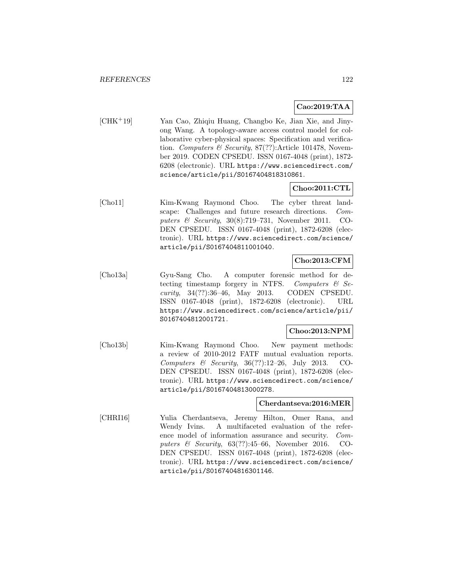### **Cao:2019:TAA**

[CHK<sup>+</sup>19] Yan Cao, Zhiqiu Huang, Changbo Ke, Jian Xie, and Jinyong Wang. A topology-aware access control model for collaborative cyber-physical spaces: Specification and verification. Computers & Security,  $87(??)$ :Article 101478, November 2019. CODEN CPSEDU. ISSN 0167-4048 (print), 1872- 6208 (electronic). URL https://www.sciencedirect.com/ science/article/pii/S0167404818310861.

# **Choo:2011:CTL**

[Cho11] Kim-Kwang Raymond Choo. The cyber threat landscape: Challenges and future research directions. Computers & Security, 30(8):719–731, November 2011. CO-DEN CPSEDU. ISSN 0167-4048 (print), 1872-6208 (electronic). URL https://www.sciencedirect.com/science/ article/pii/S0167404811001040.

## **Cho:2013:CFM**

[Cho13a] Gyu-Sang Cho. A computer forensic method for detecting timestamp forgery in NTFS. Computers  $\mathcal{C}$  Security, 34(??):36–46, May 2013. CODEN CPSEDU. ISSN 0167-4048 (print), 1872-6208 (electronic). URL https://www.sciencedirect.com/science/article/pii/ S0167404812001721.

## **Choo:2013:NPM**

[Cho13b] Kim-Kwang Raymond Choo. New payment methods: a review of 2010-2012 FATF mutual evaluation reports. Computers  $\&$  Security, 36(??):12–26, July 2013. CO-DEN CPSEDU. ISSN 0167-4048 (print), 1872-6208 (electronic). URL https://www.sciencedirect.com/science/ article/pii/S0167404813000278.

### **Cherdantseva:2016:MER**

[CHRI16] Yulia Cherdantseva, Jeremy Hilton, Omer Rana, and Wendy Ivins. A multifaceted evaluation of the reference model of information assurance and security. Computers  $\&$  Security, 63(??):45–66, November 2016. CO-DEN CPSEDU. ISSN 0167-4048 (print), 1872-6208 (electronic). URL https://www.sciencedirect.com/science/ article/pii/S0167404816301146.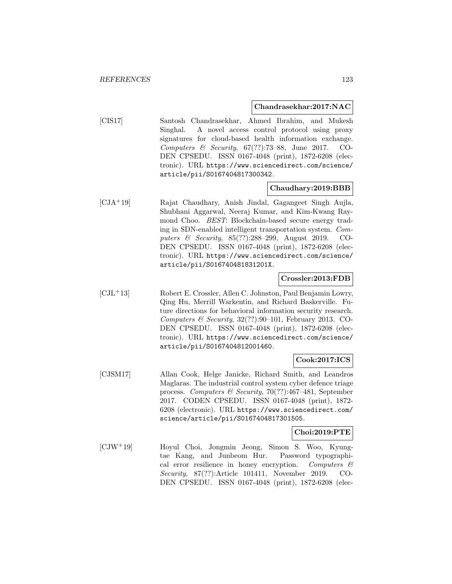#### **Chandrasekhar:2017:NAC**

[CIS17] Santosh Chandrasekhar, Ahmed Ibrahim, and Mukesh Singhal. A novel access control protocol using proxy signatures for cloud-based health information exchange. Computers  $\&$  Security, 67(??):73–88, June 2017. CO-DEN CPSEDU. ISSN 0167-4048 (print), 1872-6208 (electronic). URL https://www.sciencedirect.com/science/ article/pii/S0167404817300342.

#### **Chaudhary:2019:BBB**

[CJA<sup>+</sup>19] Rajat Chaudhary, Anish Jindal, Gagangeet Singh Aujla, Shubhani Aggarwal, Neeraj Kumar, and Kim-Kwang Raymond Choo. BEST: Blockchain-based secure energy trading in SDN-enabled intelligent transportation system. Computers & Security, 85(??):288–299, August 2019. CO-DEN CPSEDU. ISSN 0167-4048 (print), 1872-6208 (electronic). URL https://www.sciencedirect.com/science/ article/pii/S016740481831201X.

### **Crossler:2013:FDB**

[CJL<sup>+</sup>13] Robert E. Crossler, Allen C. Johnston, Paul Benjamin Lowry, Qing Hu, Merrill Warkentin, and Richard Baskerville. Future directions for behavioral information security research. Computers & Security,  $32(??):90-101$ , February 2013. CO-DEN CPSEDU. ISSN 0167-4048 (print), 1872-6208 (electronic). URL https://www.sciencedirect.com/science/ article/pii/S0167404812001460.

### **Cook:2017:ICS**

[CJSM17] Allan Cook, Helge Janicke, Richard Smith, and Leandros Maglaras. The industrial control system cyber defence triage process. Computers & Security, 70(??):467-481, September 2017. CODEN CPSEDU. ISSN 0167-4048 (print), 1872- 6208 (electronic). URL https://www.sciencedirect.com/ science/article/pii/S0167404817301505.

### **Choi:2019:PTE**

[CJW<sup>+</sup>19] Hoyul Choi, Jongmin Jeong, Simon S. Woo, Kyungtae Kang, and Junbeom Hur. Password typographical error resilience in honey encryption. Computers  $\mathcal{C}$ Security, 87(??):Article 101411, November 2019. CO-DEN CPSEDU. ISSN 0167-4048 (print), 1872-6208 (elec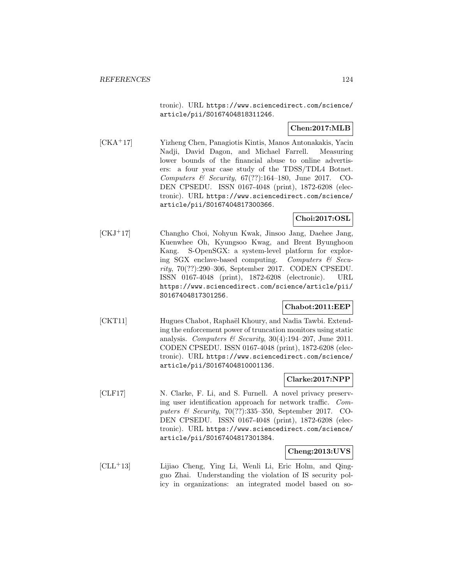tronic). URL https://www.sciencedirect.com/science/ article/pii/S0167404818311246.

# **Chen:2017:MLB**

[CKA<sup>+</sup>17] Yizheng Chen, Panagiotis Kintis, Manos Antonakakis, Yacin Nadji, David Dagon, and Michael Farrell. Measuring lower bounds of the financial abuse to online advertisers: a four year case study of the TDSS/TDL4 Botnet. Computers  $\mathcal B$  Security, 67(??):164-180, June 2017. CO-DEN CPSEDU. ISSN 0167-4048 (print), 1872-6208 (electronic). URL https://www.sciencedirect.com/science/ article/pii/S0167404817300366.

# **Choi:2017:OSL**

[CKJ<sup>+</sup>17] Changho Choi, Nohyun Kwak, Jinsoo Jang, Daehee Jang, Kuenwhee Oh, Kyungsoo Kwag, and Brent Byunghoon Kang. S-OpenSGX: a system-level platform for exploring SGX enclave-based computing. Computers  $\mathcal{C}$  Security, 70(??):290–306, September 2017. CODEN CPSEDU. ISSN 0167-4048 (print), 1872-6208 (electronic). URL https://www.sciencedirect.com/science/article/pii/ S0167404817301256.

## **Chabot:2011:EEP**

[CKT11] Hugues Chabot, Raphaël Khoury, and Nadia Tawbi. Extending the enforcement power of truncation monitors using static analysis. Computers & Security,  $30(4):194-207$ , June 2011. CODEN CPSEDU. ISSN 0167-4048 (print), 1872-6208 (electronic). URL https://www.sciencedirect.com/science/ article/pii/S0167404810001136.

### **Clarke:2017:NPP**

[CLF17] N. Clarke, F. Li, and S. Furnell. A novel privacy preserving user identification approach for network traffic. Computers & Security, 70(??):335–350, September 2017. CO-DEN CPSEDU. ISSN 0167-4048 (print), 1872-6208 (electronic). URL https://www.sciencedirect.com/science/ article/pii/S0167404817301384.

### **Cheng:2013:UVS**

[CLL<sup>+</sup>13] Lijiao Cheng, Ying Li, Wenli Li, Eric Holm, and Qingguo Zhai. Understanding the violation of IS security policy in organizations: an integrated model based on so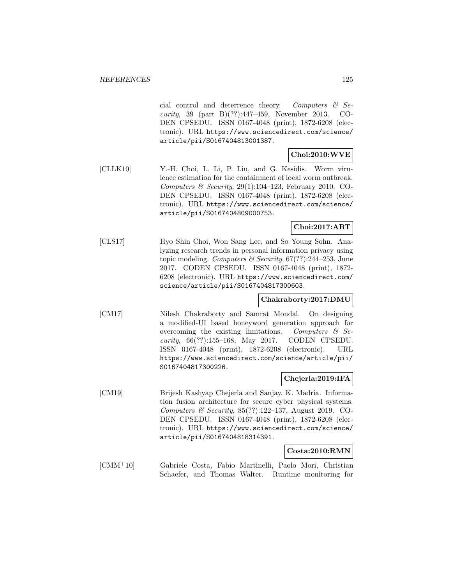cial control and deterrence theory. Computers & Security, 39 (part B)(??):447–459, November 2013. CO-DEN CPSEDU. ISSN 0167-4048 (print), 1872-6208 (electronic). URL https://www.sciencedirect.com/science/ article/pii/S0167404813001387.

# **Choi:2010:WVE**

[CLLK10] Y.-H. Choi, L. Li, P. Liu, and G. Kesidis. Worm virulence estimation for the containment of local worm outbreak. Computers & Security,  $29(1):104-123$ , February 2010. CO-DEN CPSEDU. ISSN 0167-4048 (print), 1872-6208 (electronic). URL https://www.sciencedirect.com/science/ article/pii/S0167404809000753.

### **Choi:2017:ART**

[CLS17] Hyo Shin Choi, Won Sang Lee, and So Young Sohn. Analyzing research trends in personal information privacy using topic modeling. Computers  $\mathcal C$  Security, 67(??):244–253, June 2017. CODEN CPSEDU. ISSN 0167-4048 (print), 1872- 6208 (electronic). URL https://www.sciencedirect.com/ science/article/pii/S0167404817300603.

### **Chakraborty:2017:DMU**

[CM17] Nilesh Chakraborty and Samrat Mondal. On designing a modified-UI based honeyword generation approach for overcoming the existing limitations. Computers  $\mathcal{C}$  Security, 66(??):155–168, May 2017. CODEN CPSEDU. ISSN 0167-4048 (print), 1872-6208 (electronic). URL https://www.sciencedirect.com/science/article/pii/ S0167404817300226.

### **Chejerla:2019:IFA**

[CM19] Brijesh Kashyap Chejerla and Sanjay. K. Madria. Information fusion architecture for secure cyber physical systems. Computers & Security,  $85(??):122-137$ , August 2019. CO-DEN CPSEDU. ISSN 0167-4048 (print), 1872-6208 (electronic). URL https://www.sciencedirect.com/science/ article/pii/S0167404818314391.

#### **Costa:2010:RMN**

[CMM<sup>+</sup>10] Gabriele Costa, Fabio Martinelli, Paolo Mori, Christian Schaefer, and Thomas Walter. Runtime monitoring for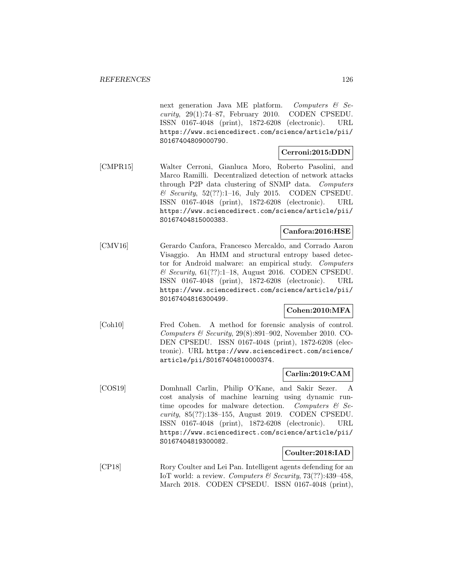next generation Java ME platform. Computers  $\mathcal{C}$  Se*curity*,  $29(1):74-87$ , February 2010. CODEN CPSEDU. ISSN 0167-4048 (print), 1872-6208 (electronic). URL https://www.sciencedirect.com/science/article/pii/ S0167404809000790.

### **Cerroni:2015:DDN**

[CMPR15] Walter Cerroni, Gianluca Moro, Roberto Pasolini, and Marco Ramilli. Decentralized detection of network attacks through P2P data clustering of SNMP data. Computers  $\&$  Security, 52(??):1-16, July 2015. CODEN CPSEDU. ISSN 0167-4048 (print), 1872-6208 (electronic). URL https://www.sciencedirect.com/science/article/pii/ S0167404815000383.

### **Canfora:2016:HSE**

[CMV16] Gerardo Canfora, Francesco Mercaldo, and Corrado Aaron Visaggio. An HMM and structural entropy based detector for Android malware: an empirical study. Computers  $\&$  Security, 61(??):1–18, August 2016. CODEN CPSEDU. ISSN 0167-4048 (print), 1872-6208 (electronic). URL https://www.sciencedirect.com/science/article/pii/ S0167404816300499.

### **Cohen:2010:MFA**

[Coh10] Fred Cohen. A method for forensic analysis of control. Computers  $\mathcal B$  Security, 29(8):891–902, November 2010. CO-DEN CPSEDU. ISSN 0167-4048 (print), 1872-6208 (electronic). URL https://www.sciencedirect.com/science/ article/pii/S0167404810000374.

### **Carlin:2019:CAM**

[COS19] Domhnall Carlin, Philip O'Kane, and Sakir Sezer. A cost analysis of machine learning using dynamic runtime opcodes for malware detection. Computers  $\mathcal{C}$  Security, 85(??):138–155, August 2019. CODEN CPSEDU. ISSN 0167-4048 (print), 1872-6208 (electronic). URL https://www.sciencedirect.com/science/article/pii/ S0167404819300082.

### **Coulter:2018:IAD**

[CP18] Rory Coulter and Lei Pan. Intelligent agents defending for an IoT world: a review. Computers & Security,  $73(??)$ :439-458, March 2018. CODEN CPSEDU. ISSN 0167-4048 (print),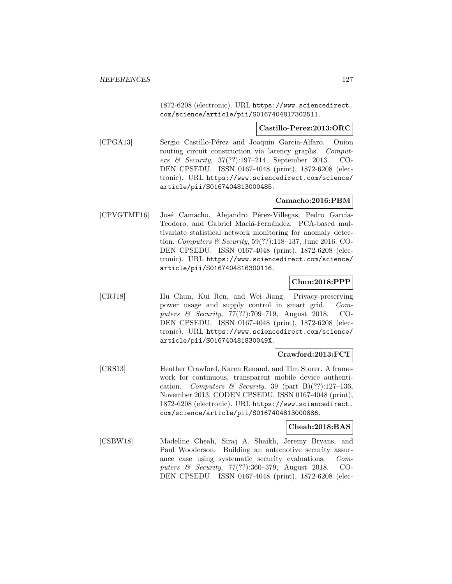1872-6208 (electronic). URL https://www.sciencedirect. com/science/article/pii/S0167404817302511.

#### **Castillo-Perez:2013:ORC**

[CPGA13] Sergio Castillo-Pérez and Joaquin Garcia-Alfaro. Onion routing circuit construction via latency graphs. Computers & Security, 37(??):197–214, September 2013. CO-DEN CPSEDU. ISSN 0167-4048 (print), 1872-6208 (electronic). URL https://www.sciencedirect.com/science/ article/pii/S0167404813000485.

### **Camacho:2016:PBM**

[CPVGTMF16] José Camacho, Alejandro Pérez-Villegas, Pedro García-Teodoro, and Gabriel Maciá-Fernández. PCA-based multivariate statistical network monitoring for anomaly detection. Computers & Security, 59(??):118–137, June 2016. CO-DEN CPSEDU. ISSN 0167-4048 (print), 1872-6208 (electronic). URL https://www.sciencedirect.com/science/ article/pii/S0167404816300116.

## **Chun:2018:PPP**

[CRJ18] Hu Chun, Kui Ren, and Wei Jiang. Privacy-preserving power usage and supply control in smart grid. Computers & Security, 77(??):709–719, August 2018. CO-DEN CPSEDU. ISSN 0167-4048 (print), 1872-6208 (electronic). URL https://www.sciencedirect.com/science/ article/pii/S016740481830049X.

### **Crawford:2013:FCT**

[CRS13] Heather Crawford, Karen Renaud, and Tim Storer. A framework for continuous, transparent mobile device authentication. Computers & Security, 39 (part B)(??):127-136, November 2013. CODEN CPSEDU. ISSN 0167-4048 (print), 1872-6208 (electronic). URL https://www.sciencedirect. com/science/article/pii/S0167404813000886.

# **Cheah:2018:BAS**

[CSBW18] Madeline Cheah, Siraj A. Shaikh, Jeremy Bryans, and Paul Wooderson. Building an automotive security assurance case using systematic security evaluations. Computers & Security, 77(??):360–379, August 2018. CO-DEN CPSEDU. ISSN 0167-4048 (print), 1872-6208 (elec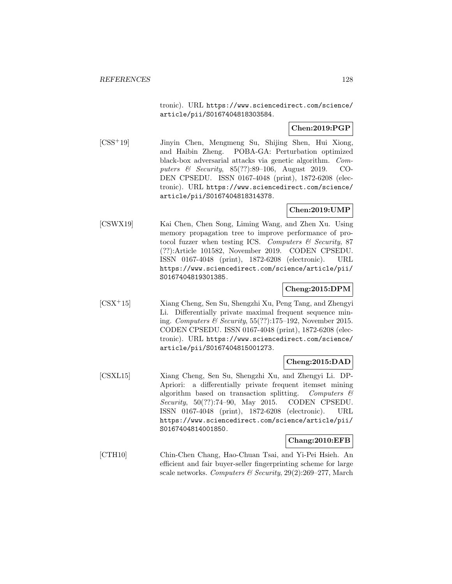tronic). URL https://www.sciencedirect.com/science/ article/pii/S0167404818303584.

## **Chen:2019:PGP**

[CSS<sup>+</sup>19] Jinyin Chen, Mengmeng Su, Shijing Shen, Hui Xiong, and Haibin Zheng. POBA-GA: Perturbation optimized black-box adversarial attacks via genetic algorithm. Computers & Security, 85(??):89–106, August 2019. CO-DEN CPSEDU. ISSN 0167-4048 (print), 1872-6208 (electronic). URL https://www.sciencedirect.com/science/ article/pii/S0167404818314378.

## **Chen:2019:UMP**

[CSWX19] Kai Chen, Chen Song, Liming Wang, and Zhen Xu. Using memory propagation tree to improve performance of protocol fuzzer when testing ICS. Computers  $\mathcal C$  Security, 87 (??):Article 101582, November 2019. CODEN CPSEDU. ISSN 0167-4048 (print), 1872-6208 (electronic). URL https://www.sciencedirect.com/science/article/pii/ S0167404819301385.

### **Cheng:2015:DPM**

[CSX<sup>+</sup>15] Xiang Cheng, Sen Su, Shengzhi Xu, Peng Tang, and Zhengyi Li. Differentially private maximal frequent sequence mining. Computers & Security, 55(??):175–192, November 2015. CODEN CPSEDU. ISSN 0167-4048 (print), 1872-6208 (electronic). URL https://www.sciencedirect.com/science/ article/pii/S0167404815001273.

#### **Cheng:2015:DAD**

[CSXL15] Xiang Cheng, Sen Su, Shengzhi Xu, and Zhengyi Li. DP-Apriori: a differentially private frequent itemset mining algorithm based on transaction splitting. Computers  $\mathcal{C}$ Security, 50(??):74–90, May 2015. CODEN CPSEDU. ISSN 0167-4048 (print), 1872-6208 (electronic). URL https://www.sciencedirect.com/science/article/pii/ S0167404814001850.

### **Chang:2010:EFB**

[CTH10] Chin-Chen Chang, Hao-Chuan Tsai, and Yi-Pei Hsieh. An efficient and fair buyer-seller fingerprinting scheme for large scale networks. Computers & Security,  $29(2):269-277$ , March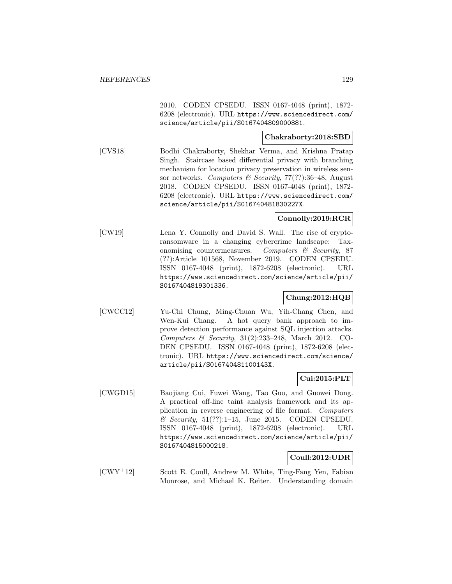2010. CODEN CPSEDU. ISSN 0167-4048 (print), 1872- 6208 (electronic). URL https://www.sciencedirect.com/ science/article/pii/S0167404809000881.

### **Chakraborty:2018:SBD**

[CVS18] Bodhi Chakraborty, Shekhar Verma, and Krishna Pratap Singh. Staircase based differential privacy with branching mechanism for location privacy preservation in wireless sensor networks. Computers & Security, 77(??):36-48, August 2018. CODEN CPSEDU. ISSN 0167-4048 (print), 1872- 6208 (electronic). URL https://www.sciencedirect.com/ science/article/pii/S016740481830227X.

# **Connolly:2019:RCR**

[CW19] Lena Y. Connolly and David S. Wall. The rise of cryptoransomware in a changing cybercrime landscape: Taxonomising countermeasures. Computers & Security, 87 (??):Article 101568, November 2019. CODEN CPSEDU. ISSN 0167-4048 (print), 1872-6208 (electronic). URL https://www.sciencedirect.com/science/article/pii/ S0167404819301336.

## **Chung:2012:HQB**

[CWCC12] Yu-Chi Chung, Ming-Chuan Wu, Yih-Chang Chen, and Wen-Kui Chang. A hot query bank approach to improve detection performance against SQL injection attacks. Computers & Security,  $31(2):233-248$ , March 2012. CO-DEN CPSEDU. ISSN 0167-4048 (print), 1872-6208 (electronic). URL https://www.sciencedirect.com/science/ article/pii/S016740481100143X.

### **Cui:2015:PLT**

[CWGD15] Baojiang Cui, Fuwei Wang, Tao Guo, and Guowei Dong. A practical off-line taint analysis framework and its application in reverse engineering of file format. Computers  $\&$  Security, 51(??):1-15, June 2015. CODEN CPSEDU. ISSN 0167-4048 (print), 1872-6208 (electronic). URL https://www.sciencedirect.com/science/article/pii/ S0167404815000218.

### **Coull:2012:UDR**

[CWY<sup>+</sup>12] Scott E. Coull, Andrew M. White, Ting-Fang Yen, Fabian Monrose, and Michael K. Reiter. Understanding domain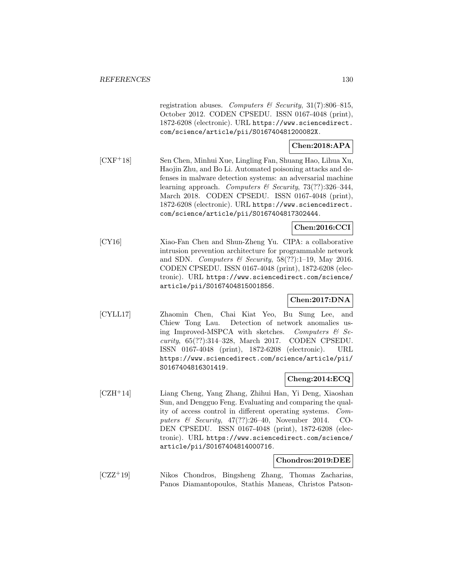registration abuses. Computers & Security, 31(7):806-815, October 2012. CODEN CPSEDU. ISSN 0167-4048 (print), 1872-6208 (electronic). URL https://www.sciencedirect. com/science/article/pii/S016740481200082X.

# **Chen:2018:APA**

[CXF<sup>+</sup>18] Sen Chen, Minhui Xue, Lingling Fan, Shuang Hao, Lihua Xu, Haojin Zhu, and Bo Li. Automated poisoning attacks and defenses in malware detection systems: an adversarial machine learning approach. Computers & Security, 73(??):326-344, March 2018. CODEN CPSEDU. ISSN 0167-4048 (print), 1872-6208 (electronic). URL https://www.sciencedirect. com/science/article/pii/S0167404817302444.

### **Chen:2016:CCI**

[CY16] Xiao-Fan Chen and Shun-Zheng Yu. CIPA: a collaborative intrusion prevention architecture for programmable network and SDN. Computers & Security,  $58(??):1-19$ , May 2016. CODEN CPSEDU. ISSN 0167-4048 (print), 1872-6208 (electronic). URL https://www.sciencedirect.com/science/ article/pii/S0167404815001856.

# **Chen:2017:DNA**

[CYLL17] Zhaomin Chen, Chai Kiat Yeo, Bu Sung Lee, and Chiew Tong Lau. Detection of network anomalies using Improved-MSPCA with sketches. Computers  $\mathcal{C}$  Security, 65(??):314–328, March 2017. CODEN CPSEDU. ISSN 0167-4048 (print), 1872-6208 (electronic). URL https://www.sciencedirect.com/science/article/pii/ S0167404816301419.

### **Cheng:2014:ECQ**

[CZH<sup>+</sup>14] Liang Cheng, Yang Zhang, Zhihui Han, Yi Deng, Xiaoshan Sun, and Dengguo Feng. Evaluating and comparing the quality of access control in different operating systems. Computers & Security, 47(??):26–40, November 2014. CO-DEN CPSEDU. ISSN 0167-4048 (print), 1872-6208 (electronic). URL https://www.sciencedirect.com/science/ article/pii/S0167404814000716.

### **Chondros:2019:DEE**

[CZZ<sup>+</sup>19] Nikos Chondros, Bingsheng Zhang, Thomas Zacharias, Panos Diamantopoulos, Stathis Maneas, Christos Patson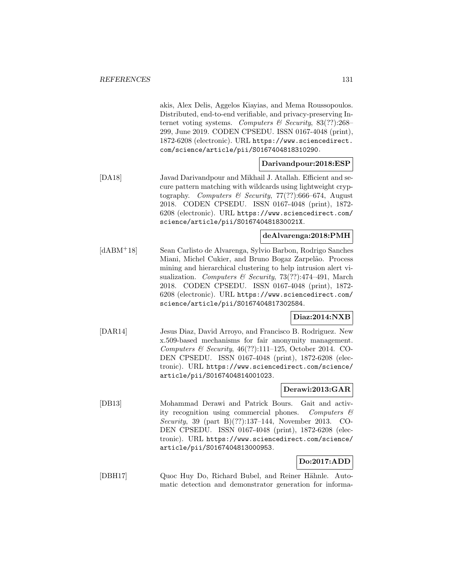akis, Alex Delis, Aggelos Kiayias, and Mema Roussopoulos. Distributed, end-to-end verifiable, and privacy-preserving Internet voting systems. Computers  $\mathcal C$  Security, 83(??):268– 299, June 2019. CODEN CPSEDU. ISSN 0167-4048 (print), 1872-6208 (electronic). URL https://www.sciencedirect. com/science/article/pii/S0167404818310290.

### **Darivandpour:2018:ESP**

[DA18] Javad Darivandpour and Mikhail J. Atallah. Efficient and secure pattern matching with wildcards using lightweight cryptography. Computers & Security, 77(??):666–674, August 2018. CODEN CPSEDU. ISSN 0167-4048 (print), 1872- 6208 (electronic). URL https://www.sciencedirect.com/ science/article/pii/S016740481830021X.

## **deAlvarenga:2018:PMH**

[dABM<sup>+</sup>18] Sean Carlisto de Alvarenga, Sylvio Barbon, Rodrigo Sanches Miani, Michel Cukier, and Bruno Bogaz Zarpelão. Process mining and hierarchical clustering to help intrusion alert visualization. Computers & Security, 73(??):474-491, March 2018. CODEN CPSEDU. ISSN 0167-4048 (print), 1872- 6208 (electronic). URL https://www.sciencedirect.com/ science/article/pii/S0167404817302584.

### **Diaz:2014:NXB**

[DAR14] Jesus Diaz, David Arroyo, and Francisco B. Rodriguez. New x.509-based mechanisms for fair anonymity management. Computers & Security, 46(??):111–125, October 2014. CO-DEN CPSEDU. ISSN 0167-4048 (print), 1872-6208 (electronic). URL https://www.sciencedirect.com/science/ article/pii/S0167404814001023.

### **Derawi:2013:GAR**

[DB13] Mohammad Derawi and Patrick Bours. Gait and activity recognition using commercial phones. Computers  $\mathcal{C}$ Security, 39 (part B)(??):137–144, November 2013. CO-DEN CPSEDU. ISSN 0167-4048 (print), 1872-6208 (electronic). URL https://www.sciencedirect.com/science/ article/pii/S0167404813000953.

# **Do:2017:ADD**

[DBH17] Quoc Huy Do, Richard Bubel, and Reiner Hähnle. Automatic detection and demonstrator generation for informa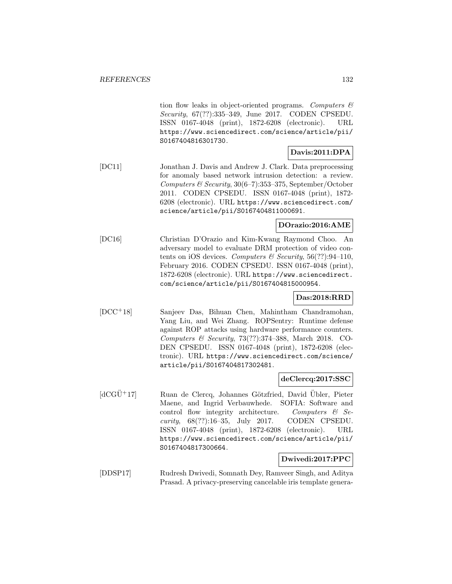tion flow leaks in object-oriented programs. Computers  $\mathcal{C}$ Security, 67(??):335–349, June 2017. CODEN CPSEDU. ISSN 0167-4048 (print), 1872-6208 (electronic). URL https://www.sciencedirect.com/science/article/pii/ S0167404816301730.

# **Davis:2011:DPA**

[DC11] Jonathan J. Davis and Andrew J. Clark. Data preprocessing for anomaly based network intrusion detection: a review. Computers & Security, 30(6–7):353–375, September/October 2011. CODEN CPSEDU. ISSN 0167-4048 (print), 1872- 6208 (electronic). URL https://www.sciencedirect.com/ science/article/pii/S0167404811000691.

### **DOrazio:2016:AME**

[DC16] Christian D'Orazio and Kim-Kwang Raymond Choo. An adversary model to evaluate DRM protection of video contents on iOS devices. Computers & Security,  $56(??)$ :94-110, February 2016. CODEN CPSEDU. ISSN 0167-4048 (print), 1872-6208 (electronic). URL https://www.sciencedirect. com/science/article/pii/S0167404815000954.

## **Das:2018:RRD**

[DCC<sup>+</sup>18] Sanjeev Das, Bihuan Chen, Mahintham Chandramohan, Yang Liu, and Wei Zhang. ROPSentry: Runtime defense against ROP attacks using hardware performance counters. Computers & Security, 73(??):374–388, March 2018. CO-DEN CPSEDU. ISSN 0167-4048 (print), 1872-6208 (electronic). URL https://www.sciencedirect.com/science/ article/pii/S0167404817302481.

### **deClercq:2017:SSC**

 $[dCG\ddot{U}^+17]$  Ruan de Clercq, Johannes Götzfried, David Übler, Pieter Maene, and Ingrid Verbauwhede. SOFIA: Software and control flow integrity architecture. Computers  $\mathcal{C}$  Security, 68(??):16–35, July 2017. CODEN CPSEDU. ISSN 0167-4048 (print), 1872-6208 (electronic). URL https://www.sciencedirect.com/science/article/pii/ S0167404817300664.

### **Dwivedi:2017:PPC**

[DDSP17] Rudresh Dwivedi, Somnath Dey, Ramveer Singh, and Aditya Prasad. A privacy-preserving cancelable iris template genera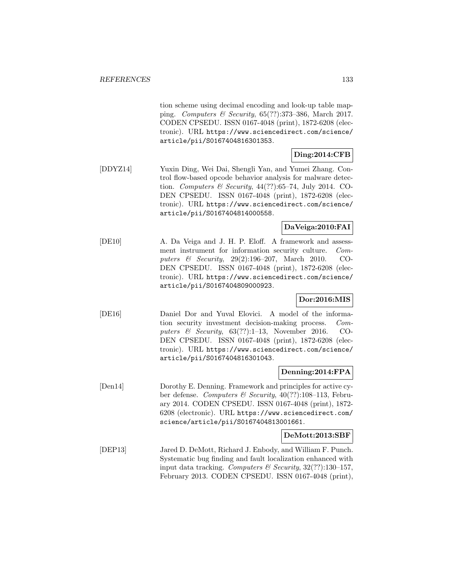tion scheme using decimal encoding and look-up table mapping. Computers & Security,  $65(??)$ :373-386, March 2017. CODEN CPSEDU. ISSN 0167-4048 (print), 1872-6208 (electronic). URL https://www.sciencedirect.com/science/ article/pii/S0167404816301353.

# **Ding:2014:CFB**

[DDYZ14] Yuxin Ding, Wei Dai, Shengli Yan, and Yumei Zhang. Control flow-based opcode behavior analysis for malware detection. Computers & Security, 44(??):65–74, July 2014. CO-DEN CPSEDU. ISSN 0167-4048 (print), 1872-6208 (electronic). URL https://www.sciencedirect.com/science/ article/pii/S0167404814000558.

### **DaVeiga:2010:FAI**

[DE10] A. Da Veiga and J. H. P. Eloff. A framework and assessment instrument for information security culture. Computers & Security, 29(2):196–207, March 2010. CO-DEN CPSEDU. ISSN 0167-4048 (print), 1872-6208 (electronic). URL https://www.sciencedirect.com/science/ article/pii/S0167404809000923.

# **Dor:2016:MIS**

[DE16] Daniel Dor and Yuval Elovici. A model of the information security investment decision-making process. Computers & Security,  $63(??):1-13$ , November 2016. CO-DEN CPSEDU. ISSN 0167-4048 (print), 1872-6208 (electronic). URL https://www.sciencedirect.com/science/ article/pii/S0167404816301043.

## **Denning:2014:FPA**

[Den14] Dorothy E. Denning. Framework and principles for active cyber defense. Computers & Security, 40(??):108–113, February 2014. CODEN CPSEDU. ISSN 0167-4048 (print), 1872- 6208 (electronic). URL https://www.sciencedirect.com/ science/article/pii/S0167404813001661.

### **DeMott:2013:SBF**

[DEP13] Jared D. DeMott, Richard J. Enbody, and William F. Punch. Systematic bug finding and fault localization enhanced with input data tracking. Computers & Security,  $32(??)$ :130-157, February 2013. CODEN CPSEDU. ISSN 0167-4048 (print),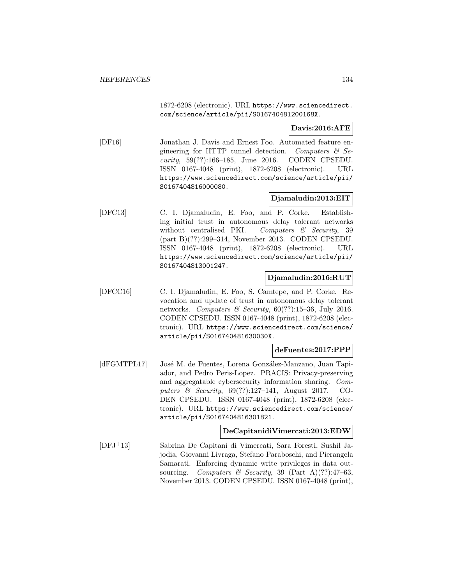1872-6208 (electronic). URL https://www.sciencedirect. com/science/article/pii/S016740481200168X.

### **Davis:2016:AFE**

[DF16] Jonathan J. Davis and Ernest Foo. Automated feature engineering for HTTP tunnel detection. Computers  $\mathcal{C}$  Security, 59(??):166–185, June 2016. CODEN CPSEDU. ISSN 0167-4048 (print), 1872-6208 (electronic). URL https://www.sciencedirect.com/science/article/pii/ S0167404816000080.

# **Djamaludin:2013:EIT**

[DFC13] C. I. Djamaludin, E. Foo, and P. Corke. Establishing initial trust in autonomous delay tolerant networks without centralised PKI. Computers  $\mathcal{C}$  Security, 39 (part B)(??):299–314, November 2013. CODEN CPSEDU. ISSN 0167-4048 (print), 1872-6208 (electronic). URL https://www.sciencedirect.com/science/article/pii/ S0167404813001247.

### **Djamaludin:2016:RUT**

[DFCC16] C. I. Djamaludin, E. Foo, S. Camtepe, and P. Corke. Revocation and update of trust in autonomous delay tolerant networks. Computers & Security,  $60(??):15-36$ , July 2016. CODEN CPSEDU. ISSN 0167-4048 (print), 1872-6208 (electronic). URL https://www.sciencedirect.com/science/ article/pii/S016740481630030X.

### **deFuentes:2017:PPP**

[dFGMTPL17] José M. de Fuentes, Lorena González-Manzano, Juan Tapiador, and Pedro Peris-Lopez. PRACIS: Privacy-preserving and aggregatable cybersecurity information sharing. Computers & Security, 69(??):127–141, August 2017. CO-DEN CPSEDU. ISSN 0167-4048 (print), 1872-6208 (electronic). URL https://www.sciencedirect.com/science/ article/pii/S0167404816301821.

### **DeCapitanidiVimercati:2013:EDW**

[DFJ<sup>+</sup>13] Sabrina De Capitani di Vimercati, Sara Foresti, Sushil Jajodia, Giovanni Livraga, Stefano Paraboschi, and Pierangela Samarati. Enforcing dynamic write privileges in data outsourcing. Computers & Security, 39 (Part A)(??):47-63, November 2013. CODEN CPSEDU. ISSN 0167-4048 (print),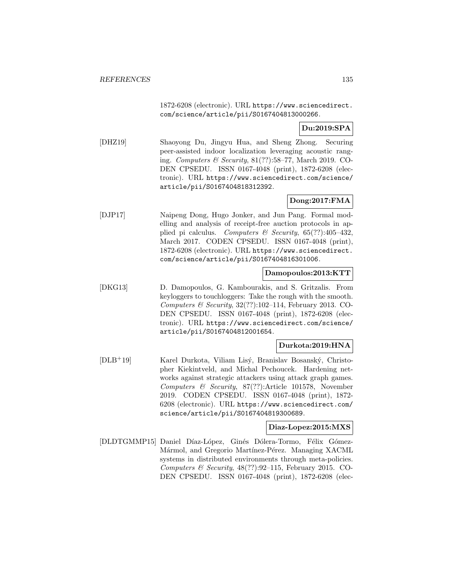1872-6208 (electronic). URL https://www.sciencedirect. com/science/article/pii/S0167404813000266.

# **Du:2019:SPA**

[DHZ19] Shaoyong Du, Jingyu Hua, and Sheng Zhong. Securing peer-assisted indoor localization leveraging acoustic ranging. Computers & Security, 81(??):58–77, March 2019. CO-DEN CPSEDU. ISSN 0167-4048 (print), 1872-6208 (electronic). URL https://www.sciencedirect.com/science/ article/pii/S0167404818312392.

# **Dong:2017:FMA**

[DJP17] Naipeng Dong, Hugo Jonker, and Jun Pang. Formal modelling and analysis of receipt-free auction protocols in applied pi calculus. Computers & Security,  $65(??):405-432$ , March 2017. CODEN CPSEDU. ISSN 0167-4048 (print), 1872-6208 (electronic). URL https://www.sciencedirect. com/science/article/pii/S0167404816301006.

## **Damopoulos:2013:KTT**

[DKG13] D. Damopoulos, G. Kambourakis, and S. Gritzalis. From keyloggers to touchloggers: Take the rough with the smooth. Computers & Security,  $32(??):102-114$ , February 2013. CO-DEN CPSEDU. ISSN 0167-4048 (print), 1872-6208 (electronic). URL https://www.sciencedirect.com/science/ article/pii/S0167404812001654.

## **Durkota:2019:HNA**

[DLB+19] Karel Durkota, Viliam Lisý, Branislav Bosanský, Christopher Kiekintveld, and Michal Pechoucek. Hardening networks against strategic attackers using attack graph games. Computers & Security, 87(??):Article 101578, November 2019. CODEN CPSEDU. ISSN 0167-4048 (print), 1872- 6208 (electronic). URL https://www.sciencedirect.com/ science/article/pii/S0167404819300689.

### **Diaz-Lopez:2015:MXS**

[DLDTGMMP15] Daniel Díaz-López, Ginés Dólera-Tormo, Félix Gómez-Mármol, and Gregorio Martínez-Pérez. Managing XACML systems in distributed environments through meta-policies. Computers & Security,  $48(??):92-115$ , February 2015. CO-DEN CPSEDU. ISSN 0167-4048 (print), 1872-6208 (elec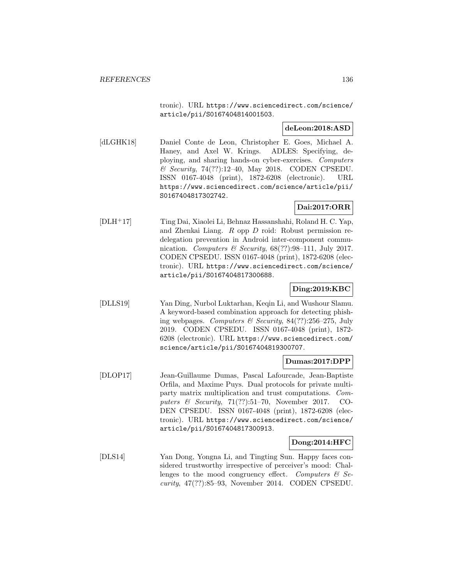tronic). URL https://www.sciencedirect.com/science/ article/pii/S0167404814001503.

### **deLeon:2018:ASD**

[dLGHK18] Daniel Conte de Leon, Christopher E. Goes, Michael A. Haney, and Axel W. Krings. ADLES: Specifying, deploying, and sharing hands-on cyber-exercises. Computers & Security, 74(??):12–40, May 2018. CODEN CPSEDU. ISSN 0167-4048 (print), 1872-6208 (electronic). URL https://www.sciencedirect.com/science/article/pii/ S0167404817302742.

# **Dai:2017:ORR**

[DLH<sup>+</sup>17] Ting Dai, Xiaolei Li, Behnaz Hassanshahi, Roland H. C. Yap, and Zhenkai Liang. R opp D roid: Robust permission redelegation prevention in Android inter-component communication. Computers  $\mathcal B$  Security, 68(??):98-111, July 2017. CODEN CPSEDU. ISSN 0167-4048 (print), 1872-6208 (electronic). URL https://www.sciencedirect.com/science/ article/pii/S0167404817300688.

### **Ding:2019:KBC**

[DLLS19] Yan Ding, Nurbol Luktarhan, Keqin Li, and Wushour Slamu. A keyword-based combination approach for detecting phishing webpages. Computers & Security,  $84(??):256-275$ , July 2019. CODEN CPSEDU. ISSN 0167-4048 (print), 1872- 6208 (electronic). URL https://www.sciencedirect.com/ science/article/pii/S0167404819300707.

### **Dumas:2017:DPP**

[DLOP17] Jean-Guillaume Dumas, Pascal Lafourcade, Jean-Baptiste Orfila, and Maxime Puys. Dual protocols for private multiparty matrix multiplication and trust computations. Computers & Security, 71(??):51-70, November 2017. CO-DEN CPSEDU. ISSN 0167-4048 (print), 1872-6208 (electronic). URL https://www.sciencedirect.com/science/ article/pii/S0167404817300913.

### **Dong:2014:HFC**

[DLS14] Yan Dong, Yongna Li, and Tingting Sun. Happy faces considered trustworthy irrespective of perceiver's mood: Challenges to the mood congruency effect. Computers  $\mathcal{C}$  Security, 47(??):85–93, November 2014. CODEN CPSEDU.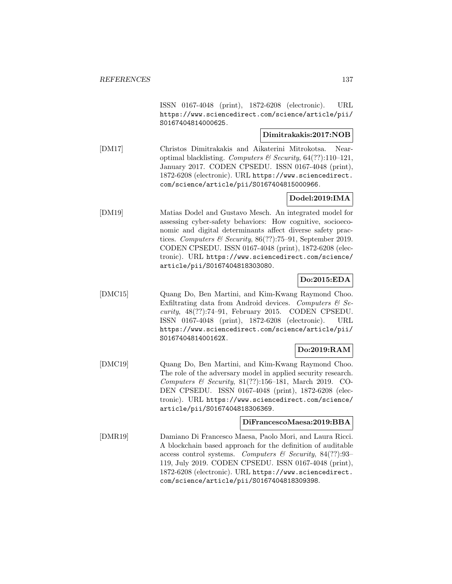ISSN 0167-4048 (print), 1872-6208 (electronic). URL https://www.sciencedirect.com/science/article/pii/ S0167404814000625.

## **Dimitrakakis:2017:NOB**

[DM17] Christos Dimitrakakis and Aikaterini Mitrokotsa. Nearoptimal blacklisting. Computers & Security,  $64(??):110-121$ , January 2017. CODEN CPSEDU. ISSN 0167-4048 (print), 1872-6208 (electronic). URL https://www.sciencedirect. com/science/article/pii/S0167404815000966.

# **Dodel:2019:IMA**

[DM19] Matias Dodel and Gustavo Mesch. An integrated model for assessing cyber-safety behaviors: How cognitive, socioeconomic and digital determinants affect diverse safety practices. Computers & Security, 86(??):75–91, September 2019. CODEN CPSEDU. ISSN 0167-4048 (print), 1872-6208 (electronic). URL https://www.sciencedirect.com/science/ article/pii/S0167404818303080.

# **Do:2015:EDA**

[DMC15] Quang Do, Ben Martini, and Kim-Kwang Raymond Choo. Exfiltrating data from Android devices. Computers  $\mathcal{C}$  Security, 48(??):74–91, February 2015. CODEN CPSEDU. ISSN 0167-4048 (print), 1872-6208 (electronic). URL https://www.sciencedirect.com/science/article/pii/ S016740481400162X.

## **Do:2019:RAM**

[DMC19] Quang Do, Ben Martini, and Kim-Kwang Raymond Choo. The role of the adversary model in applied security research. Computers & Security, 81(??):156–181, March 2019. CO-DEN CPSEDU. ISSN 0167-4048 (print), 1872-6208 (electronic). URL https://www.sciencedirect.com/science/ article/pii/S0167404818306369.

### **DiFrancescoMaesa:2019:BBA**

[DMR19] Damiano Di Francesco Maesa, Paolo Mori, and Laura Ricci. A blockchain based approach for the definition of auditable access control systems. Computers & Security, 84 $(??)$ :93– 119, July 2019. CODEN CPSEDU. ISSN 0167-4048 (print), 1872-6208 (electronic). URL https://www.sciencedirect. com/science/article/pii/S0167404818309398.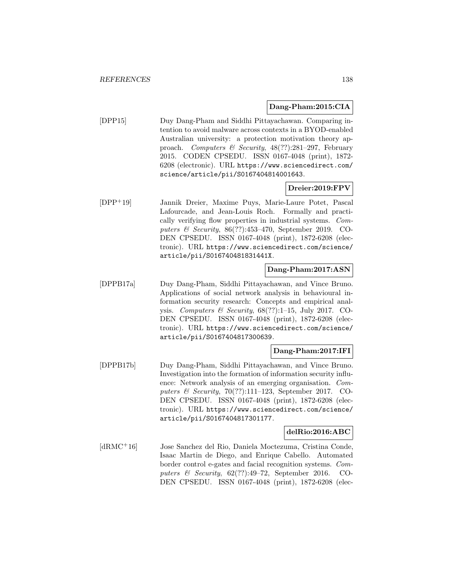### **Dang-Pham:2015:CIA**

[DPP15] Duy Dang-Pham and Siddhi Pittayachawan. Comparing intention to avoid malware across contexts in a BYOD-enabled Australian university: a protection motivation theory approach. Computers & Security, 48(??):281–297, February 2015. CODEN CPSEDU. ISSN 0167-4048 (print), 1872- 6208 (electronic). URL https://www.sciencedirect.com/ science/article/pii/S0167404814001643.

## **Dreier:2019:FPV**

[DPP<sup>+</sup>19] Jannik Dreier, Maxime Puys, Marie-Laure Potet, Pascal Lafourcade, and Jean-Louis Roch. Formally and practically verifying flow properties in industrial systems. Computers & Security, 86(??):453–470, September 2019. CO-DEN CPSEDU. ISSN 0167-4048 (print), 1872-6208 (electronic). URL https://www.sciencedirect.com/science/ article/pii/S016740481831441X.

## **Dang-Pham:2017:ASN**

[DPPB17a] Duy Dang-Pham, Siddhi Pittayachawan, and Vince Bruno. Applications of social network analysis in behavioural information security research: Concepts and empirical analysis. Computers & Security,  $68(??):1-15$ , July 2017. CO-DEN CPSEDU. ISSN 0167-4048 (print), 1872-6208 (electronic). URL https://www.sciencedirect.com/science/ article/pii/S0167404817300639.

### **Dang-Pham:2017:IFI**

[DPPB17b] Duy Dang-Pham, Siddhi Pittayachawan, and Vince Bruno. Investigation into the formation of information security influence: Network analysis of an emerging organisation. Computers & Security,  $70(?):111-123$ , September 2017. CO-DEN CPSEDU. ISSN 0167-4048 (print), 1872-6208 (electronic). URL https://www.sciencedirect.com/science/ article/pii/S0167404817301177.

### **delRio:2016:ABC**

[dRMC<sup>+</sup>16] Jose Sanchez del Rio, Daniela Moctezuma, Cristina Conde, Isaac Martin de Diego, and Enrique Cabello. Automated border control e-gates and facial recognition systems. Computers & Security,  $62$ (??):49-72, September 2016. CO-DEN CPSEDU. ISSN 0167-4048 (print), 1872-6208 (elec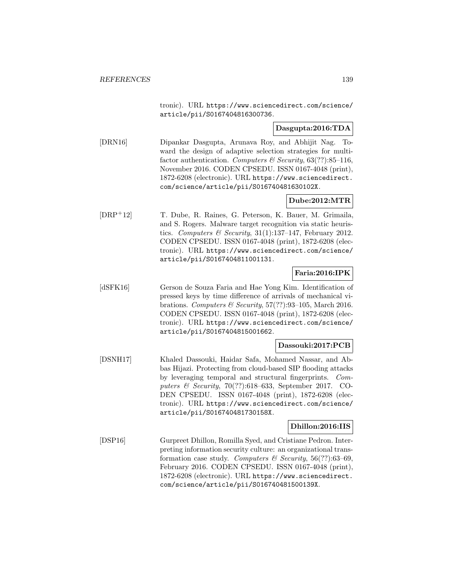tronic). URL https://www.sciencedirect.com/science/ article/pii/S0167404816300736.

### **Dasgupta:2016:TDA**

[DRN16] Dipankar Dasgupta, Arunava Roy, and Abhijit Nag. Toward the design of adaptive selection strategies for multifactor authentication. Computers & Security,  $63(??)$ :85-116, November 2016. CODEN CPSEDU. ISSN 0167-4048 (print), 1872-6208 (electronic). URL https://www.sciencedirect. com/science/article/pii/S016740481630102X.

## **Dube:2012:MTR**

[DRP<sup>+</sup>12] T. Dube, R. Raines, G. Peterson, K. Bauer, M. Grimaila, and S. Rogers. Malware target recognition via static heuristics. Computers & Security,  $31(1):137-147$ , February 2012. CODEN CPSEDU. ISSN 0167-4048 (print), 1872-6208 (electronic). URL https://www.sciencedirect.com/science/ article/pii/S0167404811001131.

## **Faria:2016:IPK**

[dSFK16] Gerson de Souza Faria and Hae Yong Kim. Identification of pressed keys by time difference of arrivals of mechanical vibrations. Computers & Security,  $57(??)$ :93-105, March 2016. CODEN CPSEDU. ISSN 0167-4048 (print), 1872-6208 (electronic). URL https://www.sciencedirect.com/science/ article/pii/S0167404815001662.

### **Dassouki:2017:PCB**

[DSNH17] Khaled Dassouki, Haidar Safa, Mohamed Nassar, and Abbas Hijazi. Protecting from cloud-based SIP flooding attacks by leveraging temporal and structural fingerprints. Computers & Security, 70(??):618–633, September 2017. CO-DEN CPSEDU. ISSN 0167-4048 (print), 1872-6208 (electronic). URL https://www.sciencedirect.com/science/ article/pii/S016740481730158X.

### **Dhillon:2016:IIS**

[DSP16] Gurpreet Dhillon, Romilla Syed, and Cristiane Pedron. Interpreting information security culture: an organizational transformation case study. Computers & Security,  $56(??)$ :63-69, February 2016. CODEN CPSEDU. ISSN 0167-4048 (print), 1872-6208 (electronic). URL https://www.sciencedirect. com/science/article/pii/S016740481500139X.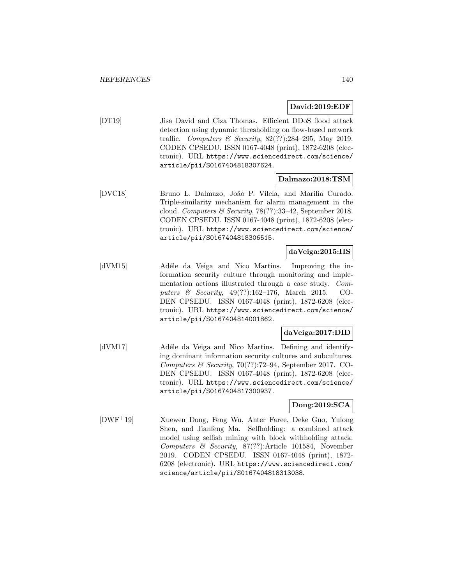### **David:2019:EDF**

[DT19] Jisa David and Ciza Thomas. Efficient DDoS flood attack detection using dynamic thresholding on flow-based network traffic. Computers & Security, 82(??):284–295, May 2019. CODEN CPSEDU. ISSN 0167-4048 (print), 1872-6208 (electronic). URL https://www.sciencedirect.com/science/ article/pii/S0167404818307624.

### **Dalmazo:2018:TSM**

[DVC18] Bruno L. Dalmazo, João P. Vilela, and Marilia Curado. Triple-similarity mechanism for alarm management in the cloud. Computers & Security, 78(??):33–42, September 2018. CODEN CPSEDU. ISSN 0167-4048 (print), 1872-6208 (electronic). URL https://www.sciencedirect.com/science/ article/pii/S0167404818306515.

### **daVeiga:2015:IIS**

[dVM15] Adéle da Veiga and Nico Martins. Improving the information security culture through monitoring and implementation actions illustrated through a case study. Computers & Security, 49(??):162–176, March 2015. CO-DEN CPSEDU. ISSN 0167-4048 (print), 1872-6208 (electronic). URL https://www.sciencedirect.com/science/ article/pii/S0167404814001862.

### **daVeiga:2017:DID**

[dVM17] Adéle da Veiga and Nico Martins. Defining and identifying dominant information security cultures and subcultures. Computers & Security, 70(??):72–94, September 2017. CO-DEN CPSEDU. ISSN 0167-4048 (print), 1872-6208 (electronic). URL https://www.sciencedirect.com/science/ article/pii/S0167404817300937.

## **Dong:2019:SCA**

[DWF<sup>+</sup>19] Xuewen Dong, Feng Wu, Anter Faree, Deke Guo, Yulong Shen, and Jianfeng Ma. Selfholding: a combined attack model using selfish mining with block withholding attack. Computers & Security, 87(??):Article 101584, November 2019. CODEN CPSEDU. ISSN 0167-4048 (print), 1872- 6208 (electronic). URL https://www.sciencedirect.com/ science/article/pii/S0167404818313038.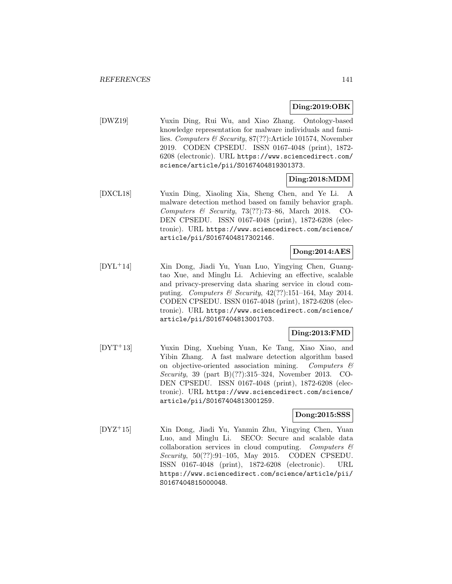#### **Ding:2019:OBK**

[DWZ19] Yuxin Ding, Rui Wu, and Xiao Zhang. Ontology-based knowledge representation for malware individuals and families. Computers & Security, 87(??):Article 101574, November 2019. CODEN CPSEDU. ISSN 0167-4048 (print), 1872- 6208 (electronic). URL https://www.sciencedirect.com/ science/article/pii/S0167404819301373.

### **Ding:2018:MDM**

[DXCL18] Yuxin Ding, Xiaoling Xia, Sheng Chen, and Ye Li. A malware detection method based on family behavior graph. Computers & Security, 73(??):73–86, March 2018. CO-DEN CPSEDU. ISSN 0167-4048 (print), 1872-6208 (electronic). URL https://www.sciencedirect.com/science/ article/pii/S0167404817302146.

# **Dong:2014:AES**

[DYL<sup>+</sup>14] Xin Dong, Jiadi Yu, Yuan Luo, Yingying Chen, Guangtao Xue, and Minglu Li. Achieving an effective, scalable and privacy-preserving data sharing service in cloud computing. Computers & Security,  $42(??):151-164$ , May 2014. CODEN CPSEDU. ISSN 0167-4048 (print), 1872-6208 (electronic). URL https://www.sciencedirect.com/science/ article/pii/S0167404813001703.

### **Ding:2013:FMD**

[DYT<sup>+</sup>13] Yuxin Ding, Xuebing Yuan, Ke Tang, Xiao Xiao, and Yibin Zhang. A fast malware detection algorithm based on objective-oriented association mining. Computers & Security, 39 (part B)(??):315–324, November 2013. CO-DEN CPSEDU. ISSN 0167-4048 (print), 1872-6208 (electronic). URL https://www.sciencedirect.com/science/ article/pii/S0167404813001259.

### **Dong:2015:SSS**

[DYZ<sup>+</sup>15] Xin Dong, Jiadi Yu, Yanmin Zhu, Yingying Chen, Yuan Luo, and Minglu Li. SECO: Secure and scalable data collaboration services in cloud computing. Computers  $\mathcal{C}$ Security, 50(??):91–105, May 2015. CODEN CPSEDU. ISSN 0167-4048 (print), 1872-6208 (electronic). URL https://www.sciencedirect.com/science/article/pii/ S0167404815000048.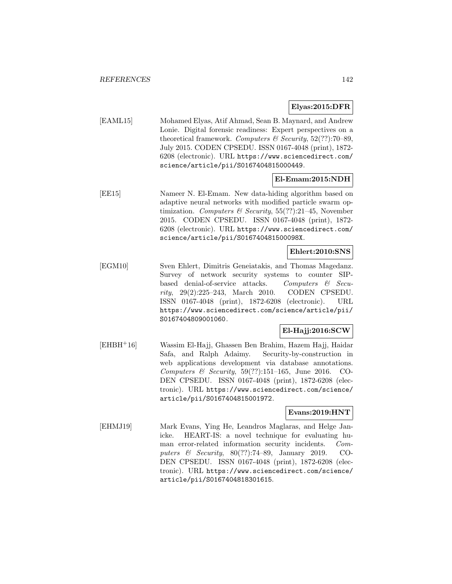### **Elyas:2015:DFR**

[EAML15] Mohamed Elyas, Atif Ahmad, Sean B. Maynard, and Andrew Lonie. Digital forensic readiness: Expert perspectives on a theoretical framework. Computers  $\mathcal B$  Security, 52(??):70–89, July 2015. CODEN CPSEDU. ISSN 0167-4048 (print), 1872- 6208 (electronic). URL https://www.sciencedirect.com/ science/article/pii/S0167404815000449.

### **El-Emam:2015:NDH**

[EE15] Nameer N. El-Emam. New data-hiding algorithm based on adaptive neural networks with modified particle swarm optimization. Computers & Security,  $55(??):21-45$ , November 2015. CODEN CPSEDU. ISSN 0167-4048 (print), 1872- 6208 (electronic). URL https://www.sciencedirect.com/ science/article/pii/S016740481500098X.

### **Ehlert:2010:SNS**

[EGM10] Sven Ehlert, Dimitris Geneiatakis, and Thomas Magedanz. Survey of network security systems to counter SIPbased denial-of-service attacks. Computers & Security, 29(2):225–243, March 2010. CODEN CPSEDU. ISSN 0167-4048 (print), 1872-6208 (electronic). URL https://www.sciencedirect.com/science/article/pii/ S0167404809001060.

## **El-Hajj:2016:SCW**

[EHBH<sup>+</sup>16] Wassim El-Hajj, Ghassen Ben Brahim, Hazem Hajj, Haidar Safa, and Ralph Adaimy. Security-by-construction in web applications development via database annotations. Computers  $\mathcal C$  Security, 59(??):151–165, June 2016. CO-DEN CPSEDU. ISSN 0167-4048 (print), 1872-6208 (electronic). URL https://www.sciencedirect.com/science/ article/pii/S0167404815001972.

### **Evans:2019:HNT**

[EHMJ19] Mark Evans, Ying He, Leandros Maglaras, and Helge Janicke. HEART-IS: a novel technique for evaluating human error-related information security incidents. Computers & Security, 80(??):74–89, January 2019. CO-DEN CPSEDU. ISSN 0167-4048 (print), 1872-6208 (electronic). URL https://www.sciencedirect.com/science/ article/pii/S0167404818301615.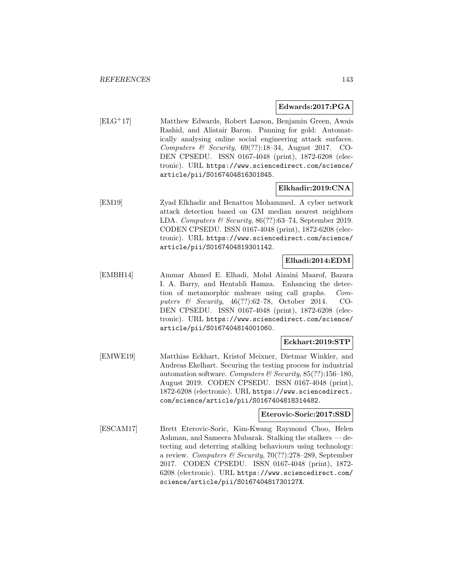#### **Edwards:2017:PGA**

[ELG<sup>+</sup>17] Matthew Edwards, Robert Larson, Benjamin Green, Awais Rashid, and Alistair Baron. Panning for gold: Automatically analysing online social engineering attack surfaces. Computers & Security,  $69(??):18-34$ , August 2017. CO-DEN CPSEDU. ISSN 0167-4048 (print), 1872-6208 (electronic). URL https://www.sciencedirect.com/science/ article/pii/S0167404816301845.

### **Elkhadir:2019:CNA**

[EM19] Zyad Elkhadir and Benattou Mohammed. A cyber network attack detection based on GM median nearest neighbors LDA. Computers & Security, 86(??):63–74, September 2019. CODEN CPSEDU. ISSN 0167-4048 (print), 1872-6208 (electronic). URL https://www.sciencedirect.com/science/ article/pii/S0167404819301142.

## **Elhadi:2014:EDM**

[EMBH14] Ammar Ahmed E. Elhadi, Mohd Aizaini Maarof, Bazara I. A. Barry, and Hentabli Hamza. Enhancing the detection of metamorphic malware using call graphs. Computers & Security, 46(??):62–78, October 2014. CO-DEN CPSEDU. ISSN 0167-4048 (print), 1872-6208 (electronic). URL https://www.sciencedirect.com/science/ article/pii/S0167404814001060.

### **Eckhart:2019:STP**

[EMWE19] Matthias Eckhart, Kristof Meixner, Dietmar Winkler, and Andreas Ekelhart. Securing the testing process for industrial automation software. Computers & Security, 85(??):156-180, August 2019. CODEN CPSEDU. ISSN 0167-4048 (print), 1872-6208 (electronic). URL https://www.sciencedirect. com/science/article/pii/S0167404818314482.

### **Eterovic-Soric:2017:SSD**

[ESCAM17] Brett Eterovic-Soric, Kim-Kwang Raymond Choo, Helen Ashman, and Sameera Mubarak. Stalking the stalkers — detecting and deterring stalking behaviours using technology: a review. Computers & Security,  $70(??):278-289$ , September 2017. CODEN CPSEDU. ISSN 0167-4048 (print), 1872- 6208 (electronic). URL https://www.sciencedirect.com/ science/article/pii/S016740481730127X.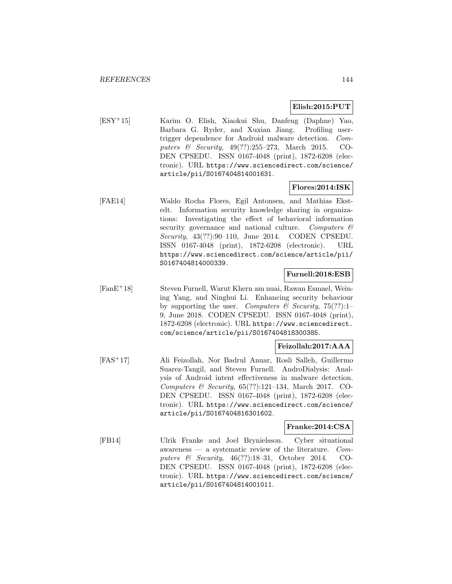### **Elish:2015:PUT**

[ESY<sup>+</sup>15] Karim O. Elish, Xiaokui Shu, Danfeng (Daphne) Yao, Barbara G. Ryder, and Xuxian Jiang. Profiling usertrigger dependence for Android malware detection. Computers & Security, 49(??):255–273, March 2015. CO-DEN CPSEDU. ISSN 0167-4048 (print), 1872-6208 (electronic). URL https://www.sciencedirect.com/science/ article/pii/S0167404814001631.

### **Flores:2014:ISK**

[FAE14] Waldo Rocha Flores, Egil Antonsen, and Mathias Ekstedt. Information security knowledge sharing in organizations: Investigating the effect of behavioral information security governance and national culture. Computers & Security, 43(??):90–110, June 2014. CODEN CPSEDU. ISSN 0167-4048 (print), 1872-6208 (electronic). URL https://www.sciencedirect.com/science/article/pii/ S0167404814000339.

### **Furnell:2018:ESB**

[FanE<sup>+</sup>18] Steven Furnell, Warut Khern am nuai, Rawan Esmael, Weining Yang, and Ninghui Li. Enhancing security behaviour by supporting the user. Computers & Security, 75(??):1– 9, June 2018. CODEN CPSEDU. ISSN 0167-4048 (print), 1872-6208 (electronic). URL https://www.sciencedirect. com/science/article/pii/S0167404818300385.

### **Feizollah:2017:AAA**

[FAS<sup>+</sup>17] Ali Feizollah, Nor Badrul Anuar, Rosli Salleh, Guillermo Suarez-Tangil, and Steven Furnell. AndroDialysis: Analysis of Android intent effectiveness in malware detection. Computers & Security,  $65(??):121-134$ , March 2017. CO-DEN CPSEDU. ISSN 0167-4048 (print), 1872-6208 (electronic). URL https://www.sciencedirect.com/science/ article/pii/S0167404816301602.

### **Franke:2014:CSA**

[FB14] Ulrik Franke and Joel Brynielsson. Cyber situational awareness — a systematic review of the literature.  $Com$ puters & Security, 46(??):18–31, October 2014. CO-DEN CPSEDU. ISSN 0167-4048 (print), 1872-6208 (electronic). URL https://www.sciencedirect.com/science/ article/pii/S0167404814001011.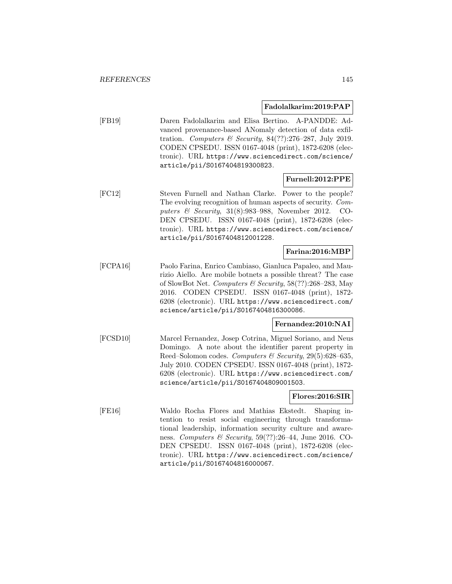#### **Fadolalkarim:2019:PAP**

[FB19] Daren Fadolalkarim and Elisa Bertino. A-PANDDE: Advanced provenance-based ANomaly detection of data exfiltration. Computers & Security,  $84(??):276-287$ , July 2019. CODEN CPSEDU. ISSN 0167-4048 (print), 1872-6208 (electronic). URL https://www.sciencedirect.com/science/ article/pii/S0167404819300823.

### **Furnell:2012:PPE**

[FC12] Steven Furnell and Nathan Clarke. Power to the people? The evolving recognition of human aspects of security. Computers & Security, 31(8):983–988, November 2012. CO-DEN CPSEDU. ISSN 0167-4048 (print), 1872-6208 (electronic). URL https://www.sciencedirect.com/science/ article/pii/S0167404812001228.

### **Farina:2016:MBP**

[FCPA16] Paolo Farina, Enrico Cambiaso, Gianluca Papaleo, and Maurizio Aiello. Are mobile botnets a possible threat? The case of SlowBot Net. Computers & Security, 58(??):268–283, May 2016. CODEN CPSEDU. ISSN 0167-4048 (print), 1872- 6208 (electronic). URL https://www.sciencedirect.com/ science/article/pii/S0167404816300086.

### **Fernandez:2010:NAI**

[FCSD10] Marcel Fernandez, Josep Cotrina, Miguel Soriano, and Neus Domingo. A note about the identifier parent property in Reed–Solomon codes. Computers & Security, 29(5):628–635, July 2010. CODEN CPSEDU. ISSN 0167-4048 (print), 1872- 6208 (electronic). URL https://www.sciencedirect.com/ science/article/pii/S0167404809001503.

#### **Flores:2016:SIR**

[FE16] Waldo Rocha Flores and Mathias Ekstedt. Shaping intention to resist social engineering through transformational leadership, information security culture and awareness. Computers & Security, 59(??):26–44, June 2016. CO-DEN CPSEDU. ISSN 0167-4048 (print), 1872-6208 (electronic). URL https://www.sciencedirect.com/science/ article/pii/S0167404816000067.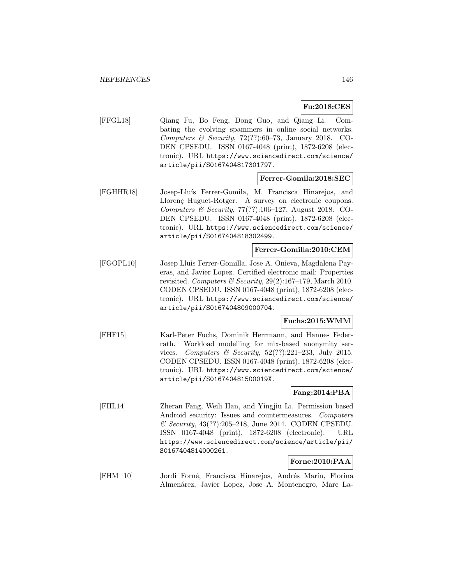### **Fu:2018:CES**

[FFGL18] Qiang Fu, Bo Feng, Dong Guo, and Qiang Li. Combating the evolving spammers in online social networks. Computers & Security,  $72(??):60-73$ , January 2018. CO-DEN CPSEDU. ISSN 0167-4048 (print), 1872-6208 (electronic). URL https://www.sciencedirect.com/science/ article/pii/S0167404817301797.

### **Ferrer-Gomila:2018:SEC**

[FGHHR18] Josep-Llu´ıs Ferrer-Gomila, M. Francisca Hinarejos, and Llorenc Huguet-Rotger. A survey on electronic coupons. Computers & Security, 77(??):106–127, August 2018. CO-DEN CPSEDU. ISSN 0167-4048 (print), 1872-6208 (electronic). URL https://www.sciencedirect.com/science/ article/pii/S0167404818302499.

### **Ferrer-Gomilla:2010:CEM**

[FGOPL10] Josep Lluis Ferrer-Gomilla, Jose A. Onieva, Magdalena Payeras, and Javier Lopez. Certified electronic mail: Properties revisited. Computers & Security,  $29(2):167-179$ , March 2010. CODEN CPSEDU. ISSN 0167-4048 (print), 1872-6208 (electronic). URL https://www.sciencedirect.com/science/ article/pii/S0167404809000704.

### **Fuchs:2015:WMM**

[FHF15] Karl-Peter Fuchs, Dominik Herrmann, and Hannes Federrath. Workload modelling for mix-based anonymity services. Computers & Security,  $52(??):221-233$ , July 2015. CODEN CPSEDU. ISSN 0167-4048 (print), 1872-6208 (electronic). URL https://www.sciencedirect.com/science/ article/pii/S016740481500019X.

# **Fang:2014:PBA**

[FHL14] Zheran Fang, Weili Han, and Yingjiu Li. Permission based Android security: Issues and countermeasures. Computers & Security, 43(??):205–218, June 2014. CODEN CPSEDU. ISSN 0167-4048 (print), 1872-6208 (electronic). URL https://www.sciencedirect.com/science/article/pii/ S0167404814000261.

# **Forne:2010:PAA**

[FHM<sup>+</sup>10] Jordi Forné, Francisca Hinarejos, Andrés Marín, Florina Almenárez, Javier Lopez, Jose A. Montenegro, Marc La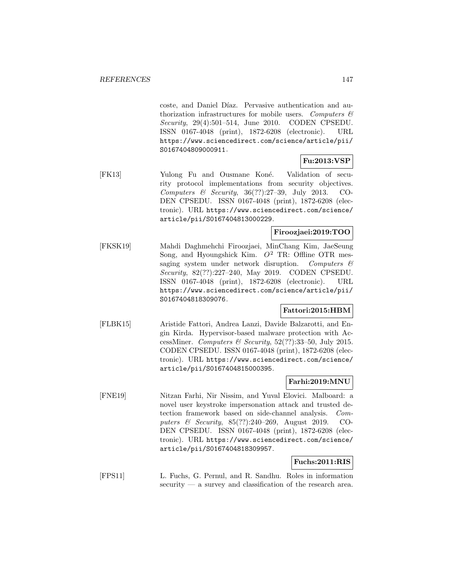coste, and Daniel Díaz. Pervasive authentication and authorization infrastructures for mobile users. Computers  $\mathcal{C}$ Security, 29(4):501–514, June 2010. CODEN CPSEDU. ISSN 0167-4048 (print), 1872-6208 (electronic). URL https://www.sciencedirect.com/science/article/pii/ S0167404809000911.

# **Fu:2013:VSP**

[FK13] Yulong Fu and Ousmane Koné. Validation of security protocol implementations from security objectives. Computers & Security,  $36(??):27-39$ , July 2013. CO-DEN CPSEDU. ISSN 0167-4048 (print), 1872-6208 (electronic). URL https://www.sciencedirect.com/science/ article/pii/S0167404813000229.

## **Firoozjaei:2019:TOO**

[FKSK19] Mahdi Daghmehchi Firoozjaei, MinChang Kim, JaeSeung Song, and Hyoungshick Kim.  $O^2$  TR: Offline OTR messaging system under network disruption. Computers  $\mathcal{C}$ Security, 82(??):227–240, May 2019. CODEN CPSEDU. ISSN 0167-4048 (print), 1872-6208 (electronic). URL https://www.sciencedirect.com/science/article/pii/ S0167404818309076.

# **Fattori:2015:HBM**

[FLBK15] Aristide Fattori, Andrea Lanzi, Davide Balzarotti, and Engin Kirda. Hypervisor-based malware protection with AccessMiner. Computers & Security,  $52(??)$ :33-50, July 2015. CODEN CPSEDU. ISSN 0167-4048 (print), 1872-6208 (electronic). URL https://www.sciencedirect.com/science/ article/pii/S0167404815000395.

### **Farhi:2019:MNU**

[FNE19] Nitzan Farhi, Nir Nissim, and Yuval Elovici. Malboard: a novel user keystroke impersonation attack and trusted detection framework based on side-channel analysis. Computers & Security, 85(??):240–269, August 2019. CO-DEN CPSEDU. ISSN 0167-4048 (print), 1872-6208 (electronic). URL https://www.sciencedirect.com/science/ article/pii/S0167404818309957.

# **Fuchs:2011:RIS**

[FPS11] L. Fuchs, G. Pernul, and R. Sandhu. Roles in information security — a survey and classification of the research area.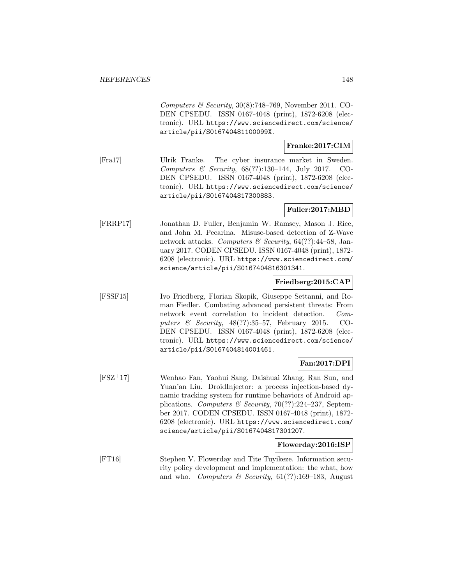Computers & Security,  $30(8)$ :748–769, November 2011. CO-DEN CPSEDU. ISSN 0167-4048 (print), 1872-6208 (electronic). URL https://www.sciencedirect.com/science/ article/pii/S016740481100099X.

# **Franke:2017:CIM**

[Fra17] Ulrik Franke. The cyber insurance market in Sweden. Computers & Security, 68(??):130–144, July 2017. CO-DEN CPSEDU. ISSN 0167-4048 (print), 1872-6208 (electronic). URL https://www.sciencedirect.com/science/ article/pii/S0167404817300883.

### **Fuller:2017:MBD**

[FRRP17] Jonathan D. Fuller, Benjamin W. Ramsey, Mason J. Rice, and John M. Pecarina. Misuse-based detection of Z-Wave network attacks. Computers & Security,  $64$ (??):44-58, January 2017. CODEN CPSEDU. ISSN 0167-4048 (print), 1872- 6208 (electronic). URL https://www.sciencedirect.com/ science/article/pii/S0167404816301341.

### **Friedberg:2015:CAP**

[FSSF15] Ivo Friedberg, Florian Skopik, Giuseppe Settanni, and Roman Fiedler. Combating advanced persistent threats: From network event correlation to incident detection. Computers & Security, 48(??):35–57, February 2015. CO-DEN CPSEDU. ISSN 0167-4048 (print), 1872-6208 (electronic). URL https://www.sciencedirect.com/science/ article/pii/S0167404814001461.

# **Fan:2017:DPI**

[FSZ<sup>+</sup>17] Wenhao Fan, Yaohui Sang, Daishuai Zhang, Ran Sun, and Yuan'an Liu. DroidInjector: a process injection-based dynamic tracking system for runtime behaviors of Android applications. Computers & Security, 70(??):224–237, September 2017. CODEN CPSEDU. ISSN 0167-4048 (print), 1872- 6208 (electronic). URL https://www.sciencedirect.com/ science/article/pii/S0167404817301207.

### **Flowerday:2016:ISP**

[FT16] Stephen V. Flowerday and Tite Tuyikeze. Information security policy development and implementation: the what, how and who. Computers & Security,  $61(??):169-183$ , August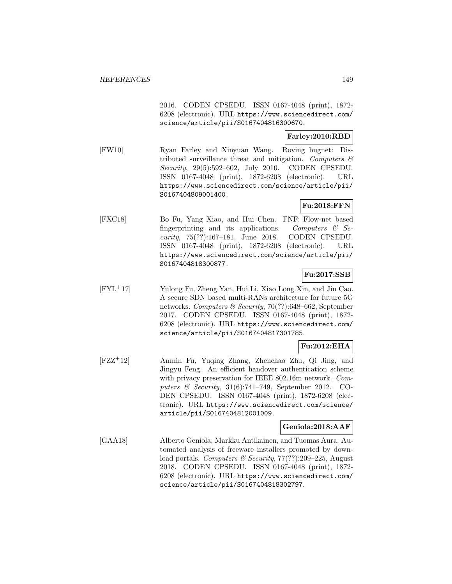2016. CODEN CPSEDU. ISSN 0167-4048 (print), 1872- 6208 (electronic). URL https://www.sciencedirect.com/ science/article/pii/S0167404816300670.

## **Farley:2010:RBD**

[FW10] Ryan Farley and Xinyuan Wang. Roving bugnet: Distributed surveillance threat and mitigation. Computers  $\mathcal{C}$ Security, 29(5):592–602, July 2010. CODEN CPSEDU. ISSN 0167-4048 (print), 1872-6208 (electronic). URL https://www.sciencedirect.com/science/article/pii/ S0167404809001400.

# **Fu:2018:FFN**

[FXC18] Bo Fu, Yang Xiao, and Hui Chen. FNF: Flow-net based fingerprinting and its applications. Computers  $\mathcal{C}$  Security, 75(??):167–181, June 2018. CODEN CPSEDU. ISSN 0167-4048 (print), 1872-6208 (electronic). URL https://www.sciencedirect.com/science/article/pii/ S0167404818300877.

### **Fu:2017:SSB**

[FYL<sup>+</sup>17] Yulong Fu, Zheng Yan, Hui Li, Xiao Long Xin, and Jin Cao. A secure SDN based multi-RANs architecture for future 5G networks. Computers & Security, 70(??):648–662, September 2017. CODEN CPSEDU. ISSN 0167-4048 (print), 1872- 6208 (electronic). URL https://www.sciencedirect.com/ science/article/pii/S0167404817301785.

# **Fu:2012:EHA**

[FZZ<sup>+</sup>12] Anmin Fu, Yuqing Zhang, Zhenchao Zhu, Qi Jing, and Jingyu Feng. An efficient handover authentication scheme with privacy preservation for IEEE 802.16m network. *Com*puters  $\mathscr B$  Security, 31(6):741-749, September 2012. CO-DEN CPSEDU. ISSN 0167-4048 (print), 1872-6208 (electronic). URL https://www.sciencedirect.com/science/ article/pii/S0167404812001009.

# **Geniola:2018:AAF**

[GAA18] Alberto Geniola, Markku Antikainen, and Tuomas Aura. Automated analysis of freeware installers promoted by download portals. Computers & Security, 77(??):209–225, August 2018. CODEN CPSEDU. ISSN 0167-4048 (print), 1872- 6208 (electronic). URL https://www.sciencedirect.com/ science/article/pii/S0167404818302797.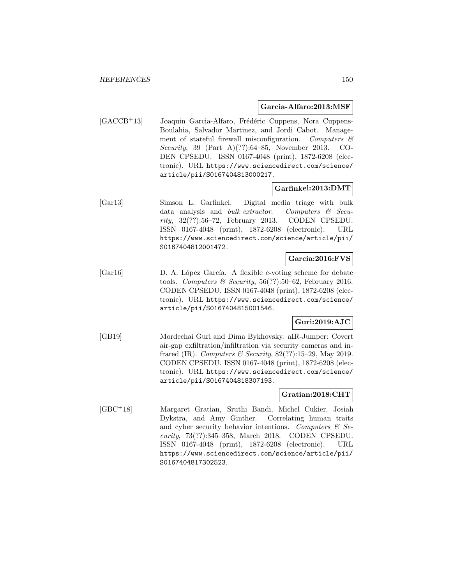#### **Garcia-Alfaro:2013:MSF**

[GACCB<sup>+</sup>13] Joaquin Garcia-Alfaro, Frédéric Cuppens, Nora Cuppens-Boulahia, Salvador Martinez, and Jordi Cabot. Management of stateful firewall misconfiguration. Computers  $\mathcal{C}$ Security, 39 (Part A)(??):64–85, November 2013. CO-DEN CPSEDU. ISSN 0167-4048 (print), 1872-6208 (electronic). URL https://www.sciencedirect.com/science/ article/pii/S0167404813000217.

### **Garfinkel:2013:DMT**

[Gar13] Simson L. Garfinkel. Digital media triage with bulk data analysis and *bulk\_extractor.* Computers  $\mathcal{C}$  Security, 32(??):56–72, February 2013. CODEN CPSEDU. ISSN 0167-4048 (print), 1872-6208 (electronic). URL https://www.sciencedirect.com/science/article/pii/ S0167404812001472.

# **Garcia:2016:FVS**

[Gar16] D. A. López García. A flexible e-voting scheme for debate tools. Computers & Security,  $56(??)$ :50–62, February 2016. CODEN CPSEDU. ISSN 0167-4048 (print), 1872-6208 (electronic). URL https://www.sciencedirect.com/science/ article/pii/S0167404815001546.

# **Guri:2019:AJC**

[GB19] Mordechai Guri and Dima Bykhovsky. aIR-Jumper: Covert air-gap exfiltration/infiltration via security cameras and infrared (IR). Computers & Security,  $82(??):15-29$ , May 2019. CODEN CPSEDU. ISSN 0167-4048 (print), 1872-6208 (electronic). URL https://www.sciencedirect.com/science/ article/pii/S0167404818307193.

### **Gratian:2018:CHT**

[GBC<sup>+</sup>18] Margaret Gratian, Sruthi Bandi, Michel Cukier, Josiah Dykstra, and Amy Ginther. Correlating human traits and cyber security behavior intentions. Computers  $\mathcal{B}$  Security, 73(??):345–358, March 2018. CODEN CPSEDU. ISSN 0167-4048 (print), 1872-6208 (electronic). URL https://www.sciencedirect.com/science/article/pii/ S0167404817302523.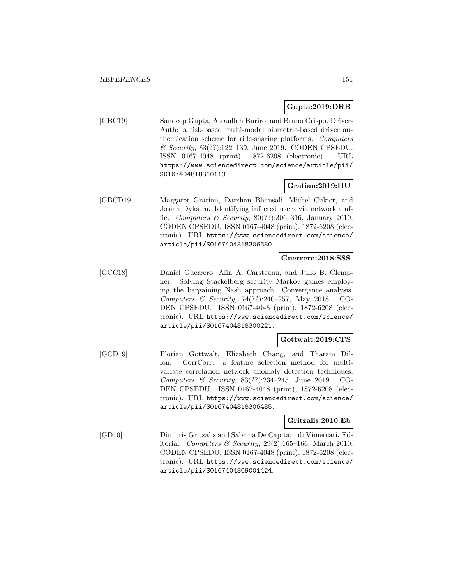### **Gupta:2019:DRB**

[GBC19] Sandeep Gupta, Attaullah Buriro, and Bruno Crispo. Driver-Auth: a risk-based multi-modal biometric-based driver authentication scheme for ride-sharing platforms. Computers & Security, 83(??):122–139, June 2019. CODEN CPSEDU. ISSN 0167-4048 (print), 1872-6208 (electronic). URL https://www.sciencedirect.com/science/article/pii/ S0167404818310113.

## **Gratian:2019:IIU**

[GBCD19] Margaret Gratian, Darshan Bhansali, Michel Cukier, and Josiah Dykstra. Identifying infected users via network traffic. Computers  $\mathcal B$  Security, 80(??):306-316, January 2019. CODEN CPSEDU. ISSN 0167-4048 (print), 1872-6208 (electronic). URL https://www.sciencedirect.com/science/ article/pii/S0167404818306680.

### **Guerrero:2018:SSS**

[GCC18] Daniel Guerrero, Alin A. Carsteanu, and Julio B. Clempner. Solving Stackelberg security Markov games employing the bargaining Nash approach: Convergence analysis. Computers & Security, 74(??):240–257, May 2018. CO-DEN CPSEDU. ISSN 0167-4048 (print), 1872-6208 (electronic). URL https://www.sciencedirect.com/science/ article/pii/S0167404818300221.

### **Gottwalt:2019:CFS**

[GCD19] Florian Gottwalt, Elizabeth Chang, and Tharam Dillon. CorrCorr: a feature selection method for multivariate correlation network anomaly detection techniques. Computers & Security, 83(??):234–245, June 2019. CO-DEN CPSEDU. ISSN 0167-4048 (print), 1872-6208 (electronic). URL https://www.sciencedirect.com/science/ article/pii/S0167404818306485.

#### **Gritzalis:2010:Eb**

[GD10] Dimitris Gritzalis and Sabrina De Capitani di Vimercati. Editorial. Computers & Security, 29(2):165-166, March 2010. CODEN CPSEDU. ISSN 0167-4048 (print), 1872-6208 (electronic). URL https://www.sciencedirect.com/science/ article/pii/S0167404809001424.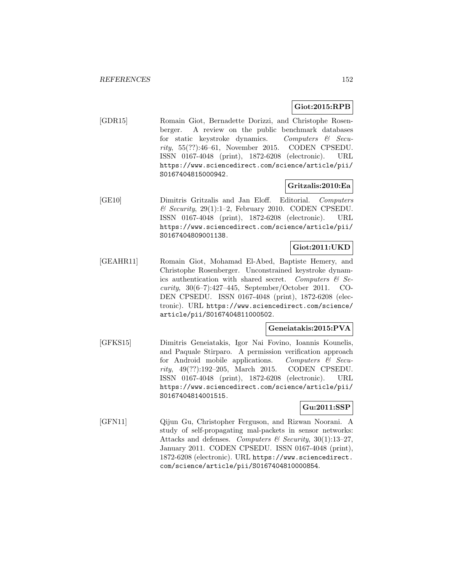# **Giot:2015:RPB**

[GDR15] Romain Giot, Bernadette Dorizzi, and Christophe Rosenberger. A review on the public benchmark databases for static keystroke dynamics. Computers & Security, 55(??):46–61, November 2015. CODEN CPSEDU. ISSN 0167-4048 (print), 1872-6208 (electronic). URL https://www.sciencedirect.com/science/article/pii/ S0167404815000942.

## **Gritzalis:2010:Ea**

[GE10] Dimitris Gritzalis and Jan Eloff. Editorial. Computers  $\&$  Security, 29(1):1-2, February 2010. CODEN CPSEDU. ISSN 0167-4048 (print), 1872-6208 (electronic). URL https://www.sciencedirect.com/science/article/pii/ S0167404809001138.

### **Giot:2011:UKD**

[GEAHR11] Romain Giot, Mohamad El-Abed, Baptiste Hemery, and Christophe Rosenberger. Unconstrained keystroke dynamics authentication with shared secret. Computers  $\mathcal{C}$  Security, 30(6–7):427–445, September/October 2011. CO-DEN CPSEDU. ISSN 0167-4048 (print), 1872-6208 (electronic). URL https://www.sciencedirect.com/science/ article/pii/S0167404811000502.

## **Geneiatakis:2015:PVA**

[GFKS15] Dimitris Geneiatakis, Igor Nai Fovino, Ioannis Kounelis, and Paquale Stirparo. A permission verification approach for Android mobile applications. Computers  $\mathcal{C}$  Security, 49(??):192–205, March 2015. CODEN CPSEDU. ISSN 0167-4048 (print), 1872-6208 (electronic). URL https://www.sciencedirect.com/science/article/pii/ S0167404814001515.

### **Gu:2011:SSP**

[GFN11] Qijun Gu, Christopher Ferguson, and Rizwan Noorani. A study of self-propagating mal-packets in sensor networks: Attacks and defenses. Computers & Security,  $30(1):13-27$ , January 2011. CODEN CPSEDU. ISSN 0167-4048 (print), 1872-6208 (electronic). URL https://www.sciencedirect. com/science/article/pii/S0167404810000854.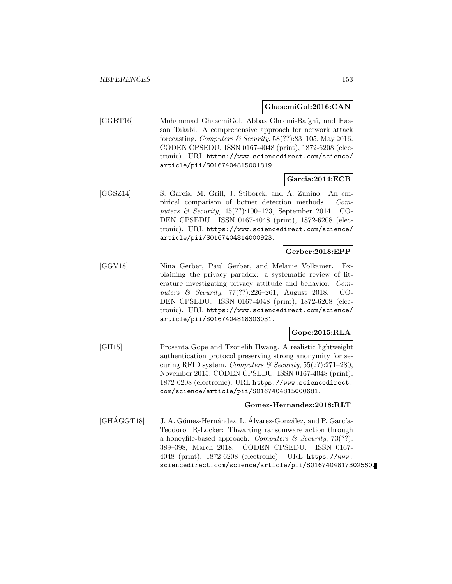#### **GhasemiGol:2016:CAN**

[GGBT16] Mohammad GhasemiGol, Abbas Ghaemi-Bafghi, and Hassan Takabi. A comprehensive approach for network attack forecasting. Computers & Security,  $58(??)$ :83-105, May 2016. CODEN CPSEDU. ISSN 0167-4048 (print), 1872-6208 (electronic). URL https://www.sciencedirect.com/science/ article/pii/S0167404815001819.

### **Garcia:2014:ECB**

[GGSZ14] S. García, M. Grill, J. Stiborek, and A. Zunino. An empirical comparison of botnet detection methods. Computers & Security, 45(??):100–123, September 2014. CO-DEN CPSEDU. ISSN 0167-4048 (print), 1872-6208 (electronic). URL https://www.sciencedirect.com/science/ article/pii/S0167404814000923.

### **Gerber:2018:EPP**

[GGV18] Nina Gerber, Paul Gerber, and Melanie Volkamer. Explaining the privacy paradox: a systematic review of literature investigating privacy attitude and behavior. Computers & Security, 77(??):226–261, August 2018. CO-DEN CPSEDU. ISSN 0167-4048 (print), 1872-6208 (electronic). URL https://www.sciencedirect.com/science/ article/pii/S0167404818303031.

# **Gope:2015:RLA**

[GH15] Prosanta Gope and Tzonelih Hwang. A realistic lightweight authentication protocol preserving strong anonymity for securing RFID system. Computers & Security,  $55(??):271-280$ , November 2015. CODEN CPSEDU. ISSN 0167-4048 (print), 1872-6208 (electronic). URL https://www.sciencedirect. com/science/article/pii/S0167404815000681.

# **Gomez-Hernandez:2018:RLT**

[GHÁGGT18] J. A. Gómez-Hernández, L. Álvarez-González, and P. García-Teodoro. R-Locker: Thwarting ransomware action through a honeyfile-based approach. Computers  $\mathcal B$  Security, 73(??): 389–398, March 2018. CODEN CPSEDU. ISSN 0167- 4048 (print), 1872-6208 (electronic). URL https://www. sciencedirect.com/science/article/pii/S0167404817302560.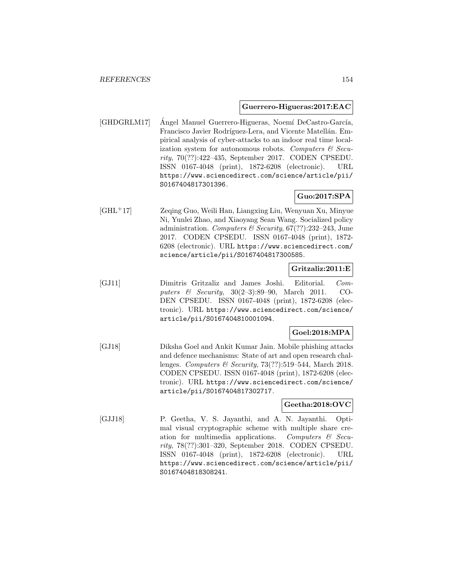#### **Guerrero-Higueras:2017:EAC**

[GHDGRLM17] Angel Manuel Guerrero-Higueras, Noemí DeCastro-García, Francisco Javier Rodríguez-Lera, and Vicente Matellán. Empirical analysis of cyber-attacks to an indoor real time localization system for autonomous robots. Computers  $\mathcal C$  Security, 70(??):422–435, September 2017. CODEN CPSEDU. ISSN 0167-4048 (print), 1872-6208 (electronic). URL https://www.sciencedirect.com/science/article/pii/ S0167404817301396.

# **Guo:2017:SPA**

[GHL<sup>+</sup>17] Zeqing Guo, Weili Han, Liangxing Liu, Wenyuan Xu, Minyue Ni, Yunlei Zhao, and Xiaoyang Sean Wang. Socialized policy administration. Computers & Security,  $67(??)$ :232-243, June 2017. CODEN CPSEDU. ISSN 0167-4048 (print), 1872- 6208 (electronic). URL https://www.sciencedirect.com/ science/article/pii/S0167404817300585.

### **Gritzaliz:2011:E**

[GJ11] Dimitris Gritzaliz and James Joshi. Editorial. Computers & Security, 30(2–3):89–90, March 2011. CO-DEN CPSEDU. ISSN 0167-4048 (print), 1872-6208 (electronic). URL https://www.sciencedirect.com/science/ article/pii/S0167404810001094.

### **Goel:2018:MPA**

[GJ18] Diksha Goel and Ankit Kumar Jain. Mobile phishing attacks and defence mechanisms: State of art and open research challenges. Computers & Security, 73(??):519–544, March 2018. CODEN CPSEDU. ISSN 0167-4048 (print), 1872-6208 (electronic). URL https://www.sciencedirect.com/science/ article/pii/S0167404817302717.

#### **Geetha:2018:OVC**

[GJJ18] P. Geetha, V. S. Jayanthi, and A. N. Jayanthi. Optimal visual cryptographic scheme with multiple share creation for multimedia applications. Computers  $\mathcal{C}$  Security, 78(??):301–320, September 2018. CODEN CPSEDU. ISSN 0167-4048 (print), 1872-6208 (electronic). URL https://www.sciencedirect.com/science/article/pii/ S0167404818308241.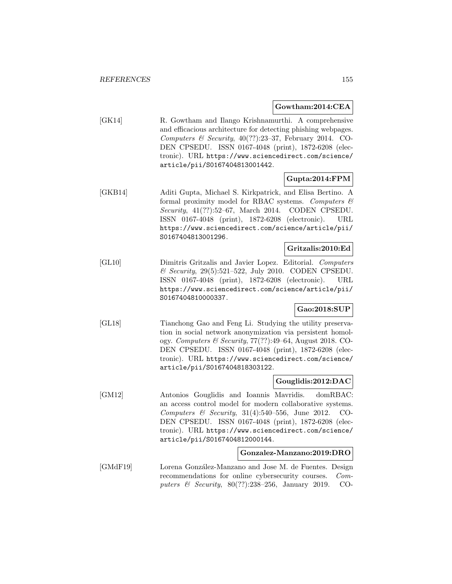#### **Gowtham:2014:CEA**

[GK14] R. Gowtham and Ilango Krishnamurthi. A comprehensive and efficacious architecture for detecting phishing webpages. Computers & Security,  $40(??):23-37$ , February 2014. CO-DEN CPSEDU. ISSN 0167-4048 (print), 1872-6208 (electronic). URL https://www.sciencedirect.com/science/ article/pii/S0167404813001442.

### **Gupta:2014:FPM**

[GKB14] Aditi Gupta, Michael S. Kirkpatrick, and Elisa Bertino. A formal proximity model for RBAC systems. Computers  $\mathcal C$ Security, 41(??):52–67, March 2014. CODEN CPSEDU. ISSN 0167-4048 (print), 1872-6208 (electronic). URL https://www.sciencedirect.com/science/article/pii/ S0167404813001296.

#### **Gritzalis:2010:Ed**

[GL10] Dimitris Gritzalis and Javier Lopez. Editorial. Computers & Security, 29(5):521–522, July 2010. CODEN CPSEDU. ISSN 0167-4048 (print), 1872-6208 (electronic). URL https://www.sciencedirect.com/science/article/pii/ S0167404810000337.

### **Gao:2018:SUP**

[GL18] Tianchong Gao and Feng Li. Studying the utility preservation in social network anonymization via persistent homology. Computers & Security, 77(??):49–64, August 2018. CO-DEN CPSEDU. ISSN 0167-4048 (print), 1872-6208 (electronic). URL https://www.sciencedirect.com/science/ article/pii/S0167404818303122.

#### **Gouglidis:2012:DAC**

[GM12] Antonios Gouglidis and Ioannis Mavridis. domRBAC: an access control model for modern collaborative systems. Computers & Security, 31(4):540–556, June 2012. CO-DEN CPSEDU. ISSN 0167-4048 (print), 1872-6208 (electronic). URL https://www.sciencedirect.com/science/ article/pii/S0167404812000144.

# **Gonzalez-Manzano:2019:DRO**

[GMdF19] Lorena González-Manzano and Jose M. de Fuentes. Design recommendations for online cybersecurity courses. Computers & Security, 80(??):238-256, January 2019. CO-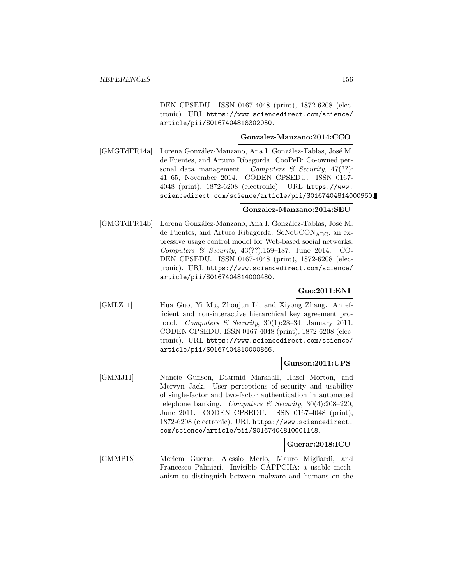DEN CPSEDU. ISSN 0167-4048 (print), 1872-6208 (electronic). URL https://www.sciencedirect.com/science/ article/pii/S0167404818302050.

## **Gonzalez-Manzano:2014:CCO**

[GMGTdFR14a] Lorena González-Manzano, Ana I. González-Tablas, José M. de Fuentes, and Arturo Ribagorda. CooPeD: Co-owned personal data management. Computers  $\mathcal C$  Security, 47(??): 41–65, November 2014. CODEN CPSEDU. ISSN 0167- 4048 (print), 1872-6208 (electronic). URL https://www. sciencedirect.com/science/article/pii/S0167404814000960.

### **Gonzalez-Manzano:2014:SEU**

[GMGTdFR14b] Lorena González-Manzano, Ana I. González-Tablas, José M. de Fuentes, and Arturo Ribagorda. SoNeUCONABC, an expressive usage control model for Web-based social networks. Computers & Security, 43(??):159–187, June 2014. CO-DEN CPSEDU. ISSN 0167-4048 (print), 1872-6208 (electronic). URL https://www.sciencedirect.com/science/ article/pii/S0167404814000480.

# **Guo:2011:ENI**

[GMLZ11] Hua Guo, Yi Mu, Zhoujun Li, and Xiyong Zhang. An efficient and non-interactive hierarchical key agreement protocol. Computers & Security,  $30(1):28-34$ , January 2011. CODEN CPSEDU. ISSN 0167-4048 (print), 1872-6208 (electronic). URL https://www.sciencedirect.com/science/ article/pii/S0167404810000866.

#### **Gunson:2011:UPS**

[GMMJ11] Nancie Gunson, Diarmid Marshall, Hazel Morton, and Mervyn Jack. User perceptions of security and usability of single-factor and two-factor authentication in automated telephone banking. Computers & Security,  $30(4):208-220$ , June 2011. CODEN CPSEDU. ISSN 0167-4048 (print), 1872-6208 (electronic). URL https://www.sciencedirect. com/science/article/pii/S0167404810001148.

### **Guerar:2018:ICU**

[GMMP18] Meriem Guerar, Alessio Merlo, Mauro Migliardi, and Francesco Palmieri. Invisible CAPPCHA: a usable mechanism to distinguish between malware and humans on the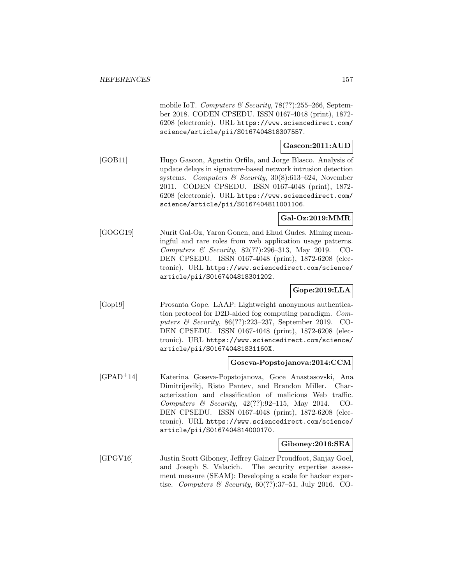mobile IoT. Computers & Security,  $78(??):255-266$ , September 2018. CODEN CPSEDU. ISSN 0167-4048 (print), 1872- 6208 (electronic). URL https://www.sciencedirect.com/ science/article/pii/S0167404818307557.

# **Gascon:2011:AUD**

[GOB11] Hugo Gascon, Agustin Orfila, and Jorge Blasco. Analysis of update delays in signature-based network intrusion detection systems. Computers & Security, 30(8):613-624, November 2011. CODEN CPSEDU. ISSN 0167-4048 (print), 1872- 6208 (electronic). URL https://www.sciencedirect.com/ science/article/pii/S0167404811001106.

# **Gal-Oz:2019:MMR**

[GOGG19] Nurit Gal-Oz, Yaron Gonen, and Ehud Gudes. Mining meaningful and rare roles from web application usage patterns. Computers & Security, 82(??):296–313, May 2019. CO-DEN CPSEDU. ISSN 0167-4048 (print), 1872-6208 (electronic). URL https://www.sciencedirect.com/science/ article/pii/S0167404818301202.

# **Gope:2019:LLA**

[Gop19] Prosanta Gope. LAAP: Lightweight anonymous authentication protocol for D2D-aided fog computing paradigm. Computers & Security, 86(??):223–237, September 2019. CO-DEN CPSEDU. ISSN 0167-4048 (print), 1872-6208 (electronic). URL https://www.sciencedirect.com/science/ article/pii/S016740481831160X.

### **Goseva-Popstojanova:2014:CCM**

[GPAD<sup>+</sup>14] Katerina Goseva-Popstojanova, Goce Anastasovski, Ana Dimitrijevikj, Risto Pantev, and Brandon Miller. Characterization and classification of malicious Web traffic. Computers & Security, 42(??):92–115, May 2014. CO-DEN CPSEDU. ISSN 0167-4048 (print), 1872-6208 (electronic). URL https://www.sciencedirect.com/science/ article/pii/S0167404814000170.

### **Giboney:2016:SEA**

[GPGV16] Justin Scott Giboney, Jeffrey Gainer Proudfoot, Sanjay Goel, and Joseph S. Valacich. The security expertise assessment measure (SEAM): Developing a scale for hacker expertise. Computers & Security,  $60(??):37-51$ , July 2016. CO-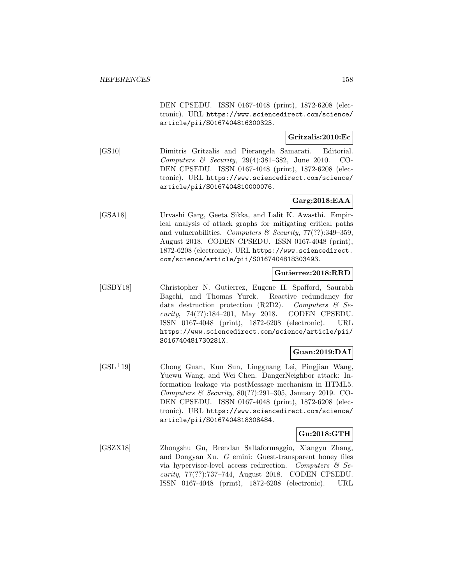DEN CPSEDU. ISSN 0167-4048 (print), 1872-6208 (electronic). URL https://www.sciencedirect.com/science/ article/pii/S0167404816300323.

# **Gritzalis:2010:Ec**

[GS10] Dimitris Gritzalis and Pierangela Samarati. Editorial. Computers & Security, 29(4):381–382, June 2010. CO-DEN CPSEDU. ISSN 0167-4048 (print), 1872-6208 (electronic). URL https://www.sciencedirect.com/science/ article/pii/S0167404810000076.

# **Garg:2018:EAA**

[GSA18] Urvashi Garg, Geeta Sikka, and Lalit K. Awasthi. Empirical analysis of attack graphs for mitigating critical paths and vulnerabilities. Computers & Security,  $77(??)$ :349-359, August 2018. CODEN CPSEDU. ISSN 0167-4048 (print), 1872-6208 (electronic). URL https://www.sciencedirect. com/science/article/pii/S0167404818303493.

### **Gutierrez:2018:RRD**

[GSBY18] Christopher N. Gutierrez, Eugene H. Spafford, Saurabh Bagchi, and Thomas Yurek. Reactive redundancy for data destruction protection  $(R2D2)$ . Computers & Security, 74(??):184–201, May 2018. CODEN CPSEDU. ISSN 0167-4048 (print), 1872-6208 (electronic). URL https://www.sciencedirect.com/science/article/pii/ S016740481730281X.

# **Guan:2019:DAI**

[GSL<sup>+</sup>19] Chong Guan, Kun Sun, Lingguang Lei, Pingjian Wang, Yuewu Wang, and Wei Chen. DangerNeighbor attack: Information leakage via postMessage mechanism in HTML5. Computers & Security,  $80(??):291-305$ , January 2019. CO-DEN CPSEDU. ISSN 0167-4048 (print), 1872-6208 (electronic). URL https://www.sciencedirect.com/science/ article/pii/S0167404818308484.

# **Gu:2018:GTH**

[GSZX18] Zhongshu Gu, Brendan Saltaformaggio, Xiangyu Zhang, and Dongyan Xu. G emini: Guest-transparent honey files via hypervisor-level access redirection. Computers  $\mathcal{C}$  Security, 77(??):737–744, August 2018. CODEN CPSEDU. ISSN 0167-4048 (print), 1872-6208 (electronic). URL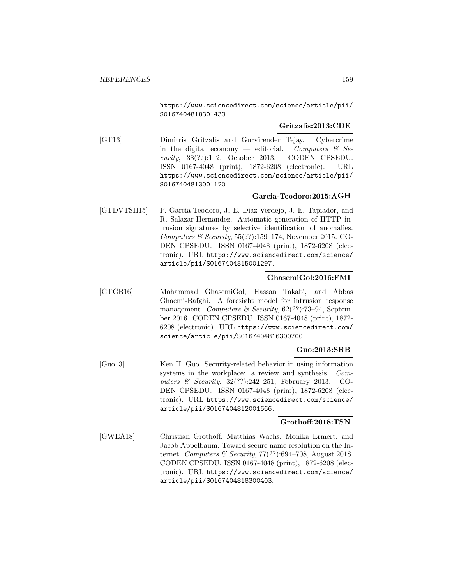https://www.sciencedirect.com/science/article/pii/ S0167404818301433.

### **Gritzalis:2013:CDE**

[GT13] Dimitris Gritzalis and Gurvirender Tejay. Cybercrime in the digital economy — editorial. Computers  $\mathcal{C}$  Security, 38(??):1–2, October 2013. CODEN CPSEDU. ISSN 0167-4048 (print), 1872-6208 (electronic). URL https://www.sciencedirect.com/science/article/pii/ S0167404813001120.

### **Garcia-Teodoro:2015:AGH**

[GTDVTSH15] P. Garcia-Teodoro, J. E. Diaz-Verdejo, J. E. Tapiador, and R. Salazar-Hernandez. Automatic generation of HTTP intrusion signatures by selective identification of anomalies. Computers & Security,  $55(??):159-174$ , November 2015. CO-DEN CPSEDU. ISSN 0167-4048 (print), 1872-6208 (electronic). URL https://www.sciencedirect.com/science/ article/pii/S0167404815001297.

### **GhasemiGol:2016:FMI**

[GTGB16] Mohammad GhasemiGol, Hassan Takabi, and Abbas Ghaemi-Bafghi. A foresight model for intrusion response management. Computers  $\mathcal B$  Security, 62(??):73-94, September 2016. CODEN CPSEDU. ISSN 0167-4048 (print), 1872- 6208 (electronic). URL https://www.sciencedirect.com/ science/article/pii/S0167404816300700.

# **Guo:2013:SRB**

[Guo13] Ken H. Guo. Security-related behavior in using information systems in the workplace: a review and synthesis. Computers & Security, 32(??):242–251, February 2013. CO-DEN CPSEDU. ISSN 0167-4048 (print), 1872-6208 (electronic). URL https://www.sciencedirect.com/science/ article/pii/S0167404812001666.

#### **Grothoff:2018:TSN**

[GWEA18] Christian Grothoff, Matthias Wachs, Monika Ermert, and Jacob Appelbaum. Toward secure name resolution on the Internet. Computers & Security,  $77(??)$ :694-708, August 2018. CODEN CPSEDU. ISSN 0167-4048 (print), 1872-6208 (electronic). URL https://www.sciencedirect.com/science/ article/pii/S0167404818300403.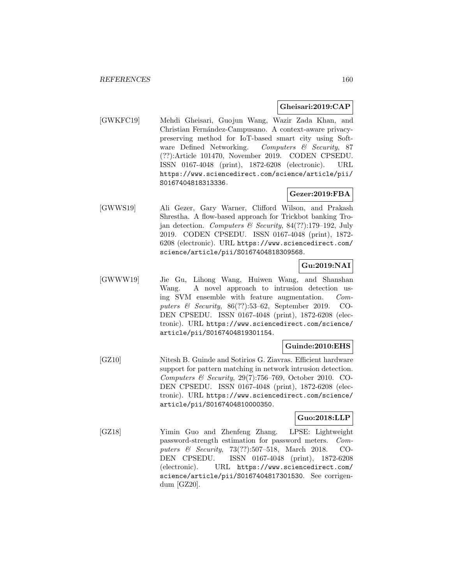### **Gheisari:2019:CAP**

[GWKFC19] Mehdi Gheisari, Guojun Wang, Wazir Zada Khan, and Christian Fernández-Campusano. A context-aware privacypreserving method for IoT-based smart city using Software Defined Networking. Computers & Security, 87 (??):Article 101470, November 2019. CODEN CPSEDU. ISSN 0167-4048 (print), 1872-6208 (electronic). URL https://www.sciencedirect.com/science/article/pii/ S0167404818313336.

# **Gezer:2019:FBA**

[GWWS19] Ali Gezer, Gary Warner, Clifford Wilson, and Prakash Shrestha. A flow-based approach for Trickbot banking Trojan detection. Computers & Security, 84(??):179–192, July 2019. CODEN CPSEDU. ISSN 0167-4048 (print), 1872- 6208 (electronic). URL https://www.sciencedirect.com/ science/article/pii/S0167404818309568.

# **Gu:2019:NAI**

[GWWW19] Jie Gu, Lihong Wang, Huiwen Wang, and Shanshan Wang. A novel approach to intrusion detection using SVM ensemble with feature augmentation. Computers & Security,  $86(??):53-62$ , September 2019. CO-DEN CPSEDU. ISSN 0167-4048 (print), 1872-6208 (electronic). URL https://www.sciencedirect.com/science/ article/pii/S0167404819301154.

# **Guinde:2010:EHS**

[GZ10] Nitesh B. Guinde and Sotirios G. Ziavras. Efficient hardware support for pattern matching in network intrusion detection. Computers & Security, 29(7):756–769, October 2010. CO-DEN CPSEDU. ISSN 0167-4048 (print), 1872-6208 (electronic). URL https://www.sciencedirect.com/science/ article/pii/S0167404810000350.

# **Guo:2018:LLP**

[GZ18] Yimin Guo and Zhenfeng Zhang. LPSE: Lightweight password-strength estimation for password meters. Computers & Security, 73(??):507–518, March 2018. CO-DEN CPSEDU. ISSN 0167-4048 (print), 1872-6208 (electronic). URL https://www.sciencedirect.com/ science/article/pii/S0167404817301530. See corrigendum [GZ20].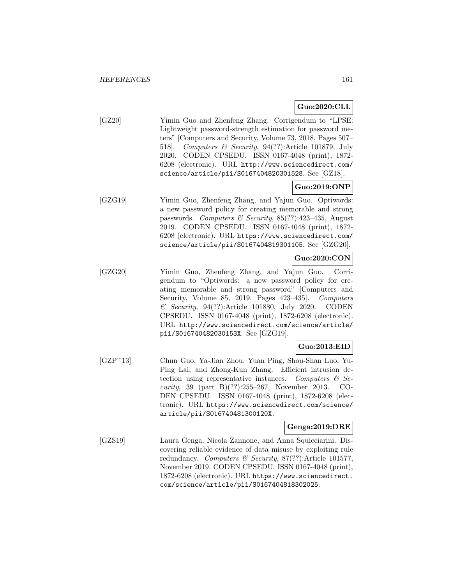# **Guo:2020:CLL**

[GZ20] Yimin Guo and Zhenfeng Zhang. Corrigendum to "LPSE: Lightweight password-strength estimation for password meters" [Computers and Security, Volume 73, 2018, Pages 507– 518]. Computers & Security, 94(??):Article 101879, July 2020. CODEN CPSEDU. ISSN 0167-4048 (print), 1872- 6208 (electronic). URL http://www.sciencedirect.com/ science/article/pii/S0167404820301528. See [GZ18].

# **Guo:2019:ONP**

[GZG19] Yimin Guo, Zhenfeng Zhang, and Yajun Guo. Optiwords: a new password policy for creating memorable and strong passwords. Computers & Security, 85(??):423–435, August 2019. CODEN CPSEDU. ISSN 0167-4048 (print), 1872- 6208 (electronic). URL https://www.sciencedirect.com/ science/article/pii/S0167404819301105. See [GZG20].

### **Guo:2020:CON**

[GZG20] Yimin Guo, Zhenfeng Zhang, and Yajun Guo. Corrigendum to "Optiwords: a new password policy for creating memorable and strong password" [Computers and Security, Volume 85, 2019, Pages 423–435]. Computers & Security, 94(??):Article 101880, July 2020. CODEN CPSEDU. ISSN 0167-4048 (print), 1872-6208 (electronic). URL http://www.sciencedirect.com/science/article/ pii/S016740482030153X. See [GZG19].

# **Guo:2013:EID**

[GZP<sup>+</sup>13] Chun Guo, Ya-Jian Zhou, Yuan Ping, Shou-Shan Luo, Yu-Ping Lai, and Zhong-Kun Zhang. Efficient intrusion detection using representative instances. Computers  $\mathcal{C}$  Security, 39 (part B) $(??):255-267$ , November 2013. CO-DEN CPSEDU. ISSN 0167-4048 (print), 1872-6208 (electronic). URL https://www.sciencedirect.com/science/ article/pii/S016740481300120X.

### **Genga:2019:DRE**

[GZS19] Laura Genga, Nicola Zannone, and Anna Squicciarini. Discovering reliable evidence of data misuse by exploiting rule redundancy. Computers & Security, 87(??):Article 101577, November 2019. CODEN CPSEDU. ISSN 0167-4048 (print), 1872-6208 (electronic). URL https://www.sciencedirect. com/science/article/pii/S0167404818302025.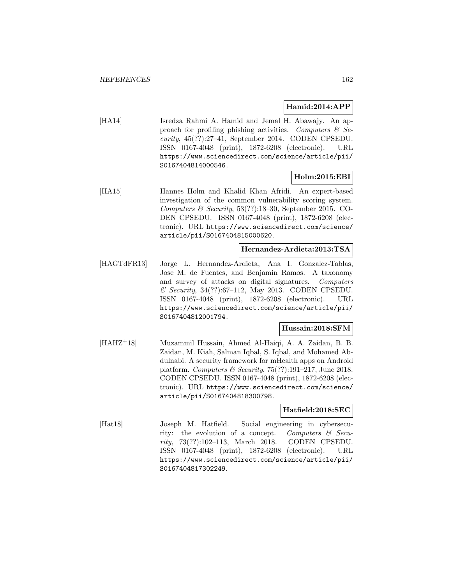### **Hamid:2014:APP**

[HA14] Isredza Rahmi A. Hamid and Jemal H. Abawajy. An approach for profiling phishing activities. Computers  $\mathcal{C}$  Security, 45(??):27–41, September 2014. CODEN CPSEDU. ISSN 0167-4048 (print), 1872-6208 (electronic). URL https://www.sciencedirect.com/science/article/pii/ S0167404814000546.

### **Holm:2015:EBI**

[HA15] Hannes Holm and Khalid Khan Afridi. An expert-based investigation of the common vulnerability scoring system. Computers & Security,  $53(??):18-30$ , September 2015. CO-DEN CPSEDU. ISSN 0167-4048 (print), 1872-6208 (electronic). URL https://www.sciencedirect.com/science/ article/pii/S0167404815000620.

#### **Hernandez-Ardieta:2013:TSA**

[HAGTdFR13] Jorge L. Hernandez-Ardieta, Ana I. Gonzalez-Tablas, Jose M. de Fuentes, and Benjamin Ramos. A taxonomy and survey of attacks on digital signatures. Computers & Security, 34(??):67–112, May 2013. CODEN CPSEDU. ISSN 0167-4048 (print), 1872-6208 (electronic). URL https://www.sciencedirect.com/science/article/pii/ S0167404812001794.

## **Hussain:2018:SFM**

[HAHZ<sup>+</sup>18] Muzammil Hussain, Ahmed Al-Haiqi, A. A. Zaidan, B. B. Zaidan, M. Kiah, Salman Iqbal, S. Iqbal, and Mohamed Abdulnabi. A security framework for mHealth apps on Android platform. Computers & Security,  $75(??):191-217$ , June 2018. CODEN CPSEDU. ISSN 0167-4048 (print), 1872-6208 (electronic). URL https://www.sciencedirect.com/science/ article/pii/S0167404818300798.

### **Hatfield:2018:SEC**

[Hat18] Joseph M. Hatfield. Social engineering in cybersecurity: the evolution of a concept. Computers  $\mathcal{C}$  Security, 73(??):102–113, March 2018. CODEN CPSEDU. ISSN 0167-4048 (print), 1872-6208 (electronic). URL https://www.sciencedirect.com/science/article/pii/ S0167404817302249.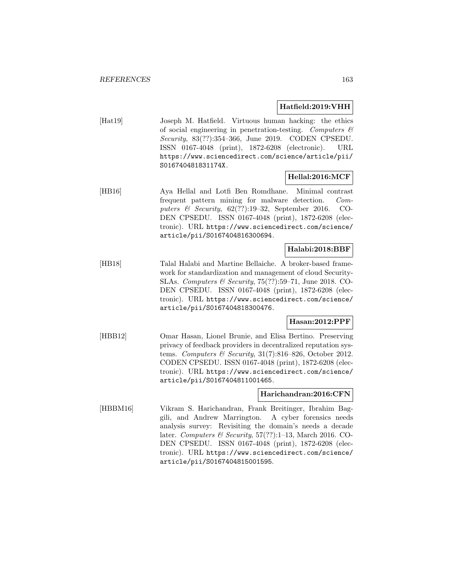### **Hatfield:2019:VHH**

[Hat19] Joseph M. Hatfield. Virtuous human hacking: the ethics of social engineering in penetration-testing. Computers  $\mathcal{C}$ Security, 83(??):354–366, June 2019. CODEN CPSEDU. ISSN 0167-4048 (print), 1872-6208 (electronic). URL https://www.sciencedirect.com/science/article/pii/ S016740481831174X.

# **Hellal:2016:MCF**

[HB16] Aya Hellal and Lotfi Ben Romdhane. Minimal contrast frequent pattern mining for malware detection. Computers & Security,  $62$ (??):19-32, September 2016. CO-DEN CPSEDU. ISSN 0167-4048 (print), 1872-6208 (electronic). URL https://www.sciencedirect.com/science/ article/pii/S0167404816300694.

# **Halabi:2018:BBF**

[HB18] Talal Halabi and Martine Bellaiche. A broker-based framework for standardization and management of cloud Security-SLAs. Computers & Security, 75(??):59–71, June 2018. CO-DEN CPSEDU. ISSN 0167-4048 (print), 1872-6208 (electronic). URL https://www.sciencedirect.com/science/ article/pii/S0167404818300476.

# **Hasan:2012:PPF**

[HBB12] Omar Hasan, Lionel Brunie, and Elisa Bertino. Preserving privacy of feedback providers in decentralized reputation systems. Computers & Security,  $31(7):816-826$ , October 2012. CODEN CPSEDU. ISSN 0167-4048 (print), 1872-6208 (electronic). URL https://www.sciencedirect.com/science/ article/pii/S0167404811001465.

# **Harichandran:2016:CFN**

[HBBM16] Vikram S. Harichandran, Frank Breitinger, Ibrahim Baggili, and Andrew Marrington. A cyber forensics needs analysis survey: Revisiting the domain's needs a decade later. Computers & Security, 57(??):1–13, March 2016. CO-DEN CPSEDU. ISSN 0167-4048 (print), 1872-6208 (electronic). URL https://www.sciencedirect.com/science/ article/pii/S0167404815001595.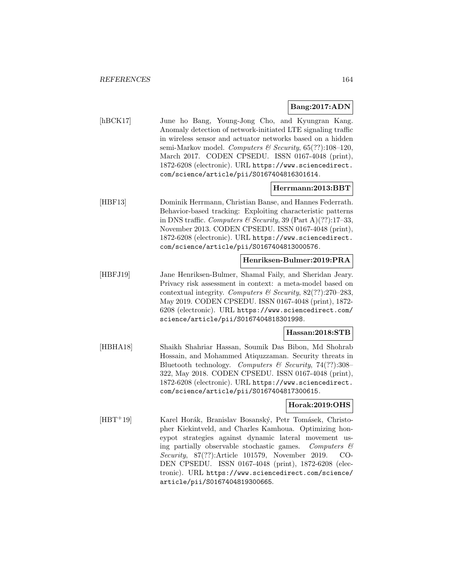### **Bang:2017:ADN**

[hBCK17] June ho Bang, Young-Jong Cho, and Kyungran Kang. Anomaly detection of network-initiated LTE signaling traffic in wireless sensor and actuator networks based on a hidden semi-Markov model. Computers & Security,  $65(??):108-120$ , March 2017. CODEN CPSEDU. ISSN 0167-4048 (print), 1872-6208 (electronic). URL https://www.sciencedirect. com/science/article/pii/S0167404816301614.

#### **Herrmann:2013:BBT**

[HBF13] Dominik Herrmann, Christian Banse, and Hannes Federrath. Behavior-based tracking: Exploiting characteristic patterns in DNS traffic. Computers & Security, 39 (Part A)(??):17-33, November 2013. CODEN CPSEDU. ISSN 0167-4048 (print), 1872-6208 (electronic). URL https://www.sciencedirect. com/science/article/pii/S0167404813000576.

#### **Henriksen-Bulmer:2019:PRA**

[HBFJ19] Jane Henriksen-Bulmer, Shamal Faily, and Sheridan Jeary. Privacy risk assessment in context: a meta-model based on contextual integrity. Computers & Security,  $82$ (??):270–283, May 2019. CODEN CPSEDU. ISSN 0167-4048 (print), 1872- 6208 (electronic). URL https://www.sciencedirect.com/ science/article/pii/S0167404818301998.

#### **Hassan:2018:STB**

[HBHA18] Shaikh Shahriar Hassan, Soumik Das Bibon, Md Shohrab Hossain, and Mohammed Atiquzzaman. Security threats in Bluetooth technology. Computers & Security, 74(??):308– 322, May 2018. CODEN CPSEDU. ISSN 0167-4048 (print), 1872-6208 (electronic). URL https://www.sciencedirect. com/science/article/pii/S0167404817300615.

### **Horak:2019:OHS**

[HBT<sup>+</sup>19] Karel Horák, Branislav Bosanský, Petr Tomásek, Christopher Kiekintveld, and Charles Kamhoua. Optimizing honeypot strategies against dynamic lateral movement using partially observable stochastic games. Computers  $\mathcal{C}$ Security, 87(??):Article 101579, November 2019. CO-DEN CPSEDU. ISSN 0167-4048 (print), 1872-6208 (electronic). URL https://www.sciencedirect.com/science/ article/pii/S0167404819300665.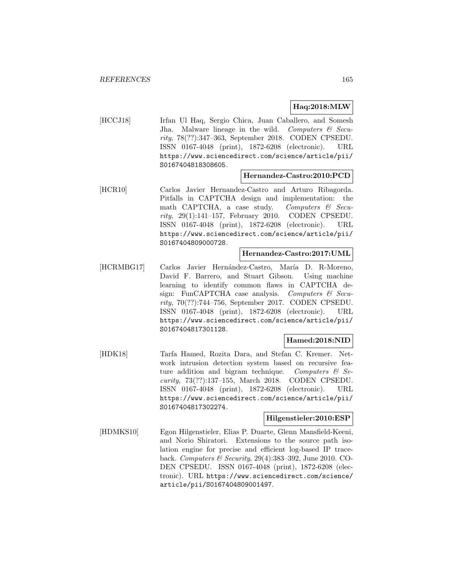### **Haq:2018:MLW**

[HCCJ18] Irfan Ul Haq, Sergio Chica, Juan Caballero, and Somesh Jha. Malware lineage in the wild. Computers  $\mathcal{C}$  Security, 78(??):347–363, September 2018. CODEN CPSEDU. ISSN 0167-4048 (print), 1872-6208 (electronic). URL https://www.sciencedirect.com/science/article/pii/ S0167404818308605.

#### **Hernandez-Castro:2010:PCD**

[HCR10] Carlos Javier Hernandez-Castro and Arturo Ribagorda. Pitfalls in CAPTCHA design and implementation: the math CAPTCHA, a case study. Computers  $\mathcal{C}$  Security, 29(1):141–157, February 2010. CODEN CPSEDU. ISSN 0167-4048 (print), 1872-6208 (electronic). URL https://www.sciencedirect.com/science/article/pii/ S0167404809000728.

#### **Hernandez-Castro:2017:UML**

[HCRMBG17] Carlos Javier Hernández-Castro, María D. R-Moreno, David F. Barrero, and Stuart Gibson. Using machine learning to identify common flaws in CAPTCHA design: FunCAPTCHA case analysis. Computers  $\mathcal{C}$  Security, 70(??):744–756, September 2017. CODEN CPSEDU. ISSN 0167-4048 (print), 1872-6208 (electronic). URL https://www.sciencedirect.com/science/article/pii/ S0167404817301128.

# **Hamed:2018:NID**

[HDK18] Tarfa Hamed, Rozita Dara, and Stefan C. Kremer. Network intrusion detection system based on recursive feature addition and bigram technique. Computers  $\mathcal{C}$  Security, 73(??):137–155, March 2018. CODEN CPSEDU. ISSN 0167-4048 (print), 1872-6208 (electronic). URL https://www.sciencedirect.com/science/article/pii/ S0167404817302274.

#### **Hilgenstieler:2010:ESP**

[HDMKS10] Egon Hilgenstieler, Elias P. Duarte, Glenn Mansfield-Keeni, and Norio Shiratori. Extensions to the source path isolation engine for precise and efficient log-based IP traceback. Computers & Security, 29(4):383–392, June 2010. CO-DEN CPSEDU. ISSN 0167-4048 (print), 1872-6208 (electronic). URL https://www.sciencedirect.com/science/ article/pii/S0167404809001497.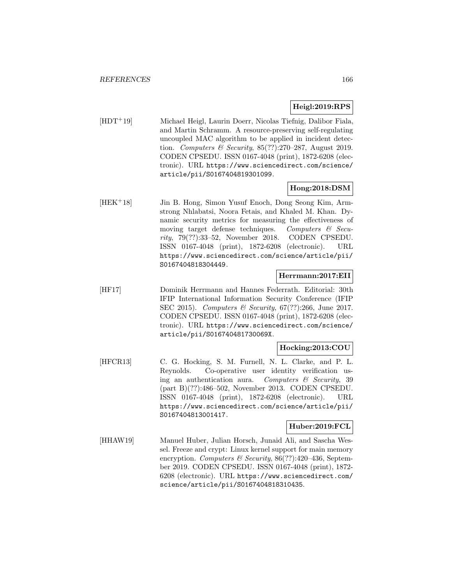### **Heigl:2019:RPS**

[HDT<sup>+</sup>19] Michael Heigl, Laurin Doerr, Nicolas Tiefnig, Dalibor Fiala, and Martin Schramm. A resource-preserving self-regulating uncoupled MAC algorithm to be applied in incident detection. Computers & Security, 85(??):270–287, August 2019. CODEN CPSEDU. ISSN 0167-4048 (print), 1872-6208 (electronic). URL https://www.sciencedirect.com/science/ article/pii/S0167404819301099.

# **Hong:2018:DSM**

[HEK<sup>+</sup>18] Jin B. Hong, Simon Yusuf Enoch, Dong Seong Kim, Armstrong Nhlabatsi, Noora Fetais, and Khaled M. Khan. Dynamic security metrics for measuring the effectiveness of moving target defense techniques. Computers  $\mathcal{C}$  Security, 79(??):33–52, November 2018. CODEN CPSEDU. ISSN 0167-4048 (print), 1872-6208 (electronic). URL https://www.sciencedirect.com/science/article/pii/ S0167404818304449.

### **Herrmann:2017:EII**

[HF17] Dominik Herrmann and Hannes Federrath. Editorial: 30th IFIP International Information Security Conference (IFIP SEC 2015). Computers & Security, 67(??):266, June 2017. CODEN CPSEDU. ISSN 0167-4048 (print), 1872-6208 (electronic). URL https://www.sciencedirect.com/science/ article/pii/S016740481730069X.

### **Hocking:2013:COU**

[HFCR13] C. G. Hocking, S. M. Furnell, N. L. Clarke, and P. L. Reynolds. Co-operative user identity verification using an authentication aura. Computers  $\mathcal{C}$  Security, 39 (part B)(??):486–502, November 2013. CODEN CPSEDU. ISSN 0167-4048 (print), 1872-6208 (electronic). URL https://www.sciencedirect.com/science/article/pii/ S0167404813001417.

# **Huber:2019:FCL**

[HHAW19] Manuel Huber, Julian Horsch, Junaid Ali, and Sascha Wessel. Freeze and crypt: Linux kernel support for main memory encryption. Computers & Security, 86(??):420-436, September 2019. CODEN CPSEDU. ISSN 0167-4048 (print), 1872- 6208 (electronic). URL https://www.sciencedirect.com/ science/article/pii/S0167404818310435.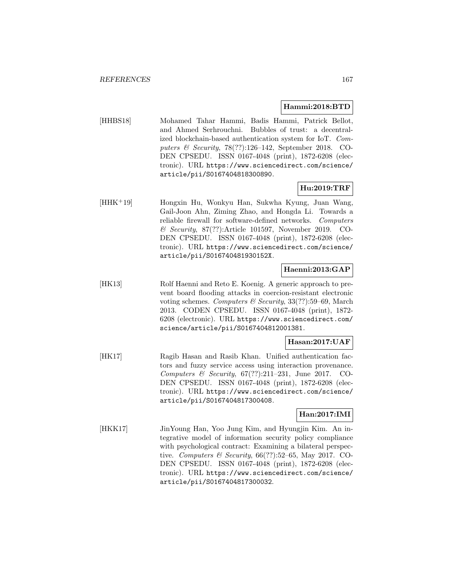#### **Hammi:2018:BTD**

[HHBS18] Mohamed Tahar Hammi, Badis Hammi, Patrick Bellot, and Ahmed Serhrouchni. Bubbles of trust: a decentralized blockchain-based authentication system for IoT. Computers & Security, 78(??):126–142, September 2018. CO-DEN CPSEDU. ISSN 0167-4048 (print), 1872-6208 (electronic). URL https://www.sciencedirect.com/science/ article/pii/S0167404818300890.

## **Hu:2019:TRF**

[HHK<sup>+</sup>19] Hongxin Hu, Wonkyu Han, Sukwha Kyung, Juan Wang, Gail-Joon Ahn, Ziming Zhao, and Hongda Li. Towards a reliable firewall for software-defined networks. Computers & Security, 87(??):Article 101597, November 2019. CO-DEN CPSEDU. ISSN 0167-4048 (print), 1872-6208 (electronic). URL https://www.sciencedirect.com/science/ article/pii/S016740481930152X.

# **Haenni:2013:GAP**

[HK13] Rolf Haenni and Reto E. Koenig. A generic approach to prevent board flooding attacks in coercion-resistant electronic voting schemes. Computers  $\mathcal B$  Security, 33(??):59–69, March 2013. CODEN CPSEDU. ISSN 0167-4048 (print), 1872- 6208 (electronic). URL https://www.sciencedirect.com/ science/article/pii/S0167404812001381.

### **Hasan:2017:UAF**

[HK17] Ragib Hasan and Rasib Khan. Unified authentication factors and fuzzy service access using interaction provenance. Computers & Security, 67(??):211–231, June 2017. CO-DEN CPSEDU. ISSN 0167-4048 (print), 1872-6208 (electronic). URL https://www.sciencedirect.com/science/ article/pii/S0167404817300408.

# **Han:2017:IMI**

[HKK17] JinYoung Han, Yoo Jung Kim, and Hyungjin Kim. An integrative model of information security policy compliance with psychological contract: Examining a bilateral perspective. Computers & Security,  $66(??):52-65$ , May 2017. CO-DEN CPSEDU. ISSN 0167-4048 (print), 1872-6208 (electronic). URL https://www.sciencedirect.com/science/ article/pii/S0167404817300032.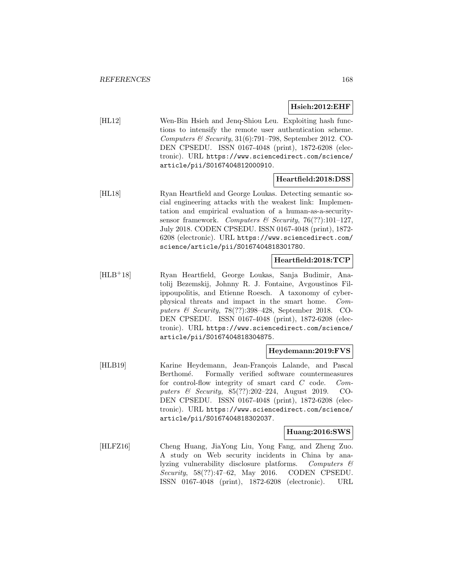### **Hsieh:2012:EHF**

[HL12] Wen-Bin Hsieh and Jenq-Shiou Leu. Exploiting hash functions to intensify the remote user authentication scheme. Computers & Security,  $31(6)$ :791–798, September 2012. CO-DEN CPSEDU. ISSN 0167-4048 (print), 1872-6208 (electronic). URL https://www.sciencedirect.com/science/ article/pii/S0167404812000910.

### **Heartfield:2018:DSS**

[HL18] Ryan Heartfield and George Loukas. Detecting semantic social engineering attacks with the weakest link: Implementation and empirical evaluation of a human-as-a-securitysensor framework. Computers & Security, 76(??):101-127, July 2018. CODEN CPSEDU. ISSN 0167-4048 (print), 1872- 6208 (electronic). URL https://www.sciencedirect.com/ science/article/pii/S0167404818301780.

### **Heartfield:2018:TCP**

[HLB<sup>+</sup>18] Ryan Heartfield, George Loukas, Sanja Budimir, Anatolij Bezemskij, Johnny R. J. Fontaine, Avgoustinos Filippoupolitis, and Etienne Roesch. A taxonomy of cyberphysical threats and impact in the smart home. Computers & Security, 78(??):398–428, September 2018. CO-DEN CPSEDU. ISSN 0167-4048 (print), 1872-6208 (electronic). URL https://www.sciencedirect.com/science/ article/pii/S0167404818304875.

# **Heydemann:2019:FVS**

[HLB19] Karine Heydemann, Jean-François Lalande, and Pascal Berthomé. Formally verified software countermeasures for control-flow integrity of smart card C code. Computers & Security, 85(??):202–224, August 2019. CO-DEN CPSEDU. ISSN 0167-4048 (print), 1872-6208 (electronic). URL https://www.sciencedirect.com/science/ article/pii/S0167404818302037.

#### **Huang:2016:SWS**

[HLFZ16] Cheng Huang, JiaYong Liu, Yong Fang, and Zheng Zuo. A study on Web security incidents in China by analyzing vulnerability disclosure platforms. Computers & Security, 58(??):47–62, May 2016. CODEN CPSEDU. ISSN 0167-4048 (print), 1872-6208 (electronic). URL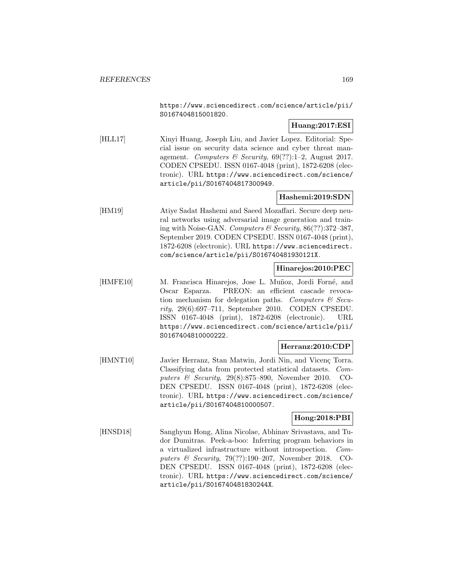https://www.sciencedirect.com/science/article/pii/ S0167404815001820.

# **Huang:2017:ESI**

[HLL17] Xinyi Huang, Joseph Liu, and Javier Lopez. Editorial: Special issue on security data science and cyber threat management. Computers & Security,  $69(??):1-2$ , August 2017. CODEN CPSEDU. ISSN 0167-4048 (print), 1872-6208 (electronic). URL https://www.sciencedirect.com/science/ article/pii/S0167404817300949.

# **Hashemi:2019:SDN**

[HM19] Atiye Sadat Hashemi and Saeed Mozaffari. Secure deep neural networks using adversarial image generation and training with Noise-GAN. Computers & Security, 86(??):372–387, September 2019. CODEN CPSEDU. ISSN 0167-4048 (print), 1872-6208 (electronic). URL https://www.sciencedirect. com/science/article/pii/S016740481930121X.

# **Hinarejos:2010:PEC**

[HMFE10] M. Francisca Hinarejos, Jose L. Muñoz, Jordi Forné, and Oscar Esparza. PREON: an efficient cascade revocation mechanism for delegation paths. Computers  $\mathcal{C}$  Security, 29(6):697–711, September 2010. CODEN CPSEDU. ISSN 0167-4048 (print), 1872-6208 (electronic). URL https://www.sciencedirect.com/science/article/pii/ S0167404810000222.

# **Herranz:2010:CDP**

[HMNT10] Javier Herranz, Stan Matwin, Jordi Nin, and Vicenç Torra. Classifying data from protected statistical datasets. Computers & Security, 29(8):875–890, November 2010. CO-DEN CPSEDU. ISSN 0167-4048 (print), 1872-6208 (electronic). URL https://www.sciencedirect.com/science/ article/pii/S0167404810000507.

# **Hong:2018:PBI**

[HNSD18] Sanghyun Hong, Alina Nicolae, Abhinav Srivastava, and Tudor Dumitras. Peek-a-boo: Inferring program behaviors in a virtualized infrastructure without introspection. Computers & Security, 79(??):190–207, November 2018. CO-DEN CPSEDU. ISSN 0167-4048 (print), 1872-6208 (electronic). URL https://www.sciencedirect.com/science/ article/pii/S016740481830244X.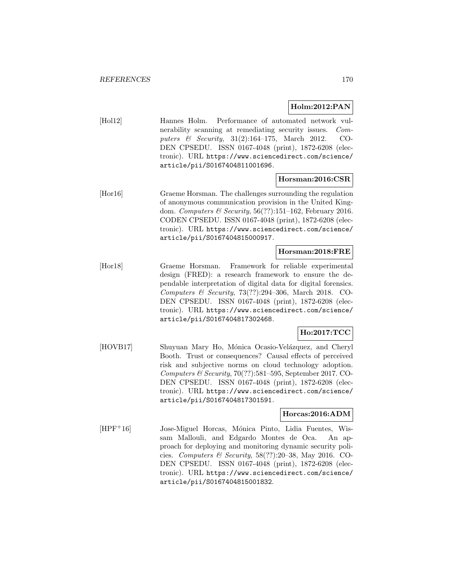## **Holm:2012:PAN**

[Hol12] Hannes Holm. Performance of automated network vulnerability scanning at remediating security issues. Computers & Security, 31(2):164–175, March 2012. CO-DEN CPSEDU. ISSN 0167-4048 (print), 1872-6208 (electronic). URL https://www.sciencedirect.com/science/ article/pii/S0167404811001696.

### **Horsman:2016:CSR**

[Hor16] Graeme Horsman. The challenges surrounding the regulation of anonymous communication provision in the United Kingdom. Computers & Security, 56(??):151–162, February 2016. CODEN CPSEDU. ISSN 0167-4048 (print), 1872-6208 (electronic). URL https://www.sciencedirect.com/science/ article/pii/S0167404815000917.

### **Horsman:2018:FRE**

[Hor18] Graeme Horsman. Framework for reliable experimental design (FRED): a research framework to ensure the dependable interpretation of digital data for digital forensics. Computers & Security, 73(??):294–306, March 2018. CO-DEN CPSEDU. ISSN 0167-4048 (print), 1872-6208 (electronic). URL https://www.sciencedirect.com/science/ article/pii/S0167404817302468.

# **Ho:2017:TCC**

[HOVB17] Shuyuan Mary Ho, Mónica Ocasio-Velázquez, and Cheryl Booth. Trust or consequences? Causal effects of perceived risk and subjective norms on cloud technology adoption. Computers  $\mathcal C$  Security, 70(??):581–595, September 2017. CO-DEN CPSEDU. ISSN 0167-4048 (print), 1872-6208 (electronic). URL https://www.sciencedirect.com/science/ article/pii/S0167404817301591.

### **Horcas:2016:ADM**

[HPF<sup>+</sup>16] Jose-Miguel Horcas, M´onica Pinto, Lidia Fuentes, Wissam Mallouli, and Edgardo Montes de Oca. An approach for deploying and monitoring dynamic security policies. Computers & Security,  $58(??):20-38$ , May 2016. CO-DEN CPSEDU. ISSN 0167-4048 (print), 1872-6208 (electronic). URL https://www.sciencedirect.com/science/ article/pii/S0167404815001832.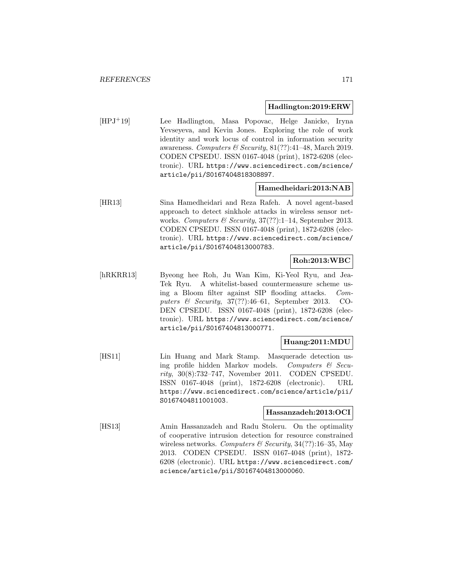#### **Hadlington:2019:ERW**

[HPJ<sup>+</sup>19] Lee Hadlington, Masa Popovac, Helge Janicke, Iryna Yevseyeva, and Kevin Jones. Exploring the role of work identity and work locus of control in information security awareness. Computers & Security,  $81(??):41-48$ , March 2019. CODEN CPSEDU. ISSN 0167-4048 (print), 1872-6208 (electronic). URL https://www.sciencedirect.com/science/ article/pii/S0167404818308897.

### **Hamedheidari:2013:NAB**

[HR13] Sina Hamedheidari and Reza Rafeh. A novel agent-based approach to detect sinkhole attacks in wireless sensor networks. Computers & Security,  $37(??):1-14$ , September 2013. CODEN CPSEDU. ISSN 0167-4048 (print), 1872-6208 (electronic). URL https://www.sciencedirect.com/science/ article/pii/S0167404813000783.

# **Roh:2013:WBC**

[hRKRR13] Byeong hee Roh, Ju Wan Kim, Ki-Yeol Ryu, and Jea-Tek Ryu. A whitelist-based countermeasure scheme using a Bloom filter against SIP flooding attacks. Computers & Security, 37(??):46–61, September 2013. CO-DEN CPSEDU. ISSN 0167-4048 (print), 1872-6208 (electronic). URL https://www.sciencedirect.com/science/ article/pii/S0167404813000771.

### **Huang:2011:MDU**

[HS11] Lin Huang and Mark Stamp. Masquerade detection using profile hidden Markov models. Computers  $\mathcal{C}$  Security, 30(8):732–747, November 2011. CODEN CPSEDU. ISSN 0167-4048 (print), 1872-6208 (electronic). URL https://www.sciencedirect.com/science/article/pii/ S0167404811001003.

#### **Hassanzadeh:2013:OCI**

[HS13] Amin Hassanzadeh and Radu Stoleru. On the optimality of cooperative intrusion detection for resource constrained wireless networks. Computers  $\mathcal C$  Security, 34(??):16–35, May 2013. CODEN CPSEDU. ISSN 0167-4048 (print), 1872- 6208 (electronic). URL https://www.sciencedirect.com/ science/article/pii/S0167404813000060.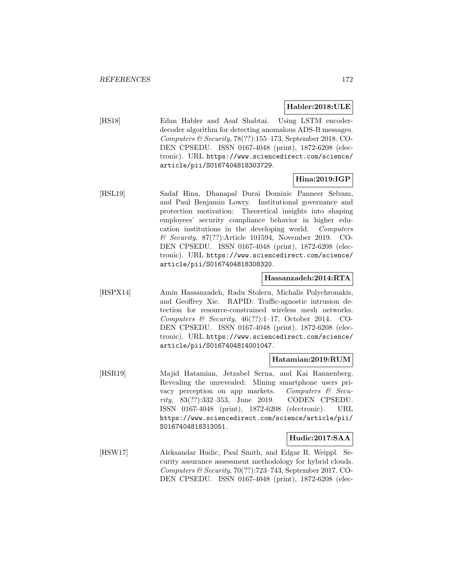### **Habler:2018:ULE**

[HS18] Edan Habler and Asaf Shabtai. Using LSTM encoderdecoder algorithm for detecting anomalous ADS-B messages. Computers  $\mathcal B$  Security, 78(??):155–173, September 2018. CO-DEN CPSEDU. ISSN 0167-4048 (print), 1872-6208 (electronic). URL https://www.sciencedirect.com/science/ article/pii/S0167404818303729.

# **Hina:2019:IGP**

[HSL19] Sadaf Hina, Dhanapal Durai Dominic Panneer Selvam, and Paul Benjamin Lowry. Institutional governance and protection motivation: Theoretical insights into shaping employees' security compliance behavior in higher education institutions in the developing world. Computers & Security, 87(??):Article 101594, November 2019. CO-DEN CPSEDU. ISSN 0167-4048 (print), 1872-6208 (electronic). URL https://www.sciencedirect.com/science/ article/pii/S0167404818308320.

### **Hassanzadeh:2014:RTA**

[HSPX14] Amin Hassanzadeh, Radu Stoleru, Michalis Polychronakis, and Geoffrey Xie. RAPID: Traffic-agnostic intrusion detection for resource-constrained wireless mesh networks. Computers & Security,  $46(??):1-17$ , October 2014. CO-DEN CPSEDU. ISSN 0167-4048 (print), 1872-6208 (electronic). URL https://www.sciencedirect.com/science/ article/pii/S0167404814001047.

### **Hatamian:2019:RUM**

[HSR19] Majid Hatamian, Jetzabel Serna, and Kai Rannenberg. Revealing the unrevealed: Mining smartphone users privacy perception on app markets. Computers  $\mathcal{C}$  Security, 83(??):332–353, June 2019. CODEN CPSEDU. ISSN 0167-4048 (print), 1872-6208 (electronic). URL https://www.sciencedirect.com/science/article/pii/ S0167404818313051.

### **Hudic:2017:SAA**

[HSW17] Aleksandar Hudic, Paul Smith, and Edgar R. Weippl. Security assurance assessment methodology for hybrid clouds. Computers  $\mathcal C$  Security, 70(??):723-743, September 2017. CO-DEN CPSEDU. ISSN 0167-4048 (print), 1872-6208 (elec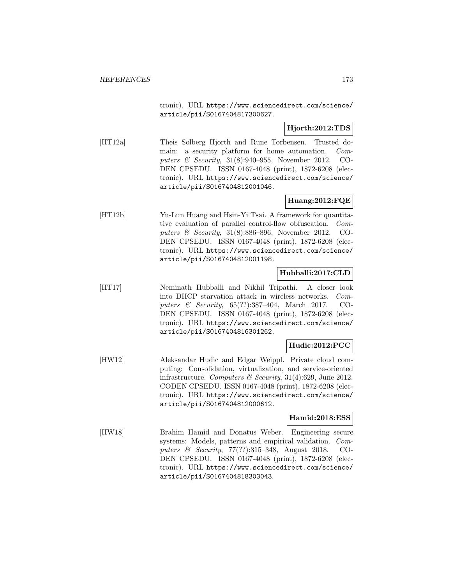tronic). URL https://www.sciencedirect.com/science/ article/pii/S0167404817300627.

# **Hjorth:2012:TDS**

[HT12a] Theis Solberg Hjorth and Rune Torbensen. Trusted domain: a security platform for home automation. Computers & Security, 31(8):940–955, November 2012. CO-DEN CPSEDU. ISSN 0167-4048 (print), 1872-6208 (electronic). URL https://www.sciencedirect.com/science/ article/pii/S0167404812001046.

# **Huang:2012:FQE**

[HT12b] Yu-Lun Huang and Hsin-Yi Tsai. A framework for quantitative evaluation of parallel control-flow obfuscation. Computers & Security, 31(8):886–896, November 2012. CO-DEN CPSEDU. ISSN 0167-4048 (print), 1872-6208 (electronic). URL https://www.sciencedirect.com/science/ article/pii/S0167404812001198.

# **Hubballi:2017:CLD**

[HT17] Neminath Hubballi and Nikhil Tripathi. A closer look into DHCP starvation attack in wireless networks. Computers & Security, 65(??):387–404, March 2017. CO-DEN CPSEDU. ISSN 0167-4048 (print), 1872-6208 (electronic). URL https://www.sciencedirect.com/science/ article/pii/S0167404816301262.

# **Hudic:2012:PCC**

[HW12] Aleksandar Hudic and Edgar Weippl. Private cloud computing: Consolidation, virtualization, and service-oriented infrastructure. Computers & Security, 31(4):629, June 2012. CODEN CPSEDU. ISSN 0167-4048 (print), 1872-6208 (electronic). URL https://www.sciencedirect.com/science/ article/pii/S0167404812000612.

### **Hamid:2018:ESS**

[HW18] Brahim Hamid and Donatus Weber. Engineering secure systems: Models, patterns and empirical validation. Computers & Security, 77(??):315–348, August 2018. CO-DEN CPSEDU. ISSN 0167-4048 (print), 1872-6208 (electronic). URL https://www.sciencedirect.com/science/ article/pii/S0167404818303043.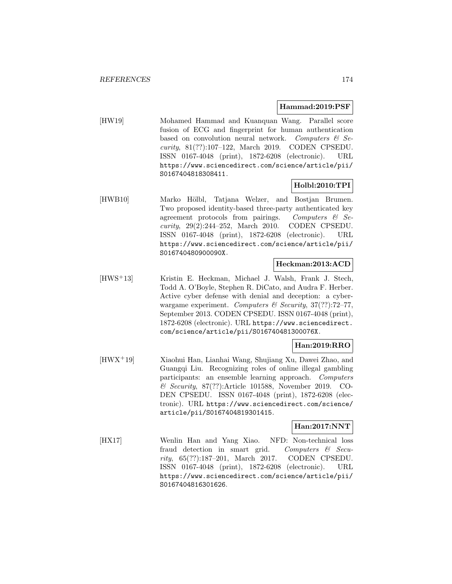#### **Hammad:2019:PSF**

[HW19] Mohamed Hammad and Kuanquan Wang. Parallel score fusion of ECG and fingerprint for human authentication based on convolution neural network. Computers  $\mathcal{C}$  Security, 81(??):107–122, March 2019. CODEN CPSEDU. ISSN 0167-4048 (print), 1872-6208 (electronic). URL https://www.sciencedirect.com/science/article/pii/ S0167404818308411.

### **Holbl:2010:TPI**

[HWB10] Marko Hölbl, Tatjana Welzer, and Bostjan Brumen. Two proposed identity-based three-party authenticated key agreement protocols from pairings. Computers  $\mathcal{C}$  Security, 29(2):244–252, March 2010. CODEN CPSEDU. ISSN 0167-4048 (print), 1872-6208 (electronic). URL https://www.sciencedirect.com/science/article/pii/ S016740480900090X.

#### **Heckman:2013:ACD**

[HWS<sup>+</sup>13] Kristin E. Heckman, Michael J. Walsh, Frank J. Stech, Todd A. O'Boyle, Stephen R. DiCato, and Audra F. Herber. Active cyber defense with denial and deception: a cyberwargame experiment. Computers  $\mathcal C$  Security, 37(??):72–77, September 2013. CODEN CPSEDU. ISSN 0167-4048 (print), 1872-6208 (electronic). URL https://www.sciencedirect. com/science/article/pii/S016740481300076X.

### **Han:2019:RRO**

[HWX<sup>+</sup>19] Xiaohui Han, Lianhai Wang, Shujiang Xu, Dawei Zhao, and Guangqi Liu. Recognizing roles of online illegal gambling participants: an ensemble learning approach. Computers & Security, 87(??):Article 101588, November 2019. CO-DEN CPSEDU. ISSN 0167-4048 (print), 1872-6208 (electronic). URL https://www.sciencedirect.com/science/ article/pii/S0167404819301415.

### **Han:2017:NNT**

[HX17] Wenlin Han and Yang Xiao. NFD: Non-technical loss fraud detection in smart grid. Computers & Security, 65(??):187–201, March 2017. CODEN CPSEDU. ISSN 0167-4048 (print), 1872-6208 (electronic). URL https://www.sciencedirect.com/science/article/pii/ S0167404816301626.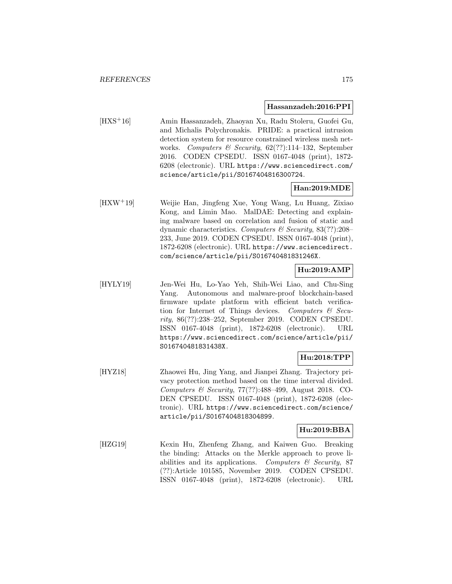#### **Hassanzadeh:2016:PPI**

[HXS<sup>+</sup>16] Amin Hassanzadeh, Zhaoyan Xu, Radu Stoleru, Guofei Gu, and Michalis Polychronakis. PRIDE: a practical intrusion detection system for resource constrained wireless mesh networks. Computers & Security,  $62(??):114-132$ , September 2016. CODEN CPSEDU. ISSN 0167-4048 (print), 1872- 6208 (electronic). URL https://www.sciencedirect.com/ science/article/pii/S0167404816300724.

### **Han:2019:MDE**

[HXW<sup>+</sup>19] Weijie Han, Jingfeng Xue, Yong Wang, Lu Huang, Zixiao Kong, and Limin Mao. MalDAE: Detecting and explaining malware based on correlation and fusion of static and dynamic characteristics. Computers  $\mathcal{B}$  Security, 83(??):208– 233, June 2019. CODEN CPSEDU. ISSN 0167-4048 (print), 1872-6208 (electronic). URL https://www.sciencedirect. com/science/article/pii/S016740481831246X.

# **Hu:2019:AMP**

[HYLY19] Jen-Wei Hu, Lo-Yao Yeh, Shih-Wei Liao, and Chu-Sing Yang. Autonomous and malware-proof blockchain-based firmware update platform with efficient batch verification for Internet of Things devices. Computers  $\mathcal{C}$  Security, 86(??):238–252, September 2019. CODEN CPSEDU. ISSN 0167-4048 (print), 1872-6208 (electronic). URL https://www.sciencedirect.com/science/article/pii/ S016740481831438X.

# **Hu:2018:TPP**

[HYZ18] Zhaowei Hu, Jing Yang, and Jianpei Zhang. Trajectory privacy protection method based on the time interval divided. Computers & Security, 77(??):488–499, August 2018. CO-DEN CPSEDU. ISSN 0167-4048 (print), 1872-6208 (electronic). URL https://www.sciencedirect.com/science/ article/pii/S0167404818304899.

## **Hu:2019:BBA**

[HZG19] Kexin Hu, Zhenfeng Zhang, and Kaiwen Guo. Breaking the binding: Attacks on the Merkle approach to prove liabilities and its applications. Computers  $\mathcal C$  Security, 87 (??):Article 101585, November 2019. CODEN CPSEDU. ISSN 0167-4048 (print), 1872-6208 (electronic). URL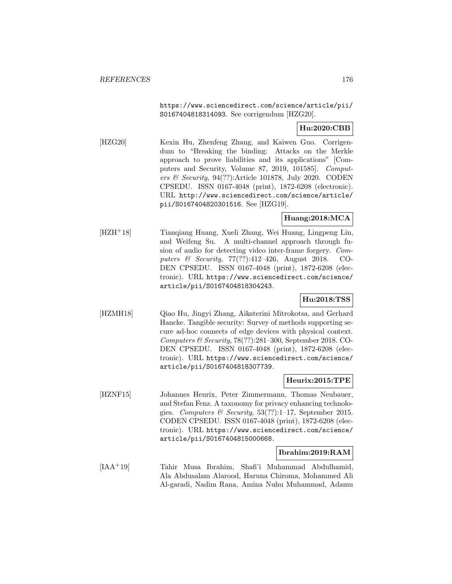https://www.sciencedirect.com/science/article/pii/ S0167404818314093. See corrigendum [HZG20].

# **Hu:2020:CBB**

[HZG20] Kexin Hu, Zhenfeng Zhang, and Kaiwen Guo. Corrigendum to "Breaking the binding: Attacks on the Merkle approach to prove liabilities and its applications" [Computers and Security, Volume 87, 2019, 101585]. Computers & Security, 94(??):Article 101878, July 2020. CODEN CPSEDU. ISSN 0167-4048 (print), 1872-6208 (electronic). URL http://www.sciencedirect.com/science/article/ pii/S0167404820301516. See [HZG19].

# **Huang:2018:MCA**

[HZH<sup>+</sup>18] Tianqiang Huang, Xueli Zhang, Wei Huang, Lingpeng Lin, and Weifeng Su. A multi-channel approach through fusion of audio for detecting video inter-frame forgery. Computers & Security, 77(??):412–426, August 2018. CO-DEN CPSEDU. ISSN 0167-4048 (print), 1872-6208 (electronic). URL https://www.sciencedirect.com/science/ article/pii/S0167404818304243.

# **Hu:2018:TSS**

[HZMH18] Qiao Hu, Jingyi Zhang, Aikaterini Mitrokotsa, and Gerhard Hancke. Tangible security: Survey of methods supporting secure ad-hoc connects of edge devices with physical context. Computers & Security, 78(??):281–300, September 2018. CO-DEN CPSEDU. ISSN 0167-4048 (print), 1872-6208 (electronic). URL https://www.sciencedirect.com/science/ article/pii/S0167404818307739.

### **Heurix:2015:TPE**

[HZNF15] Johannes Heurix, Peter Zimmermann, Thomas Neubauer, and Stefan Fenz. A taxonomy for privacy enhancing technologies. Computers & Security,  $53(??):1-17$ , September 2015. CODEN CPSEDU. ISSN 0167-4048 (print), 1872-6208 (electronic). URL https://www.sciencedirect.com/science/ article/pii/S0167404815000668.

# **Ibrahim:2019:RAM**

[IAA<sup>+</sup>19] Tahir Musa Ibrahim, Shafi'i Muhammad Abdulhamid, Ala Abdusalam Alarood, Haruna Chiroma, Mohammed Ali Al-garadi, Nadim Rana, Amina Nuhu Muhammad, Adamu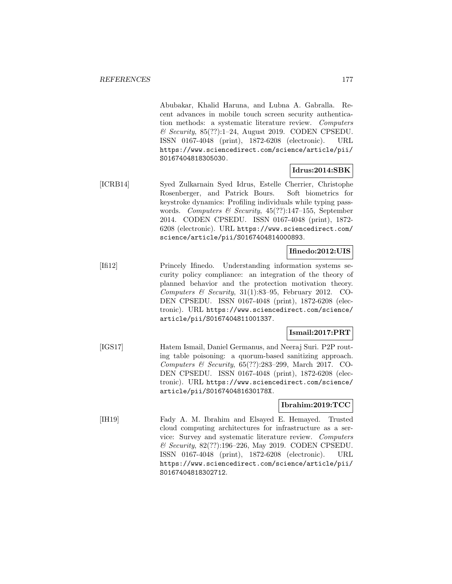Abubakar, Khalid Haruna, and Lubna A. Gabralla. Recent advances in mobile touch screen security authentication methods: a systematic literature review. Computers  $\mathcal C$  Security, 85(??):1–24, August 2019. CODEN CPSEDU. ISSN 0167-4048 (print), 1872-6208 (electronic). URL https://www.sciencedirect.com/science/article/pii/ S0167404818305030.

# **Idrus:2014:SBK**

[ICRB14] Syed Zulkarnain Syed Idrus, Estelle Cherrier, Christophe Rosenberger, and Patrick Bours. Soft biometrics for keystroke dynamics: Profiling individuals while typing passwords. Computers & Security, 45(??):147–155, September 2014. CODEN CPSEDU. ISSN 0167-4048 (print), 1872- 6208 (electronic). URL https://www.sciencedirect.com/ science/article/pii/S0167404814000893.

# **Ifinedo:2012:UIS**

[Ifi12] Princely Ifinedo. Understanding information systems security policy compliance: an integration of the theory of planned behavior and the protection motivation theory. Computers & Security,  $31(1):83-95$ , February 2012. CO-DEN CPSEDU. ISSN 0167-4048 (print), 1872-6208 (electronic). URL https://www.sciencedirect.com/science/ article/pii/S0167404811001337.

# **Ismail:2017:PRT**

[IGS17] Hatem Ismail, Daniel Germanus, and Neeraj Suri. P2P routing table poisoning: a quorum-based sanitizing approach. Computers & Security, 65(??):283–299, March 2017. CO-DEN CPSEDU. ISSN 0167-4048 (print), 1872-6208 (electronic). URL https://www.sciencedirect.com/science/ article/pii/S016740481630178X.

# **Ibrahim:2019:TCC**

[IH19] Fady A. M. Ibrahim and Elsayed E. Hemayed. Trusted cloud computing architectures for infrastructure as a service: Survey and systematic literature review. Computers & Security, 82(??):196–226, May 2019. CODEN CPSEDU. ISSN 0167-4048 (print), 1872-6208 (electronic). URL https://www.sciencedirect.com/science/article/pii/ S0167404818302712.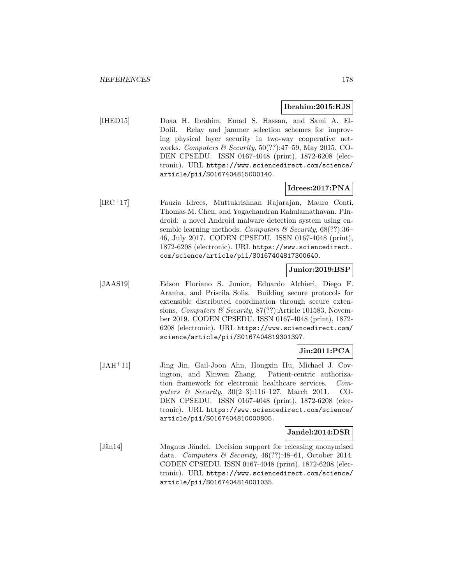#### **Ibrahim:2015:RJS**

[IHED15] Doaa H. Ibrahim, Emad S. Hassan, and Sami A. El-Dolil. Relay and jammer selection schemes for improving physical layer security in two-way cooperative networks. Computers & Security,  $50(??)$ :47-59, May 2015. CO-DEN CPSEDU. ISSN 0167-4048 (print), 1872-6208 (electronic). URL https://www.sciencedirect.com/science/ article/pii/S0167404815000140.

### **Idrees:2017:PNA**

[IRC<sup>+</sup>17] Fauzia Idrees, Muttukrishnan Rajarajan, Mauro Conti, Thomas M. Chen, and Yogachandran Rahulamathavan. PIndroid: a novel Android malware detection system using ensemble learning methods. Computers & Security,  $68(??)$ :36– 46, July 2017. CODEN CPSEDU. ISSN 0167-4048 (print), 1872-6208 (electronic). URL https://www.sciencedirect. com/science/article/pii/S0167404817300640.

### **Junior:2019:BSP**

[JAAS19] Edson Floriano S. Junior, Eduardo Alchieri, Diego F. Aranha, and Priscila Solis. Building secure protocols for extensible distributed coordination through secure extensions. Computers & Security, 87(??):Article 101583, November 2019. CODEN CPSEDU. ISSN 0167-4048 (print), 1872- 6208 (electronic). URL https://www.sciencedirect.com/ science/article/pii/S0167404819301397.

# **Jin:2011:PCA**

[JAH<sup>+</sup>11] Jing Jin, Gail-Joon Ahn, Hongxin Hu, Michael J. Covington, and Xinwen Zhang. Patient-centric authorization framework for electronic healthcare services. Computers & Security, 30(2–3):116–127, March 2011. CO-DEN CPSEDU. ISSN 0167-4048 (print), 1872-6208 (electronic). URL https://www.sciencedirect.com/science/ article/pii/S0167404810000805.

# **Jandel:2014:DSR**

[Jän14] Magnus Jändel. Decision support for releasing anonymised data. Computers & Security,  $46(??):48-61$ , October 2014. CODEN CPSEDU. ISSN 0167-4048 (print), 1872-6208 (electronic). URL https://www.sciencedirect.com/science/ article/pii/S0167404814001035.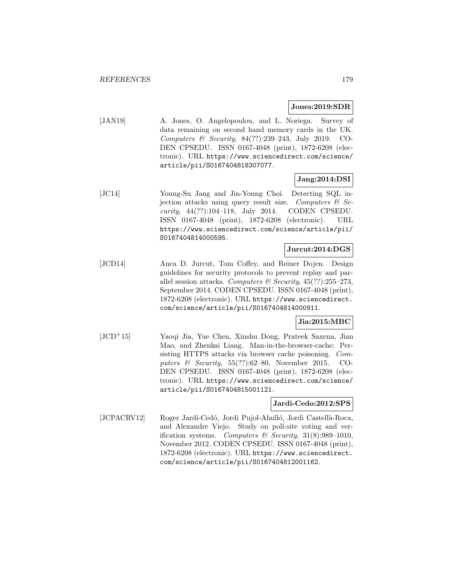#### **Jones:2019:SDR**

[JAN19] A. Jones, O. Angelopoulou, and L. Noriega. Survey of data remaining on second hand memory cards in the UK. Computers & Security, 84(??):239–243, July 2019. CO-DEN CPSEDU. ISSN 0167-4048 (print), 1872-6208 (electronic). URL https://www.sciencedirect.com/science/ article/pii/S0167404818307077.

# **Jang:2014:DSI**

[JC14] Young-Su Jang and Jin-Young Choi. Detecting SQL injection attacks using query result size. Computers  $\mathcal{C}$  Security, 44(??):104–118, July 2014. CODEN CPSEDU. ISSN 0167-4048 (print), 1872-6208 (electronic). URL https://www.sciencedirect.com/science/article/pii/ S0167404814000595.

### **Jurcut:2014:DGS**

[JCD14] Anca D. Jurcut, Tom Coffey, and Reiner Dojen. Design guidelines for security protocols to prevent replay and parallel session attacks. Computers & Security,  $45(??):255-273$ , September 2014. CODEN CPSEDU. ISSN 0167-4048 (print), 1872-6208 (electronic). URL https://www.sciencedirect. com/science/article/pii/S0167404814000911.

### **Jia:2015:MBC**

[JCD<sup>+</sup>15] Yaoqi Jia, Yue Chen, Xinshu Dong, Prateek Saxena, Jian Mao, and Zhenkai Liang. Man-in-the-browser-cache: Persisting HTTPS attacks via browser cache poisoning. Computers  $\&$  Security, 55(??):62–80, November 2015. CO-DEN CPSEDU. ISSN 0167-4048 (print), 1872-6208 (electronic). URL https://www.sciencedirect.com/science/ article/pii/S0167404815001121.

### **Jardi-Cedo:2012:SPS**

[JCPACRV12] Roger Jardí-Cedó, Jordi Pujol-Ahulló, Jordi Castellà-Roca, and Alexandre Viejo. Study on poll-site voting and verification systems. Computers & Security,  $31(8):989-1010$ , November 2012. CODEN CPSEDU. ISSN 0167-4048 (print), 1872-6208 (electronic). URL https://www.sciencedirect. com/science/article/pii/S0167404812001162.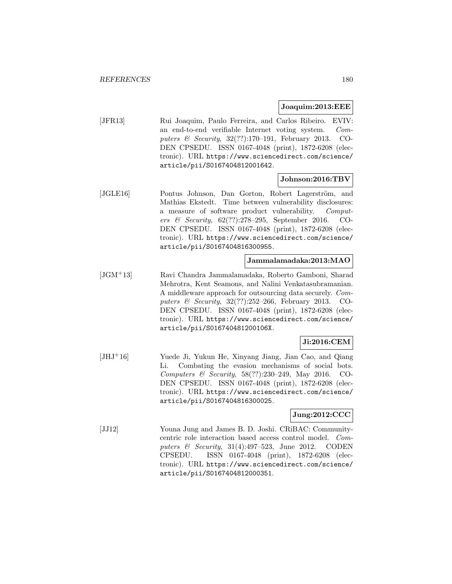#### **Joaquim:2013:EEE**

[JFR13] Rui Joaquim, Paulo Ferreira, and Carlos Ribeiro. EVIV: an end-to-end verifiable Internet voting system. Computers & Security, 32(??):170–191, February 2013. CO-DEN CPSEDU. ISSN 0167-4048 (print), 1872-6208 (electronic). URL https://www.sciencedirect.com/science/ article/pii/S0167404812001642.

### **Johnson:2016:TBV**

[JGLE16] Pontus Johnson, Dan Gorton, Robert Lagerström, and Mathias Ekstedt. Time between vulnerability disclosures: a measure of software product vulnerability. Computers & Security, 62(??):278–295, September 2016. CO-DEN CPSEDU. ISSN 0167-4048 (print), 1872-6208 (electronic). URL https://www.sciencedirect.com/science/ article/pii/S0167404816300955.

### **Jammalamadaka:2013:MAO**

[JGM<sup>+</sup>13] Ravi Chandra Jammalamadaka, Roberto Gamboni, Sharad Mehrotra, Kent Seamons, and Nalini Venkatasubramanian. A middleware approach for outsourcing data securely. Computers & Security, 32(??):252–266, February 2013. CO-DEN CPSEDU. ISSN 0167-4048 (print), 1872-6208 (electronic). URL https://www.sciencedirect.com/science/ article/pii/S016740481200106X.

### **Ji:2016:CEM**

[JHJ<sup>+</sup>16] Yuede Ji, Yukun He, Xinyang Jiang, Jian Cao, and Qiang Li. Combating the evasion mechanisms of social bots. Computers & Security, 58(??):230–249, May 2016. CO-DEN CPSEDU. ISSN 0167-4048 (print), 1872-6208 (electronic). URL https://www.sciencedirect.com/science/ article/pii/S0167404816300025.

# **Jung:2012:CCC**

[JJ12] Youna Jung and James B. D. Joshi. CRiBAC: Communitycentric role interaction based access control model. Computers  $\&$  Security, 31(4):497-523, June 2012. CODEN CPSEDU. ISSN 0167-4048 (print), 1872-6208 (electronic). URL https://www.sciencedirect.com/science/ article/pii/S0167404812000351.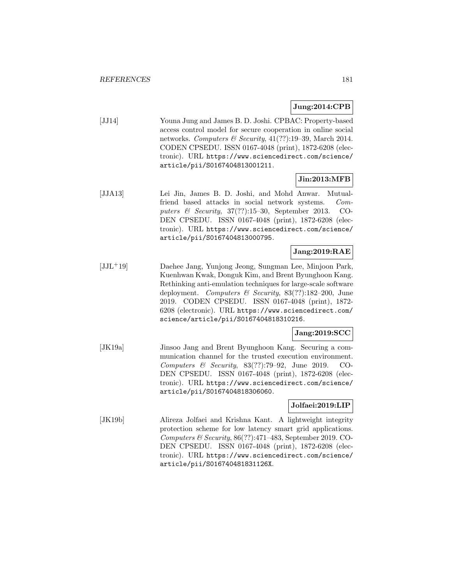### **Jung:2014:CPB**

[JJ14] Youna Jung and James B. D. Joshi. CPBAC: Property-based access control model for secure cooperation in online social networks. Computers & Security,  $41(??):19-39$ , March 2014. CODEN CPSEDU. ISSN 0167-4048 (print), 1872-6208 (electronic). URL https://www.sciencedirect.com/science/ article/pii/S0167404813001211.

## **Jin:2013:MFB**

[JJA13] Lei Jin, James B. D. Joshi, and Mohd Anwar. Mutualfriend based attacks in social network systems. Computers & Security, 37(??):15–30, September 2013. CO-DEN CPSEDU. ISSN 0167-4048 (print), 1872-6208 (electronic). URL https://www.sciencedirect.com/science/ article/pii/S0167404813000795.

## **Jang:2019:RAE**

[JJL<sup>+</sup>19] Daehee Jang, Yunjong Jeong, Sungman Lee, Minjoon Park, Kuenhwan Kwak, Donguk Kim, and Brent Byunghoon Kang. Rethinking anti-emulation techniques for large-scale software deployment. Computers & Security, 83(??):182–200, June 2019. CODEN CPSEDU. ISSN 0167-4048 (print), 1872- 6208 (electronic). URL https://www.sciencedirect.com/ science/article/pii/S0167404818310216.

#### **Jang:2019:SCC**

[JK19a] Jinsoo Jang and Brent Byunghoon Kang. Securing a communication channel for the trusted execution environment. Computers & Security, 83(??):79–92, June 2019. CO-DEN CPSEDU. ISSN 0167-4048 (print), 1872-6208 (electronic). URL https://www.sciencedirect.com/science/ article/pii/S0167404818306060.

#### **Jolfaei:2019:LIP**

[JK19b] Alireza Jolfaei and Krishna Kant. A lightweight integrity protection scheme for low latency smart grid applications. Computers & Security, 86(??):471–483, September 2019. CO-DEN CPSEDU. ISSN 0167-4048 (print), 1872-6208 (electronic). URL https://www.sciencedirect.com/science/ article/pii/S016740481831126X.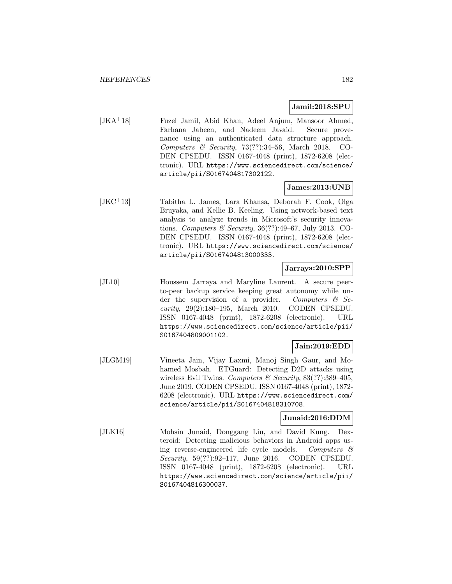#### **Jamil:2018:SPU**

[JKA<sup>+</sup>18] Fuzel Jamil, Abid Khan, Adeel Anjum, Mansoor Ahmed, Farhana Jabeen, and Nadeem Javaid. Secure provenance using an authenticated data structure approach. Computers & Security, 73(??):34-56, March 2018. CO-DEN CPSEDU. ISSN 0167-4048 (print), 1872-6208 (electronic). URL https://www.sciencedirect.com/science/ article/pii/S0167404817302122.

## **James:2013:UNB**

[JKC<sup>+</sup>13] Tabitha L. James, Lara Khansa, Deborah F. Cook, Olga Bruyaka, and Kellie B. Keeling. Using network-based text analysis to analyze trends in Microsoft's security innovations. Computers & Security, 36(??):49–67, July 2013. CO-DEN CPSEDU. ISSN 0167-4048 (print), 1872-6208 (electronic). URL https://www.sciencedirect.com/science/ article/pii/S0167404813000333.

# **Jarraya:2010:SPP**

[JL10] Houssem Jarraya and Maryline Laurent. A secure peerto-peer backup service keeping great autonomy while under the supervision of a provider. Computers  $\mathcal{C}$  Security, 29(2):180–195, March 2010. CODEN CPSEDU. ISSN 0167-4048 (print), 1872-6208 (electronic). URL https://www.sciencedirect.com/science/article/pii/ S0167404809001102.

# **Jain:2019:EDD**

[JLGM19] Vineeta Jain, Vijay Laxmi, Manoj Singh Gaur, and Mohamed Mosbah. ETGuard: Detecting D2D attacks using wireless Evil Twins. Computers & Security,  $83(??)$ :389-405, June 2019. CODEN CPSEDU. ISSN 0167-4048 (print), 1872- 6208 (electronic). URL https://www.sciencedirect.com/ science/article/pii/S0167404818310708.

### **Junaid:2016:DDM**

[JLK16] Mohsin Junaid, Donggang Liu, and David Kung. Dexteroid: Detecting malicious behaviors in Android apps using reverse-engineered life cycle models. Computers  $\mathcal{C}$ Security, 59(??):92–117, June 2016. CODEN CPSEDU. ISSN 0167-4048 (print), 1872-6208 (electronic). URL https://www.sciencedirect.com/science/article/pii/ S0167404816300037.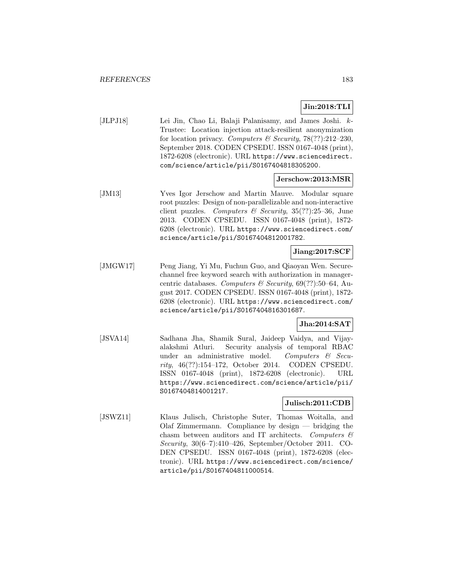### **Jin:2018:TLI**

[JLPJ18] Lei Jin, Chao Li, Balaji Palanisamy, and James Joshi. k-Trustee: Location injection attack-resilient anonymization for location privacy. Computers & Security,  $78(??):212-230$ , September 2018. CODEN CPSEDU. ISSN 0167-4048 (print), 1872-6208 (electronic). URL https://www.sciencedirect. com/science/article/pii/S0167404818305200.

#### **Jerschow:2013:MSR**

[JM13] Yves Igor Jerschow and Martin Mauve. Modular square root puzzles: Design of non-parallelizable and non-interactive client puzzles. Computers & Security,  $35(??):25-36$ , June 2013. CODEN CPSEDU. ISSN 0167-4048 (print), 1872- 6208 (electronic). URL https://www.sciencedirect.com/ science/article/pii/S0167404812001782.

# **Jiang:2017:SCF**

[JMGW17] Peng Jiang, Yi Mu, Fuchun Guo, and Qiaoyan Wen. Securechannel free keyword search with authorization in managercentric databases. Computers & Security,  $69(??)$ :50-64, August 2017. CODEN CPSEDU. ISSN 0167-4048 (print), 1872- 6208 (electronic). URL https://www.sciencedirect.com/ science/article/pii/S0167404816301687.

# **Jha:2014:SAT**

[JSVA14] Sadhana Jha, Shamik Sural, Jaideep Vaidya, and Vijayalakshmi Atluri. Security analysis of temporal RBAC under an administrative model. Computers  $\mathcal{C}$  Security, 46(??):154–172, October 2014. CODEN CPSEDU. ISSN 0167-4048 (print), 1872-6208 (electronic). URL https://www.sciencedirect.com/science/article/pii/ S0167404814001217.

# **Julisch:2011:CDB**

[JSWZ11] Klaus Julisch, Christophe Suter, Thomas Woitalla, and Olaf Zimmermann. Compliance by design — bridging the chasm between auditors and IT architects. Computers  $\mathcal{C}$ Security, 30(6–7):410–426, September/October 2011. CO-DEN CPSEDU. ISSN 0167-4048 (print), 1872-6208 (electronic). URL https://www.sciencedirect.com/science/ article/pii/S0167404811000514.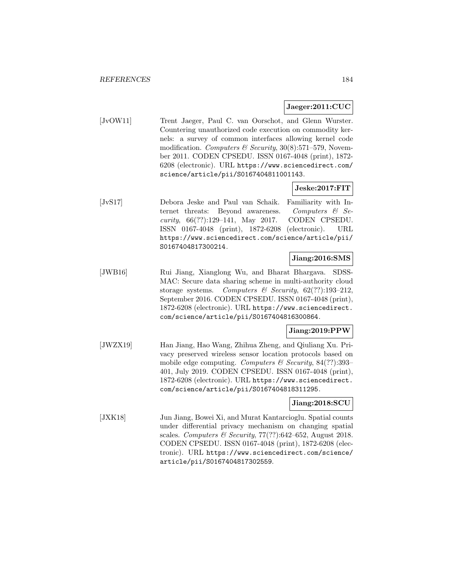#### **Jaeger:2011:CUC**

[JvOW11] Trent Jaeger, Paul C. van Oorschot, and Glenn Wurster. Countering unauthorized code execution on commodity kernels: a survey of common interfaces allowing kernel code modification. Computers & Security,  $30(8):571-579$ , November 2011. CODEN CPSEDU. ISSN 0167-4048 (print), 1872- 6208 (electronic). URL https://www.sciencedirect.com/ science/article/pii/S0167404811001143.

#### **Jeske:2017:FIT**

[JvS17] Debora Jeske and Paul van Schaik. Familiarity with Internet threats: Beyond awareness. Computers & Security, 66(??):129–141, May 2017. CODEN CPSEDU. ISSN 0167-4048 (print), 1872-6208 (electronic). URL https://www.sciencedirect.com/science/article/pii/ S0167404817300214.

# **Jiang:2016:SMS**

[JWB16] Rui Jiang, Xianglong Wu, and Bharat Bhargava. SDSS-MAC: Secure data sharing scheme in multi-authority cloud storage systems. Computers  $\mathcal{B}$  Security, 62(??):193-212, September 2016. CODEN CPSEDU. ISSN 0167-4048 (print), 1872-6208 (electronic). URL https://www.sciencedirect. com/science/article/pii/S0167404816300864.

## **Jiang:2019:PPW**

[JWZX19] Han Jiang, Hao Wang, Zhihua Zheng, and Qiuliang Xu. Privacy preserved wireless sensor location protocols based on mobile edge computing. Computers & Security,  $84(??)$ :393-401, July 2019. CODEN CPSEDU. ISSN 0167-4048 (print), 1872-6208 (electronic). URL https://www.sciencedirect. com/science/article/pii/S0167404818311295.

#### **Jiang:2018:SCU**

[JXK18] Jun Jiang, Bowei Xi, and Murat Kantarcioglu. Spatial counts under differential privacy mechanism on changing spatial scales. Computers & Security,  $77(??)$ :642–652, August 2018. CODEN CPSEDU. ISSN 0167-4048 (print), 1872-6208 (electronic). URL https://www.sciencedirect.com/science/ article/pii/S0167404817302559.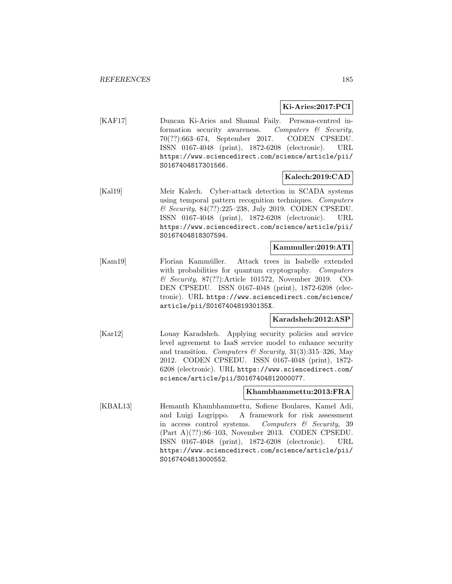#### **Ki-Aries:2017:PCI**

[KAF17] Duncan Ki-Aries and Shamal Faily. Persona-centred information security awareness. Computers & Security, 70(??):663–674, September 2017. CODEN CPSEDU. ISSN 0167-4048 (print), 1872-6208 (electronic). URL https://www.sciencedirect.com/science/article/pii/ S0167404817301566.

# **Kalech:2019:CAD**

[Kal19] Meir Kalech. Cyber-attack detection in SCADA systems using temporal pattern recognition techniques. Computers & Security, 84(??):225–238, July 2019. CODEN CPSEDU. ISSN 0167-4048 (print), 1872-6208 (electronic). URL https://www.sciencedirect.com/science/article/pii/ S0167404818307594.

### **Kammuller:2019:ATI**

[Kam19] Florian Kammüller. Attack trees in Isabelle extended with probabilities for quantum cryptography. Computers & Security, 87(??):Article 101572, November 2019. CO-DEN CPSEDU. ISSN 0167-4048 (print), 1872-6208 (electronic). URL https://www.sciencedirect.com/science/ article/pii/S016740481930135X.

# **Karadsheh:2012:ASP**

[Kar12] Louay Karadsheh. Applying security policies and service level agreement to IaaS service model to enhance security and transition. Computers & Security,  $31(3):315-326$ , May 2012. CODEN CPSEDU. ISSN 0167-4048 (print), 1872- 6208 (electronic). URL https://www.sciencedirect.com/ science/article/pii/S0167404812000077.

#### **Khambhammettu:2013:FRA**

[KBAL13] Hemanth Khambhammettu, Sofiene Boulares, Kamel Adi, and Luigi Logrippo. A framework for risk assessment in access control systems. Computers & Security, 39 (Part A)(??):86–103, November 2013. CODEN CPSEDU. ISSN 0167-4048 (print), 1872-6208 (electronic). URL https://www.sciencedirect.com/science/article/pii/ S0167404813000552.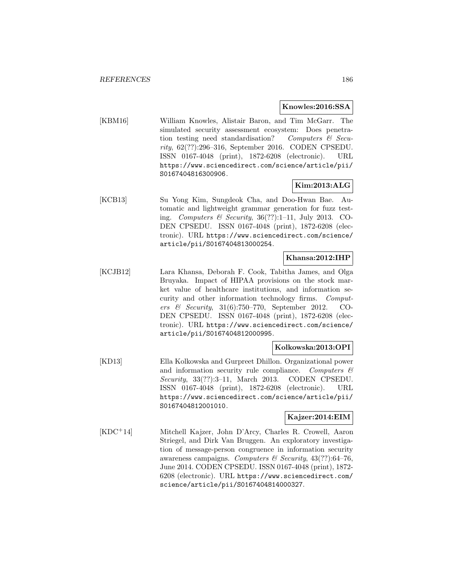#### **Knowles:2016:SSA**

[KBM16] William Knowles, Alistair Baron, and Tim McGarr. The simulated security assessment ecosystem: Does penetration testing need standardisation? Computers  $\mathcal{B}$  Security, 62(??):296–316, September 2016. CODEN CPSEDU. ISSN 0167-4048 (print), 1872-6208 (electronic). URL https://www.sciencedirect.com/science/article/pii/ S0167404816300906.

# **Kim:2013:ALG**

[KCB13] Su Yong Kim, Sungdeok Cha, and Doo-Hwan Bae. Automatic and lightweight grammar generation for fuzz testing. Computers & Security,  $36(??):1-11$ , July 2013. CO-DEN CPSEDU. ISSN 0167-4048 (print), 1872-6208 (electronic). URL https://www.sciencedirect.com/science/ article/pii/S0167404813000254.

# **Khansa:2012:IHP**

[KCJB12] Lara Khansa, Deborah F. Cook, Tabitha James, and Olga Bruyaka. Impact of HIPAA provisions on the stock market value of healthcare institutions, and information security and other information technology firms. Computers & Security, 31(6):750–770, September 2012. CO-DEN CPSEDU. ISSN 0167-4048 (print), 1872-6208 (electronic). URL https://www.sciencedirect.com/science/ article/pii/S0167404812000995.

## **Kolkowska:2013:OPI**

[KD13] Ella Kolkowska and Gurpreet Dhillon. Organizational power and information security rule compliance. Computers  $\mathcal{C}$ Security, 33(??):3–11, March 2013. CODEN CPSEDU. ISSN 0167-4048 (print), 1872-6208 (electronic). URL https://www.sciencedirect.com/science/article/pii/ S0167404812001010.

### **Kajzer:2014:EIM**

[KDC<sup>+</sup>14] Mitchell Kajzer, John D'Arcy, Charles R. Crowell, Aaron Striegel, and Dirk Van Bruggen. An exploratory investigation of message-person congruence in information security awareness campaigns. Computers & Security,  $43(??)$ :64-76, June 2014. CODEN CPSEDU. ISSN 0167-4048 (print), 1872- 6208 (electronic). URL https://www.sciencedirect.com/ science/article/pii/S0167404814000327.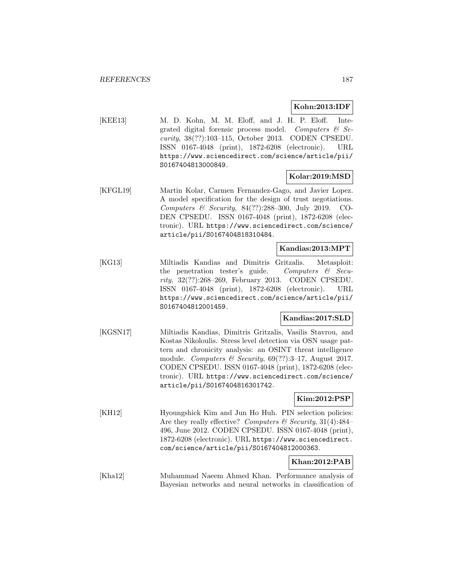#### **Kohn:2013:IDF**

[KEE13] M. D. Kohn, M. M. Eloff, and J. H. P. Eloff. Integrated digital forensic process model. Computers  $\mathcal{C}$  Security, 38(??):103–115, October 2013. CODEN CPSEDU. ISSN 0167-4048 (print), 1872-6208 (electronic). URL https://www.sciencedirect.com/science/article/pii/ S0167404813000849.

# **Kolar:2019:MSD**

[KFGL19] Martin Kolar, Carmen Fernandez-Gago, and Javier Lopez. A model specification for the design of trust negotiations. Computers & Security, 84(??):288–300, July 2019. CO-DEN CPSEDU. ISSN 0167-4048 (print), 1872-6208 (electronic). URL https://www.sciencedirect.com/science/ article/pii/S0167404818310484.

#### **Kandias:2013:MPT**

[KG13] Miltiadis Kandias and Dimitris Gritzalis. Metasploit: the penetration tester's guide. Computers & Security, 32(??):268–269, February 2013. CODEN CPSEDU. ISSN 0167-4048 (print), 1872-6208 (electronic). URL https://www.sciencedirect.com/science/article/pii/ S0167404812001459.

### **Kandias:2017:SLD**

[KGSN17] Miltiadis Kandias, Dimitris Gritzalis, Vasilis Stavrou, and Kostas Nikoloulis. Stress level detection via OSN usage pattern and chronicity analysis: an OSINT threat intelligence module. Computers & Security,  $69(??):3-17$ , August 2017. CODEN CPSEDU. ISSN 0167-4048 (print), 1872-6208 (electronic). URL https://www.sciencedirect.com/science/ article/pii/S0167404816301742.

### **Kim:2012:PSP**

[KH12] Hyoungshick Kim and Jun Ho Huh. PIN selection policies: Are they really effective? Computers  $\mathcal C$  Security, 31(4):484– 496, June 2012. CODEN CPSEDU. ISSN 0167-4048 (print), 1872-6208 (electronic). URL https://www.sciencedirect. com/science/article/pii/S0167404812000363.

## **Khan:2012:PAB**

[Kha12] Muhammad Naeem Ahmed Khan. Performance analysis of Bayesian networks and neural networks in classification of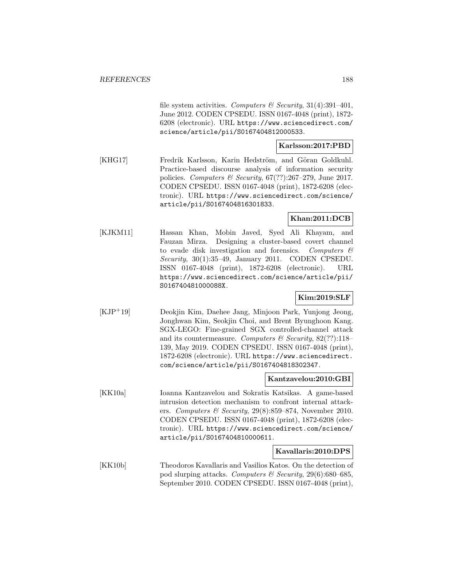file system activities. Computers & Security, 31(4):391-401, June 2012. CODEN CPSEDU. ISSN 0167-4048 (print), 1872- 6208 (electronic). URL https://www.sciencedirect.com/ science/article/pii/S0167404812000533.

## **Karlsson:2017:PBD**

[KHG17] Fredrik Karlsson, Karin Hedström, and Göran Goldkuhl. Practice-based discourse analysis of information security policies. Computers & Security,  $67(??):267-279$ , June 2017. CODEN CPSEDU. ISSN 0167-4048 (print), 1872-6208 (electronic). URL https://www.sciencedirect.com/science/ article/pii/S0167404816301833.

# **Khan:2011:DCB**

[KJKM11] Hassan Khan, Mobin Javed, Syed Ali Khayam, and Fauzan Mirza. Designing a cluster-based covert channel to evade disk investigation and forensics. Computers  $\mathcal C$ Security, 30(1):35–49, January 2011. CODEN CPSEDU. ISSN 0167-4048 (print), 1872-6208 (electronic). URL https://www.sciencedirect.com/science/article/pii/ S016740481000088X.

# **Kim:2019:SLF**

[KJP<sup>+</sup>19] Deokjin Kim, Daehee Jang, Minjoon Park, Yunjong Jeong, Jonghwan Kim, Seokjin Choi, and Brent Byunghoon Kang. SGX-LEGO: Fine-grained SGX controlled-channel attack and its countermeasure. Computers & Security,  $82(??)$ :118– 139, May 2019. CODEN CPSEDU. ISSN 0167-4048 (print), 1872-6208 (electronic). URL https://www.sciencedirect. com/science/article/pii/S0167404818302347.

#### **Kantzavelou:2010:GBI**

[KK10a] Ioanna Kantzavelou and Sokratis Katsikas. A game-based intrusion detection mechanism to confront internal attackers. Computers & Security,  $29(8):859-874$ , November 2010. CODEN CPSEDU. ISSN 0167-4048 (print), 1872-6208 (electronic). URL https://www.sciencedirect.com/science/ article/pii/S0167404810000611.

#### **Kavallaris:2010:DPS**

[KK10b] Theodoros Kavallaris and Vasilios Katos. On the detection of pod slurping attacks. Computers & Security, 29(6):680–685, September 2010. CODEN CPSEDU. ISSN 0167-4048 (print),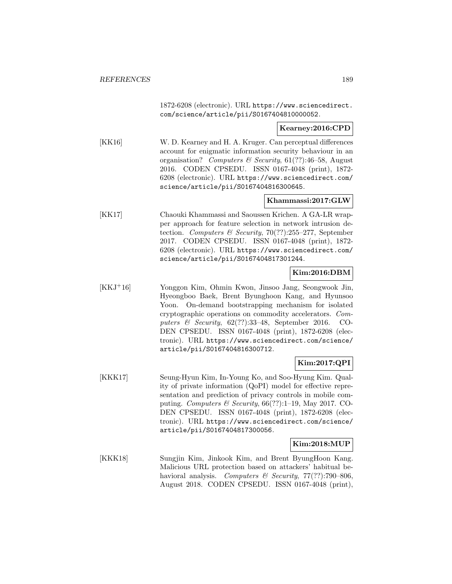1872-6208 (electronic). URL https://www.sciencedirect. com/science/article/pii/S0167404810000052.

**Kearney:2016:CPD**

[KK16] W. D. Kearney and H. A. Kruger. Can perceptual differences account for enigmatic information security behaviour in an organisation? Computers & Security,  $61(??):46-58$ , August 2016. CODEN CPSEDU. ISSN 0167-4048 (print), 1872- 6208 (electronic). URL https://www.sciencedirect.com/ science/article/pii/S0167404816300645.

## **Khammassi:2017:GLW**

[KK17] Chaouki Khammassi and Saoussen Krichen. A GA-LR wrapper approach for feature selection in network intrusion detection. Computers & Security,  $70(?)$ :255-277, September 2017. CODEN CPSEDU. ISSN 0167-4048 (print), 1872- 6208 (electronic). URL https://www.sciencedirect.com/ science/article/pii/S0167404817301244.

## **Kim:2016:DBM**

[KKJ<sup>+</sup>16] Yonggon Kim, Ohmin Kwon, Jinsoo Jang, Seongwook Jin, Hyeongboo Baek, Brent Byunghoon Kang, and Hyunsoo Yoon. On-demand bootstrapping mechanism for isolated cryptographic operations on commodity accelerators. Computers & Security,  $62(??):33-48$ , September 2016. CO-DEN CPSEDU. ISSN 0167-4048 (print), 1872-6208 (electronic). URL https://www.sciencedirect.com/science/ article/pii/S0167404816300712.

#### **Kim:2017:QPI**

[KKK17] Seung-Hyun Kim, In-Young Ko, and Soo-Hyung Kim. Quality of private information (QoPI) model for effective representation and prediction of privacy controls in mobile computing. Computers & Security,  $66(??)!$ :1-19, May 2017. CO-DEN CPSEDU. ISSN 0167-4048 (print), 1872-6208 (electronic). URL https://www.sciencedirect.com/science/ article/pii/S0167404817300056.

#### **Kim:2018:MUP**

[KKK18] Sungjin Kim, Jinkook Kim, and Brent ByungHoon Kang. Malicious URL protection based on attackers' habitual behavioral analysis. Computers & Security,  $77(??)$ :790-806, August 2018. CODEN CPSEDU. ISSN 0167-4048 (print),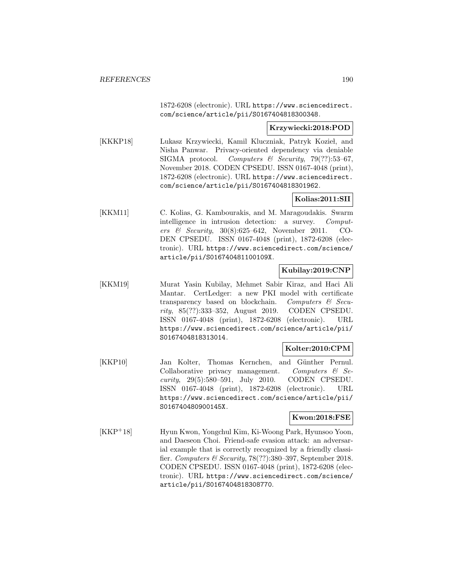1872-6208 (electronic). URL https://www.sciencedirect. com/science/article/pii/S0167404818300348.

**Krzywiecki:2018:POD**

[KKKP18] Lukasz Krzywiecki, Kamil Kluczniak, Patryk Kozieł, and Nisha Panwar. Privacy-oriented dependency via deniable SIGMA protocol. Computers  $\mathcal B$  Security, 79(??):53-67, November 2018. CODEN CPSEDU. ISSN 0167-4048 (print), 1872-6208 (electronic). URL https://www.sciencedirect. com/science/article/pii/S0167404818301962.

## **Kolias:2011:SII**

[KKM11] C. Kolias, G. Kambourakis, and M. Maragoudakis. Swarm intelligence in intrusion detection: a survey. Computers & Security, 30(8):625–642, November 2011. CO-DEN CPSEDU. ISSN 0167-4048 (print), 1872-6208 (electronic). URL https://www.sciencedirect.com/science/ article/pii/S016740481100109X.

## **Kubilay:2019:CNP**

[KKM19] Murat Yasin Kubilay, Mehmet Sabir Kiraz, and Haci Ali Mantar. CertLedger: a new PKI model with certificate transparency based on blockchain. Computers  $\mathcal{B}$  Security, 85(??):333–352, August 2019. CODEN CPSEDU. ISSN 0167-4048 (print), 1872-6208 (electronic). URL https://www.sciencedirect.com/science/article/pii/ S0167404818313014.

#### **Kolter:2010:CPM**

[KKP10] Jan Kolter, Thomas Kernchen, and Günther Pernul. Collaborative privacy management. Computers  $\mathcal{C}$  Security, 29(5):580–591, July 2010. CODEN CPSEDU. ISSN 0167-4048 (print), 1872-6208 (electronic). URL https://www.sciencedirect.com/science/article/pii/ S016740480900145X.

#### **Kwon:2018:FSE**

[KKP<sup>+</sup>18] Hyun Kwon, Yongchul Kim, Ki-Woong Park, Hyunsoo Yoon, and Daeseon Choi. Friend-safe evasion attack: an adversarial example that is correctly recognized by a friendly classifier. Computers & Security, 78(??):380–397, September 2018. CODEN CPSEDU. ISSN 0167-4048 (print), 1872-6208 (electronic). URL https://www.sciencedirect.com/science/ article/pii/S0167404818308770.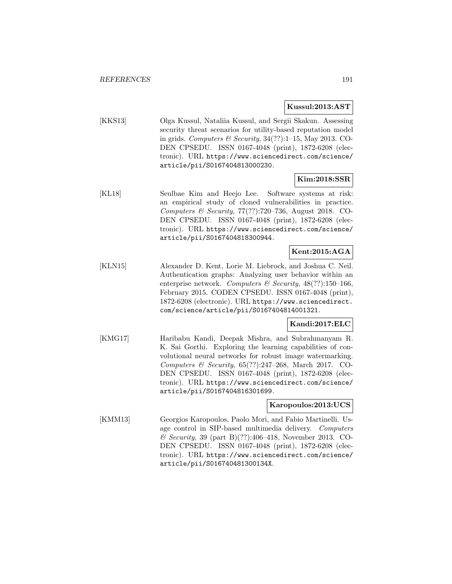#### **Kussul:2013:AST**

[KKS13] Olga Kussul, Nataliia Kussul, and Sergii Skakun. Assessing security threat scenarios for utility-based reputation model in grids. Computers  $\mathcal B$  Security, 34(??):1–15, May 2013. CO-DEN CPSEDU. ISSN 0167-4048 (print), 1872-6208 (electronic). URL https://www.sciencedirect.com/science/ article/pii/S0167404813000230.

## **Kim:2018:SSR**

[KL18] Seulbae Kim and Heejo Lee. Software systems at risk: an empirical study of cloned vulnerabilities in practice. Computers & Security, 77(??):720–736, August 2018. CO-DEN CPSEDU. ISSN 0167-4048 (print), 1872-6208 (electronic). URL https://www.sciencedirect.com/science/ article/pii/S0167404818300944.

# **Kent:2015:AGA**

[KLN15] Alexander D. Kent, Lorie M. Liebrock, and Joshua C. Neil. Authentication graphs: Analyzing user behavior within an enterprise network. Computers & Security,  $48(??):150-166$ , February 2015. CODEN CPSEDU. ISSN 0167-4048 (print), 1872-6208 (electronic). URL https://www.sciencedirect. com/science/article/pii/S0167404814001321.

# **Kandi:2017:ELC**

[KMG17] Haribabu Kandi, Deepak Mishra, and Subrahmanyam R. K. Sai Gorthi. Exploring the learning capabilities of convolutional neural networks for robust image watermarking. Computers & Security, 65(??):247–268, March 2017. CO-DEN CPSEDU. ISSN 0167-4048 (print), 1872-6208 (electronic). URL https://www.sciencedirect.com/science/ article/pii/S0167404816301699.

#### **Karopoulos:2013:UCS**

[KMM13] Georgios Karopoulos, Paolo Mori, and Fabio Martinelli. Usage control in SIP-based multimedia delivery. Computers & Security, 39 (part B)(??):406–418, November 2013. CO-DEN CPSEDU. ISSN 0167-4048 (print), 1872-6208 (electronic). URL https://www.sciencedirect.com/science/ article/pii/S016740481300134X.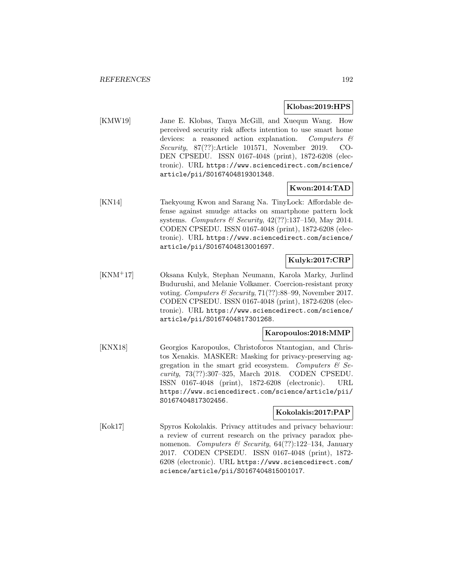#### **Klobas:2019:HPS**

[KMW19] Jane E. Klobas, Tanya McGill, and Xuequn Wang. How perceived security risk affects intention to use smart home devices: a reasoned action explanation. Computers  $\mathcal{C}$ Security, 87(??):Article 101571, November 2019. CO-DEN CPSEDU. ISSN 0167-4048 (print), 1872-6208 (electronic). URL https://www.sciencedirect.com/science/ article/pii/S0167404819301348.

## **Kwon:2014:TAD**

[KN14] Taekyoung Kwon and Sarang Na. TinyLock: Affordable defense against smudge attacks on smartphone pattern lock systems. Computers & Security,  $42(??):137-150$ , May 2014. CODEN CPSEDU. ISSN 0167-4048 (print), 1872-6208 (electronic). URL https://www.sciencedirect.com/science/ article/pii/S0167404813001697.

# **Kulyk:2017:CRP**

[KNM<sup>+</sup>17] Oksana Kulyk, Stephan Neumann, Karola Marky, Jurlind Budurushi, and Melanie Volkamer. Coercion-resistant proxy voting. Computers & Security, 71(??):88–99, November 2017. CODEN CPSEDU. ISSN 0167-4048 (print), 1872-6208 (electronic). URL https://www.sciencedirect.com/science/ article/pii/S0167404817301268.

## **Karopoulos:2018:MMP**

[KNX18] Georgios Karopoulos, Christoforos Ntantogian, and Christos Xenakis. MASKER: Masking for privacy-preserving aggregation in the smart grid ecosystem. Computers  $\mathcal{C}$  Security, 73(??):307–325, March 2018. CODEN CPSEDU. ISSN 0167-4048 (print), 1872-6208 (electronic). URL https://www.sciencedirect.com/science/article/pii/ S0167404817302456.

#### **Kokolakis:2017:PAP**

[Kok17] Spyros Kokolakis. Privacy attitudes and privacy behaviour: a review of current research on the privacy paradox phenomenon. Computers & Security,  $64(??):122-134$ , January 2017. CODEN CPSEDU. ISSN 0167-4048 (print), 1872- 6208 (electronic). URL https://www.sciencedirect.com/ science/article/pii/S0167404815001017.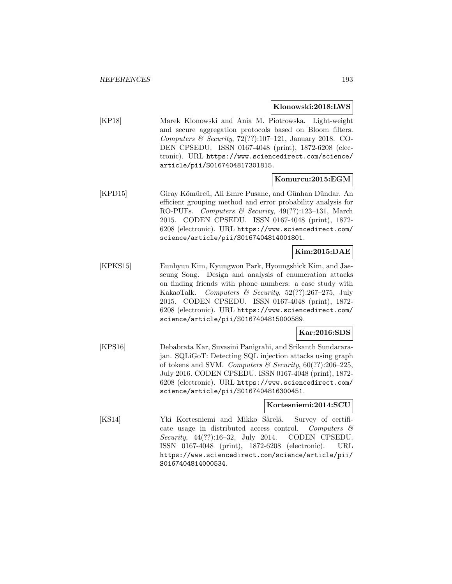#### **Klonowski:2018:LWS**

[KP18] Marek Klonowski and Ania M. Piotrowska. Light-weight and secure aggregation protocols based on Bloom filters. Computers & Security,  $72(??):107-121$ , January 2018. CO-DEN CPSEDU. ISSN 0167-4048 (print), 1872-6208 (electronic). URL https://www.sciencedirect.com/science/ article/pii/S0167404817301815.

#### **Komurcu:2015:EGM**

[KPD15] Giray Kömürcü, Ali Emre Pusane, and Günhan Dündar. An efficient grouping method and error probability analysis for RO-PUFs. Computers & Security, 49(??):123–131, March 2015. CODEN CPSEDU. ISSN 0167-4048 (print), 1872- 6208 (electronic). URL https://www.sciencedirect.com/ science/article/pii/S0167404814001801.

# **Kim:2015:DAE**

[KPKS15] Eunhyun Kim, Kyungwon Park, Hyoungshick Kim, and Jaeseung Song. Design and analysis of enumeration attacks on finding friends with phone numbers: a case study with KakaoTalk. Computers & Security, 52(??):267–275, July 2015. CODEN CPSEDU. ISSN 0167-4048 (print), 1872- 6208 (electronic). URL https://www.sciencedirect.com/ science/article/pii/S0167404815000589.

# **Kar:2016:SDS**

[KPS16] Debabrata Kar, Suvasini Panigrahi, and Srikanth Sundararajan. SQLiGoT: Detecting SQL injection attacks using graph of tokens and SVM. Computers & Security,  $60(??):206-225$ , July 2016. CODEN CPSEDU. ISSN 0167-4048 (print), 1872- 6208 (electronic). URL https://www.sciencedirect.com/ science/article/pii/S0167404816300451.

#### **Kortesniemi:2014:SCU**

[KS14] Yki Kortesniemi and Mikko Särelä. Survey of certificate usage in distributed access control. Computers  $\mathcal{C}$ Security, 44(??):16–32, July 2014. CODEN CPSEDU. ISSN 0167-4048 (print), 1872-6208 (electronic). URL https://www.sciencedirect.com/science/article/pii/ S0167404814000534.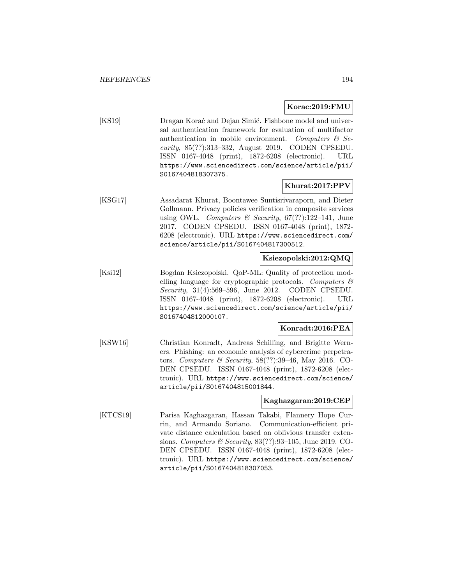#### **Korac:2019:FMU**

[KS19] Dragan Korać and Dejan Simić. Fishbone model and universal authentication framework for evaluation of multifactor authentication in mobile environment. Computers  $\mathcal{B}$  Security, 85(??):313–332, August 2019. CODEN CPSEDU. ISSN 0167-4048 (print), 1872-6208 (electronic). URL https://www.sciencedirect.com/science/article/pii/ S0167404818307375.

## **Khurat:2017:PPV**

[KSG17] Assadarat Khurat, Boontawee Suntisrivaraporn, and Dieter Gollmann. Privacy policies verification in composite services using OWL. Computers & Security,  $67(??):122-141$ , June 2017. CODEN CPSEDU. ISSN 0167-4048 (print), 1872- 6208 (electronic). URL https://www.sciencedirect.com/ science/article/pii/S0167404817300512.

## **Ksiezopolski:2012:QMQ**

[Ksi12] Bogdan Ksiezopolski. QoP-ML: Quality of protection modelling language for cryptographic protocols. Computers  $\mathcal{C}$ Security, 31(4):569–596, June 2012. CODEN CPSEDU. ISSN 0167-4048 (print), 1872-6208 (electronic). URL https://www.sciencedirect.com/science/article/pii/ S0167404812000107.

## **Konradt:2016:PEA**

[KSW16] Christian Konradt, Andreas Schilling, and Brigitte Werners. Phishing: an economic analysis of cybercrime perpetrators. Computers & Security, 58(??):39–46, May 2016. CO-DEN CPSEDU. ISSN 0167-4048 (print), 1872-6208 (electronic). URL https://www.sciencedirect.com/science/ article/pii/S0167404815001844.

#### **Kaghazgaran:2019:CEP**

[KTCS19] Parisa Kaghazgaran, Hassan Takabi, Flannery Hope Currin, and Armando Soriano. Communication-efficient private distance calculation based on oblivious transfer extensions. Computers & Security, 83(??):93–105, June 2019. CO-DEN CPSEDU. ISSN 0167-4048 (print), 1872-6208 (electronic). URL https://www.sciencedirect.com/science/ article/pii/S0167404818307053.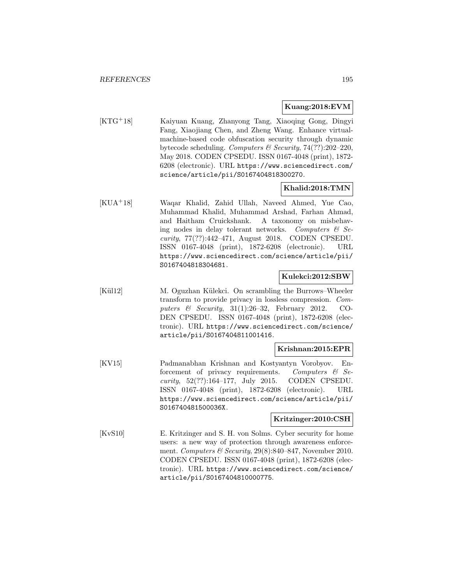#### **Kuang:2018:EVM**

[KTG<sup>+</sup>18] Kaiyuan Kuang, Zhanyong Tang, Xiaoqing Gong, Dingyi Fang, Xiaojiang Chen, and Zheng Wang. Enhance virtualmachine-based code obfuscation security through dynamic bytecode scheduling. Computers & Security,  $74(??):202-220$ , May 2018. CODEN CPSEDU. ISSN 0167-4048 (print), 1872- 6208 (electronic). URL https://www.sciencedirect.com/ science/article/pii/S0167404818300270.

#### **Khalid:2018:TMN**

[KUA<sup>+</sup>18] Waqar Khalid, Zahid Ullah, Naveed Ahmed, Yue Cao, Muhammad Khalid, Muhammad Arshad, Farhan Ahmad, and Haitham Cruickshank. A taxonomy on misbehaving nodes in delay tolerant networks. Computers  $\mathcal{C}$  Security, 77(??):442–471, August 2018. CODEN CPSEDU. ISSN 0167-4048 (print), 1872-6208 (electronic). URL https://www.sciencedirect.com/science/article/pii/ S0167404818304681.

#### **Kulekci:2012:SBW**

[Kül12] M. Oguzhan Külekci. On scrambling the Burrows–Wheeler transform to provide privacy in lossless compression. Computers  $\&$  Security, 31(1):26–32, February 2012. CO-DEN CPSEDU. ISSN 0167-4048 (print), 1872-6208 (electronic). URL https://www.sciencedirect.com/science/ article/pii/S0167404811001416.

#### **Krishnan:2015:EPR**

[KV15] Padmanabhan Krishnan and Kostyantyn Vorobyov. Enforcement of privacy requirements. Computers  $\mathcal{C}$  Security, 52(??):164–177, July 2015. CODEN CPSEDU. ISSN 0167-4048 (print), 1872-6208 (electronic). URL https://www.sciencedirect.com/science/article/pii/ S016740481500036X.

#### **Kritzinger:2010:CSH**

[KvS10] E. Kritzinger and S. H. von Solms. Cyber security for home users: a new way of protection through awareness enforcement. Computers & Security,  $29(8):840-847$ , November 2010. CODEN CPSEDU. ISSN 0167-4048 (print), 1872-6208 (electronic). URL https://www.sciencedirect.com/science/ article/pii/S0167404810000775.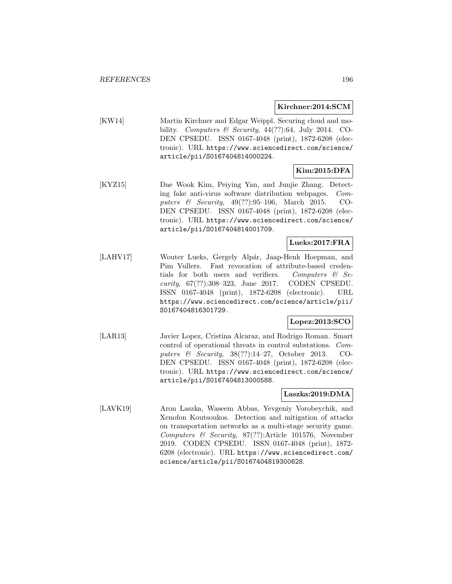### **Kirchner:2014:SCM**

[KW14] Martin Kirchner and Edgar Weippl. Securing cloud and mobility. Computers & Security,  $44(??):64$ , July 2014. CO-DEN CPSEDU. ISSN 0167-4048 (print), 1872-6208 (electronic). URL https://www.sciencedirect.com/science/ article/pii/S0167404814000224.

# **Kim:2015:DFA**

[KYZ15] Dae Wook Kim, Peiying Yan, and Junjie Zhang. Detecting fake anti-virus software distribution webpages. Computers & Security, 49(??):95–106, March 2015. CO-DEN CPSEDU. ISSN 0167-4048 (print), 1872-6208 (electronic). URL https://www.sciencedirect.com/science/ article/pii/S0167404814001709.

# **Lueks:2017:FRA**

[LAHV17] Wouter Lueks, Gergely Alpár, Jaap-Henk Hoepman, and Pim Vullers. Fast revocation of attribute-based credentials for both users and verifiers. Computers  $\mathcal{C}$  Security, 67(??):308–323, June 2017. CODEN CPSEDU. ISSN 0167-4048 (print), 1872-6208 (electronic). URL https://www.sciencedirect.com/science/article/pii/ S0167404816301729.

# **Lopez:2013:SCO**

[LAR13] Javier Lopez, Cristina Alcaraz, and Rodrigo Roman. Smart control of operational threats in control substations. Computers & Security, 38(??):14–27, October 2013. CO-DEN CPSEDU. ISSN 0167-4048 (print), 1872-6208 (electronic). URL https://www.sciencedirect.com/science/ article/pii/S0167404813000588.

# **Laszka:2019:DMA**

[LAVK19] Aron Laszka, Waseem Abbas, Yevgeniy Vorobeychik, and Xenofon Koutsoukos. Detection and mitigation of attacks on transportation networks as a multi-stage security game. Computers & Security, 87(??):Article 101576, November 2019. CODEN CPSEDU. ISSN 0167-4048 (print), 1872- 6208 (electronic). URL https://www.sciencedirect.com/ science/article/pii/S0167404819300628.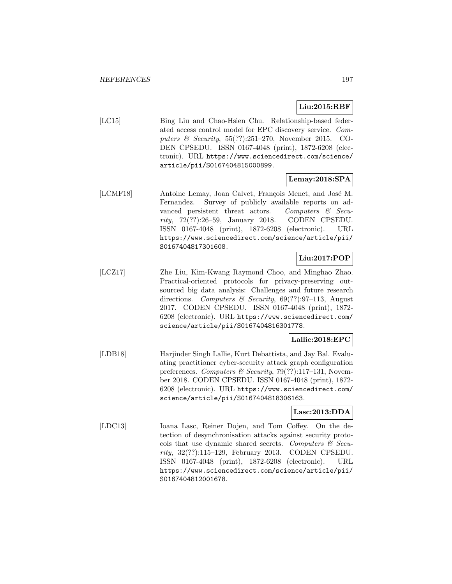# **Liu:2015:RBF**

[LC15] Bing Liu and Chao-Hsien Chu. Relationship-based federated access control model for EPC discovery service. Computers & Security, 55(??):251–270, November 2015. CO-DEN CPSEDU. ISSN 0167-4048 (print), 1872-6208 (electronic). URL https://www.sciencedirect.com/science/ article/pii/S0167404815000899.

# **Lemay:2018:SPA**

[LCMF18] Antoine Lemay, Joan Calvet, François Menet, and José M. Fernandez. Survey of publicly available reports on advanced persistent threat actors. Computers & Security, 72(??):26–59, January 2018. CODEN CPSEDU. ISSN 0167-4048 (print), 1872-6208 (electronic). URL https://www.sciencedirect.com/science/article/pii/ S0167404817301608.

# **Liu:2017:POP**

[LCZ17] Zhe Liu, Kim-Kwang Raymond Choo, and Minghao Zhao. Practical-oriented protocols for privacy-preserving outsourced big data analysis: Challenges and future research directions. Computers & Security,  $69(??):97-113$ , August 2017. CODEN CPSEDU. ISSN 0167-4048 (print), 1872- 6208 (electronic). URL https://www.sciencedirect.com/ science/article/pii/S0167404816301778.

# **Lallie:2018:EPC**

[LDB18] Harjinder Singh Lallie, Kurt Debattista, and Jay Bal. Evaluating practitioner cyber-security attack graph configuration preferences. Computers & Security,  $79(??):117-131$ , November 2018. CODEN CPSEDU. ISSN 0167-4048 (print), 1872- 6208 (electronic). URL https://www.sciencedirect.com/ science/article/pii/S0167404818306163.

# **Lasc:2013:DDA**

[LDC13] Ioana Lasc, Reiner Dojen, and Tom Coffey. On the detection of desynchronisation attacks against security protocols that use dynamic shared secrets. Computers  $\mathcal{C}$  Security, 32(??):115–129, February 2013. CODEN CPSEDU. ISSN 0167-4048 (print), 1872-6208 (electronic). URL https://www.sciencedirect.com/science/article/pii/ S0167404812001678.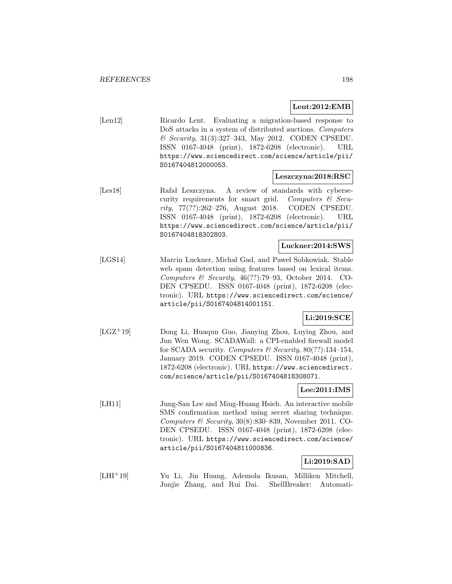## **Lent:2012:EMB**

[Len12] Ricardo Lent. Evaluating a migration-based response to DoS attacks in a system of distributed auctions. Computers & Security, 31(3):327–343, May 2012. CODEN CPSEDU. ISSN 0167-4048 (print), 1872-6208 (electronic). URL https://www.sciencedirect.com/science/article/pii/ S0167404812000053.

#### **Leszczyna:2018:RSC**

[Les18] Rafał Leszczyna. A review of standards with cybersecurity requirements for smart grid. Computers  $\mathcal{C}$  Security, 77(??):262–276, August 2018. CODEN CPSEDU. ISSN 0167-4048 (print), 1872-6208 (electronic). URL https://www.sciencedirect.com/science/article/pii/ S0167404818302803.

### **Luckner:2014:SWS**

[LGS14] Marcin Luckner, Michał Gad, and Paweł Sobkowiak. Stable web spam detection using features based on lexical items. Computers & Security, 46(??):79–93, October 2014. CO-DEN CPSEDU. ISSN 0167-4048 (print), 1872-6208 (electronic). URL https://www.sciencedirect.com/science/ article/pii/S0167404814001151.

### **Li:2019:SCE**

[LGZ<sup>+</sup>19] Dong Li, Huaqun Guo, Jianying Zhou, Luying Zhou, and Jun Wen Wong. SCADAWall: a CPI-enabled firewall model for SCADA security. Computers & Security,  $80(??):134-154$ , January 2019. CODEN CPSEDU. ISSN 0167-4048 (print), 1872-6208 (electronic). URL https://www.sciencedirect. com/science/article/pii/S0167404818308071.

# **Lee:2011:IMS**

[LH11] Jung-San Lee and Ming-Huang Hsieh. An interactive mobile SMS confirmation method using secret sharing technique. Computers  $\mathcal C$  Security, 30(8):830–839, November 2011. CO-DEN CPSEDU. ISSN 0167-4048 (print), 1872-6208 (electronic). URL https://www.sciencedirect.com/science/ article/pii/S0167404811000836.

# **Li:2019:SAD**

[LHI<sup>+</sup>19] Yu Li, Jin Huang, Ademola Ikusan, Milliken Mitchell, Junjie Zhang, and Rui Dai. ShellBreaker: Automati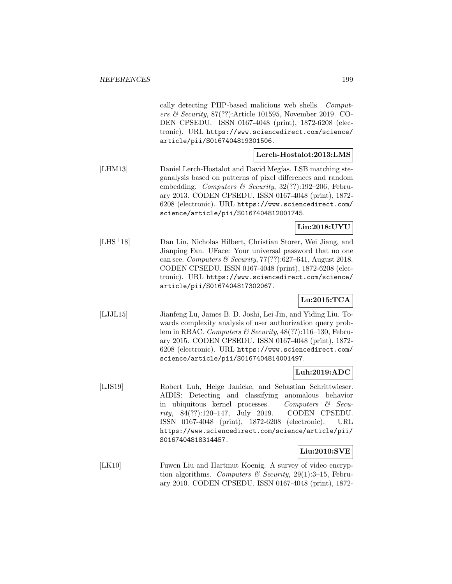cally detecting PHP-based malicious web shells. Computers  $\mathcal B$  Security, 87(??): Article 101595, November 2019. CO-DEN CPSEDU. ISSN 0167-4048 (print), 1872-6208 (electronic). URL https://www.sciencedirect.com/science/ article/pii/S0167404819301506.

#### **Lerch-Hostalot:2013:LMS**

[LHM13] Daniel Lerch-Hostalot and David Megías. LSB matching steganalysis based on patterns of pixel differences and random embedding. Computers & Security,  $32(??):192-206$ , February 2013. CODEN CPSEDU. ISSN 0167-4048 (print), 1872- 6208 (electronic). URL https://www.sciencedirect.com/ science/article/pii/S0167404812001745.

# **Lin:2018:UYU**

[LHS<sup>+</sup>18] Dan Lin, Nicholas Hilbert, Christian Storer, Wei Jiang, and Jianping Fan. UFace: Your universal password that no one can see. Computers & Security,  $77(??)$ :627-641, August 2018. CODEN CPSEDU. ISSN 0167-4048 (print), 1872-6208 (electronic). URL https://www.sciencedirect.com/science/ article/pii/S0167404817302067.

# **Lu:2015:TCA**

[LJJL15] Jianfeng Lu, James B. D. Joshi, Lei Jin, and Yiding Liu. Towards complexity analysis of user authorization query problem in RBAC. Computers & Security, 48(??):116–130, February 2015. CODEN CPSEDU. ISSN 0167-4048 (print), 1872- 6208 (electronic). URL https://www.sciencedirect.com/ science/article/pii/S0167404814001497.

# **Luh:2019:ADC**

[LJS19] Robert Luh, Helge Janicke, and Sebastian Schrittwieser. AIDIS: Detecting and classifying anomalous behavior in ubiquitous kernel processes. Computers & Security, 84(??):120–147, July 2019. CODEN CPSEDU. ISSN 0167-4048 (print), 1872-6208 (electronic). URL https://www.sciencedirect.com/science/article/pii/ S0167404818314457.

# **Liu:2010:SVE**

[LK10] Fuwen Liu and Hartmut Koenig. A survey of video encryption algorithms. Computers & Security, 29(1):3-15, February 2010. CODEN CPSEDU. ISSN 0167-4048 (print), 1872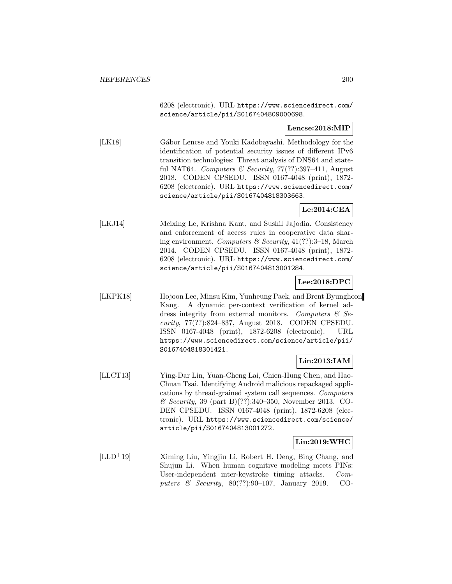6208 (electronic). URL https://www.sciencedirect.com/ science/article/pii/S0167404809000698.

## **Lencse:2018:MIP**

[LK18] Gábor Lencse and Youki Kadobayashi. Methodology for the identification of potential security issues of different IPv6 transition technologies: Threat analysis of DNS64 and stateful NAT64. Computers & Security,  $77(??)$ :397-411, August 2018. CODEN CPSEDU. ISSN 0167-4048 (print), 1872- 6208 (electronic). URL https://www.sciencedirect.com/ science/article/pii/S0167404818303663.

# **Le:2014:CEA**

[LKJ14] Meixing Le, Krishna Kant, and Sushil Jajodia. Consistency and enforcement of access rules in cooperative data sharing environment. Computers & Security, 41(??):3–18, March 2014. CODEN CPSEDU. ISSN 0167-4048 (print), 1872- 6208 (electronic). URL https://www.sciencedirect.com/ science/article/pii/S0167404813001284.

# **Lee:2018:DPC**

[LKPK18] Hojoon Lee, Minsu Kim, Yunheung Paek, and Brent Byunghoon Kang. A dynamic per-context verification of kernel address integrity from external monitors. Computers  $\mathcal{B}$  Security, 77(??):824–837, August 2018. CODEN CPSEDU. ISSN 0167-4048 (print), 1872-6208 (electronic). URL https://www.sciencedirect.com/science/article/pii/ S0167404818301421.

# **Lin:2013:IAM**

[LLCT13] Ying-Dar Lin, Yuan-Cheng Lai, Chien-Hung Chen, and Hao-Chuan Tsai. Identifying Android malicious repackaged applications by thread-grained system call sequences. Computers & Security, 39 (part B)(??):340–350, November 2013. CO-DEN CPSEDU. ISSN 0167-4048 (print), 1872-6208 (electronic). URL https://www.sciencedirect.com/science/ article/pii/S0167404813001272.

#### **Liu:2019:WHC**

[LLD<sup>+</sup>19] Ximing Liu, Yingjiu Li, Robert H. Deng, Bing Chang, and Shujun Li. When human cognitive modeling meets PINs: User-independent inter-keystroke timing attacks. Computers & Security, 80(??):90–107, January 2019. CO-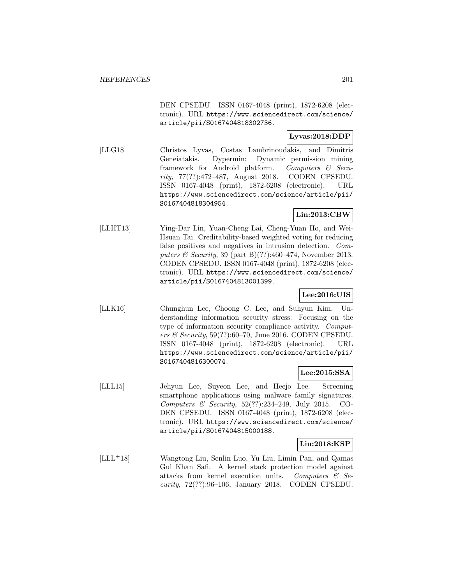DEN CPSEDU. ISSN 0167-4048 (print), 1872-6208 (electronic). URL https://www.sciencedirect.com/science/ article/pii/S0167404818302736.

# **Lyvas:2018:DDP**

[LLG18] Christos Lyvas, Costas Lambrinoudakis, and Dimitris Geneiatakis. Dypermin: Dynamic permission mining framework for Android platform. Computers & Security, 77(??):472–487, August 2018. CODEN CPSEDU. ISSN 0167-4048 (print), 1872-6208 (electronic). URL https://www.sciencedirect.com/science/article/pii/ S0167404818304954.

# **Lin:2013:CBW**

[LLHT13] Ying-Dar Lin, Yuan-Cheng Lai, Cheng-Yuan Ho, and Wei-Hsuan Tai. Creditability-based weighted voting for reducing false positives and negatives in intrusion detection. Computers & Security, 39 (part B)(??):460–474, November 2013. CODEN CPSEDU. ISSN 0167-4048 (print), 1872-6208 (electronic). URL https://www.sciencedirect.com/science/ article/pii/S0167404813001399.

# **Lee:2016:UIS**

[LLK16] Chunghun Lee, Choong C. Lee, and Suhyun Kim. Understanding information security stress: Focusing on the type of information security compliance activity. Computers & Security, 59(??):60–70, June 2016. CODEN CPSEDU. ISSN 0167-4048 (print), 1872-6208 (electronic). URL https://www.sciencedirect.com/science/article/pii/ S0167404816300074.

#### **Lee:2015:SSA**

[LLL15] Jehyun Lee, Suyeon Lee, and Heejo Lee. Screening smartphone applications using malware family signatures. Computers & Security, 52(??):234–249, July 2015. CO-DEN CPSEDU. ISSN 0167-4048 (print), 1872-6208 (electronic). URL https://www.sciencedirect.com/science/ article/pii/S0167404815000188.

# **Liu:2018:KSP**

[LLL<sup>+</sup>18] Wangtong Liu, Senlin Luo, Yu Liu, Limin Pan, and Qamas Gul Khan Safi. A kernel stack protection model against attacks from kernel execution units. Computers  $\mathcal{B}$  Security, 72(??):96–106, January 2018. CODEN CPSEDU.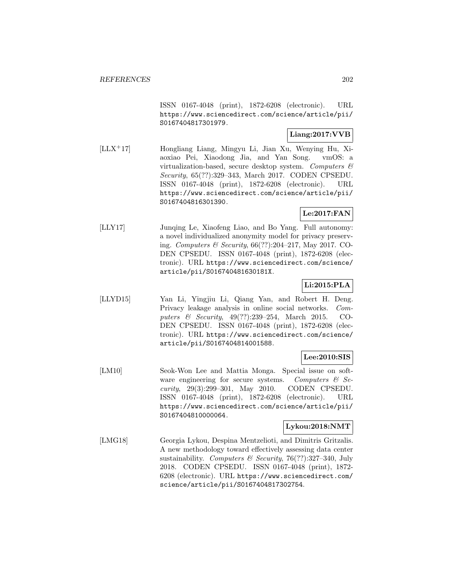ISSN 0167-4048 (print), 1872-6208 (electronic). URL https://www.sciencedirect.com/science/article/pii/ S0167404817301979.

# **Liang:2017:VVB**

[LLX<sup>+</sup>17] Hongliang Liang, Mingyu Li, Jian Xu, Wenying Hu, Xiaoxiao Pei, Xiaodong Jia, and Yan Song. vmOS: a virtualization-based, secure desktop system. Computers & Security, 65(??):329–343, March 2017. CODEN CPSEDU. ISSN 0167-4048 (print), 1872-6208 (electronic). URL https://www.sciencedirect.com/science/article/pii/ S0167404816301390.

# **Le:2017:FAN**

[LLY17] Junqing Le, Xiaofeng Liao, and Bo Yang. Full autonomy: a novel individualized anonymity model for privacy preserving. Computers & Security, 66(??):204–217, May 2017. CO-DEN CPSEDU. ISSN 0167-4048 (print), 1872-6208 (electronic). URL https://www.sciencedirect.com/science/ article/pii/S016740481630181X.

# **Li:2015:PLA**

[LLYD15] Yan Li, Yingjiu Li, Qiang Yan, and Robert H. Deng. Privacy leakage analysis in online social networks. Computers & Security, 49(??):239–254, March 2015. CO-DEN CPSEDU. ISSN 0167-4048 (print), 1872-6208 (electronic). URL https://www.sciencedirect.com/science/ article/pii/S0167404814001588.

# **Lee:2010:SIS**

[LM10] Seok-Won Lee and Mattia Monga. Special issue on software engineering for secure systems. Computers  $\mathcal{C}$  Security, 29(3):299–301, May 2010. CODEN CPSEDU. ISSN 0167-4048 (print), 1872-6208 (electronic). URL https://www.sciencedirect.com/science/article/pii/ S0167404810000064.

# **Lykou:2018:NMT**

[LMG18] Georgia Lykou, Despina Mentzelioti, and Dimitris Gritzalis. A new methodology toward effectively assessing data center sustainability. Computers & Security, 76(??):327-340, July 2018. CODEN CPSEDU. ISSN 0167-4048 (print), 1872- 6208 (electronic). URL https://www.sciencedirect.com/ science/article/pii/S0167404817302754.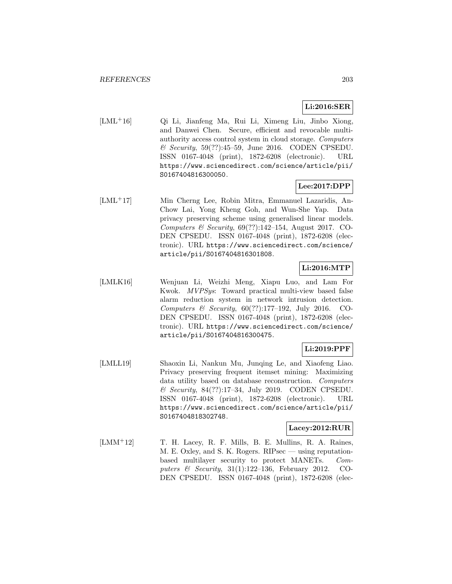# **Li:2016:SER**

[LML<sup>+</sup>16] Qi Li, Jianfeng Ma, Rui Li, Ximeng Liu, Jinbo Xiong, and Danwei Chen. Secure, efficient and revocable multiauthority access control system in cloud storage. Computers & Security, 59(??):45–59, June 2016. CODEN CPSEDU. ISSN 0167-4048 (print), 1872-6208 (electronic). URL https://www.sciencedirect.com/science/article/pii/ S0167404816300050.

# **Lee:2017:DPP**

[LML<sup>+</sup>17] Min Cherng Lee, Robin Mitra, Emmanuel Lazaridis, An-Chow Lai, Yong Kheng Goh, and Wun-She Yap. Data privacy preserving scheme using generalised linear models. Computers & Security,  $69(??):142-154$ , August 2017. CO-DEN CPSEDU. ISSN 0167-4048 (print), 1872-6208 (electronic). URL https://www.sciencedirect.com/science/ article/pii/S0167404816301808.

# **Li:2016:MTP**

[LMLK16] Wenjuan Li, Weizhi Meng, Xiapu Luo, and Lam For Kwok. MVPSys: Toward practical multi-view based false alarm reduction system in network intrusion detection. Computers & Security, 60(??):177–192, July 2016. CO-DEN CPSEDU. ISSN 0167-4048 (print), 1872-6208 (electronic). URL https://www.sciencedirect.com/science/ article/pii/S0167404816300475.

# **Li:2019:PPF**

[LMLL19] Shaoxin Li, Nankun Mu, Junqing Le, and Xiaofeng Liao. Privacy preserving frequent itemset mining: Maximizing data utility based on database reconstruction. Computers & Security, 84(??):17–34, July 2019. CODEN CPSEDU. ISSN 0167-4048 (print), 1872-6208 (electronic). URL https://www.sciencedirect.com/science/article/pii/ S0167404818302748.

# **Lacey:2012:RUR**

[LMM<sup>+</sup>12] T. H. Lacey, R. F. Mills, B. E. Mullins, R. A. Raines, M. E. Oxley, and S. K. Rogers. RIPsec — using reputationbased multilayer security to protect MANETs. Computers & Security, 31(1):122–136, February 2012. CO-DEN CPSEDU. ISSN 0167-4048 (print), 1872-6208 (elec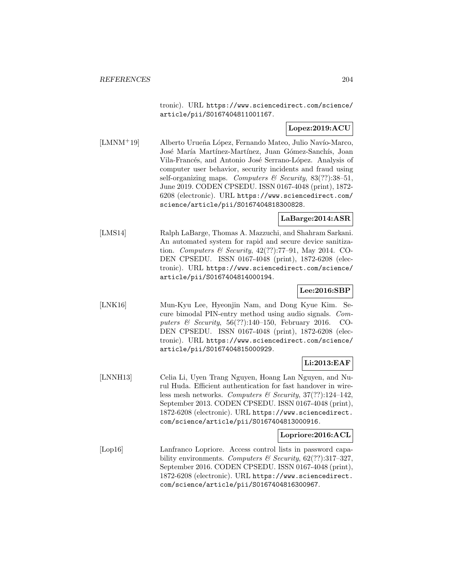tronic). URL https://www.sciencedirect.com/science/ article/pii/S0167404811001167.

## **Lopez:2019:ACU**

[LMNM+19] Alberto Urueña López, Fernando Mateo, Julio Navío-Marco, José María Martínez-Martínez, Juan Gómez-Sanchís, Joan Vila-Francés, and Antonio José Serrano-López. Analysis of computer user behavior, security incidents and fraud using self-organizing maps. Computers & Security,  $83(??):38-51$ , June 2019. CODEN CPSEDU. ISSN 0167-4048 (print), 1872- 6208 (electronic). URL https://www.sciencedirect.com/ science/article/pii/S0167404818300828.

# **LaBarge:2014:ASR**

[LMS14] Ralph LaBarge, Thomas A. Mazzuchi, and Shahram Sarkani. An automated system for rapid and secure device sanitization. Computers & Security, 42(??):77–91, May 2014. CO-DEN CPSEDU. ISSN 0167-4048 (print), 1872-6208 (electronic). URL https://www.sciencedirect.com/science/ article/pii/S0167404814000194.

# **Lee:2016:SBP**

[LNK16] Mun-Kyu Lee, Hyeonjin Nam, and Dong Kyue Kim. Secure bimodal PIN-entry method using audio signals. Computers  $\mathcal C$  Security, 56(??):140–150, February 2016. CO-DEN CPSEDU. ISSN 0167-4048 (print), 1872-6208 (electronic). URL https://www.sciencedirect.com/science/ article/pii/S0167404815000929.

# **Li:2013:EAF**

[LNNH13] Celia Li, Uyen Trang Nguyen, Hoang Lan Nguyen, and Nurul Huda. Efficient authentication for fast handover in wireless mesh networks. Computers & Security,  $37(??)$ :124-142, September 2013. CODEN CPSEDU. ISSN 0167-4048 (print), 1872-6208 (electronic). URL https://www.sciencedirect. com/science/article/pii/S0167404813000916.

#### **Lopriore:2016:ACL**

[Lop16] Lanfranco Lopriore. Access control lists in password capability environments. Computers & Security,  $62$ (??):317-327, September 2016. CODEN CPSEDU. ISSN 0167-4048 (print), 1872-6208 (electronic). URL https://www.sciencedirect. com/science/article/pii/S0167404816300967.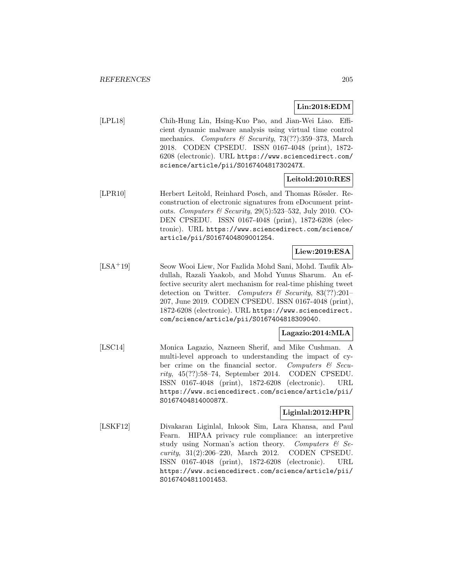# **Lin:2018:EDM**

[LPL18] Chih-Hung Lin, Hsing-Kuo Pao, and Jian-Wei Liao. Efficient dynamic malware analysis using virtual time control mechanics. Computers & Security, 73(??):359–373, March 2018. CODEN CPSEDU. ISSN 0167-4048 (print), 1872- 6208 (electronic). URL https://www.sciencedirect.com/ science/article/pii/S016740481730247X.

## **Leitold:2010:RES**

[LPR10] Herbert Leitold, Reinhard Posch, and Thomas Rössler. Reconstruction of electronic signatures from eDocument printouts. Computers & Security, 29(5):523–532, July 2010. CO-DEN CPSEDU. ISSN 0167-4048 (print), 1872-6208 (electronic). URL https://www.sciencedirect.com/science/ article/pii/S0167404809001254.

# **Liew:2019:ESA**

[LSA<sup>+</sup>19] Seow Wooi Liew, Nor Fazlida Mohd Sani, Mohd. Taufik Abdullah, Razali Yaakob, and Mohd Yunus Sharum. An effective security alert mechanism for real-time phishing tweet detection on Twitter. Computers & Security,  $83(??):201-$ 207, June 2019. CODEN CPSEDU. ISSN 0167-4048 (print), 1872-6208 (electronic). URL https://www.sciencedirect. com/science/article/pii/S0167404818309040.

### **Lagazio:2014:MLA**

[LSC14] Monica Lagazio, Nazneen Sherif, and Mike Cushman. A multi-level approach to understanding the impact of cyber crime on the financial sector. Computers & Security, 45(??):58–74, September 2014. CODEN CPSEDU. ISSN 0167-4048 (print), 1872-6208 (electronic). URL https://www.sciencedirect.com/science/article/pii/ S016740481400087X.

## **Liginlal:2012:HPR**

[LSKF12] Divakaran Liginlal, Inkook Sim, Lara Khansa, and Paul Fearn. HIPAA privacy rule compliance: an interpretive study using Norman's action theory. Computers  $\mathcal{C}$  Security, 31(2):206–220, March 2012. CODEN CPSEDU. ISSN 0167-4048 (print), 1872-6208 (electronic). URL https://www.sciencedirect.com/science/article/pii/ S0167404811001453.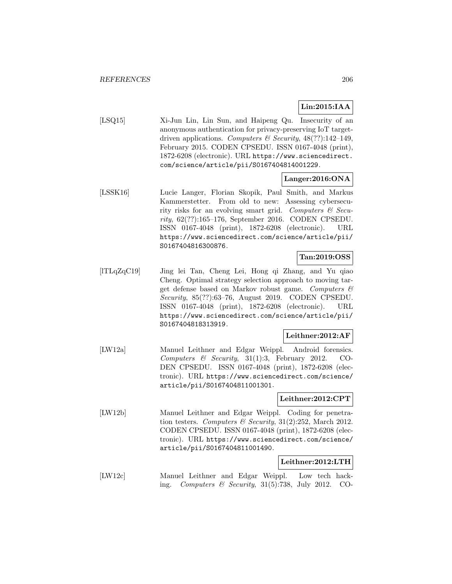# **Lin:2015:IAA**

[LSQ15] Xi-Jun Lin, Lin Sun, and Haipeng Qu. Insecurity of an anonymous authentication for privacy-preserving IoT targetdriven applications. Computers & Security,  $48(??):142-149$ , February 2015. CODEN CPSEDU. ISSN 0167-4048 (print), 1872-6208 (electronic). URL https://www.sciencedirect. com/science/article/pii/S0167404814001229.

# **Langer:2016:ONA**

[LSSK16] Lucie Langer, Florian Skopik, Paul Smith, and Markus Kammerstetter. From old to new: Assessing cybersecurity risks for an evolving smart grid. Computers  $\mathcal C$  Security, 62(??):165–176, September 2016. CODEN CPSEDU. ISSN 0167-4048 (print), 1872-6208 (electronic). URL https://www.sciencedirect.com/science/article/pii/ S0167404816300876.

## **Tan:2019:OSS**

[lTLqZqC19] Jing lei Tan, Cheng Lei, Hong qi Zhang, and Yu qiao Cheng. Optimal strategy selection approach to moving target defense based on Markov robust game. Computers & Security, 85(??):63–76, August 2019. CODEN CPSEDU. ISSN 0167-4048 (print), 1872-6208 (electronic). URL https://www.sciencedirect.com/science/article/pii/ S0167404818313919.

#### **Leithner:2012:AF**

[LW12a] Manuel Leithner and Edgar Weippl. Android forensics. Computers & Security, 31(1):3, February 2012. CO-DEN CPSEDU. ISSN 0167-4048 (print), 1872-6208 (electronic). URL https://www.sciencedirect.com/science/ article/pii/S0167404811001301.

#### **Leithner:2012:CPT**

[LW12b] Manuel Leithner and Edgar Weippl. Coding for penetration testers. Computers & Security, 31(2):252, March 2012. CODEN CPSEDU. ISSN 0167-4048 (print), 1872-6208 (electronic). URL https://www.sciencedirect.com/science/ article/pii/S0167404811001490.

## **Leithner:2012:LTH**

[LW12c] Manuel Leithner and Edgar Weippl. Low tech hacking. Computers & Security,  $31(5):738$ , July 2012. CO-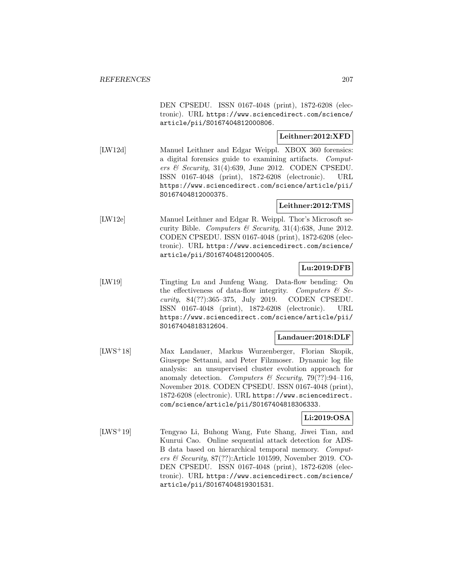DEN CPSEDU. ISSN 0167-4048 (print), 1872-6208 (electronic). URL https://www.sciencedirect.com/science/ article/pii/S0167404812000806.

# **Leithner:2012:XFD**

[LW12d] Manuel Leithner and Edgar Weippl. XBOX 360 forensics: a digital forensics guide to examining artifacts. Computers  $\mathcal B$  Security, 31(4):639, June 2012. CODEN CPSEDU. ISSN 0167-4048 (print), 1872-6208 (electronic). URL https://www.sciencedirect.com/science/article/pii/ S0167404812000375.

## **Leithner:2012:TMS**

[LW12e] Manuel Leithner and Edgar R. Weippl. Thor's Microsoft security Bible. Computers & Security, 31(4):638, June 2012. CODEN CPSEDU. ISSN 0167-4048 (print), 1872-6208 (electronic). URL https://www.sciencedirect.com/science/ article/pii/S0167404812000405.

# **Lu:2019:DFB**

[LW19] Tingting Lu and Junfeng Wang. Data-flow bending: On the effectiveness of data-flow integrity. Computers  $\mathcal{B}$  Security, 84(??):365–375, July 2019. CODEN CPSEDU. ISSN 0167-4048 (print), 1872-6208 (electronic). URL https://www.sciencedirect.com/science/article/pii/ S0167404818312604.

#### **Landauer:2018:DLF**

[LWS<sup>+</sup>18] Max Landauer, Markus Wurzenberger, Florian Skopik, Giuseppe Settanni, and Peter Filzmoser. Dynamic log file analysis: an unsupervised cluster evolution approach for anomaly detection. Computers & Security, 79(??):94-116, November 2018. CODEN CPSEDU. ISSN 0167-4048 (print), 1872-6208 (electronic). URL https://www.sciencedirect. com/science/article/pii/S0167404818306333.

### **Li:2019:OSA**

[LWS<sup>+</sup>19] Tengyao Li, Buhong Wang, Fute Shang, Jiwei Tian, and Kunrui Cao. Online sequential attack detection for ADS-B data based on hierarchical temporal memory. Computers & Security,  $87(??)$ : Article 101599, November 2019. CO-DEN CPSEDU. ISSN 0167-4048 (print), 1872-6208 (electronic). URL https://www.sciencedirect.com/science/ article/pii/S0167404819301531.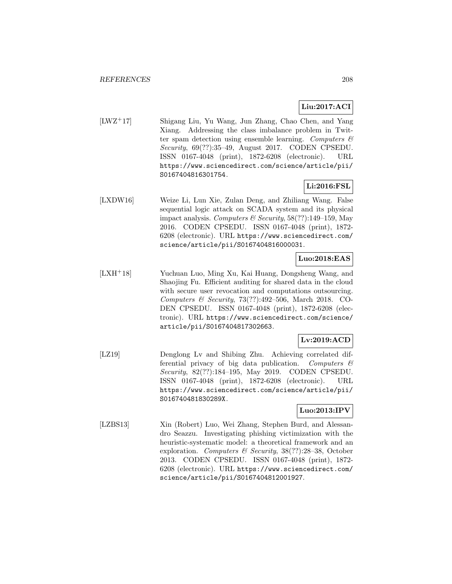# **Liu:2017:ACI**

[LWZ<sup>+</sup>17] Shigang Liu, Yu Wang, Jun Zhang, Chao Chen, and Yang Xiang. Addressing the class imbalance problem in Twitter spam detection using ensemble learning. Computers  $\mathcal{C}$ Security, 69(??):35–49, August 2017. CODEN CPSEDU. ISSN 0167-4048 (print), 1872-6208 (electronic). URL https://www.sciencedirect.com/science/article/pii/ S0167404816301754.

# **Li:2016:FSL**

[LXDW16] Weize Li, Lun Xie, Zulan Deng, and Zhiliang Wang. False sequential logic attack on SCADA system and its physical impact analysis. Computers & Security,  $58(??):149-159$ , May 2016. CODEN CPSEDU. ISSN 0167-4048 (print), 1872- 6208 (electronic). URL https://www.sciencedirect.com/ science/article/pii/S0167404816000031.

## **Luo:2018:EAS**

[LXH<sup>+</sup>18] Yuchuan Luo, Ming Xu, Kai Huang, Dongsheng Wang, and Shaojing Fu. Efficient auditing for shared data in the cloud with secure user revocation and computations outsourcing. Computers & Security, 73(??):492–506, March 2018. CO-DEN CPSEDU. ISSN 0167-4048 (print), 1872-6208 (electronic). URL https://www.sciencedirect.com/science/ article/pii/S0167404817302663.

# **Lv:2019:ACD**

[LZ19] Denglong Lv and Shibing Zhu. Achieving correlated differential privacy of big data publication. Computers  $\mathcal{C}$ Security, 82(??):184–195, May 2019. CODEN CPSEDU. ISSN 0167-4048 (print), 1872-6208 (electronic). URL https://www.sciencedirect.com/science/article/pii/ S016740481830289X.

# **Luo:2013:IPV**

[LZBS13] Xin (Robert) Luo, Wei Zhang, Stephen Burd, and Alessandro Seazzu. Investigating phishing victimization with the heuristic-systematic model: a theoretical framework and an exploration. Computers & Security, 38(??):28–38, October 2013. CODEN CPSEDU. ISSN 0167-4048 (print), 1872- 6208 (electronic). URL https://www.sciencedirect.com/ science/article/pii/S0167404812001927.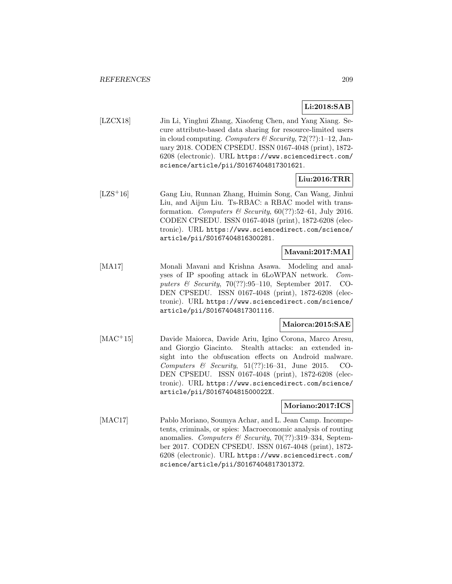# **Li:2018:SAB**

[LZCX18] Jin Li, Yinghui Zhang, Xiaofeng Chen, and Yang Xiang. Secure attribute-based data sharing for resource-limited users in cloud computing. Computers & Security,  $72(??)$ :1-12, January 2018. CODEN CPSEDU. ISSN 0167-4048 (print), 1872- 6208 (electronic). URL https://www.sciencedirect.com/ science/article/pii/S0167404817301621.

# **Liu:2016:TRR**

[LZS<sup>+</sup>16] Gang Liu, Runnan Zhang, Huimin Song, Can Wang, Jinhui Liu, and Aijun Liu. Ts-RBAC: a RBAC model with transformation. Computers & Security,  $60(??)$ :52–61, July 2016. CODEN CPSEDU. ISSN 0167-4048 (print), 1872-6208 (electronic). URL https://www.sciencedirect.com/science/ article/pii/S0167404816300281.

## **Mavani:2017:MAI**

[MA17] Monali Mavani and Krishna Asawa. Modeling and analyses of IP spoofing attack in 6LoWPAN network. Computers & Security, 70(??):95–110, September 2017. CO-DEN CPSEDU. ISSN 0167-4048 (print), 1872-6208 (electronic). URL https://www.sciencedirect.com/science/ article/pii/S0167404817301116.

# **Maiorca:2015:SAE**

[MAC<sup>+</sup>15] Davide Maiorca, Davide Ariu, Igino Corona, Marco Aresu, and Giorgio Giacinto. Stealth attacks: an extended insight into the obfuscation effects on Android malware. Computers & Security,  $51(??):16-31$ , June 2015. CO-DEN CPSEDU. ISSN 0167-4048 (print), 1872-6208 (electronic). URL https://www.sciencedirect.com/science/ article/pii/S016740481500022X.

### **Moriano:2017:ICS**

[MAC17] Pablo Moriano, Soumya Achar, and L. Jean Camp. Incompetents, criminals, or spies: Macroeconomic analysis of routing anomalies. Computers & Security, 70(??):319-334, September 2017. CODEN CPSEDU. ISSN 0167-4048 (print), 1872- 6208 (electronic). URL https://www.sciencedirect.com/ science/article/pii/S0167404817301372.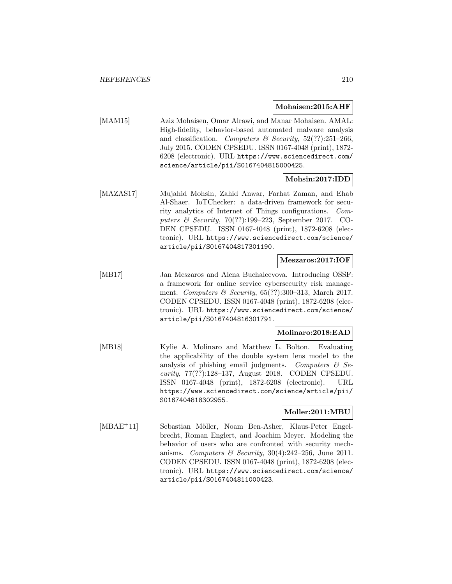#### **Mohaisen:2015:AHF**

[MAM15] Aziz Mohaisen, Omar Alrawi, and Manar Mohaisen. AMAL: High-fidelity, behavior-based automated malware analysis and classification. Computers & Security,  $52(??)$ :251-266, July 2015. CODEN CPSEDU. ISSN 0167-4048 (print), 1872- 6208 (electronic). URL https://www.sciencedirect.com/ science/article/pii/S0167404815000425.

#### **Mohsin:2017:IDD**

[MAZAS17] Mujahid Mohsin, Zahid Anwar, Farhat Zaman, and Ehab Al-Shaer. IoTChecker: a data-driven framework for security analytics of Internet of Things configurations. Computers & Security, 70(??):199–223, September 2017. CO-DEN CPSEDU. ISSN 0167-4048 (print), 1872-6208 (electronic). URL https://www.sciencedirect.com/science/ article/pii/S0167404817301190.

#### **Meszaros:2017:IOF**

[MB17] Jan Meszaros and Alena Buchalcevova. Introducing OSSF: a framework for online service cybersecurity risk management. Computers & Security,  $65(??):300-313$ , March 2017. CODEN CPSEDU. ISSN 0167-4048 (print), 1872-6208 (electronic). URL https://www.sciencedirect.com/science/ article/pii/S0167404816301791.

### **Molinaro:2018:EAD**

[MB18] Kylie A. Molinaro and Matthew L. Bolton. Evaluating the applicability of the double system lens model to the analysis of phishing email judgments. Computers  $\mathcal{C}$  Security, 77(??):128–137, August 2018. CODEN CPSEDU. ISSN 0167-4048 (print), 1872-6208 (electronic). URL https://www.sciencedirect.com/science/article/pii/ S0167404818302955.

#### **Moller:2011:MBU**

[MBAE<sup>+</sup>11] Sebastian Möller, Noam Ben-Asher, Klaus-Peter Engelbrecht, Roman Englert, and Joachim Meyer. Modeling the behavior of users who are confronted with security mechanisms. Computers & Security,  $30(4):242-256$ , June 2011. CODEN CPSEDU. ISSN 0167-4048 (print), 1872-6208 (electronic). URL https://www.sciencedirect.com/science/ article/pii/S0167404811000423.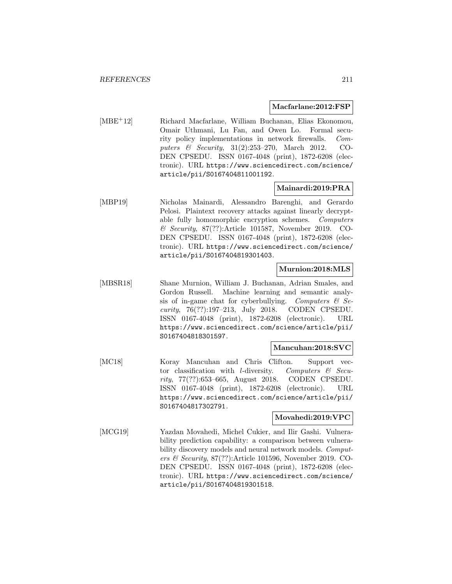#### **Macfarlane:2012:FSP**

[MBE<sup>+</sup>12] Richard Macfarlane, William Buchanan, Elias Ekonomou, Omair Uthmani, Lu Fan, and Owen Lo. Formal security policy implementations in network firewalls. Computers & Security, 31(2):253–270, March 2012. CO-DEN CPSEDU. ISSN 0167-4048 (print), 1872-6208 (electronic). URL https://www.sciencedirect.com/science/ article/pii/S0167404811001192.

## **Mainardi:2019:PRA**

[MBP19] Nicholas Mainardi, Alessandro Barenghi, and Gerardo Pelosi. Plaintext recovery attacks against linearly decryptable fully homomorphic encryption schemes. Computers & Security, 87(??):Article 101587, November 2019. CO-DEN CPSEDU. ISSN 0167-4048 (print), 1872-6208 (electronic). URL https://www.sciencedirect.com/science/ article/pii/S0167404819301403.

# **Murnion:2018:MLS**

[MBSR18] Shane Murnion, William J. Buchanan, Adrian Smales, and Gordon Russell. Machine learning and semantic analysis of in-game chat for cyberbullying. Computers  $\mathcal{C}$  Security, 76(??):197–213, July 2018. CODEN CPSEDU. ISSN 0167-4048 (print), 1872-6208 (electronic). URL https://www.sciencedirect.com/science/article/pii/ S0167404818301597.

#### **Mancuhan:2018:SVC**

[MC18] Koray Mancuhan and Chris Clifton. Support vector classification with *l*-diversity. Computers  $\mathcal{C}$  Security, 77(??):653–665, August 2018. CODEN CPSEDU. ISSN 0167-4048 (print), 1872-6208 (electronic). URL https://www.sciencedirect.com/science/article/pii/ S0167404817302791.

#### **Movahedi:2019:VPC**

[MCG19] Yazdan Movahedi, Michel Cukier, and Ilir Gashi. Vulnerability prediction capability: a comparison between vulnerability discovery models and neural network models. Computers & Security,  $87(??)$ : Article 101596, November 2019. CO-DEN CPSEDU. ISSN 0167-4048 (print), 1872-6208 (electronic). URL https://www.sciencedirect.com/science/ article/pii/S0167404819301518.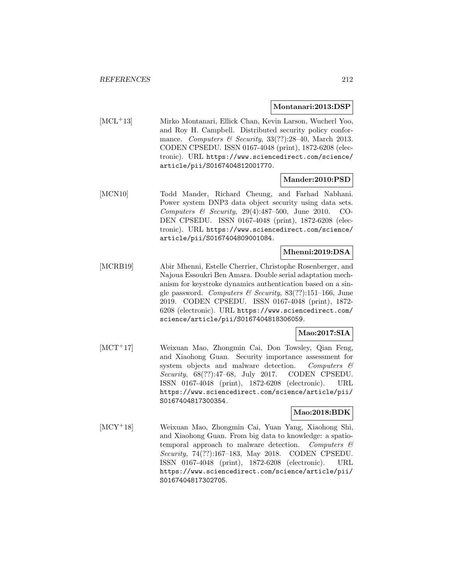#### **Montanari:2013:DSP**

[MCL<sup>+</sup>13] Mirko Montanari, Ellick Chan, Kevin Larson, Wucherl Yoo, and Roy H. Campbell. Distributed security policy conformance. Computers & Security,  $33(??):28-40$ , March 2013. CODEN CPSEDU. ISSN 0167-4048 (print), 1872-6208 (electronic). URL https://www.sciencedirect.com/science/ article/pii/S0167404812001770.

## **Mander:2010:PSD**

[MCN10] Todd Mander, Richard Cheung, and Farhad Nabhani. Power system DNP3 data object security using data sets. Computers & Security, 29(4):487–500, June 2010. CO-DEN CPSEDU. ISSN 0167-4048 (print), 1872-6208 (electronic). URL https://www.sciencedirect.com/science/ article/pii/S0167404809001084.

## **Mhenni:2019:DSA**

[MCRB19] Abir Mhenni, Estelle Cherrier, Christophe Rosenberger, and Najoua Essoukri Ben Amara. Double serial adaptation mechanism for keystroke dynamics authentication based on a single password. Computers & Security,  $83(??):151-166$ , June 2019. CODEN CPSEDU. ISSN 0167-4048 (print), 1872- 6208 (electronic). URL https://www.sciencedirect.com/ science/article/pii/S0167404818306059.

#### **Mao:2017:SIA**

[MCT<sup>+</sup>17] Weixuan Mao, Zhongmin Cai, Don Towsley, Qian Feng, and Xiaohong Guan. Security importance assessment for system objects and malware detection. Computers & Security, 68(??):47–68, July 2017. CODEN CPSEDU. ISSN 0167-4048 (print), 1872-6208 (electronic). URL https://www.sciencedirect.com/science/article/pii/ S0167404817300354.

## **Mao:2018:BDK**

[MCY<sup>+</sup>18] Weixuan Mao, Zhongmin Cai, Yuan Yang, Xiaohong Shi, and Xiaohong Guan. From big data to knowledge: a spatiotemporal approach to malware detection. Computers  $\mathcal{C}$ Security, 74(??):167–183, May 2018. CODEN CPSEDU. ISSN 0167-4048 (print), 1872-6208 (electronic). URL https://www.sciencedirect.com/science/article/pii/ S0167404817302705.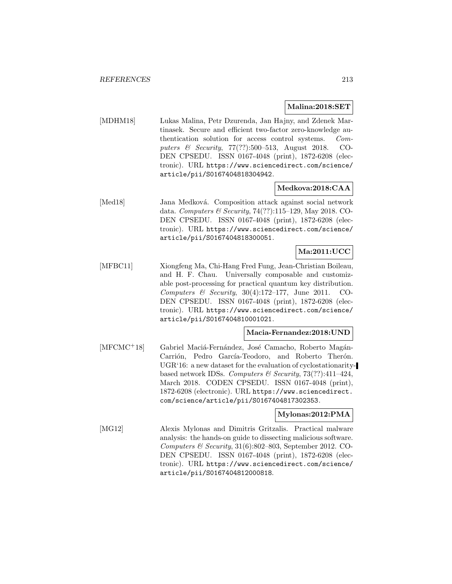#### **Malina:2018:SET**

[MDHM18] Lukas Malina, Petr Dzurenda, Jan Hajny, and Zdenek Martinasek. Secure and efficient two-factor zero-knowledge authentication solution for access control systems. Computers & Security, 77(??):500–513, August 2018. CO-DEN CPSEDU. ISSN 0167-4048 (print), 1872-6208 (electronic). URL https://www.sciencedirect.com/science/ article/pii/S0167404818304942.

## **Medkova:2018:CAA**

[Med18] Jana Medková. Composition attack against social network data. Computers & Security, 74(??):115–129, May 2018. CO-DEN CPSEDU. ISSN 0167-4048 (print), 1872-6208 (electronic). URL https://www.sciencedirect.com/science/ article/pii/S0167404818300051.

# **Ma:2011:UCC**

[MFBC11] Xiongfeng Ma, Chi-Hang Fred Fung, Jean-Christian Boileau, and H. F. Chau. Universally composable and customizable post-processing for practical quantum key distribution. Computers & Security,  $30(4):172-177$ , June 2011. CO-DEN CPSEDU. ISSN 0167-4048 (print), 1872-6208 (electronic). URL https://www.sciencedirect.com/science/ article/pii/S0167404810001021.

#### **Macia-Fernandez:2018:UND**

[MFCMC<sup>+</sup>18] Gabriel Maciá-Fernández, José Camacho, Roberto Magán-Carrión, Pedro García-Teodoro, and Roberto Therón. UGR'16: a new dataset for the evaluation of cyclostationaritybased network IDSs. Computers & Security,  $73(??):411-424$ , March 2018. CODEN CPSEDU. ISSN 0167-4048 (print), 1872-6208 (electronic). URL https://www.sciencedirect. com/science/article/pii/S0167404817302353.

#### **Mylonas:2012:PMA**

[MG12] Alexis Mylonas and Dimitris Gritzalis. Practical malware analysis: the hands-on guide to dissecting malicious software. Computers  $\mathcal C$  Security, 31(6):802–803, September 2012. CO-DEN CPSEDU. ISSN 0167-4048 (print), 1872-6208 (electronic). URL https://www.sciencedirect.com/science/ article/pii/S0167404812000818.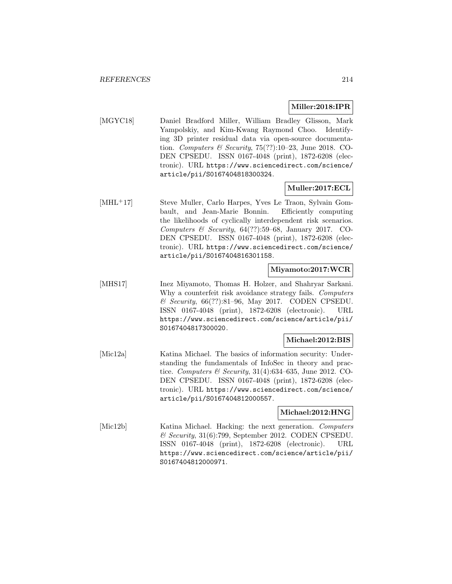#### **Miller:2018:IPR**

[MGYC18] Daniel Bradford Miller, William Bradley Glisson, Mark Yampolskiy, and Kim-Kwang Raymond Choo. Identifying 3D printer residual data via open-source documentation. Computers & Security,  $75(??):10-23$ , June 2018. CO-DEN CPSEDU. ISSN 0167-4048 (print), 1872-6208 (electronic). URL https://www.sciencedirect.com/science/ article/pii/S0167404818300324.

## **Muller:2017:ECL**

[MHL<sup>+</sup>17] Steve Muller, Carlo Harpes, Yves Le Traon, Sylvain Gombault, and Jean-Marie Bonnin. Efficiently computing the likelihoods of cyclically interdependent risk scenarios. Computers & Security,  $64(??):59-68$ , January 2017. CO-DEN CPSEDU. ISSN 0167-4048 (print), 1872-6208 (electronic). URL https://www.sciencedirect.com/science/ article/pii/S0167404816301158.

# **Miyamoto:2017:WCR**

[MHS17] Inez Miyamoto, Thomas H. Holzer, and Shahryar Sarkani. Why a counterfeit risk avoidance strategy fails. Computers & Security, 66(??):81–96, May 2017. CODEN CPSEDU. ISSN 0167-4048 (print), 1872-6208 (electronic). URL https://www.sciencedirect.com/science/article/pii/ S0167404817300020.

## **Michael:2012:BIS**

[Mic12a] Katina Michael. The basics of information security: Understanding the fundamentals of InfoSec in theory and practice. Computers & Security, 31(4):634–635, June 2012. CO-DEN CPSEDU. ISSN 0167-4048 (print), 1872-6208 (electronic). URL https://www.sciencedirect.com/science/ article/pii/S0167404812000557.

#### **Michael:2012:HNG**

[Mic12b] Katina Michael. Hacking: the next generation. Computers  $\mathcal C$  Security, 31(6):799, September 2012. CODEN CPSEDU. ISSN 0167-4048 (print), 1872-6208 (electronic). URL https://www.sciencedirect.com/science/article/pii/ S0167404812000971.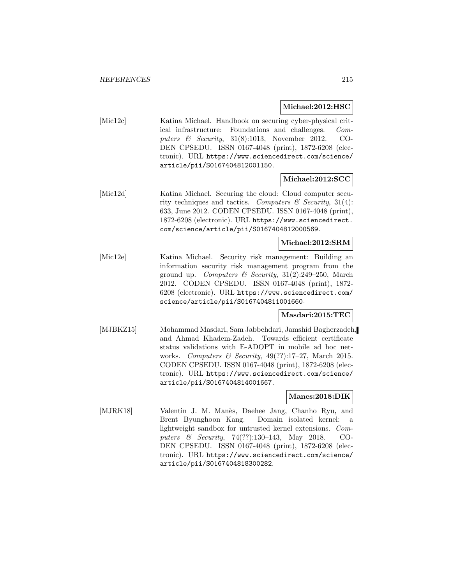#### **Michael:2012:HSC**

[Mic12c] Katina Michael. Handbook on securing cyber-physical critical infrastructure: Foundations and challenges. Computers & Security, 31(8):1013, November 2012. CO-DEN CPSEDU. ISSN 0167-4048 (print), 1872-6208 (electronic). URL https://www.sciencedirect.com/science/ article/pii/S0167404812001150.

#### **Michael:2012:SCC**

[Mic12d] Katina Michael. Securing the cloud: Cloud computer security techniques and tactics. Computers  $\mathcal B$  Security, 31(4): 633, June 2012. CODEN CPSEDU. ISSN 0167-4048 (print), 1872-6208 (electronic). URL https://www.sciencedirect. com/science/article/pii/S0167404812000569.

### **Michael:2012:SRM**

[Mic12e] Katina Michael. Security risk management: Building an information security risk management program from the ground up. Computers & Security,  $31(2):249-250$ , March 2012. CODEN CPSEDU. ISSN 0167-4048 (print), 1872- 6208 (electronic). URL https://www.sciencedirect.com/ science/article/pii/S0167404811001660.

### **Masdari:2015:TEC**

[MJBKZ15] Mohammad Masdari, Sam Jabbehdari, Jamshid Bagherzadeh, and Ahmad Khadem-Zadeh. Towards efficient certificate status validations with E-ADOPT in mobile ad hoc networks. Computers & Security,  $49(??):17-27$ , March 2015. CODEN CPSEDU. ISSN 0167-4048 (print), 1872-6208 (electronic). URL https://www.sciencedirect.com/science/ article/pii/S0167404814001667.

#### **Manes:2018:DIK**

[MJRK18] Valentin J. M. Manès, Daehee Jang, Chanho Ryu, and Brent Byunghoon Kang. Domain isolated kernel: a lightweight sandbox for untrusted kernel extensions. Computers & Security, 74(??):130–143, May 2018. CO-DEN CPSEDU. ISSN 0167-4048 (print), 1872-6208 (electronic). URL https://www.sciencedirect.com/science/ article/pii/S0167404818300282.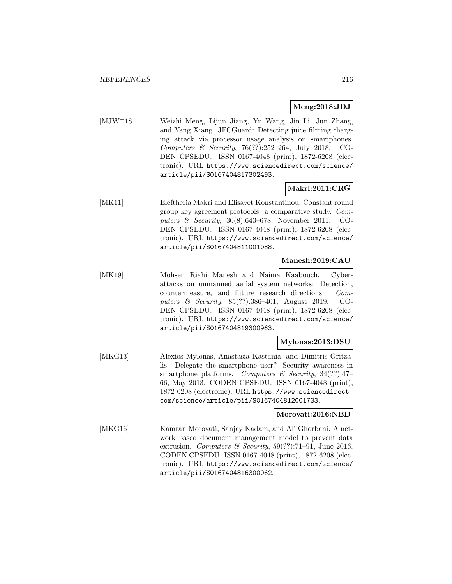### **Meng:2018:JDJ**

[MJW<sup>+</sup>18] Weizhi Meng, Lijun Jiang, Yu Wang, Jin Li, Jun Zhang, and Yang Xiang. JFCGuard: Detecting juice filming charging attack via processor usage analysis on smartphones. Computers & Security, 76(??):252–264, July 2018. CO-DEN CPSEDU. ISSN 0167-4048 (print), 1872-6208 (electronic). URL https://www.sciencedirect.com/science/ article/pii/S0167404817302493.

# **Makri:2011:CRG**

[MK11] Eleftheria Makri and Elisavet Konstantinou. Constant round group key agreement protocols: a comparative study. Computers & Security, 30(8):643–678, November 2011. CO-DEN CPSEDU. ISSN 0167-4048 (print), 1872-6208 (electronic). URL https://www.sciencedirect.com/science/ article/pii/S0167404811001088.

## **Manesh:2019:CAU**

[MK19] Mohsen Riahi Manesh and Naima Kaabouch. Cyberattacks on unmanned aerial system networks: Detection, countermeasure, and future research directions. Computers & Security, 85(??):386–401, August 2019. CO-DEN CPSEDU. ISSN 0167-4048 (print), 1872-6208 (electronic). URL https://www.sciencedirect.com/science/ article/pii/S0167404819300963.

#### **Mylonas:2013:DSU**

[MKG13] Alexios Mylonas, Anastasia Kastania, and Dimitris Gritzalis. Delegate the smartphone user? Security awareness in smartphone platforms. Computers  $\mathcal C$  Security, 34(??):47-66, May 2013. CODEN CPSEDU. ISSN 0167-4048 (print), 1872-6208 (electronic). URL https://www.sciencedirect. com/science/article/pii/S0167404812001733.

# **Morovati:2016:NBD**

[MKG16] Kamran Morovati, Sanjay Kadam, and Ali Ghorbani. A network based document management model to prevent data extrusion. Computers & Security,  $59(??):71-91$ , June 2016. CODEN CPSEDU. ISSN 0167-4048 (print), 1872-6208 (electronic). URL https://www.sciencedirect.com/science/ article/pii/S0167404816300062.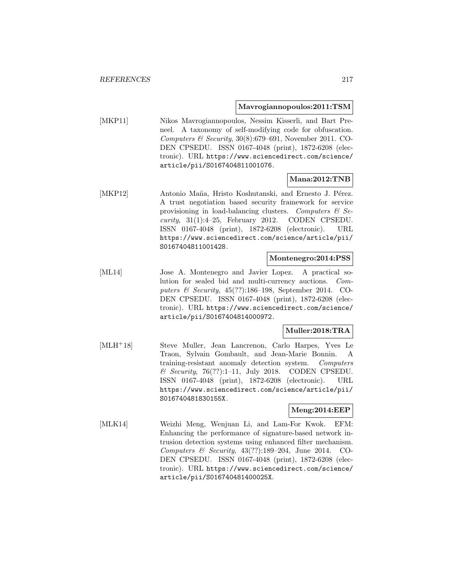#### **Mavrogiannopoulos:2011:TSM**

[MKP11] Nikos Mavrogiannopoulos, Nessim Kisserli, and Bart Preneel. A taxonomy of self-modifying code for obfuscation. Computers & Security,  $30(8):679-691$ , November 2011. CO-DEN CPSEDU. ISSN 0167-4048 (print), 1872-6208 (electronic). URL https://www.sciencedirect.com/science/ article/pii/S0167404811001076.

### **Mana:2012:TNB**

[MKP12] Antonio Maña, Hristo Koshutanski, and Ernesto J. Pérez. A trust negotiation based security framework for service provisioning in load-balancing clusters. Computers  $\mathcal{B}$  Se $curity, 31(1):4-25,$  February 2012. CODEN CPSEDU. ISSN 0167-4048 (print), 1872-6208 (electronic). URL https://www.sciencedirect.com/science/article/pii/ S0167404811001428.

#### **Montenegro:2014:PSS**

[ML14] Jose A. Montenegro and Javier Lopez. A practical solution for sealed bid and multi-currency auctions. Computers & Security, 45(??):186–198, September 2014. CO-DEN CPSEDU. ISSN 0167-4048 (print), 1872-6208 (electronic). URL https://www.sciencedirect.com/science/ article/pii/S0167404814000972.

### **Muller:2018:TRA**

[MLH<sup>+</sup>18] Steve Muller, Jean Lancrenon, Carlo Harpes, Yves Le Traon, Sylvain Gombault, and Jean-Marie Bonnin. A training-resistant anomaly detection system. Computers  $\&$  Security, 76(??):1–11, July 2018. CODEN CPSEDU. ISSN 0167-4048 (print), 1872-6208 (electronic). URL https://www.sciencedirect.com/science/article/pii/ S016740481830155X.

#### **Meng:2014:EEP**

[MLK14] Weizhi Meng, Wenjuan Li, and Lam-For Kwok. EFM: Enhancing the performance of signature-based network intrusion detection systems using enhanced filter mechanism. Computers & Security, 43(??):189–204, June 2014. CO-DEN CPSEDU. ISSN 0167-4048 (print), 1872-6208 (electronic). URL https://www.sciencedirect.com/science/ article/pii/S016740481400025X.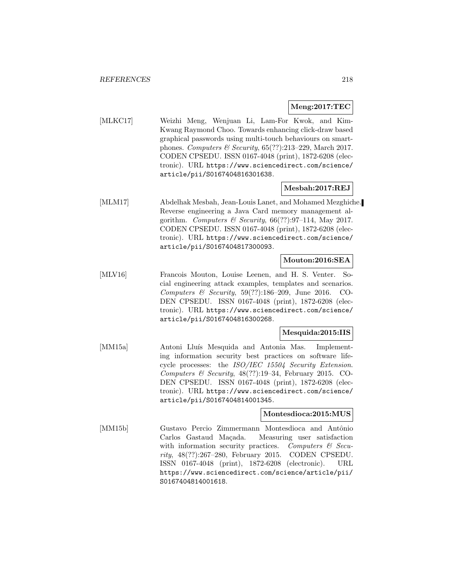### **Meng:2017:TEC**

[MLKC17] Weizhi Meng, Wenjuan Li, Lam-For Kwok, and Kim-Kwang Raymond Choo. Towards enhancing click-draw based graphical passwords using multi-touch behaviours on smartphones. Computers & Security,  $65(??):213-229$ , March 2017. CODEN CPSEDU. ISSN 0167-4048 (print), 1872-6208 (electronic). URL https://www.sciencedirect.com/science/ article/pii/S0167404816301638.

## **Mesbah:2017:REJ**

[MLM17] Abdelhak Mesbah, Jean-Louis Lanet, and Mohamed Mezghiche. Reverse engineering a Java Card memory management algorithm. Computers & Security,  $66(??):97-114$ , May 2017. CODEN CPSEDU. ISSN 0167-4048 (print), 1872-6208 (electronic). URL https://www.sciencedirect.com/science/ article/pii/S0167404817300093.

## **Mouton:2016:SEA**

[MLV16] Francois Mouton, Louise Leenen, and H. S. Venter. Social engineering attack examples, templates and scenarios. Computers & Security, 59(??):186–209, June 2016. CO-DEN CPSEDU. ISSN 0167-4048 (print), 1872-6208 (electronic). URL https://www.sciencedirect.com/science/ article/pii/S0167404816300268.

## **Mesquida:2015:IIS**

[MM15a] Antoni Lluís Mesquida and Antonia Mas. Implementing information security best practices on software lifecycle processes: the ISO/IEC 15504 Security Extension. Computers & Security,  $48(??):19-34$ , February 2015. CO-DEN CPSEDU. ISSN 0167-4048 (print), 1872-6208 (electronic). URL https://www.sciencedirect.com/science/ article/pii/S0167404814001345.

## **Montesdioca:2015:MUS**

[MM15b] Gustavo Percio Zimmermann Montesdioca and Antônio Carlos Gastaud Maçada. Measuring user satisfaction with information security practices. Computers  $\mathcal{C}$  Security, 48(??):267–280, February 2015. CODEN CPSEDU. ISSN 0167-4048 (print), 1872-6208 (electronic). URL https://www.sciencedirect.com/science/article/pii/ S0167404814001618.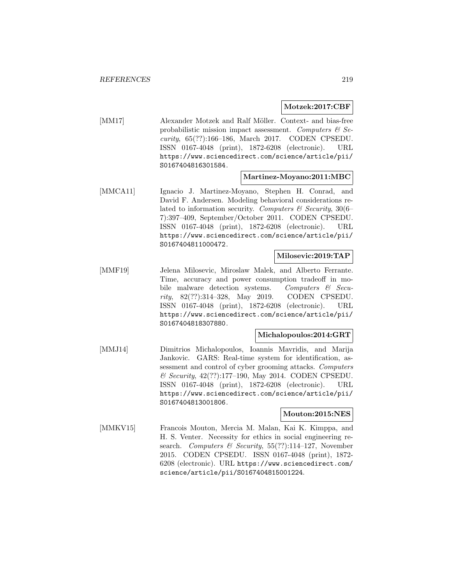#### **Motzek:2017:CBF**

[MM17] Alexander Motzek and Ralf Möller. Context- and bias-free probabilistic mission impact assessment. Computers  $\mathcal{C}$  Security, 65(??):166–186, March 2017. CODEN CPSEDU. ISSN 0167-4048 (print), 1872-6208 (electronic). URL https://www.sciencedirect.com/science/article/pii/ S0167404816301584.

#### **Martinez-Moyano:2011:MBC**

[MMCA11] Ignacio J. Martinez-Moyano, Stephen H. Conrad, and David F. Andersen. Modeling behavioral considerations related to information security. Computers  $\mathcal C$  Security, 30(6– 7):397–409, September/October 2011. CODEN CPSEDU. ISSN 0167-4048 (print), 1872-6208 (electronic). URL https://www.sciencedirect.com/science/article/pii/ S0167404811000472.

# **Milosevic:2019:TAP**

[MMF19] Jelena Milosevic, Miroslaw Malek, and Alberto Ferrante. Time, accuracy and power consumption tradeoff in mobile malware detection systems. Computers & Security, 82(??):314–328, May 2019. CODEN CPSEDU. ISSN 0167-4048 (print), 1872-6208 (electronic). URL https://www.sciencedirect.com/science/article/pii/ S0167404818307880.

#### **Michalopoulos:2014:GRT**

[MMJ14] Dimitrios Michalopoulos, Ioannis Mavridis, and Marija Jankovic. GARS: Real-time system for identification, assessment and control of cyber grooming attacks. Computers & Security, 42(??):177–190, May 2014. CODEN CPSEDU. ISSN 0167-4048 (print), 1872-6208 (electronic). URL https://www.sciencedirect.com/science/article/pii/ S0167404813001806.

### **Mouton:2015:NES**

[MMKV15] Francois Mouton, Mercia M. Malan, Kai K. Kimppa, and H. S. Venter. Necessity for ethics in social engineering research. Computers & Security,  $55(??):114-127$ , November 2015. CODEN CPSEDU. ISSN 0167-4048 (print), 1872- 6208 (electronic). URL https://www.sciencedirect.com/ science/article/pii/S0167404815001224.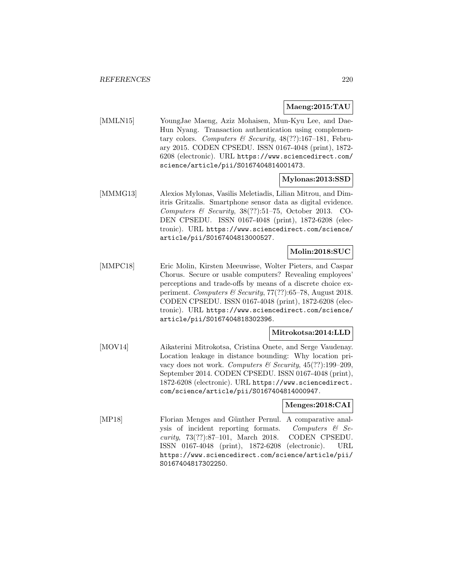### **Maeng:2015:TAU**

[MMLN15] YoungJae Maeng, Aziz Mohaisen, Mun-Kyu Lee, and Dae-Hun Nyang. Transaction authentication using complementary colors. Computers & Security,  $48(??):167-181$ , February 2015. CODEN CPSEDU. ISSN 0167-4048 (print), 1872- 6208 (electronic). URL https://www.sciencedirect.com/ science/article/pii/S0167404814001473.

## **Mylonas:2013:SSD**

[MMMG13] Alexios Mylonas, Vasilis Meletiadis, Lilian Mitrou, and Dimitris Gritzalis. Smartphone sensor data as digital evidence. Computers & Security, 38(??):51–75, October 2013. CO-DEN CPSEDU. ISSN 0167-4048 (print), 1872-6208 (electronic). URL https://www.sciencedirect.com/science/ article/pii/S0167404813000527.

# **Molin:2018:SUC**

[MMPC18] Eric Molin, Kirsten Meeuwisse, Wolter Pieters, and Caspar Chorus. Secure or usable computers? Revealing employees' perceptions and trade-offs by means of a discrete choice experiment. Computers & Security, 77(??):65–78, August 2018. CODEN CPSEDU. ISSN 0167-4048 (print), 1872-6208 (electronic). URL https://www.sciencedirect.com/science/ article/pii/S0167404818302396.

### **Mitrokotsa:2014:LLD**

[MOV14] Aikaterini Mitrokotsa, Cristina Onete, and Serge Vaudenay. Location leakage in distance bounding: Why location privacy does not work. Computers & Security,  $45(??):199-209$ , September 2014. CODEN CPSEDU. ISSN 0167-4048 (print), 1872-6208 (electronic). URL https://www.sciencedirect. com/science/article/pii/S0167404814000947.

### **Menges:2018:CAI**

[MP18] Florian Menges and Günther Pernul. A comparative analysis of incident reporting formats. Computers  $\mathcal{C}$  Security, 73(??):87–101, March 2018. CODEN CPSEDU. ISSN 0167-4048 (print), 1872-6208 (electronic). URL https://www.sciencedirect.com/science/article/pii/ S0167404817302250.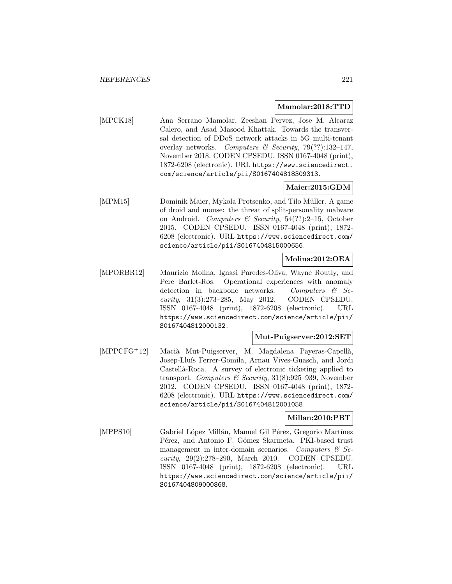#### **Mamolar:2018:TTD**

[MPCK18] Ana Serrano Mamolar, Zeeshan Pervez, Jose M. Alcaraz Calero, and Asad Masood Khattak. Towards the transversal detection of DDoS network attacks in 5G multi-tenant overlay networks. Computers & Security, 79(??):132–147, November 2018. CODEN CPSEDU. ISSN 0167-4048 (print), 1872-6208 (electronic). URL https://www.sciencedirect. com/science/article/pii/S0167404818309313.

## **Maier:2015:GDM**

[MPM15] Dominik Maier, Mykola Protsenko, and Tilo Müller. A game of droid and mouse: the threat of split-personality malware on Android. Computers & Security, 54(??):2–15, October 2015. CODEN CPSEDU. ISSN 0167-4048 (print), 1872- 6208 (electronic). URL https://www.sciencedirect.com/ science/article/pii/S0167404815000656.

# **Molina:2012:OEA**

[MPORBR12] Maurizio Molina, Ignasi Paredes-Oliva, Wayne Routly, and Pere Barlet-Ros. Operational experiences with anomaly detection in backbone networks. Computers & Security, 31(3):273–285, May 2012. CODEN CPSEDU. ISSN 0167-4048 (print), 1872-6208 (electronic). URL https://www.sciencedirect.com/science/article/pii/ S0167404812000132.

#### **Mut-Puigserver:2012:SET**

[MPPCFG+12] Macià Mut-Puigserver, M. Magdalena Payeras-Capellà, Josep-Lluís Ferrer-Gomila, Arnau Vives-Guasch, and Jordi Castellà-Roca. A survey of electronic ticketing applied to transport. Computers & Security,  $31(8):925-939$ , November 2012. CODEN CPSEDU. ISSN 0167-4048 (print), 1872- 6208 (electronic). URL https://www.sciencedirect.com/ science/article/pii/S0167404812001058.

### **Millan:2010:PBT**

[MPPS10] Gabriel López Millán, Manuel Gil Pérez, Gregorio Martínez Pérez, and Antonio F. Gómez Skarmeta. PKI-based trust management in inter-domain scenarios. Computers  $\mathcal{C}$  Security, 29(2):278–290, March 2010. CODEN CPSEDU. ISSN 0167-4048 (print), 1872-6208 (electronic). URL https://www.sciencedirect.com/science/article/pii/ S0167404809000868.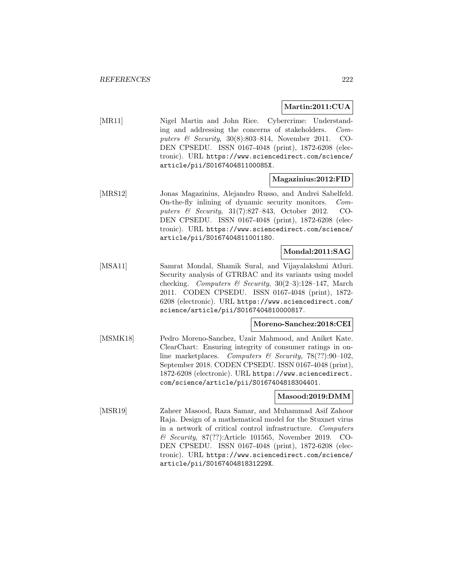### **Martin:2011:CUA**

[MR11] Nigel Martin and John Rice. Cybercrime: Understanding and addressing the concerns of stakeholders. Computers & Security, 30(8):803–814, November 2011. CO-DEN CPSEDU. ISSN 0167-4048 (print), 1872-6208 (electronic). URL https://www.sciencedirect.com/science/ article/pii/S016740481100085X.

### **Magazinius:2012:FID**

[MRS12] Jonas Magazinius, Alejandro Russo, and Andrei Sabelfeld. On-the-fly inlining of dynamic security monitors. Computers & Security, 31(7):827–843, October 2012. CO-DEN CPSEDU. ISSN 0167-4048 (print), 1872-6208 (electronic). URL https://www.sciencedirect.com/science/ article/pii/S0167404811001180.

## **Mondal:2011:SAG**

[MSA11] Samrat Mondal, Shamik Sural, and Vijayalakshmi Atluri. Security analysis of GTRBAC and its variants using model checking. Computers & Security,  $30(2-3):128-147$ , March 2011. CODEN CPSEDU. ISSN 0167-4048 (print), 1872- 6208 (electronic). URL https://www.sciencedirect.com/ science/article/pii/S0167404810000817.

### **Moreno-Sanchez:2018:CEI**

[MSMK18] Pedro Moreno-Sanchez, Uzair Mahmood, and Aniket Kate. ClearChart: Ensuring integrity of consumer ratings in online marketplaces. Computers & Security, 78(??):90-102, September 2018. CODEN CPSEDU. ISSN 0167-4048 (print), 1872-6208 (electronic). URL https://www.sciencedirect. com/science/article/pii/S0167404818304401.

### **Masood:2019:DMM**

[MSR19] Zaheer Masood, Raza Samar, and Muhammad Asif Zahoor Raja. Design of a mathematical model for the Stuxnet virus in a network of critical control infrastructure. Computers & Security, 87(??):Article 101565, November 2019. CO-DEN CPSEDU. ISSN 0167-4048 (print), 1872-6208 (electronic). URL https://www.sciencedirect.com/science/ article/pii/S016740481831229X.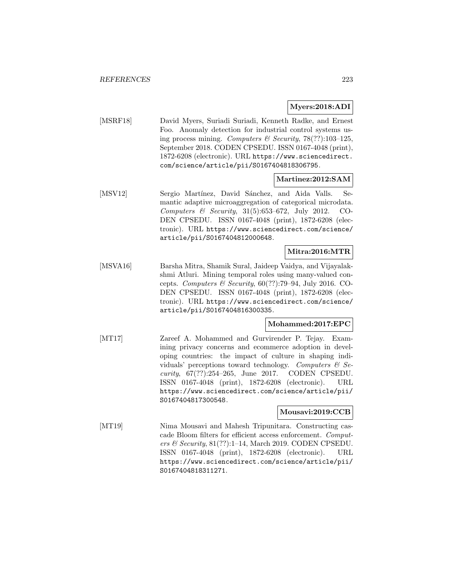## **Myers:2018:ADI**

[MSRF18] David Myers, Suriadi Suriadi, Kenneth Radke, and Ernest Foo. Anomaly detection for industrial control systems using process mining. Computers & Security,  $78(??):103-125$ , September 2018. CODEN CPSEDU. ISSN 0167-4048 (print), 1872-6208 (electronic). URL https://www.sciencedirect. com/science/article/pii/S0167404818306795.

# **Martinez:2012:SAM**

[MSV12] Sergio Martínez, David Sánchez, and Aida Valls. Semantic adaptive microaggregation of categorical microdata. Computers & Security, 31(5):653–672, July 2012. CO-DEN CPSEDU. ISSN 0167-4048 (print), 1872-6208 (electronic). URL https://www.sciencedirect.com/science/ article/pii/S0167404812000648.

## **Mitra:2016:MTR**

[MSVA16] Barsha Mitra, Shamik Sural, Jaideep Vaidya, and Vijayalakshmi Atluri. Mining temporal roles using many-valued concepts. Computers & Security,  $60(??):79-94$ , July 2016. CO-DEN CPSEDU. ISSN 0167-4048 (print), 1872-6208 (electronic). URL https://www.sciencedirect.com/science/ article/pii/S0167404816300335.

### **Mohammed:2017:EPC**

[MT17] Zareef A. Mohammed and Gurvirender P. Tejay. Examining privacy concerns and ecommerce adoption in developing countries: the impact of culture in shaping individuals' perceptions toward technology. Computers  $\mathcal{C}$  Security, 67(??):254–265, June 2017. CODEN CPSEDU. ISSN 0167-4048 (print), 1872-6208 (electronic). URL https://www.sciencedirect.com/science/article/pii/ S0167404817300548.

### **Mousavi:2019:CCB**

[MT19] Nima Mousavi and Mahesh Tripunitara. Constructing cascade Bloom filters for efficient access enforcement. Computers & Security, 81(??):1–14, March 2019. CODEN CPSEDU. ISSN 0167-4048 (print), 1872-6208 (electronic). URL https://www.sciencedirect.com/science/article/pii/ S0167404818311271.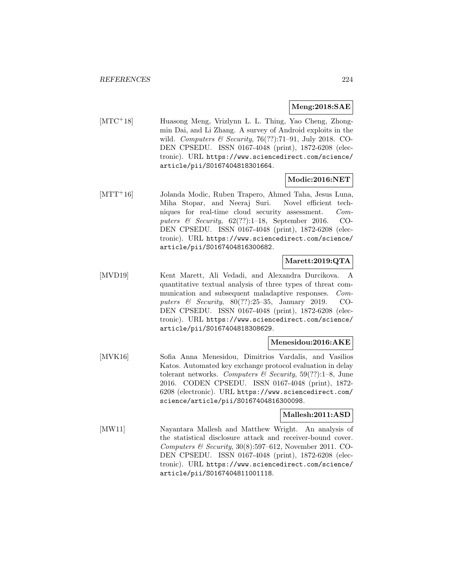## **Meng:2018:SAE**

[MTC<sup>+</sup>18] Huasong Meng, Vrizlynn L. L. Thing, Yao Cheng, Zhongmin Dai, and Li Zhang. A survey of Android exploits in the wild. Computers & Security,  $76(??):71-91$ , July 2018. CO-DEN CPSEDU. ISSN 0167-4048 (print), 1872-6208 (electronic). URL https://www.sciencedirect.com/science/ article/pii/S0167404818301664.

## **Modic:2016:NET**

[MTT<sup>+</sup>16] Jolanda Modic, Ruben Trapero, Ahmed Taha, Jesus Luna, Miha Stopar, and Neeraj Suri. Novel efficient techniques for real-time cloud security assessment. Computers & Security,  $62$ (??):1–18, September 2016. CO-DEN CPSEDU. ISSN 0167-4048 (print), 1872-6208 (electronic). URL https://www.sciencedirect.com/science/ article/pii/S0167404816300682.

# **Marett:2019:QTA**

[MVD19] Kent Marett, Ali Vedadi, and Alexandra Durcikova. A quantitative textual analysis of three types of threat communication and subsequent maladaptive responses. Computers & Security, 80(??):25–35, January 2019. CO-DEN CPSEDU. ISSN 0167-4048 (print), 1872-6208 (electronic). URL https://www.sciencedirect.com/science/ article/pii/S0167404818308629.

### **Menesidou:2016:AKE**

[MVK16] Sofia Anna Menesidou, Dimitrios Vardalis, and Vasilios Katos. Automated key exchange protocol evaluation in delay tolerant networks. Computers  $\mathcal C$  Security, 59(??):1–8, June 2016. CODEN CPSEDU. ISSN 0167-4048 (print), 1872- 6208 (electronic). URL https://www.sciencedirect.com/ science/article/pii/S0167404816300098.

### **Mallesh:2011:ASD**

[MW11] Nayantara Mallesh and Matthew Wright. An analysis of the statistical disclosure attack and receiver-bound cover. Computers  $\mathcal B$  Security, 30(8):597–612, November 2011. CO-DEN CPSEDU. ISSN 0167-4048 (print), 1872-6208 (electronic). URL https://www.sciencedirect.com/science/ article/pii/S0167404811001118.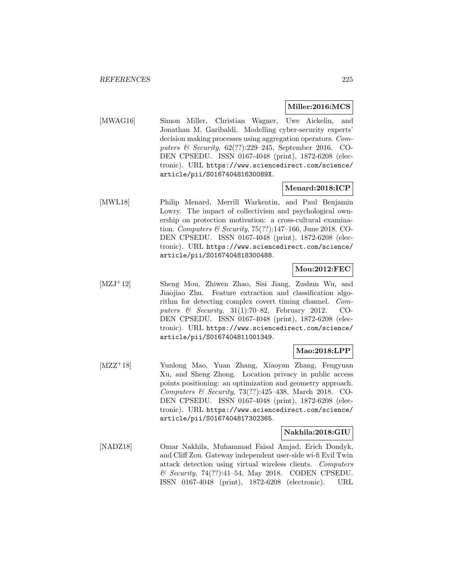#### **Miller:2016:MCS**

[MWAG16] Simon Miller, Christian Wagner, Uwe Aickelin, and Jonathan M. Garibaldi. Modelling cyber-security experts' decision making processes using aggregation operators. Computers & Security, 62(??):229–245, September 2016. CO-DEN CPSEDU. ISSN 0167-4048 (print), 1872-6208 (electronic). URL https://www.sciencedirect.com/science/ article/pii/S016740481630089X.

## **Menard:2018:ICP**

[MWL18] Philip Menard, Merrill Warkentin, and Paul Benjamin Lowry. The impact of collectivism and psychological ownership on protection motivation: a cross-cultural examination. Computers & Security,  $75(??)$ :147-166, June 2018. CO-DEN CPSEDU. ISSN 0167-4048 (print), 1872-6208 (electronic). URL https://www.sciencedirect.com/science/ article/pii/S0167404818300488.

## **Mou:2012:FEC**

[MZJ<sup>+</sup>12] Sheng Mou, Zhiwen Zhao, Sisi Jiang, Zushun Wu, and Jiaojiao Zhu. Feature extraction and classification algorithm for detecting complex covert timing channel. Computers & Security, 31(1):70–82, February 2012. CO-DEN CPSEDU. ISSN 0167-4048 (print), 1872-6208 (electronic). URL https://www.sciencedirect.com/science/ article/pii/S0167404811001349.

# **Mao:2018:LPP**

[MZZ<sup>+</sup>18] Yunlong Mao, Yuan Zhang, Xiaoyan Zhang, Fengyuan Xu, and Sheng Zhong. Location privacy in public access points positioning: an optimization and geometry approach. Computers & Security, 73(??):425–438, March 2018. CO-DEN CPSEDU. ISSN 0167-4048 (print), 1872-6208 (electronic). URL https://www.sciencedirect.com/science/ article/pii/S0167404817302365.

### **Nakhila:2018:GIU**

[NADZ18] Omar Nakhila, Muhammad Faisal Amjad, Erich Dondyk, and Cliff Zou. Gateway independent user-side wi-fi Evil Twin attack detection using virtual wireless clients. Computers & Security, 74(??):41–54, May 2018. CODEN CPSEDU. ISSN 0167-4048 (print), 1872-6208 (electronic). URL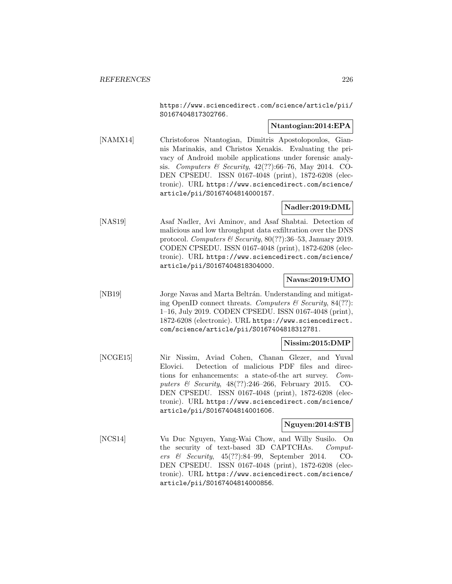https://www.sciencedirect.com/science/article/pii/ S0167404817302766.

# **Ntantogian:2014:EPA**

[NAMX14] Christoforos Ntantogian, Dimitris Apostolopoulos, Giannis Marinakis, and Christos Xenakis. Evaluating the privacy of Android mobile applications under forensic analysis. Computers & Security, 42(??):66–76, May 2014. CO-DEN CPSEDU. ISSN 0167-4048 (print), 1872-6208 (electronic). URL https://www.sciencedirect.com/science/ article/pii/S0167404814000157.

## **Nadler:2019:DML**

[NAS19] Asaf Nadler, Avi Aminov, and Asaf Shabtai. Detection of malicious and low throughput data exfiltration over the DNS protocol. Computers & Security, 80(??):36–53, January 2019. CODEN CPSEDU. ISSN 0167-4048 (print), 1872-6208 (electronic). URL https://www.sciencedirect.com/science/ article/pii/S0167404818304000.

## **Navas:2019:UMO**

[NB19] Jorge Navas and Marta Beltrán. Understanding and mitigating OpenID connect threats. Computers  $\mathcal C$  Security, 84(??): 1–16, July 2019. CODEN CPSEDU. ISSN 0167-4048 (print), 1872-6208 (electronic). URL https://www.sciencedirect. com/science/article/pii/S0167404818312781.

# **Nissim:2015:DMP**

[NCGE15] Nir Nissim, Aviad Cohen, Chanan Glezer, and Yuval Elovici. Detection of malicious PDF files and directions for enhancements: a state-of-the art survey. Computers & Security, 48(??):246–266, February 2015. CO-DEN CPSEDU. ISSN 0167-4048 (print), 1872-6208 (electronic). URL https://www.sciencedirect.com/science/ article/pii/S0167404814001606.

### **Nguyen:2014:STB**

[NCS14] Vu Duc Nguyen, Yang-Wai Chow, and Willy Susilo. On the security of text-based 3D CAPTCHAs. Computers & Security, 45(??):84–99, September 2014. CO-DEN CPSEDU. ISSN 0167-4048 (print), 1872-6208 (electronic). URL https://www.sciencedirect.com/science/ article/pii/S0167404814000856.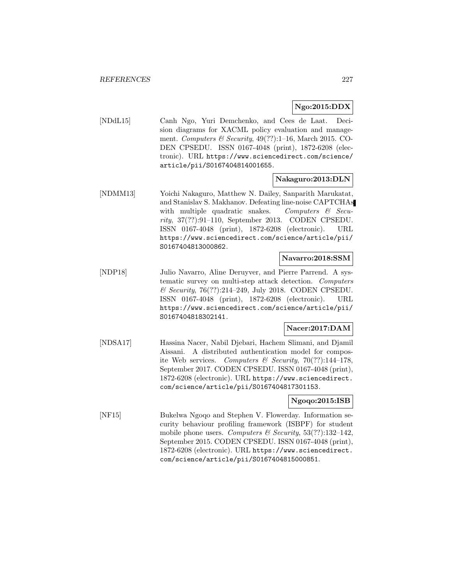# **Ngo:2015:DDX**

[NDdL15] Canh Ngo, Yuri Demchenko, and Cees de Laat. Decision diagrams for XACML policy evaluation and management. Computers & Security,  $49(??):1-16$ , March 2015. CO-DEN CPSEDU. ISSN 0167-4048 (print), 1872-6208 (electronic). URL https://www.sciencedirect.com/science/ article/pii/S0167404814001655.

### **Nakaguro:2013:DLN**

[NDMM13] Yoichi Nakaguro, Matthew N. Dailey, Sanparith Marukatat, and Stanislav S. Makhanov. Defeating line-noise CAPTCHAs with multiple quadratic snakes. Computers  $\mathcal{C}$  Security, 37(??):91–110, September 2013. CODEN CPSEDU. ISSN 0167-4048 (print), 1872-6208 (electronic). URL https://www.sciencedirect.com/science/article/pii/ S0167404813000862.

## **Navarro:2018:SSM**

[NDP18] Julio Navarro, Aline Deruyver, and Pierre Parrend. A systematic survey on multi-step attack detection. Computers & Security, 76(??):214–249, July 2018. CODEN CPSEDU. ISSN 0167-4048 (print), 1872-6208 (electronic). URL https://www.sciencedirect.com/science/article/pii/ S0167404818302141.

# **Nacer:2017:DAM**

[NDSA17] Hassina Nacer, Nabil Djebari, Hachem Slimani, and Djamil Aissani. A distributed authentication model for composite Web services. Computers & Security,  $70(??)$ :144-178, September 2017. CODEN CPSEDU. ISSN 0167-4048 (print), 1872-6208 (electronic). URL https://www.sciencedirect. com/science/article/pii/S0167404817301153.

### **Ngoqo:2015:ISB**

[NF15] Bukelwa Ngoqo and Stephen V. Flowerday. Information security behaviour profiling framework (ISBPF) for student mobile phone users. Computers & Security,  $53(??):132-142$ , September 2015. CODEN CPSEDU. ISSN 0167-4048 (print), 1872-6208 (electronic). URL https://www.sciencedirect. com/science/article/pii/S0167404815000851.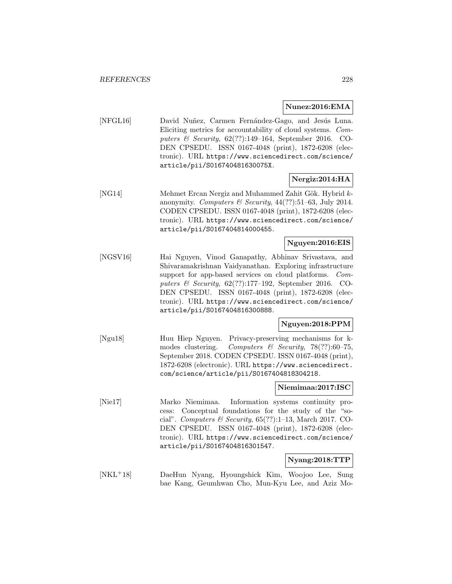#### **Nunez:2016:EMA**

[NFGL16] David Nuñez, Carmen Fernández-Gago, and Jesús Luna. Eliciting metrics for accountability of cloud systems. Computers & Security, 62(??):149–164, September 2016. CO-DEN CPSEDU. ISSN 0167-4048 (print), 1872-6208 (electronic). URL https://www.sciencedirect.com/science/ article/pii/S016740481630075X.

# **Nergiz:2014:HA**

[NG14] Mehmet Ercan Nergiz and Muhammed Zahit Gök. Hybrid kanonymity. Computers & Security,  $44(??):51-63$ , July 2014. CODEN CPSEDU. ISSN 0167-4048 (print), 1872-6208 (electronic). URL https://www.sciencedirect.com/science/ article/pii/S0167404814000455.

# **Nguyen:2016:EIS**

[NGSV16] Hai Nguyen, Vinod Ganapathy, Abhinav Srivastava, and Shivaramakrishnan Vaidyanathan. Exploring infrastructure support for app-based services on cloud platforms. Computers & Security, 62(??):177–192, September 2016. CO-DEN CPSEDU. ISSN 0167-4048 (print), 1872-6208 (electronic). URL https://www.sciencedirect.com/science/ article/pii/S0167404816300888.

### **Nguyen:2018:PPM**

[Ngu18] Huu Hiep Nguyen. Privacy-preserving mechanisms for kmodes clustering. Computers & Security, 78(??):60-75, September 2018. CODEN CPSEDU. ISSN 0167-4048 (print), 1872-6208 (electronic). URL https://www.sciencedirect. com/science/article/pii/S0167404818304218.

## **Niemimaa:2017:ISC**

[Nie17] Marko Niemimaa. Information systems continuity process: Conceptual foundations for the study of the "social". Computers & Security,  $65(??)!$ :1-13, March 2017. CO-DEN CPSEDU. ISSN 0167-4048 (print), 1872-6208 (electronic). URL https://www.sciencedirect.com/science/ article/pii/S0167404816301547.

### **Nyang:2018:TTP**

[NKL<sup>+</sup>18] DaeHun Nyang, Hyoungshick Kim, Woojoo Lee, Sung bae Kang, Geumhwan Cho, Mun-Kyu Lee, and Aziz Mo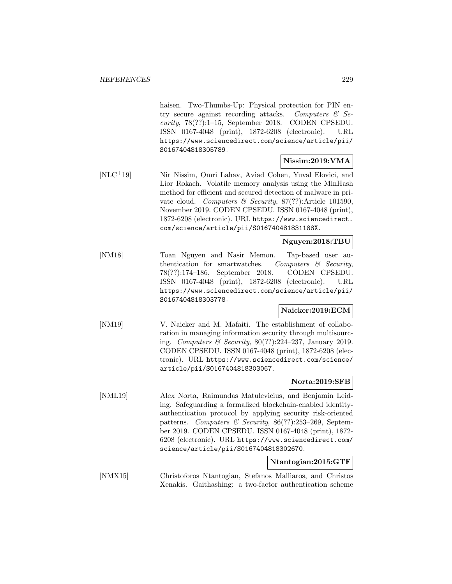haisen. Two-Thumbs-Up: Physical protection for PIN entry secure against recording attacks. Computers  $\mathcal{C}$  Se $curity$ , 78 $(?):1-15$ , September 2018. CODEN CPSEDU. ISSN 0167-4048 (print), 1872-6208 (electronic). URL https://www.sciencedirect.com/science/article/pii/ S0167404818305789.

## **Nissim:2019:VMA**

[NLC<sup>+</sup>19] Nir Nissim, Omri Lahav, Aviad Cohen, Yuval Elovici, and Lior Rokach. Volatile memory analysis using the MinHash method for efficient and secured detection of malware in private cloud. Computers & Security, 87(??):Article 101590, November 2019. CODEN CPSEDU. ISSN 0167-4048 (print), 1872-6208 (electronic). URL https://www.sciencedirect. com/science/article/pii/S016740481831188X.

### **Nguyen:2018:TBU**

[NM18] Toan Nguyen and Nasir Memon. Tap-based user authentication for smartwatches. Computers  $\&$  Security, 78(??):174–186, September 2018. CODEN CPSEDU. ISSN 0167-4048 (print), 1872-6208 (electronic). URL https://www.sciencedirect.com/science/article/pii/ S0167404818303778.

### **Naicker:2019:ECM**

[NM19] V. Naicker and M. Mafaiti. The establishment of collaboration in managing information security through multisourcing. Computers & Security, 80(??):224–237, January 2019. CODEN CPSEDU. ISSN 0167-4048 (print), 1872-6208 (electronic). URL https://www.sciencedirect.com/science/ article/pii/S0167404818303067.

### **Norta:2019:SFB**

[NML19] Alex Norta, Raimundas Matulevicius, and Benjamin Leiding. Safeguarding a formalized blockchain-enabled identityauthentication protocol by applying security risk-oriented patterns. Computers & Security,  $86(??):253-269$ , September 2019. CODEN CPSEDU. ISSN 0167-4048 (print), 1872- 6208 (electronic). URL https://www.sciencedirect.com/ science/article/pii/S0167404818302670.

#### **Ntantogian:2015:GTF**

[NMX15] Christoforos Ntantogian, Stefanos Malliaros, and Christos Xenakis. Gaithashing: a two-factor authentication scheme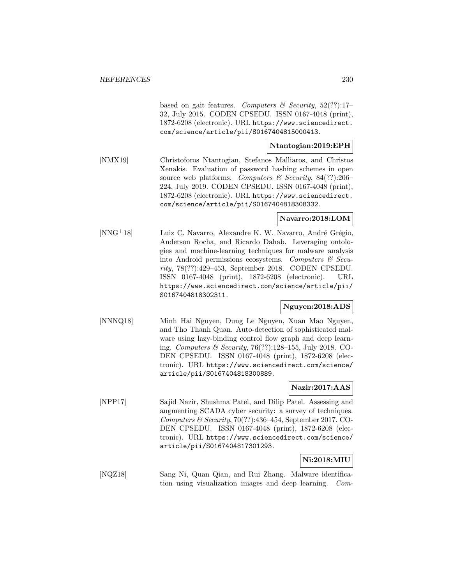based on gait features. Computers & Security,  $52(??)$ :17-32, July 2015. CODEN CPSEDU. ISSN 0167-4048 (print), 1872-6208 (electronic). URL https://www.sciencedirect. com/science/article/pii/S0167404815000413.

# **Ntantogian:2019:EPH**

[NMX19] Christoforos Ntantogian, Stefanos Malliaros, and Christos Xenakis. Evaluation of password hashing schemes in open source web platforms. Computers & Security,  $84(??):206-$ 224, July 2019. CODEN CPSEDU. ISSN 0167-4048 (print), 1872-6208 (electronic). URL https://www.sciencedirect. com/science/article/pii/S0167404818308332.

# **Navarro:2018:LOM**

[NNG<sup>+</sup>18] Luiz C. Navarro, Alexandre K. W. Navarro, André Grégio, Anderson Rocha, and Ricardo Dahab. Leveraging ontologies and machine-learning techniques for malware analysis into Android permissions ecosystems. Computers & Security, 78(??):429–453, September 2018. CODEN CPSEDU. ISSN 0167-4048 (print), 1872-6208 (electronic). URL https://www.sciencedirect.com/science/article/pii/ S0167404818302311.

# **Nguyen:2018:ADS**

[NNNQ18] Minh Hai Nguyen, Dung Le Nguyen, Xuan Mao Nguyen, and Tho Thanh Quan. Auto-detection of sophisticated malware using lazy-binding control flow graph and deep learning. Computers & Security, 76(??):128–155, July 2018. CO-DEN CPSEDU. ISSN 0167-4048 (print), 1872-6208 (electronic). URL https://www.sciencedirect.com/science/ article/pii/S0167404818300889.

### **Nazir:2017:AAS**

[NPP17] Sajid Nazir, Shushma Patel, and Dilip Patel. Assessing and augmenting SCADA cyber security: a survey of techniques. Computers & Security,  $70(?)$ :436-454, September 2017. CO-DEN CPSEDU. ISSN 0167-4048 (print), 1872-6208 (electronic). URL https://www.sciencedirect.com/science/ article/pii/S0167404817301293.

### **Ni:2018:MIU**

[NQZ18] Sang Ni, Quan Qian, and Rui Zhang. Malware identification using visualization images and deep learning. Com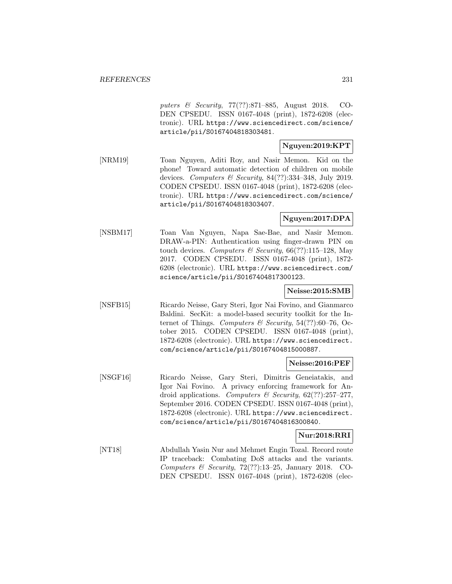puters & Security, 77(??):871–885, August 2018. CO-DEN CPSEDU. ISSN 0167-4048 (print), 1872-6208 (electronic). URL https://www.sciencedirect.com/science/ article/pii/S0167404818303481.

# **Nguyen:2019:KPT**

[NRM19] Toan Nguyen, Aditi Roy, and Nasir Memon. Kid on the phone! Toward automatic detection of children on mobile devices. Computers & Security, 84(??):334–348, July 2019. CODEN CPSEDU. ISSN 0167-4048 (print), 1872-6208 (electronic). URL https://www.sciencedirect.com/science/ article/pii/S0167404818303407.

# **Nguyen:2017:DPA**

[NSBM17] Toan Van Nguyen, Napa Sae-Bae, and Nasir Memon. DRAW-a-PIN: Authentication using finger-drawn PIN on touch devices. Computers & Security,  $66(??)!115-128$ , May 2017. CODEN CPSEDU. ISSN 0167-4048 (print), 1872- 6208 (electronic). URL https://www.sciencedirect.com/ science/article/pii/S0167404817300123.

# **Neisse:2015:SMB**

[NSFB15] Ricardo Neisse, Gary Steri, Igor Nai Fovino, and Gianmarco Baldini. SecKit: a model-based security toolkit for the Internet of Things. Computers & Security,  $54(??)$ :60–76, October 2015. CODEN CPSEDU. ISSN 0167-4048 (print), 1872-6208 (electronic). URL https://www.sciencedirect. com/science/article/pii/S0167404815000887.

### **Neisse:2016:PEF**

[NSGF16] Ricardo Neisse, Gary Steri, Dimitris Geneiatakis, and Igor Nai Fovino. A privacy enforcing framework for Android applications. Computers & Security,  $62(??):257-277$ , September 2016. CODEN CPSEDU. ISSN 0167-4048 (print), 1872-6208 (electronic). URL https://www.sciencedirect. com/science/article/pii/S0167404816300840.

### **Nur:2018:RRI**

[NT18] Abdullah Yasin Nur and Mehmet Engin Tozal. Record route IP traceback: Combating DoS attacks and the variants. Computers & Security,  $72(??):13-25$ , January 2018. CO-DEN CPSEDU. ISSN 0167-4048 (print), 1872-6208 (elec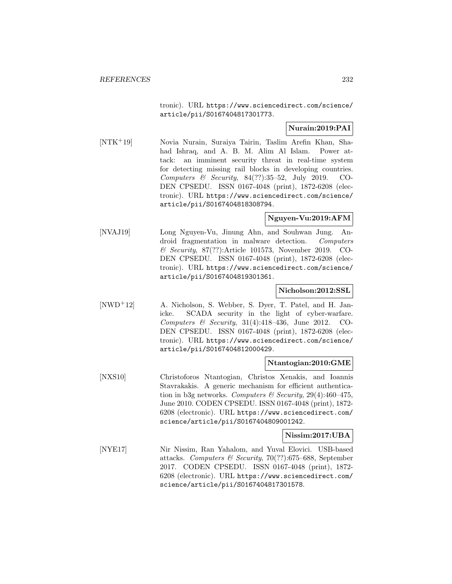tronic). URL https://www.sciencedirect.com/science/ article/pii/S0167404817301773.

# **Nurain:2019:PAI**

[NTK<sup>+</sup>19] Novia Nurain, Suraiya Tairin, Taslim Arefin Khan, Shahad Ishraq, and A. B. M. Alim Al Islam. Power attack: an imminent security threat in real-time system for detecting missing rail blocks in developing countries. Computers & Security, 84(??):35–52, July 2019. CO-DEN CPSEDU. ISSN 0167-4048 (print), 1872-6208 (electronic). URL https://www.sciencedirect.com/science/ article/pii/S0167404818308794.

### **Nguyen-Vu:2019:AFM**

[NVAJ19] Long Nguyen-Vu, Jinung Ahn, and Souhwan Jung. Android fragmentation in malware detection. Computers & Security, 87(??):Article 101573, November 2019. CO-DEN CPSEDU. ISSN 0167-4048 (print), 1872-6208 (electronic). URL https://www.sciencedirect.com/science/ article/pii/S0167404819301361.

### **Nicholson:2012:SSL**

[NWD<sup>+</sup>12] A. Nicholson, S. Webber, S. Dyer, T. Patel, and H. Janicke. SCADA security in the light of cyber-warfare. Computers & Security,  $31(4):418-436$ , June 2012. CO-DEN CPSEDU. ISSN 0167-4048 (print), 1872-6208 (electronic). URL https://www.sciencedirect.com/science/ article/pii/S0167404812000429.

### **Ntantogian:2010:GME**

[NXS10] Christoforos Ntantogian, Christos Xenakis, and Ioannis Stavrakakis. A generic mechanism for efficient authentication in b3g networks. Computers & Security,  $29(4)$ :460-475, June 2010. CODEN CPSEDU. ISSN 0167-4048 (print), 1872- 6208 (electronic). URL https://www.sciencedirect.com/ science/article/pii/S0167404809001242.

### **Nissim:2017:UBA**

[NYE17] Nir Nissim, Ran Yahalom, and Yuval Elovici. USB-based attacks. Computers & Security, 70(??):675–688, September 2017. CODEN CPSEDU. ISSN 0167-4048 (print), 1872- 6208 (electronic). URL https://www.sciencedirect.com/ science/article/pii/S0167404817301578.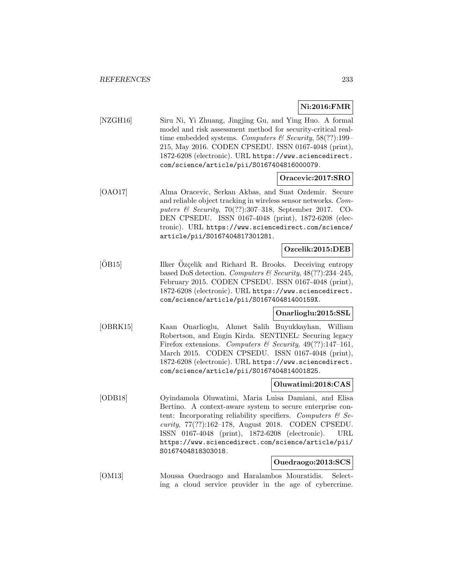# **Ni:2016:FMR**

[NZGH16] Siru Ni, Yi Zhuang, Jingjing Gu, and Ying Huo. A formal model and risk assessment method for security-critical realtime embedded systems. Computers & Security,  $58(??)$ :199– 215, May 2016. CODEN CPSEDU. ISSN 0167-4048 (print), 1872-6208 (electronic). URL https://www.sciencedirect. com/science/article/pii/S0167404816000079.

### **Oracevic:2017:SRO**

[OAO17] Alma Oracevic, Serkan Akbas, and Suat Ozdemir. Secure and reliable object tracking in wireless sensor networks. Computers & Security,  $70(?)$ :307-318, September 2017. CO-DEN CPSEDU. ISSN 0167-4048 (print), 1872-6208 (electronic). URL https://www.sciencedirect.com/science/ article/pii/S0167404817301281.

### **Ozcelik:2015:DEB**

[ÖB15] Ilker Özçelik and Richard R. Brooks. Deceiving entropy based DoS detection. Computers & Security, 48(??):234–245, February 2015. CODEN CPSEDU. ISSN 0167-4048 (print), 1872-6208 (electronic). URL https://www.sciencedirect. com/science/article/pii/S016740481400159X.

### **Onarlioglu:2015:SSL**

[OBRK15] Kaan Onarlioglu, Ahmet Salih Buyukkayhan, William Robertson, and Engin Kirda. SENTINEL: Securing legacy Firefox extensions. Computers & Security,  $49(??):147-161$ , March 2015. CODEN CPSEDU. ISSN 0167-4048 (print), 1872-6208 (electronic). URL https://www.sciencedirect. com/science/article/pii/S0167404814001825.

### **Oluwatimi:2018:CAS**

[ODB18] Oyindamola Oluwatimi, Maria Luisa Damiani, and Elisa Bertino. A context-aware system to secure enterprise content: Incorporating reliability specifiers. Computers  $\mathcal{B}$  Security, 77(??):162–178, August 2018. CODEN CPSEDU. ISSN 0167-4048 (print), 1872-6208 (electronic). URL https://www.sciencedirect.com/science/article/pii/ S0167404818303018.

### **Ouedraogo:2013:SCS**

[OM13] Moussa Ouedraogo and Haralambos Mouratidis. Selecting a cloud service provider in the age of cybercrime.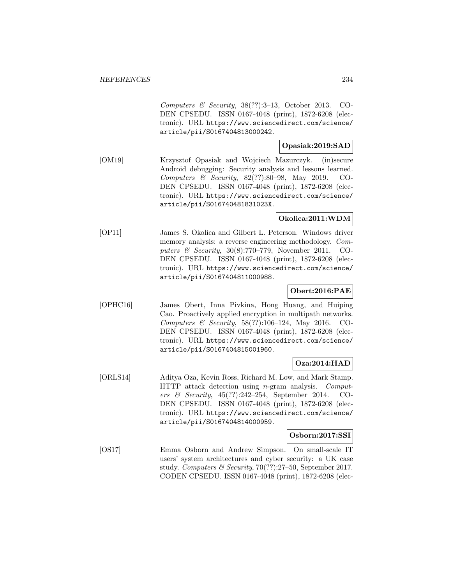Computers & Security, 38(??):3–13, October 2013. CO-DEN CPSEDU. ISSN 0167-4048 (print), 1872-6208 (electronic). URL https://www.sciencedirect.com/science/ article/pii/S0167404813000242.

# **Opasiak:2019:SAD**

[OM19] Krzysztof Opasiak and Wojciech Mazurczyk. (in)secure Android debugging: Security analysis and lessons learned. Computers & Security, 82(??):80–98, May 2019. CO-DEN CPSEDU. ISSN 0167-4048 (print), 1872-6208 (electronic). URL https://www.sciencedirect.com/science/ article/pii/S016740481831023X.

# **Okolica:2011:WDM**

[OP11] James S. Okolica and Gilbert L. Peterson. Windows driver memory analysis: a reverse engineering methodology. Computers & Security, 30(8):770–779, November 2011. CO-DEN CPSEDU. ISSN 0167-4048 (print), 1872-6208 (electronic). URL https://www.sciencedirect.com/science/ article/pii/S0167404811000988.

# **Obert:2016:PAE**

[OPHC16] James Obert, Inna Pivkina, Hong Huang, and Huiping Cao. Proactively applied encryption in multipath networks. Computers & Security, 58(??):106–124, May 2016. CO-DEN CPSEDU. ISSN 0167-4048 (print), 1872-6208 (electronic). URL https://www.sciencedirect.com/science/ article/pii/S0167404815001960.

# **Oza:2014:HAD**

[ORLS14] Aditya Oza, Kevin Ross, Richard M. Low, and Mark Stamp. HTTP attack detection using n-gram analysis. Computers & Security, 45(??):242–254, September 2014. CO-DEN CPSEDU. ISSN 0167-4048 (print), 1872-6208 (electronic). URL https://www.sciencedirect.com/science/ article/pii/S0167404814000959.

### **Osborn:2017:SSI**

[OS17] Emma Osborn and Andrew Simpson. On small-scale IT users' system architectures and cyber security: a UK case study. Computers & Security, 70(??):27–50, September 2017. CODEN CPSEDU. ISSN 0167-4048 (print), 1872-6208 (elec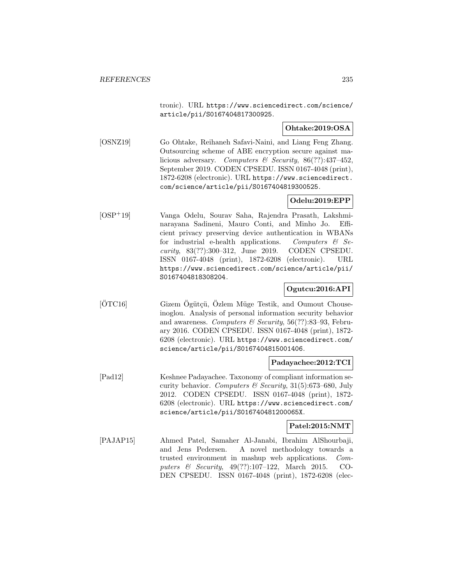tronic). URL https://www.sciencedirect.com/science/ article/pii/S0167404817300925.

## **Ohtake:2019:OSA**

[OSNZ19] Go Ohtake, Reihaneh Safavi-Naini, and Liang Feng Zhang. Outsourcing scheme of ABE encryption secure against malicious adversary. Computers & Security, 86(??):437–452, September 2019. CODEN CPSEDU. ISSN 0167-4048 (print), 1872-6208 (electronic). URL https://www.sciencedirect. com/science/article/pii/S0167404819300525.

# **Odelu:2019:EPP**

[OSP<sup>+</sup>19] Vanga Odelu, Sourav Saha, Rajendra Prasath, Lakshminarayana Sadineni, Mauro Conti, and Minho Jo. Efficient privacy preserving device authentication in WBANs for industrial e-health applications. Computers  $\mathcal{C}$  Security, 83(??):300–312, June 2019. CODEN CPSEDU. ISSN 0167-4048 (print), 1872-6208 (electronic). URL https://www.sciencedirect.com/science/article/pii/ S0167404818308204.

## **Ogutcu:2016:API**

[ÖTC16] Gizem Ögütçü, Özlem Müge Testik, and Oumout Chouseinoglou. Analysis of personal information security behavior and awareness. Computers & Security,  $56(??):83-93$ , February 2016. CODEN CPSEDU. ISSN 0167-4048 (print), 1872- 6208 (electronic). URL https://www.sciencedirect.com/ science/article/pii/S0167404815001406.

### **Padayachee:2012:TCI**

[Pad12] Keshnee Padayachee. Taxonomy of compliant information security behavior. Computers  $\mathcal B$  Security, 31(5):673–680, July 2012. CODEN CPSEDU. ISSN 0167-4048 (print), 1872- 6208 (electronic). URL https://www.sciencedirect.com/ science/article/pii/S016740481200065X.

### **Patel:2015:NMT**

[PAJAP15] Ahmed Patel, Samaher Al-Janabi, Ibrahim AlShourbaji, and Jens Pedersen. A novel methodology towards a trusted environment in mashup web applications. Computers & Security, 49(??):107–122, March 2015. CO-DEN CPSEDU. ISSN 0167-4048 (print), 1872-6208 (elec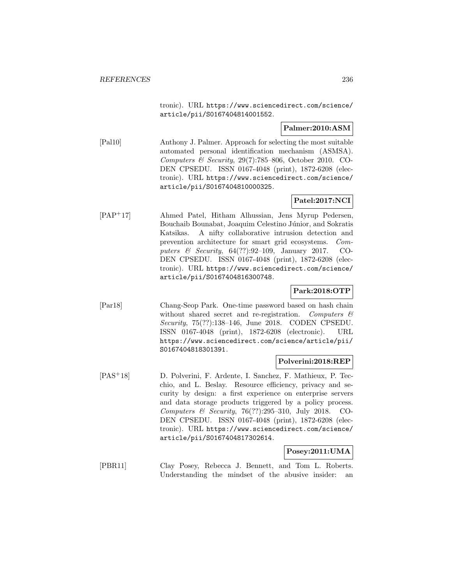tronic). URL https://www.sciencedirect.com/science/ article/pii/S0167404814001552.

## **Palmer:2010:ASM**

[Pal10] Anthony J. Palmer. Approach for selecting the most suitable automated personal identification mechanism (ASMSA). Computers & Security, 29(7):785–806, October 2010. CO-DEN CPSEDU. ISSN 0167-4048 (print), 1872-6208 (electronic). URL https://www.sciencedirect.com/science/ article/pii/S0167404810000325.

# **Patel:2017:NCI**

[PAP<sup>+</sup>17] Ahmed Patel, Hitham Alhussian, Jens Myrup Pedersen, Bouchaib Bounabat, Joaquim Celestino Júnior, and Sokratis Katsikas. A nifty collaborative intrusion detection and prevention architecture for smart grid ecosystems. Computers & Security, 64(??):92–109, January 2017. CO-DEN CPSEDU. ISSN 0167-4048 (print), 1872-6208 (electronic). URL https://www.sciencedirect.com/science/ article/pii/S0167404816300748.

# **Park:2018:OTP**

[Par18] Chang-Seop Park. One-time password based on hash chain without shared secret and re-registration. Computers  $\mathcal{C}$ Security, 75(??):138–146, June 2018. CODEN CPSEDU. ISSN 0167-4048 (print), 1872-6208 (electronic). URL https://www.sciencedirect.com/science/article/pii/ S0167404818301391.

### **Polverini:2018:REP**

[PAS<sup>+</sup>18] D. Polverini, F. Ardente, I. Sanchez, F. Mathieux, P. Tecchio, and L. Beslay. Resource efficiency, privacy and security by design: a first experience on enterprise servers and data storage products triggered by a policy process. Computers & Security, 76(??):295–310, July 2018. CO-DEN CPSEDU. ISSN 0167-4048 (print), 1872-6208 (electronic). URL https://www.sciencedirect.com/science/ article/pii/S0167404817302614.

### **Posey:2011:UMA**

[PBR11] Clay Posey, Rebecca J. Bennett, and Tom L. Roberts. Understanding the mindset of the abusive insider: an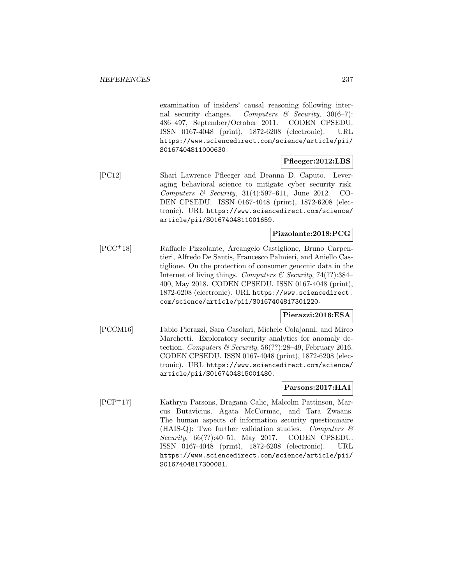examination of insiders' causal reasoning following internal security changes. Computers  $\mathscr$  Security, 30(6–7): 486–497, September/October 2011. CODEN CPSEDU. ISSN 0167-4048 (print), 1872-6208 (electronic). URL https://www.sciencedirect.com/science/article/pii/ S0167404811000630.

### **Pfleeger:2012:LBS**

[PC12] Shari Lawrence Pfleeger and Deanna D. Caputo. Leveraging behavioral science to mitigate cyber security risk. Computers & Security,  $31(4):597-611$ , June 2012. CO-DEN CPSEDU. ISSN 0167-4048 (print), 1872-6208 (electronic). URL https://www.sciencedirect.com/science/ article/pii/S0167404811001659.

# **Pizzolante:2018:PCG**

[PCC<sup>+</sup>18] Raffaele Pizzolante, Arcangelo Castiglione, Bruno Carpentieri, Alfredo De Santis, Francesco Palmieri, and Aniello Castiglione. On the protection of consumer genomic data in the Internet of living things. Computers  $\mathcal C$  Security, 74(??):384– 400, May 2018. CODEN CPSEDU. ISSN 0167-4048 (print), 1872-6208 (electronic). URL https://www.sciencedirect. com/science/article/pii/S0167404817301220.

### **Pierazzi:2016:ESA**

[PCCM16] Fabio Pierazzi, Sara Casolari, Michele Colajanni, and Mirco Marchetti. Exploratory security analytics for anomaly detection. Computers & Security, 56(??):28–49, February 2016. CODEN CPSEDU. ISSN 0167-4048 (print), 1872-6208 (electronic). URL https://www.sciencedirect.com/science/ article/pii/S0167404815001480.

## **Parsons:2017:HAI**

[PCP<sup>+</sup>17] Kathryn Parsons, Dragana Calic, Malcolm Pattinson, Marcus Butavicius, Agata McCormac, and Tara Zwaans. The human aspects of information security questionnaire (HAIS-Q): Two further validation studies. Computers  $\mathcal{C}$ Security, 66(??):40–51, May 2017. CODEN CPSEDU. ISSN 0167-4048 (print), 1872-6208 (electronic). URL https://www.sciencedirect.com/science/article/pii/ S0167404817300081.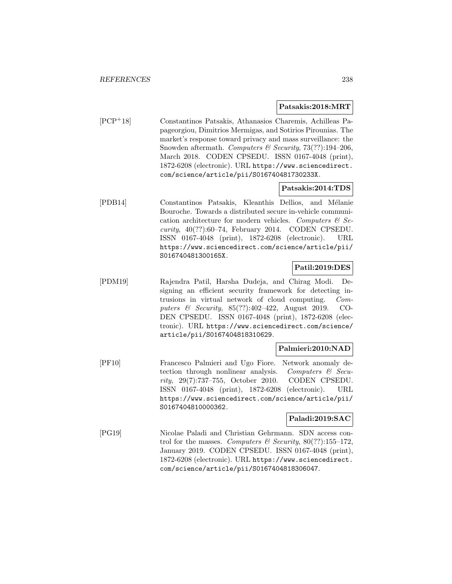#### **Patsakis:2018:MRT**

[PCP<sup>+</sup>18] Constantinos Patsakis, Athanasios Charemis, Achilleas Papageorgiou, Dimitrios Mermigas, and Sotirios Pirounias. The market's response toward privacy and mass surveillance: the Snowden aftermath. Computers & Security,  $73(??)$ :194-206, March 2018. CODEN CPSEDU. ISSN 0167-4048 (print), 1872-6208 (electronic). URL https://www.sciencedirect. com/science/article/pii/S016740481730233X.

### **Patsakis:2014:TDS**

[PDB14] Constantinos Patsakis, Kleanthis Dellios, and Mélanie Bouroche. Towards a distributed secure in-vehicle communication architecture for modern vehicles. Computers  $\mathcal{C}$  Security,  $40(?)$ :60–74, February 2014. CODEN CPSEDU. ISSN 0167-4048 (print), 1872-6208 (electronic). URL https://www.sciencedirect.com/science/article/pii/ S016740481300165X.

# **Patil:2019:DES**

[PDM19] Rajendra Patil, Harsha Dudeja, and Chirag Modi. Designing an efficient security framework for detecting intrusions in virtual network of cloud computing. Computers & Security, 85(??):402–422, August 2019. CO-DEN CPSEDU. ISSN 0167-4048 (print), 1872-6208 (electronic). URL https://www.sciencedirect.com/science/ article/pii/S0167404818310629.

### **Palmieri:2010:NAD**

[PF10] Francesco Palmieri and Ugo Fiore. Network anomaly detection through nonlinear analysis. Computers  $\mathcal{B}$  Security, 29(7):737–755, October 2010. CODEN CPSEDU. ISSN 0167-4048 (print), 1872-6208 (electronic). URL https://www.sciencedirect.com/science/article/pii/ S0167404810000362.

#### **Paladi:2019:SAC**

[PG19] Nicolae Paladi and Christian Gehrmann. SDN access control for the masses. Computers & Security,  $80(??)$ :155-172, January 2019. CODEN CPSEDU. ISSN 0167-4048 (print), 1872-6208 (electronic). URL https://www.sciencedirect. com/science/article/pii/S0167404818306047.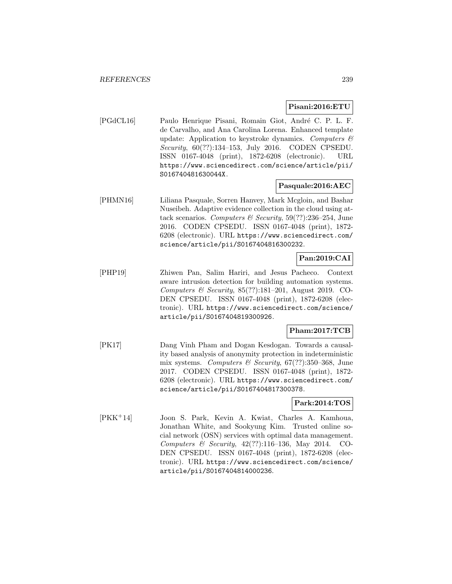### **Pisani:2016:ETU**

[PGdCL16] Paulo Henrique Pisani, Romain Giot, André C. P. L. F. de Carvalho, and Ana Carolina Lorena. Enhanced template update: Application to keystroke dynamics. Computers  $\mathcal{C}$ Security, 60(??):134–153, July 2016. CODEN CPSEDU. ISSN 0167-4048 (print), 1872-6208 (electronic). URL https://www.sciencedirect.com/science/article/pii/ S016740481630044X.

# **Pasquale:2016:AEC**

[PHMN16] Liliana Pasquale, Sorren Hanvey, Mark Mcgloin, and Bashar Nuseibeh. Adaptive evidence collection in the cloud using attack scenarios. Computers & Security,  $59(??):236-254$ , June 2016. CODEN CPSEDU. ISSN 0167-4048 (print), 1872- 6208 (electronic). URL https://www.sciencedirect.com/ science/article/pii/S0167404816300232.

# **Pan:2019:CAI**

[PHP19] Zhiwen Pan, Salim Hariri, and Jesus Pacheco. Context aware intrusion detection for building automation systems. Computers & Security, 85(??):181–201, August 2019. CO-DEN CPSEDU. ISSN 0167-4048 (print), 1872-6208 (electronic). URL https://www.sciencedirect.com/science/ article/pii/S0167404819300926.

# **Pham:2017:TCB**

[PK17] Dang Vinh Pham and Dogan Kesdogan. Towards a causality based analysis of anonymity protection in indeterministic mix systems. Computers & Security,  $67(??)$ :350-368, June 2017. CODEN CPSEDU. ISSN 0167-4048 (print), 1872- 6208 (electronic). URL https://www.sciencedirect.com/ science/article/pii/S0167404817300378.

### **Park:2014:TOS**

[PKK<sup>+</sup>14] Joon S. Park, Kevin A. Kwiat, Charles A. Kamhoua, Jonathan White, and Sookyung Kim. Trusted online social network (OSN) services with optimal data management. Computers & Security, 42(??):116–136, May 2014. CO-DEN CPSEDU. ISSN 0167-4048 (print), 1872-6208 (electronic). URL https://www.sciencedirect.com/science/ article/pii/S0167404814000236.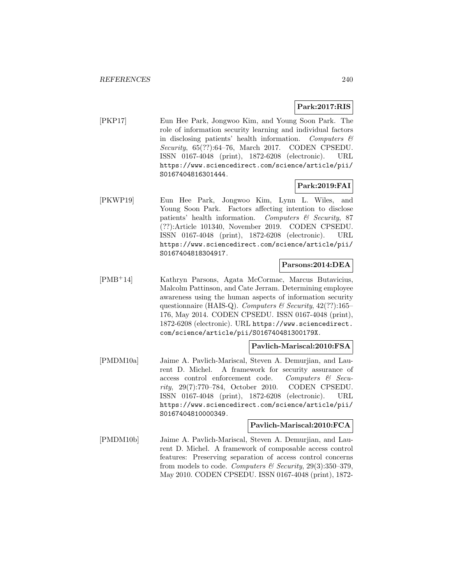# **Park:2017:RIS**

[PKP17] Eun Hee Park, Jongwoo Kim, and Young Soon Park. The role of information security learning and individual factors in disclosing patients' health information. Computers  $\mathcal{C}$ Security, 65(??):64–76, March 2017. CODEN CPSEDU. ISSN 0167-4048 (print), 1872-6208 (electronic). URL https://www.sciencedirect.com/science/article/pii/ S0167404816301444.

# **Park:2019:FAI**

[PKWP19] Eun Hee Park, Jongwoo Kim, Lynn L. Wiles, and Young Soon Park. Factors affecting intention to disclose patients' health information. Computers & Security, 87 (??):Article 101340, November 2019. CODEN CPSEDU. ISSN 0167-4048 (print), 1872-6208 (electronic). URL https://www.sciencedirect.com/science/article/pii/ S0167404818304917.

### **Parsons:2014:DEA**

[PMB<sup>+</sup>14] Kathryn Parsons, Agata McCormac, Marcus Butavicius, Malcolm Pattinson, and Cate Jerram. Determining employee awareness using the human aspects of information security questionnaire (HAIS-Q). Computers & Security,  $42(??)$ :165– 176, May 2014. CODEN CPSEDU. ISSN 0167-4048 (print), 1872-6208 (electronic). URL https://www.sciencedirect. com/science/article/pii/S016740481300179X.

# **Pavlich-Mariscal:2010:FSA**

[PMDM10a] Jaime A. Pavlich-Mariscal, Steven A. Demurjian, and Laurent D. Michel. A framework for security assurance of access control enforcement code. Computers & Security, 29(7):770–784, October 2010. CODEN CPSEDU. ISSN 0167-4048 (print), 1872-6208 (electronic). URL https://www.sciencedirect.com/science/article/pii/ S0167404810000349.

### **Pavlich-Mariscal:2010:FCA**

[PMDM10b] Jaime A. Pavlich-Mariscal, Steven A. Demurjian, and Laurent D. Michel. A framework of composable access control features: Preserving separation of access control concerns from models to code. Computers & Security,  $29(3):350-379$ , May 2010. CODEN CPSEDU. ISSN 0167-4048 (print), 1872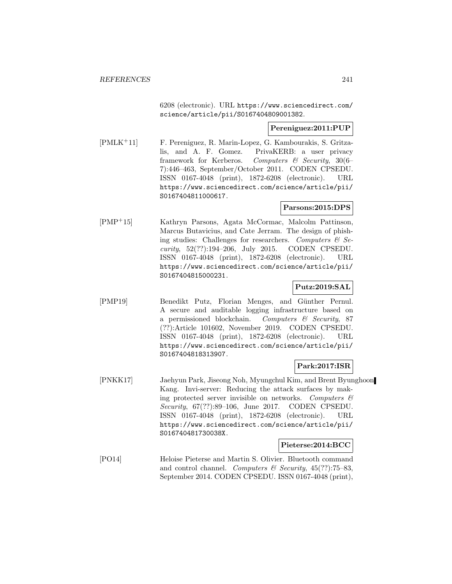6208 (electronic). URL https://www.sciencedirect.com/ science/article/pii/S0167404809001382.

### **Pereniguez:2011:PUP**

[PMLK<sup>+</sup>11] F. Pereniguez, R. Marin-Lopez, G. Kambourakis, S. Gritzalis, and A. F. Gomez. PrivaKERB: a user privacy framework for Kerberos. Computers & Security, 30(6– 7):446–463, September/October 2011. CODEN CPSEDU. ISSN 0167-4048 (print), 1872-6208 (electronic). URL https://www.sciencedirect.com/science/article/pii/ S0167404811000617.

### **Parsons:2015:DPS**

[PMP<sup>+</sup>15] Kathryn Parsons, Agata McCormac, Malcolm Pattinson, Marcus Butavicius, and Cate Jerram. The design of phishing studies: Challenges for researchers. Computers  $\mathcal{B}$  Security, 52(??):194–206, July 2015. CODEN CPSEDU. ISSN 0167-4048 (print), 1872-6208 (electronic). URL https://www.sciencedirect.com/science/article/pii/ S0167404815000231.

## **Putz:2019:SAL**

[PMP19] Benedikt Putz, Florian Menges, and Günther Pernul. A secure and auditable logging infrastructure based on a permissioned blockchain. Computers  $\mathcal{C}$  Security, 87 (??):Article 101602, November 2019. CODEN CPSEDU. ISSN 0167-4048 (print), 1872-6208 (electronic). URL https://www.sciencedirect.com/science/article/pii/ S0167404818313907.

### **Park:2017:ISR**

[PNKK17] Jaehyun Park, Jiseong Noh, Myungchul Kim, and Brent Byunghoon Kang. Invi-server: Reducing the attack surfaces by making protected server invisible on networks. Computers  $\mathcal{C}$ Security, 67(??):89–106, June 2017. CODEN CPSEDU. ISSN 0167-4048 (print), 1872-6208 (electronic). URL https://www.sciencedirect.com/science/article/pii/ S016740481730038X.

### **Pieterse:2014:BCC**

[PO14] Heloise Pieterse and Martin S. Olivier. Bluetooth command and control channel. Computers & Security,  $45(??)$ :75–83, September 2014. CODEN CPSEDU. ISSN 0167-4048 (print),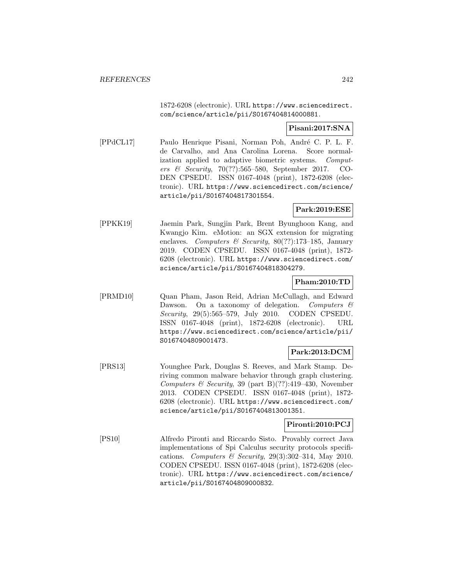1872-6208 (electronic). URL https://www.sciencedirect. com/science/article/pii/S0167404814000881.

## **Pisani:2017:SNA**

[PPdCL17] Paulo Henrique Pisani, Norman Poh, André C. P. L. F. de Carvalho, and Ana Carolina Lorena. Score normalization applied to adaptive biometric systems. Computers & Security, 70(??):565–580, September 2017. CO-DEN CPSEDU. ISSN 0167-4048 (print), 1872-6208 (electronic). URL https://www.sciencedirect.com/science/ article/pii/S0167404817301554.

## **Park:2019:ESE**

[PPKK19] Jaemin Park, Sungjin Park, Brent Byunghoon Kang, and Kwangjo Kim. eMotion: an SGX extension for migrating enclaves. Computers & Security,  $80(??):173-185$ , January 2019. CODEN CPSEDU. ISSN 0167-4048 (print), 1872- 6208 (electronic). URL https://www.sciencedirect.com/ science/article/pii/S0167404818304279.

### **Pham:2010:TD**

[PRMD10] Quan Pham, Jason Reid, Adrian McCullagh, and Edward Dawson. On a taxonomy of delegation. Computers  $\mathcal{C}$ Security, 29(5):565–579, July 2010. CODEN CPSEDU. ISSN 0167-4048 (print), 1872-6208 (electronic). URL https://www.sciencedirect.com/science/article/pii/ S0167404809001473.

# **Park:2013:DCM**

[PRS13] Younghee Park, Douglas S. Reeves, and Mark Stamp. Deriving common malware behavior through graph clustering. Computers & Security, 39 (part B)(??):419-430, November 2013. CODEN CPSEDU. ISSN 0167-4048 (print), 1872- 6208 (electronic). URL https://www.sciencedirect.com/ science/article/pii/S0167404813001351.

## **Pironti:2010:PCJ**

[PS10] Alfredo Pironti and Riccardo Sisto. Provably correct Java implementations of Spi Calculus security protocols specifications. Computers & Security,  $29(3):302-314$ , May 2010. CODEN CPSEDU. ISSN 0167-4048 (print), 1872-6208 (electronic). URL https://www.sciencedirect.com/science/ article/pii/S0167404809000832.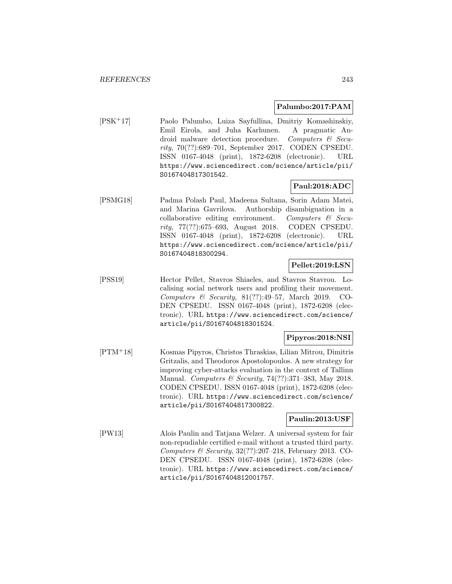#### **Palumbo:2017:PAM**

[PSK<sup>+</sup>17] Paolo Palumbo, Luiza Sayfullina, Dmitriy Komashinskiy, Emil Eirola, and Juha Karhunen. A pragmatic Android malware detection procedure. Computers & Security, 70(??):689–701, September 2017. CODEN CPSEDU. ISSN 0167-4048 (print), 1872-6208 (electronic). URL https://www.sciencedirect.com/science/article/pii/ S0167404817301542.

# **Paul:2018:ADC**

[PSMG18] Padma Polash Paul, Madeena Sultana, Sorin Adam Matei, and Marina Gavrilova. Authorship disambiguation in a collaborative editing environment. Computers & Security, 77(??):675–693, August 2018. CODEN CPSEDU. ISSN 0167-4048 (print), 1872-6208 (electronic). URL https://www.sciencedirect.com/science/article/pii/ S0167404818300294.

### **Pellet:2019:LSN**

[PSS19] Hector Pellet, Stavros Shiaeles, and Stavros Stavrou. Localising social network users and profiling their movement. Computers  $\&$  Security, 81(??):49–57, March 2019. CO-DEN CPSEDU. ISSN 0167-4048 (print), 1872-6208 (electronic). URL https://www.sciencedirect.com/science/ article/pii/S0167404818301524.

### **Pipyros:2018:NSI**

[PTM<sup>+</sup>18] Kosmas Pipyros, Christos Thraskias, Lilian Mitrou, Dimitris Gritzalis, and Theodoros Apostolopoulos. A new strategy for improving cyber-attacks evaluation in the context of Tallinn Manual. Computers & Security, 74(??):371-383, May 2018. CODEN CPSEDU. ISSN 0167-4048 (print), 1872-6208 (electronic). URL https://www.sciencedirect.com/science/ article/pii/S0167404817300822.

### **Paulin:2013:USF**

[PW13] Alois Paulin and Tatjana Welzer. A universal system for fair non-repudiable certified e-mail without a trusted third party. Computers & Security,  $32(??):207-218$ , February 2013. CO-DEN CPSEDU. ISSN 0167-4048 (print), 1872-6208 (electronic). URL https://www.sciencedirect.com/science/ article/pii/S0167404812001757.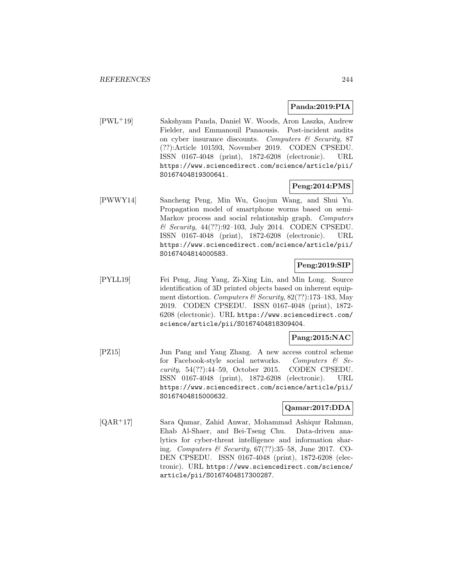## **Panda:2019:PIA**

[PWL<sup>+</sup>19] Sakshyam Panda, Daniel W. Woods, Aron Laszka, Andrew Fielder, and Emmanouil Panaousis. Post-incident audits on cyber insurance discounts. Computers  $\mathcal C$  Security, 87 (??):Article 101593, November 2019. CODEN CPSEDU. ISSN 0167-4048 (print), 1872-6208 (electronic). URL https://www.sciencedirect.com/science/article/pii/ S0167404819300641.

## **Peng:2014:PMS**

[PWWY14] Sancheng Peng, Min Wu, Guojun Wang, and Shui Yu. Propagation model of smartphone worms based on semi-Markov process and social relationship graph. Computers & Security, 44(??):92–103, July 2014. CODEN CPSEDU. ISSN 0167-4048 (print), 1872-6208 (electronic). URL https://www.sciencedirect.com/science/article/pii/ S0167404814000583.

## **Peng:2019:SIP**

[PYLL19] Fei Peng, Jing Yang, Zi-Xing Lin, and Min Long. Source identification of 3D printed objects based on inherent equipment distortion. Computers & Security,  $82(??):173-183$ , May 2019. CODEN CPSEDU. ISSN 0167-4048 (print), 1872- 6208 (electronic). URL https://www.sciencedirect.com/ science/article/pii/S0167404818309404.

### **Pang:2015:NAC**

[PZ15] Jun Pang and Yang Zhang. A new access control scheme for Facebook-style social networks. Computers  $\mathcal{C}$  Security, 54(??):44–59, October 2015. CODEN CPSEDU. ISSN 0167-4048 (print), 1872-6208 (electronic). URL https://www.sciencedirect.com/science/article/pii/ S0167404815000632.

### **Qamar:2017:DDA**

[QAR<sup>+</sup>17] Sara Qamar, Zahid Anwar, Mohammad Ashiqur Rahman, Ehab Al-Shaer, and Bei-Tseng Chu. Data-driven analytics for cyber-threat intelligence and information sharing. Computers & Security,  $67(??)$ :35–58, June 2017. CO-DEN CPSEDU. ISSN 0167-4048 (print), 1872-6208 (electronic). URL https://www.sciencedirect.com/science/ article/pii/S0167404817300287.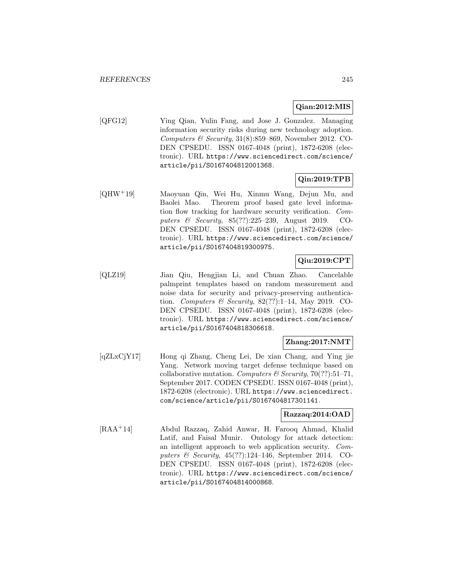# **Qian:2012:MIS**

[QFG12] Ying Qian, Yulin Fang, and Jose J. Gonzalez. Managing information security risks during new technology adoption. Computers & Security,  $31(8):359-869$ , November 2012. CO-DEN CPSEDU. ISSN 0167-4048 (print), 1872-6208 (electronic). URL https://www.sciencedirect.com/science/ article/pii/S0167404812001368.

# **Qin:2019:TPB**

[QHW<sup>+</sup>19] Maoyuan Qin, Wei Hu, Xinmu Wang, Dejun Mu, and Baolei Mao. Theorem proof based gate level information flow tracking for hardware security verification. Computers & Security, 85(??):225–239, August 2019. CO-DEN CPSEDU. ISSN 0167-4048 (print), 1872-6208 (electronic). URL https://www.sciencedirect.com/science/ article/pii/S0167404819300975.

# **Qiu:2019:CPT**

[QLZ19] Jian Qiu, Hengjian Li, and Chuan Zhao. Cancelable palmprint templates based on random measurement and noise data for security and privacy-preserving authentication. Computers & Security,  $82(??):1-14$ , May 2019. CO-DEN CPSEDU. ISSN 0167-4048 (print), 1872-6208 (electronic). URL https://www.sciencedirect.com/science/ article/pii/S0167404818306618.

### **Zhang:2017:NMT**

[qZLxCjY17] Hong qi Zhang, Cheng Lei, De xian Chang, and Ying jie Yang. Network moving target defense technique based on collaborative mutation. Computers & Security, 70(??):51-71, September 2017. CODEN CPSEDU. ISSN 0167-4048 (print), 1872-6208 (electronic). URL https://www.sciencedirect. com/science/article/pii/S0167404817301141.

## **Razzaq:2014:OAD**

[RAA<sup>+</sup>14] Abdul Razzaq, Zahid Anwar, H. Farooq Ahmad, Khalid Latif, and Faisal Munir. Ontology for attack detection: an intelligent approach to web application security. Computers  $\mathcal C$  Security, 45(??):124–146, September 2014. CO-DEN CPSEDU. ISSN 0167-4048 (print), 1872-6208 (electronic). URL https://www.sciencedirect.com/science/ article/pii/S0167404814000868.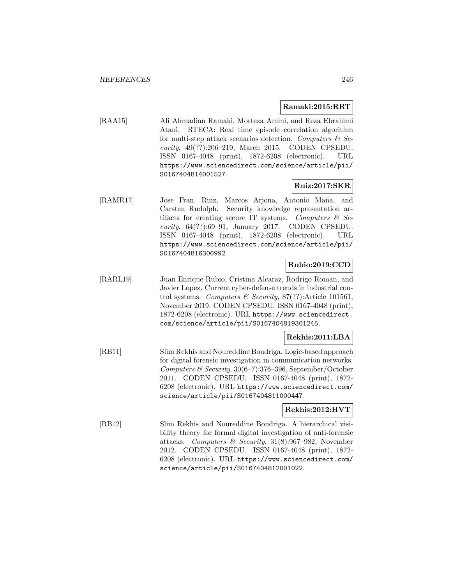#### **Ramaki:2015:RRT**

[RAA15] Ali Ahmadian Ramaki, Morteza Amini, and Reza Ebrahimi Atani. RTECA: Real time episode correlation algorithm for multi-step attack scenarios detection. Computers  $\mathcal{C}$  Security, 49(??):206–219, March 2015. CODEN CPSEDU. ISSN 0167-4048 (print), 1872-6208 (electronic). URL https://www.sciencedirect.com/science/article/pii/ S0167404814001527.

## **Ruiz:2017:SKR**

[RAMR17] Jose Fran. Ruiz, Marcos Arjona, Antonio Maña, and Carsten Rudolph. Security knowledge representation artifacts for creating secure IT systems. Computers  $\mathcal{C}$  Security, 64(??):69–91, January 2017. CODEN CPSEDU. ISSN 0167-4048 (print), 1872-6208 (electronic). URL https://www.sciencedirect.com/science/article/pii/ S0167404816300992.

## **Rubio:2019:CCD**

[RARL19] Juan Enrique Rubio, Cristina Alcaraz, Rodrigo Roman, and Javier Lopez. Current cyber-defense trends in industrial control systems. Computers  $\mathcal B$  Security, 87(??):Article 101561, November 2019. CODEN CPSEDU. ISSN 0167-4048 (print), 1872-6208 (electronic). URL https://www.sciencedirect. com/science/article/pii/S0167404819301245.

#### **Rekhis:2011:LBA**

[RB11] Slim Rekhis and Noureddine Boudriga. Logic-based approach for digital forensic investigation in communication networks. Computers  $\mathcal C$  Security, 30(6–7):376–396, September/October 2011. CODEN CPSEDU. ISSN 0167-4048 (print), 1872- 6208 (electronic). URL https://www.sciencedirect.com/ science/article/pii/S0167404811000447.

### **Rekhis:2012:HVT**

[RB12] Slim Rekhis and Noureddine Boudriga. A hierarchical visibility theory for formal digital investigation of anti-forensic attacks. Computers & Security, 31(8):967–982, November 2012. CODEN CPSEDU. ISSN 0167-4048 (print), 1872- 6208 (electronic). URL https://www.sciencedirect.com/ science/article/pii/S0167404812001022.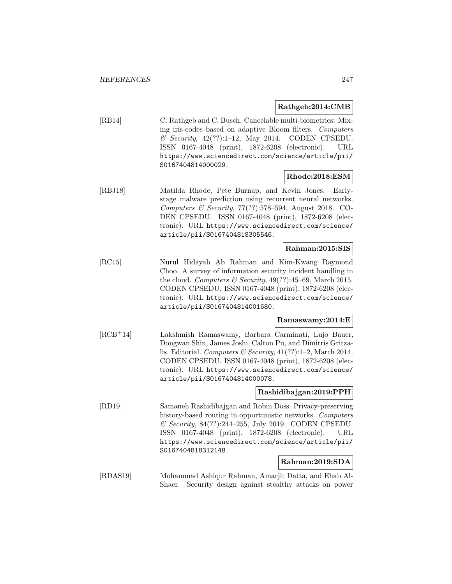### **Rathgeb:2014:CMB**

[RB14] C. Rathgeb and C. Busch. Cancelable multi-biometrics: Mixing iris-codes based on adaptive Bloom filters. Computers  $\&$  Security, 42(??):1-12, May 2014. CODEN CPSEDU. ISSN 0167-4048 (print), 1872-6208 (electronic). URL https://www.sciencedirect.com/science/article/pii/ S0167404814000029.

# **Rhode:2018:ESM**

[RBJ18] Matilda Rhode, Pete Burnap, and Kevin Jones. Earlystage malware prediction using recurrent neural networks. Computers & Security, 77(??):578–594, August 2018. CO-DEN CPSEDU. ISSN 0167-4048 (print), 1872-6208 (electronic). URL https://www.sciencedirect.com/science/ article/pii/S0167404818305546.

### **Rahman:2015:SIS**

[RC15] Nurul Hidayah Ab Rahman and Kim-Kwang Raymond Choo. A survey of information security incident handling in the cloud. Computers & Security,  $49(??)$ :45–69, March 2015. CODEN CPSEDU. ISSN 0167-4048 (print), 1872-6208 (electronic). URL https://www.sciencedirect.com/science/ article/pii/S0167404814001680.

### **Ramaswamy:2014:E**

[RCB<sup>+</sup>14] Lakshmish Ramaswamy, Barbara Carminati, Lujo Bauer, Dongwan Shin, James Joshi, Calton Pu, and Dimitris Gritzalis. Editorial. Computers & Security,  $41(??):1-2$ , March 2014. CODEN CPSEDU. ISSN 0167-4048 (print), 1872-6208 (electronic). URL https://www.sciencedirect.com/science/ article/pii/S0167404814000078.

### **Rashidibajgan:2019:PPH**

[RD19] Samaneh Rashidibajgan and Robin Doss. Privacy-preserving history-based routing in opportunistic networks. Computers & Security, 84(??):244–255, July 2019. CODEN CPSEDU. ISSN 0167-4048 (print), 1872-6208 (electronic). URL https://www.sciencedirect.com/science/article/pii/ S0167404818312148.

## **Rahman:2019:SDA**

[RDAS19] Mohammad Ashiqur Rahman, Amarjit Datta, and Ehab Al-Shaer. Security design against stealthy attacks on power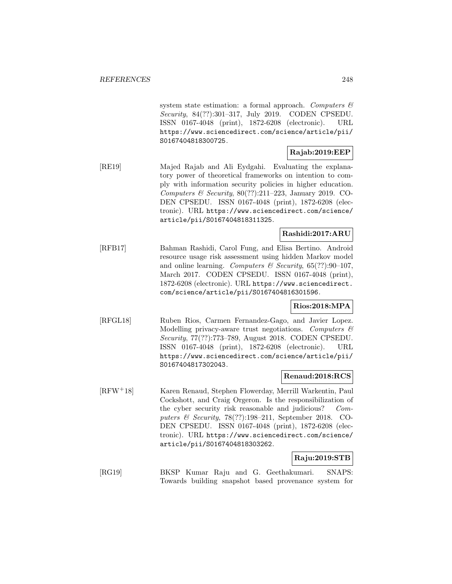system state estimation: a formal approach. Computers  $\mathcal{C}$ Security, 84(??):301–317, July 2019. CODEN CPSEDU. ISSN 0167-4048 (print), 1872-6208 (electronic). URL https://www.sciencedirect.com/science/article/pii/ S0167404818300725.

# **Rajab:2019:EEP**

[RE19] Majed Rajab and Ali Eydgahi. Evaluating the explanatory power of theoretical frameworks on intention to comply with information security policies in higher education. Computers & Security,  $80(??):211-223$ , January 2019. CO-DEN CPSEDU. ISSN 0167-4048 (print), 1872-6208 (electronic). URL https://www.sciencedirect.com/science/ article/pii/S0167404818311325.

# **Rashidi:2017:ARU**

[RFB17] Bahman Rashidi, Carol Fung, and Elisa Bertino. Android resource usage risk assessment using hidden Markov model and online learning. Computers & Security,  $65(??):90-107$ , March 2017. CODEN CPSEDU. ISSN 0167-4048 (print), 1872-6208 (electronic). URL https://www.sciencedirect. com/science/article/pii/S0167404816301596.

### **Rios:2018:MPA**

[RFGL18] Ruben Rios, Carmen Fernandez-Gago, and Javier Lopez. Modelling privacy-aware trust negotiations. Computers  $\mathcal C$ Security, 77(??):773–789, August 2018. CODEN CPSEDU. ISSN 0167-4048 (print), 1872-6208 (electronic). URL https://www.sciencedirect.com/science/article/pii/ S0167404817302043.

# **Renaud:2018:RCS**

[RFW<sup>+</sup>18] Karen Renaud, Stephen Flowerday, Merrill Warkentin, Paul Cockshott, and Craig Orgeron. Is the responsibilization of the cyber security risk reasonable and judicious? Computers & Security, 78(??):198–211, September 2018. CO-DEN CPSEDU. ISSN 0167-4048 (print), 1872-6208 (electronic). URL https://www.sciencedirect.com/science/ article/pii/S0167404818303262.

# **Raju:2019:STB**

[RG19] BKSP Kumar Raju and G. Geethakumari. SNAPS: Towards building snapshot based provenance system for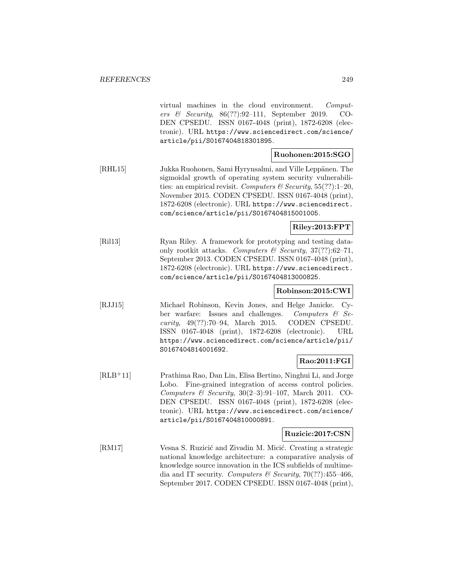virtual machines in the cloud environment. Computers & Security, 86(??):92–111, September 2019. CO-DEN CPSEDU. ISSN 0167-4048 (print), 1872-6208 (electronic). URL https://www.sciencedirect.com/science/ article/pii/S0167404818301895.

## **Ruohonen:2015:SGO**

[RHL15] Jukka Ruohonen, Sami Hyrynsalmi, and Ville Leppänen. The sigmoidal growth of operating system security vulnerabilities: an empirical revisit. Computers & Security,  $55(??)$ :1-20, November 2015. CODEN CPSEDU. ISSN 0167-4048 (print), 1872-6208 (electronic). URL https://www.sciencedirect. com/science/article/pii/S0167404815001005.

## **Riley:2013:FPT**

[Ril13] Ryan Riley. A framework for prototyping and testing dataonly rootkit attacks. Computers & Security,  $37(??)$ :62-71, September 2013. CODEN CPSEDU. ISSN 0167-4048 (print), 1872-6208 (electronic). URL https://www.sciencedirect. com/science/article/pii/S0167404813000825.

# **Robinson:2015:CWI**

[RJJ15] Michael Robinson, Kevin Jones, and Helge Janicke. Cyber warfare: Issues and challenges. Computers & Security, 49(??):70–94, March 2015. CODEN CPSEDU. ISSN 0167-4048 (print), 1872-6208 (electronic). URL https://www.sciencedirect.com/science/article/pii/ S0167404814001692.

# **Rao:2011:FGI**

[RLB<sup>+</sup>11] Prathima Rao, Dan Lin, Elisa Bertino, Ninghui Li, and Jorge Lobo. Fine-grained integration of access control policies. Computers & Security,  $30(2-3):91-107$ , March 2011. CO-DEN CPSEDU. ISSN 0167-4048 (print), 1872-6208 (electronic). URL https://www.sciencedirect.com/science/ article/pii/S0167404810000891.

### **Ruzicic:2017:CSN**

[RM17] Vesna S. Ruzicić and Zivadin M. Micić. Creating a strategic national knowledge architecture: a comparative analysis of knowledge source innovation in the ICS subfields of multimedia and IT security. Computers & Security, 70(??):455-466, September 2017. CODEN CPSEDU. ISSN 0167-4048 (print),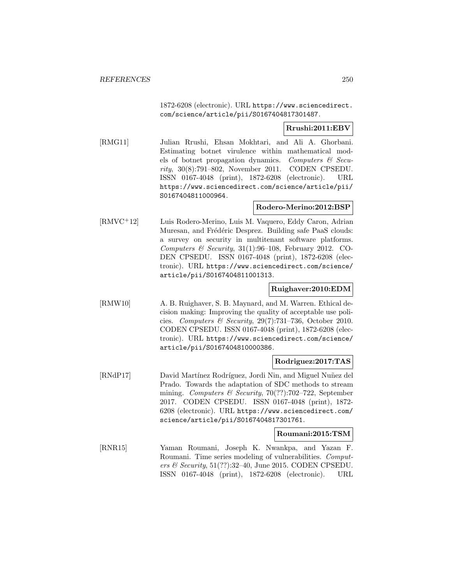1872-6208 (electronic). URL https://www.sciencedirect. com/science/article/pii/S0167404817301487.

### **Rrushi:2011:EBV**

[RMG11] Julian Rrushi, Ehsan Mokhtari, and Ali A. Ghorbani. Estimating botnet virulence within mathematical models of botnet propagation dynamics. Computers  $\mathcal{C}$  Security, 30(8):791–802, November 2011. CODEN CPSEDU. ISSN 0167-4048 (print), 1872-6208 (electronic). URL https://www.sciencedirect.com/science/article/pii/ S0167404811000964.

### **Rodero-Merino:2012:BSP**

[RMVC<sup>+</sup>12] Luis Rodero-Merino, Luis M. Vaquero, Eddy Caron, Adrian Muresan, and Frédéric Desprez. Building safe PaaS clouds: a survey on security in multitenant software platforms. Computers  $\mathcal C$  Security, 31(1):96-108, February 2012. CO-DEN CPSEDU. ISSN 0167-4048 (print), 1872-6208 (electronic). URL https://www.sciencedirect.com/science/ article/pii/S0167404811001313.

#### **Ruighaver:2010:EDM**

[RMW10] A. B. Ruighaver, S. B. Maynard, and M. Warren. Ethical decision making: Improving the quality of acceptable use policies. Computers & Security,  $29(7)$ :731–736, October 2010. CODEN CPSEDU. ISSN 0167-4048 (print), 1872-6208 (electronic). URL https://www.sciencedirect.com/science/ article/pii/S0167404810000386.

#### **Rodriguez:2017:TAS**

[RNdP17] David Martínez Rodríguez, Jordi Nin, and Miguel Nuñez del Prado. Towards the adaptation of SDC methods to stream mining. Computers & Security, 70(??):702–722, September 2017. CODEN CPSEDU. ISSN 0167-4048 (print), 1872- 6208 (electronic). URL https://www.sciencedirect.com/ science/article/pii/S0167404817301761.

#### **Roumani:2015:TSM**

[RNR15] Yaman Roumani, Joseph K. Nwankpa, and Yazan F. Roumani. Time series modeling of vulnerabilities. Computers & Security, 51(??):32–40, June 2015. CODEN CPSEDU. ISSN 0167-4048 (print), 1872-6208 (electronic). URL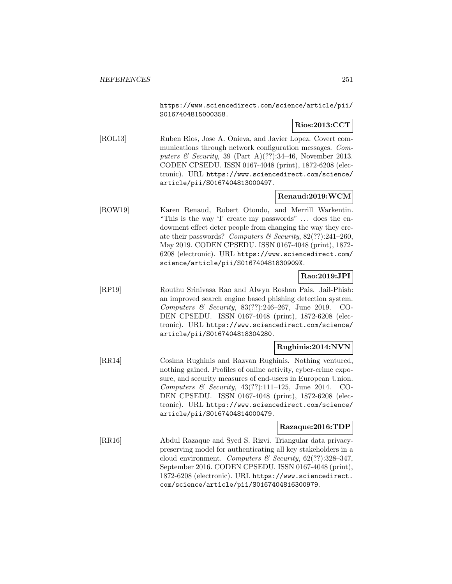https://www.sciencedirect.com/science/article/pii/ S0167404815000358.

# **Rios:2013:CCT**

[ROL13] Ruben Rios, Jose A. Onieva, and Javier Lopez. Covert communications through network configuration messages. Computers & Security, 39 (Part A)(??):34-46, November 2013. CODEN CPSEDU. ISSN 0167-4048 (print), 1872-6208 (electronic). URL https://www.sciencedirect.com/science/ article/pii/S0167404813000497.

# **Renaud:2019:WCM**

[ROW19] Karen Renaud, Robert Otondo, and Merrill Warkentin. "This is the way 'I' create my passwords" ... does the endowment effect deter people from changing the way they create their passwords? Computers & Security,  $82(??):241-260$ , May 2019. CODEN CPSEDU. ISSN 0167-4048 (print), 1872- 6208 (electronic). URL https://www.sciencedirect.com/ science/article/pii/S016740481830909X.

# **Rao:2019:JPI**

[RP19] Routhu Srinivasa Rao and Alwyn Roshan Pais. Jail-Phish: an improved search engine based phishing detection system. Computers & Security, 83(??):246–267, June 2019. CO-DEN CPSEDU. ISSN 0167-4048 (print), 1872-6208 (electronic). URL https://www.sciencedirect.com/science/ article/pii/S0167404818304280.

### **Rughinis:2014:NVN**

[RR14] Cosima Rughinis and Razvan Rughinis. Nothing ventured, nothing gained. Profiles of online activity, cyber-crime exposure, and security measures of end-users in European Union. Computers & Security,  $43(??):111-125$ , June 2014. CO-DEN CPSEDU. ISSN 0167-4048 (print), 1872-6208 (electronic). URL https://www.sciencedirect.com/science/ article/pii/S0167404814000479.

### **Razaque:2016:TDP**

[RR16] Abdul Razaque and Syed S. Rizvi. Triangular data privacypreserving model for authenticating all key stakeholders in a cloud environment. Computers & Security,  $62$ (??):328-347, September 2016. CODEN CPSEDU. ISSN 0167-4048 (print), 1872-6208 (electronic). URL https://www.sciencedirect. com/science/article/pii/S0167404816300979.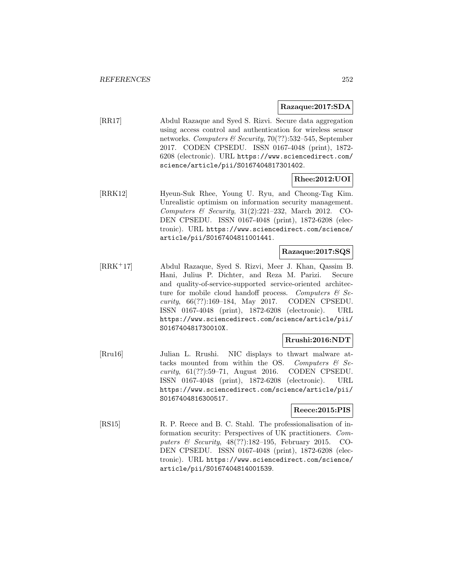### **Razaque:2017:SDA**

[RR17] Abdul Razaque and Syed S. Rizvi. Secure data aggregation using access control and authentication for wireless sensor networks. Computers & Security, 70(??):532–545, September 2017. CODEN CPSEDU. ISSN 0167-4048 (print), 1872- 6208 (electronic). URL https://www.sciencedirect.com/ science/article/pii/S0167404817301402.

# **Rhee:2012:UOI**

[RRK12] Hyeun-Suk Rhee, Young U. Ryu, and Cheong-Tag Kim. Unrealistic optimism on information security management. Computers & Security, 31(2):221–232, March 2012. CO-DEN CPSEDU. ISSN 0167-4048 (print), 1872-6208 (electronic). URL https://www.sciencedirect.com/science/ article/pii/S0167404811001441.

## **Razaque:2017:SQS**

[RRK<sup>+</sup>17] Abdul Razaque, Syed S. Rizvi, Meer J. Khan, Qassim B. Hani, Julius P. Dichter, and Reza M. Parizi. Secure and quality-of-service-supported service-oriented architecture for mobile cloud handoff process. Computers  $\mathcal{C}$  Security, 66(??):169–184, May 2017. CODEN CPSEDU. ISSN 0167-4048 (print), 1872-6208 (electronic). URL https://www.sciencedirect.com/science/article/pii/ S016740481730010X.

# **Rrushi:2016:NDT**

[Rru16] Julian L. Rrushi. NIC displays to thwart malware attacks mounted from within the OS. Computers  $\mathcal{C}$  Security, 61(??):59–71, August 2016. CODEN CPSEDU. ISSN 0167-4048 (print), 1872-6208 (electronic). URL https://www.sciencedirect.com/science/article/pii/ S0167404816300517.

### **Reece:2015:PIS**

[RS15] R. P. Reece and B. C. Stahl. The professionalisation of information security: Perspectives of UK practitioners. Computers & Security, 48(??):182–195, February 2015. CO-DEN CPSEDU. ISSN 0167-4048 (print), 1872-6208 (electronic). URL https://www.sciencedirect.com/science/ article/pii/S0167404814001539.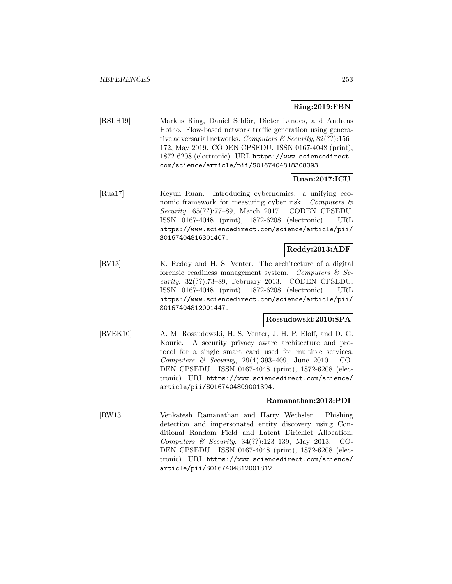### **Ring:2019:FBN**

[RSLH19] Markus Ring, Daniel Schlör, Dieter Landes, and Andreas Hotho. Flow-based network traffic generation using generative adversarial networks. Computers & Security,  $82(??)$ :156– 172, May 2019. CODEN CPSEDU. ISSN 0167-4048 (print), 1872-6208 (electronic). URL https://www.sciencedirect. com/science/article/pii/S0167404818308393.

### **Ruan:2017:ICU**

[Rua17] Keyun Ruan. Introducing cybernomics: a unifying economic framework for measuring cyber risk. Computers  $\mathcal{C}$ Security, 65(??):77–89, March 2017. CODEN CPSEDU. ISSN 0167-4048 (print), 1872-6208 (electronic). URL https://www.sciencedirect.com/science/article/pii/ S0167404816301407.

### **Reddy:2013:ADF**

[RV13] K. Reddy and H. S. Venter. The architecture of a digital forensic readiness management system. Computers  $\mathcal{C}$  Security, 32(??):73–89, February 2013. CODEN CPSEDU. ISSN 0167-4048 (print), 1872-6208 (electronic). URL https://www.sciencedirect.com/science/article/pii/ S0167404812001447.

### **Rossudowski:2010:SPA**

[RVEK10] A. M. Rossudowski, H. S. Venter, J. H. P. Eloff, and D. G. Kourie. A security privacy aware architecture and protocol for a single smart card used for multiple services. Computers & Security, 29(4):393–409, June 2010. CO-DEN CPSEDU. ISSN 0167-4048 (print), 1872-6208 (electronic). URL https://www.sciencedirect.com/science/ article/pii/S0167404809001394.

### **Ramanathan:2013:PDI**

[RW13] Venkatesh Ramanathan and Harry Wechsler. Phishing detection and impersonated entity discovery using Conditional Random Field and Latent Dirichlet Allocation. Computers & Security, 34(??):123–139, May 2013. CO-DEN CPSEDU. ISSN 0167-4048 (print), 1872-6208 (electronic). URL https://www.sciencedirect.com/science/ article/pii/S0167404812001812.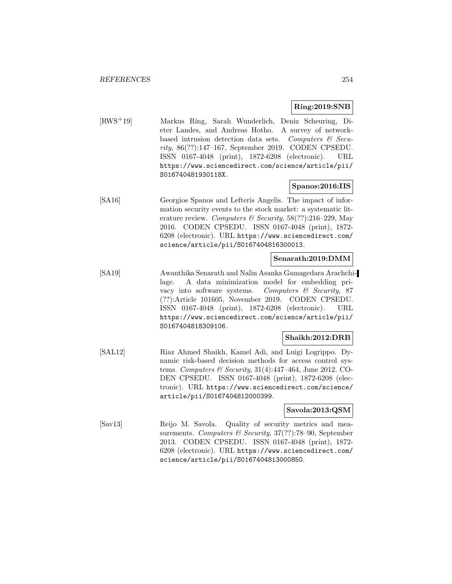#### **Ring:2019:SNB**

[RWS<sup>+</sup>19] Markus Ring, Sarah Wunderlich, Deniz Scheuring, Dieter Landes, and Andreas Hotho. A survey of networkbased intrusion detection data sets. Computers  $\mathcal{C}$  Security, 86(??):147–167, September 2019. CODEN CPSEDU. ISSN 0167-4048 (print), 1872-6208 (electronic). URL https://www.sciencedirect.com/science/article/pii/ S016740481930118X.

### **Spanos:2016:IIS**

[SA16] Georgios Spanos and Lefteris Angelis. The impact of information security events to the stock market: a systematic literature review. Computers & Security,  $58(??):216-229$ , May 2016. CODEN CPSEDU. ISSN 0167-4048 (print), 1872- 6208 (electronic). URL https://www.sciencedirect.com/ science/article/pii/S0167404816300013.

### **Senarath:2019:DMM**

[SA19] Awanthika Senarath and Nalin Asanka Gamagedara Arachchilage. A data minimization model for embedding privacy into software systems. Computers & Security, 87 (??):Article 101605, November 2019. CODEN CPSEDU. ISSN 0167-4048 (print), 1872-6208 (electronic). URL https://www.sciencedirect.com/science/article/pii/ S0167404818309106.

#### **Shaikh:2012:DRB**

[SAL12] Riaz Ahmed Shaikh, Kamel Adi, and Luigi Logrippo. Dynamic risk-based decision methods for access control systems. Computers & Security, 31(4):447–464, June 2012. CO-DEN CPSEDU. ISSN 0167-4048 (print), 1872-6208 (electronic). URL https://www.sciencedirect.com/science/ article/pii/S0167404812000399.

#### **Savola:2013:QSM**

[Sav13] Reijo M. Savola. Quality of security metrics and measurements. Computers & Security, 37(??):78-90, September 2013. CODEN CPSEDU. ISSN 0167-4048 (print), 1872- 6208 (electronic). URL https://www.sciencedirect.com/ science/article/pii/S0167404813000850.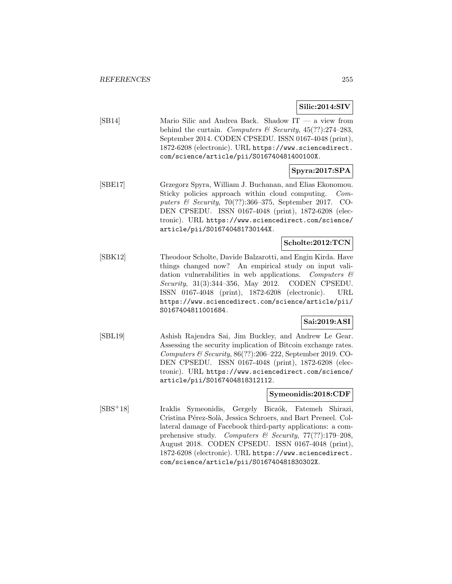**Silic:2014:SIV**

[SB14] Mario Silic and Andrea Back. Shadow IT — a view from behind the curtain. Computers & Security,  $45(??):274-283$ , September 2014. CODEN CPSEDU. ISSN 0167-4048 (print), 1872-6208 (electronic). URL https://www.sciencedirect. com/science/article/pii/S016740481400100X.

# **Spyra:2017:SPA**

[SBE17] Grzegorz Spyra, William J. Buchanan, and Elias Ekonomou. Sticky policies approach within cloud computing. Computers & Security, 70(??):366–375, September 2017. CO-DEN CPSEDU. ISSN 0167-4048 (print), 1872-6208 (electronic). URL https://www.sciencedirect.com/science/ article/pii/S016740481730144X.

# **Scholte:2012:TCN**

[SBK12] Theodoor Scholte, Davide Balzarotti, and Engin Kirda. Have things changed now? An empirical study on input validation vulnerabilities in web applications. Computers  $\mathcal{C}$ Security, 31(3):344–356, May 2012. CODEN CPSEDU. ISSN 0167-4048 (print), 1872-6208 (electronic). URL https://www.sciencedirect.com/science/article/pii/ S0167404811001684.

# **Sai:2019:ASI**

[SBL19] Ashish Rajendra Sai, Jim Buckley, and Andrew Le Gear. Assessing the security implication of Bitcoin exchange rates. Computers & Security,  $86(??):206-222$ , September 2019. CO-DEN CPSEDU. ISSN 0167-4048 (print), 1872-6208 (electronic). URL https://www.sciencedirect.com/science/ article/pii/S0167404818312112.

# **Symeonidis:2018:CDF**

[SBS<sup>+</sup>18] Iraklis Symeonidis, Gergely Biczók, Fatemeh Shirazi, Cristina Pérez-Solà, Jessica Schroers, and Bart Preneel. Collateral damage of Facebook third-party applications: a comprehensive study. Computers & Security,  $77(??):179-208$ , August 2018. CODEN CPSEDU. ISSN 0167-4048 (print), 1872-6208 (electronic). URL https://www.sciencedirect. com/science/article/pii/S016740481830302X.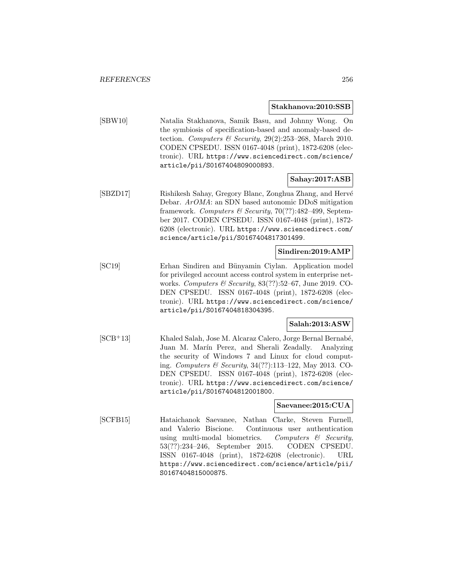#### **Stakhanova:2010:SSB**

[SBW10] Natalia Stakhanova, Samik Basu, and Johnny Wong. On the symbiosis of specification-based and anomaly-based detection. Computers & Security,  $29(2):253-268$ , March 2010. CODEN CPSEDU. ISSN 0167-4048 (print), 1872-6208 (electronic). URL https://www.sciencedirect.com/science/ article/pii/S0167404809000893.

# **Sahay:2017:ASB**

[SBZD17] Rishikesh Sahay, Gregory Blanc, Zonghua Zhang, and Hervé Debar. ArOMA: an SDN based autonomic DDoS mitigation framework. Computers & Security, 70(??):482–499, September 2017. CODEN CPSEDU. ISSN 0167-4048 (print), 1872- 6208 (electronic). URL https://www.sciencedirect.com/ science/article/pii/S0167404817301499.

### **Sindiren:2019:AMP**

[SC19] Erhan Sindiren and Bünyamin Ciylan. Application model for privileged account access control system in enterprise networks. Computers & Security,  $83(??):52-67$ , June 2019. CO-DEN CPSEDU. ISSN 0167-4048 (print), 1872-6208 (electronic). URL https://www.sciencedirect.com/science/ article/pii/S0167404818304395.

### **Salah:2013:ASW**

[SCB<sup>+</sup>13] Khaled Salah, Jose M. Alcaraz Calero, Jorge Bernal Bernabé, Juan M. Marín Perez, and Sherali Zeadally. Analyzing the security of Windows 7 and Linux for cloud computing. Computers & Security, 34(??):113–122, May 2013. CO-DEN CPSEDU. ISSN 0167-4048 (print), 1872-6208 (electronic). URL https://www.sciencedirect.com/science/ article/pii/S0167404812001800.

### **Saevanee:2015:CUA**

[SCFB15] Hataichanok Saevanee, Nathan Clarke, Steven Furnell, and Valerio Biscione. Continuous user authentication using multi-modal biometrics. Computers  $\mathcal{C}$  Security, 53(??):234–246, September 2015. CODEN CPSEDU. ISSN 0167-4048 (print), 1872-6208 (electronic). URL https://www.sciencedirect.com/science/article/pii/ S0167404815000875.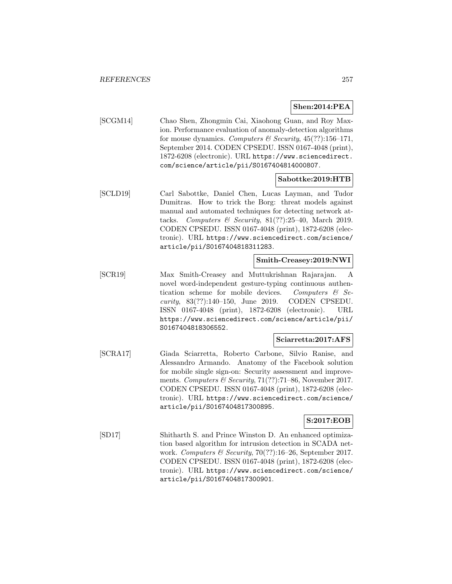### **Shen:2014:PEA**

[SCGM14] Chao Shen, Zhongmin Cai, Xiaohong Guan, and Roy Maxion. Performance evaluation of anomaly-detection algorithms for mouse dynamics. Computers & Security,  $45(??):156-171$ , September 2014. CODEN CPSEDU. ISSN 0167-4048 (print), 1872-6208 (electronic). URL https://www.sciencedirect. com/science/article/pii/S0167404814000807.

### **Sabottke:2019:HTB**

[SCLD19] Carl Sabottke, Daniel Chen, Lucas Layman, and Tudor Dumitras. How to trick the Borg: threat models against manual and automated techniques for detecting network attacks. Computers & Security,  $81(??):25-40$ , March 2019. CODEN CPSEDU. ISSN 0167-4048 (print), 1872-6208 (electronic). URL https://www.sciencedirect.com/science/ article/pii/S0167404818311283.

### **Smith-Creasey:2019:NWI**

[SCR19] Max Smith-Creasey and Muttukrishnan Rajarajan. A novel word-independent gesture-typing continuous authentication scheme for mobile devices. Computers & Security, 83(??):140–150, June 2019. CODEN CPSEDU. ISSN 0167-4048 (print), 1872-6208 (electronic). URL https://www.sciencedirect.com/science/article/pii/ S0167404818306552.

### **Sciarretta:2017:AFS**

[SCRA17] Giada Sciarretta, Roberto Carbone, Silvio Ranise, and Alessandro Armando. Anatomy of the Facebook solution for mobile single sign-on: Security assessment and improvements. Computers & Security,  $71(??):71-86$ , November 2017. CODEN CPSEDU. ISSN 0167-4048 (print), 1872-6208 (electronic). URL https://www.sciencedirect.com/science/ article/pii/S0167404817300895.

### **S:2017:EOB**

[SD17] Shitharth S. and Prince Winston D. An enhanced optimization based algorithm for intrusion detection in SCADA network. Computers & Security,  $70(??)$ :16-26, September 2017. CODEN CPSEDU. ISSN 0167-4048 (print), 1872-6208 (electronic). URL https://www.sciencedirect.com/science/ article/pii/S0167404817300901.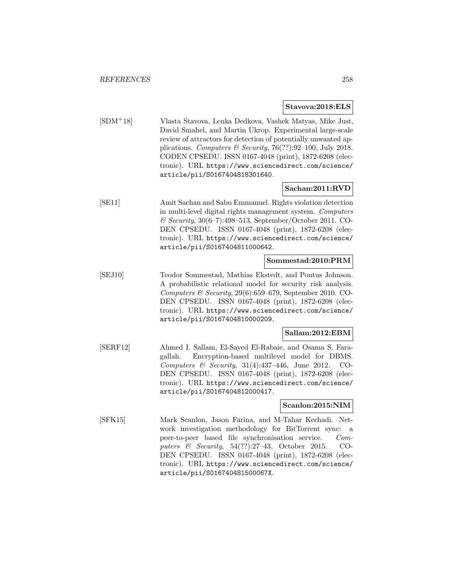#### **Stavova:2018:ELS**

[SDM<sup>+</sup>18] Vlasta Stavova, Lenka Dedkova, Vashek Matyas, Mike Just, David Smahel, and Martin Ukrop. Experimental large-scale review of attractors for detection of potentially unwanted applications. Computers & Security, 76(??):92-100, July 2018. CODEN CPSEDU. ISSN 0167-4048 (print), 1872-6208 (electronic). URL https://www.sciencedirect.com/science/ article/pii/S0167404818301640.

### **Sachan:2011:RVD**

[SE11] Amit Sachan and Sabu Emmanuel. Rights violation detection in multi-level digital rights management system. Computers & Security, 30(6–7):498–513, September/October 2011. CO-DEN CPSEDU. ISSN 0167-4048 (print), 1872-6208 (electronic). URL https://www.sciencedirect.com/science/ article/pii/S0167404811000642.

#### **Sommestad:2010:PRM**

[SEJ10] Teodor Sommestad, Mathias Ekstedt, and Pontus Johnson. A probabilistic relational model for security risk analysis. Computers & Security,  $29(6)$ :659–679, September 2010. CO-DEN CPSEDU. ISSN 0167-4048 (print), 1872-6208 (electronic). URL https://www.sciencedirect.com/science/ article/pii/S0167404810000209.

### **Sallam:2012:EBM**

[SERF12] Ahmed I. Sallam, El-Sayed El-Rabaie, and Osama S. Faragallah. Encryption-based multilevel model for DBMS. Computers & Security, 31(4):437–446, June 2012. CO-DEN CPSEDU. ISSN 0167-4048 (print), 1872-6208 (electronic). URL https://www.sciencedirect.com/science/ article/pii/S0167404812000417.

#### **Scanlon:2015:NIM**

[SFK15] Mark Scanlon, Jason Farina, and M-Tahar Kechadi. Network investigation methodology for BitTorrent sync: a peer-to-peer based file synchronisation service. Computers & Security, 54(??):27–43, October 2015. CO-DEN CPSEDU. ISSN 0167-4048 (print), 1872-6208 (electronic). URL https://www.sciencedirect.com/science/ article/pii/S016740481500067X.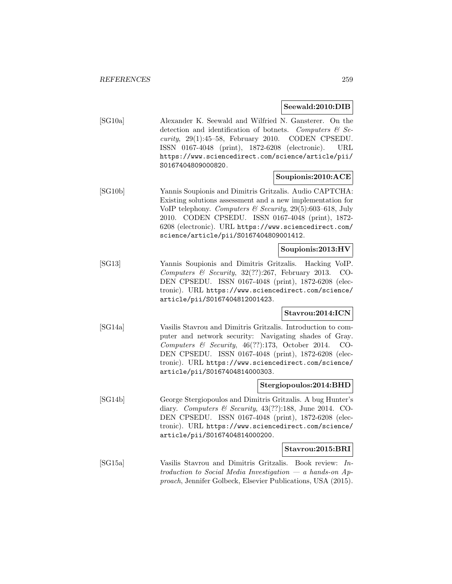#### **Seewald:2010:DIB**

[SG10a] Alexander K. Seewald and Wilfried N. Gansterer. On the detection and identification of botnets. Computers  $\mathcal{C}$  Security, 29(1):45–58, February 2010. CODEN CPSEDU. ISSN 0167-4048 (print), 1872-6208 (electronic). URL https://www.sciencedirect.com/science/article/pii/ S0167404809000820.

### **Soupionis:2010:ACE**

[SG10b] Yannis Soupionis and Dimitris Gritzalis. Audio CAPTCHA: Existing solutions assessment and a new implementation for VoIP telephony. Computers & Security, 29(5):603–618, July 2010. CODEN CPSEDU. ISSN 0167-4048 (print), 1872- 6208 (electronic). URL https://www.sciencedirect.com/ science/article/pii/S0167404809001412.

### **Soupionis:2013:HV**

[SG13] Yannis Soupionis and Dimitris Gritzalis. Hacking VoIP. Computers & Security,  $32(??):267$ , February 2013. CO-DEN CPSEDU. ISSN 0167-4048 (print), 1872-6208 (electronic). URL https://www.sciencedirect.com/science/ article/pii/S0167404812001423.

#### **Stavrou:2014:ICN**

[SG14a] Vasilis Stavrou and Dimitris Gritzalis. Introduction to computer and network security: Navigating shades of Gray. Computers & Security,  $46(??):173$ , October 2014. CO-DEN CPSEDU. ISSN 0167-4048 (print), 1872-6208 (electronic). URL https://www.sciencedirect.com/science/ article/pii/S0167404814000303.

#### **Stergiopoulos:2014:BHD**

[SG14b] George Stergiopoulos and Dimitris Gritzalis. A bug Hunter's diary. Computers & Security,  $43(??):188$ , June 2014. CO-DEN CPSEDU. ISSN 0167-4048 (print), 1872-6208 (electronic). URL https://www.sciencedirect.com/science/ article/pii/S0167404814000200.

#### **Stavrou:2015:BRI**

[SG15a] Vasilis Stavrou and Dimitris Gritzalis. Book review: Introduction to Social Media Investigation  $-$  a hands-on Approach, Jennifer Golbeck, Elsevier Publications, USA (2015).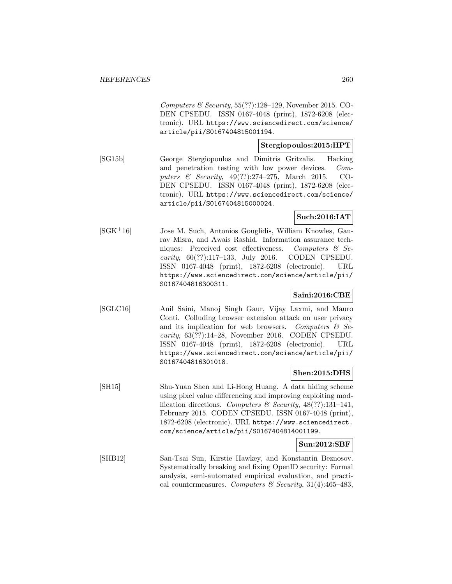Computers & Security,  $55(??):128-129$ , November 2015. CO-DEN CPSEDU. ISSN 0167-4048 (print), 1872-6208 (electronic). URL https://www.sciencedirect.com/science/ article/pii/S0167404815001194.

# **Stergiopoulos:2015:HPT**

[SG15b] George Stergiopoulos and Dimitris Gritzalis. Hacking and penetration testing with low power devices. Computers & Security, 49(??):274–275, March 2015. CO-DEN CPSEDU. ISSN 0167-4048 (print), 1872-6208 (electronic). URL https://www.sciencedirect.com/science/ article/pii/S0167404815000024.

### **Such:2016:IAT**

[SGK<sup>+</sup>16] Jose M. Such, Antonios Gouglidis, William Knowles, Gaurav Misra, and Awais Rashid. Information assurance techniques: Perceived cost effectiveness. Computers & Security, 60(??):117–133, July 2016. CODEN CPSEDU. ISSN 0167-4048 (print), 1872-6208 (electronic). URL https://www.sciencedirect.com/science/article/pii/ S0167404816300311.

## **Saini:2016:CBE**

[SGLC16] Anil Saini, Manoj Singh Gaur, Vijay Laxmi, and Mauro Conti. Colluding browser extension attack on user privacy and its implication for web browsers. Computers  $\mathcal{C}$  Security, 63(??):14–28, November 2016. CODEN CPSEDU. ISSN 0167-4048 (print), 1872-6208 (electronic). URL https://www.sciencedirect.com/science/article/pii/ S0167404816301018.

### **Shen:2015:DHS**

[SH15] Shu-Yuan Shen and Li-Hong Huang. A data hiding scheme using pixel value differencing and improving exploiting modification directions. Computers & Security,  $48(??):131-141$ , February 2015. CODEN CPSEDU. ISSN 0167-4048 (print), 1872-6208 (electronic). URL https://www.sciencedirect. com/science/article/pii/S0167404814001199.

### **Sun:2012:SBF**

[SHB12] San-Tsai Sun, Kirstie Hawkey, and Konstantin Beznosov. Systematically breaking and fixing OpenID security: Formal analysis, semi-automated empirical evaluation, and practical countermeasures. Computers & Security, 31(4):465-483,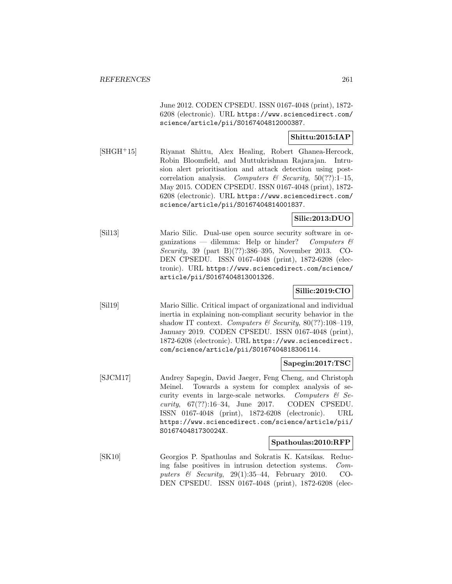June 2012. CODEN CPSEDU. ISSN 0167-4048 (print), 1872- 6208 (electronic). URL https://www.sciencedirect.com/ science/article/pii/S0167404812000387.

# **Shittu:2015:IAP**

[SHGH<sup>+</sup>15] Riyanat Shittu, Alex Healing, Robert Ghanea-Hercock, Robin Bloomfield, and Muttukrishnan Rajarajan. Intrusion alert prioritisation and attack detection using postcorrelation analysis. Computers & Security,  $50(??):1-15$ , May 2015. CODEN CPSEDU. ISSN 0167-4048 (print), 1872- 6208 (electronic). URL https://www.sciencedirect.com/ science/article/pii/S0167404814001837.

# **Silic:2013:DUO**

[Sil13] Mario Silic. Dual-use open source security software in organizations — dilemma: Help or hinder? Computers  $\mathcal{C}$ Security, 39 (part B)(??):386–395, November 2013. CO-DEN CPSEDU. ISSN 0167-4048 (print), 1872-6208 (electronic). URL https://www.sciencedirect.com/science/ article/pii/S0167404813001326.

# **Sillic:2019:CIO**

[Sil19] Mario Sillic. Critical impact of organizational and individual inertia in explaining non-compliant security behavior in the shadow IT context. Computers & Security,  $80(??):108-119$ , January 2019. CODEN CPSEDU. ISSN 0167-4048 (print), 1872-6208 (electronic). URL https://www.sciencedirect. com/science/article/pii/S0167404818306114.

### **Sapegin:2017:TSC**

[SJCM17] Andrey Sapegin, David Jaeger, Feng Cheng, and Christoph Meinel. Towards a system for complex analysis of security events in large-scale networks. Computers  $\mathcal{C}$  Security, 67(??):16–34, June 2017. CODEN CPSEDU. ISSN 0167-4048 (print), 1872-6208 (electronic). URL https://www.sciencedirect.com/science/article/pii/ S016740481730024X.

# **Spathoulas:2010:RFP**

[SK10] Georgios P. Spathoulas and Sokratis K. Katsikas. Reducing false positives in intrusion detection systems. Computers  $\&$  Security, 29(1):35–44, February 2010. CO-DEN CPSEDU. ISSN 0167-4048 (print), 1872-6208 (elec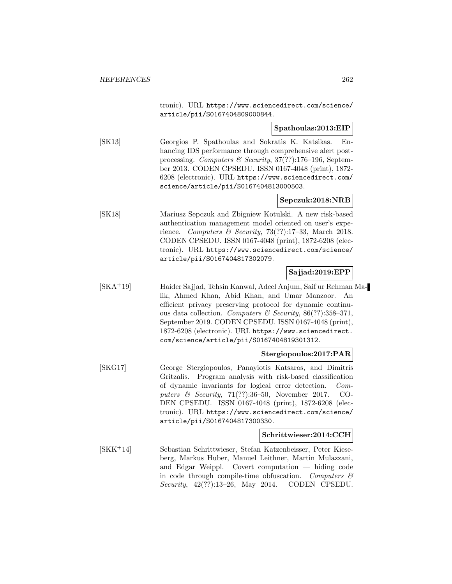tronic). URL https://www.sciencedirect.com/science/ article/pii/S0167404809000844.

#### **Spathoulas:2013:EIP**

[SK13] Georgios P. Spathoulas and Sokratis K. Katsikas. Enhancing IDS performance through comprehensive alert postprocessing. Computers & Security,  $37(??)$ :176-196, September 2013. CODEN CPSEDU. ISSN 0167-4048 (print), 1872- 6208 (electronic). URL https://www.sciencedirect.com/ science/article/pii/S0167404813000503.

### **Sepczuk:2018:NRB**

[SK18] Mariusz Sepczuk and Zbigniew Kotulski. A new risk-based authentication management model oriented on user's experience. Computers & Security, 73(??):17-33, March 2018. CODEN CPSEDU. ISSN 0167-4048 (print), 1872-6208 (electronic). URL https://www.sciencedirect.com/science/ article/pii/S0167404817302079.

## **Sajjad:2019:EPP**

[SKA<sup>+</sup>19] Haider Sajjad, Tehsin Kanwal, Adeel Anjum, Saif ur Rehman Malik, Ahmed Khan, Abid Khan, and Umar Manzoor. An efficient privacy preserving protocol for dynamic continuous data collection. Computers & Security, 86(??):358–371, September 2019. CODEN CPSEDU. ISSN 0167-4048 (print), 1872-6208 (electronic). URL https://www.sciencedirect. com/science/article/pii/S0167404819301312.

### **Stergiopoulos:2017:PAR**

[SKG17] George Stergiopoulos, Panayiotis Katsaros, and Dimitris Gritzalis. Program analysis with risk-based classification of dynamic invariants for logical error detection. Computers  $\&$  Security, 71(??):36–50, November 2017. CO-DEN CPSEDU. ISSN 0167-4048 (print), 1872-6208 (electronic). URL https://www.sciencedirect.com/science/ article/pii/S0167404817300330.

#### **Schrittwieser:2014:CCH**

[SKK<sup>+</sup>14] Sebastian Schrittwieser, Stefan Katzenbeisser, Peter Kieseberg, Markus Huber, Manuel Leithner, Martin Mulazzani, and Edgar Weippl. Covert computation — hiding code in code through compile-time obfuscation. Computers  $\mathcal{C}$ Security, 42(??):13–26, May 2014. CODEN CPSEDU.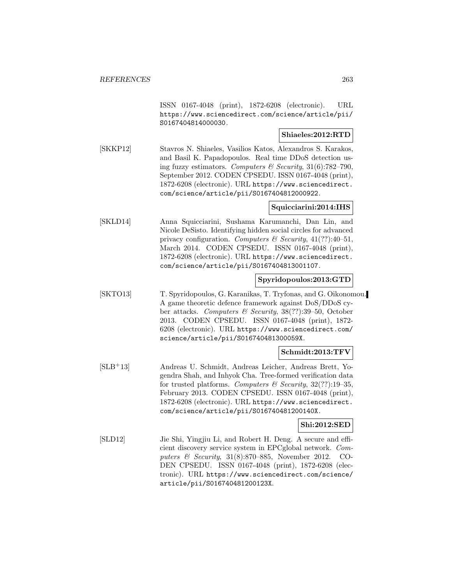ISSN 0167-4048 (print), 1872-6208 (electronic). URL https://www.sciencedirect.com/science/article/pii/ S0167404814000030.

# **Shiaeles:2012:RTD**

[SKKP12] Stavros N. Shiaeles, Vasilios Katos, Alexandros S. Karakos, and Basil K. Papadopoulos. Real time DDoS detection using fuzzy estimators. Computers & Security,  $31(6)$ :782–790, September 2012. CODEN CPSEDU. ISSN 0167-4048 (print), 1872-6208 (electronic). URL https://www.sciencedirect. com/science/article/pii/S0167404812000922.

### **Squicciarini:2014:IHS**

[SKLD14] Anna Squicciarini, Sushama Karumanchi, Dan Lin, and Nicole DeSisto. Identifying hidden social circles for advanced privacy configuration. Computers & Security,  $41(??):40-51$ , March 2014. CODEN CPSEDU. ISSN 0167-4048 (print), 1872-6208 (electronic). URL https://www.sciencedirect. com/science/article/pii/S0167404813001107.

### **Spyridopoulos:2013:GTD**

[SKTO13] T. Spyridopoulos, G. Karanikas, T. Tryfonas, and G. Oikonomou. A game theoretic defence framework against DoS/DDoS cyber attacks. Computers & Security, 38(??):39–50, October 2013. CODEN CPSEDU. ISSN 0167-4048 (print), 1872- 6208 (electronic). URL https://www.sciencedirect.com/ science/article/pii/S016740481300059X.

### **Schmidt:2013:TFV**

[SLB<sup>+</sup>13] Andreas U. Schmidt, Andreas Leicher, Andreas Brett, Yogendra Shah, and Inhyok Cha. Tree-formed verification data for trusted platforms. Computers & Security,  $32(??)$ :19-35, February 2013. CODEN CPSEDU. ISSN 0167-4048 (print), 1872-6208 (electronic). URL https://www.sciencedirect. com/science/article/pii/S016740481200140X.

### **Shi:2012:SED**

[SLD12] Jie Shi, Yingjiu Li, and Robert H. Deng. A secure and efficient discovery service system in EPCglobal network. Computers & Security, 31(8):870–885, November 2012. CO-DEN CPSEDU. ISSN 0167-4048 (print), 1872-6208 (electronic). URL https://www.sciencedirect.com/science/ article/pii/S016740481200123X.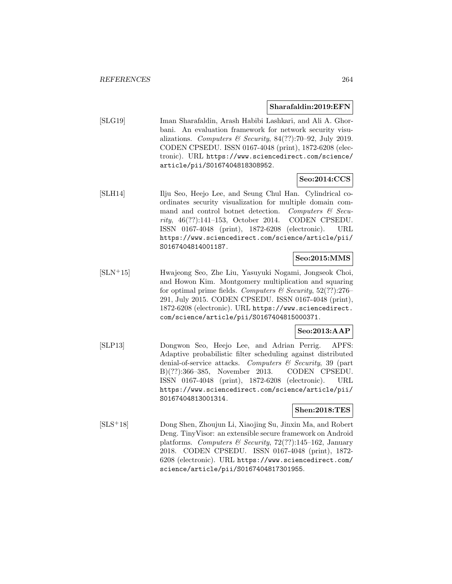#### **Sharafaldin:2019:EFN**

[SLG19] Iman Sharafaldin, Arash Habibi Lashkari, and Ali A. Ghorbani. An evaluation framework for network security visualizations. Computers  $\mathcal B$  Security, 84(??):70–92, July 2019. CODEN CPSEDU. ISSN 0167-4048 (print), 1872-6208 (electronic). URL https://www.sciencedirect.com/science/ article/pii/S0167404818308952.

# **Seo:2014:CCS**

[SLH14] Ilju Seo, Heejo Lee, and Seung Chul Han. Cylindrical coordinates security visualization for multiple domain command and control botnet detection. Computers  $\mathcal{C}$  Security, 46(??):141–153, October 2014. CODEN CPSEDU. ISSN 0167-4048 (print), 1872-6208 (electronic). URL https://www.sciencedirect.com/science/article/pii/ S0167404814001187.

### **Seo:2015:MMS**

[SLN<sup>+</sup>15] Hwajeong Seo, Zhe Liu, Yasuyuki Nogami, Jongseok Choi, and Howon Kim. Montgomery multiplication and squaring for optimal prime fields. Computers  $\mathcal C$  Security, 52(??):276– 291, July 2015. CODEN CPSEDU. ISSN 0167-4048 (print), 1872-6208 (electronic). URL https://www.sciencedirect. com/science/article/pii/S0167404815000371.

### **Seo:2013:AAP**

[SLP13] Dongwon Seo, Heejo Lee, and Adrian Perrig. APFS: Adaptive probabilistic filter scheduling against distributed denial-of-service attacks. Computers & Security, 39 (part B)(??):366–385, November 2013. CODEN CPSEDU. ISSN 0167-4048 (print), 1872-6208 (electronic). URL https://www.sciencedirect.com/science/article/pii/ S0167404813001314.

### **Shen:2018:TES**

[SLS<sup>+</sup>18] Dong Shen, Zhoujun Li, Xiaojing Su, Jinxin Ma, and Robert Deng. TinyVisor: an extensible secure framework on Android platforms. Computers & Security,  $72(??):145-162$ , January 2018. CODEN CPSEDU. ISSN 0167-4048 (print), 1872- 6208 (electronic). URL https://www.sciencedirect.com/ science/article/pii/S0167404817301955.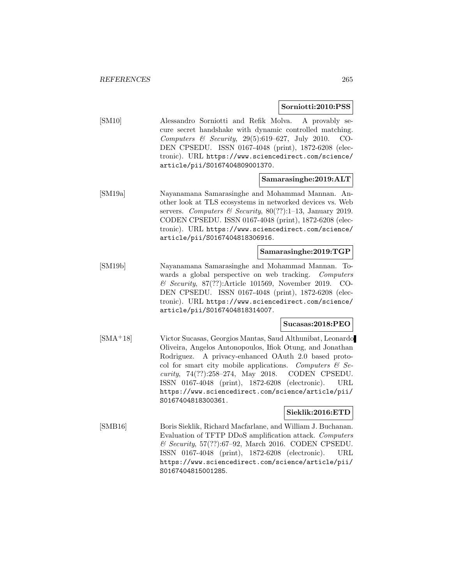#### **Sorniotti:2010:PSS**

[SM10] Alessandro Sorniotti and Refik Molva. A provably secure secret handshake with dynamic controlled matching. Computers & Security, 29(5):619–627, July 2010. CO-DEN CPSEDU. ISSN 0167-4048 (print), 1872-6208 (electronic). URL https://www.sciencedirect.com/science/ article/pii/S0167404809001370.

### **Samarasinghe:2019:ALT**

[SM19a] Nayanamana Samarasinghe and Mohammad Mannan. Another look at TLS ecosystems in networked devices vs. Web servers. Computers & Security,  $80(??):1-13$ , January 2019. CODEN CPSEDU. ISSN 0167-4048 (print), 1872-6208 (electronic). URL https://www.sciencedirect.com/science/ article/pii/S0167404818306916.

### **Samarasinghe:2019:TGP**

[SM19b] Nayanamana Samarasinghe and Mohammad Mannan. Towards a global perspective on web tracking. Computers & Security, 87(??):Article 101569, November 2019. CO-DEN CPSEDU. ISSN 0167-4048 (print), 1872-6208 (electronic). URL https://www.sciencedirect.com/science/ article/pii/S0167404818314007.

### **Sucasas:2018:PEO**

[SMA<sup>+</sup>18] Victor Sucasas, Georgios Mantas, Saud Althunibat, Leonardo Oliveira, Angelos Antonopoulos, Ifiok Otung, and Jonathan Rodriguez. A privacy-enhanced OAuth 2.0 based protocol for smart city mobile applications. Computers  $\mathcal{C}$  Security, 74(??):258–274, May 2018. CODEN CPSEDU. ISSN 0167-4048 (print), 1872-6208 (electronic). URL https://www.sciencedirect.com/science/article/pii/ S0167404818300361.

### **Sieklik:2016:ETD**

[SMB16] Boris Sieklik, Richard Macfarlane, and William J. Buchanan. Evaluation of TFTP DDoS amplification attack. Computers & Security, 57(??):67–92, March 2016. CODEN CPSEDU. ISSN 0167-4048 (print), 1872-6208 (electronic). URL https://www.sciencedirect.com/science/article/pii/ S0167404815001285.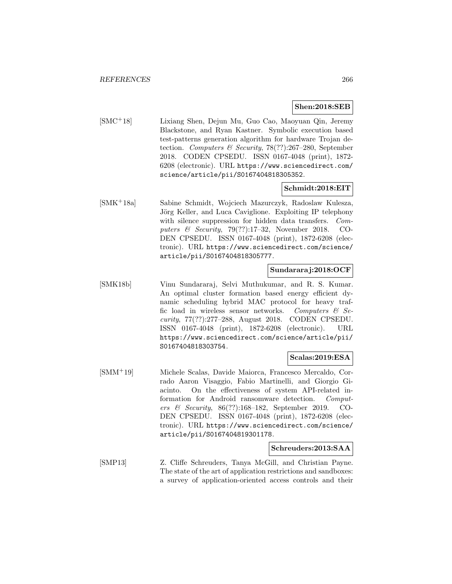#### **Shen:2018:SEB**

[SMC<sup>+</sup>18] Lixiang Shen, Dejun Mu, Guo Cao, Maoyuan Qin, Jeremy Blackstone, and Ryan Kastner. Symbolic execution based test-patterns generation algorithm for hardware Trojan detection. Computers & Security, 78(??):267–280, September 2018. CODEN CPSEDU. ISSN 0167-4048 (print), 1872- 6208 (electronic). URL https://www.sciencedirect.com/ science/article/pii/S0167404818305352.

### **Schmidt:2018:EIT**

[SMK<sup>+</sup>18a] Sabine Schmidt, Wojciech Mazurczyk, Radoslaw Kulesza, Jörg Keller, and Luca Caviglione. Exploiting IP telephony with silence suppression for hidden data transfers. *Com*puters & Security, 79(??):17–32, November 2018. CO-DEN CPSEDU. ISSN 0167-4048 (print), 1872-6208 (electronic). URL https://www.sciencedirect.com/science/ article/pii/S0167404818305777.

### **Sundararaj:2018:OCF**

[SMK18b] Vinu Sundararaj, Selvi Muthukumar, and R. S. Kumar. An optimal cluster formation based energy efficient dynamic scheduling hybrid MAC protocol for heavy traffic load in wireless sensor networks. Computers  $\mathcal{C}$  Security, 77(??):277–288, August 2018. CODEN CPSEDU. ISSN 0167-4048 (print), 1872-6208 (electronic). URL https://www.sciencedirect.com/science/article/pii/ S0167404818303754.

### **Scalas:2019:ESA**

[SMM<sup>+</sup>19] Michele Scalas, Davide Maiorca, Francesco Mercaldo, Corrado Aaron Visaggio, Fabio Martinelli, and Giorgio Giacinto. On the effectiveness of system API-related information for Android ransomware detection. Computers & Security, 86(??):168–182, September 2019. CO-DEN CPSEDU. ISSN 0167-4048 (print), 1872-6208 (electronic). URL https://www.sciencedirect.com/science/ article/pii/S0167404819301178.

### **Schreuders:2013:SAA**

[SMP13] Z. Cliffe Schreuders, Tanya McGill, and Christian Payne. The state of the art of application restrictions and sandboxes: a survey of application-oriented access controls and their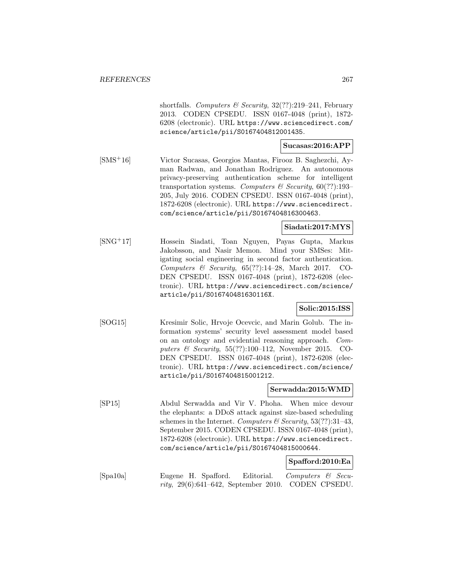shortfalls. Computers & Security,  $32(??):219-241$ , February 2013. CODEN CPSEDU. ISSN 0167-4048 (print), 1872- 6208 (electronic). URL https://www.sciencedirect.com/ science/article/pii/S0167404812001435.

### **Sucasas:2016:APP**

[SMS<sup>+</sup>16] Victor Sucasas, Georgios Mantas, Firooz B. Saghezchi, Ayman Radwan, and Jonathan Rodriguez. An autonomous privacy-preserving authentication scheme for intelligent transportation systems. Computers & Security,  $60(??)$ :193– 205, July 2016. CODEN CPSEDU. ISSN 0167-4048 (print), 1872-6208 (electronic). URL https://www.sciencedirect. com/science/article/pii/S0167404816300463.

#### **Siadati:2017:MYS**

[SNG<sup>+</sup>17] Hossein Siadati, Toan Nguyen, Payas Gupta, Markus Jakobsson, and Nasir Memon. Mind your SMSes: Mitigating social engineering in second factor authentication. Computers & Security,  $65(??):14-28$ , March 2017. CO-DEN CPSEDU. ISSN 0167-4048 (print), 1872-6208 (electronic). URL https://www.sciencedirect.com/science/ article/pii/S016740481630116X.

### **Solic:2015:ISS**

[SOG15] Kresimir Solic, Hrvoje Ocevcic, and Marin Golub. The information systems' security level assessment model based on an ontology and evidential reasoning approach. Computers & Security, 55(??):100–112, November 2015. CO-DEN CPSEDU. ISSN 0167-4048 (print), 1872-6208 (electronic). URL https://www.sciencedirect.com/science/ article/pii/S0167404815001212.

### **Serwadda:2015:WMD**

[SP15] Abdul Serwadda and Vir V. Phoha. When mice devour the elephants: a DDoS attack against size-based scheduling schemes in the Internet. Computers & Security,  $53(??)$ : 31-43, September 2015. CODEN CPSEDU. ISSN 0167-4048 (print), 1872-6208 (electronic). URL https://www.sciencedirect. com/science/article/pii/S0167404815000644.

#### **Spafford:2010:Ea**

[Spa10a] Eugene H. Spafford. Editorial. Computers & Security, 29(6):641–642, September 2010. CODEN CPSEDU.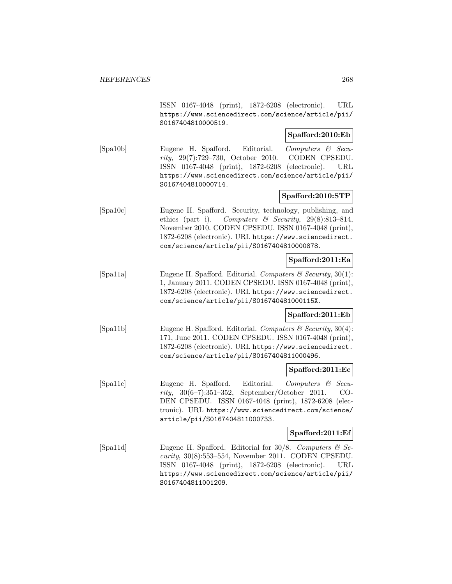ISSN 0167-4048 (print), 1872-6208 (electronic). URL https://www.sciencedirect.com/science/article/pii/ S0167404810000519.

# **Spafford:2010:Eb**

[Spa10b] Eugene H. Spafford. Editorial. Computers & Security, 29(7):729–730, October 2010. CODEN CPSEDU. ISSN 0167-4048 (print), 1872-6208 (electronic). URL https://www.sciencedirect.com/science/article/pii/ S0167404810000714.

### **Spafford:2010:STP**

[Spa10c] Eugene H. Spafford. Security, technology, publishing, and ethics (part i). Computers & Security,  $29(8):813-814$ , November 2010. CODEN CPSEDU. ISSN 0167-4048 (print), 1872-6208 (electronic). URL https://www.sciencedirect. com/science/article/pii/S0167404810000878.

# **Spafford:2011:Ea**

[Spa11a] Eugene H. Spafford. Editorial. Computers & Security,  $30(1)$ : 1, January 2011. CODEN CPSEDU. ISSN 0167-4048 (print), 1872-6208 (electronic). URL https://www.sciencedirect. com/science/article/pii/S016740481000115X.

### **Spafford:2011:Eb**

[Spa11b] Eugene H. Spafford. Editorial. Computers  $\mathcal C$  Security, 30(4): 171, June 2011. CODEN CPSEDU. ISSN 0167-4048 (print), 1872-6208 (electronic). URL https://www.sciencedirect. com/science/article/pii/S0167404811000496.

### **Spafford:2011:Ec**

[Spa11c] Eugene H. Spafford. Editorial. Computers & Security, 30(6–7):351–352, September/October 2011. CO-DEN CPSEDU. ISSN 0167-4048 (print), 1872-6208 (electronic). URL https://www.sciencedirect.com/science/ article/pii/S0167404811000733.

### **Spafford:2011:Ef**

[Spa11d] Eugene H. Spafford. Editorial for  $30/8$ . Computers & Security, 30(8):553–554, November 2011. CODEN CPSEDU. ISSN 0167-4048 (print), 1872-6208 (electronic). URL https://www.sciencedirect.com/science/article/pii/ S0167404811001209.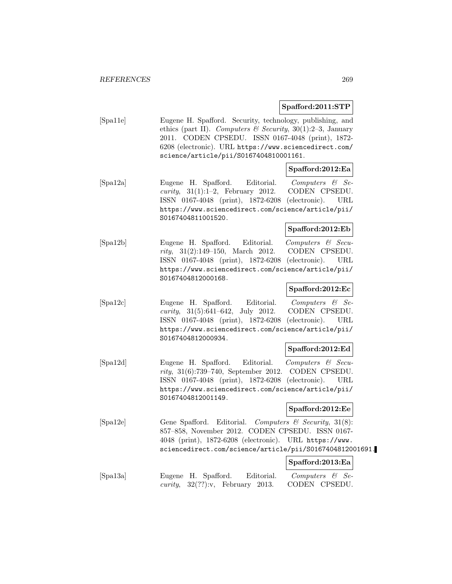### **Spafford:2011:STP**

[Spa11e] Eugene H. Spafford. Security, technology, publishing, and ethics (part II). Computers & Security, 30(1):2-3, January 2011. CODEN CPSEDU. ISSN 0167-4048 (print), 1872- 6208 (electronic). URL https://www.sciencedirect.com/ science/article/pii/S0167404810001161.

### **Spafford:2012:Ea**

[Spa12a] Eugene H. Spafford. Editorial. Computers & Se $curity, 31(1):1-2, February 2012. CODEN CPSEDU.$ ISSN 0167-4048 (print), 1872-6208 (electronic). URL https://www.sciencedirect.com/science/article/pii/ S0167404811001520.

### **Spafford:2012:Eb**

[Spa12b] Eugene H. Spafford. Editorial. Computers & Security, 31(2):149–150, March 2012. CODEN CPSEDU. ISSN 0167-4048 (print), 1872-6208 (electronic). URL https://www.sciencedirect.com/science/article/pii/ S0167404812000168.

#### **Spafford:2012:Ec**

[Spa12c] Eugene H. Spafford. Editorial. Computers & Security, 31(5):641–642, July 2012. CODEN CPSEDU. ISSN 0167-4048 (print), 1872-6208 (electronic). URL https://www.sciencedirect.com/science/article/pii/ S0167404812000934.

### **Spafford:2012:Ed**

[Spa12d] Eugene H. Spafford. Editorial. Computers & Security, 31(6):739–740, September 2012. CODEN CPSEDU. ISSN 0167-4048 (print), 1872-6208 (electronic). URL https://www.sciencedirect.com/science/article/pii/ S0167404812001149.

### **Spafford:2012:Ee**

[Spa12e] Gene Spafford. Editorial. Computers & Security, 31(8): 857–858, November 2012. CODEN CPSEDU. ISSN 0167- 4048 (print), 1872-6208 (electronic). URL https://www. sciencedirect.com/science/article/pii/S0167404812001691.

### **Spafford:2013:Ea**

[Spa13a] Eugene H. Spafford. Editorial. Computers & Security, 32(??):v, February 2013. CODEN CPSEDU.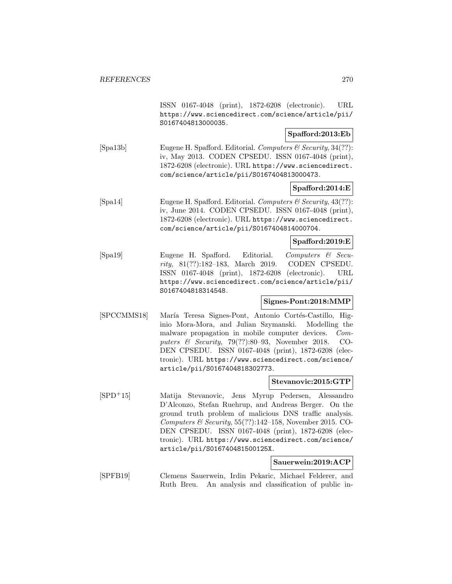ISSN 0167-4048 (print), 1872-6208 (electronic). URL https://www.sciencedirect.com/science/article/pii/ S0167404813000035.

# **Spafford:2013:Eb**

[Spa13b] Eugene H. Spafford. Editorial. Computers & Security, 34(??): iv, May 2013. CODEN CPSEDU. ISSN 0167-4048 (print), 1872-6208 (electronic). URL https://www.sciencedirect. com/science/article/pii/S0167404813000473.

### **Spafford:2014:E**

[Spa14] Eugene H. Spafford. Editorial. Computers & Security, 43(??): iv, June 2014. CODEN CPSEDU. ISSN 0167-4048 (print), 1872-6208 (electronic). URL https://www.sciencedirect. com/science/article/pii/S0167404814000704.

### **Spafford:2019:E**

[Spa19] Eugene H. Spafford. Editorial. Computers & Security, 81(??):182–183, March 2019. CODEN CPSEDU. ISSN 0167-4048 (print), 1872-6208 (electronic). URL https://www.sciencedirect.com/science/article/pii/ S0167404818314548.

#### **Signes-Pont:2018:MMP**

[SPCCMMS18] María Teresa Signes-Pont, Antonio Cortés-Castillo, Higinio Mora-Mora, and Julian Szymanski. Modelling the malware propagation in mobile computer devices. Computers & Security, 79(??):80–93, November 2018. CO-DEN CPSEDU. ISSN 0167-4048 (print), 1872-6208 (electronic). URL https://www.sciencedirect.com/science/ article/pii/S0167404818302773.

#### **Stevanovic:2015:GTP**

[SPD<sup>+</sup>15] Matija Stevanovic, Jens Myrup Pedersen, Alessandro D'Alconzo, Stefan Ruehrup, and Andreas Berger. On the ground truth problem of malicious DNS traffic analysis. Computers & Security,  $55(??):142-158$ , November 2015. CO-DEN CPSEDU. ISSN 0167-4048 (print), 1872-6208 (electronic). URL https://www.sciencedirect.com/science/ article/pii/S016740481500125X.

### **Sauerwein:2019:ACP**

[SPFB19] Clemens Sauerwein, Irdin Pekaric, Michael Felderer, and Ruth Breu. An analysis and classification of public in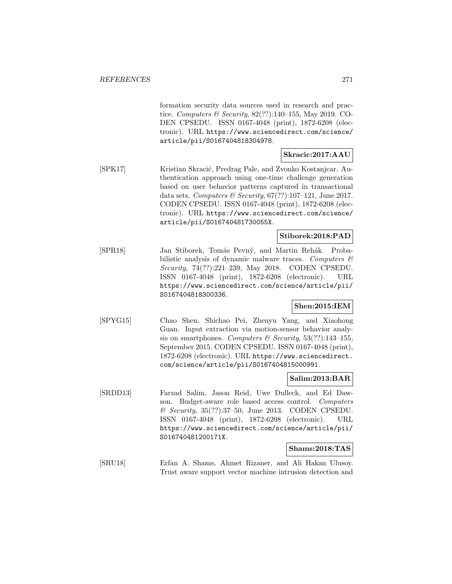formation security data sources used in research and practice. Computers & Security,  $82(??)$ :140-155, May 2019. CO-DEN CPSEDU. ISSN 0167-4048 (print), 1872-6208 (electronic). URL https://www.sciencedirect.com/science/ article/pii/S0167404818304978.

# **Skracic:2017:AAU**

[SPK17] Kristian Skracić, Predrag Pale, and Zvonko Kostanjcar. Authentication approach using one-time challenge generation based on user behavior patterns captured in transactional data sets. Computers & Security,  $67(??):107-121$ , June 2017. CODEN CPSEDU. ISSN 0167-4048 (print), 1872-6208 (electronic). URL https://www.sciencedirect.com/science/ article/pii/S016740481730055X.

### **Stiborek:2018:PAD**

[SPR18] Jan Stiborek, Tomás Pevný, and Martin Rehák. Probabilistic analysis of dynamic malware traces. Computers  $\mathcal{C}$ Security, 74(??):221–239, May 2018. CODEN CPSEDU. ISSN 0167-4048 (print), 1872-6208 (electronic). URL https://www.sciencedirect.com/science/article/pii/ S0167404818300336.

### **Shen:2015:IEM**

[SPYG15] Chao Shen, Shichao Pei, Zhenyu Yang, and Xiaohong Guan. Input extraction via motion-sensor behavior analysis on smartphones. Computers & Security,  $53(??):143-155$ , September 2015. CODEN CPSEDU. ISSN 0167-4048 (print), 1872-6208 (electronic). URL https://www.sciencedirect. com/science/article/pii/S0167404815000991.

### **Salim:2013:BAR**

[SRDD13] Farzad Salim, Jason Reid, Uwe Dulleck, and Ed Dawson. Budget-aware role based access control. Computers & Security, 35(??):37–50, June 2013. CODEN CPSEDU. ISSN 0167-4048 (print), 1872-6208 (electronic). URL https://www.sciencedirect.com/science/article/pii/ S016740481200171X.

#### **Shams:2018:TAS**

[SRU18] Erfan A. Shams, Ahmet Rizaner, and Ali Hakan Ulusoy. Trust aware support vector machine intrusion detection and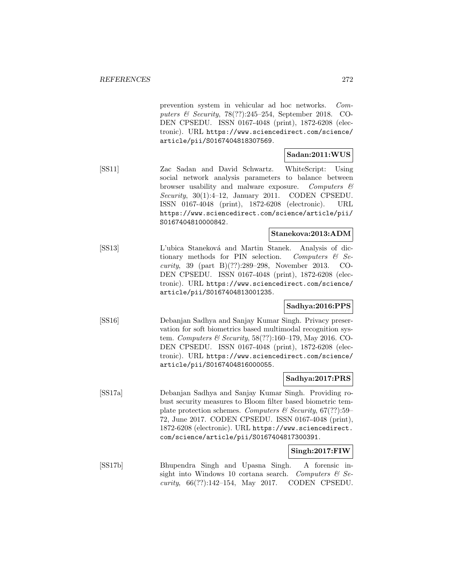prevention system in vehicular ad hoc networks. Computers & Security,  $78(??):245-254$ , September 2018. CO-DEN CPSEDU. ISSN 0167-4048 (print), 1872-6208 (electronic). URL https://www.sciencedirect.com/science/ article/pii/S0167404818307569.

### **Sadan:2011:WUS**

[SS11] Zac Sadan and David Schwartz. WhiteScript: Using social network analysis parameters to balance between browser usability and malware exposure. Computers & Security,  $30(1):4-12$ , January 2011. CODEN CPSEDU. ISSN 0167-4048 (print), 1872-6208 (electronic). URL https://www.sciencedirect.com/science/article/pii/ S0167404810000842.

## **Stanekova:2013:ADM**

[SS13] L'ubica Staneková and Martin Stanek. Analysis of dictionary methods for PIN selection. Computers  $\mathcal{C}$  Security, 39 (part B)(??):289–298, November 2013. CO-DEN CPSEDU. ISSN 0167-4048 (print), 1872-6208 (electronic). URL https://www.sciencedirect.com/science/ article/pii/S0167404813001235.

### **Sadhya:2016:PPS**

[SS16] Debanjan Sadhya and Sanjay Kumar Singh. Privacy preservation for soft biometrics based multimodal recognition system. Computers & Security, 58(??):160–179, May 2016. CO-DEN CPSEDU. ISSN 0167-4048 (print), 1872-6208 (electronic). URL https://www.sciencedirect.com/science/ article/pii/S0167404816000055.

#### **Sadhya:2017:PRS**

[SS17a] Debanjan Sadhya and Sanjay Kumar Singh. Providing robust security measures to Bloom filter based biometric template protection schemes. Computers & Security,  $67(??)$ :59– 72, June 2017. CODEN CPSEDU. ISSN 0167-4048 (print), 1872-6208 (electronic). URL https://www.sciencedirect. com/science/article/pii/S0167404817300391.

#### **Singh:2017:FIW**

[SS17b] Bhupendra Singh and Upasna Singh. A forensic insight into Windows 10 cortana search. Computers  $\mathcal{C}$  Security, 66(??):142–154, May 2017. CODEN CPSEDU.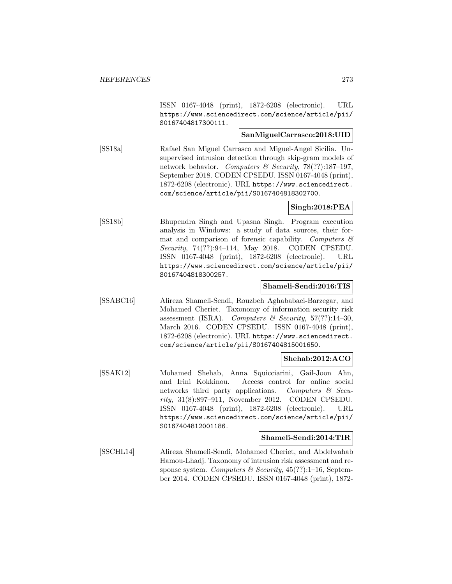ISSN 0167-4048 (print), 1872-6208 (electronic). URL https://www.sciencedirect.com/science/article/pii/ S0167404817300111.

# **SanMiguelCarrasco:2018:UID**

[SS18a] Rafael San Miguel Carrasco and Miguel-Angel Sicilia. Unsupervised intrusion detection through skip-gram models of network behavior. Computers & Security, 78(??):187-197, September 2018. CODEN CPSEDU. ISSN 0167-4048 (print), 1872-6208 (electronic). URL https://www.sciencedirect. com/science/article/pii/S0167404818302700.

### **Singh:2018:PEA**

[SS18b] Bhupendra Singh and Upasna Singh. Program execution analysis in Windows: a study of data sources, their format and comparison of forensic capability. Computers  $\mathcal{C}$ Security, 74(??):94–114, May 2018. CODEN CPSEDU. ISSN 0167-4048 (print), 1872-6208 (electronic). URL https://www.sciencedirect.com/science/article/pii/ S0167404818300257.

### **Shameli-Sendi:2016:TIS**

[SSABC16] Alireza Shameli-Sendi, Rouzbeh Aghababaei-Barzegar, and Mohamed Cheriet. Taxonomy of information security risk assessment (ISRA). Computers & Security,  $57(??):14-30$ , March 2016. CODEN CPSEDU. ISSN 0167-4048 (print), 1872-6208 (electronic). URL https://www.sciencedirect. com/science/article/pii/S0167404815001650.

#### **Shehab:2012:ACO**

[SSAK12] Mohamed Shehab, Anna Squicciarini, Gail-Joon Ahn, and Irini Kokkinou. Access control for online social networks third party applications. Computers  $\mathcal{C}$  Security, 31(8):897–911, November 2012. CODEN CPSEDU. ISSN 0167-4048 (print), 1872-6208 (electronic). URL https://www.sciencedirect.com/science/article/pii/ S0167404812001186.

### **Shameli-Sendi:2014:TIR**

[SSCHL14] Alireza Shameli-Sendi, Mohamed Cheriet, and Abdelwahab Hamou-Lhadj. Taxonomy of intrusion risk assessment and response system. Computers & Security,  $45(??)!$ :1-16, September 2014. CODEN CPSEDU. ISSN 0167-4048 (print), 1872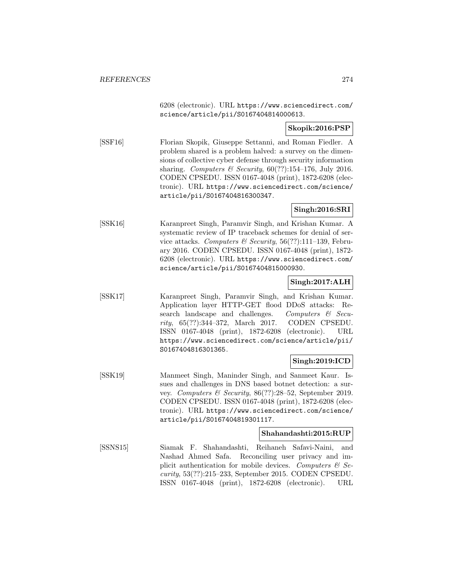6208 (electronic). URL https://www.sciencedirect.com/ science/article/pii/S0167404814000613.

# **Skopik:2016:PSP**

[SSF16] Florian Skopik, Giuseppe Settanni, and Roman Fiedler. A problem shared is a problem halved: a survey on the dimensions of collective cyber defense through security information sharing. Computers & Security,  $60(??):154-176$ , July 2016. CODEN CPSEDU. ISSN 0167-4048 (print), 1872-6208 (electronic). URL https://www.sciencedirect.com/science/ article/pii/S0167404816300347.

### **Singh:2016:SRI**

[SSK16] Karanpreet Singh, Paramvir Singh, and Krishan Kumar. A systematic review of IP traceback schemes for denial of service attacks. Computers & Security,  $56(??):111-139$ , February 2016. CODEN CPSEDU. ISSN 0167-4048 (print), 1872- 6208 (electronic). URL https://www.sciencedirect.com/ science/article/pii/S0167404815000930.

# **Singh:2017:ALH**

[SSK17] Karanpreet Singh, Paramvir Singh, and Krishan Kumar. Application layer HTTP-GET flood DDoS attacks: Research landscape and challenges. Computers & Security, 65(??):344–372, March 2017. CODEN CPSEDU. ISSN 0167-4048 (print), 1872-6208 (electronic). URL https://www.sciencedirect.com/science/article/pii/ S0167404816301365.

### **Singh:2019:ICD**

[SSK19] Manmeet Singh, Maninder Singh, and Sanmeet Kaur. Issues and challenges in DNS based botnet detection: a survey. Computers & Security, 86(??):28–52, September 2019. CODEN CPSEDU. ISSN 0167-4048 (print), 1872-6208 (electronic). URL https://www.sciencedirect.com/science/ article/pii/S0167404819301117.

### **Shahandashti:2015:RUP**

[SSNS15] Siamak F. Shahandashti, Reihaneh Safavi-Naini, and Nashad Ahmed Safa. Reconciling user privacy and implicit authentication for mobile devices. Computers  $\mathcal{C}$  Security, 53(??):215–233, September 2015. CODEN CPSEDU. ISSN 0167-4048 (print), 1872-6208 (electronic). URL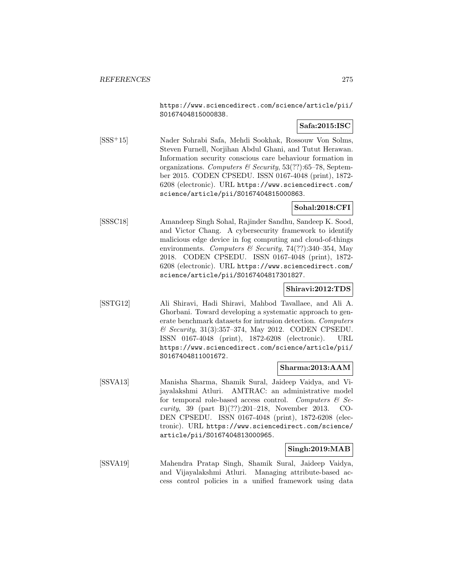https://www.sciencedirect.com/science/article/pii/ S0167404815000838.

# **Safa:2015:ISC**

[SSS<sup>+</sup>15] Nader Sohrabi Safa, Mehdi Sookhak, Rossouw Von Solms, Steven Furnell, Norjihan Abdul Ghani, and Tutut Herawan. Information security conscious care behaviour formation in organizations. Computers & Security,  $53(??)$ :65-78, September 2015. CODEN CPSEDU. ISSN 0167-4048 (print), 1872- 6208 (electronic). URL https://www.sciencedirect.com/ science/article/pii/S0167404815000863.

# **Sohal:2018:CFI**

[SSSC18] Amandeep Singh Sohal, Rajinder Sandhu, Sandeep K. Sood, and Victor Chang. A cybersecurity framework to identify malicious edge device in fog computing and cloud-of-things environments. Computers & Security, 74(??):340–354, May 2018. CODEN CPSEDU. ISSN 0167-4048 (print), 1872- 6208 (electronic). URL https://www.sciencedirect.com/ science/article/pii/S0167404817301827.

# **Shiravi:2012:TDS**

[SSTG12] Ali Shiravi, Hadi Shiravi, Mahbod Tavallaee, and Ali A. Ghorbani. Toward developing a systematic approach to generate benchmark datasets for intrusion detection. Computers & Security, 31(3):357–374, May 2012. CODEN CPSEDU. ISSN 0167-4048 (print), 1872-6208 (electronic). URL https://www.sciencedirect.com/science/article/pii/ S0167404811001672.

# **Sharma:2013:AAM**

[SSVA13] Manisha Sharma, Shamik Sural, Jaideep Vaidya, and Vijayalakshmi Atluri. AMTRAC: an administrative model for temporal role-based access control. Computers  $\mathcal{C}$  Security, 39 (part B)(??):201–218, November 2013. CO-DEN CPSEDU. ISSN 0167-4048 (print), 1872-6208 (electronic). URL https://www.sciencedirect.com/science/ article/pii/S0167404813000965.

### **Singh:2019:MAB**

[SSVA19] Mahendra Pratap Singh, Shamik Sural, Jaideep Vaidya, and Vijayalakshmi Atluri. Managing attribute-based access control policies in a unified framework using data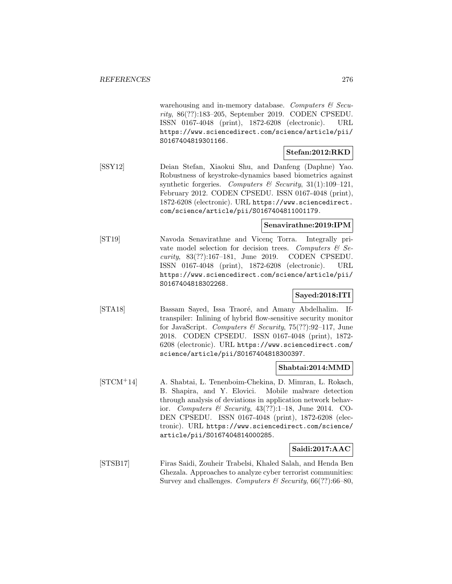warehousing and in-memory database. Computers  $\mathcal C$  Security, 86(??):183–205, September 2019. CODEN CPSEDU. ISSN 0167-4048 (print), 1872-6208 (electronic). URL https://www.sciencedirect.com/science/article/pii/ S0167404819301166.

# **Stefan:2012:RKD**

[SSY12] Deian Stefan, Xiaokui Shu, and Danfeng (Daphne) Yao. Robustness of keystroke-dynamics based biometrics against synthetic forgeries. Computers  $\mathcal C$  Security, 31(1):109-121, February 2012. CODEN CPSEDU. ISSN 0167-4048 (print), 1872-6208 (electronic). URL https://www.sciencedirect. com/science/article/pii/S0167404811001179.

### **Senavirathne:2019:IPM**

[ST19] Navoda Senavirathne and Vicenç Torra. Integrally private model selection for decision trees. Computers  $\mathcal{C}$  Security, 83(??):167–181, June 2019. CODEN CPSEDU. ISSN 0167-4048 (print), 1872-6208 (electronic). URL https://www.sciencedirect.com/science/article/pii/ S0167404818302268.

## **Sayed:2018:ITI**

[STA18] Bassam Sayed, Issa Traoré, and Amany Abdelhalim. Iftranspiler: Inlining of hybrid flow-sensitive security monitor for JavaScript. Computers & Security, 75(??):92–117, June 2018. CODEN CPSEDU. ISSN 0167-4048 (print), 1872- 6208 (electronic). URL https://www.sciencedirect.com/ science/article/pii/S0167404818300397.

### **Shabtai:2014:MMD**

[STCM<sup>+</sup>14] A. Shabtai, L. Tenenboim-Chekina, D. Mimran, L. Rokach, B. Shapira, and Y. Elovici. Mobile malware detection through analysis of deviations in application network behavior. Computers & Security,  $43(??):1-18$ , June 2014. CO-DEN CPSEDU. ISSN 0167-4048 (print), 1872-6208 (electronic). URL https://www.sciencedirect.com/science/ article/pii/S0167404814000285.

### **Saidi:2017:AAC**

[STSB17] Firas Saidi, Zouheir Trabelsi, Khaled Salah, and Henda Ben Ghezala. Approaches to analyze cyber terrorist communities: Survey and challenges. Computers & Security,  $66(??)$ :66–80,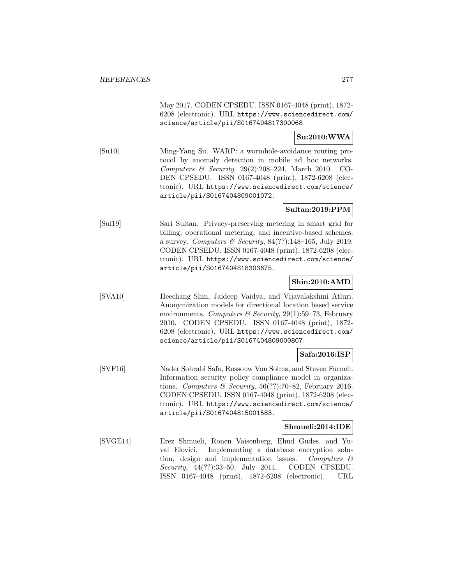May 2017. CODEN CPSEDU. ISSN 0167-4048 (print), 1872- 6208 (electronic). URL https://www.sciencedirect.com/ science/article/pii/S0167404817300068.

# **Su:2010:WWA**

[Su10] Ming-Yang Su. WARP: a wormhole-avoidance routing protocol by anomaly detection in mobile ad hoc networks. Computers & Security, 29(2):208–224, March 2010. CO-DEN CPSEDU. ISSN 0167-4048 (print), 1872-6208 (electronic). URL https://www.sciencedirect.com/science/ article/pii/S0167404809001072.

# **Sultan:2019:PPM**

[Sul19] Sari Sultan. Privacy-preserving metering in smart grid for billing, operational metering, and incentive-based schemes: a survey. Computers & Security, 84(??):148–165, July 2019. CODEN CPSEDU. ISSN 0167-4048 (print), 1872-6208 (electronic). URL https://www.sciencedirect.com/science/ article/pii/S0167404818303675.

# **Shin:2010:AMD**

[SVA10] Heechang Shin, Jaideep Vaidya, and Vijayalakshmi Atluri. Anonymization models for directional location based service environments. Computers & Security, 29(1):59–73, February 2010. CODEN CPSEDU. ISSN 0167-4048 (print), 1872- 6208 (electronic). URL https://www.sciencedirect.com/ science/article/pii/S0167404809000807.

### **Safa:2016:ISP**

[SVF16] Nader Sohrabi Safa, Rossouw Von Solms, and Steven Furnell. Information security policy compliance model in organizations. Computers & Security,  $56(??)$ :70–82, February 2016. CODEN CPSEDU. ISSN 0167-4048 (print), 1872-6208 (electronic). URL https://www.sciencedirect.com/science/ article/pii/S0167404815001583.

### **Shmueli:2014:IDE**

[SVGE14] Erez Shmueli, Ronen Vaisenberg, Ehud Gudes, and Yuval Elovici. Implementing a database encryption solution, design and implementation issues. Computers  $\mathcal{C}$ Security, 44(??):33–50, July 2014. CODEN CPSEDU. ISSN 0167-4048 (print), 1872-6208 (electronic). URL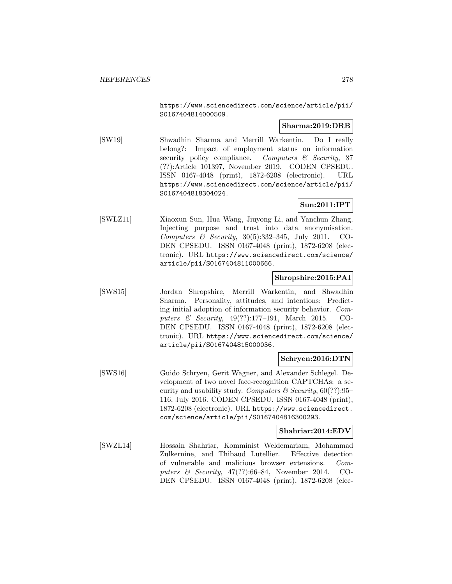https://www.sciencedirect.com/science/article/pii/ S0167404814000509.

### **Sharma:2019:DRB**

**Sun:2011:IPT**

[SW19] Shwadhin Sharma and Merrill Warkentin. Do I really belong?: Impact of employment status on information security policy compliance. Computers & Security, 87 (??):Article 101397, November 2019. CODEN CPSEDU. ISSN 0167-4048 (print), 1872-6208 (electronic). URL https://www.sciencedirect.com/science/article/pii/ S0167404818304024.

[SWLZ11] Xiaoxun Sun, Hua Wang, Jiuyong Li, and Yanchun Zhang. Injecting purpose and trust into data anonymisation. Computers  $\&$  Security, 30(5):332-345, July 2011. CO-DEN CPSEDU. ISSN 0167-4048 (print), 1872-6208 (electronic). URL https://www.sciencedirect.com/science/ article/pii/S0167404811000666.

#### **Shropshire:2015:PAI**

[SWS15] Jordan Shropshire, Merrill Warkentin, and Shwadhin Sharma. Personality, attitudes, and intentions: Predicting initial adoption of information security behavior. Computers & Security, 49(??):177–191, March 2015. CO-DEN CPSEDU. ISSN 0167-4048 (print), 1872-6208 (electronic). URL https://www.sciencedirect.com/science/ article/pii/S0167404815000036.

### **Schryen:2016:DTN**

[SWS16] Guido Schryen, Gerit Wagner, and Alexander Schlegel. Development of two novel face-recognition CAPTCHAs: a security and usability study. Computers  $\mathcal C$  Security, 60(??):95– 116, July 2016. CODEN CPSEDU. ISSN 0167-4048 (print), 1872-6208 (electronic). URL https://www.sciencedirect. com/science/article/pii/S0167404816300293.

#### **Shahriar:2014:EDV**

[SWZL14] Hossain Shahriar, Komminist Weldemariam, Mohammad Zulkernine, and Thibaud Lutellier. Effective detection of vulnerable and malicious browser extensions. Computers  $\&$  Security, 47(??):66–84, November 2014. CO-DEN CPSEDU. ISSN 0167-4048 (print), 1872-6208 (elec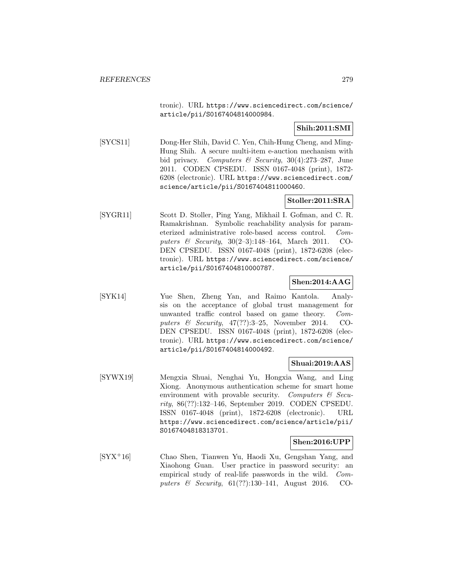tronic). URL https://www.sciencedirect.com/science/ article/pii/S0167404814000984.

# **Shih:2011:SMI**

[SYCS11] Dong-Her Shih, David C. Yen, Chih-Hung Cheng, and Ming-Hung Shih. A secure multi-item e-auction mechanism with bid privacy. Computers & Security,  $30(4):273-287$ , June 2011. CODEN CPSEDU. ISSN 0167-4048 (print), 1872- 6208 (electronic). URL https://www.sciencedirect.com/ science/article/pii/S0167404811000460.

# **Stoller:2011:SRA**

[SYGR11] Scott D. Stoller, Ping Yang, Mikhail I. Gofman, and C. R. Ramakrishnan. Symbolic reachability analysis for parameterized administrative role-based access control. Computers & Security, 30(2–3):148–164, March 2011. CO-DEN CPSEDU. ISSN 0167-4048 (print), 1872-6208 (electronic). URL https://www.sciencedirect.com/science/ article/pii/S0167404810000787.

# **Shen:2014:AAG**

[SYK14] Yue Shen, Zheng Yan, and Raimo Kantola. Analysis on the acceptance of global trust management for unwanted traffic control based on game theory. Computers  $\&$  Security, 47(??):3-25, November 2014. CO-DEN CPSEDU. ISSN 0167-4048 (print), 1872-6208 (electronic). URL https://www.sciencedirect.com/science/ article/pii/S0167404814000492.

### **Shuai:2019:AAS**

[SYWX19] Mengxia Shuai, Nenghai Yu, Hongxia Wang, and Ling Xiong. Anonymous authentication scheme for smart home environment with provable security. Computers  $\mathcal{C}$  Security, 86(??):132–146, September 2019. CODEN CPSEDU. ISSN 0167-4048 (print), 1872-6208 (electronic). URL https://www.sciencedirect.com/science/article/pii/ S0167404818313701.

# **Shen:2016:UPP**

[SYX<sup>+</sup>16] Chao Shen, Tianwen Yu, Haodi Xu, Gengshan Yang, and Xiaohong Guan. User practice in password security: an empirical study of real-life passwords in the wild. Computers & Security, 61(??):130–141, August 2016. CO-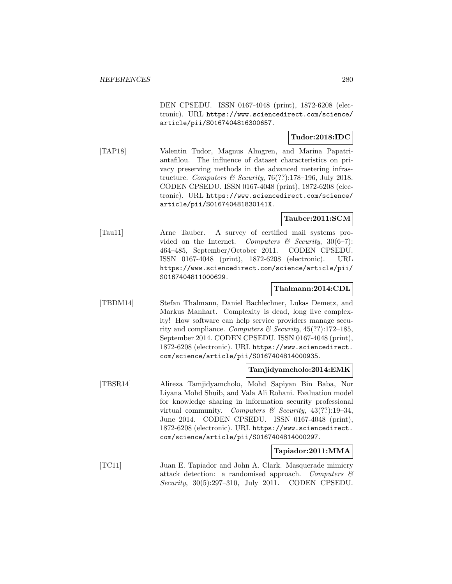DEN CPSEDU. ISSN 0167-4048 (print), 1872-6208 (electronic). URL https://www.sciencedirect.com/science/ article/pii/S0167404816300657.

# **Tudor:2018:IDC**

[TAP18] Valentin Tudor, Magnus Almgren, and Marina Papatriantafilou. The influence of dataset characteristics on privacy preserving methods in the advanced metering infrastructure. Computers & Security, 76(??):178-196, July 2018. CODEN CPSEDU. ISSN 0167-4048 (print), 1872-6208 (electronic). URL https://www.sciencedirect.com/science/ article/pii/S016740481830141X.

# **Tauber:2011:SCM**

[Tau11] Arne Tauber. A survey of certified mail systems provided on the Internet. Computers  $\mathcal C$  Security, 30(6–7): 464–485, September/October 2011. CODEN CPSEDU. ISSN 0167-4048 (print), 1872-6208 (electronic). URL https://www.sciencedirect.com/science/article/pii/ S0167404811000629.

### **Thalmann:2014:CDL**

[TBDM14] Stefan Thalmann, Daniel Bachlechner, Lukas Demetz, and Markus Manhart. Complexity is dead, long live complexity! How software can help service providers manage security and compliance. Computers & Security,  $45(??)$ :172-185, September 2014. CODEN CPSEDU. ISSN 0167-4048 (print), 1872-6208 (electronic). URL https://www.sciencedirect. com/science/article/pii/S0167404814000935.

#### **Tamjidyamcholo:2014:EMK**

[TBSR14] Alireza Tamjidyamcholo, Mohd Sapiyan Bin Baba, Nor Liyana Mohd Shuib, and Vala Ali Rohani. Evaluation model for knowledge sharing in information security professional virtual community. Computers & Security,  $43(??):19-34$ , June 2014. CODEN CPSEDU. ISSN 0167-4048 (print), 1872-6208 (electronic). URL https://www.sciencedirect. com/science/article/pii/S0167404814000297.

#### **Tapiador:2011:MMA**

[TC11] Juan E. Tapiador and John A. Clark. Masquerade mimicry attack detection: a randomised approach. Computers & Security, 30(5):297–310, July 2011. CODEN CPSEDU.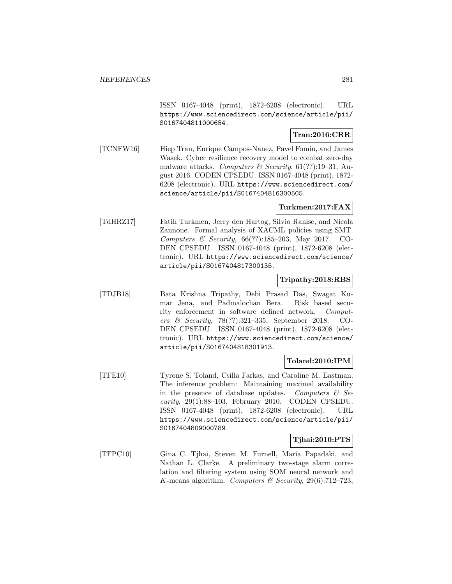ISSN 0167-4048 (print), 1872-6208 (electronic). URL https://www.sciencedirect.com/science/article/pii/ S0167404811000654.

# **Tran:2016:CRR**

[TCNFW16] Hiep Tran, Enrique Campos-Nanez, Pavel Fomin, and James Wasek. Cyber resilience recovery model to combat zero-day malware attacks. Computers & Security,  $61(??):19-31$ , August 2016. CODEN CPSEDU. ISSN 0167-4048 (print), 1872- 6208 (electronic). URL https://www.sciencedirect.com/ science/article/pii/S0167404816300505.

# **Turkmen:2017:FAX**

[TdHRZ17] Fatih Turkmen, Jerry den Hartog, Silvio Ranise, and Nicola Zannone. Formal analysis of XACML policies using SMT. Computers & Security, 66(??):185–203, May 2017. CO-DEN CPSEDU. ISSN 0167-4048 (print), 1872-6208 (electronic). URL https://www.sciencedirect.com/science/ article/pii/S0167404817300135.

### **Tripathy:2018:RBS**

[TDJB18] Bata Krishna Tripathy, Debi Prasad Das, Swagat Kumar Jena, and Padmalochan Bera. Risk based security enforcement in software defined network. Computers & Security, 78(??):321–335, September 2018. CO-DEN CPSEDU. ISSN 0167-4048 (print), 1872-6208 (electronic). URL https://www.sciencedirect.com/science/ article/pii/S0167404818301913.

### **Toland:2010:IPM**

[TFE10] Tyrone S. Toland, Csilla Farkas, and Caroline M. Eastman. The inference problem: Maintaining maximal availability in the presence of database updates. Computers  $\mathcal{C}$  Security, 29(1):88–103, February 2010. CODEN CPSEDU. ISSN 0167-4048 (print), 1872-6208 (electronic). URL https://www.sciencedirect.com/science/article/pii/ S0167404809000789.

# **Tjhai:2010:PTS**

[TFPC10] Gina C. Tjhai, Steven M. Furnell, Maria Papadaki, and Nathan L. Clarke. A preliminary two-stage alarm correlation and filtering system using SOM neural network and K-means algorithm. Computers & Security,  $29(6)$ :712–723,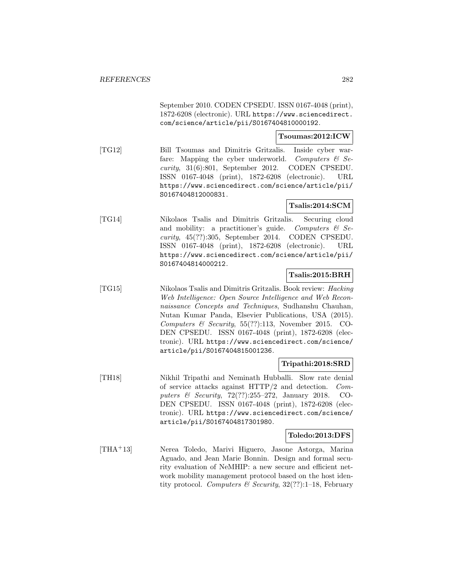September 2010. CODEN CPSEDU. ISSN 0167-4048 (print), 1872-6208 (electronic). URL https://www.sciencedirect. com/science/article/pii/S0167404810000192.

#### **Tsoumas:2012:ICW**

[TG12] Bill Tsoumas and Dimitris Gritzalis. Inside cyber warfare: Mapping the cyber underworld. Computers  $\mathcal{C}$  Security, 31(6):801, September 2012. CODEN CPSEDU. ISSN 0167-4048 (print), 1872-6208 (electronic). URL https://www.sciencedirect.com/science/article/pii/ S0167404812000831.

### **Tsalis:2014:SCM**

[TG14] Nikolaos Tsalis and Dimitris Gritzalis. Securing cloud and mobility: a practitioner's guide. Computers  $\mathcal{C}$  Se $curity, 45(??):305, September 2014. CODEN CPSEDU.$ ISSN 0167-4048 (print), 1872-6208 (electronic). URL https://www.sciencedirect.com/science/article/pii/ S0167404814000212.

### **Tsalis:2015:BRH**

[TG15] Nikolaos Tsalis and Dimitris Gritzalis. Book review: Hacking Web Intelligence: Open Source Intelligence and Web Reconnaissance Concepts and Techniques, Sudhanshu Chauhan, Nutan Kumar Panda, Elsevier Publications, USA (2015). Computers & Security, 55(??):113, November 2015. CO-DEN CPSEDU. ISSN 0167-4048 (print), 1872-6208 (electronic). URL https://www.sciencedirect.com/science/ article/pii/S0167404815001236.

### **Tripathi:2018:SRD**

[TH18] Nikhil Tripathi and Neminath Hubballi. Slow rate denial of service attacks against HTTP/2 and detection. Computers & Security, 72(??):255–272, January 2018. CO-DEN CPSEDU. ISSN 0167-4048 (print), 1872-6208 (electronic). URL https://www.sciencedirect.com/science/ article/pii/S0167404817301980.

#### **Toledo:2013:DFS**

[THA<sup>+</sup>13] Nerea Toledo, Marivi Higuero, Jasone Astorga, Marina Aguado, and Jean Marie Bonnin. Design and formal security evaluation of NeMHIP: a new secure and efficient network mobility management protocol based on the host identity protocol. Computers & Security, 32(??):1–18, February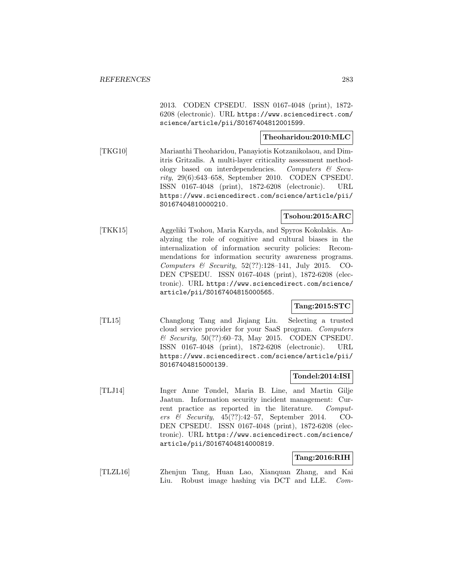2013. CODEN CPSEDU. ISSN 0167-4048 (print), 1872- 6208 (electronic). URL https://www.sciencedirect.com/ science/article/pii/S0167404812001599.

# **Theoharidou:2010:MLC**

[TKG10] Marianthi Theoharidou, Panayiotis Kotzanikolaou, and Dimitris Gritzalis. A multi-layer criticality assessment methodology based on interdependencies. Computers & Security, 29(6):643–658, September 2010. CODEN CPSEDU. ISSN 0167-4048 (print), 1872-6208 (electronic). URL https://www.sciencedirect.com/science/article/pii/ S0167404810000210.

### **Tsohou:2015:ARC**

[TKK15] Aggeliki Tsohou, Maria Karyda, and Spyros Kokolakis. Analyzing the role of cognitive and cultural biases in the internalization of information security policies: Recommendations for information security awareness programs. Computers  $\&$  Security, 52(??):128-141, July 2015. CO-DEN CPSEDU. ISSN 0167-4048 (print), 1872-6208 (electronic). URL https://www.sciencedirect.com/science/ article/pii/S0167404815000565.

### **Tang:2015:STC**

[TL15] Changlong Tang and Jiqiang Liu. Selecting a trusted cloud service provider for your SaaS program. Computers  $\&$  Security, 50(??):60–73, May 2015. CODEN CPSEDU. ISSN 0167-4048 (print), 1872-6208 (electronic). URL https://www.sciencedirect.com/science/article/pii/ S0167404815000139.

# **Tondel:2014:ISI**

[TLJ14] Inger Anne Tøndel, Maria B. Line, and Martin Gilje Jaatun. Information security incident management: Current practice as reported in the literature. Computers & Security, 45(??):42–57, September 2014. CO-DEN CPSEDU. ISSN 0167-4048 (print), 1872-6208 (electronic). URL https://www.sciencedirect.com/science/ article/pii/S0167404814000819.

### **Tang:2016:RIH**

[TLZL16] Zhenjun Tang, Huan Lao, Xianquan Zhang, and Kai Liu. Robust image hashing via DCT and LLE. Com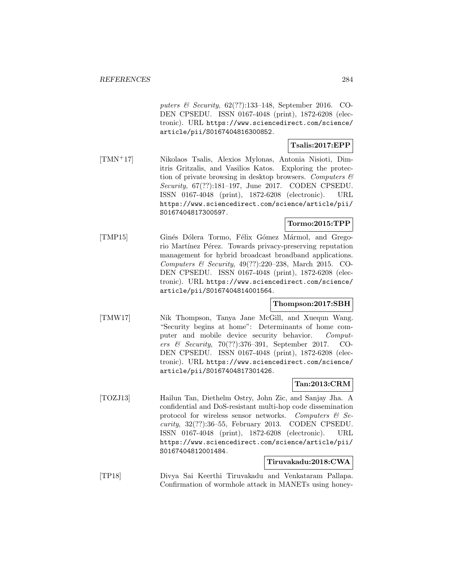puters & Security, 62(??):133–148, September 2016. CO-DEN CPSEDU. ISSN 0167-4048 (print), 1872-6208 (electronic). URL https://www.sciencedirect.com/science/ article/pii/S0167404816300852.

# **Tsalis:2017:EPP**

[TMN<sup>+</sup>17] Nikolaos Tsalis, Alexios Mylonas, Antonia Nisioti, Dimitris Gritzalis, and Vasilios Katos. Exploring the protection of private browsing in desktop browsers. Computers  $\mathcal{C}$ Security, 67(??):181–197, June 2017. CODEN CPSEDU. ISSN 0167-4048 (print), 1872-6208 (electronic). URL https://www.sciencedirect.com/science/article/pii/ S0167404817300597.

# **Tormo:2015:TPP**

[TMP15] Ginés Dólera Tormo, Félix Gómez Mármol, and Gregorio Martínez Pérez. Towards privacy-preserving reputation management for hybrid broadcast broadband applications. Computers & Security, 49(??):220–238, March 2015. CO-DEN CPSEDU. ISSN 0167-4048 (print), 1872-6208 (electronic). URL https://www.sciencedirect.com/science/ article/pii/S0167404814001564.

# **Thompson:2017:SBH**

[TMW17] Nik Thompson, Tanya Jane McGill, and Xuequn Wang. "Security begins at home": Determinants of home computer and mobile device security behavior. Computers & Security, 70(??):376–391, September 2017. CO-DEN CPSEDU. ISSN 0167-4048 (print), 1872-6208 (electronic). URL https://www.sciencedirect.com/science/ article/pii/S0167404817301426.

# **Tan:2013:CRM**

[TOZJ13] Hailun Tan, Diethelm Ostry, John Zic, and Sanjay Jha. A confidential and DoS-resistant multi-hop code dissemination protocol for wireless sensor networks. Computers  $\mathcal{C}$  Security, 32(??):36–55, February 2013. CODEN CPSEDU. ISSN 0167-4048 (print), 1872-6208 (electronic). URL https://www.sciencedirect.com/science/article/pii/ S0167404812001484.

# **Tiruvakadu:2018:CWA**

[TP18] Divya Sai Keerthi Tiruvakadu and Venkataram Pallapa. Confirmation of wormhole attack in MANETs using honey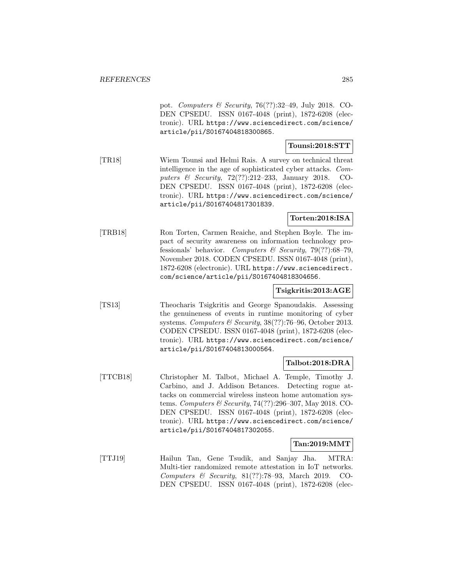pot. Computers & Security, 76(??):32–49, July 2018. CO-DEN CPSEDU. ISSN 0167-4048 (print), 1872-6208 (electronic). URL https://www.sciencedirect.com/science/ article/pii/S0167404818300865.

# **Tounsi:2018:STT**

[TR18] Wiem Tounsi and Helmi Rais. A survey on technical threat intelligence in the age of sophisticated cyber attacks. Computers & Security, 72(??):212–233, January 2018. CO-DEN CPSEDU. ISSN 0167-4048 (print), 1872-6208 (electronic). URL https://www.sciencedirect.com/science/ article/pii/S0167404817301839.

# **Torten:2018:ISA**

[TRB18] Ron Torten, Carmen Reaiche, and Stephen Boyle. The impact of security awareness on information technology professionals' behavior. Computers & Security, 79(??):68-79, November 2018. CODEN CPSEDU. ISSN 0167-4048 (print), 1872-6208 (electronic). URL https://www.sciencedirect. com/science/article/pii/S0167404818304656.

# **Tsigkritis:2013:AGE**

[TS13] Theocharis Tsigkritis and George Spanoudakis. Assessing the genuineness of events in runtime monitoring of cyber systems. Computers & Security,  $38(??)$ :76-96, October 2013. CODEN CPSEDU. ISSN 0167-4048 (print), 1872-6208 (electronic). URL https://www.sciencedirect.com/science/ article/pii/S0167404813000564.

#### **Talbot:2018:DRA**

[TTCB18] Christopher M. Talbot, Michael A. Temple, Timothy J. Carbino, and J. Addison Betances. Detecting rogue attacks on commercial wireless insteon home automation systems. Computers & Security, 74(??):296–307, May 2018. CO-DEN CPSEDU. ISSN 0167-4048 (print), 1872-6208 (electronic). URL https://www.sciencedirect.com/science/ article/pii/S0167404817302055.

### **Tan:2019:MMT**

[TTJ19] Hailun Tan, Gene Tsudik, and Sanjay Jha. MTRA: Multi-tier randomized remote attestation in IoT networks. Computers & Security, 81(??):78–93, March 2019. CO-DEN CPSEDU. ISSN 0167-4048 (print), 1872-6208 (elec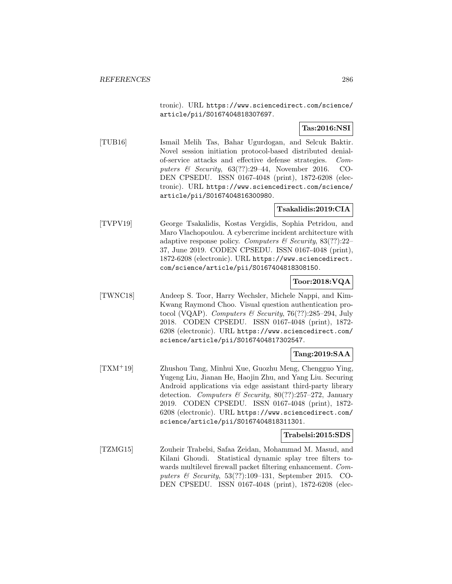tronic). URL https://www.sciencedirect.com/science/ article/pii/S0167404818307697.

# **Tas:2016:NSI**

[TUB16] Ismail Melih Tas, Bahar Ugurdogan, and Selcuk Baktir. Novel session initiation protocol-based distributed denialof-service attacks and effective defense strategies. Computers & Security, 63(??):29–44, November 2016. CO-DEN CPSEDU. ISSN 0167-4048 (print), 1872-6208 (electronic). URL https://www.sciencedirect.com/science/ article/pii/S0167404816300980.

### **Tsakalidis:2019:CIA**

[TVPV19] George Tsakalidis, Kostas Vergidis, Sophia Petridou, and Maro Vlachopoulou. A cybercrime incident architecture with adaptive response policy. Computers & Security,  $83(??):22-$ 37, June 2019. CODEN CPSEDU. ISSN 0167-4048 (print), 1872-6208 (electronic). URL https://www.sciencedirect. com/science/article/pii/S0167404818308150.

### **Toor:2018:VQA**

[TWNC18] Andeep S. Toor, Harry Wechsler, Michele Nappi, and Kim-Kwang Raymond Choo. Visual question authentication protocol (VQAP). Computers  $\mathcal B$  Security, 76(??):285–294, July 2018. CODEN CPSEDU. ISSN 0167-4048 (print), 1872- 6208 (electronic). URL https://www.sciencedirect.com/ science/article/pii/S0167404817302547.

# **Tang:2019:SAA**

[TXM<sup>+</sup>19] Zhushou Tang, Minhui Xue, Guozhu Meng, Chengguo Ying, Yugeng Liu, Jianan He, Haojin Zhu, and Yang Liu. Securing Android applications via edge assistant third-party library detection. Computers & Security,  $80(??):257-272$ , January 2019. CODEN CPSEDU. ISSN 0167-4048 (print), 1872- 6208 (electronic). URL https://www.sciencedirect.com/ science/article/pii/S0167404818311301.

### **Trabelsi:2015:SDS**

[TZMG15] Zouheir Trabelsi, Safaa Zeidan, Mohammad M. Masud, and Kilani Ghoudi. Statistical dynamic splay tree filters towards multilevel firewall packet filtering enhancement. Computers  $\&$  Security, 53(??):109–131, September 2015. CO-DEN CPSEDU. ISSN 0167-4048 (print), 1872-6208 (elec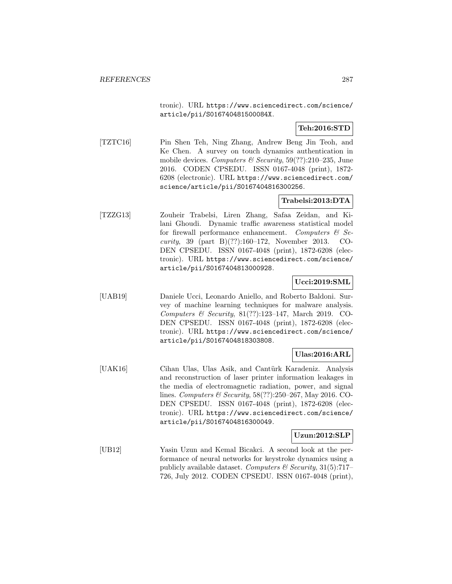tronic). URL https://www.sciencedirect.com/science/ article/pii/S016740481500084X.

# **Teh:2016:STD**

[TZTC16] Pin Shen Teh, Ning Zhang, Andrew Beng Jin Teoh, and Ke Chen. A survey on touch dynamics authentication in mobile devices. Computers & Security,  $59(??):210-235$ , June 2016. CODEN CPSEDU. ISSN 0167-4048 (print), 1872- 6208 (electronic). URL https://www.sciencedirect.com/ science/article/pii/S0167404816300256.

# **Trabelsi:2013:DTA**

[TZZG13] Zouheir Trabelsi, Liren Zhang, Safaa Zeidan, and Kilani Ghoudi. Dynamic traffic awareness statistical model for firewall performance enhancement. Computers  $\mathcal{C}$  Security, 39 (part B)(??):160–172, November 2013. CO-DEN CPSEDU. ISSN 0167-4048 (print), 1872-6208 (electronic). URL https://www.sciencedirect.com/science/ article/pii/S0167404813000928.

### **Ucci:2019:SML**

[UAB19] Daniele Ucci, Leonardo Aniello, and Roberto Baldoni. Survey of machine learning techniques for malware analysis. Computers & Security, 81(??):123–147, March 2019. CO-DEN CPSEDU. ISSN 0167-4048 (print), 1872-6208 (electronic). URL https://www.sciencedirect.com/science/ article/pii/S0167404818303808.

# **Ulas:2016:ARL**

[UAK16] Cihan Ulas, Ulas Asik, and Cantürk Karadeniz. Analysis and reconstruction of laser printer information leakages in the media of electromagnetic radiation, power, and signal lines. Computers & Security, 58(??):250–267, May 2016. CO-DEN CPSEDU. ISSN 0167-4048 (print), 1872-6208 (electronic). URL https://www.sciencedirect.com/science/ article/pii/S0167404816300049.

### **Uzun:2012:SLP**

[UB12] Yasin Uzun and Kemal Bicakci. A second look at the performance of neural networks for keystroke dynamics using a publicly available dataset. Computers  $\mathcal C$  Security, 31(5):717– 726, July 2012. CODEN CPSEDU. ISSN 0167-4048 (print),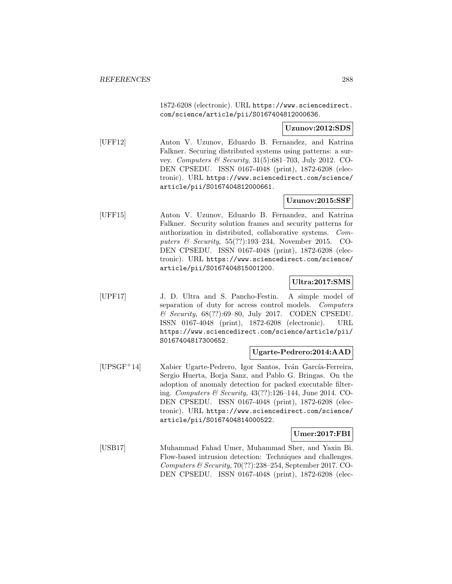1872-6208 (electronic). URL https://www.sciencedirect. com/science/article/pii/S0167404812000636.

### **Uzunov:2012:SDS**

[UFF12] Anton V. Uzunov, Eduardo B. Fernandez, and Katrina Falkner. Securing distributed systems using patterns: a survey. Computers & Security, 31(5):681–703, July 2012. CO-DEN CPSEDU. ISSN 0167-4048 (print), 1872-6208 (electronic). URL https://www.sciencedirect.com/science/ article/pii/S0167404812000661.

### **Uzunov:2015:SSF**

[UFF15] Anton V. Uzunov, Eduardo B. Fernandez, and Katrina Falkner. Security solution frames and security patterns for authorization in distributed, collaborative systems. Computers & Security, 55(??):193–234, November 2015. CO-DEN CPSEDU. ISSN 0167-4048 (print), 1872-6208 (electronic). URL https://www.sciencedirect.com/science/ article/pii/S0167404815001200.

### **Ultra:2017:SMS**

[UPF17] J. D. Ultra and S. Pancho-Festin. A simple model of separation of duty for access control models. Computers & Security, 68(??):69–80, July 2017. CODEN CPSEDU. ISSN 0167-4048 (print), 1872-6208 (electronic). URL https://www.sciencedirect.com/science/article/pii/ S0167404817300652.

### **Ugarte-Pedrero:2014:AAD**

[UPSGF<sup>+</sup>14] Xabier Ugarte-Pedrero, Igor Santos, Iván García-Ferreira, Sergio Huerta, Borja Sanz, and Pablo G. Bringas. On the adoption of anomaly detection for packed executable filtering. Computers & Security, 43(??):126–144, June 2014. CO-DEN CPSEDU. ISSN 0167-4048 (print), 1872-6208 (electronic). URL https://www.sciencedirect.com/science/ article/pii/S0167404814000522.

### **Umer:2017:FBI**

[USB17] Muhammad Fahad Umer, Muhammad Sher, and Yaxin Bi. Flow-based intrusion detection: Techniques and challenges. Computers  $\mathcal C$  Security, 70(??):238-254, September 2017. CO-DEN CPSEDU. ISSN 0167-4048 (print), 1872-6208 (elec-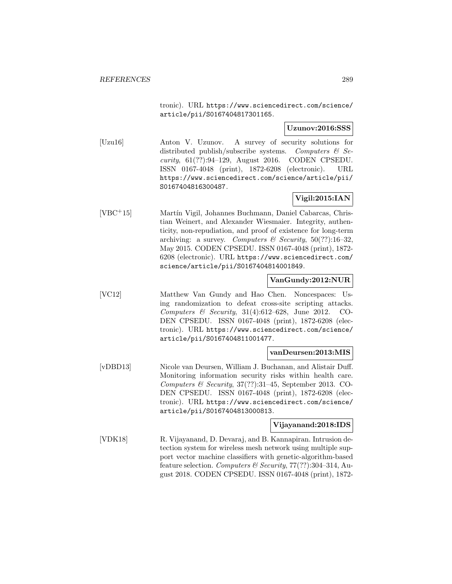tronic). URL https://www.sciencedirect.com/science/ article/pii/S0167404817301165.

### **Uzunov:2016:SSS**

[Uzu16] Anton V. Uzunov. A survey of security solutions for distributed publish/subscribe systems. Computers  $\mathcal{C}$  Security, 61(??):94–129, August 2016. CODEN CPSEDU. ISSN 0167-4048 (print), 1872-6208 (electronic). URL https://www.sciencedirect.com/science/article/pii/ S0167404816300487.

## **Vigil:2015:IAN**

[VBC<sup>+</sup>15] Martín Vigil, Johannes Buchmann, Daniel Cabarcas, Christian Weinert, and Alexander Wiesmaier. Integrity, authenticity, non-repudiation, and proof of existence for long-term archiving: a survey. Computers & Security,  $50(??)$ :16-32, May 2015. CODEN CPSEDU. ISSN 0167-4048 (print), 1872- 6208 (electronic). URL https://www.sciencedirect.com/ science/article/pii/S0167404814001849.

### **VanGundy:2012:NUR**

[VC12] Matthew Van Gundy and Hao Chen. Noncespaces: Using randomization to defeat cross-site scripting attacks. Computers & Security, 31(4):612–628, June 2012. CO-DEN CPSEDU. ISSN 0167-4048 (print), 1872-6208 (electronic). URL https://www.sciencedirect.com/science/ article/pii/S0167404811001477.

### **vanDeursen:2013:MIS**

[vDBD13] Nicole van Deursen, William J. Buchanan, and Alistair Duff. Monitoring information security risks within health care. Computers & Security, 37(??):31–45, September 2013. CO-DEN CPSEDU. ISSN 0167-4048 (print), 1872-6208 (electronic). URL https://www.sciencedirect.com/science/ article/pii/S0167404813000813.

### **Vijayanand:2018:IDS**

[VDK18] R. Vijayanand, D. Devaraj, and B. Kannapiran. Intrusion detection system for wireless mesh network using multiple support vector machine classifiers with genetic-algorithm-based feature selection. Computers & Security,  $77(??)$ :304-314, August 2018. CODEN CPSEDU. ISSN 0167-4048 (print), 1872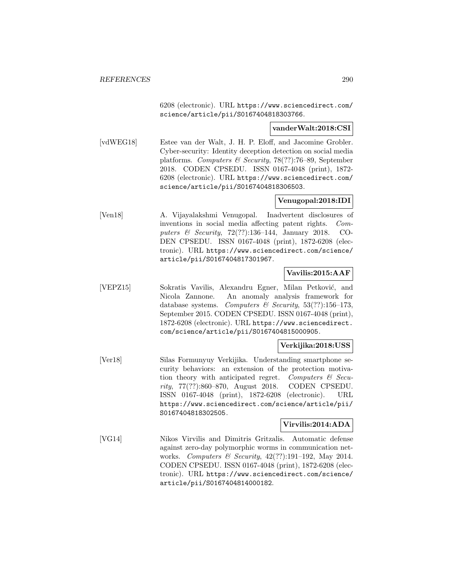6208 (electronic). URL https://www.sciencedirect.com/ science/article/pii/S0167404818303766.

#### **vanderWalt:2018:CSI**

[vdWEG18] Estee van der Walt, J. H. P. Eloff, and Jacomine Grobler. Cyber-security: Identity deception detection on social media platforms. Computers & Security, 78(??):76–89, September 2018. CODEN CPSEDU. ISSN 0167-4048 (print), 1872- 6208 (electronic). URL https://www.sciencedirect.com/ science/article/pii/S0167404818306503.

## **Venugopal:2018:IDI**

[Ven18] A. Vijayalakshmi Venugopal. Inadvertent disclosures of inventions in social media affecting patent rights. Computers & Security, 72(??):136–144, January 2018. CO-DEN CPSEDU. ISSN 0167-4048 (print), 1872-6208 (electronic). URL https://www.sciencedirect.com/science/ article/pii/S0167404817301967.

## **Vavilis:2015:AAF**

[VEPZ15] Sokratis Vavilis, Alexandru Egner, Milan Petković, and Nicola Zannone. An anomaly analysis framework for database systems. Computers & Security,  $53(??)$ :156-173, September 2015. CODEN CPSEDU. ISSN 0167-4048 (print), 1872-6208 (electronic). URL https://www.sciencedirect. com/science/article/pii/S0167404815000905.

### **Verkijika:2018:USS**

[Ver18] Silas Formunyuy Verkijika. Understanding smartphone security behaviors: an extension of the protection motivation theory with anticipated regret. Computers  $\mathcal{C}$  Security, 77(??):860–870, August 2018. CODEN CPSEDU. ISSN 0167-4048 (print), 1872-6208 (electronic). URL https://www.sciencedirect.com/science/article/pii/ S0167404818302505.

### **Virvilis:2014:ADA**

[VG14] Nikos Virvilis and Dimitris Gritzalis. Automatic defense against zero-day polymorphic worms in communication networks. Computers & Security, 42(??):191–192, May 2014. CODEN CPSEDU. ISSN 0167-4048 (print), 1872-6208 (electronic). URL https://www.sciencedirect.com/science/ article/pii/S0167404814000182.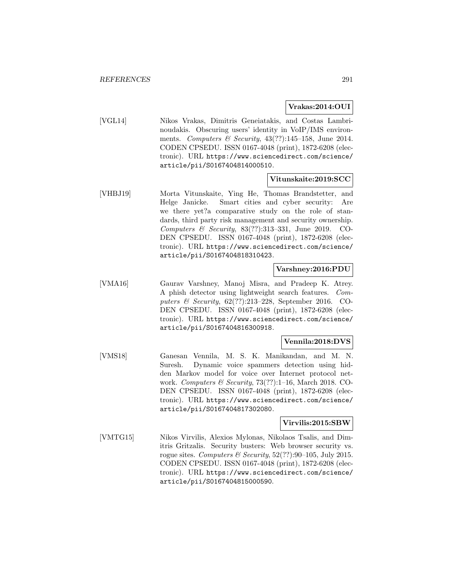#### **Vrakas:2014:OUI**

[VGL14] Nikos Vrakas, Dimitris Geneiatakis, and Costas Lambrinoudakis. Obscuring users' identity in VoIP/IMS environments. Computers & Security,  $43(??):145-158$ , June 2014. CODEN CPSEDU. ISSN 0167-4048 (print), 1872-6208 (electronic). URL https://www.sciencedirect.com/science/ article/pii/S0167404814000510.

#### **Vitunskaite:2019:SCC**

[VHBJ19] Morta Vitunskaite, Ying He, Thomas Brandstetter, and Helge Janicke. Smart cities and cyber security: Are we there yet?a comparative study on the role of standards, third party risk management and security ownership. Computers & Security, 83(??):313–331, June 2019. CO-DEN CPSEDU. ISSN 0167-4048 (print), 1872-6208 (electronic). URL https://www.sciencedirect.com/science/ article/pii/S0167404818310423.

### **Varshney:2016:PDU**

[VMA16] Gaurav Varshney, Manoj Misra, and Pradeep K. Atrey. A phish detector using lightweight search features. Computers & Security, 62(??):213–228, September 2016. CO-DEN CPSEDU. ISSN 0167-4048 (print), 1872-6208 (electronic). URL https://www.sciencedirect.com/science/ article/pii/S0167404816300918.

### **Vennila:2018:DVS**

[VMS18] Ganesan Vennila, M. S. K. Manikandan, and M. N. Suresh. Dynamic voice spammers detection using hidden Markov model for voice over Internet protocol network. Computers & Security,  $73(??):1-16$ , March 2018. CO-DEN CPSEDU. ISSN 0167-4048 (print), 1872-6208 (electronic). URL https://www.sciencedirect.com/science/ article/pii/S0167404817302080.

### **Virvilis:2015:SBW**

[VMTG15] Nikos Virvilis, Alexios Mylonas, Nikolaos Tsalis, and Dimitris Gritzalis. Security busters: Web browser security vs. rogue sites. Computers & Security,  $52(??)$ :90-105, July 2015. CODEN CPSEDU. ISSN 0167-4048 (print), 1872-6208 (electronic). URL https://www.sciencedirect.com/science/ article/pii/S0167404815000590.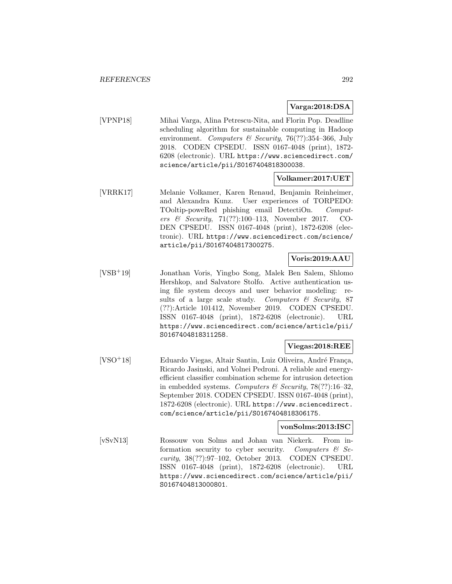## **Varga:2018:DSA**

[VPNP18] Mihai Varga, Alina Petrescu-Nita, and Florin Pop. Deadline scheduling algorithm for sustainable computing in Hadoop environment. Computers & Security, 76(??):354-366, July 2018. CODEN CPSEDU. ISSN 0167-4048 (print), 1872- 6208 (electronic). URL https://www.sciencedirect.com/ science/article/pii/S0167404818300038.

### **Volkamer:2017:UET**

[VRRK17] Melanie Volkamer, Karen Renaud, Benjamin Reinheimer, and Alexandra Kunz. User experiences of TORPEDO: TOoltip-poweRed phishing email DetectiOn. Computers & Security, 71(??):100–113, November 2017. CO-DEN CPSEDU. ISSN 0167-4048 (print), 1872-6208 (electronic). URL https://www.sciencedirect.com/science/ article/pii/S0167404817300275.

## **Voris:2019:AAU**

[VSB<sup>+</sup>19] Jonathan Voris, Yingbo Song, Malek Ben Salem, Shlomo Hershkop, and Salvatore Stolfo. Active authentication using file system decoys and user behavior modeling: results of a large scale study. Computers  $\mathcal C$  Security, 87 (??):Article 101412, November 2019. CODEN CPSEDU. ISSN 0167-4048 (print), 1872-6208 (electronic). URL https://www.sciencedirect.com/science/article/pii/ S0167404818311258.

### **Viegas:2018:REE**

[VSO<sup>+</sup>18] Eduardo Viegas, Altair Santin, Luiz Oliveira, André França, Ricardo Jasinski, and Volnei Pedroni. A reliable and energyefficient classifier combination scheme for intrusion detection in embedded systems. Computers & Security,  $78(??):16-32$ , September 2018. CODEN CPSEDU. ISSN 0167-4048 (print), 1872-6208 (electronic). URL https://www.sciencedirect. com/science/article/pii/S0167404818306175.

## **vonSolms:2013:ISC**

[vSvN13] Rossouw von Solms and Johan van Niekerk. From information security to cyber security. Computers  $\mathcal{C}$  Security, 38(??):97–102, October 2013. CODEN CPSEDU. ISSN 0167-4048 (print), 1872-6208 (electronic). URL https://www.sciencedirect.com/science/article/pii/ S0167404813000801.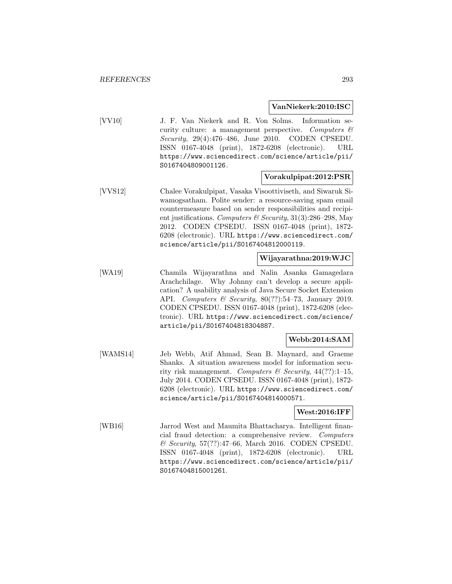#### **VanNiekerk:2010:ISC**

[VV10] J. F. Van Niekerk and R. Von Solms. Information security culture: a management perspective. Computers  $\mathcal{C}$ Security, 29(4):476–486, June 2010. CODEN CPSEDU. ISSN 0167-4048 (print), 1872-6208 (electronic). URL https://www.sciencedirect.com/science/article/pii/ S0167404809001126.

## **Vorakulpipat:2012:PSR**

[VVS12] Chalee Vorakulpipat, Vasaka Visoottiviseth, and Siwaruk Siwamogsatham. Polite sender: a resource-saving spam email countermeasure based on sender responsibilities and recipient justifications. Computers & Security,  $31(3):286-298$ , May 2012. CODEN CPSEDU. ISSN 0167-4048 (print), 1872- 6208 (electronic). URL https://www.sciencedirect.com/ science/article/pii/S0167404812000119.

### **Wijayarathna:2019:WJC**

[WA19] Chamila Wijayarathna and Nalin Asanka Gamagedara Arachchilage. Why Johnny can't develop a secure application? A usability analysis of Java Secure Socket Extension API. Computers & Security, 80(??):54–73, January 2019. CODEN CPSEDU. ISSN 0167-4048 (print), 1872-6208 (electronic). URL https://www.sciencedirect.com/science/ article/pii/S0167404818304887.

## **Webb:2014:SAM**

[WAMS14] Jeb Webb, Atif Ahmad, Sean B. Maynard, and Graeme Shanks. A situation awareness model for information security risk management. Computers & Security,  $44(??)$ :1-15, July 2014. CODEN CPSEDU. ISSN 0167-4048 (print), 1872- 6208 (electronic). URL https://www.sciencedirect.com/ science/article/pii/S0167404814000571.

### **West:2016:IFF**

[WB16] Jarrod West and Maumita Bhattacharya. Intelligent financial fraud detection: a comprehensive review. Computers & Security, 57(??):47–66, March 2016. CODEN CPSEDU. ISSN 0167-4048 (print), 1872-6208 (electronic). URL https://www.sciencedirect.com/science/article/pii/ S0167404815001261.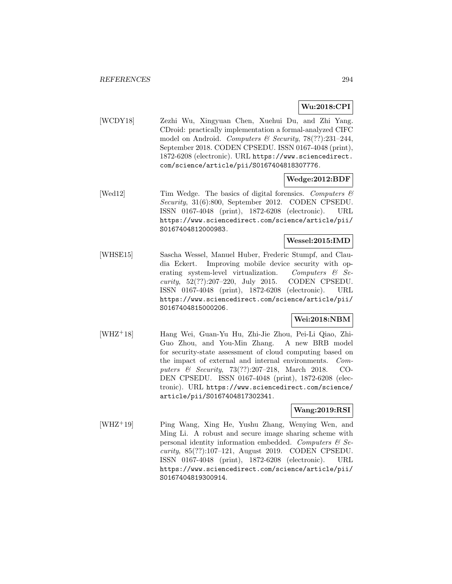## **Wu:2018:CPI**

[WCDY18] Zezhi Wu, Xingyuan Chen, Xuehui Du, and Zhi Yang. CDroid: practically implementation a formal-analyzed CIFC model on Android. Computers & Security,  $78(??):231-244$ , September 2018. CODEN CPSEDU. ISSN 0167-4048 (print), 1872-6208 (electronic). URL https://www.sciencedirect. com/science/article/pii/S0167404818307776.

## **Wedge:2012:BDF**

[Wed12] Tim Wedge. The basics of digital forensics. Computers  $\mathcal{C}$ Security, 31(6):800, September 2012. CODEN CPSEDU. ISSN 0167-4048 (print), 1872-6208 (electronic). URL https://www.sciencedirect.com/science/article/pii/ S0167404812000983.

## **Wessel:2015:IMD**

[WHSE15] Sascha Wessel, Manuel Huber, Frederic Stumpf, and Claudia Eckert. Improving mobile device security with operating system-level virtualization. Computers  $\mathcal{B}$  Security, 52(??):207–220, July 2015. CODEN CPSEDU. ISSN 0167-4048 (print), 1872-6208 (electronic). URL https://www.sciencedirect.com/science/article/pii/ S0167404815000206.

### **Wei:2018:NBM**

[WHZ<sup>+</sup>18] Hang Wei, Guan-Yu Hu, Zhi-Jie Zhou, Pei-Li Qiao, Zhi-Guo Zhou, and You-Min Zhang. A new BRB model for security-state assessment of cloud computing based on the impact of external and internal environments. Computers & Security, 73(??):207–218, March 2018. CO-DEN CPSEDU. ISSN 0167-4048 (print), 1872-6208 (electronic). URL https://www.sciencedirect.com/science/ article/pii/S0167404817302341.

### **Wang:2019:RSI**

[WHZ<sup>+</sup>19] Ping Wang, Xing He, Yushu Zhang, Wenying Wen, and Ming Li. A robust and secure image sharing scheme with personal identity information embedded. Computers  $\mathcal{C}$  Security, 85(??):107–121, August 2019. CODEN CPSEDU. ISSN 0167-4048 (print), 1872-6208 (electronic). URL https://www.sciencedirect.com/science/article/pii/ S0167404819300914.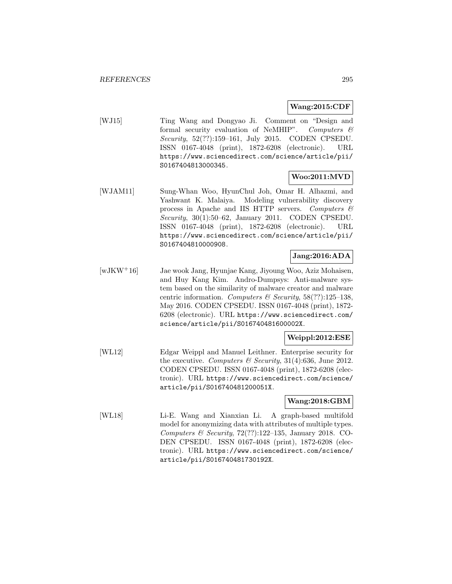### **Wang:2015:CDF**

[WJ15] Ting Wang and Dongyao Ji. Comment on "Design and formal security evaluation of NeMHIP". Computers & Security, 52(??):159–161, July 2015. CODEN CPSEDU. ISSN 0167-4048 (print), 1872-6208 (electronic). URL https://www.sciencedirect.com/science/article/pii/ S0167404813000345.

## **Woo:2011:MVD**

[WJAM11] Sung-Whan Woo, HyunChul Joh, Omar H. Alhazmi, and Yashwant K. Malaiya. Modeling vulnerability discovery process in Apache and IIS HTTP servers. Computers  $\mathcal C$ Security, 30(1):50–62, January 2011. CODEN CPSEDU. ISSN 0167-4048 (print), 1872-6208 (electronic). URL https://www.sciencedirect.com/science/article/pii/ S0167404810000908.

## **Jang:2016:ADA**

[wJKW<sup>+</sup>16] Jae wook Jang, Hyunjae Kang, Jiyoung Woo, Aziz Mohaisen, and Huy Kang Kim. Andro-Dumpsys: Anti-malware system based on the similarity of malware creator and malware centric information. Computers & Security,  $58(??):125-138$ , May 2016. CODEN CPSEDU. ISSN 0167-4048 (print), 1872- 6208 (electronic). URL https://www.sciencedirect.com/ science/article/pii/S016740481600002X.

### **Weippl:2012:ESE**

[WL12] Edgar Weippl and Manuel Leithner. Enterprise security for the executive. Computers  $\mathcal C$  Security, 31(4):636, June 2012. CODEN CPSEDU. ISSN 0167-4048 (print), 1872-6208 (electronic). URL https://www.sciencedirect.com/science/ article/pii/S016740481200051X.

## **Wang:2018:GBM**

[WL18] Li-E. Wang and Xianxian Li. A graph-based multifold model for anonymizing data with attributes of multiple types. Computers & Security,  $72(??):122-135$ , January 2018. CO-DEN CPSEDU. ISSN 0167-4048 (print), 1872-6208 (electronic). URL https://www.sciencedirect.com/science/ article/pii/S016740481730192X.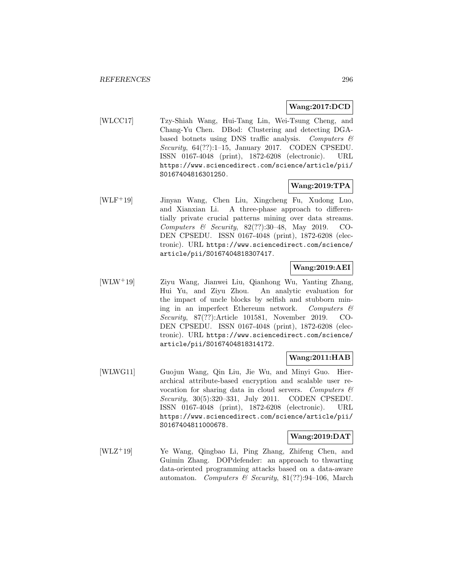### **Wang:2017:DCD**

[WLCC17] Tzy-Shiah Wang, Hui-Tang Lin, Wei-Tsung Cheng, and Chang-Yu Chen. DBod: Clustering and detecting DGAbased botnets using DNS traffic analysis. Computers  $\mathcal{C}$ Security,  $64(??):1-15$ , January 2017. CODEN CPSEDU. ISSN 0167-4048 (print), 1872-6208 (electronic). URL https://www.sciencedirect.com/science/article/pii/ S0167404816301250.

### **Wang:2019:TPA**

[WLF<sup>+</sup>19] Jinyan Wang, Chen Liu, Xingcheng Fu, Xudong Luo, and Xianxian Li. A three-phase approach to differentially private crucial patterns mining over data streams. Computers & Security,  $82(??):30-48$ , May 2019. CO-DEN CPSEDU. ISSN 0167-4048 (print), 1872-6208 (electronic). URL https://www.sciencedirect.com/science/ article/pii/S0167404818307417.

## **Wang:2019:AEI**

[WLW<sup>+</sup>19] Ziyu Wang, Jianwei Liu, Qianhong Wu, Yanting Zhang, Hui Yu, and Ziyu Zhou. An analytic evaluation for the impact of uncle blocks by selfish and stubborn mining in an imperfect Ethereum network. Computers  $\mathcal{C}$ Security, 87(??):Article 101581, November 2019. CO-DEN CPSEDU. ISSN 0167-4048 (print), 1872-6208 (electronic). URL https://www.sciencedirect.com/science/ article/pii/S0167404818314172.

### **Wang:2011:HAB**

[WLWG11] Guojun Wang, Qin Liu, Jie Wu, and Minyi Guo. Hierarchical attribute-based encryption and scalable user revocation for sharing data in cloud servers. Computers  $\mathcal{C}$ Security, 30(5):320–331, July 2011. CODEN CPSEDU. ISSN 0167-4048 (print), 1872-6208 (electronic). URL https://www.sciencedirect.com/science/article/pii/ S0167404811000678.

### **Wang:2019:DAT**

[WLZ<sup>+</sup>19] Ye Wang, Qingbao Li, Ping Zhang, Zhifeng Chen, and Guimin Zhang. DOPdefender: an approach to thwarting data-oriented programming attacks based on a data-aware automaton. Computers & Security, 81(??):94–106, March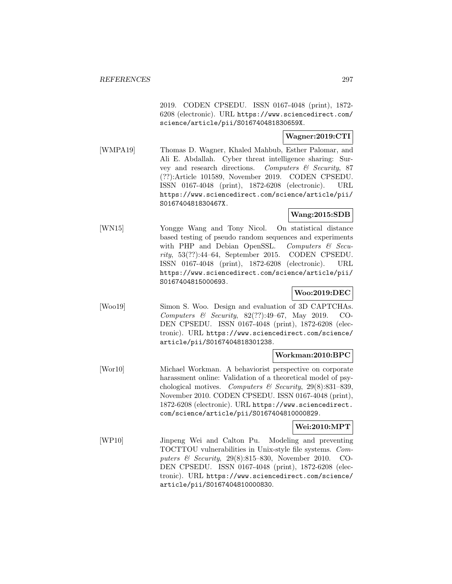2019. CODEN CPSEDU. ISSN 0167-4048 (print), 1872- 6208 (electronic). URL https://www.sciencedirect.com/ science/article/pii/S016740481830659X.

## **Wagner:2019:CTI**

[WMPA19] Thomas D. Wagner, Khaled Mahbub, Esther Palomar, and Ali E. Abdallah. Cyber threat intelligence sharing: Survey and research directions. Computers & Security, 87 (??):Article 101589, November 2019. CODEN CPSEDU. ISSN 0167-4048 (print), 1872-6208 (electronic). URL https://www.sciencedirect.com/science/article/pii/ S016740481830467X.

## **Wang:2015:SDB**

[WN15] Yongge Wang and Tony Nicol. On statistical distance based testing of pseudo random sequences and experiments with PHP and Debian OpenSSL. Computers & Security, 53(??):44–64, September 2015. CODEN CPSEDU. ISSN 0167-4048 (print), 1872-6208 (electronic). URL https://www.sciencedirect.com/science/article/pii/ S0167404815000693.

## **Woo:2019:DEC**

[Woo19] Simon S. Woo. Design and evaluation of 3D CAPTCHAs. Computers & Security, 82(??):49–67, May 2019. CO-DEN CPSEDU. ISSN 0167-4048 (print), 1872-6208 (electronic). URL https://www.sciencedirect.com/science/ article/pii/S0167404818301238.

## **Workman:2010:BPC**

[Wor10] Michael Workman. A behaviorist perspective on corporate harassment online: Validation of a theoretical model of psychological motives. Computers & Security, 29(8):831-839, November 2010. CODEN CPSEDU. ISSN 0167-4048 (print), 1872-6208 (electronic). URL https://www.sciencedirect. com/science/article/pii/S0167404810000829.

## **Wei:2010:MPT**

[WP10] Jinpeng Wei and Calton Pu. Modeling and preventing TOCTTOU vulnerabilities in Unix-style file systems. Computers & Security, 29(8):815–830, November 2010. CO-DEN CPSEDU. ISSN 0167-4048 (print), 1872-6208 (electronic). URL https://www.sciencedirect.com/science/ article/pii/S0167404810000830.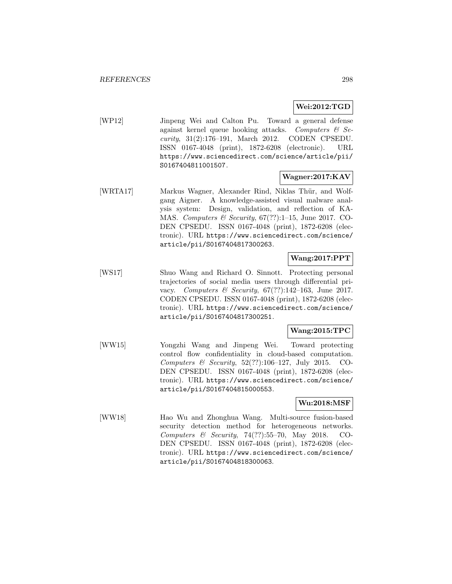## **Wei:2012:TGD**

[WP12] Jinpeng Wei and Calton Pu. Toward a general defense against kernel queue hooking attacks. Computers  $\mathcal{C}$  Security, 31(2):176–191, March 2012. CODEN CPSEDU. ISSN 0167-4048 (print), 1872-6208 (electronic). URL https://www.sciencedirect.com/science/article/pii/ S0167404811001507.

## **Wagner:2017:KAV**

[WRTA17] Markus Wagner, Alexander Rind, Niklas Thür, and Wolfgang Aigner. A knowledge-assisted visual malware analysis system: Design, validation, and reflection of KA-MAS. Computers & Security, 67(??):1–15, June 2017. CO-DEN CPSEDU. ISSN 0167-4048 (print), 1872-6208 (electronic). URL https://www.sciencedirect.com/science/ article/pii/S0167404817300263.

## **Wang:2017:PPT**

[WS17] Shuo Wang and Richard O. Sinnott. Protecting personal trajectories of social media users through differential privacy. Computers & Security, 67(??):142–163, June 2017. CODEN CPSEDU. ISSN 0167-4048 (print), 1872-6208 (electronic). URL https://www.sciencedirect.com/science/ article/pii/S0167404817300251.

### **Wang:2015:TPC**

[WW15] Yongzhi Wang and Jinpeng Wei. Toward protecting control flow confidentiality in cloud-based computation. Computers & Security, 52(??):106–127, July 2015. CO-DEN CPSEDU. ISSN 0167-4048 (print), 1872-6208 (electronic). URL https://www.sciencedirect.com/science/ article/pii/S0167404815000553.

### **Wu:2018:MSF**

[WW18] Hao Wu and Zhonghua Wang. Multi-source fusion-based security detection method for heterogeneous networks. Computers & Security, 74(??):55–70, May 2018. CO-DEN CPSEDU. ISSN 0167-4048 (print), 1872-6208 (electronic). URL https://www.sciencedirect.com/science/ article/pii/S0167404818300063.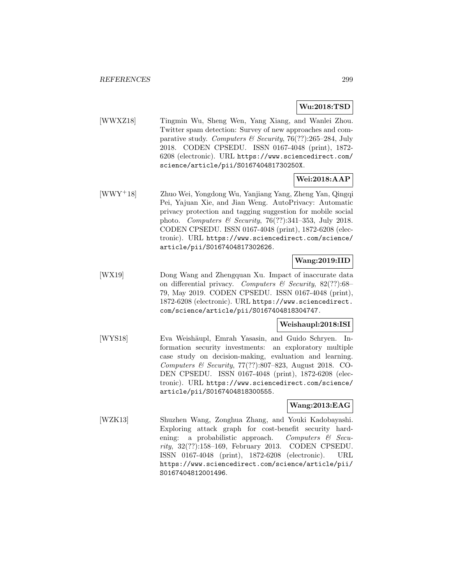## **Wu:2018:TSD**

[WWXZ18] Tingmin Wu, Sheng Wen, Yang Xiang, and Wanlei Zhou. Twitter spam detection: Survey of new approaches and comparative study. Computers  $\mathcal B$  Security, 76(??):265–284, July 2018. CODEN CPSEDU. ISSN 0167-4048 (print), 1872- 6208 (electronic). URL https://www.sciencedirect.com/ science/article/pii/S016740481730250X.

## **Wei:2018:AAP**

[WWY<sup>+</sup>18] Zhuo Wei, Yongdong Wu, Yanjiang Yang, Zheng Yan, Qingqi Pei, Yajuan Xie, and Jian Weng. AutoPrivacy: Automatic privacy protection and tagging suggestion for mobile social photo. Computers & Security, 76(??):341–353, July 2018. CODEN CPSEDU. ISSN 0167-4048 (print), 1872-6208 (electronic). URL https://www.sciencedirect.com/science/ article/pii/S0167404817302626.

## **Wang:2019:IID**

[WX19] Dong Wang and Zhengquan Xu. Impact of inaccurate data on differential privacy. Computers  $\mathcal C$  Security, 82(??):68– 79, May 2019. CODEN CPSEDU. ISSN 0167-4048 (print), 1872-6208 (electronic). URL https://www.sciencedirect. com/science/article/pii/S0167404818304747.

## **Weishaupl:2018:ISI**

[WYS18] Eva Weishäupl, Emrah Yasasin, and Guido Schryen. Information security investments: an exploratory multiple case study on decision-making, evaluation and learning. Computers & Security, 77(??):807–823, August 2018. CO-DEN CPSEDU. ISSN 0167-4048 (print), 1872-6208 (electronic). URL https://www.sciencedirect.com/science/ article/pii/S0167404818300555.

### **Wang:2013:EAG**

[WZK13] Shuzhen Wang, Zonghua Zhang, and Youki Kadobayashi. Exploring attack graph for cost-benefit security hardening: a probabilistic approach. Computers  $\mathcal{C}$  Security, 32(??):158–169, February 2013. CODEN CPSEDU. ISSN 0167-4048 (print), 1872-6208 (electronic). URL https://www.sciencedirect.com/science/article/pii/ S0167404812001496.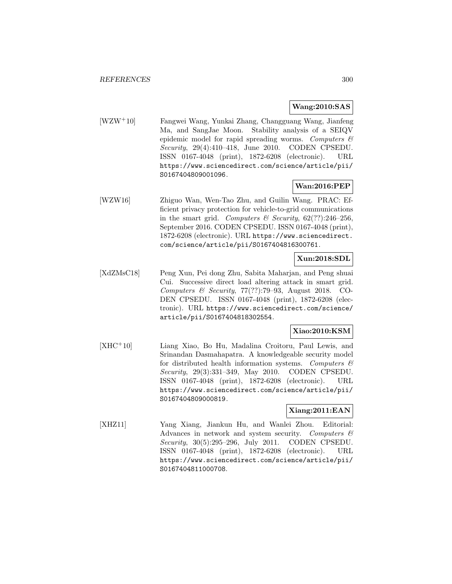### **Wang:2010:SAS**

[WZW<sup>+</sup>10] Fangwei Wang, Yunkai Zhang, Changguang Wang, Jianfeng Ma, and SangJae Moon. Stability analysis of a SEIQV epidemic model for rapid spreading worms. Computers  $\mathcal{C}$ Security, 29(4):410–418, June 2010. CODEN CPSEDU. ISSN 0167-4048 (print), 1872-6208 (electronic). URL https://www.sciencedirect.com/science/article/pii/ S0167404809001096.

### **Wan:2016:PEP**

[WZW16] Zhiguo Wan, Wen-Tao Zhu, and Guilin Wang. PRAC: Efficient privacy protection for vehicle-to-grid communications in the smart grid. Computers & Security,  $62(??):246-256$ , September 2016. CODEN CPSEDU. ISSN 0167-4048 (print), 1872-6208 (electronic). URL https://www.sciencedirect. com/science/article/pii/S0167404816300761.

### **Xun:2018:SDL**

[XdZMsC18] Peng Xun, Pei dong Zhu, Sabita Maharjan, and Peng shuai Cui. Successive direct load altering attack in smart grid. Computers & Security, 77(??):79–93, August 2018. CO-DEN CPSEDU. ISSN 0167-4048 (print), 1872-6208 (electronic). URL https://www.sciencedirect.com/science/ article/pii/S0167404818302554.

## **Xiao:2010:KSM**

[XHC<sup>+</sup>10] Liang Xiao, Bo Hu, Madalina Croitoru, Paul Lewis, and Srinandan Dasmahapatra. A knowledgeable security model for distributed health information systems. Computers  $\mathcal{C}$ Security, 29(3):331–349, May 2010. CODEN CPSEDU. ISSN 0167-4048 (print), 1872-6208 (electronic). URL https://www.sciencedirect.com/science/article/pii/ S0167404809000819.

### **Xiang:2011:EAN**

[XHZ11] Yang Xiang, Jiankun Hu, and Wanlei Zhou. Editorial: Advances in network and system security. Computers & Security, 30(5):295–296, July 2011. CODEN CPSEDU. ISSN 0167-4048 (print), 1872-6208 (electronic). URL https://www.sciencedirect.com/science/article/pii/ S0167404811000708.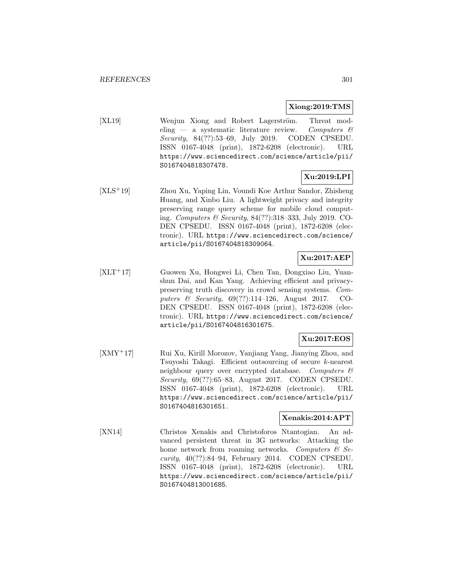### **Xiong:2019:TMS**

[XL19] Wenjun Xiong and Robert Lagerström. Threat modeling — a systematic literature review. Computers  $\mathcal{C}$ Security, 84(??):53–69, July 2019. CODEN CPSEDU. ISSN 0167-4048 (print), 1872-6208 (electronic). URL https://www.sciencedirect.com/science/article/pii/ S0167404818307478.

## **Xu:2019:LPI**

[XLS<sup>+</sup>19] Zhou Xu, Yaping Lin, Voundi Koe Arthur Sandor, Zhisheng Huang, and Xinbo Liu. A lightweight privacy and integrity preserving range query scheme for mobile cloud computing. Computers & Security, 84(??):318–333, July 2019. CO-DEN CPSEDU. ISSN 0167-4048 (print), 1872-6208 (electronic). URL https://www.sciencedirect.com/science/ article/pii/S0167404818309064.

## **Xu:2017:AEP**

[XLT<sup>+</sup>17] Guowen Xu, Hongwei Li, Chen Tan, Dongxiao Liu, Yuanshun Dai, and Kan Yang. Achieving efficient and privacypreserving truth discovery in crowd sensing systems. Computers & Security, 69(??):114–126, August 2017. CO-DEN CPSEDU. ISSN 0167-4048 (print), 1872-6208 (electronic). URL https://www.sciencedirect.com/science/ article/pii/S0167404816301675.

## **Xu:2017:EOS**

[XMY<sup>+</sup>17] Rui Xu, Kirill Morozov, Yanjiang Yang, Jianying Zhou, and Tsuyoshi Takagi. Efficient outsourcing of secure k-nearest neighbour query over encrypted database. Computers  $\mathcal{C}$ Security, 69(??):65–83, August 2017. CODEN CPSEDU. ISSN 0167-4048 (print), 1872-6208 (electronic). URL https://www.sciencedirect.com/science/article/pii/ S0167404816301651.

### **Xenakis:2014:APT**

[XN14] Christos Xenakis and Christoforos Ntantogian. An advanced persistent threat in 3G networks: Attacking the home network from roaming networks. Computers  $\mathcal{C}$  Security, 40(??):84–94, February 2014. CODEN CPSEDU. ISSN 0167-4048 (print), 1872-6208 (electronic). URL https://www.sciencedirect.com/science/article/pii/ S0167404813001685.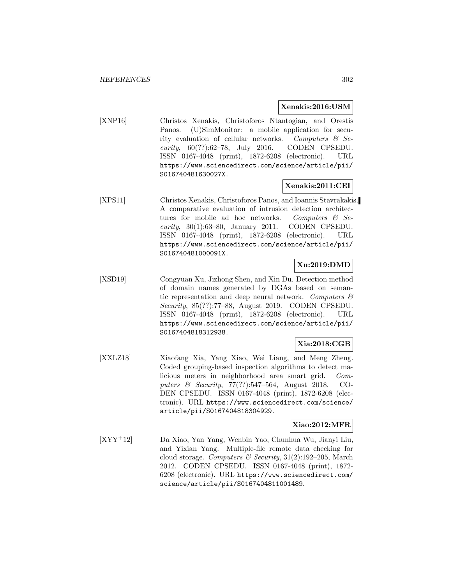#### **Xenakis:2016:USM**

[XNP16] Christos Xenakis, Christoforos Ntantogian, and Orestis Panos. (U)SimMonitor: a mobile application for security evaluation of cellular networks. Computers & Security,  $60(??):62-78$ , July 2016. CODEN CPSEDU. ISSN 0167-4048 (print), 1872-6208 (electronic). URL https://www.sciencedirect.com/science/article/pii/ S016740481630027X.

## **Xenakis:2011:CEI**

[XPS11] Christos Xenakis, Christoforos Panos, and Ioannis Stavrakakis. A comparative evaluation of intrusion detection architectures for mobile ad hoc networks. Computers  $\mathcal{C}$  Security, 30(1):63–80, January 2011. CODEN CPSEDU. ISSN 0167-4048 (print), 1872-6208 (electronic). URL https://www.sciencedirect.com/science/article/pii/ S016740481000091X.

## **Xu:2019:DMD**

[XSD19] Congyuan Xu, Jizhong Shen, and Xin Du. Detection method of domain names generated by DGAs based on semantic representation and deep neural network. Computers  $\mathcal{C}$ Security, 85(??):77–88, August 2019. CODEN CPSEDU. ISSN 0167-4048 (print), 1872-6208 (electronic). URL https://www.sciencedirect.com/science/article/pii/ S0167404818312938.

## **Xia:2018:CGB**

[XXLZ18] Xiaofang Xia, Yang Xiao, Wei Liang, and Meng Zheng. Coded grouping-based inspection algorithms to detect malicious meters in neighborhood area smart grid. Computers & Security, 77(??):547–564, August 2018. CO-DEN CPSEDU. ISSN 0167-4048 (print), 1872-6208 (electronic). URL https://www.sciencedirect.com/science/ article/pii/S0167404818304929.

## **Xiao:2012:MFR**

[XYY<sup>+</sup>12] Da Xiao, Yan Yang, Wenbin Yao, Chunhua Wu, Jianyi Liu, and Yixian Yang. Multiple-file remote data checking for cloud storage. Computers & Security,  $31(2):192-205$ , March 2012. CODEN CPSEDU. ISSN 0167-4048 (print), 1872- 6208 (electronic). URL https://www.sciencedirect.com/ science/article/pii/S0167404811001489.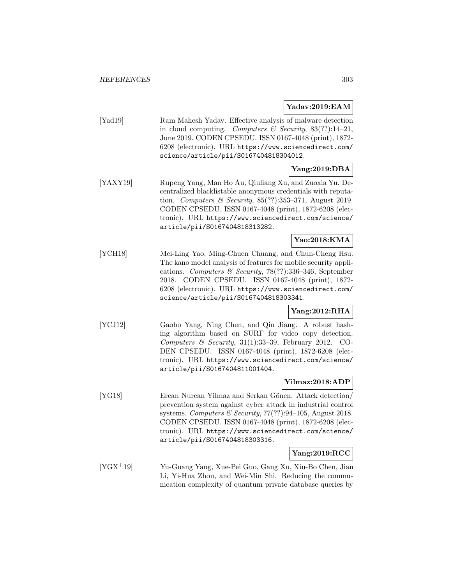**Yadav:2019:EAM**

- [Yad19] Ram Mahesh Yadav. Effective analysis of malware detection in cloud computing. Computers & Security,  $83(??):14-21$ , June 2019. CODEN CPSEDU. ISSN 0167-4048 (print), 1872- 6208 (electronic). URL https://www.sciencedirect.com/ science/article/pii/S0167404818304012. **Yang:2019:DBA** [YAXY19] Rupeng Yang, Man Ho Au, Qiuliang Xu, and Zuoxia Yu. Decentralized blacklistable anonymous credentials with reputation. Computers  $\mathcal B$  Security, 85(??):353-371, August 2019. CODEN CPSEDU. ISSN 0167-4048 (print), 1872-6208 (electronic). URL https://www.sciencedirect.com/science/ article/pii/S0167404818313282. **Yao:2018:KMA**
- [YCH18] Mei-Ling Yao, Ming-Chuen Chuang, and Chun-Cheng Hsu. The kano model analysis of features for mobile security applications. Computers & Security, 78(??):336–346, September 2018. CODEN CPSEDU. ISSN 0167-4048 (print), 1872- 6208 (electronic). URL https://www.sciencedirect.com/ science/article/pii/S0167404818303341.

## **Yang:2012:RHA**

[YCJ12] Gaobo Yang, Ning Chen, and Qin Jiang. A robust hashing algorithm based on SURF for video copy detection. Computers  $\mathcal C$  Security, 31(1):33-39, February 2012. CO-DEN CPSEDU. ISSN 0167-4048 (print), 1872-6208 (electronic). URL https://www.sciencedirect.com/science/ article/pii/S0167404811001404.

## **Yilmaz:2018:ADP**

[YG18] Ercan Nurcan Yilmaz and Serkan Gönen. Attack detection/ prevention system against cyber attack in industrial control systems. Computers & Security,  $77(??):94-105$ , August 2018. CODEN CPSEDU. ISSN 0167-4048 (print), 1872-6208 (electronic). URL https://www.sciencedirect.com/science/ article/pii/S0167404818303316.

### **Yang:2019:RCC**

[YGX<sup>+</sup>19] Yu-Guang Yang, Xue-Pei Guo, Gang Xu, Xiu-Bo Chen, Jian Li, Yi-Hua Zhou, and Wei-Min Shi. Reducing the communication complexity of quantum private database queries by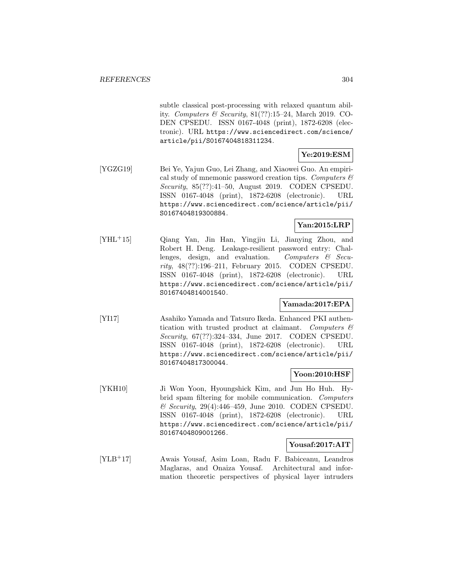subtle classical post-processing with relaxed quantum ability. Computers  $\mathcal C$  Security, 81(??):15–24, March 2019. CO-DEN CPSEDU. ISSN 0167-4048 (print), 1872-6208 (electronic). URL https://www.sciencedirect.com/science/ article/pii/S0167404818311234.

## **Ye:2019:ESM**

[YGZG19] Bei Ye, Yajun Guo, Lei Zhang, and Xiaowei Guo. An empirical study of mnemonic password creation tips. Computers  $\mathcal{C}$ Security, 85(??):41–50, August 2019. CODEN CPSEDU. ISSN 0167-4048 (print), 1872-6208 (electronic). URL https://www.sciencedirect.com/science/article/pii/ S0167404819300884.

## **Yan:2015:LRP**

[YHL<sup>+</sup>15] Qiang Yan, Jin Han, Yingjiu Li, Jianying Zhou, and Robert H. Deng. Leakage-resilient password entry: Challenges, design, and evaluation. Computers  $\mathcal{C}$  Security, 48(??):196–211, February 2015. CODEN CPSEDU. ISSN 0167-4048 (print), 1872-6208 (electronic). URL https://www.sciencedirect.com/science/article/pii/ S0167404814001540.

## **Yamada:2017:EPA**

[YI17] Asahiko Yamada and Tatsuro Ikeda. Enhanced PKI authentication with trusted product at claimant. Computers  $\mathcal{C}$ Security, 67(??):324–334, June 2017. CODEN CPSEDU. ISSN 0167-4048 (print), 1872-6208 (electronic). URL https://www.sciencedirect.com/science/article/pii/ S0167404817300044.

### **Yoon:2010:HSF**

[YKH10] Ji Won Yoon, Hyoungshick Kim, and Jun Ho Huh. Hybrid spam filtering for mobile communication. Computers & Security, 29(4):446–459, June 2010. CODEN CPSEDU. ISSN 0167-4048 (print), 1872-6208 (electronic). URL https://www.sciencedirect.com/science/article/pii/ S0167404809001266.

### **Yousaf:2017:AIT**

[YLB<sup>+</sup>17] Awais Yousaf, Asim Loan, Radu F. Babiceanu, Leandros Maglaras, and Onaiza Yousaf. Architectural and information theoretic perspectives of physical layer intruders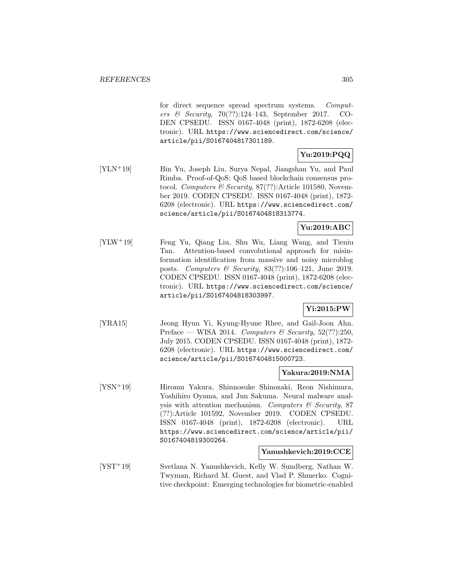for direct sequence spread spectrum systems. Computers & Security, 70(??):124–143, September 2017. CO-DEN CPSEDU. ISSN 0167-4048 (print), 1872-6208 (electronic). URL https://www.sciencedirect.com/science/ article/pii/S0167404817301189.

## **Yu:2019:PQQ**

[YLN<sup>+</sup>19] Bin Yu, Joseph Liu, Surya Nepal, Jiangshan Yu, and Paul Rimba. Proof-of-QoS: QoS based blockchain consensus protocol. Computers & Security, 87(??):Article 101580, November 2019. CODEN CPSEDU. ISSN 0167-4048 (print), 1872- 6208 (electronic). URL https://www.sciencedirect.com/ science/article/pii/S0167404818313774.

## **Yu:2019:ABC**

[YLW<sup>+</sup>19] Feng Yu, Qiang Liu, Shu Wu, Liang Wang, and Tieniu Tan. Attention-based convolutional approach for misinformation identification from massive and noisy microblog posts. Computers & Security, 83(??):106–121, June 2019. CODEN CPSEDU. ISSN 0167-4048 (print), 1872-6208 (electronic). URL https://www.sciencedirect.com/science/ article/pii/S0167404818303997.

## **Yi:2015:PW**

[YRA15] Jeong Hyun Yi, Kyung-Hyune Rhee, and Gail-Joon Ahn. Preface — WISA 2014. Computers & Security,  $52(??):250$ , July 2015. CODEN CPSEDU. ISSN 0167-4048 (print), 1872- 6208 (electronic). URL https://www.sciencedirect.com/ science/article/pii/S0167404815000723.

### **Yakura:2019:NMA**

[YSN<sup>+</sup>19] Hiromu Yakura, Shinnosuke Shinozaki, Reon Nishimura, Yoshihiro Oyama, and Jun Sakuma. Neural malware analysis with attention mechanism. Computers  $\mathcal C$  Security, 87 (??):Article 101592, November 2019. CODEN CPSEDU. ISSN 0167-4048 (print), 1872-6208 (electronic). URL https://www.sciencedirect.com/science/article/pii/ S0167404819300264.

### **Yanushkevich:2019:CCE**

[YST<sup>+</sup>19] Svetlana N. Yanushkevich, Kelly W. Sundberg, Nathan W. Twyman, Richard M. Guest, and Vlad P. Shmerko. Cognitive checkpoint: Emerging technologies for biometric-enabled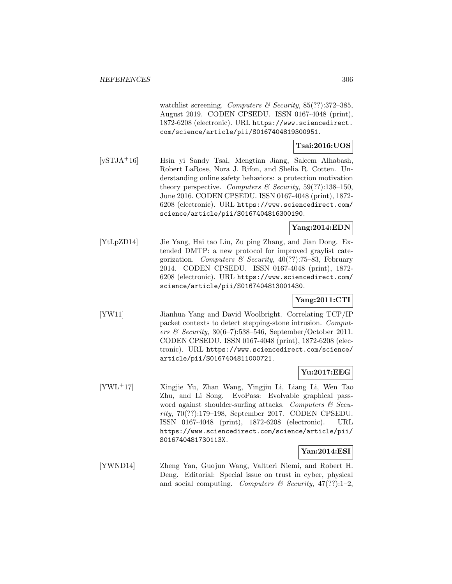watchlist screening. Computers & Security,  $85(??)$ :372-385, August 2019. CODEN CPSEDU. ISSN 0167-4048 (print), 1872-6208 (electronic). URL https://www.sciencedirect. com/science/article/pii/S0167404819300951.

## **Tsai:2016:UOS**

[ySTJA<sup>+</sup>16] Hsin yi Sandy Tsai, Mengtian Jiang, Saleem Alhabash, Robert LaRose, Nora J. Rifon, and Shelia R. Cotten. Understanding online safety behaviors: a protection motivation theory perspective. Computers  $\mathcal B$  Security, 59(??):138-150, June 2016. CODEN CPSEDU. ISSN 0167-4048 (print), 1872- 6208 (electronic). URL https://www.sciencedirect.com/ science/article/pii/S0167404816300190.

## **Yang:2014:EDN**

[YtLpZD14] Jie Yang, Hai tao Liu, Zu ping Zhang, and Jian Dong. Extended DMTP: a new protocol for improved graylist categorization. Computers & Security, 40(??):75–83, February 2014. CODEN CPSEDU. ISSN 0167-4048 (print), 1872- 6208 (electronic). URL https://www.sciencedirect.com/ science/article/pii/S0167404813001430.

## **Yang:2011:CTI**

[YW11] Jianhua Yang and David Woolbright. Correlating TCP/IP packet contexts to detect stepping-stone intrusion. Computers & Security,  $30(6-7)$ :538-546, September/October 2011. CODEN CPSEDU. ISSN 0167-4048 (print), 1872-6208 (electronic). URL https://www.sciencedirect.com/science/ article/pii/S0167404811000721.

## **Yu:2017:EEG**

[YWL<sup>+</sup>17] Xingjie Yu, Zhan Wang, Yingjiu Li, Liang Li, Wen Tao Zhu, and Li Song. EvoPass: Evolvable graphical password against shoulder-surfing attacks. Computers  $\mathcal C$  Security, 70(??):179–198, September 2017. CODEN CPSEDU. ISSN 0167-4048 (print), 1872-6208 (electronic). URL https://www.sciencedirect.com/science/article/pii/ S016740481730113X.

### **Yan:2014:ESI**

[YWND14] Zheng Yan, Guojun Wang, Valtteri Niemi, and Robert H. Deng. Editorial: Special issue on trust in cyber, physical and social computing. Computers  $\mathcal C$  Security, 47(??):1-2,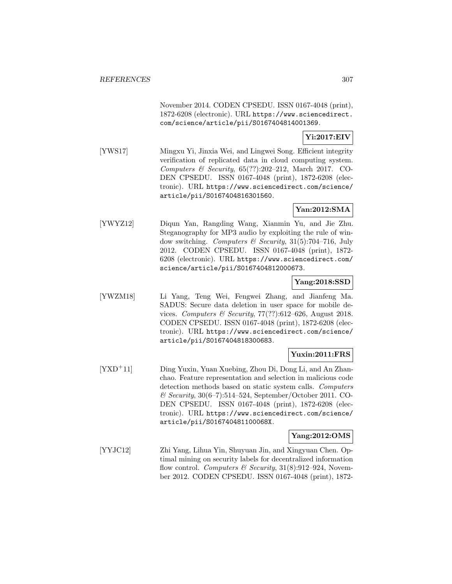November 2014. CODEN CPSEDU. ISSN 0167-4048 (print), 1872-6208 (electronic). URL https://www.sciencedirect. com/science/article/pii/S0167404814001369.

**Yi:2017:EIV**

[YWS17] Mingxu Yi, Jinxia Wei, and Lingwei Song. Efficient integrity verification of replicated data in cloud computing system. Computers & Security,  $65(??):202-212$ , March 2017. CO-DEN CPSEDU. ISSN 0167-4048 (print), 1872-6208 (electronic). URL https://www.sciencedirect.com/science/ article/pii/S0167404816301560.

### **Yan:2012:SMA**

[YWYZ12] Diqun Yan, Rangding Wang, Xianmin Yu, and Jie Zhu. Steganography for MP3 audio by exploiting the rule of window switching. Computers & Security,  $31(5)$ :704–716, July 2012. CODEN CPSEDU. ISSN 0167-4048 (print), 1872- 6208 (electronic). URL https://www.sciencedirect.com/ science/article/pii/S0167404812000673.

### **Yang:2018:SSD**

[YWZM18] Li Yang, Teng Wei, Fengwei Zhang, and Jianfeng Ma. SADUS: Secure data deletion in user space for mobile devices. Computers & Security, 77(??):612–626, August 2018. CODEN CPSEDU. ISSN 0167-4048 (print), 1872-6208 (electronic). URL https://www.sciencedirect.com/science/ article/pii/S0167404818300683.

## **Yuxin:2011:FRS**

[YXD<sup>+</sup>11] Ding Yuxin, Yuan Xuebing, Zhou Di, Dong Li, and An Zhanchao. Feature representation and selection in malicious code detection methods based on static system calls. Computers & Security, 30(6–7):514–524, September/October 2011. CO-DEN CPSEDU. ISSN 0167-4048 (print), 1872-6208 (electronic). URL https://www.sciencedirect.com/science/ article/pii/S016740481100068X.

### **Yang:2012:OMS**

[YYJC12] Zhi Yang, Lihua Yin, Shuyuan Jin, and Xingyuan Chen. Optimal mining on security labels for decentralized information flow control. Computers & Security,  $31(8):912-924$ , November 2012. CODEN CPSEDU. ISSN 0167-4048 (print), 1872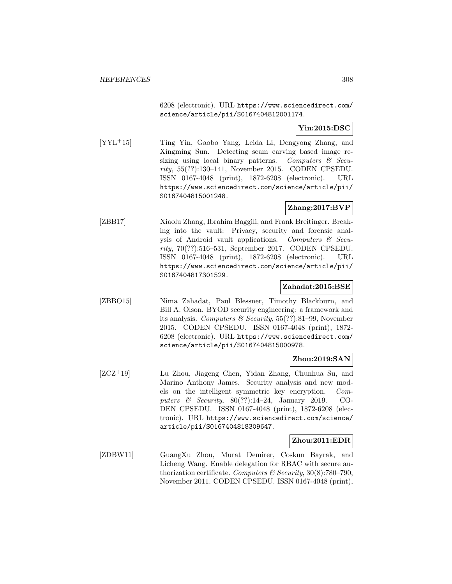6208 (electronic). URL https://www.sciencedirect.com/ science/article/pii/S0167404812001174.

## **Yin:2015:DSC**

[YYL<sup>+</sup>15] Ting Yin, Gaobo Yang, Leida Li, Dengyong Zhang, and Xingming Sun. Detecting seam carving based image resizing using local binary patterns. Computers & Security, 55(??):130–141, November 2015. CODEN CPSEDU. ISSN 0167-4048 (print), 1872-6208 (electronic). URL https://www.sciencedirect.com/science/article/pii/ S0167404815001248.

## **Zhang:2017:BVP**

[ZBB17] Xiaolu Zhang, Ibrahim Baggili, and Frank Breitinger. Breaking into the vault: Privacy, security and forensic analysis of Android vault applications. Computers & Security, 70(??):516–531, September 2017. CODEN CPSEDU. ISSN 0167-4048 (print), 1872-6208 (electronic). URL https://www.sciencedirect.com/science/article/pii/ S0167404817301529.

### **Zahadat:2015:BSE**

[ZBBO15] Nima Zahadat, Paul Blessner, Timothy Blackburn, and Bill A. Olson. BYOD security engineering: a framework and its analysis. Computers & Security, 55(??):81–99, November 2015. CODEN CPSEDU. ISSN 0167-4048 (print), 1872- 6208 (electronic). URL https://www.sciencedirect.com/ science/article/pii/S0167404815000978.

## **Zhou:2019:SAN**

[ZCZ<sup>+</sup>19] Lu Zhou, Jiageng Chen, Yidan Zhang, Chunhua Su, and Marino Anthony James. Security analysis and new models on the intelligent symmetric key encryption. Computers  $\&$  Security, 80(??):14-24, January 2019. CO-DEN CPSEDU. ISSN 0167-4048 (print), 1872-6208 (electronic). URL https://www.sciencedirect.com/science/ article/pii/S0167404818309647.

## **Zhou:2011:EDR**

[ZDBW11] GuangXu Zhou, Murat Demirer, Coskun Bayrak, and Licheng Wang. Enable delegation for RBAC with secure authorization certificate. Computers  $\mathcal B$  Security, 30(8):780–790, November 2011. CODEN CPSEDU. ISSN 0167-4048 (print),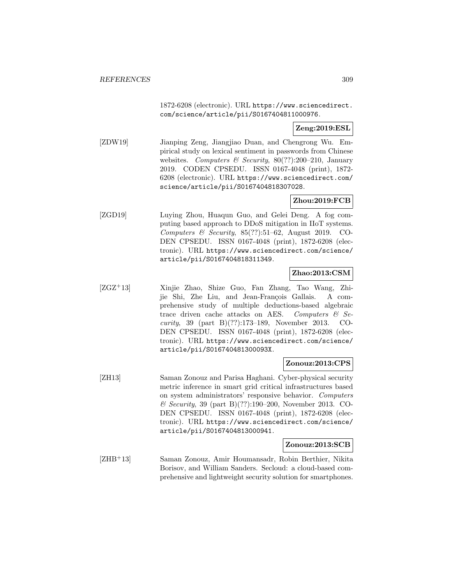1872-6208 (electronic). URL https://www.sciencedirect. com/science/article/pii/S0167404811000976.

### **Zeng:2019:ESL**

[ZDW19] Jianping Zeng, Jiangjiao Duan, and Chengrong Wu. Empirical study on lexical sentiment in passwords from Chinese websites. Computers & Security,  $80(??):200-210$ , January 2019. CODEN CPSEDU. ISSN 0167-4048 (print), 1872- 6208 (electronic). URL https://www.sciencedirect.com/ science/article/pii/S0167404818307028.

## **Zhou:2019:FCB**

[ZGD19] Luying Zhou, Huaqun Guo, and Gelei Deng. A fog computing based approach to DDoS mitigation in IIoT systems. Computers & Security,  $85(??):51-62$ , August 2019. CO-DEN CPSEDU. ISSN 0167-4048 (print), 1872-6208 (electronic). URL https://www.sciencedirect.com/science/ article/pii/S0167404818311349.

### **Zhao:2013:CSM**

[ZGZ<sup>+</sup>13] Xinjie Zhao, Shize Guo, Fan Zhang, Tao Wang, Zhijie Shi, Zhe Liu, and Jean-François Gallais. A comprehensive study of multiple deductions-based algebraic trace driven cache attacks on AES. Computers  $\mathcal{C}$  Security, 39 (part B)(??):173–189, November 2013. CO-DEN CPSEDU. ISSN 0167-4048 (print), 1872-6208 (electronic). URL https://www.sciencedirect.com/science/ article/pii/S016740481300093X.

## **Zonouz:2013:CPS**

[ZH13] Saman Zonouz and Parisa Haghani. Cyber-physical security metric inference in smart grid critical infrastructures based on system administrators' responsive behavior. Computers & Security, 39 (part B)(??):190–200, November 2013. CO-DEN CPSEDU. ISSN 0167-4048 (print), 1872-6208 (electronic). URL https://www.sciencedirect.com/science/ article/pii/S0167404813000941.

### **Zonouz:2013:SCB**

[ZHB<sup>+</sup>13] Saman Zonouz, Amir Houmansadr, Robin Berthier, Nikita Borisov, and William Sanders. Secloud: a cloud-based comprehensive and lightweight security solution for smartphones.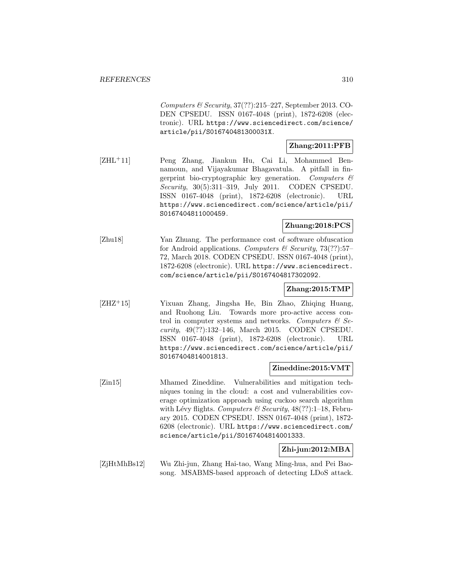Computers  $\mathcal C$  Security, 37(??):215–227, September 2013. CO-DEN CPSEDU. ISSN 0167-4048 (print), 1872-6208 (electronic). URL https://www.sciencedirect.com/science/ article/pii/S016740481300031X.

## **Zhang:2011:PFB**

[ZHL<sup>+</sup>11] Peng Zhang, Jiankun Hu, Cai Li, Mohammed Bennamoun, and Vijayakumar Bhagavatula. A pitfall in fingerprint bio-cryptographic key generation. Computers  $\mathcal{C}$ Security, 30(5):311–319, July 2011. CODEN CPSEDU. ISSN 0167-4048 (print), 1872-6208 (electronic). URL https://www.sciencedirect.com/science/article/pii/ S0167404811000459.

## **Zhuang:2018:PCS**

[Zhu18] Yan Zhuang. The performance cost of software obfuscation for Android applications. Computers  $\mathcal{B}$  Security, 73(??):57– 72, March 2018. CODEN CPSEDU. ISSN 0167-4048 (print), 1872-6208 (electronic). URL https://www.sciencedirect. com/science/article/pii/S0167404817302092.

## **Zhang:2015:TMP**

[ZHZ<sup>+</sup>15] Yixuan Zhang, Jingsha He, Bin Zhao, Zhiqing Huang, and Ruohong Liu. Towards more pro-active access control in computer systems and networks. Computers  $\mathcal{C}$  Security, 49(??):132–146, March 2015. CODEN CPSEDU. ISSN 0167-4048 (print), 1872-6208 (electronic). URL https://www.sciencedirect.com/science/article/pii/ S0167404814001813.

## **Zineddine:2015:VMT**

[Zin15] Mhamed Zineddine. Vulnerabilities and mitigation techniques toning in the cloud: a cost and vulnerabilities coverage optimization approach using cuckoo search algorithm with Lévy flights. Computers & Security,  $48(??):1-18$ , February 2015. CODEN CPSEDU. ISSN 0167-4048 (print), 1872- 6208 (electronic). URL https://www.sciencedirect.com/ science/article/pii/S0167404814001333.

## **Zhi-jun:2012:MBA**

[ZjHtMhBs12] Wu Zhi-jun, Zhang Hai-tao, Wang Ming-hua, and Pei Baosong. MSABMS-based approach of detecting LDoS attack.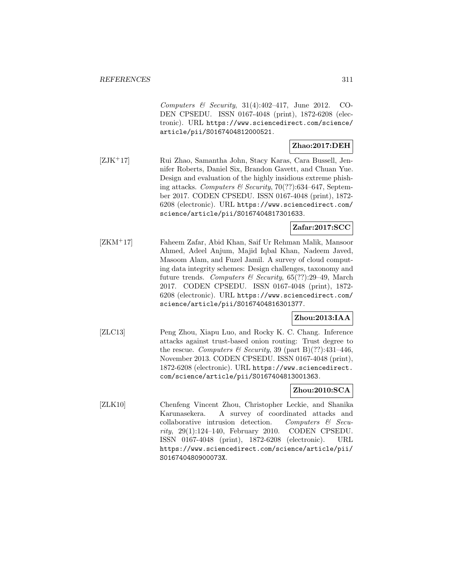Computers & Security,  $31(4):402-417$ , June 2012. CO-DEN CPSEDU. ISSN 0167-4048 (print), 1872-6208 (electronic). URL https://www.sciencedirect.com/science/ article/pii/S0167404812000521.

## **Zhao:2017:DEH**

[ZJK<sup>+</sup>17] Rui Zhao, Samantha John, Stacy Karas, Cara Bussell, Jennifer Roberts, Daniel Six, Brandon Gavett, and Chuan Yue. Design and evaluation of the highly insidious extreme phishing attacks. Computers & Security, 70(??):634-647, September 2017. CODEN CPSEDU. ISSN 0167-4048 (print), 1872- 6208 (electronic). URL https://www.sciencedirect.com/ science/article/pii/S0167404817301633.

## **Zafar:2017:SCC**

[ZKM<sup>+</sup>17] Faheem Zafar, Abid Khan, Saif Ur Rehman Malik, Mansoor Ahmed, Adeel Anjum, Majid Iqbal Khan, Nadeem Javed, Masoom Alam, and Fuzel Jamil. A survey of cloud computing data integrity schemes: Design challenges, taxonomy and future trends. Computers & Security, 65(??):29–49, March 2017. CODEN CPSEDU. ISSN 0167-4048 (print), 1872- 6208 (electronic). URL https://www.sciencedirect.com/ science/article/pii/S0167404816301377.

## **Zhou:2013:IAA**

[ZLC13] Peng Zhou, Xiapu Luo, and Rocky K. C. Chang. Inference attacks against trust-based onion routing: Trust degree to the rescue. Computers & Security, 39 (part B)(??):431-446, November 2013. CODEN CPSEDU. ISSN 0167-4048 (print), 1872-6208 (electronic). URL https://www.sciencedirect. com/science/article/pii/S0167404813001363.

## **Zhou:2010:SCA**

[ZLK10] Chenfeng Vincent Zhou, Christopher Leckie, and Shanika Karunasekera. A survey of coordinated attacks and collaborative intrusion detection. Computers  $\mathcal{C}$  Security, 29(1):124–140, February 2010. CODEN CPSEDU. ISSN 0167-4048 (print), 1872-6208 (electronic). URL https://www.sciencedirect.com/science/article/pii/ S016740480900073X.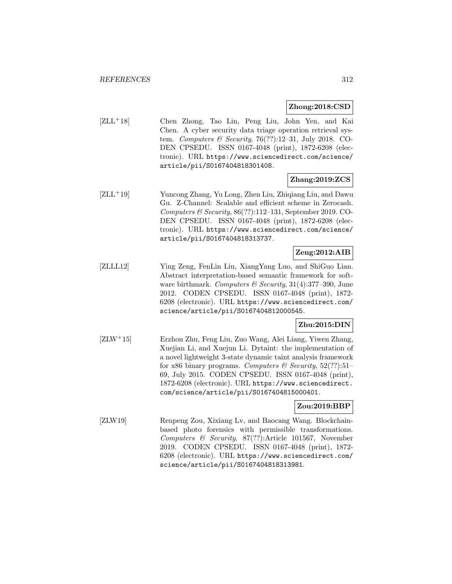#### **Zhong:2018:CSD**

[ZLL<sup>+</sup>18] Chen Zhong, Tao Lin, Peng Liu, John Yen, and Kai Chen. A cyber security data triage operation retrieval system. Computers & Security, 76(??):12–31, July 2018. CO-DEN CPSEDU. ISSN 0167-4048 (print), 1872-6208 (electronic). URL https://www.sciencedirect.com/science/ article/pii/S0167404818301408.

## **Zhang:2019:ZCS**

[ZLL<sup>+</sup>19] Yuncong Zhang, Yu Long, Zhen Liu, Zhiqiang Liu, and Dawu Gu. Z-Channel: Scalable and efficient scheme in Zerocash. Computers & Security,  $86(??):112-131$ , September 2019. CO-DEN CPSEDU. ISSN 0167-4048 (print), 1872-6208 (electronic). URL https://www.sciencedirect.com/science/ article/pii/S0167404818313737.

## **Zeng:2012:AIB**

[ZLLL12] Ying Zeng, FenLin Liu, XiangYang Luo, and ShiGuo Lian. Abstract interpretation-based semantic framework for software birthmark. Computers & Security,  $31(4):377-390$ , June 2012. CODEN CPSEDU. ISSN 0167-4048 (print), 1872- 6208 (electronic). URL https://www.sciencedirect.com/ science/article/pii/S0167404812000545.

## **Zhu:2015:DIN**

[ZLW<sup>+</sup>15] Erzhou Zhu, Feng Liu, Zuo Wang, Alei Liang, Yiwen Zhang, Xuejian Li, and Xuejun Li. Dytaint: the implementation of a novel lightweight 3-state dynamic taint analysis framework for x86 binary programs. Computers  $\mathcal B$  Security, 52(??):51– 69, July 2015. CODEN CPSEDU. ISSN 0167-4048 (print), 1872-6208 (electronic). URL https://www.sciencedirect. com/science/article/pii/S0167404815000401.

#### **Zou:2019:BBP**

[ZLW19] Renpeng Zou, Xixiang Lv, and Baocang Wang. Blockchainbased photo forensics with permissible transformations. Computers & Security, 87(??):Article 101567, November 2019. CODEN CPSEDU. ISSN 0167-4048 (print), 1872- 6208 (electronic). URL https://www.sciencedirect.com/ science/article/pii/S0167404818313981.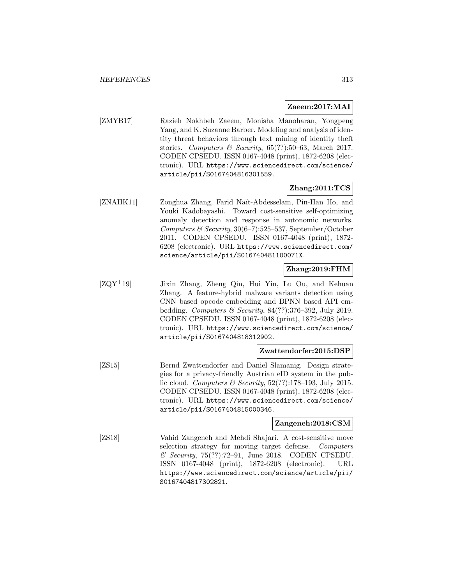### **Zaeem:2017:MAI**

[ZMYB17] Razieh Nokhbeh Zaeem, Monisha Manoharan, Yongpeng Yang, and K. Suzanne Barber. Modeling and analysis of identity threat behaviors through text mining of identity theft stories. Computers & Security,  $65(??)$ :50–63, March 2017. CODEN CPSEDU. ISSN 0167-4048 (print), 1872-6208 (electronic). URL https://www.sciencedirect.com/science/ article/pii/S0167404816301559.

## **Zhang:2011:TCS**

[ZNAHK11] Zonghua Zhang, Farid Naït-Abdesselam, Pin-Han Ho, and Youki Kadobayashi. Toward cost-sensitive self-optimizing anomaly detection and response in autonomic networks. Computers  $\mathcal B$  Security, 30(6–7):525–537, September/October 2011. CODEN CPSEDU. ISSN 0167-4048 (print), 1872- 6208 (electronic). URL https://www.sciencedirect.com/ science/article/pii/S016740481100071X.

### **Zhang:2019:FHM**

[ZQY<sup>+</sup>19] Jixin Zhang, Zheng Qin, Hui Yin, Lu Ou, and Kehuan Zhang. A feature-hybrid malware variants detection using CNN based opcode embedding and BPNN based API embedding. Computers & Security,  $84(??):376-392$ , July 2019. CODEN CPSEDU. ISSN 0167-4048 (print), 1872-6208 (electronic). URL https://www.sciencedirect.com/science/ article/pii/S0167404818312902.

### **Zwattendorfer:2015:DSP**

[ZS15] Bernd Zwattendorfer and Daniel Slamanig. Design strategies for a privacy-friendly Austrian eID system in the public cloud. Computers & Security,  $52(??)$ :178-193, July 2015. CODEN CPSEDU. ISSN 0167-4048 (print), 1872-6208 (electronic). URL https://www.sciencedirect.com/science/ article/pii/S0167404815000346.

### **Zangeneh:2018:CSM**

[ZS18] Vahid Zangeneh and Mehdi Shajari. A cost-sensitive move selection strategy for moving target defense. Computers  $\mathcal C$  Security, 75(??):72–91, June 2018. CODEN CPSEDU. ISSN 0167-4048 (print), 1872-6208 (electronic). URL https://www.sciencedirect.com/science/article/pii/ S0167404817302821.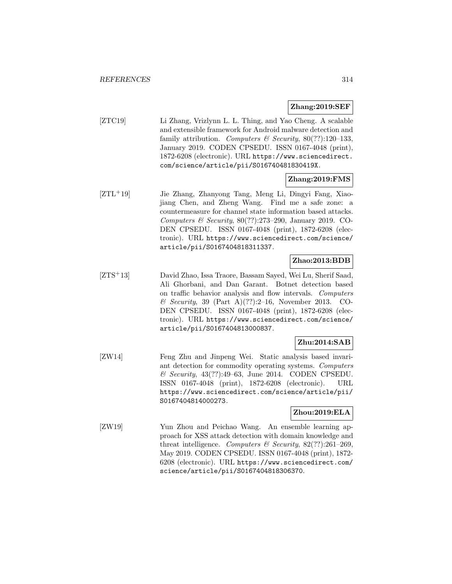### **Zhang:2019:SEF**

[ZTC19] Li Zhang, Vrizlynn L. L. Thing, and Yao Cheng. A scalable and extensible framework for Android malware detection and family attribution. Computers & Security,  $80(??):120-133$ , January 2019. CODEN CPSEDU. ISSN 0167-4048 (print), 1872-6208 (electronic). URL https://www.sciencedirect. com/science/article/pii/S016740481830419X.

### **Zhang:2019:FMS**

[ZTL<sup>+</sup>19] Jie Zhang, Zhanyong Tang, Meng Li, Dingyi Fang, Xiaojiang Chen, and Zheng Wang. Find me a safe zone: a countermeasure for channel state information based attacks. Computers & Security, 80(??):273–290, January 2019. CO-DEN CPSEDU. ISSN 0167-4048 (print), 1872-6208 (electronic). URL https://www.sciencedirect.com/science/ article/pii/S0167404818311337.

### **Zhao:2013:BDB**

[ZTS<sup>+</sup>13] David Zhao, Issa Traore, Bassam Sayed, Wei Lu, Sherif Saad, Ali Ghorbani, and Dan Garant. Botnet detection based on traffic behavior analysis and flow intervals. Computers  $\&$  Security, 39 (Part A)(??):2-16, November 2013. CO-DEN CPSEDU. ISSN 0167-4048 (print), 1872-6208 (electronic). URL https://www.sciencedirect.com/science/ article/pii/S0167404813000837.

## **Zhu:2014:SAB**

[ZW14] Feng Zhu and Jinpeng Wei. Static analysis based invariant detection for commodity operating systems. Computers & Security, 43(??):49–63, June 2014. CODEN CPSEDU. ISSN 0167-4048 (print), 1872-6208 (electronic). URL https://www.sciencedirect.com/science/article/pii/ S0167404814000273.

## **Zhou:2019:ELA**

[ZW19] Yun Zhou and Peichao Wang. An ensemble learning approach for XSS attack detection with domain knowledge and threat intelligence. Computers & Security,  $82$ (??):261-269, May 2019. CODEN CPSEDU. ISSN 0167-4048 (print), 1872- 6208 (electronic). URL https://www.sciencedirect.com/ science/article/pii/S0167404818306370.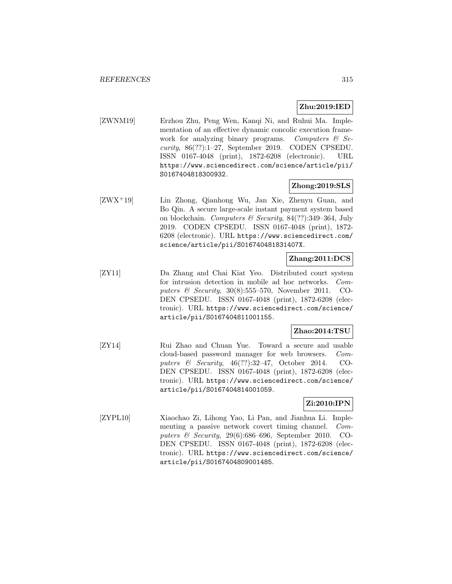## **Zhu:2019:IED**

[ZWNM19] Erzhou Zhu, Peng Wen, Kanqi Ni, and Ruhui Ma. Implementation of an effective dynamic concolic execution framework for analyzing binary programs. Computers  $\mathcal{C}$  Se $curity, 86(??):1-27, September 2019. CODEN CPSEDU.$ ISSN 0167-4048 (print), 1872-6208 (electronic). URL https://www.sciencedirect.com/science/article/pii/ S0167404818300932.

### **Zhong:2019:SLS**

[ZWX<sup>+</sup>19] Lin Zhong, Qianhong Wu, Jan Xie, Zhenyu Guan, and Bo Qin. A secure large-scale instant payment system based on blockchain. Computers & Security, 84(??):349–364, July 2019. CODEN CPSEDU. ISSN 0167-4048 (print), 1872- 6208 (electronic). URL https://www.sciencedirect.com/ science/article/pii/S016740481831407X.

### **Zhang:2011:DCS**

[ZY11] Da Zhang and Chai Kiat Yeo. Distributed court system for intrusion detection in mobile ad hoc networks. Computers & Security,  $30(8):555-570$ , November 2011. CO-DEN CPSEDU. ISSN 0167-4048 (print), 1872-6208 (electronic). URL https://www.sciencedirect.com/science/ article/pii/S0167404811001155.

### **Zhao:2014:TSU**

[ZY14] Rui Zhao and Chuan Yue. Toward a secure and usable cloud-based password manager for web browsers. Computers & Security, 46(??):32–47, October 2014. CO-DEN CPSEDU. ISSN 0167-4048 (print), 1872-6208 (electronic). URL https://www.sciencedirect.com/science/ article/pii/S0167404814001059.

### **Zi:2010:IPN**

[ZYPL10] Xiaochao Zi, Lihong Yao, Li Pan, and Jianhua Li. Implementing a passive network covert timing channel. Computers & Security, 29(6):686–696, September 2010. CO-DEN CPSEDU. ISSN 0167-4048 (print), 1872-6208 (electronic). URL https://www.sciencedirect.com/science/ article/pii/S0167404809001485.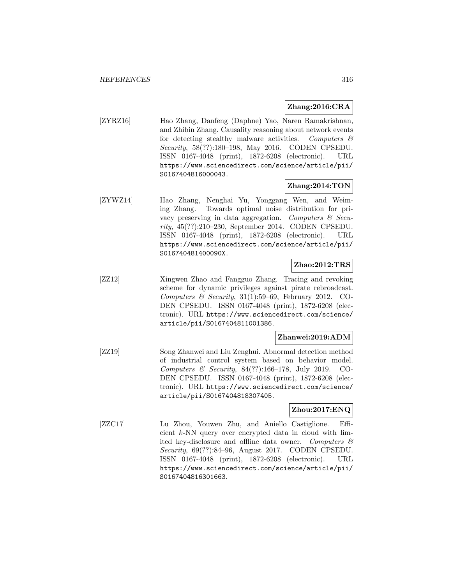### **Zhang:2016:CRA**

[ZYRZ16] Hao Zhang, Danfeng (Daphne) Yao, Naren Ramakrishnan, and Zhibin Zhang. Causality reasoning about network events for detecting stealthy malware activities. Computers  $\mathcal{C}$ Security, 58(??):180–198, May 2016. CODEN CPSEDU. ISSN 0167-4048 (print), 1872-6208 (electronic). URL https://www.sciencedirect.com/science/article/pii/ S0167404816000043.

### **Zhang:2014:TON**

[ZYWZ14] Hao Zhang, Nenghai Yu, Yonggang Wen, and Weiming Zhang. Towards optimal noise distribution for privacy preserving in data aggregation. Computers  $\mathcal{C}$  Security, 45(??):210–230, September 2014. CODEN CPSEDU. ISSN 0167-4048 (print), 1872-6208 (electronic). URL https://www.sciencedirect.com/science/article/pii/ S016740481400090X.

### **Zhao:2012:TRS**

[ZZ12] Xingwen Zhao and Fangguo Zhang. Tracing and revoking scheme for dynamic privileges against pirate rebroadcast. Computers  $\&$  Security, 31(1):59–69, February 2012. CO-DEN CPSEDU. ISSN 0167-4048 (print), 1872-6208 (electronic). URL https://www.sciencedirect.com/science/ article/pii/S0167404811001386.

### **Zhanwei:2019:ADM**

[ZZ19] Song Zhanwei and Liu Zenghui. Abnormal detection method of industrial control system based on behavior model. Computers & Security, 84(??):166–178, July 2019. CO-DEN CPSEDU. ISSN 0167-4048 (print), 1872-6208 (electronic). URL https://www.sciencedirect.com/science/ article/pii/S0167404818307405.

### **Zhou:2017:ENQ**

[ZZC17] Lu Zhou, Youwen Zhu, and Aniello Castiglione. Efficient k-NN query over encrypted data in cloud with limited key-disclosure and offline data owner. Computers  $\mathcal{C}$ Security, 69(??):84–96, August 2017. CODEN CPSEDU. ISSN 0167-4048 (print), 1872-6208 (electronic). URL https://www.sciencedirect.com/science/article/pii/ S0167404816301663.